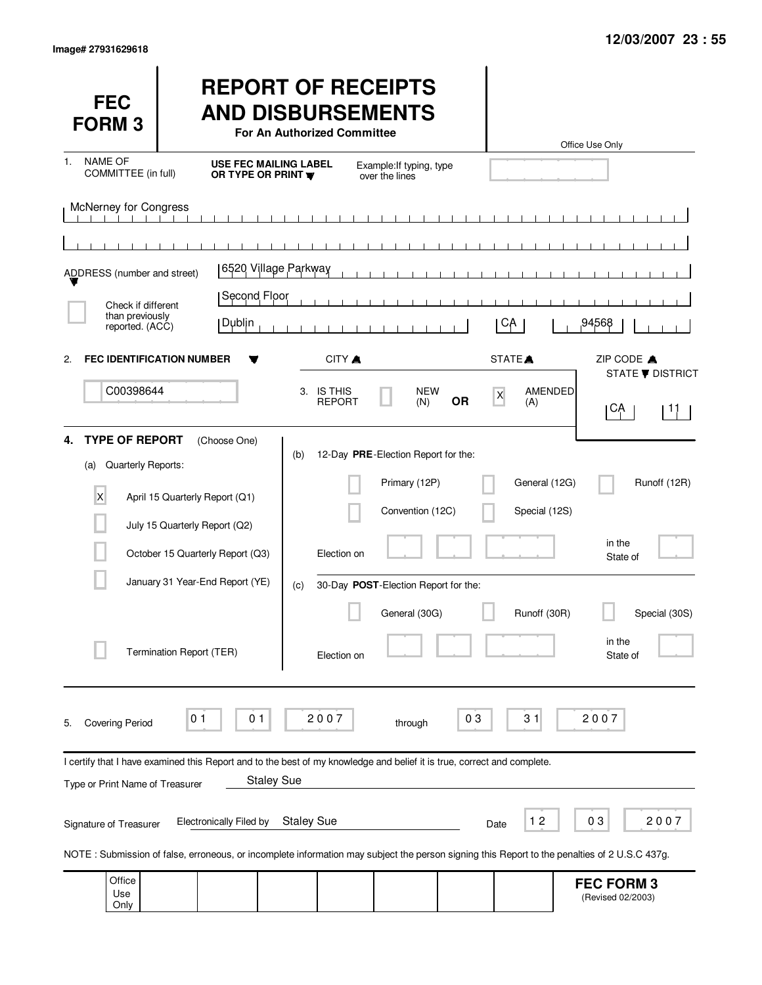Use Only

(Revised 02/2003)

| <b>FEC</b><br><b>FORM 3</b>                                                                                                                  |                          |                                  | For An Authorized Committee                      |                             | <b>REPORT OF RECEIPTS</b><br><b>AND DISBURSEMENTS</b> |           |                    |                       | Office Use Only |                                        |                                |
|----------------------------------------------------------------------------------------------------------------------------------------------|--------------------------|----------------------------------|--------------------------------------------------|-----------------------------|-------------------------------------------------------|-----------|--------------------|-----------------------|-----------------|----------------------------------------|--------------------------------|
| <b>NAME OF</b><br>1.<br>COMMITTEE (in full)                                                                                                  |                          |                                  | <b>USE FEC MAILING LABEL</b><br>OR TYPE OR PRINT |                             | Example: If typing, type<br>over the lines            |           |                    |                       |                 |                                        |                                |
| <b>McNerney for Congress</b>                                                                                                                 |                          |                                  |                                                  |                             | $\blacksquare$                                        |           |                    |                       |                 |                                        |                                |
|                                                                                                                                              |                          |                                  |                                                  |                             |                                                       |           |                    |                       |                 |                                        |                                |
| ADDRESS (number and street)                                                                                                                  |                          |                                  | 6520 Village Parkway                             |                             |                                                       |           |                    |                       |                 |                                        |                                |
| Check if different                                                                                                                           |                          | Second Floor                     |                                                  |                             |                                                       |           |                    |                       |                 |                                        |                                |
| than previously<br>reported. (ACC)                                                                                                           |                          | Dublin                           |                                                  |                             |                                                       |           | CA                 |                       |                 | ,94568                                 |                                |
| <b>FEC IDENTIFICATION NUMBER</b><br>2.                                                                                                       |                          |                                  |                                                  | CITY A                      |                                                       |           | STATE <sup>A</sup> |                       |                 | ZIP CODE A                             |                                |
| C00398644                                                                                                                                    |                          |                                  |                                                  | 3. IS THIS<br><b>REPORT</b> | <b>NEW</b><br>(N)                                     | <b>OR</b> | X                  | <b>AMENDED</b><br>(A) |                 | CĄ                                     | STATE <b>V</b> DISTRICT<br>-11 |
| <b>TYPE OF REPORT</b><br>4.<br>Quarterly Reports:<br>(a)                                                                                     |                          | (Choose One)                     | (b)                                              |                             | 12-Day PRE-Election Report for the:                   |           |                    |                       |                 |                                        |                                |
| X                                                                                                                                            |                          | April 15 Quarterly Report (Q1)   |                                                  |                             | Primary (12P)                                         |           |                    | General (12G)         |                 |                                        | Runoff (12R)                   |
|                                                                                                                                              |                          | July 15 Quarterly Report (Q2)    |                                                  |                             | Convention (12C)                                      |           |                    | Special (12S)         |                 |                                        |                                |
|                                                                                                                                              |                          | October 15 Quarterly Report (Q3) |                                                  | Election on                 |                                                       |           |                    |                       |                 | in the<br>State of                     |                                |
|                                                                                                                                              |                          | January 31 Year-End Report (YE)  | (c)                                              |                             | 30-Day POST-Election Report for the:                  |           |                    |                       |                 |                                        |                                |
|                                                                                                                                              |                          |                                  |                                                  |                             | General (30G)                                         |           |                    | Runoff (30R)          |                 |                                        | Special (30S)                  |
|                                                                                                                                              | Termination Report (TER) |                                  |                                                  | Election on                 |                                                       |           |                    |                       |                 | in the<br>State of                     |                                |
| <b>Covering Period</b><br>5.                                                                                                                 | 01                       | 01                               |                                                  | 2007                        | through                                               | 03        |                    | 31                    |                 | 2007                                   |                                |
| I certify that I have examined this Report and to the best of my knowledge and belief it is true, correct and complete.                      |                          |                                  |                                                  |                             |                                                       |           |                    |                       |                 |                                        |                                |
| Type or Print Name of Treasurer                                                                                                              |                          |                                  | <b>Staley Sue</b>                                |                             |                                                       |           |                    |                       |                 |                                        |                                |
| Signature of Treasurer                                                                                                                       |                          | <b>Electronically Filed by</b>   | <b>Staley Sue</b>                                |                             |                                                       |           | Date               | $12$                  |                 | 03                                     | 2007                           |
| NOTE: Submission of false, erroneous, or incomplete information may subject the person signing this Report to the penalties of 2 U.S.C 437g. |                          |                                  |                                                  |                             |                                                       |           |                    |                       |                 |                                        |                                |
| Office<br>Use                                                                                                                                |                          |                                  |                                                  |                             |                                                       |           |                    |                       |                 | <b>FEC FORM 3</b><br>(Revised 02/2003) |                                |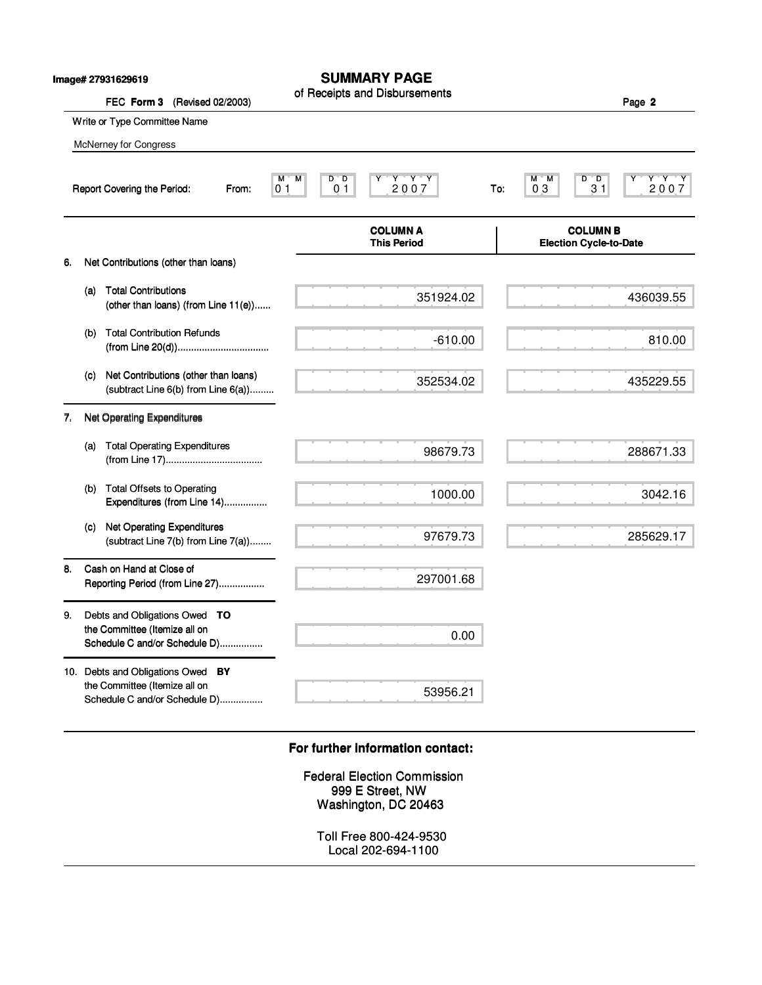|    |     | Image# 27931629619<br>FEC Form 3<br>(Revised 02/2003)                                               | <b>SUMMARY PAGE</b><br>of Receipts and Disbursements                                          |     |                               | Page 2                         |
|----|-----|-----------------------------------------------------------------------------------------------------|-----------------------------------------------------------------------------------------------|-----|-------------------------------|--------------------------------|
|    |     | Write or Type Committee Name                                                                        |                                                                                               |     |                               |                                |
|    |     | McNerney for Congress                                                                               |                                                                                               |     |                               |                                |
|    |     | Report Covering the Period:<br>From:                                                                | $Y - Y - Y$<br>$\overline{M}$<br>$D^{\ast}D$<br>М<br>2007<br>0 <sub>1</sub><br>0 <sub>1</sub> | To: | D<br>м<br>'M<br>03            | $Y^+Y^-Y$<br>™D.<br>2007<br>31 |
|    |     |                                                                                                     | <b>COLUMN A</b><br><b>This Period</b>                                                         |     | <b>Election Cycle-to-Date</b> | <b>COLUMN B</b>                |
| 6. |     | Net Contributions (other than loans)                                                                |                                                                                               |     |                               |                                |
|    | (a) | <b>Total Contributions</b><br>(other than loans) (from Line 11(e))                                  | 351924.02                                                                                     |     |                               | 436039.55                      |
|    | (b) | <b>Total Contribution Refunds</b>                                                                   | $-610.00$                                                                                     |     |                               | 810.00                         |
|    | (c) | Net Contributions (other than loans)<br>(subtract Line 6(b) from Line 6(a))                         | 352534.02                                                                                     |     |                               | 435229.55                      |
| 7. |     | <b>Net Operating Expenditures</b>                                                                   |                                                                                               |     |                               |                                |
|    | (a) | <b>Total Operating Expenditures</b>                                                                 | 98679.73                                                                                      |     |                               | 288671.33                      |
|    | (b) | <b>Total Offsets to Operating</b><br>Expenditures (from Line 14)                                    | 1000.00                                                                                       |     |                               | 3042.16                        |
|    | (C) | <b>Net Operating Expenditures</b><br>(subtract Line 7(b) from Line 7(a))                            | 97679.73                                                                                      |     |                               | 285629.17                      |
| 8. |     | Cash on Hand at Close of<br>Reporting Period (from Line 27)                                         | 297001.68                                                                                     |     |                               |                                |
| 9. |     | Debts and Obligations Owed TO<br>the Committee (Itemize all on<br>Schedule C and/or Schedule D)     | 0.00                                                                                          |     |                               |                                |
|    |     | 10. Debts and Obligations Owed BY<br>the Committee (Itemize all on<br>Schedule C and/or Schedule D) | 53956.21                                                                                      |     |                               |                                |
|    |     |                                                                                                     | For further information contact:                                                              |     |                               |                                |
|    |     |                                                                                                     | <b>Federal Election Commission</b><br>999 E Street, NW<br>Washington, DC 20463                |     |                               |                                |
|    |     |                                                                                                     | Toll Free 800-424-9530<br>Local 202-694-1100                                                  |     |                               |                                |

## **For further information contact: For further information contact:**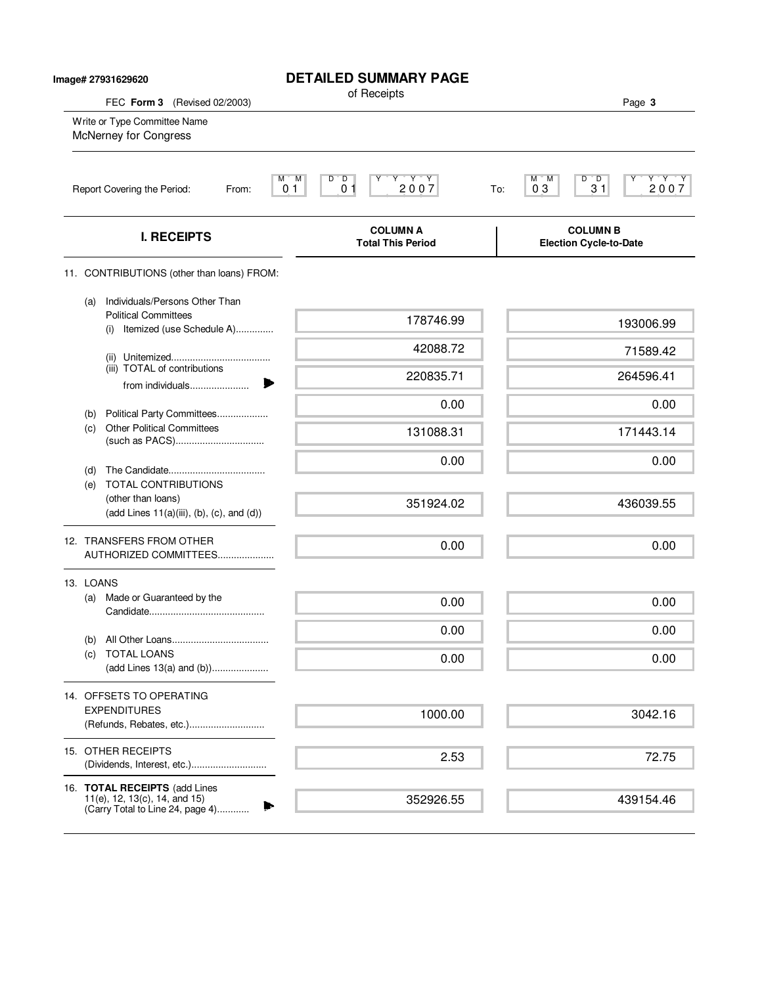| Image# 27931629620 |                                                                                                          | <b>DETAILED SUMMARY PAGE</b><br>of Receipts                                                                                         |                                                  |
|--------------------|----------------------------------------------------------------------------------------------------------|-------------------------------------------------------------------------------------------------------------------------------------|--------------------------------------------------|
|                    | FEC Form 3 (Revised 02/2003)<br>Write or Type Committee Name<br>McNerney for Congress                    |                                                                                                                                     | Page 3                                           |
|                    | Report Covering the Period:                                                                              | M<br>$\begin{array}{c}\nY & Y & Y \\ 2007\n\end{array}$<br>M,<br>$D^{\prime}$ $D$<br>Υ<br>0 <sub>1</sub><br>0 <sub>1</sub><br>From: | Y'Y'Y<br>M M<br>D D<br>03<br>31<br>2007<br>To:   |
|                    | <b>I. RECEIPTS</b>                                                                                       | <b>COLUMN A</b><br><b>Total This Period</b>                                                                                         | <b>COLUMN B</b><br><b>Election Cycle-to-Date</b> |
|                    | 11. CONTRIBUTIONS (other than loans) FROM:                                                               |                                                                                                                                     |                                                  |
|                    | Individuals/Persons Other Than<br>(a)<br><b>Political Committees</b><br>Itemized (use Schedule A)<br>(i) | 178746.99                                                                                                                           | 193006.99                                        |
|                    |                                                                                                          | 42088.72                                                                                                                            | 71589.42                                         |
|                    | (iii) TOTAL of contributions<br>from individuals                                                         | 220835.71                                                                                                                           | 264596.41                                        |
|                    | Political Party Committees<br>(b)                                                                        | 0.00                                                                                                                                | 0.00                                             |
|                    | <b>Other Political Committees</b><br>(c)                                                                 | 131088.31                                                                                                                           | 171443.14                                        |
|                    | (d)<br>TOTAL CONTRIBUTIONS<br>(e)                                                                        | 0.00                                                                                                                                | 0.00                                             |
|                    | (other than loans)<br>$(add Lines 11(a)(iii), (b), (c), and (d))$                                        | 351924.02                                                                                                                           | 436039.55                                        |
|                    | 12. TRANSFERS FROM OTHER<br>AUTHORIZED COMMITTEES                                                        | 0.00                                                                                                                                | 0.00                                             |
|                    | 13. LOANS                                                                                                |                                                                                                                                     |                                                  |
|                    | Made or Guaranteed by the<br>(a)                                                                         | 0.00                                                                                                                                | 0.00                                             |
|                    |                                                                                                          | 0.00                                                                                                                                | 0.00                                             |
|                    | (b)<br><b>TOTAL LOANS</b><br>(c)<br>(add Lines 13(a) and (b))                                            | 0.00                                                                                                                                | 0.00                                             |
|                    | 14. OFFSETS TO OPERATING                                                                                 |                                                                                                                                     |                                                  |
|                    | <b>EXPENDITURES</b><br>(Refunds, Rebates, etc.)                                                          | 1000.00                                                                                                                             | 3042.16                                          |
|                    | 15. OTHER RECEIPTS                                                                                       | 2.53                                                                                                                                | 72.75                                            |
|                    | 16. TOTAL RECEIPTS (add Lines<br>11(e), 12, 13(c), 14, and 15)<br>(Carry Total to Line 24, page 4)       | 352926.55                                                                                                                           | 439154.46                                        |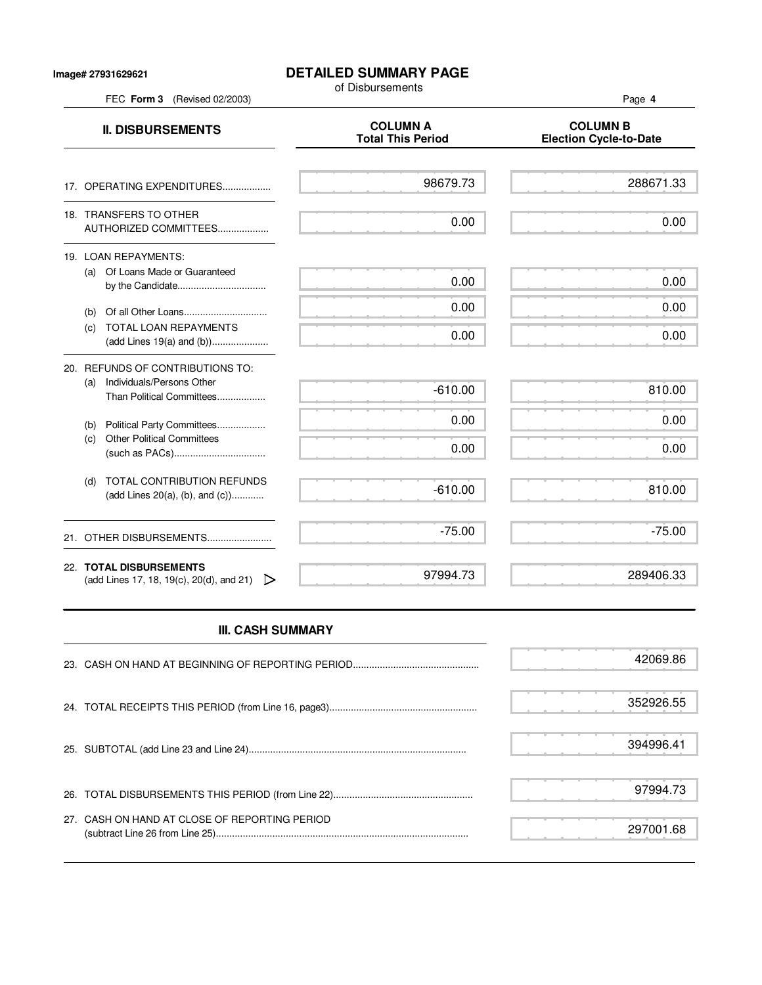## **Image# 27931629621**

## **DETAILED SUMMARY PAGE**

of Disbursements

FEC **Form 3** (Revised 02/2003) Page **4**

| <b>II. DISBURSEMENTS</b>                                                                          | <b>COLUMN A</b><br><b>Total This Period</b> | <b>COLUMN B</b><br><b>Election Cycle-to-Date</b> |
|---------------------------------------------------------------------------------------------------|---------------------------------------------|--------------------------------------------------|
| 17. OPERATING EXPENDITURES                                                                        | 98679.73                                    | 288671.33                                        |
| 18. TRANSFERS TO OTHER<br>AUTHORIZED COMMITTEES                                                   | 0.00                                        | 0.00                                             |
| 19. LOAN REPAYMENTS:<br>Of Loans Made or Guaranteed<br>(a)                                        | 0.00                                        | 0.00                                             |
| (b)<br>TOTAL LOAN REPAYMENTS<br>(c)                                                               | 0.00<br>0.00                                | 0.00<br>0.00                                     |
| 20. REFUNDS OF CONTRIBUTIONS TO:<br>Individuals/Persons Other<br>(a)<br>Than Political Committees | $-610.00$                                   | 810.00                                           |
| Political Party Committees<br>(b)<br><b>Other Political Committees</b><br>(c)                     | 0.00<br>0.00                                | 0.00<br>0.00                                     |
| <b>TOTAL CONTRIBUTION REFUNDS</b><br>(d)<br>(add Lines 20(a), (b), and (c))                       | $-610.00$                                   | 810.00                                           |
| 21. OTHER DISBURSEMENTS                                                                           | $-75.00$                                    | $-75.00$                                         |
| 22. TOTAL DISBURSEMENTS<br>(add Lines 17, 18, 19(c), 20(d), and 21) $\triangleright$              | 97994.73                                    | 289406.33                                        |

## **III. CASH SUMMARY**

|                                               | 352926.55 |
|-----------------------------------------------|-----------|
|                                               | 394996.41 |
|                                               | 97994.73  |
| 27. CASH ON HAND AT CLOSE OF REPORTING PERIOD | 297001.68 |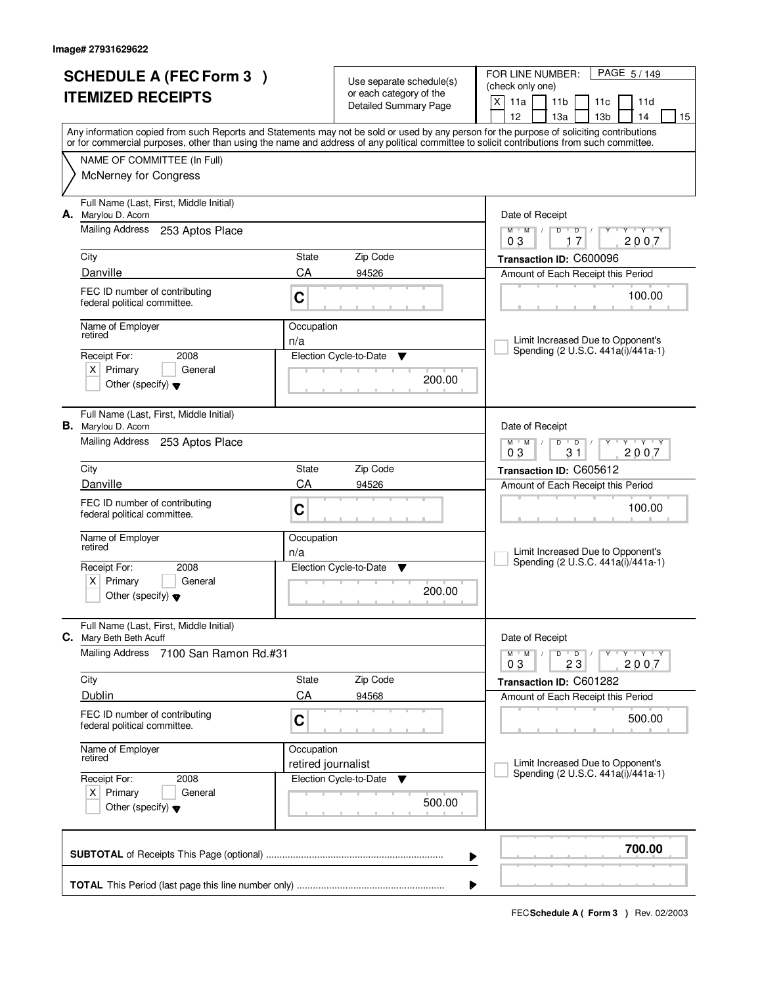|    | <b>SCHEDULE A (FEC Form 3)</b><br><b>ITEMIZED RECEIPTS</b>                             |                    | Use separate schedule(s)<br>or each category of the<br><b>Detailed Summary Page</b> | PAGE 5/149<br>FOR LINE NUMBER:<br>(check only one)<br>X<br>11a<br>11 <sub>b</sub><br>11 <sub>c</sub><br>11d<br>12<br>14<br>13а<br>13 <sub>b</sub><br>15                                                                                                                                 |
|----|----------------------------------------------------------------------------------------|--------------------|-------------------------------------------------------------------------------------|-----------------------------------------------------------------------------------------------------------------------------------------------------------------------------------------------------------------------------------------------------------------------------------------|
|    |                                                                                        |                    |                                                                                     | Any information copied from such Reports and Statements may not be sold or used by any person for the purpose of soliciting contributions<br>or for commercial purposes, other than using the name and address of any political committee to solicit contributions from such committee. |
|    | NAME OF COMMITTEE (In Full)                                                            |                    |                                                                                     |                                                                                                                                                                                                                                                                                         |
|    | <b>McNerney for Congress</b>                                                           |                    |                                                                                     |                                                                                                                                                                                                                                                                                         |
|    | Full Name (Last, First, Middle Initial)<br>A. Marylou D. Acorn                         |                    |                                                                                     | Date of Receipt                                                                                                                                                                                                                                                                         |
|    | Mailing Address<br>253 Aptos Place                                                     |                    |                                                                                     | $M$ $M$ /<br>$D^{-1}$<br>$\mathsf D$<br>Y<br>$Y + Y + Y$<br>17<br>2007<br>03                                                                                                                                                                                                            |
|    | City                                                                                   | State              | Zip Code                                                                            | Transaction ID: C600096                                                                                                                                                                                                                                                                 |
|    | Danville                                                                               | CA                 | 94526                                                                               | Amount of Each Receipt this Period                                                                                                                                                                                                                                                      |
|    | FEC ID number of contributing<br>federal political committee.                          | C                  |                                                                                     | 100.00                                                                                                                                                                                                                                                                                  |
|    | Name of Employer<br>retired                                                            | Occupation<br>n/a  |                                                                                     | Limit Increased Due to Opponent's                                                                                                                                                                                                                                                       |
|    | 2008<br>Receipt For:                                                                   |                    | Election Cycle-to-Date<br>▼                                                         | Spending (2 U.S.C. 441a(i)/441a-1)                                                                                                                                                                                                                                                      |
|    | $X$ Primary<br>General<br>Other (specify) $\blacktriangledown$                         |                    | 200.00                                                                              |                                                                                                                                                                                                                                                                                         |
|    | Full Name (Last, First, Middle Initial)<br><b>B.</b> Marylou D. Acorn                  |                    |                                                                                     | Date of Receipt                                                                                                                                                                                                                                                                         |
|    | <b>Mailing Address</b><br>253 Aptos Place                                              |                    |                                                                                     | $M$ $M$ /<br>D<br>$\overline{D}$<br>Y 'Y 'Y<br>31<br>03<br>2007                                                                                                                                                                                                                         |
|    | City                                                                                   | State              | Zip Code                                                                            | Transaction ID: C605612                                                                                                                                                                                                                                                                 |
|    | Danville                                                                               | CA                 | 94526                                                                               | Amount of Each Receipt this Period                                                                                                                                                                                                                                                      |
|    | FEC ID number of contributing<br>federal political committee.                          | C                  |                                                                                     | 100.00                                                                                                                                                                                                                                                                                  |
|    | Name of Employer<br>retired                                                            | Occupation<br>n/a  |                                                                                     | Limit Increased Due to Opponent's                                                                                                                                                                                                                                                       |
|    | Receipt For:<br>2008                                                                   |                    | Election Cycle-to-Date<br>▼                                                         | Spending (2 U.S.C. 441a(i)/441a-1)                                                                                                                                                                                                                                                      |
|    | x <sub>1</sub><br>Primary<br>General<br>Other (specify) $\blacktriangledown$           |                    | 200.00                                                                              |                                                                                                                                                                                                                                                                                         |
| С. | Full Name (Last, First, Middle Initial)<br>Mary Beth Beth Acuff                        |                    |                                                                                     | Date of Receipt                                                                                                                                                                                                                                                                         |
|    | <b>Mailing Address</b><br>7100 San Ramon Rd.#31                                        |                    |                                                                                     | $M^{\prime}$ M $\rightarrow$ M<br>$D$ $D$ $/$<br>יץ ייץ ייד<br>Y<br>03<br>23<br>2007                                                                                                                                                                                                    |
|    | City                                                                                   | State              | Zip Code                                                                            | Transaction ID: C601282                                                                                                                                                                                                                                                                 |
|    | Dublin                                                                                 | CA                 | 94568                                                                               | Amount of Each Receipt this Period                                                                                                                                                                                                                                                      |
|    | FEC ID number of contributing<br>federal political committee.                          | C                  |                                                                                     | 500.00                                                                                                                                                                                                                                                                                  |
|    | Name of Employer<br>retired                                                            | Occupation         |                                                                                     |                                                                                                                                                                                                                                                                                         |
|    |                                                                                        | retired journalist |                                                                                     | Limit Increased Due to Opponent's<br>Spending (2 U.S.C. 441a(i)/441a-1)                                                                                                                                                                                                                 |
|    | Receipt For:<br>2008<br>$X$ Primary<br>General<br>Other (specify) $\blacktriangledown$ |                    | Election Cycle-to-Date<br>▼<br>500.00                                               |                                                                                                                                                                                                                                                                                         |
|    |                                                                                        |                    |                                                                                     |                                                                                                                                                                                                                                                                                         |
|    |                                                                                        |                    |                                                                                     | 700.00<br>▶                                                                                                                                                                                                                                                                             |
|    |                                                                                        |                    |                                                                                     | ▶                                                                                                                                                                                                                                                                                       |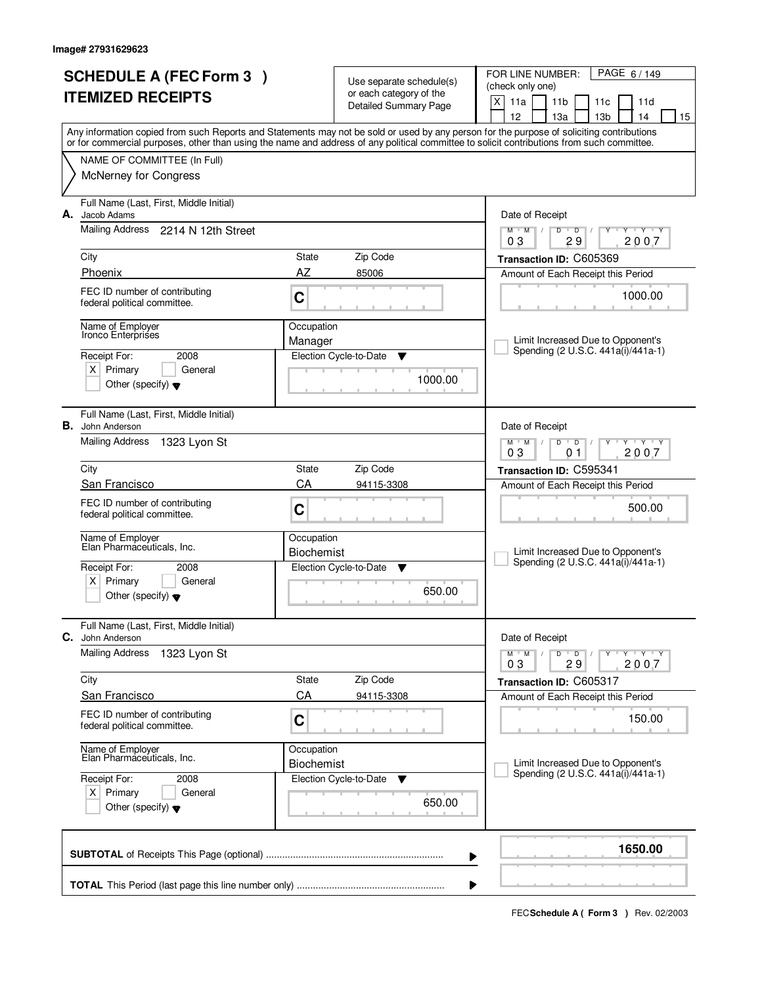| <b>SCHEDULE A (FEC Form 3)</b>                                                                                                                                                                                                                                                          |                                 | Use separate schedule(s)                                | PAGE 6/149<br>FOR LINE NUMBER:<br>(check only one)                         |  |
|-----------------------------------------------------------------------------------------------------------------------------------------------------------------------------------------------------------------------------------------------------------------------------------------|---------------------------------|---------------------------------------------------------|----------------------------------------------------------------------------|--|
| <b>ITEMIZED RECEIPTS</b>                                                                                                                                                                                                                                                                |                                 | or each category of the<br><b>Detailed Summary Page</b> | X<br>11a<br>11 <sub>b</sub><br>11c<br>11d                                  |  |
|                                                                                                                                                                                                                                                                                         |                                 |                                                         | 12<br>13a<br>13 <sub>b</sub><br>14<br>15                                   |  |
| Any information copied from such Reports and Statements may not be sold or used by any person for the purpose of soliciting contributions<br>or for commercial purposes, other than using the name and address of any political committee to solicit contributions from such committee. |                                 |                                                         |                                                                            |  |
| NAME OF COMMITTEE (In Full)                                                                                                                                                                                                                                                             |                                 |                                                         |                                                                            |  |
| <b>McNerney for Congress</b>                                                                                                                                                                                                                                                            |                                 |                                                         |                                                                            |  |
| Full Name (Last, First, Middle Initial)<br>Jacob Adams<br>А.                                                                                                                                                                                                                            |                                 |                                                         | Date of Receipt                                                            |  |
| Mailing Address 2214 N 12th Street                                                                                                                                                                                                                                                      |                                 |                                                         | $M$ $M$ /<br>$D$ $D$<br>$Y - Y - Y$<br>$\sqrt{ }$<br>Y<br>29<br>03<br>2007 |  |
| City                                                                                                                                                                                                                                                                                    | State                           | Zip Code                                                | Transaction ID: C605369                                                    |  |
| Phoenix                                                                                                                                                                                                                                                                                 | AZ                              | 85006                                                   | Amount of Each Receipt this Period                                         |  |
| FEC ID number of contributing<br>federal political committee.                                                                                                                                                                                                                           | C                               |                                                         | 1000.00                                                                    |  |
| Name of Employer<br>Ironco Enterprises                                                                                                                                                                                                                                                  | Occupation<br>Manager           |                                                         | Limit Increased Due to Opponent's                                          |  |
| Receipt For:<br>2008                                                                                                                                                                                                                                                                    |                                 | Election Cycle-to-Date<br>▼                             | Spending (2 U.S.C. 441a(i)/441a-1)                                         |  |
| $X$ Primary<br>General<br>Other (specify) $\blacktriangledown$                                                                                                                                                                                                                          |                                 | 1000.00                                                 |                                                                            |  |
| Full Name (Last, First, Middle Initial)<br><b>B.</b> John Anderson                                                                                                                                                                                                                      |                                 |                                                         | Date of Receipt                                                            |  |
| Mailing Address<br>1323 Lyon St                                                                                                                                                                                                                                                         |                                 |                                                         | $T - Y - T Y$<br>$M$ M<br>D<br>$\overline{D}$<br>2007<br>03<br>01          |  |
| City                                                                                                                                                                                                                                                                                    | State                           | Zip Code                                                | Transaction ID: C595341                                                    |  |
| San Francisco                                                                                                                                                                                                                                                                           | CA                              | 94115-3308                                              | Amount of Each Receipt this Period                                         |  |
| FEC ID number of contributing<br>federal political committee.                                                                                                                                                                                                                           | C                               |                                                         | 500.00                                                                     |  |
| Name of Employer<br>Elan Pharmaceuticals, Inc.                                                                                                                                                                                                                                          | Occupation                      |                                                         |                                                                            |  |
|                                                                                                                                                                                                                                                                                         | <b>Biochemist</b>               |                                                         | Limit Increased Due to Opponent's<br>Spending (2 U.S.C. 441a(i)/441a-1)    |  |
| Receipt For:<br>2008<br>Primary<br>ΧI<br>General                                                                                                                                                                                                                                        |                                 | Election Cycle-to-Date<br>Y                             |                                                                            |  |
| Other (specify) $\blacktriangledown$                                                                                                                                                                                                                                                    |                                 | 650.00                                                  |                                                                            |  |
| Full Name (Last, First, Middle Initial)<br>C.<br>John Anderson                                                                                                                                                                                                                          |                                 |                                                         | Date of Receipt                                                            |  |
| <b>Mailing Address</b><br>1323 Lyon St                                                                                                                                                                                                                                                  |                                 |                                                         | D<br>$M$ $M$ /<br>$\overline{D}$<br>$Y - Y - Y$<br>03<br>29<br>2007        |  |
| City                                                                                                                                                                                                                                                                                    | State                           | Zip Code                                                | Transaction ID: C605317                                                    |  |
| San Francisco                                                                                                                                                                                                                                                                           | CA                              | 94115-3308                                              | Amount of Each Receipt this Period                                         |  |
| FEC ID number of contributing<br>federal political committee.                                                                                                                                                                                                                           | C                               |                                                         | 150.00                                                                     |  |
| Name of Employer<br>Elan Pharmaceuticals, Inc.                                                                                                                                                                                                                                          | Occupation<br><b>Biochemist</b> |                                                         | Limit Increased Due to Opponent's                                          |  |
| Receipt For:<br>2008                                                                                                                                                                                                                                                                    |                                 | Election Cycle-to-Date<br>v                             | Spending (2 U.S.C. 441a(i)/441a-1)                                         |  |
| $X$ Primary<br>General<br>Other (specify) $\blacktriangledown$                                                                                                                                                                                                                          |                                 | 650.00                                                  |                                                                            |  |
|                                                                                                                                                                                                                                                                                         |                                 |                                                         | 1650.00<br>▶                                                               |  |
|                                                                                                                                                                                                                                                                                         |                                 |                                                         | ▶                                                                          |  |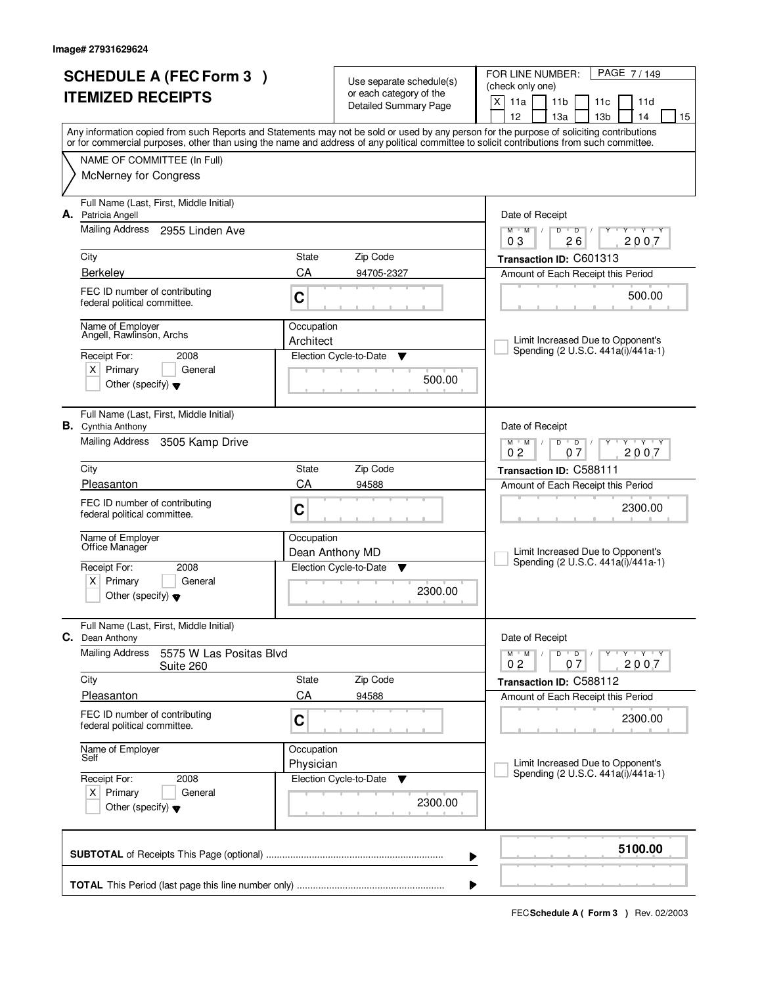|    | <b>SCHEDULE A (FEC Form 3)</b><br><b>ITEMIZED RECEIPTS</b>             |                         | Use separate schedule(s)<br>or each category of the | PAGE 7/149<br>FOR LINE NUMBER:<br>(check only one)                                                                                                                                                                                                                                      |  |  |  |
|----|------------------------------------------------------------------------|-------------------------|-----------------------------------------------------|-----------------------------------------------------------------------------------------------------------------------------------------------------------------------------------------------------------------------------------------------------------------------------------------|--|--|--|
|    |                                                                        |                         | <b>Detailed Summary Page</b>                        | X<br>11a<br>11 <sub>b</sub><br>11c<br>11d<br>12<br>13 <sub>b</sub><br>13a<br>14<br>15                                                                                                                                                                                                   |  |  |  |
|    |                                                                        |                         |                                                     | Any information copied from such Reports and Statements may not be sold or used by any person for the purpose of soliciting contributions<br>or for commercial purposes, other than using the name and address of any political committee to solicit contributions from such committee. |  |  |  |
|    | NAME OF COMMITTEE (In Full)                                            |                         |                                                     |                                                                                                                                                                                                                                                                                         |  |  |  |
|    | <b>McNerney for Congress</b>                                           |                         |                                                     |                                                                                                                                                                                                                                                                                         |  |  |  |
| А. | Full Name (Last, First, Middle Initial)<br>Patricia Angell             |                         |                                                     | Date of Receipt                                                                                                                                                                                                                                                                         |  |  |  |
|    | <b>Mailing Address</b><br>2955 Linden Ave                              |                         |                                                     | Y Y Y Y<br>$M$ $M$ /<br>D<br>$\overline{D}$<br>2007<br>03<br>26                                                                                                                                                                                                                         |  |  |  |
|    | City                                                                   | State                   | Zip Code                                            | Transaction ID: C601313                                                                                                                                                                                                                                                                 |  |  |  |
|    | <b>Berkelev</b>                                                        | CA                      | 94705-2327                                          | Amount of Each Receipt this Period                                                                                                                                                                                                                                                      |  |  |  |
|    | FEC ID number of contributing<br>federal political committee.          | C                       |                                                     | 500.00                                                                                                                                                                                                                                                                                  |  |  |  |
|    | Name of Employer<br>Angell, Rawlinson, Archs                           | Occupation              |                                                     |                                                                                                                                                                                                                                                                                         |  |  |  |
|    | Receipt For:<br>2008                                                   | Architect               | Election Cycle-to-Date<br>Y                         | Limit Increased Due to Opponent's<br>Spending (2 U.S.C. 441a(i)/441a-1)                                                                                                                                                                                                                 |  |  |  |
|    | $X$ Primary<br>General                                                 |                         |                                                     |                                                                                                                                                                                                                                                                                         |  |  |  |
|    | Other (specify) $\blacktriangledown$                                   |                         | 500.00                                              |                                                                                                                                                                                                                                                                                         |  |  |  |
|    | Full Name (Last, First, Middle Initial)<br><b>B.</b> Cynthia Anthony   |                         |                                                     | Date of Receipt                                                                                                                                                                                                                                                                         |  |  |  |
|    | <b>Mailing Address</b><br>3505 Kamp Drive                              |                         |                                                     | $M$ $M$ $/$<br><b>TEXTEY</b><br>D<br>$\overline{D}$<br>0 <sub>2</sub><br>07<br>2007                                                                                                                                                                                                     |  |  |  |
|    | City                                                                   | State                   | Zip Code                                            | Transaction ID: C588111                                                                                                                                                                                                                                                                 |  |  |  |
|    | Pleasanton                                                             | CA                      | 94588                                               | Amount of Each Receipt this Period                                                                                                                                                                                                                                                      |  |  |  |
|    | FEC ID number of contributing<br>federal political committee.          | C                       |                                                     | 2300.00                                                                                                                                                                                                                                                                                 |  |  |  |
|    | Name of Employer<br>Office Manager                                     | Occupation              |                                                     |                                                                                                                                                                                                                                                                                         |  |  |  |
|    | Receipt For:<br>2008                                                   |                         | Dean Anthony MD<br>Election Cycle-to-Date<br>▼      | Limit Increased Due to Opponent's<br>Spending (2 U.S.C. 441a(i)/441a-1)                                                                                                                                                                                                                 |  |  |  |
|    | Primary<br>$X \mid$<br>General<br>Other (specify) $\blacktriangledown$ |                         | 2300.00                                             |                                                                                                                                                                                                                                                                                         |  |  |  |
|    | Full Name (Last, First, Middle Initial)<br>C. Dean Anthony             |                         |                                                     | Date of Receipt                                                                                                                                                                                                                                                                         |  |  |  |
|    | <b>Mailing Address</b><br>5575 W Las Positas Blvd                      |                         |                                                     | D<br>$M$ $M$ $/$<br>$\overline{\phantom{0}}$ D $\overline{\phantom{0}}$ /<br>$Y + Y + Y$<br>2007<br>02<br>07                                                                                                                                                                            |  |  |  |
|    | Suite 260<br>City                                                      | State                   | Zip Code                                            | Transaction ID: C588112                                                                                                                                                                                                                                                                 |  |  |  |
|    | Pleasanton                                                             | CA                      | 94588                                               | Amount of Each Receipt this Period                                                                                                                                                                                                                                                      |  |  |  |
|    | FEC ID number of contributing<br>federal political committee.          | $\mathbf C$             |                                                     | 2300.00                                                                                                                                                                                                                                                                                 |  |  |  |
|    | Name of Employer<br>Self                                               | Occupation<br>Physician |                                                     | Limit Increased Due to Opponent's                                                                                                                                                                                                                                                       |  |  |  |
|    | Receipt For:<br>2008                                                   |                         | Election Cycle-to-Date<br>v                         | Spending (2 U.S.C. 441a(i)/441a-1)                                                                                                                                                                                                                                                      |  |  |  |
|    | $X$ Primary<br>General<br>Other (specify) $\blacktriangledown$         |                         | 2300.00                                             |                                                                                                                                                                                                                                                                                         |  |  |  |
|    | 5100.00<br>▶                                                           |                         |                                                     |                                                                                                                                                                                                                                                                                         |  |  |  |
|    |                                                                        |                         |                                                     |                                                                                                                                                                                                                                                                                         |  |  |  |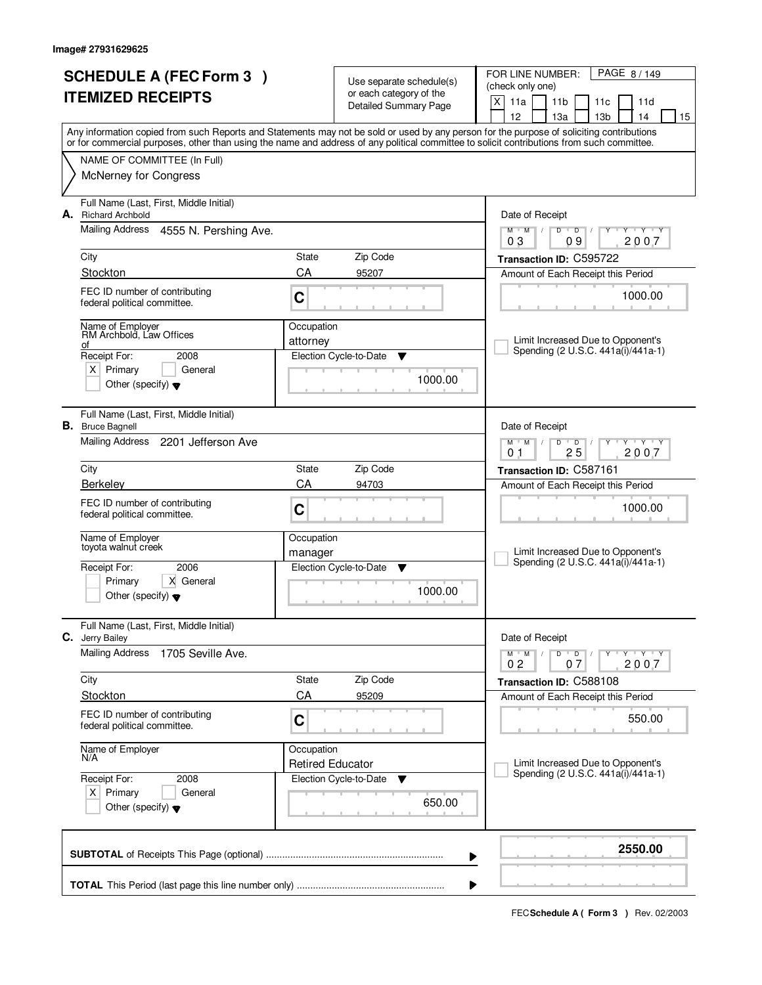|                      | <b>SCHEDULE A (FEC Form 3)</b>                                                                                                             |                         | Use separate schedule(s)     | FOR LINE NUMBER:<br>PAGE 8/149                                                                                                            |  |  |
|----------------------|--------------------------------------------------------------------------------------------------------------------------------------------|-------------------------|------------------------------|-------------------------------------------------------------------------------------------------------------------------------------------|--|--|
|                      | <b>ITEMIZED RECEIPTS</b>                                                                                                                   |                         | or each category of the      | (check only one)<br>X<br>11a<br>11 <sub>b</sub><br>11c<br>11d                                                                             |  |  |
|                      |                                                                                                                                            |                         | <b>Detailed Summary Page</b> | 12<br>13 <sub>b</sub><br>13a<br>14<br>15                                                                                                  |  |  |
|                      | or for commercial purposes, other than using the name and address of any political committee to solicit contributions from such committee. |                         |                              | Any information copied from such Reports and Statements may not be sold or used by any person for the purpose of soliciting contributions |  |  |
|                      | NAME OF COMMITTEE (In Full)                                                                                                                |                         |                              |                                                                                                                                           |  |  |
|                      | <b>McNerney for Congress</b>                                                                                                               |                         |                              |                                                                                                                                           |  |  |
| А.                   | Full Name (Last, First, Middle Initial)<br><b>Richard Archbold</b>                                                                         |                         |                              | Date of Receipt                                                                                                                           |  |  |
|                      | <b>Mailing Address</b><br>4555 N. Pershing Ave.                                                                                            |                         |                              | $Y - Y - Y$<br>$M$ $M$ /<br>D<br>$\overline{D}$<br>Y<br>2007<br>03<br>09                                                                  |  |  |
|                      | City                                                                                                                                       | State                   | Zip Code                     | Transaction ID: C595722                                                                                                                   |  |  |
|                      | Stockton                                                                                                                                   | CA                      | 95207                        | Amount of Each Receipt this Period                                                                                                        |  |  |
|                      | FEC ID number of contributing<br>federal political committee.                                                                              | C                       |                              | 1000.00                                                                                                                                   |  |  |
|                      | Name of Employer<br>RM Archbold, Law Offices<br>οf                                                                                         | Occupation<br>attorney  |                              | Limit Increased Due to Opponent's                                                                                                         |  |  |
|                      | Receipt For:<br>2008                                                                                                                       |                         | Election Cycle-to-Date<br>v  | Spending (2 U.S.C. 441a(i)/441a-1)                                                                                                        |  |  |
|                      | $X$ Primary<br>General<br>Other (specify) $\blacktriangledown$                                                                             |                         | 1000.00                      |                                                                                                                                           |  |  |
|                      | Full Name (Last, First, Middle Initial)<br><b>B.</b> Bruce Bagnell                                                                         |                         |                              | Date of Receipt                                                                                                                           |  |  |
|                      | Mailing Address 2201 Jefferson Ave                                                                                                         |                         |                              | TEY TEY<br>$M$ M<br>D<br>$\overline{D}$<br>25<br>2007<br>0 <sub>1</sub>                                                                   |  |  |
|                      | City                                                                                                                                       | State                   | Zip Code                     | Transaction ID: C587161                                                                                                                   |  |  |
|                      | Berkeley                                                                                                                                   | CA                      | 94703                        | Amount of Each Receipt this Period                                                                                                        |  |  |
|                      | FEC ID number of contributing<br>federal political committee.                                                                              | C                       |                              | 1000.00                                                                                                                                   |  |  |
|                      | Name of Employer<br>toyota walnut creek                                                                                                    | Occupation              |                              |                                                                                                                                           |  |  |
|                      |                                                                                                                                            | manager                 |                              | Limit Increased Due to Opponent's<br>Spending (2 U.S.C. 441a(i)/441a-1)                                                                   |  |  |
|                      | 2006<br>Receipt For:<br>Primary<br>X General                                                                                               |                         | Election Cycle-to-Date<br>v  |                                                                                                                                           |  |  |
|                      | Other (specify) $\blacktriangledown$                                                                                                       |                         | 1000.00                      |                                                                                                                                           |  |  |
|                      | Full Name (Last, First, Middle Initial)<br>C. Jerry Bailey                                                                                 |                         |                              | Date of Receipt                                                                                                                           |  |  |
|                      | <b>Mailing Address</b><br>1705 Seville Ave.                                                                                                |                         |                              | D<br>$M$ $M$ /<br>$\overline{\phantom{0}}$ D $\overline{\phantom{0}}$ /<br>$Y + Y + Y$<br>2007<br>02<br>07                                |  |  |
|                      | City                                                                                                                                       | State                   | Zip Code                     | Transaction ID: C588108                                                                                                                   |  |  |
|                      | <b>Stockton</b>                                                                                                                            | CA                      | 95209                        | Amount of Each Receipt this Period                                                                                                        |  |  |
|                      | FEC ID number of contributing<br>federal political committee.                                                                              | $\mathbf C$             |                              | 550.00                                                                                                                                    |  |  |
|                      | Name of Employer<br>N/A                                                                                                                    | Occupation              |                              |                                                                                                                                           |  |  |
| Receipt For:<br>2008 |                                                                                                                                            | <b>Retired Educator</b> | Election Cycle-to-Date<br>▼  | Limit Increased Due to Opponent's<br>Spending (2 U.S.C. 441a(i)/441a-1)                                                                   |  |  |
|                      | $X$ Primary<br>General<br>Other (specify) $\blacktriangledown$                                                                             |                         | 650.00                       |                                                                                                                                           |  |  |
|                      |                                                                                                                                            |                         |                              | 2550.00<br>▶                                                                                                                              |  |  |
|                      |                                                                                                                                            |                         |                              |                                                                                                                                           |  |  |
|                      |                                                                                                                                            |                         |                              | ▶                                                                                                                                         |  |  |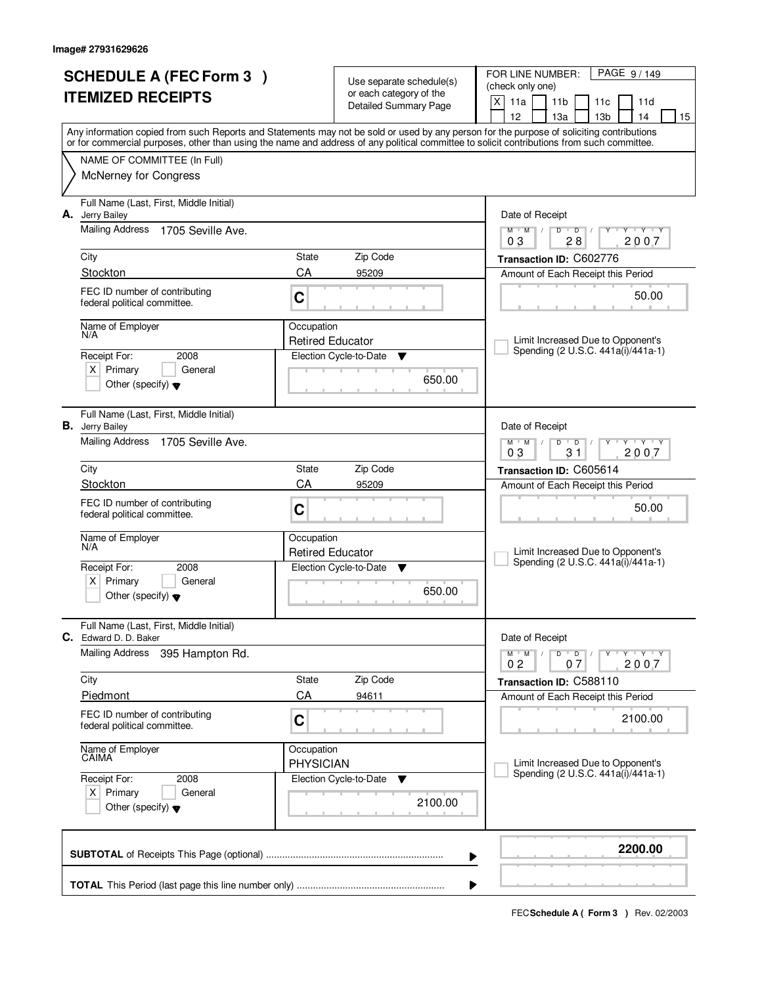| <b>SCHEDULE A (FEC Form 3)</b><br><b>ITEMIZED RECEIPTS</b> |                                                                         | Use separate schedule(s)              |                                                  | PAGE 9/149<br>FOR LINE NUMBER:<br>(check only one)                                                                                                                                                                                                                                      |  |  |
|------------------------------------------------------------|-------------------------------------------------------------------------|---------------------------------------|--------------------------------------------------|-----------------------------------------------------------------------------------------------------------------------------------------------------------------------------------------------------------------------------------------------------------------------------------------|--|--|
|                                                            |                                                                         |                                       | or each category of the<br>Detailed Summary Page | $\mathsf{X}$<br>11a<br>11 <sub>b</sub><br>11c<br>11d<br>12<br>13 <sub>b</sub><br>13a<br>14<br>15                                                                                                                                                                                        |  |  |
|                                                            |                                                                         |                                       |                                                  | Any information copied from such Reports and Statements may not be sold or used by any person for the purpose of soliciting contributions<br>or for commercial purposes, other than using the name and address of any political committee to solicit contributions from such committee. |  |  |
|                                                            | NAME OF COMMITTEE (In Full)                                             |                                       |                                                  |                                                                                                                                                                                                                                                                                         |  |  |
|                                                            | <b>McNerney for Congress</b>                                            |                                       |                                                  |                                                                                                                                                                                                                                                                                         |  |  |
|                                                            | Full Name (Last, First, Middle Initial)<br>A. Jerry Bailey              |                                       |                                                  | Date of Receipt                                                                                                                                                                                                                                                                         |  |  |
|                                                            | <b>Mailing Address</b><br>1705 Seville Ave.                             |                                       |                                                  | $M$ $M$<br>$D$ $D$<br>Y Y Y Y<br>$\frac{1}{2}$<br>2007<br>03<br>28                                                                                                                                                                                                                      |  |  |
|                                                            | City                                                                    | State                                 | Zip Code                                         | Transaction ID: C602776                                                                                                                                                                                                                                                                 |  |  |
|                                                            | Stockton                                                                | CA                                    | 95209                                            | Amount of Each Receipt this Period                                                                                                                                                                                                                                                      |  |  |
|                                                            | FEC ID number of contributing<br>federal political committee.           | C                                     |                                                  | 50.00                                                                                                                                                                                                                                                                                   |  |  |
|                                                            | Name of Employer<br>N/A                                                 | Occupation<br><b>Retired Educator</b> |                                                  | Limit Increased Due to Opponent's                                                                                                                                                                                                                                                       |  |  |
|                                                            | Receipt For:<br>2008                                                    |                                       | Election Cycle-to-Date<br>▼                      | Spending (2 U.S.C. 441a(i)/441a-1)                                                                                                                                                                                                                                                      |  |  |
|                                                            | $X$ Primary<br>General<br>Other (specify) $\blacktriangledown$          |                                       | 650.00                                           |                                                                                                                                                                                                                                                                                         |  |  |
|                                                            | Full Name (Last, First, Middle Initial)<br><b>B.</b> Jerry Bailey       |                                       |                                                  | Date of Receipt                                                                                                                                                                                                                                                                         |  |  |
|                                                            | <b>Mailing Address</b><br>1705 Seville Ave.                             |                                       |                                                  | $\mathsf{L} \mathsf{Y} \mathsf{L} \mathsf{Y} \mathsf{Y}$<br>$M$ $M$ /<br>D<br>$\overline{D}$<br>03<br>31<br>2007                                                                                                                                                                        |  |  |
|                                                            | City                                                                    | State                                 | Zip Code                                         | Transaction ID: C605614                                                                                                                                                                                                                                                                 |  |  |
|                                                            | Stockton                                                                | CA                                    | 95209                                            | Amount of Each Receipt this Period                                                                                                                                                                                                                                                      |  |  |
|                                                            | FEC ID number of contributing<br>federal political committee.           | C<br>Occupation                       |                                                  | 50.00                                                                                                                                                                                                                                                                                   |  |  |
|                                                            | Name of Employer<br>N/A                                                 |                                       |                                                  |                                                                                                                                                                                                                                                                                         |  |  |
|                                                            |                                                                         | <b>Retired Educator</b>               |                                                  | Limit Increased Due to Opponent's<br>Spending (2 U.S.C. 441a(i)/441a-1)                                                                                                                                                                                                                 |  |  |
|                                                            | Receipt For:<br>2008<br>Primary<br>General<br>$X \mid$                  |                                       | Election Cycle-to-Date<br>▼                      |                                                                                                                                                                                                                                                                                         |  |  |
|                                                            | Other (specify) $\blacktriangledown$                                    |                                       | 650.00                                           |                                                                                                                                                                                                                                                                                         |  |  |
|                                                            | Full Name (Last, First, Middle Initial)<br><b>C.</b> Edward D. D. Baker |                                       |                                                  | Date of Receipt                                                                                                                                                                                                                                                                         |  |  |
|                                                            | <b>Mailing Address</b><br>395 Hampton Rd.                               |                                       |                                                  | $D \quad D \quad / \quad$<br>$\mathsf{Y} \dashv \mathsf{Y} \dashv \mathsf{Y}$<br>$M$ $M$ $/$<br>2007<br>0 <sub>2</sub><br>07                                                                                                                                                            |  |  |
|                                                            | City                                                                    | <b>State</b>                          | Zip Code                                         | Transaction ID: C588110                                                                                                                                                                                                                                                                 |  |  |
|                                                            | Piedmont                                                                | CA                                    | 94611                                            | Amount of Each Receipt this Period                                                                                                                                                                                                                                                      |  |  |
|                                                            | FEC ID number of contributing<br>federal political committee.           | C                                     |                                                  | 2100.00                                                                                                                                                                                                                                                                                 |  |  |
|                                                            | Name of Employer<br>CAIMA                                               | Occupation<br><b>PHYSICIAN</b>        |                                                  | Limit Increased Due to Opponent's                                                                                                                                                                                                                                                       |  |  |
|                                                            | Receipt For:<br>2008                                                    |                                       | Election Cycle-to-Date<br>v                      | Spending (2 U.S.C. 441a(i)/441a-1)                                                                                                                                                                                                                                                      |  |  |
|                                                            | $X$ Primary<br>General<br>Other (specify) $\blacktriangledown$          |                                       | 2100.00                                          |                                                                                                                                                                                                                                                                                         |  |  |
|                                                            |                                                                         |                                       |                                                  | 2200.00<br>▶                                                                                                                                                                                                                                                                            |  |  |
|                                                            |                                                                         |                                       |                                                  |                                                                                                                                                                                                                                                                                         |  |  |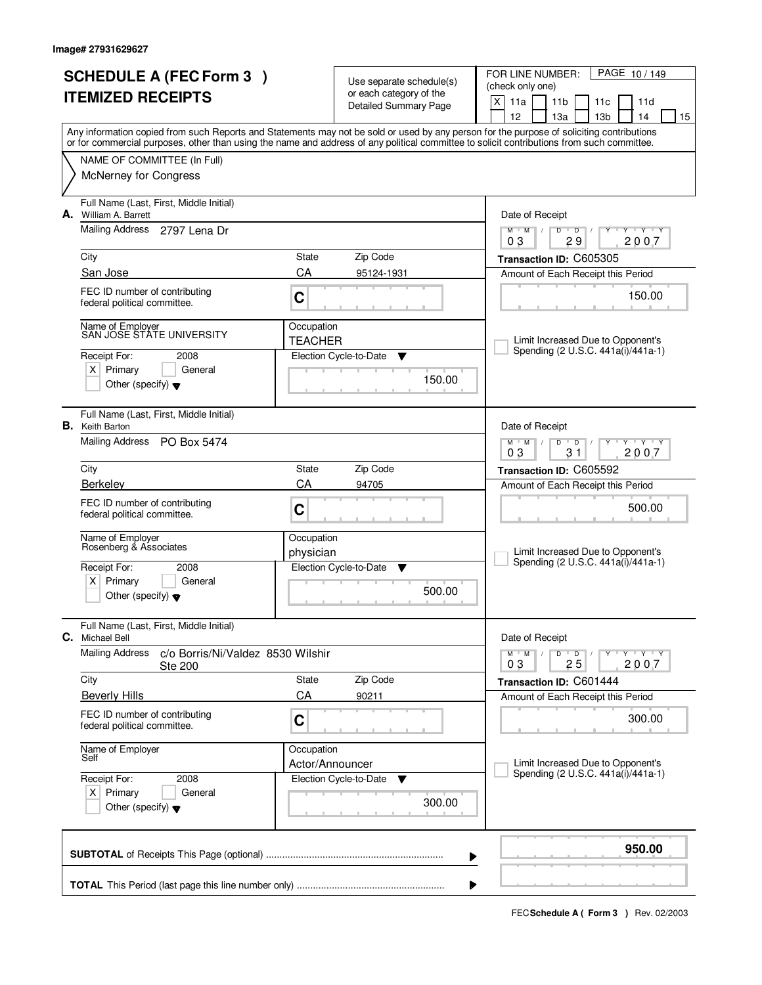|                                                | <b>SCHEDULE A (FEC Form 3)</b><br><b>ITEMIZED RECEIPTS</b>                    | Use separate schedule(s)<br>or each category of the |                              | PAGE 10/149<br>FOR LINE NUMBER:<br>(check only one)                                                                                                                                   |  |  |  |
|------------------------------------------------|-------------------------------------------------------------------------------|-----------------------------------------------------|------------------------------|---------------------------------------------------------------------------------------------------------------------------------------------------------------------------------------|--|--|--|
|                                                |                                                                               |                                                     | <b>Detailed Summary Page</b> | X<br>11a<br>11 <sub>b</sub><br>11d<br>11c                                                                                                                                             |  |  |  |
|                                                |                                                                               |                                                     |                              | 12<br>13a<br>13 <sub>b</sub><br>14<br>15<br>Any information copied from such Reports and Statements may not be sold or used by any person for the purpose of soliciting contributions |  |  |  |
|                                                |                                                                               |                                                     |                              | or for commercial purposes, other than using the name and address of any political committee to solicit contributions from such committee.                                            |  |  |  |
|                                                | NAME OF COMMITTEE (In Full)                                                   |                                                     |                              |                                                                                                                                                                                       |  |  |  |
|                                                | McNerney for Congress                                                         |                                                     |                              |                                                                                                                                                                                       |  |  |  |
|                                                | Full Name (Last, First, Middle Initial)<br>A. William A. Barrett              |                                                     |                              | Date of Receipt                                                                                                                                                                       |  |  |  |
|                                                | Mailing Address 2797 Lena Dr                                                  |                                                     |                              | $M$ $M$ /<br>$\overline{D}$<br>$T - Y$<br>D<br>29<br>2007<br>03                                                                                                                       |  |  |  |
|                                                | City                                                                          | State                                               | Zip Code                     | Transaction ID: C605305                                                                                                                                                               |  |  |  |
|                                                | San Jose                                                                      | CA                                                  | 95124-1931                   | Amount of Each Receipt this Period                                                                                                                                                    |  |  |  |
|                                                | FEC ID number of contributing<br>federal political committee.                 | C                                                   |                              | 150.00                                                                                                                                                                                |  |  |  |
|                                                | Name of Employer<br>SAN JOSE STATE UNIVERSITY                                 | Occupation                                          |                              |                                                                                                                                                                                       |  |  |  |
|                                                |                                                                               | <b>TEACHER</b>                                      |                              | Limit Increased Due to Opponent's<br>Spending (2 U.S.C. 441a(i)/441a-1)                                                                                                               |  |  |  |
|                                                | Receipt For:<br>2008<br>$X$ Primary<br>General                                |                                                     | Election Cycle-to-Date<br>▼  |                                                                                                                                                                                       |  |  |  |
|                                                | Other (specify) $\bullet$                                                     |                                                     | 150.00                       |                                                                                                                                                                                       |  |  |  |
|                                                | Full Name (Last, First, Middle Initial)<br><b>B.</b> Keith Barton             |                                                     |                              | Date of Receipt                                                                                                                                                                       |  |  |  |
|                                                | Mailing Address PO Box 5474                                                   |                                                     |                              | $T - Y - T Y$<br>$M$ $M$<br>D<br>$\overline{D}$<br>0 <sub>3</sub><br>31<br>2007                                                                                                       |  |  |  |
|                                                | City                                                                          | State                                               | Zip Code                     | Transaction ID: C605592                                                                                                                                                               |  |  |  |
|                                                | Berkeley                                                                      | CA                                                  | 94705                        | Amount of Each Receipt this Period                                                                                                                                                    |  |  |  |
|                                                | FEC ID number of contributing<br>federal political committee.                 | C                                                   |                              | 500.00                                                                                                                                                                                |  |  |  |
|                                                | Name of Employer<br>Rosenberg & Associates                                    | Occupation                                          |                              |                                                                                                                                                                                       |  |  |  |
|                                                | Receipt For:<br>2008                                                          | physician                                           | Election Cycle-to-Date<br>v  | Limit Increased Due to Opponent's<br>Spending (2 U.S.C. 441a(i)/441a-1)                                                                                                               |  |  |  |
|                                                | $X$ Primary<br>General                                                        |                                                     |                              |                                                                                                                                                                                       |  |  |  |
|                                                | Other (specify) $\blacktriangledown$                                          |                                                     | 500.00                       |                                                                                                                                                                                       |  |  |  |
| C.                                             | Full Name (Last, First, Middle Initial)<br><b>Michael Bell</b>                |                                                     |                              | Date of Receipt                                                                                                                                                                       |  |  |  |
|                                                | <b>Mailing Address</b><br>c/o Borris/Ni/Valdez 8530 Wilshir<br><b>Ste 200</b> |                                                     |                              | Y Y Y Y<br>$M$ M<br>D<br>$\overline{D}$<br>2007<br>03<br>25                                                                                                                           |  |  |  |
|                                                | City                                                                          | State                                               | Zip Code                     | Transaction ID: C601444                                                                                                                                                               |  |  |  |
|                                                | <b>Beverly Hills</b>                                                          | CA                                                  | 90211                        | Amount of Each Receipt this Period                                                                                                                                                    |  |  |  |
|                                                | FEC ID number of contributing<br>federal political committee.                 | C                                                   |                              | 300.00                                                                                                                                                                                |  |  |  |
|                                                | Name of Employer<br>Self                                                      | Occupation                                          |                              |                                                                                                                                                                                       |  |  |  |
|                                                |                                                                               | Actor/Announcer                                     |                              | Limit Increased Due to Opponent's<br>Spending (2 U.S.C. 441a(i)/441a-1)                                                                                                               |  |  |  |
| Receipt For:<br>2008<br>$X$ Primary<br>General |                                                                               |                                                     | Election Cycle-to-Date<br>▼  |                                                                                                                                                                                       |  |  |  |
|                                                | Other (specify) $\blacktriangledown$                                          |                                                     | 300.00                       |                                                                                                                                                                                       |  |  |  |
|                                                |                                                                               |                                                     | ▶                            | 950.00                                                                                                                                                                                |  |  |  |
|                                                |                                                                               |                                                     |                              |                                                                                                                                                                                       |  |  |  |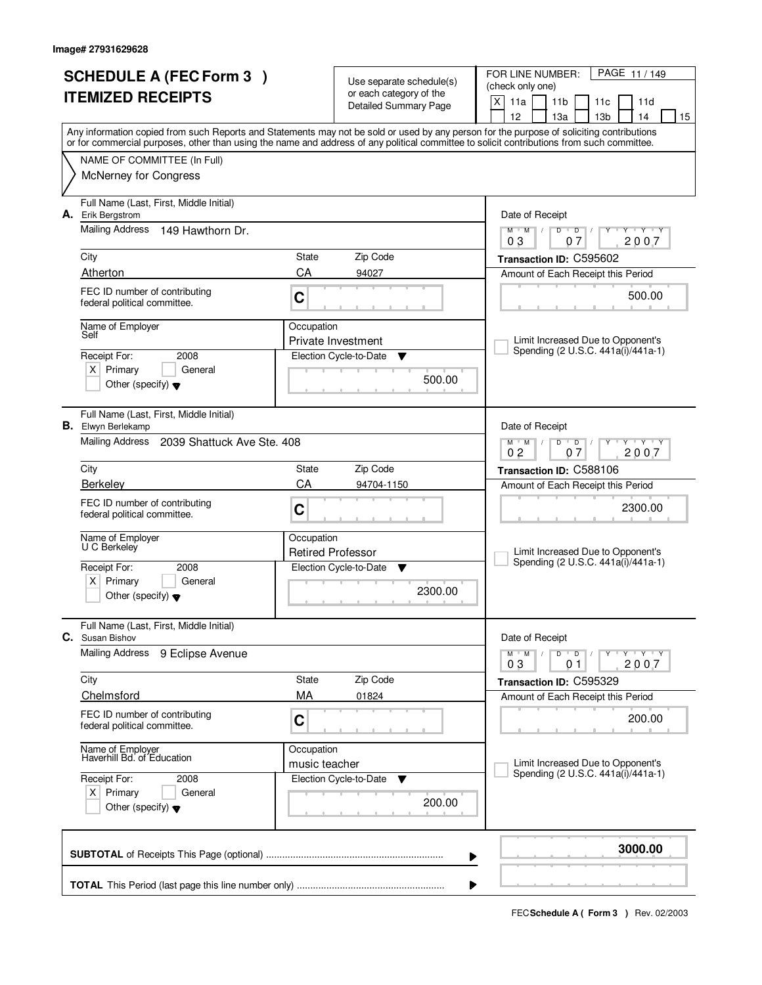|    | <b>SCHEDULE A (FEC Form 3)</b><br><b>ITEMIZED RECEIPTS</b>                               | Use separate schedule(s)<br>or each category of the<br><b>Detailed Summary Page</b> |                                        | PAGE 11 / 149<br>FOR LINE NUMBER:<br>(check only one)<br>X<br>11a<br>11 <sub>b</sub><br>11d<br>11c                                                                                                                                                                                                                                  |  |
|----|------------------------------------------------------------------------------------------|-------------------------------------------------------------------------------------|----------------------------------------|-------------------------------------------------------------------------------------------------------------------------------------------------------------------------------------------------------------------------------------------------------------------------------------------------------------------------------------|--|
|    |                                                                                          |                                                                                     |                                        | 12<br>13a<br>13 <sub>b</sub><br>14<br>15<br>Any information copied from such Reports and Statements may not be sold or used by any person for the purpose of soliciting contributions<br>or for commercial purposes, other than using the name and address of any political committee to solicit contributions from such committee. |  |
|    | NAME OF COMMITTEE (In Full)<br><b>McNerney for Congress</b>                              |                                                                                     |                                        |                                                                                                                                                                                                                                                                                                                                     |  |
| А. | Full Name (Last, First, Middle Initial)<br>Erik Bergstrom                                |                                                                                     |                                        | Date of Receipt                                                                                                                                                                                                                                                                                                                     |  |
|    | <b>Mailing Address</b><br>149 Hawthorn Dr.                                               |                                                                                     |                                        | $Y$ $Y$ $Y$<br>$M$ $M$<br>$D$ $D$ $1$<br>Y<br>07<br>2007<br>03                                                                                                                                                                                                                                                                      |  |
|    | City                                                                                     | State                                                                               | Zip Code                               | Transaction ID: C595602                                                                                                                                                                                                                                                                                                             |  |
|    | Atherton<br>FEC ID number of contributing<br>federal political committee.                | CA<br>C                                                                             | 94027                                  | Amount of Each Receipt this Period<br>500.00                                                                                                                                                                                                                                                                                        |  |
|    | Name of Employer<br>Self                                                                 | Occupation                                                                          | Private Investment                     | Limit Increased Due to Opponent's                                                                                                                                                                                                                                                                                                   |  |
|    | 2008<br>Receipt For:<br>$X$ Primary<br>General<br>Other (specify) $\blacktriangledown$   |                                                                                     | Election Cycle-to-Date<br>▼<br>500.00  | Spending (2 U.S.C. 441a(i)/441a-1)                                                                                                                                                                                                                                                                                                  |  |
|    | Full Name (Last, First, Middle Initial)<br><b>B.</b> Elwyn Berlekamp                     |                                                                                     |                                        | Date of Receipt                                                                                                                                                                                                                                                                                                                     |  |
|    | Mailing Address 2039 Shattuck Ave Ste. 408                                               |                                                                                     |                                        | $M$ $M$ /<br><b>TY TY</b><br>D<br>$\overline{D}$<br>0 <sub>2</sub><br>07<br>2007                                                                                                                                                                                                                                                    |  |
|    | City                                                                                     | <b>State</b>                                                                        | Zip Code                               | Transaction ID: C588106                                                                                                                                                                                                                                                                                                             |  |
|    | Berkeley                                                                                 | CA                                                                                  | 94704-1150                             | Amount of Each Receipt this Period                                                                                                                                                                                                                                                                                                  |  |
|    | FEC ID number of contributing<br>federal political committee.                            | C                                                                                   |                                        | 2300.00                                                                                                                                                                                                                                                                                                                             |  |
|    | Name of Employer<br>U C Berkeley                                                         | Occupation<br><b>Retired Professor</b>                                              |                                        | Limit Increased Due to Opponent's                                                                                                                                                                                                                                                                                                   |  |
|    | Receipt For:<br>2008<br>Primary<br>ΧI<br>General<br>Other (specify) $\blacktriangledown$ |                                                                                     | Election Cycle-to-Date<br>▼<br>2300.00 | Spending (2 U.S.C. 441a(i)/441a-1)                                                                                                                                                                                                                                                                                                  |  |
| С. | Full Name (Last, First, Middle Initial)<br>Susan Bishov                                  |                                                                                     |                                        | Date of Receipt                                                                                                                                                                                                                                                                                                                     |  |
|    | Mailing Address<br>9 Eclipse Avenue                                                      |                                                                                     |                                        | $D$ $D$ $/$<br>$M$ $M$ $/$<br>Y Y Y Y<br>Υ<br>03<br>2007<br>01                                                                                                                                                                                                                                                                      |  |
|    | City                                                                                     | State                                                                               | Zip Code                               | Transaction ID: C595329                                                                                                                                                                                                                                                                                                             |  |
|    | Chelmsford<br>FEC ID number of contributing                                              | МA                                                                                  | 01824                                  | Amount of Each Receipt this Period<br>200.00                                                                                                                                                                                                                                                                                        |  |
|    | federal political committee.                                                             | C                                                                                   |                                        |                                                                                                                                                                                                                                                                                                                                     |  |
|    | Name of Employer<br>Haverhill Bd. of Education                                           | Occupation<br>music teacher                                                         |                                        | Limit Increased Due to Opponent's<br>Spending (2 U.S.C. 441a(i)/441a-1)                                                                                                                                                                                                                                                             |  |
|    | Receipt For:<br>2008<br>$X$ Primary<br>General<br>Other (specify) $\blacktriangledown$   |                                                                                     | Election Cycle-to-Date<br>▼<br>200.00  |                                                                                                                                                                                                                                                                                                                                     |  |
|    |                                                                                          |                                                                                     |                                        | 3000.00                                                                                                                                                                                                                                                                                                                             |  |
|    |                                                                                          |                                                                                     |                                        |                                                                                                                                                                                                                                                                                                                                     |  |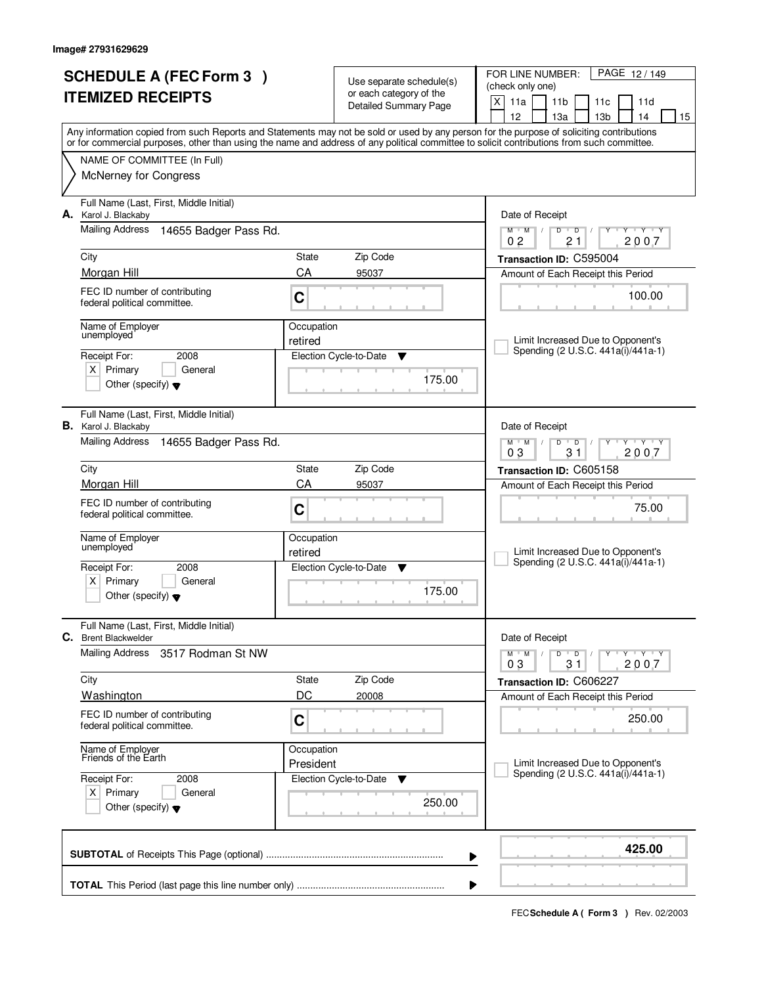| <b>SCHEDULE A (FEC Form 3)</b> |                                                                        | Use separate schedule(s) |                                                         | PAGE 12/149<br>FOR LINE NUMBER:<br>(check only one)                                                                                                                                                                                                                                                                                                                                                                                                                                                                                                                   |  |  |  |  |
|--------------------------------|------------------------------------------------------------------------|--------------------------|---------------------------------------------------------|-----------------------------------------------------------------------------------------------------------------------------------------------------------------------------------------------------------------------------------------------------------------------------------------------------------------------------------------------------------------------------------------------------------------------------------------------------------------------------------------------------------------------------------------------------------------------|--|--|--|--|
| <b>ITEMIZED RECEIPTS</b>       |                                                                        |                          | or each category of the<br><b>Detailed Summary Page</b> | X<br>11a<br>11 <sub>b</sub><br>11c<br>11d                                                                                                                                                                                                                                                                                                                                                                                                                                                                                                                             |  |  |  |  |
|                                |                                                                        |                          |                                                         | 13 <sub>b</sub><br>12<br>13a<br>14<br>15                                                                                                                                                                                                                                                                                                                                                                                                                                                                                                                              |  |  |  |  |
|                                |                                                                        |                          |                                                         | Any information copied from such Reports and Statements may not be sold or used by any person for the purpose of soliciting contributions<br>or for commercial purposes, other than using the name and address of any political committee to solicit contributions from such committee.                                                                                                                                                                                                                                                                               |  |  |  |  |
|                                | NAME OF COMMITTEE (In Full)                                            |                          |                                                         |                                                                                                                                                                                                                                                                                                                                                                                                                                                                                                                                                                       |  |  |  |  |
|                                | <b>McNerney for Congress</b>                                           |                          |                                                         |                                                                                                                                                                                                                                                                                                                                                                                                                                                                                                                                                                       |  |  |  |  |
|                                | Full Name (Last, First, Middle Initial)<br>A. Karol J. Blackaby        |                          |                                                         | Date of Receipt                                                                                                                                                                                                                                                                                                                                                                                                                                                                                                                                                       |  |  |  |  |
|                                | <b>Mailing Address</b><br>14655 Badger Pass Rd.                        |                          |                                                         | $M$ $M$<br>$D$ $D$<br><b>TEXT TEXT</b><br>$\frac{1}{2}$<br>Y<br>2007<br>0 <sub>2</sub><br>21                                                                                                                                                                                                                                                                                                                                                                                                                                                                          |  |  |  |  |
|                                | City                                                                   | State                    | Zip Code                                                | Transaction ID: C595004                                                                                                                                                                                                                                                                                                                                                                                                                                                                                                                                               |  |  |  |  |
|                                | Morgan Hill                                                            | CA                       | 95037                                                   | Amount of Each Receipt this Period                                                                                                                                                                                                                                                                                                                                                                                                                                                                                                                                    |  |  |  |  |
|                                | FEC ID number of contributing<br>federal political committee.          | C                        |                                                         | 100.00                                                                                                                                                                                                                                                                                                                                                                                                                                                                                                                                                                |  |  |  |  |
|                                | Name of Employer<br>Occupation<br>unemployed                           |                          |                                                         | Limit Increased Due to Opponent's                                                                                                                                                                                                                                                                                                                                                                                                                                                                                                                                     |  |  |  |  |
|                                | 2008<br>Receipt For:                                                   | retired                  | Election Cycle-to-Date<br>v                             | Spending (2 U.S.C. 441a(i)/441a-1)                                                                                                                                                                                                                                                                                                                                                                                                                                                                                                                                    |  |  |  |  |
|                                | $X$ Primary<br>General                                                 |                          | 175.00                                                  |                                                                                                                                                                                                                                                                                                                                                                                                                                                                                                                                                                       |  |  |  |  |
|                                | Other (specify) $\blacktriangledown$                                   |                          |                                                         |                                                                                                                                                                                                                                                                                                                                                                                                                                                                                                                                                                       |  |  |  |  |
|                                | Full Name (Last, First, Middle Initial)<br><b>B.</b> Karol J. Blackaby |                          |                                                         | Date of Receipt                                                                                                                                                                                                                                                                                                                                                                                                                                                                                                                                                       |  |  |  |  |
|                                | Mailing Address<br>14655 Badger Pass Rd.                               |                          |                                                         | $\begin{array}{c c c c c} \vline \cdots & \vline \cdots & \vline \cdots & \vline \cdots & \vline \cdots & \vline \cdots & \vline \cdots & \vline \cdots & \vline \cdots & \vline \cdots & \vline \cdots & \vline \cdots & \vline \cdots & \vline \cdots & \vline \cdots & \vline \cdots & \vline \cdots & \vline \cdots & \vline \cdots & \vline \cdots & \vline \cdots & \vline \cdots & \vline \cdots & \vline \cdots & \vline \cdots & \vline \cdots & \vline \cdots & \vline \cdots & \vline \cdots & \v$<br>$M$ $M$ /<br>D<br>$\overline{D}$<br>03<br>31<br>2007 |  |  |  |  |
|                                | City                                                                   | State                    | Zip Code                                                | Transaction ID: C605158                                                                                                                                                                                                                                                                                                                                                                                                                                                                                                                                               |  |  |  |  |
|                                | Morgan Hill                                                            | CA<br>95037              |                                                         | Amount of Each Receipt this Period                                                                                                                                                                                                                                                                                                                                                                                                                                                                                                                                    |  |  |  |  |
|                                | FEC ID number of contributing<br>federal political committee.          | C                        |                                                         | 75.00                                                                                                                                                                                                                                                                                                                                                                                                                                                                                                                                                                 |  |  |  |  |
|                                | Name of Employer<br>unemployed                                         | Occupation               |                                                         |                                                                                                                                                                                                                                                                                                                                                                                                                                                                                                                                                                       |  |  |  |  |
|                                | Receipt For:<br>2008                                                   | retired                  | Election Cycle-to-Date<br>▼                             | Limit Increased Due to Opponent's<br>Spending (2 U.S.C. 441a(i)/441a-1)                                                                                                                                                                                                                                                                                                                                                                                                                                                                                               |  |  |  |  |
|                                | $X$ Primary<br>General                                                 |                          |                                                         |                                                                                                                                                                                                                                                                                                                                                                                                                                                                                                                                                                       |  |  |  |  |
|                                | Other (specify) $\blacktriangledown$                                   |                          | 175.00                                                  |                                                                                                                                                                                                                                                                                                                                                                                                                                                                                                                                                                       |  |  |  |  |
| С.                             | Full Name (Last, First, Middle Initial)<br><b>Brent Blackwelder</b>    |                          |                                                         | Date of Receipt                                                                                                                                                                                                                                                                                                                                                                                                                                                                                                                                                       |  |  |  |  |
|                                | <b>Mailing Address</b><br>3517 Rodman St NW                            |                          |                                                         | $D$ $D$ $I$<br>$\mathsf{Y} \dashv \neg \mathsf{Y} \dashv \neg \mathsf{Y}$<br>$M$ $M$ $/$<br>2007<br>03<br>31                                                                                                                                                                                                                                                                                                                                                                                                                                                          |  |  |  |  |
|                                | City                                                                   | State                    | Zip Code                                                | Transaction ID: C606227                                                                                                                                                                                                                                                                                                                                                                                                                                                                                                                                               |  |  |  |  |
|                                | <b>Washington</b>                                                      | DC                       | 20008                                                   | Amount of Each Receipt this Period                                                                                                                                                                                                                                                                                                                                                                                                                                                                                                                                    |  |  |  |  |
|                                | FEC ID number of contributing<br>C<br>federal political committee.     |                          |                                                         | 250.00                                                                                                                                                                                                                                                                                                                                                                                                                                                                                                                                                                |  |  |  |  |
|                                | Name of Employer<br>Friends of the Earth                               | Occupation<br>President  |                                                         | Limit Increased Due to Opponent's                                                                                                                                                                                                                                                                                                                                                                                                                                                                                                                                     |  |  |  |  |
|                                | Receipt For:<br>2008                                                   |                          | Election Cycle-to-Date<br>v                             | Spending (2 U.S.C. 441a(i)/441a-1)                                                                                                                                                                                                                                                                                                                                                                                                                                                                                                                                    |  |  |  |  |
|                                | $X$ Primary<br>General<br>Other (specify) $\blacktriangledown$         |                          | 250.00                                                  |                                                                                                                                                                                                                                                                                                                                                                                                                                                                                                                                                                       |  |  |  |  |
|                                |                                                                        |                          |                                                         | 425.00<br>▶                                                                                                                                                                                                                                                                                                                                                                                                                                                                                                                                                           |  |  |  |  |
|                                |                                                                        |                          |                                                         |                                                                                                                                                                                                                                                                                                                                                                                                                                                                                                                                                                       |  |  |  |  |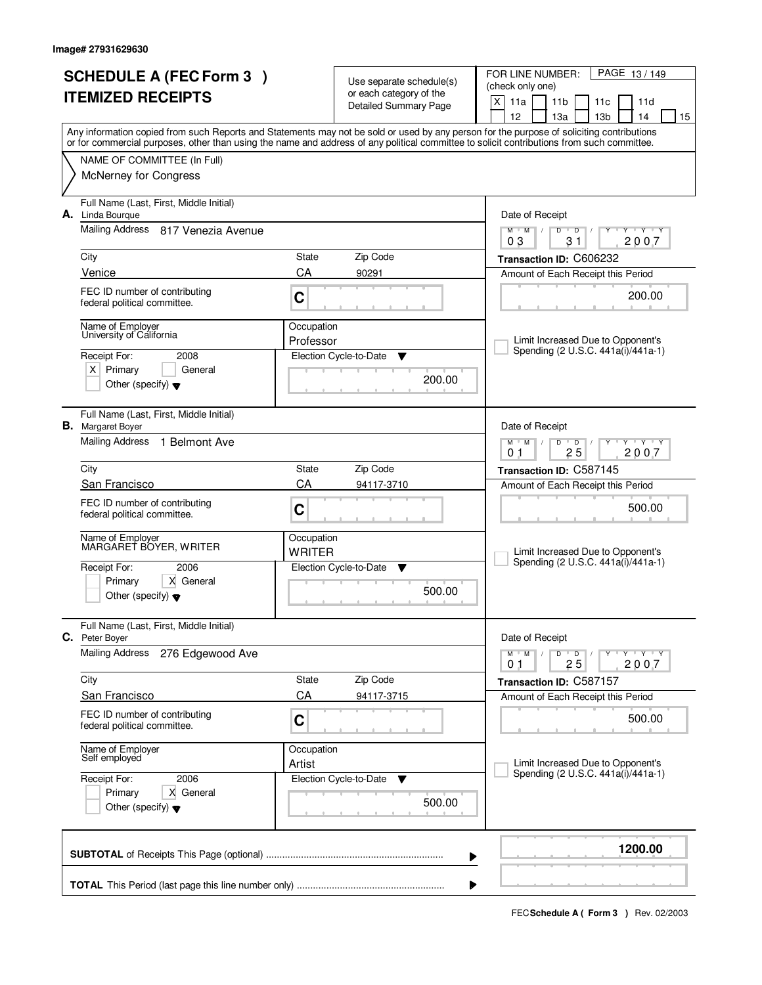| <b>SCHEDULE A (FEC Form 3)</b> |                                                                                      | Use separate schedule(s)    |                                       | FOR LINE NUMBER:<br>PAGE 13/149                                                                                                            |  |
|--------------------------------|--------------------------------------------------------------------------------------|-----------------------------|---------------------------------------|--------------------------------------------------------------------------------------------------------------------------------------------|--|
| <b>ITEMIZED RECEIPTS</b>       |                                                                                      |                             | or each category of the               | (check only one)                                                                                                                           |  |
|                                |                                                                                      |                             | <b>Detailed Summary Page</b>          | X<br>11a<br>11 <sub>b</sub><br>11d<br>11c<br>12<br>13 <sub>b</sub><br>13a<br>14<br>15                                                      |  |
|                                |                                                                                      |                             |                                       | Any information copied from such Reports and Statements may not be sold or used by any person for the purpose of soliciting contributions  |  |
|                                |                                                                                      |                             |                                       | or for commercial purposes, other than using the name and address of any political committee to solicit contributions from such committee. |  |
|                                | NAME OF COMMITTEE (In Full)                                                          |                             |                                       |                                                                                                                                            |  |
|                                | <b>McNerney for Congress</b>                                                         |                             |                                       |                                                                                                                                            |  |
| А.                             | Full Name (Last, First, Middle Initial)<br>Linda Bourque                             |                             |                                       | Date of Receipt                                                                                                                            |  |
|                                | Mailing Address 817 Venezia Avenue                                                   |                             |                                       | Y Y Y Y<br>$M$ <sup>U</sup><br>$M$ /<br>D<br>$\overline{D}$<br>31<br>2007<br>03                                                            |  |
|                                | City                                                                                 | State                       | Zip Code                              | Transaction ID: C606232                                                                                                                    |  |
|                                | Venice                                                                               | CA                          | 90291                                 | Amount of Each Receipt this Period                                                                                                         |  |
|                                | FEC ID number of contributing<br>federal political committee.                        | C                           |                                       | 200.00                                                                                                                                     |  |
|                                | Name of Employer                                                                     | Occupation                  |                                       |                                                                                                                                            |  |
|                                | University of California                                                             | Professor                   |                                       | Limit Increased Due to Opponent's<br>Spending (2 U.S.C. 441a(i)/441a-1)                                                                    |  |
|                                | Receipt For:<br>2008                                                                 |                             | Election Cycle-to-Date<br>▼           |                                                                                                                                            |  |
|                                | $X$ Primary<br>General<br>Other (specify) $\blacktriangledown$                       |                             | 200.00                                |                                                                                                                                            |  |
|                                | Full Name (Last, First, Middle Initial)<br><b>B.</b> Margaret Boyer                  |                             |                                       | Date of Receipt                                                                                                                            |  |
|                                | Mailing Address<br>1 Belmont Ave                                                     |                             |                                       | $M^+M^-$ /<br>$\mathbf{y}$ $\mathbf{y}$<br>D<br>$\overline{D}$<br>Y<br>25<br>2007<br>0 <sub>1</sub>                                        |  |
|                                | City                                                                                 | State                       | Zip Code                              | Transaction ID: C587145                                                                                                                    |  |
|                                | San Francisco                                                                        | CA                          | 94117-3710                            | Amount of Each Receipt this Period                                                                                                         |  |
|                                | FEC ID number of contributing<br>federal political committee.                        | C                           |                                       | 500.00                                                                                                                                     |  |
|                                | Name of Employer<br>MARGARET BOYER, WRITER                                           | Occupation<br><b>WRITER</b> |                                       | Limit Increased Due to Opponent's                                                                                                          |  |
|                                | Receipt For:<br>2006                                                                 |                             | Election Cycle-to-Date<br>v           | Spending (2 U.S.C. 441a(i)/441a-1)                                                                                                         |  |
|                                | X General<br>Primary<br>Other (specify) $\blacktriangledown$                         |                             | 500.00                                |                                                                                                                                            |  |
|                                | Full Name (Last, First, Middle Initial)<br>C. Peter Boyer                            |                             |                                       | Date of Receipt                                                                                                                            |  |
|                                | <b>Mailing Address</b><br>276 Edgewood Ave                                           |                             |                                       | $M$ $M$ /<br>D<br>$\overline{D}$<br>$Y$ $Y$ $Y$ $Y$<br>25<br>2007<br>01                                                                    |  |
|                                | City                                                                                 | State                       | Zip Code                              | Transaction ID: C587157                                                                                                                    |  |
|                                | <b>San Francisco</b>                                                                 | CA                          | 94117-3715                            | Amount of Each Receipt this Period                                                                                                         |  |
|                                | FEC ID number of contributing<br>federal political committee.                        | C                           |                                       | 500.00                                                                                                                                     |  |
|                                | Name of Employer<br>Self employed                                                    | Occupation<br>Artist        |                                       | Limit Increased Due to Opponent's                                                                                                          |  |
|                                | 2006<br>Receipt For:<br>Primary<br>X General<br>Other (specify) $\blacktriangledown$ |                             | Election Cycle-to-Date<br>v<br>500.00 | Spending (2 U.S.C. 441a(i)/441a-1)                                                                                                         |  |
|                                |                                                                                      |                             |                                       | 1200.00                                                                                                                                    |  |
|                                |                                                                                      |                             |                                       |                                                                                                                                            |  |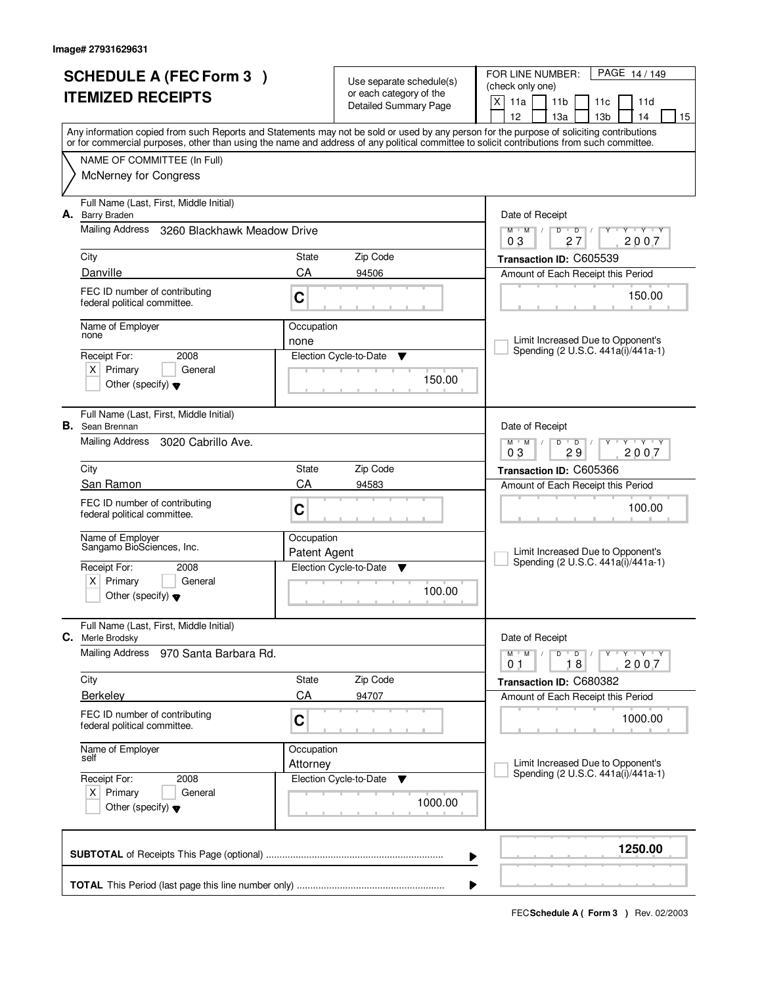| <b>SCHEDULE A (FEC Form 3)</b><br><b>ITEMIZED RECEIPTS</b> |                                                                                                                                                 |                            | Use separate schedule(s)<br>or each category of the<br><b>Detailed Summary Page</b> | FOR LINE NUMBER:<br>PAGE 14/149<br>(check only one)<br>$\mathsf{X}$<br>11a<br>11 <sub>b</sub><br>11c<br>11d                                                                                                                                                                                                                         |  |  |  |
|------------------------------------------------------------|-------------------------------------------------------------------------------------------------------------------------------------------------|----------------------------|-------------------------------------------------------------------------------------|-------------------------------------------------------------------------------------------------------------------------------------------------------------------------------------------------------------------------------------------------------------------------------------------------------------------------------------|--|--|--|
|                                                            |                                                                                                                                                 |                            |                                                                                     | 12<br>13a<br>13 <sub>b</sub><br>14<br>15<br>Any information copied from such Reports and Statements may not be sold or used by any person for the purpose of soliciting contributions<br>or for commercial purposes, other than using the name and address of any political committee to solicit contributions from such committee. |  |  |  |
|                                                            | NAME OF COMMITTEE (In Full)<br><b>McNerney for Congress</b>                                                                                     |                            |                                                                                     |                                                                                                                                                                                                                                                                                                                                     |  |  |  |
| А.                                                         | Full Name (Last, First, Middle Initial)<br><b>Barry Braden</b>                                                                                  |                            |                                                                                     | Date of Receipt                                                                                                                                                                                                                                                                                                                     |  |  |  |
|                                                            | <b>Mailing Address</b><br>3260 Blackhawk Meadow Drive                                                                                           |                            |                                                                                     | $M$ M<br>$\Box$<br>D<br>$\overline{D}$<br><b>TEY TEY</b><br>27<br>2007<br>03                                                                                                                                                                                                                                                        |  |  |  |
|                                                            | City<br>Danville                                                                                                                                | State<br>CA                | Zip Code<br>94506                                                                   | Transaction ID: C605539<br>Amount of Each Receipt this Period                                                                                                                                                                                                                                                                       |  |  |  |
|                                                            | FEC ID number of contributing<br>federal political committee.                                                                                   | C                          |                                                                                     | 150.00                                                                                                                                                                                                                                                                                                                              |  |  |  |
|                                                            | Name of Employer<br>none                                                                                                                        |                            | Occupation                                                                          | Limit Increased Due to Opponent's                                                                                                                                                                                                                                                                                                   |  |  |  |
|                                                            | 2008<br>Receipt For:<br>$X$ Primary<br>General<br>Other (specify) $\blacktriangledown$                                                          |                            | Election Cycle-to-Date<br>v<br>150.00                                               | Spending (2 U.S.C. 441a(i)/441a-1)                                                                                                                                                                                                                                                                                                  |  |  |  |
| В.                                                         | Full Name (Last, First, Middle Initial)<br>Sean Brennan                                                                                         |                            |                                                                                     | Date of Receipt                                                                                                                                                                                                                                                                                                                     |  |  |  |
|                                                            | Mailing Address<br>3020 Cabrillo Ave.                                                                                                           |                            |                                                                                     | $M$ $M$ /<br>$D$ $D$<br>$Y - Y - Y$<br>03<br>29<br>2007                                                                                                                                                                                                                                                                             |  |  |  |
|                                                            | City<br>San Ramon                                                                                                                               | State<br>CA                | Zip Code<br>94583                                                                   | Transaction ID: C605366                                                                                                                                                                                                                                                                                                             |  |  |  |
|                                                            | FEC ID number of contributing<br>federal political committee.                                                                                   | C                          |                                                                                     | Amount of Each Receipt this Period<br>100.00                                                                                                                                                                                                                                                                                        |  |  |  |
|                                                            | Name of Employer<br>Sangamo BioSciences, Inc.<br>Receipt For:<br>2008<br>$x \mid$<br>Primary<br>General<br>Other (specify) $\blacktriangledown$ | Occupation<br>Patent Agent | Election Cycle-to-Date<br>$\blacktriangledown$<br>100.00                            | Limit Increased Due to Opponent's<br>Spending (2 U.S.C. 441a(i)/441a-1)                                                                                                                                                                                                                                                             |  |  |  |
| С.                                                         | Full Name (Last, First, Middle Initial)                                                                                                         |                            |                                                                                     | Date of Receipt                                                                                                                                                                                                                                                                                                                     |  |  |  |
|                                                            | Merle Brodsky<br>Mailing Address<br>970 Santa Barbara Rd.                                                                                       |                            |                                                                                     | $M^{\prime}$ M $\rightarrow$ /<br>$D$ $D$ $/$<br>$Y - Y - Y - Y$<br>18<br>2007<br>01                                                                                                                                                                                                                                                |  |  |  |
|                                                            | City                                                                                                                                            | State                      | Zip Code                                                                            | Transaction ID: C680382                                                                                                                                                                                                                                                                                                             |  |  |  |
|                                                            | CA<br>Berkeley<br>FEC ID number of contributing<br>C<br>federal political committee.<br>Name of Employer<br>Occupation<br>self<br>Attorney      |                            | 94707                                                                               | Amount of Each Receipt this Period<br>1000.00                                                                                                                                                                                                                                                                                       |  |  |  |
|                                                            |                                                                                                                                                 |                            |                                                                                     | Limit Increased Due to Opponent's<br>Spending (2 U.S.C. 441a(i)/441a-1)                                                                                                                                                                                                                                                             |  |  |  |
|                                                            | Receipt For:<br>2008<br>$X$ Primary<br>General<br>Other (specify) $\blacktriangledown$                                                          |                            | Election Cycle-to-Date<br>v<br>1000.00                                              |                                                                                                                                                                                                                                                                                                                                     |  |  |  |
|                                                            |                                                                                                                                                 |                            |                                                                                     | 1250.00<br>▶                                                                                                                                                                                                                                                                                                                        |  |  |  |
|                                                            |                                                                                                                                                 |                            |                                                                                     |                                                                                                                                                                                                                                                                                                                                     |  |  |  |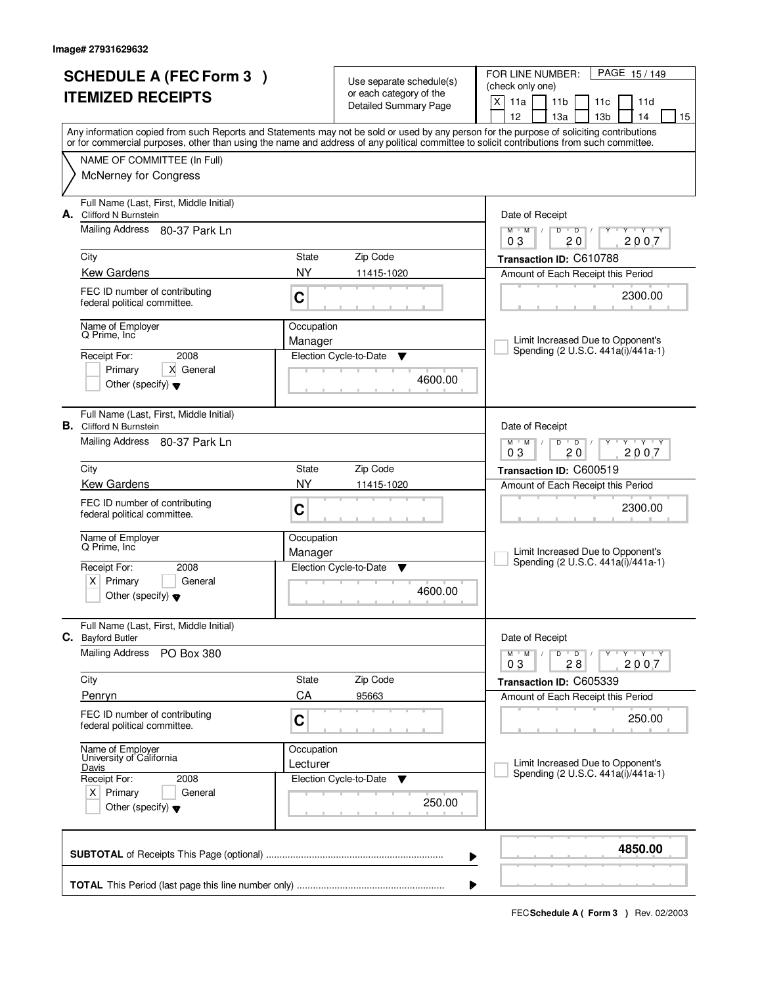| <b>SCHEDULE A (FEC Form 3)</b> |                                                                           |                         | Use separate schedule(s)                                | PAGE 15/149<br>FOR LINE NUMBER:<br>(check only one)                                                                                                                                                                                                                                     |  |  |  |
|--------------------------------|---------------------------------------------------------------------------|-------------------------|---------------------------------------------------------|-----------------------------------------------------------------------------------------------------------------------------------------------------------------------------------------------------------------------------------------------------------------------------------------|--|--|--|
|                                | <b>ITEMIZED RECEIPTS</b>                                                  |                         | or each category of the<br><b>Detailed Summary Page</b> | X<br>11a<br>11 <sub>b</sub><br>11c<br>11d<br>12<br>13 <sub>b</sub><br>14<br>13a<br>15                                                                                                                                                                                                   |  |  |  |
|                                |                                                                           |                         |                                                         | Any information copied from such Reports and Statements may not be sold or used by any person for the purpose of soliciting contributions<br>or for commercial purposes, other than using the name and address of any political committee to solicit contributions from such committee. |  |  |  |
|                                | NAME OF COMMITTEE (In Full)<br><b>McNerney for Congress</b>               |                         |                                                         |                                                                                                                                                                                                                                                                                         |  |  |  |
|                                |                                                                           |                         |                                                         |                                                                                                                                                                                                                                                                                         |  |  |  |
|                                | Full Name (Last, First, Middle Initial)<br>A. Clifford N Burnstein        |                         |                                                         | Date of Receipt                                                                                                                                                                                                                                                                         |  |  |  |
|                                | Mailing Address 80-37 Park Ln                                             |                         |                                                         | $\overline{D}$<br>$\overline{Y}$ $\overline{Y}$ $\overline{Y}$<br>$M$ $M$ /<br>D<br>Y<br>2007<br>03<br>20                                                                                                                                                                               |  |  |  |
|                                | City                                                                      | State                   | Zip Code                                                | Transaction ID: C610788                                                                                                                                                                                                                                                                 |  |  |  |
|                                | <b>Kew Gardens</b>                                                        | NY.                     | 11415-1020                                              | Amount of Each Receipt this Period                                                                                                                                                                                                                                                      |  |  |  |
|                                | FEC ID number of contributing<br>federal political committee.             | $\mathbf C$             |                                                         | 2300.00                                                                                                                                                                                                                                                                                 |  |  |  |
|                                | Name of Emplover<br>Q Prime, Inc                                          | Occupation              |                                                         |                                                                                                                                                                                                                                                                                         |  |  |  |
|                                | 2008<br>Receipt For:                                                      | Manager                 | Election Cycle-to-Date<br>Y                             | Limit Increased Due to Opponent's<br>Spending (2 U.S.C. 441a(i)/441a-1)                                                                                                                                                                                                                 |  |  |  |
|                                | Primary<br>X General                                                      |                         |                                                         |                                                                                                                                                                                                                                                                                         |  |  |  |
|                                | Other (specify) $\blacktriangledown$                                      |                         | 4600.00                                                 |                                                                                                                                                                                                                                                                                         |  |  |  |
|                                | Full Name (Last, First, Middle Initial)<br><b>B.</b> Clifford N Burnstein |                         |                                                         | Date of Receipt                                                                                                                                                                                                                                                                         |  |  |  |
|                                | Mailing Address 80-37 Park Ln                                             |                         |                                                         | $M$ $M$ $/$<br>$D$ $D$<br>$Y - Y - Y$<br>03<br>20<br>2007                                                                                                                                                                                                                               |  |  |  |
|                                | City                                                                      | State                   | Zip Code                                                | Transaction ID: C600519                                                                                                                                                                                                                                                                 |  |  |  |
|                                | <b>Kew Gardens</b>                                                        | <b>NY</b><br>11415-1020 |                                                         | Amount of Each Receipt this Period                                                                                                                                                                                                                                                      |  |  |  |
|                                | FEC ID number of contributing<br>federal political committee.             | C                       |                                                         | 2300.00                                                                                                                                                                                                                                                                                 |  |  |  |
|                                | Name of Employer<br>Q Prime, Inc                                          | Occupation              |                                                         |                                                                                                                                                                                                                                                                                         |  |  |  |
|                                | Receipt For:<br>2008                                                      | Manager                 | Election Cycle-to-Date<br><b>V</b>                      | Limit Increased Due to Opponent's<br>Spending (2 U.S.C. 441a(i)/441a-1)                                                                                                                                                                                                                 |  |  |  |
|                                | $x \mid$<br>Primary<br>General                                            |                         |                                                         |                                                                                                                                                                                                                                                                                         |  |  |  |
|                                | Other (specify) $\blacktriangledown$                                      |                         | 4600.00                                                 |                                                                                                                                                                                                                                                                                         |  |  |  |
|                                | Full Name (Last, First, Middle Initial)<br>C. Bayford Butler              |                         |                                                         | Date of Receipt                                                                                                                                                                                                                                                                         |  |  |  |
|                                | <b>Mailing Address</b><br>PO Box 380                                      |                         |                                                         | $M$ $M$ $M$<br>$D$ $D$ $/$<br>Y Y Y Y Y Y<br>2007<br>03<br>28                                                                                                                                                                                                                           |  |  |  |
|                                | City                                                                      | State                   | Zip Code                                                | Transaction ID: C605339                                                                                                                                                                                                                                                                 |  |  |  |
|                                | Penryn                                                                    | CA                      | 95663                                                   | Amount of Each Receipt this Period                                                                                                                                                                                                                                                      |  |  |  |
|                                | FEC ID number of contributing<br>federal political committee.             | C                       |                                                         | 250.00                                                                                                                                                                                                                                                                                  |  |  |  |
|                                | Name of Employer<br>University of California                              | Occupation              |                                                         | Limit Increased Due to Opponent's                                                                                                                                                                                                                                                       |  |  |  |
|                                | Davis<br>Receipt For:<br>2008                                             | Lecturer                | Election Cycle-to-Date<br>v                             | Spending (2 U.S.C. 441a(i)/441a-1)                                                                                                                                                                                                                                                      |  |  |  |
|                                | $X$ Primary<br>General<br>Other (specify) $\blacktriangledown$            |                         | 250.00                                                  |                                                                                                                                                                                                                                                                                         |  |  |  |
|                                |                                                                           |                         |                                                         | 4850.00<br>▶                                                                                                                                                                                                                                                                            |  |  |  |
|                                | ▶                                                                         |                         |                                                         |                                                                                                                                                                                                                                                                                         |  |  |  |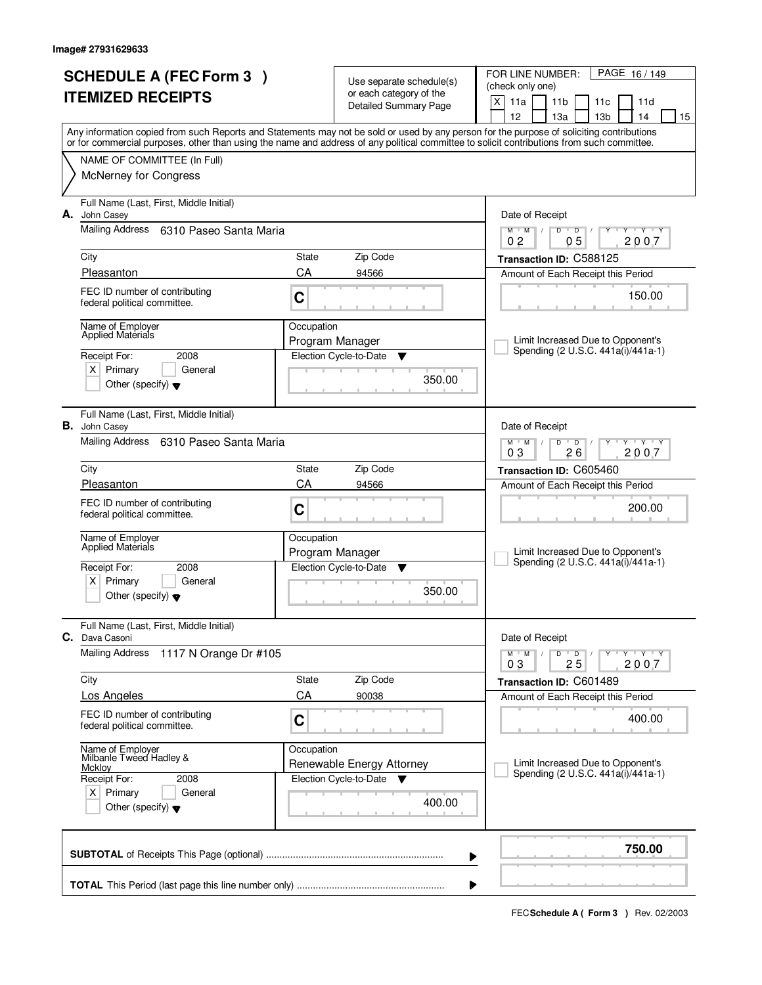| <b>SCHEDULE A (FEC Form 3)</b><br><b>ITEMIZED RECEIPTS</b> |                                                                                                                                            |                                                | Use separate schedule(s)<br>or each category of the<br><b>Detailed Summary Page</b> | PAGE 16/149<br>FOR LINE NUMBER:<br>(check only one)<br>X<br>11a<br>11 <sub>b</sub><br>11 <sub>c</sub><br>11d<br>12<br>13а<br>13 <sub>b</sub><br>14<br>15 |
|------------------------------------------------------------|--------------------------------------------------------------------------------------------------------------------------------------------|------------------------------------------------|-------------------------------------------------------------------------------------|----------------------------------------------------------------------------------------------------------------------------------------------------------|
|                                                            | or for commercial purposes, other than using the name and address of any political committee to solicit contributions from such committee. |                                                |                                                                                     | Any information copied from such Reports and Statements may not be sold or used by any person for the purpose of soliciting contributions                |
|                                                            | NAME OF COMMITTEE (In Full)                                                                                                                |                                                |                                                                                     |                                                                                                                                                          |
|                                                            | <b>McNerney for Congress</b>                                                                                                               |                                                |                                                                                     |                                                                                                                                                          |
| А.                                                         | Full Name (Last, First, Middle Initial)<br>John Casey                                                                                      |                                                |                                                                                     | Date of Receipt                                                                                                                                          |
|                                                            | Mailing Address 6310 Paseo Santa Maria                                                                                                     |                                                |                                                                                     | $M$ $M$ /<br>$D$ $D$<br>$Y - Y - Y$<br>0 <sub>2</sub><br>0 <sub>5</sub><br>2007                                                                          |
|                                                            | City                                                                                                                                       | State                                          | Zip Code                                                                            | Transaction ID: C588125                                                                                                                                  |
|                                                            | Pleasanton                                                                                                                                 | CA                                             | 94566                                                                               | Amount of Each Receipt this Period                                                                                                                       |
|                                                            | FEC ID number of contributing<br>federal political committee.                                                                              | C                                              |                                                                                     | 150.00                                                                                                                                                   |
|                                                            | Name of Employer<br><b>Applied Materials</b>                                                                                               | Occupation                                     | Program Manager                                                                     | Limit Increased Due to Opponent's                                                                                                                        |
|                                                            | 2008<br>Receipt For:                                                                                                                       |                                                | Election Cycle-to-Date<br>▼                                                         | Spending (2 U.S.C. 441a(i)/441a-1)                                                                                                                       |
|                                                            | $X$ Primary<br>General<br>Other (specify) $\blacktriangledown$                                                                             |                                                | 350.00                                                                              |                                                                                                                                                          |
|                                                            | Full Name (Last, First, Middle Initial)<br><b>B.</b> John Casey                                                                            |                                                |                                                                                     | Date of Receipt                                                                                                                                          |
|                                                            | Mailing Address 6310 Paseo Santa Maria                                                                                                     |                                                |                                                                                     | $M$ $M$ /<br>D<br>$\overline{D}$<br>$Y + Y$<br>26<br>03<br>2007                                                                                          |
|                                                            | City                                                                                                                                       | State                                          | Zip Code                                                                            | Transaction ID: C605460                                                                                                                                  |
|                                                            | Pleasanton                                                                                                                                 | CA<br>94566                                    |                                                                                     | Amount of Each Receipt this Period                                                                                                                       |
|                                                            | FEC ID number of contributing<br>federal political committee.                                                                              | C                                              |                                                                                     | 200.00                                                                                                                                                   |
|                                                            | Name of Employer<br><b>Applied Materials</b>                                                                                               | Occupation                                     |                                                                                     |                                                                                                                                                          |
|                                                            | Receipt For:<br>2008                                                                                                                       | Program Manager<br>Election Cycle-to-Date<br>▼ |                                                                                     | Limit Increased Due to Opponent's<br>Spending (2 U.S.C. 441a(i)/441a-1)                                                                                  |
|                                                            | x <sub>1</sub><br>Primary<br>General<br>Other (specify) $\blacktriangledown$                                                               |                                                | 350.00                                                                              |                                                                                                                                                          |
| C.                                                         | Full Name (Last, First, Middle Initial)<br>Dava Casoni                                                                                     |                                                |                                                                                     | Date of Receipt                                                                                                                                          |
|                                                            | <b>Mailing Address</b><br>1117 N Orange Dr #105                                                                                            |                                                |                                                                                     | $D$ $D$ $I$<br>יץ ייץ ייד<br>$M$ $M$ $/$<br>Y<br>03<br>25<br>2007                                                                                        |
|                                                            | City                                                                                                                                       | State                                          | Zip Code                                                                            | Transaction ID: C601489                                                                                                                                  |
|                                                            | <b>Los Angeles</b>                                                                                                                         | CA                                             | 90038                                                                               | Amount of Each Receipt this Period                                                                                                                       |
|                                                            | FEC ID number of contributing<br>federal political committee.                                                                              | C                                              |                                                                                     | 400.00                                                                                                                                                   |
|                                                            | Name of Employer<br>Milbanle Tweed Hadley &                                                                                                | Occupation                                     |                                                                                     |                                                                                                                                                          |
|                                                            | <b>Mckloy</b><br>Receipt For:<br>2008                                                                                                      |                                                | Renewable Energy Attorney<br>Election Cycle-to-Date<br><b>V</b>                     | Limit Increased Due to Opponent's<br>Spending (2 U.S.C. 441a(i)/441a-1)                                                                                  |
|                                                            | $X$ Primary<br>General<br>Other (specify) $\blacktriangledown$                                                                             |                                                | 400.00                                                                              |                                                                                                                                                          |
|                                                            |                                                                                                                                            |                                                |                                                                                     |                                                                                                                                                          |
|                                                            |                                                                                                                                            |                                                |                                                                                     | 750.00<br>▶                                                                                                                                              |
|                                                            |                                                                                                                                            |                                                |                                                                                     | ▶                                                                                                                                                        |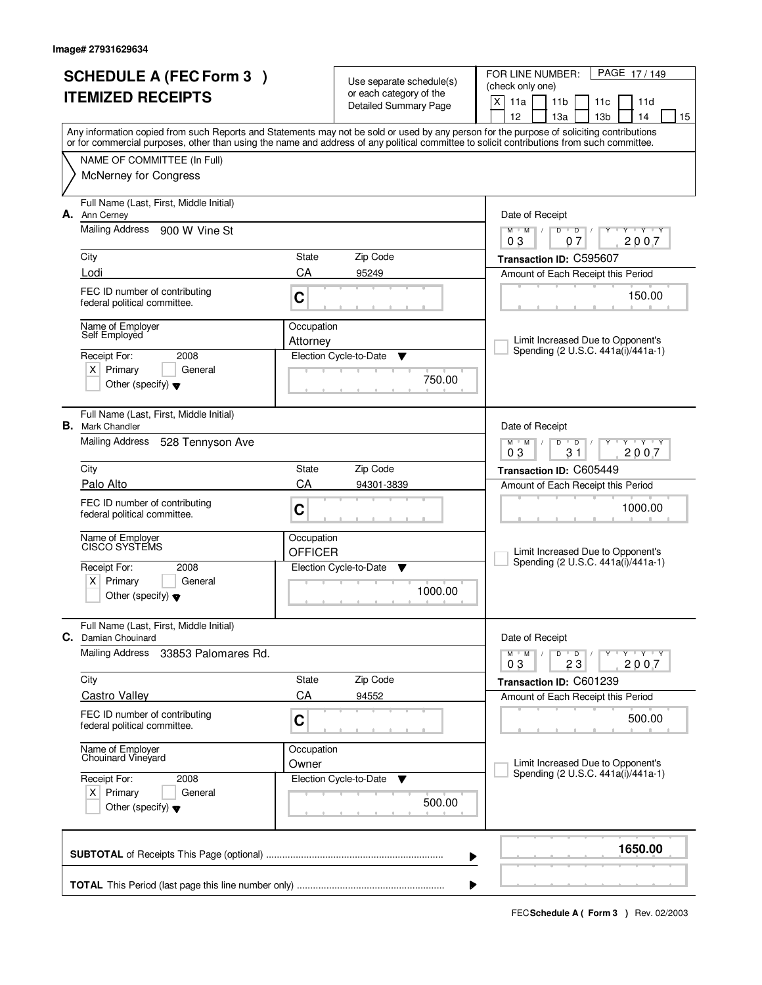| <b>SCHEDULE A (FEC Form 3)</b>                                                                                                             |                        |                                                     | PAGE 17/149<br>FOR LINE NUMBER:                                                                  |  |
|--------------------------------------------------------------------------------------------------------------------------------------------|------------------------|-----------------------------------------------------|--------------------------------------------------------------------------------------------------|--|
| <b>ITEMIZED RECEIPTS</b>                                                                                                                   |                        | Use separate schedule(s)<br>or each category of the | (check only one)                                                                                 |  |
|                                                                                                                                            |                        | <b>Detailed Summary Page</b>                        | X<br>11a<br>11 <sub>b</sub><br>11c<br>11d                                                        |  |
| Any information copied from such Reports and Statements may not be sold or used by any person for the purpose of soliciting contributions  |                        |                                                     | 12<br>13 <sub>b</sub><br>13a<br>14<br>15                                                         |  |
| or for commercial purposes, other than using the name and address of any political committee to solicit contributions from such committee. |                        |                                                     |                                                                                                  |  |
| NAME OF COMMITTEE (In Full)                                                                                                                |                        |                                                     |                                                                                                  |  |
| <b>McNerney for Congress</b>                                                                                                               |                        |                                                     |                                                                                                  |  |
| Full Name (Last, First, Middle Initial)<br>А.<br>Ann Cerney                                                                                |                        |                                                     | Date of Receipt                                                                                  |  |
| <b>Mailing Address</b><br>900 W Vine St                                                                                                    |                        |                                                     | $Y - Y - Y$<br>$M$ $M$ /<br>$D$ <sup>U</sup><br>$\overline{D}$<br>$\sqrt{ }$<br>2007<br>03<br>07 |  |
| City                                                                                                                                       | State                  | Zip Code                                            | Transaction ID: C595607                                                                          |  |
| Lodi                                                                                                                                       | CA                     | 95249                                               | Amount of Each Receipt this Period                                                               |  |
| FEC ID number of contributing<br>federal political committee.                                                                              | C                      |                                                     | 150.00                                                                                           |  |
| Name of Employer<br>Self Employed                                                                                                          | Occupation<br>Attorney |                                                     | Limit Increased Due to Opponent's                                                                |  |
| Receipt For:<br>2008                                                                                                                       |                        | Election Cycle-to-Date<br>▼                         | Spending (2 U.S.C. 441a(i)/441a-1)                                                               |  |
| $X$ Primary<br>General                                                                                                                     |                        |                                                     |                                                                                                  |  |
| Other (specify) $\blacktriangledown$                                                                                                       |                        | 750.00                                              |                                                                                                  |  |
| Full Name (Last, First, Middle Initial)<br><b>B.</b> Mark Chandler                                                                         |                        |                                                     | Date of Receipt                                                                                  |  |
| Mailing Address<br>528 Tennyson Ave                                                                                                        |                        |                                                     | $M$ $M$ $/$<br>$\overline{D}$<br>$Y \vdash Y \vdash Y$<br>D<br>03<br>31<br>2007                  |  |
| City                                                                                                                                       | State                  | Zip Code                                            | Transaction ID: C605449                                                                          |  |
| Palo Alto                                                                                                                                  | CA<br>94301-3839       |                                                     | Amount of Each Receipt this Period                                                               |  |
| FEC ID number of contributing<br>federal political committee.                                                                              | C                      |                                                     | 1000.00                                                                                          |  |
| Name of Employer<br>CISCO SYSTEMS                                                                                                          | Occupation             |                                                     |                                                                                                  |  |
|                                                                                                                                            | <b>OFFICER</b>         |                                                     | Limit Increased Due to Opponent's<br>Spending (2 U.S.C. 441a(i)/441a-1)                          |  |
| Receipt For:<br>2008<br>Primary<br>General                                                                                                 |                        | Election Cycle-to-Date<br>▼                         |                                                                                                  |  |
| $X \mid$<br>Other (specify) $\blacktriangledown$                                                                                           |                        | 1000.00                                             |                                                                                                  |  |
| Full Name (Last, First, Middle Initial)<br><b>C.</b> Damian Chouinard                                                                      |                        |                                                     | Date of Receipt                                                                                  |  |
| <b>Mailing Address</b><br>33853 Palomares Rd.                                                                                              |                        |                                                     | $\mathsf D$<br>$M$ $M$ /<br>$\overline{D}$<br>$Y + Y + Y$<br>2007<br>03<br>23                    |  |
| City                                                                                                                                       | State                  | Zip Code                                            | Transaction ID: C601239                                                                          |  |
| <b>Castro Valley</b>                                                                                                                       | CA                     | 94552                                               | Amount of Each Receipt this Period                                                               |  |
| FEC ID number of contributing<br>federal political committee.                                                                              | C                      |                                                     | 500.00                                                                                           |  |
| Name of Employer<br>Chouinard Vineyard                                                                                                     | Occupation<br>Owner    |                                                     | Limit Increased Due to Opponent's                                                                |  |
| Receipt For:<br>2008                                                                                                                       |                        | Election Cycle-to-Date<br>v                         | Spending (2 U.S.C. 441a(i)/441a-1)                                                               |  |
| $X$ Primary<br>General<br>Other (specify) $\blacktriangledown$                                                                             |                        | 500.00                                              |                                                                                                  |  |
|                                                                                                                                            |                        |                                                     | 1650.00<br>▶                                                                                     |  |
|                                                                                                                                            |                        |                                                     |                                                                                                  |  |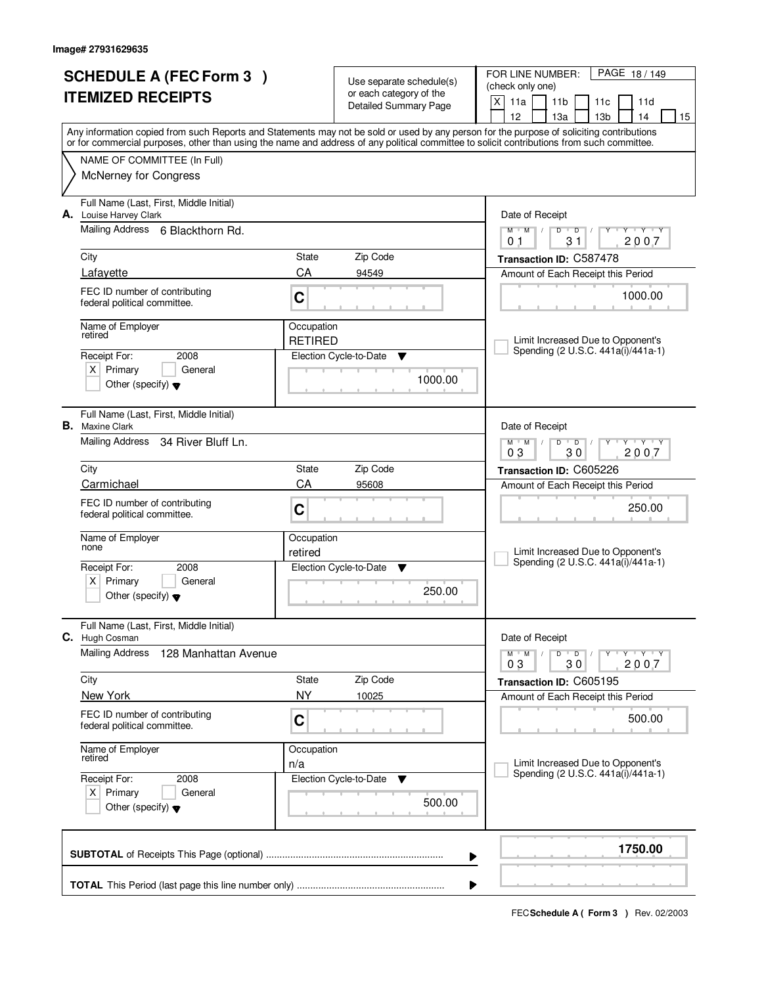| <b>SCHEDULE A (FEC Form 3)</b><br><b>ITEMIZED RECEIPTS</b> |                                                                            |                              | Use separate schedule(s)<br>or each category of the<br><b>Detailed Summary Page</b> | PAGE 18/149<br>FOR LINE NUMBER:<br>(check only one)<br>X<br>11a<br>11 <sub>b</sub><br>11 <sub>c</sub><br>11d                                                                                                                                                                                                                                     |  |  |  |
|------------------------------------------------------------|----------------------------------------------------------------------------|------------------------------|-------------------------------------------------------------------------------------|--------------------------------------------------------------------------------------------------------------------------------------------------------------------------------------------------------------------------------------------------------------------------------------------------------------------------------------------------|--|--|--|
|                                                            |                                                                            |                              |                                                                                     | 12 <sup>2</sup><br>14<br>13a<br>13 <sub>b</sub><br>15<br>Any information copied from such Reports and Statements may not be sold or used by any person for the purpose of soliciting contributions<br>or for commercial purposes, other than using the name and address of any political committee to solicit contributions from such committee. |  |  |  |
|                                                            | NAME OF COMMITTEE (In Full)                                                |                              |                                                                                     |                                                                                                                                                                                                                                                                                                                                                  |  |  |  |
|                                                            | <b>McNerney for Congress</b>                                               |                              |                                                                                     |                                                                                                                                                                                                                                                                                                                                                  |  |  |  |
|                                                            | Full Name (Last, First, Middle Initial)<br>A. Louise Harvey Clark          |                              |                                                                                     | Date of Receipt                                                                                                                                                                                                                                                                                                                                  |  |  |  |
|                                                            | Mailing Address 6 Blackthorn Rd.                                           |                              |                                                                                     | $Y + Y + Y$<br>$M$ $M$<br>$D$ $D$<br>Y<br>2007<br>31<br>01                                                                                                                                                                                                                                                                                       |  |  |  |
|                                                            | City                                                                       | State                        | Zip Code                                                                            | Transaction ID: C587478                                                                                                                                                                                                                                                                                                                          |  |  |  |
|                                                            | Lafayette                                                                  | CA                           | 94549                                                                               | Amount of Each Receipt this Period                                                                                                                                                                                                                                                                                                               |  |  |  |
|                                                            | FEC ID number of contributing<br>federal political committee.              | C                            |                                                                                     | 1000.00                                                                                                                                                                                                                                                                                                                                          |  |  |  |
|                                                            | Name of Employer<br>retired                                                | Occupation<br><b>RETIRED</b> |                                                                                     | Limit Increased Due to Opponent's                                                                                                                                                                                                                                                                                                                |  |  |  |
|                                                            | Receipt For:<br>2008                                                       |                              | Election Cycle-to-Date<br>▼                                                         | Spending (2 U.S.C. 441a(i)/441a-1)                                                                                                                                                                                                                                                                                                               |  |  |  |
|                                                            | $X$ Primary<br>General<br>Other (specify) $\blacktriangledown$             |                              | 1000.00                                                                             |                                                                                                                                                                                                                                                                                                                                                  |  |  |  |
|                                                            | Full Name (Last, First, Middle Initial)<br><b>B.</b> Maxine Clark          |                              |                                                                                     | Date of Receipt                                                                                                                                                                                                                                                                                                                                  |  |  |  |
|                                                            | <b>Mailing Address</b><br>34 River Bluff Ln.                               |                              |                                                                                     | $M$ $M$ /<br>D<br>$\overline{D}$<br>$Y + Y + Y$<br>30<br>03<br>2007                                                                                                                                                                                                                                                                              |  |  |  |
|                                                            | City                                                                       | State                        | Zip Code                                                                            | Transaction ID: C605226                                                                                                                                                                                                                                                                                                                          |  |  |  |
|                                                            | Carmichael                                                                 | CA                           | 95608                                                                               | Amount of Each Receipt this Period                                                                                                                                                                                                                                                                                                               |  |  |  |
|                                                            | FEC ID number of contributing<br>federal political committee.              | C                            |                                                                                     | 250.00                                                                                                                                                                                                                                                                                                                                           |  |  |  |
|                                                            | Name of Employer<br>none                                                   | Occupation                   |                                                                                     |                                                                                                                                                                                                                                                                                                                                                  |  |  |  |
|                                                            | Receipt For:<br>2008                                                       | retired                      | Election Cycle-to-Date<br>▼                                                         | Limit Increased Due to Opponent's<br>Spending (2 U.S.C. 441a(i)/441a-1)                                                                                                                                                                                                                                                                          |  |  |  |
|                                                            | $\mathsf{X}$<br>Primary<br>General<br>Other (specify) $\blacktriangledown$ |                              | 250.00                                                                              |                                                                                                                                                                                                                                                                                                                                                  |  |  |  |
| C.                                                         | Full Name (Last, First, Middle Initial)<br>Hugh Cosman                     |                              |                                                                                     | Date of Receipt                                                                                                                                                                                                                                                                                                                                  |  |  |  |
|                                                            | <b>Mailing Address</b><br>128 Manhattan Avenue                             |                              |                                                                                     | $M = M$<br>$D$ $D$ $/$<br>יץ ייץ ייד<br>Y<br>03<br>30<br>2007                                                                                                                                                                                                                                                                                    |  |  |  |
|                                                            | City                                                                       | State                        | Zip Code                                                                            | Transaction ID: C605195                                                                                                                                                                                                                                                                                                                          |  |  |  |
|                                                            | New York                                                                   | <b>NY</b>                    | 10025                                                                               | Amount of Each Receipt this Period                                                                                                                                                                                                                                                                                                               |  |  |  |
|                                                            | FEC ID number of contributing<br>federal political committee.              | C                            |                                                                                     | 500.00                                                                                                                                                                                                                                                                                                                                           |  |  |  |
|                                                            | Name of Employer<br>retired                                                | Occupation                   |                                                                                     | Limit Increased Due to Opponent's                                                                                                                                                                                                                                                                                                                |  |  |  |
|                                                            | Receipt For:<br>2008                                                       | n/a                          | Election Cycle-to-Date<br>v                                                         | Spending (2 U.S.C. 441a(i)/441a-1)                                                                                                                                                                                                                                                                                                               |  |  |  |
|                                                            | $X$ Primary<br>General<br>Other (specify) $\blacktriangledown$             |                              | 500.00                                                                              |                                                                                                                                                                                                                                                                                                                                                  |  |  |  |
|                                                            |                                                                            |                              |                                                                                     | 1750.00<br>▶                                                                                                                                                                                                                                                                                                                                     |  |  |  |
|                                                            | ▶                                                                          |                              |                                                                                     |                                                                                                                                                                                                                                                                                                                                                  |  |  |  |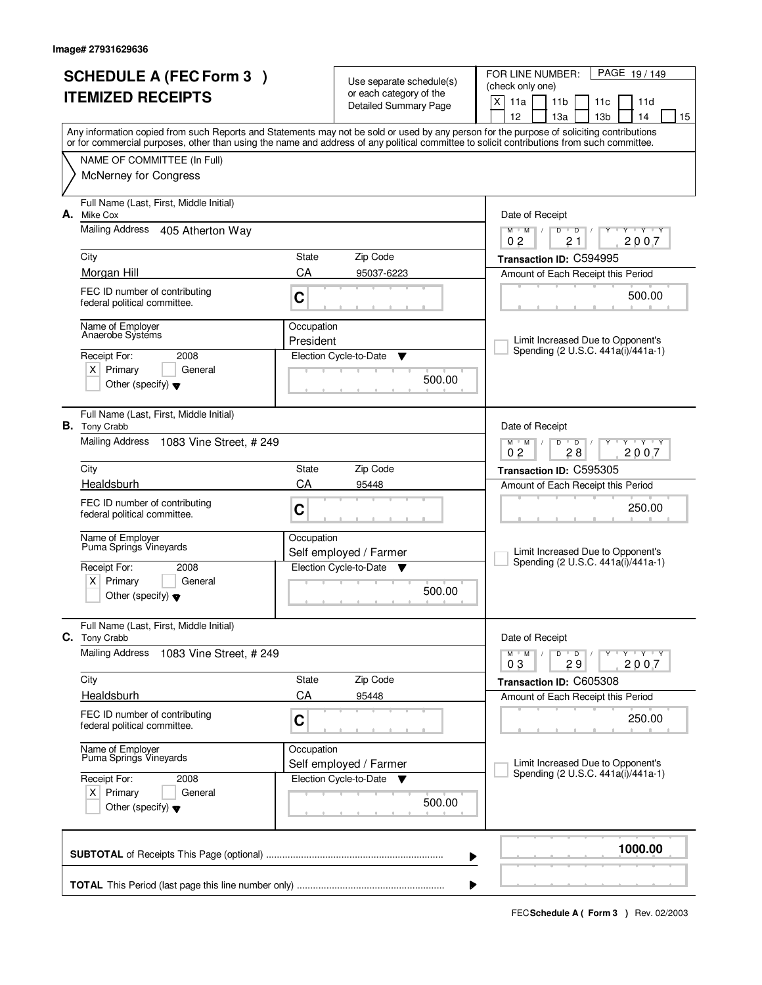| <b>SCHEDULE A (FEC Form 3)</b><br><b>ITEMIZED RECEIPTS</b> |                                                                        |                         | Use separate schedule(s)<br>or each category of the | PAGE 19/149<br>FOR LINE NUMBER:<br>(check only one)<br>X<br>11a<br>11 <sub>b</sub><br>11c<br>11d                                                                                                                                                                                        |  |  |  |
|------------------------------------------------------------|------------------------------------------------------------------------|-------------------------|-----------------------------------------------------|-----------------------------------------------------------------------------------------------------------------------------------------------------------------------------------------------------------------------------------------------------------------------------------------|--|--|--|
|                                                            |                                                                        |                         | <b>Detailed Summary Page</b>                        | 14<br>12<br>13a<br>13 <sub>b</sub><br>15                                                                                                                                                                                                                                                |  |  |  |
|                                                            |                                                                        |                         |                                                     | Any information copied from such Reports and Statements may not be sold or used by any person for the purpose of soliciting contributions<br>or for commercial purposes, other than using the name and address of any political committee to solicit contributions from such committee. |  |  |  |
|                                                            | NAME OF COMMITTEE (In Full)                                            |                         |                                                     |                                                                                                                                                                                                                                                                                         |  |  |  |
|                                                            | <b>McNerney for Congress</b>                                           |                         |                                                     |                                                                                                                                                                                                                                                                                         |  |  |  |
| А.                                                         | Full Name (Last, First, Middle Initial)<br>Mike Cox                    |                         |                                                     | Date of Receipt                                                                                                                                                                                                                                                                         |  |  |  |
|                                                            | Mailing Address<br>405 Atherton Way                                    |                         |                                                     | $M$ $M$ $/$<br>$D$ $D$<br>$Y - Y - Y$<br>Y<br>0 <sub>2</sub><br>2007<br>21                                                                                                                                                                                                              |  |  |  |
|                                                            | City                                                                   | State                   | Zip Code                                            | Transaction ID: C594995                                                                                                                                                                                                                                                                 |  |  |  |
|                                                            | Morgan Hill                                                            | CA                      | 95037-6223                                          | Amount of Each Receipt this Period                                                                                                                                                                                                                                                      |  |  |  |
|                                                            | FEC ID number of contributing<br>federal political committee.          | C                       |                                                     | 500.00                                                                                                                                                                                                                                                                                  |  |  |  |
|                                                            | Name of Employer<br>Anaerobe Systems                                   | Occupation<br>President |                                                     | Limit Increased Due to Opponent's                                                                                                                                                                                                                                                       |  |  |  |
|                                                            | 2008<br>Receipt For:                                                   |                         | Election Cycle-to-Date<br>▼                         | Spending (2 U.S.C. 441a(i)/441a-1)                                                                                                                                                                                                                                                      |  |  |  |
|                                                            | $X$ Primary<br>General<br>Other (specify) $\blacktriangledown$         |                         | 500.00                                              |                                                                                                                                                                                                                                                                                         |  |  |  |
|                                                            | Full Name (Last, First, Middle Initial)<br><b>B.</b> Tony Crabb        |                         |                                                     | Date of Receipt                                                                                                                                                                                                                                                                         |  |  |  |
|                                                            | <b>Mailing Address</b><br>1083 Vine Street, # 249                      |                         |                                                     | $M$ $M$ /<br>D<br>$\overline{D}$<br>$Y + Y$<br>28<br>02<br>2007                                                                                                                                                                                                                         |  |  |  |
|                                                            | City                                                                   | State                   | Zip Code                                            | Transaction ID: C595305                                                                                                                                                                                                                                                                 |  |  |  |
|                                                            | Healdsburh                                                             | CA<br>95448             |                                                     | Amount of Each Receipt this Period                                                                                                                                                                                                                                                      |  |  |  |
|                                                            | FEC ID number of contributing<br>federal political committee.          | C                       |                                                     | 250.00                                                                                                                                                                                                                                                                                  |  |  |  |
|                                                            | Name of Employer<br>Puma Springs Vineyards                             | Occupation              | Self employed / Farmer                              | Limit Increased Due to Opponent's                                                                                                                                                                                                                                                       |  |  |  |
|                                                            | Receipt For:<br>2008                                                   |                         | Election Cycle-to-Date<br>v                         | Spending (2 U.S.C. 441a(i)/441a-1)                                                                                                                                                                                                                                                      |  |  |  |
|                                                            | $\times$<br>Primary<br>General<br>Other (specify) $\blacktriangledown$ |                         | 500.00                                              |                                                                                                                                                                                                                                                                                         |  |  |  |
| C.                                                         | Full Name (Last, First, Middle Initial)<br><b>Tony Crabb</b>           |                         |                                                     | Date of Receipt                                                                                                                                                                                                                                                                         |  |  |  |
|                                                            | <b>Mailing Address</b><br>1083 Vine Street, # 249                      |                         |                                                     | $M = M$<br>$\mathsf D$<br>πηγππηγππηγ<br>$\overline{\phantom{0}}$ D $\overline{\phantom{0}}$ /<br>Y<br>03<br>29<br>2007                                                                                                                                                                 |  |  |  |
|                                                            | City                                                                   | State                   | Zip Code                                            | Transaction ID: C605308                                                                                                                                                                                                                                                                 |  |  |  |
|                                                            | Healdsburh                                                             | CA                      | 95448                                               | Amount of Each Receipt this Period                                                                                                                                                                                                                                                      |  |  |  |
|                                                            | FEC ID number of contributing<br>federal political committee.          | C                       |                                                     | 250.00                                                                                                                                                                                                                                                                                  |  |  |  |
|                                                            | Name of Employer<br>Puma Springs Vineyards                             | Occupation              | Self employed / Farmer                              | Limit Increased Due to Opponent's                                                                                                                                                                                                                                                       |  |  |  |
|                                                            | Receipt For:<br>2008                                                   |                         | Election Cycle-to-Date ▼                            | Spending (2 U.S.C. 441a(i)/441a-1)                                                                                                                                                                                                                                                      |  |  |  |
|                                                            | $X$ Primary<br>General<br>Other (specify) $\blacktriangledown$         |                         | 500.00                                              |                                                                                                                                                                                                                                                                                         |  |  |  |
|                                                            |                                                                        |                         |                                                     | 1000.00<br>▶                                                                                                                                                                                                                                                                            |  |  |  |
|                                                            | ▶                                                                      |                         |                                                     |                                                                                                                                                                                                                                                                                         |  |  |  |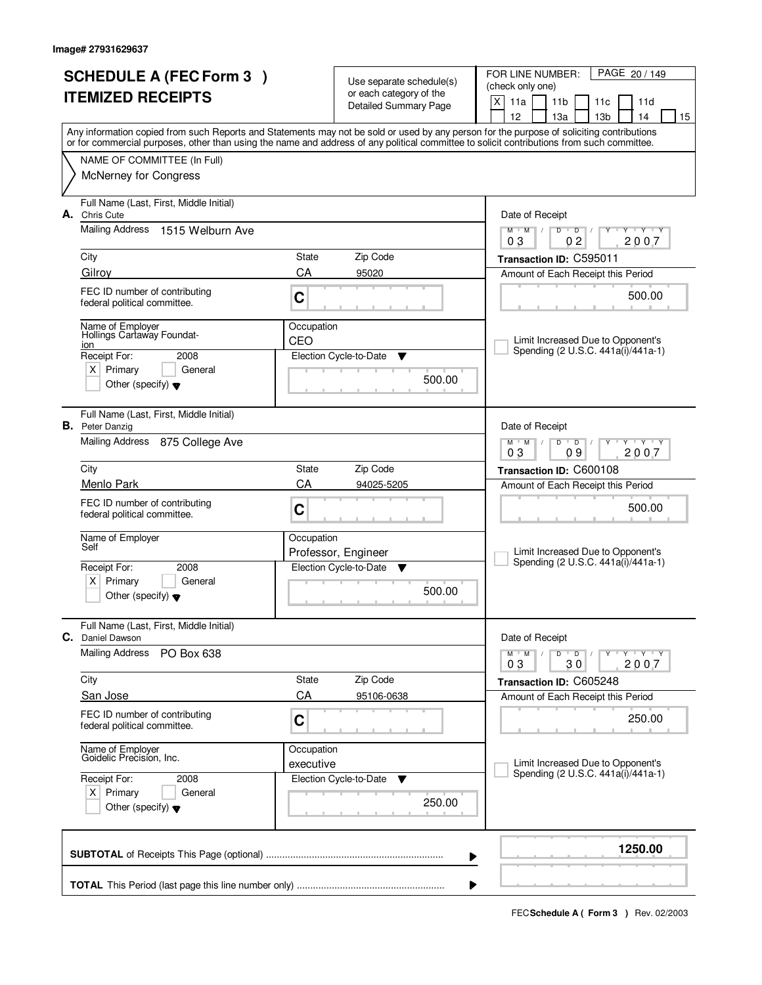| <b>SCHEDULE A (FEC Form 3)</b> |                                                                   |                   | Use separate schedule(s)    | PAGE 20 / 149<br>FOR LINE NUMBER:                                                                                                                                                                                                                                                       |
|--------------------------------|-------------------------------------------------------------------|-------------------|-----------------------------|-----------------------------------------------------------------------------------------------------------------------------------------------------------------------------------------------------------------------------------------------------------------------------------------|
| <b>ITEMIZED RECEIPTS</b>       |                                                                   |                   | or each category of the     | (check only one)<br>X<br>11a<br>11 <sub>b</sub><br>11c<br>11d                                                                                                                                                                                                                           |
|                                |                                                                   |                   | Detailed Summary Page       | 12<br>13 <sub>b</sub><br>14<br>13a<br>15                                                                                                                                                                                                                                                |
|                                |                                                                   |                   |                             | Any information copied from such Reports and Statements may not be sold or used by any person for the purpose of soliciting contributions<br>or for commercial purposes, other than using the name and address of any political committee to solicit contributions from such committee. |
|                                | NAME OF COMMITTEE (In Full)                                       |                   |                             |                                                                                                                                                                                                                                                                                         |
|                                | McNerney for Congress                                             |                   |                             |                                                                                                                                                                                                                                                                                         |
|                                | Full Name (Last, First, Middle Initial)<br>A. Chris Cute          |                   |                             | Date of Receipt                                                                                                                                                                                                                                                                         |
|                                | Mailing Address<br>1515 Welburn Ave                               |                   |                             | $+Y+Y$<br>$M$ $M$ $/$<br>D<br>$\overline{D}$<br>Y<br>0 <sub>2</sub><br>2007<br>03                                                                                                                                                                                                       |
|                                | City                                                              | State             | Zip Code                    | Transaction ID: C595011                                                                                                                                                                                                                                                                 |
|                                | Gilroy                                                            | CA                | 95020                       | Amount of Each Receipt this Period                                                                                                                                                                                                                                                      |
|                                | FEC ID number of contributing<br>federal political committee.     | C                 |                             | 500.00                                                                                                                                                                                                                                                                                  |
|                                | Name of Employer<br>Hollings Cartaway Foundat-<br>ion             | Occupation<br>CEO |                             | Limit Increased Due to Opponent's                                                                                                                                                                                                                                                       |
|                                | Receipt For:<br>2008                                              |                   | Election Cycle-to-Date<br>▼ | Spending (2 U.S.C. 441a(i)/441a-1)                                                                                                                                                                                                                                                      |
|                                | $X$ Primary<br>General<br>Other (specify) $\blacktriangledown$    |                   | 500.00                      |                                                                                                                                                                                                                                                                                         |
|                                | Full Name (Last, First, Middle Initial)<br><b>B.</b> Peter Danzig |                   |                             | Date of Receipt                                                                                                                                                                                                                                                                         |
|                                | Mailing Address 875 College Ave                                   |                   |                             | $D$ $D$<br>$Y - Y - Y$<br>$M$ $M$ /<br>09<br>03<br>2007                                                                                                                                                                                                                                 |
|                                | City                                                              | State             | Zip Code                    | Transaction ID: C600108                                                                                                                                                                                                                                                                 |
|                                | Menlo Park                                                        | CA                | 94025-5205                  | Amount of Each Receipt this Period                                                                                                                                                                                                                                                      |
|                                | FEC ID number of contributing<br>federal political committee.     | C                 |                             | 500.00                                                                                                                                                                                                                                                                                  |
|                                | Name of Employer<br>Self                                          | Occupation        | Professor, Engineer         | Limit Increased Due to Opponent's                                                                                                                                                                                                                                                       |
|                                | Receipt For:<br>2008                                              |                   | Election Cycle-to-Date<br>v | Spending (2 U.S.C. 441a(i)/441a-1)                                                                                                                                                                                                                                                      |
|                                | $X$ Primary<br>General<br>Other (specify) $\blacktriangledown$    |                   | 500.00                      |                                                                                                                                                                                                                                                                                         |
|                                | Full Name (Last, First, Middle Initial)<br>C. Daniel Dawson       |                   |                             | Date of Receipt                                                                                                                                                                                                                                                                         |
|                                | <b>Mailing Address</b><br>PO Box 638                              |                   |                             | $M^{\prime}$ M $\rightarrow$ /<br>$D$ $D$ $/$<br>Y TY TY TY<br>2007<br>03<br>30                                                                                                                                                                                                         |
|                                | City                                                              | State             | Zip Code                    | Transaction ID: C605248                                                                                                                                                                                                                                                                 |
|                                | San Jose                                                          | CA                | 95106-0638                  | Amount of Each Receipt this Period                                                                                                                                                                                                                                                      |
|                                | FEC ID number of contributing<br>federal political committee.     | C                 |                             | 250.00                                                                                                                                                                                                                                                                                  |
|                                | Name of Employer<br>Goidelic Precision, Inc.                      | Occupation        |                             |                                                                                                                                                                                                                                                                                         |
|                                | Receipt For:<br>2008                                              | executive         | Election Cycle-to-Date<br>v | Limit Increased Due to Opponent's<br>Spending (2 U.S.C. 441a(i)/441a-1)                                                                                                                                                                                                                 |
|                                | $X$ Primary<br>General<br>Other (specify) $\blacktriangledown$    |                   | 250.00                      |                                                                                                                                                                                                                                                                                         |
|                                |                                                                   |                   |                             | 1250.00<br>▶                                                                                                                                                                                                                                                                            |
|                                |                                                                   |                   |                             |                                                                                                                                                                                                                                                                                         |
|                                |                                                                   |                   |                             |                                                                                                                                                                                                                                                                                         |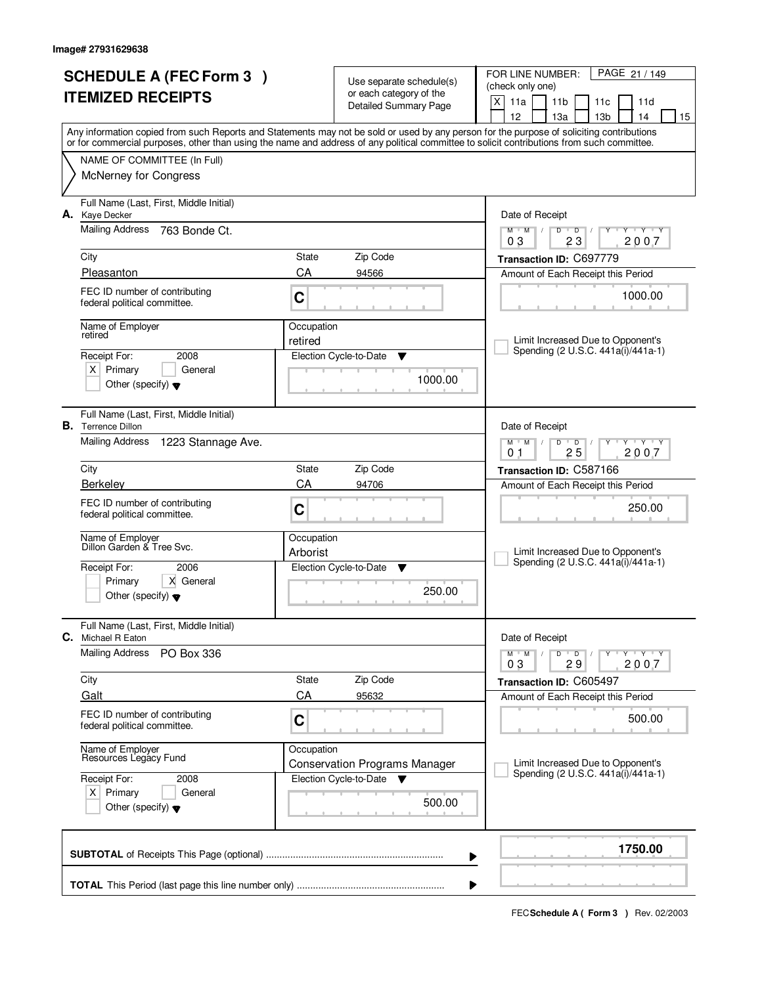| <b>SCHEDULE A (FEC Form 3)</b><br><b>ITEMIZED RECEIPTS</b> |                                                                      | Use separate schedule(s) |                                                         | PAGE 21 / 149<br>FOR LINE NUMBER:<br>(check only one)                                                                                                                                                                                                                                   |  |
|------------------------------------------------------------|----------------------------------------------------------------------|--------------------------|---------------------------------------------------------|-----------------------------------------------------------------------------------------------------------------------------------------------------------------------------------------------------------------------------------------------------------------------------------------|--|
|                                                            |                                                                      |                          | or each category of the<br><b>Detailed Summary Page</b> | X<br>11a<br>11 <sub>b</sub><br>11d<br>11c<br>12<br>13a<br>13 <sub>b</sub><br>14<br>15                                                                                                                                                                                                   |  |
|                                                            |                                                                      |                          |                                                         | Any information copied from such Reports and Statements may not be sold or used by any person for the purpose of soliciting contributions<br>or for commercial purposes, other than using the name and address of any political committee to solicit contributions from such committee. |  |
|                                                            | NAME OF COMMITTEE (In Full)                                          |                          |                                                         |                                                                                                                                                                                                                                                                                         |  |
|                                                            | <b>McNerney for Congress</b>                                         |                          |                                                         |                                                                                                                                                                                                                                                                                         |  |
| А.                                                         | Full Name (Last, First, Middle Initial)<br>Kaye Decker               |                          |                                                         | Date of Receipt                                                                                                                                                                                                                                                                         |  |
|                                                            | <b>Mailing Address</b><br>763 Bonde Ct.                              |                          |                                                         | $Y$ $Y$ $Y$<br>$M$ $M$ /<br>$D$ $D$<br>Y<br>23<br>2007<br>03                                                                                                                                                                                                                            |  |
|                                                            | City                                                                 | State                    | Zip Code                                                | Transaction ID: C697779                                                                                                                                                                                                                                                                 |  |
|                                                            | Pleasanton                                                           | CA                       | 94566                                                   | Amount of Each Receipt this Period                                                                                                                                                                                                                                                      |  |
|                                                            | FEC ID number of contributing<br>federal political committee.        | C                        |                                                         | 1000.00                                                                                                                                                                                                                                                                                 |  |
|                                                            | Name of Employer<br>retired                                          | Occupation<br>retired    |                                                         | Limit Increased Due to Opponent's                                                                                                                                                                                                                                                       |  |
|                                                            | 2008<br>Receipt For:                                                 |                          | Election Cycle-to-Date<br>▼                             | Spending (2 U.S.C. 441a(i)/441a-1)                                                                                                                                                                                                                                                      |  |
|                                                            | $X$ Primary<br>General                                               |                          | 1000.00                                                 |                                                                                                                                                                                                                                                                                         |  |
|                                                            | Other (specify) $\blacktriangledown$                                 |                          |                                                         |                                                                                                                                                                                                                                                                                         |  |
|                                                            | Full Name (Last, First, Middle Initial)<br><b>B.</b> Terrence Dillon |                          |                                                         | Date of Receipt                                                                                                                                                                                                                                                                         |  |
|                                                            | Mailing Address<br>1223 Stannage Ave.                                |                          |                                                         | <b>TY TY</b><br>$M$ $M$ /<br>D<br>$\overline{D}$<br>25<br>2007<br>0 <sub>1</sub>                                                                                                                                                                                                        |  |
|                                                            | City                                                                 | <b>State</b>             | Zip Code                                                | Transaction ID: C587166                                                                                                                                                                                                                                                                 |  |
|                                                            | Berkeley                                                             | CA<br>94706              |                                                         | Amount of Each Receipt this Period                                                                                                                                                                                                                                                      |  |
|                                                            | FEC ID number of contributing<br>federal political committee.        | C                        |                                                         | 250.00                                                                                                                                                                                                                                                                                  |  |
|                                                            | Name of Employer<br>Dillon Garden & Tree Svc.                        | Occupation               |                                                         |                                                                                                                                                                                                                                                                                         |  |
|                                                            |                                                                      | Arborist                 |                                                         | Limit Increased Due to Opponent's<br>Spending (2 U.S.C. 441a(i)/441a-1)                                                                                                                                                                                                                 |  |
|                                                            | Receipt For:<br>2006<br>Primary<br>X General                         |                          | Election Cycle-to-Date<br>▼                             |                                                                                                                                                                                                                                                                                         |  |
|                                                            | Other (specify) $\blacktriangledown$                                 |                          | 250.00                                                  |                                                                                                                                                                                                                                                                                         |  |
| C.                                                         | Full Name (Last, First, Middle Initial)<br>Michael R Eaton           |                          |                                                         | Date of Receipt                                                                                                                                                                                                                                                                         |  |
|                                                            | <b>Mailing Address</b><br>PO Box 336                                 |                          |                                                         | $D$ $D$<br>$M$ $M$ $/$<br>Y Y Y Y<br>03<br>29<br>2007                                                                                                                                                                                                                                   |  |
|                                                            | City                                                                 | State                    | Zip Code                                                | Transaction ID: C605497                                                                                                                                                                                                                                                                 |  |
|                                                            | Galt                                                                 | CA                       | 95632                                                   | Amount of Each Receipt this Period                                                                                                                                                                                                                                                      |  |
|                                                            | FEC ID number of contributing<br>federal political committee.        | C                        |                                                         | 500.00                                                                                                                                                                                                                                                                                  |  |
|                                                            | Name of Employer<br>Resources Legacy Fund                            | Occupation               |                                                         |                                                                                                                                                                                                                                                                                         |  |
|                                                            |                                                                      |                          | <b>Conservation Programs Manager</b>                    | Limit Increased Due to Opponent's<br>Spending (2 U.S.C. 441a(i)/441a-1)                                                                                                                                                                                                                 |  |
| Receipt For:<br>2008<br>$X$ Primary<br>General             |                                                                      |                          | Election Cycle-to-Date<br>▼                             |                                                                                                                                                                                                                                                                                         |  |
|                                                            | Other (specify) $\blacktriangledown$                                 |                          |                                                         |                                                                                                                                                                                                                                                                                         |  |
|                                                            |                                                                      |                          |                                                         | 1750.00<br>▶                                                                                                                                                                                                                                                                            |  |
|                                                            |                                                                      |                          |                                                         |                                                                                                                                                                                                                                                                                         |  |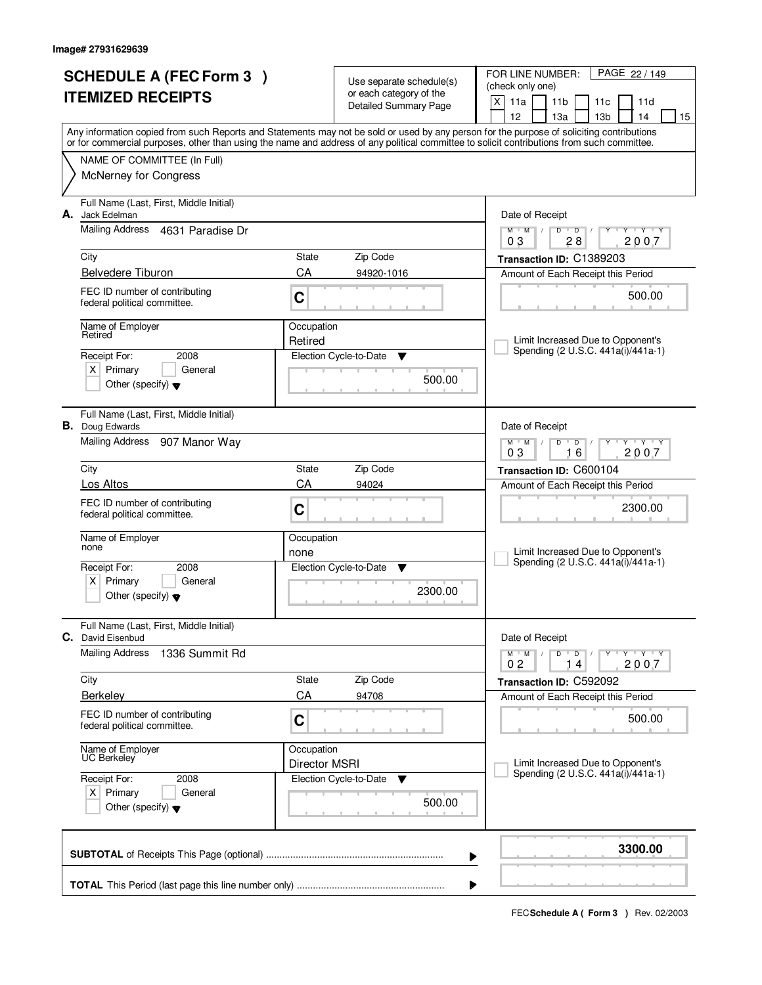| <b>SCHEDULE A (FEC Form 3)</b> |                                                                   |                      |                                                     | FOR LINE NUMBER:<br>PAGE 22 / 149                                                                                                                                                                                                                                                       |
|--------------------------------|-------------------------------------------------------------------|----------------------|-----------------------------------------------------|-----------------------------------------------------------------------------------------------------------------------------------------------------------------------------------------------------------------------------------------------------------------------------------------|
| <b>ITEMIZED RECEIPTS</b>       |                                                                   |                      | Use separate schedule(s)<br>or each category of the | (check only one)                                                                                                                                                                                                                                                                        |
|                                |                                                                   |                      | <b>Detailed Summary Page</b>                        | X<br>11a<br>11 <sub>b</sub><br>11d<br>11c                                                                                                                                                                                                                                               |
|                                |                                                                   |                      |                                                     | 12<br>13 <sub>b</sub><br>13a<br>14<br>15                                                                                                                                                                                                                                                |
|                                |                                                                   |                      |                                                     | Any information copied from such Reports and Statements may not be sold or used by any person for the purpose of soliciting contributions<br>or for commercial purposes, other than using the name and address of any political committee to solicit contributions from such committee. |
|                                | NAME OF COMMITTEE (In Full)                                       |                      |                                                     |                                                                                                                                                                                                                                                                                         |
|                                | <b>McNerney for Congress</b>                                      |                      |                                                     |                                                                                                                                                                                                                                                                                         |
|                                |                                                                   |                      |                                                     |                                                                                                                                                                                                                                                                                         |
| А.                             | Full Name (Last, First, Middle Initial)<br>Jack Edelman           |                      |                                                     | Date of Receipt                                                                                                                                                                                                                                                                         |
|                                | Mailing Address<br>4631 Paradise Dr                               |                      |                                                     | $\overline{D}$<br><b>TEXT Y</b><br>$M$ <sup>U</sup><br>M<br>$\sqrt{2}$<br>D<br>Y                                                                                                                                                                                                        |
|                                |                                                                   |                      |                                                     | 2007<br>03<br>28                                                                                                                                                                                                                                                                        |
|                                | City                                                              | State                | Zip Code                                            | Transaction ID: C1389203                                                                                                                                                                                                                                                                |
|                                | <b>Belvedere Tiburon</b>                                          | CA                   | 94920-1016                                          | Amount of Each Receipt this Period                                                                                                                                                                                                                                                      |
|                                | FEC ID number of contributing<br>federal political committee.     | C                    |                                                     | 500.00                                                                                                                                                                                                                                                                                  |
|                                |                                                                   |                      |                                                     |                                                                                                                                                                                                                                                                                         |
|                                | Name of Employer<br>Retired                                       | Occupation           |                                                     |                                                                                                                                                                                                                                                                                         |
|                                | Receipt For:<br>2008                                              | Retired              | Election Cycle-to-Date<br>Y                         | Limit Increased Due to Opponent's<br>Spending (2 U.S.C. 441a(i)/441a-1)                                                                                                                                                                                                                 |
|                                | $X$ Primary<br>General                                            |                      |                                                     |                                                                                                                                                                                                                                                                                         |
|                                | Other (specify) $\blacktriangledown$                              | 500.00               |                                                     |                                                                                                                                                                                                                                                                                         |
|                                |                                                                   |                      |                                                     |                                                                                                                                                                                                                                                                                         |
|                                | Full Name (Last, First, Middle Initial)                           |                      |                                                     |                                                                                                                                                                                                                                                                                         |
|                                | <b>B.</b> Doug Edwards<br>Mailing Address                         |                      |                                                     | Date of Receipt                                                                                                                                                                                                                                                                         |
|                                | 907 Manor Way                                                     |                      |                                                     | $V = V + Y$<br>$M$ $M$ $/$<br>$\overline{D}$<br>D<br>Y<br>03<br>16<br>2007                                                                                                                                                                                                              |
|                                | City                                                              | State                | Zip Code                                            | Transaction ID: C600104                                                                                                                                                                                                                                                                 |
|                                | Los Altos                                                         | CA                   | 94024                                               | Amount of Each Receipt this Period                                                                                                                                                                                                                                                      |
|                                | FEC ID number of contributing                                     | C                    |                                                     | 2300.00                                                                                                                                                                                                                                                                                 |
|                                | federal political committee.                                      |                      |                                                     |                                                                                                                                                                                                                                                                                         |
|                                | Name of Employer                                                  | Occupation           |                                                     |                                                                                                                                                                                                                                                                                         |
|                                | none                                                              | none                 |                                                     | Limit Increased Due to Opponent's<br>Spending (2 U.S.C. 441a(i)/441a-1)                                                                                                                                                                                                                 |
|                                | Receipt For:<br>2008                                              |                      | Election Cycle-to-Date<br>v                         |                                                                                                                                                                                                                                                                                         |
|                                | Primary<br>X  <br>General<br>Other (specify) $\blacktriangledown$ |                      | 2300.00                                             |                                                                                                                                                                                                                                                                                         |
|                                |                                                                   |                      |                                                     |                                                                                                                                                                                                                                                                                         |
|                                | Full Name (Last, First, Middle Initial)                           |                      |                                                     |                                                                                                                                                                                                                                                                                         |
| С.                             | David Eisenbud                                                    |                      |                                                     | Date of Receipt                                                                                                                                                                                                                                                                         |
|                                | <b>Mailing Address</b><br>1336 Summit Rd                          |                      |                                                     | $D$ $D$ $/$<br>$M$ $M$ /<br>$Y + Y + Y$<br>$\overline{4}$<br>2007<br>02<br>$\mathbf{1}$                                                                                                                                                                                                 |
|                                | City                                                              | State                | Zip Code                                            | Transaction ID: C592092                                                                                                                                                                                                                                                                 |
|                                | Berkeley                                                          | CA                   | 94708                                               | Amount of Each Receipt this Period                                                                                                                                                                                                                                                      |
|                                | FEC ID number of contributing                                     |                      |                                                     | 500.00                                                                                                                                                                                                                                                                                  |
|                                | federal political committee.                                      | C                    |                                                     |                                                                                                                                                                                                                                                                                         |
|                                | Name of Employer<br>UC Berkeley                                   | Occupation           |                                                     |                                                                                                                                                                                                                                                                                         |
|                                |                                                                   | <b>Director MSRI</b> |                                                     | Limit Increased Due to Opponent's                                                                                                                                                                                                                                                       |
|                                | Receipt For:<br>2008                                              |                      | Election Cycle-to-Date<br>v                         | Spending (2 U.S.C. 441a(i)/441a-1)                                                                                                                                                                                                                                                      |
|                                | $X$ Primary<br>General                                            |                      | 500.00                                              |                                                                                                                                                                                                                                                                                         |
|                                | Other (specify) $\blacktriangledown$                              |                      |                                                     |                                                                                                                                                                                                                                                                                         |
|                                |                                                                   |                      |                                                     |                                                                                                                                                                                                                                                                                         |
|                                |                                                                   |                      |                                                     | 3300.00<br>▶                                                                                                                                                                                                                                                                            |
|                                |                                                                   |                      |                                                     |                                                                                                                                                                                                                                                                                         |
|                                |                                                                   |                      |                                                     |                                                                                                                                                                                                                                                                                         |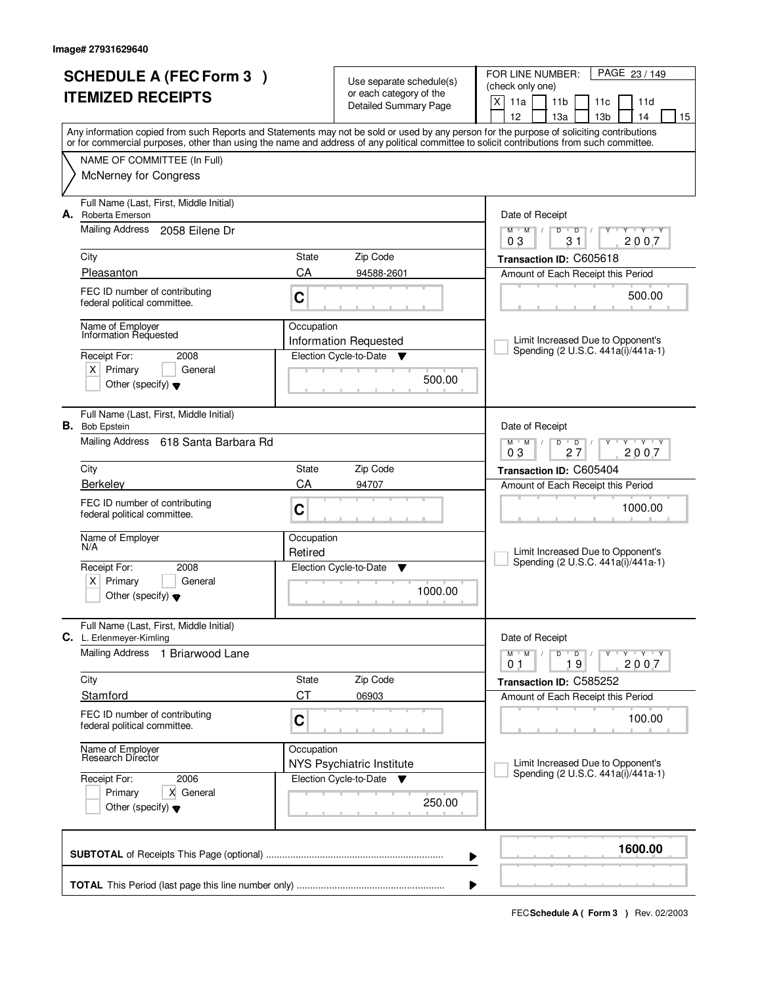| <b>SCHEDULE A (FEC Form 3)</b> |                                                                                                                           | Use separate schedule(s) |                                                         | PAGE 23 / 149<br>FOR LINE NUMBER:<br>(check only one)                                                                                                                                                                                                                                   |  |
|--------------------------------|---------------------------------------------------------------------------------------------------------------------------|--------------------------|---------------------------------------------------------|-----------------------------------------------------------------------------------------------------------------------------------------------------------------------------------------------------------------------------------------------------------------------------------------|--|
|                                | <b>ITEMIZED RECEIPTS</b>                                                                                                  |                          | or each category of the<br><b>Detailed Summary Page</b> | X<br>11a<br>11 <sub>b</sub><br>11 <sub>c</sub><br>11d                                                                                                                                                                                                                                   |  |
|                                |                                                                                                                           |                          |                                                         | 12 <sup>2</sup><br>14<br>13a<br>13 <sub>b</sub><br>15                                                                                                                                                                                                                                   |  |
|                                |                                                                                                                           |                          |                                                         | Any information copied from such Reports and Statements may not be sold or used by any person for the purpose of soliciting contributions<br>or for commercial purposes, other than using the name and address of any political committee to solicit contributions from such committee. |  |
|                                | NAME OF COMMITTEE (In Full)                                                                                               |                          |                                                         |                                                                                                                                                                                                                                                                                         |  |
|                                | <b>McNerney for Congress</b>                                                                                              |                          |                                                         |                                                                                                                                                                                                                                                                                         |  |
| А.                             | Full Name (Last, First, Middle Initial)<br>Roberta Emerson                                                                |                          |                                                         | Date of Receipt                                                                                                                                                                                                                                                                         |  |
|                                | Mailing Address<br>2058 Eilene Dr                                                                                         |                          |                                                         | $\mathsf D$<br>$\overline{\mathsf{y}}$ $\mathsf{y}$ $\mathsf{y}$<br>$M$ <sup>U</sup><br>$M$ /<br>D<br>Y<br>31<br>2007<br>03                                                                                                                                                             |  |
|                                | City                                                                                                                      | <b>State</b>             | Zip Code                                                | Transaction ID: C605618                                                                                                                                                                                                                                                                 |  |
|                                | Pleasanton                                                                                                                | CA                       | 94588-2601                                              | Amount of Each Receipt this Period                                                                                                                                                                                                                                                      |  |
|                                | FEC ID number of contributing<br>federal political committee.                                                             | C                        |                                                         | 500.00                                                                                                                                                                                                                                                                                  |  |
|                                | Name of Employer<br>Information Requested                                                                                 | Occupation               | <b>Information Requested</b>                            | Limit Increased Due to Opponent's                                                                                                                                                                                                                                                       |  |
|                                | Receipt For:<br>2008                                                                                                      |                          | Election Cycle-to-Date<br>v                             | Spending (2 U.S.C. 441a(i)/441a-1)                                                                                                                                                                                                                                                      |  |
|                                | $X$ Primary<br>General<br>Other (specify) $\blacktriangledown$                                                            |                          | 500.00                                                  |                                                                                                                                                                                                                                                                                         |  |
|                                | Full Name (Last, First, Middle Initial)<br><b>B.</b> Bob Epstein                                                          |                          |                                                         | Date of Receipt                                                                                                                                                                                                                                                                         |  |
|                                | <b>Mailing Address</b><br>618 Santa Barbara Rd                                                                            |                          |                                                         | $M$ $M$ /<br>D<br>$\overline{D}$<br>$T$ $Y$ $T$ $Y$<br>03<br>27<br>2007                                                                                                                                                                                                                 |  |
|                                | City                                                                                                                      | State                    | Zip Code                                                | Transaction ID: C605404                                                                                                                                                                                                                                                                 |  |
|                                | <b>Berkelev</b>                                                                                                           | CA                       | 94707                                                   | Amount of Each Receipt this Period                                                                                                                                                                                                                                                      |  |
|                                | FEC ID number of contributing<br>federal political committee.                                                             | C                        |                                                         | 1000.00                                                                                                                                                                                                                                                                                 |  |
|                                | Name of Employer<br>N/A                                                                                                   | Occupation<br>Retired    |                                                         | Limit Increased Due to Opponent's                                                                                                                                                                                                                                                       |  |
|                                | Receipt For:<br>2008                                                                                                      |                          | Election Cycle-to-Date<br>▼                             | Spending (2 U.S.C. 441a(i)/441a-1)                                                                                                                                                                                                                                                      |  |
|                                | $X$ Primary<br>General<br>Other (specify) $\blacktriangledown$                                                            |                          | 1000.00                                                 |                                                                                                                                                                                                                                                                                         |  |
|                                | Full Name (Last, First, Middle Initial)<br>C. L. Erlenmeyer-Kimling                                                       |                          |                                                         | Date of Receipt                                                                                                                                                                                                                                                                         |  |
|                                | <b>Mailing Address</b><br>1 Briarwood Lane                                                                                |                          |                                                         | $M-M$ /<br>$D$ $D$ $/$<br>Y FY FY FY<br>19<br>2007<br>01                                                                                                                                                                                                                                |  |
|                                | City                                                                                                                      | State                    | Zip Code                                                | Transaction ID: C585252                                                                                                                                                                                                                                                                 |  |
|                                | Stamford                                                                                                                  | <b>CT</b>                | 06903                                                   | Amount of Each Receipt this Period                                                                                                                                                                                                                                                      |  |
|                                | FEC ID number of contributing<br>C<br>federal political committee.<br>Name of Employer<br>Research Director<br>Occupation |                          |                                                         | 100.00                                                                                                                                                                                                                                                                                  |  |
|                                |                                                                                                                           |                          | NYS Psychiatric Institute                               | Limit Increased Due to Opponent's                                                                                                                                                                                                                                                       |  |
|                                | Receipt For:<br>2006                                                                                                      |                          | Election Cycle-to-Date ▼                                | Spending (2 U.S.C. 441a(i)/441a-1)                                                                                                                                                                                                                                                      |  |
|                                | X General<br>Primary<br>Other (specify) $\blacktriangledown$                                                              |                          | 250.00                                                  |                                                                                                                                                                                                                                                                                         |  |
|                                |                                                                                                                           |                          |                                                         | 1600.00<br>▶                                                                                                                                                                                                                                                                            |  |
|                                |                                                                                                                           |                          |                                                         |                                                                                                                                                                                                                                                                                         |  |
|                                |                                                                                                                           |                          |                                                         |                                                                                                                                                                                                                                                                                         |  |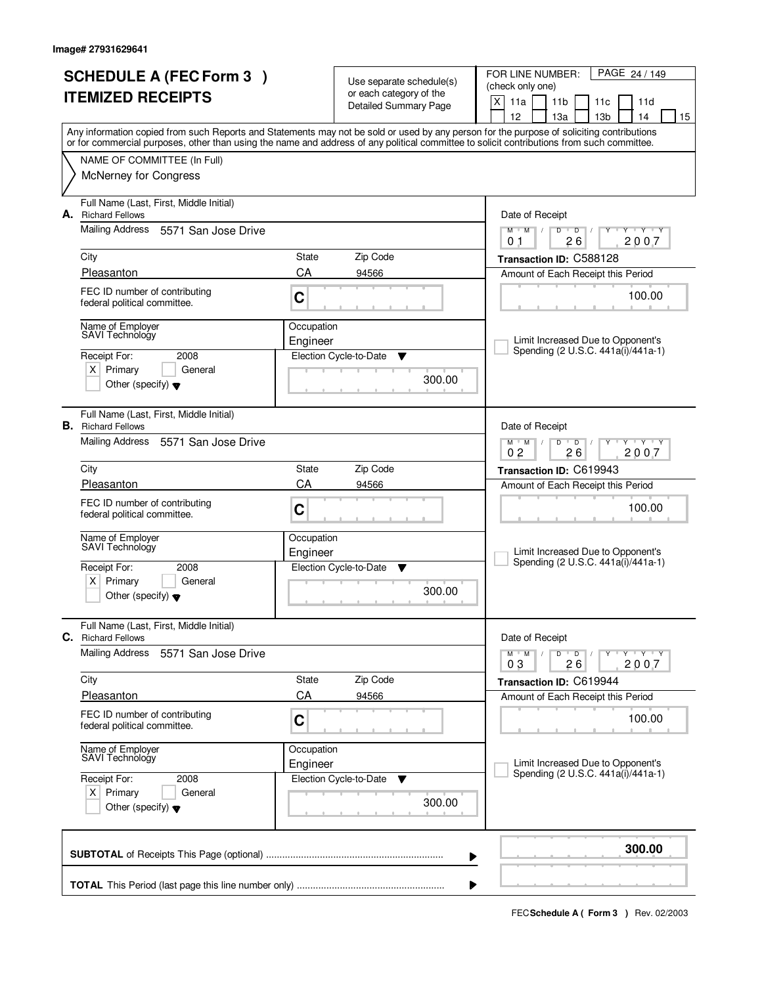| <b>SCHEDULE A (FEC Form 3)</b><br><b>ITEMIZED RECEIPTS</b> |                                                                                                                                            |                        | Use separate schedule(s)<br>or each category of the<br><b>Detailed Summary Page</b> | FOR LINE NUMBER:<br>PAGE 24 / 149<br>(check only one)<br>$\mathsf{X}$<br>11a<br>11 <sub>b</sub><br>11c<br>11d                                                                         |  |  |  |  |
|------------------------------------------------------------|--------------------------------------------------------------------------------------------------------------------------------------------|------------------------|-------------------------------------------------------------------------------------|---------------------------------------------------------------------------------------------------------------------------------------------------------------------------------------|--|--|--|--|
|                                                            | or for commercial purposes, other than using the name and address of any political committee to solicit contributions from such committee. |                        |                                                                                     | 12<br>13a<br>13 <sub>b</sub><br>14<br>15<br>Any information copied from such Reports and Statements may not be sold or used by any person for the purpose of soliciting contributions |  |  |  |  |
|                                                            | NAME OF COMMITTEE (In Full)<br><b>McNerney for Congress</b>                                                                                |                        |                                                                                     |                                                                                                                                                                                       |  |  |  |  |
| А.                                                         | Full Name (Last, First, Middle Initial)<br><b>Richard Fellows</b><br><b>Mailing Address</b><br>5571 San Jose Drive                         |                        |                                                                                     | Date of Receipt<br>$M$ $M$<br>$\overline{D}$<br>T Y T Y<br>D                                                                                                                          |  |  |  |  |
|                                                            | City                                                                                                                                       | State                  | Zip Code                                                                            | 26<br>2007<br>0 <sub>1</sub><br>Transaction ID: C588128                                                                                                                               |  |  |  |  |
|                                                            | Pleasanton                                                                                                                                 | CA                     | 94566                                                                               | Amount of Each Receipt this Period                                                                                                                                                    |  |  |  |  |
|                                                            | FEC ID number of contributing<br>federal political committee.                                                                              | C                      |                                                                                     | 100.00                                                                                                                                                                                |  |  |  |  |
|                                                            | Name of Employer<br>SAVI Technology                                                                                                        | Occupation<br>Engineer |                                                                                     | Limit Increased Due to Opponent's<br>Spending (2 U.S.C. 441a(i)/441a-1)                                                                                                               |  |  |  |  |
|                                                            | Receipt For:<br>2008<br>$X$ Primary<br>General<br>Other (specify) $\blacktriangledown$                                                     |                        | Election Cycle-to-Date<br>▼<br>300.00                                               |                                                                                                                                                                                       |  |  |  |  |
| В.                                                         | Full Name (Last, First, Middle Initial)<br><b>Richard Fellows</b>                                                                          |                        |                                                                                     | Date of Receipt                                                                                                                                                                       |  |  |  |  |
|                                                            | Mailing Address<br>5571 San Jose Drive                                                                                                     |                        |                                                                                     | $M$ $M$ /<br>$D$ $D$<br>$Y - Y - Y$<br>0 <sub>2</sub><br>26<br>2007                                                                                                                   |  |  |  |  |
|                                                            | City                                                                                                                                       | State                  | Zip Code                                                                            | Transaction ID: C619943                                                                                                                                                               |  |  |  |  |
|                                                            | Pleasanton                                                                                                                                 | CA                     | 94566                                                                               | Amount of Each Receipt this Period                                                                                                                                                    |  |  |  |  |
|                                                            | FEC ID number of contributing<br>federal political committee.                                                                              | C                      |                                                                                     | 100.00                                                                                                                                                                                |  |  |  |  |
|                                                            | Name of Employer<br>SAVI Technology                                                                                                        | Occupation<br>Engineer |                                                                                     | Limit Increased Due to Opponent's                                                                                                                                                     |  |  |  |  |
|                                                            | Receipt For:<br>2008                                                                                                                       |                        | Election Cycle-to-Date<br>▼                                                         | Spending (2 U.S.C. 441a(i)/441a-1)                                                                                                                                                    |  |  |  |  |
|                                                            | $x \mid$<br>Primary<br>General<br>Other (specify) $\blacktriangledown$                                                                     |                        | 300.00                                                                              |                                                                                                                                                                                       |  |  |  |  |
| С.                                                         | Full Name (Last, First, Middle Initial)<br><b>Richard Fellows</b>                                                                          |                        |                                                                                     | Date of Receipt                                                                                                                                                                       |  |  |  |  |
|                                                            | <b>Mailing Address</b><br>5571 San Jose Drive                                                                                              |                        |                                                                                     | $Y - Y - Y - Y$<br>$M$ $M$ $/$<br>D<br>$\overline{D}$ /<br>2007<br>03<br>26                                                                                                           |  |  |  |  |
|                                                            | City                                                                                                                                       | State                  | Zip Code                                                                            | Transaction ID: C619944                                                                                                                                                               |  |  |  |  |
|                                                            | Pleasanton                                                                                                                                 | CA                     | 94566                                                                               | Amount of Each Receipt this Period                                                                                                                                                    |  |  |  |  |
|                                                            | FEC ID number of contributing<br>federal political committee.                                                                              | C                      |                                                                                     | 100.00                                                                                                                                                                                |  |  |  |  |
|                                                            | Name of Employer<br>SAVI Technology                                                                                                        | Occupation<br>Engineer |                                                                                     | Limit Increased Due to Opponent's<br>Spending (2 U.S.C. 441a(i)/441a-1)                                                                                                               |  |  |  |  |
|                                                            | Receipt For:<br>2008<br>$X$ Primary<br>General<br>Other (specify) $\blacktriangledown$                                                     |                        | Election Cycle-to-Date<br>▼<br>300.00                                               |                                                                                                                                                                                       |  |  |  |  |
|                                                            |                                                                                                                                            |                        |                                                                                     | 300.00                                                                                                                                                                                |  |  |  |  |
|                                                            | ▶                                                                                                                                          |                        |                                                                                     |                                                                                                                                                                                       |  |  |  |  |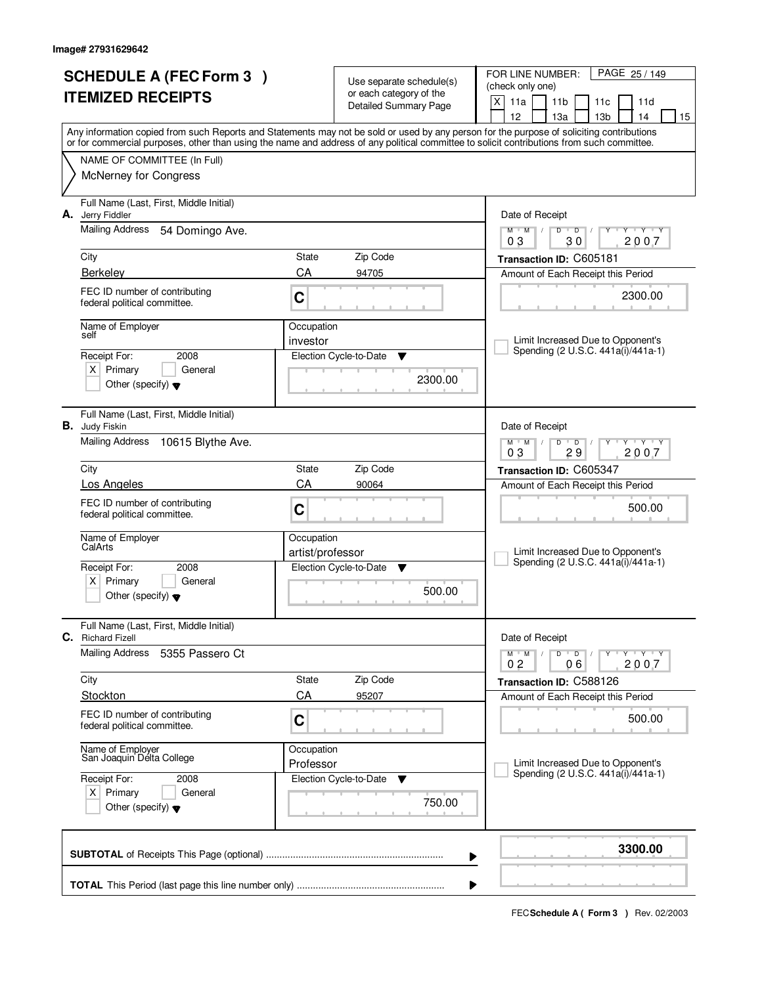|                          | <b>SCHEDULE A (FEC Form 3)</b>                              |                                |                                                     | FOR LINE NUMBER:<br>PAGE 25 / 149                                                                                                                                                                                                                                                       |  |
|--------------------------|-------------------------------------------------------------|--------------------------------|-----------------------------------------------------|-----------------------------------------------------------------------------------------------------------------------------------------------------------------------------------------------------------------------------------------------------------------------------------------|--|
| <b>ITEMIZED RECEIPTS</b> |                                                             |                                | Use separate schedule(s)<br>or each category of the | (check only one)                                                                                                                                                                                                                                                                        |  |
|                          |                                                             |                                | <b>Detailed Summary Page</b>                        | X<br>11a<br>11 <sub>b</sub><br>11c<br>11d                                                                                                                                                                                                                                               |  |
|                          |                                                             |                                |                                                     | 12<br>13 <sub>b</sub><br>13a<br>14<br>15                                                                                                                                                                                                                                                |  |
|                          |                                                             |                                |                                                     | Any information copied from such Reports and Statements may not be sold or used by any person for the purpose of soliciting contributions<br>or for commercial purposes, other than using the name and address of any political committee to solicit contributions from such committee. |  |
|                          | NAME OF COMMITTEE (In Full)                                 |                                |                                                     |                                                                                                                                                                                                                                                                                         |  |
|                          | <b>McNerney for Congress</b>                                |                                |                                                     |                                                                                                                                                                                                                                                                                         |  |
|                          |                                                             |                                |                                                     |                                                                                                                                                                                                                                                                                         |  |
|                          | Full Name (Last, First, Middle Initial)                     |                                |                                                     |                                                                                                                                                                                                                                                                                         |  |
| А.                       | Jerry Fiddler                                               |                                |                                                     | Date of Receipt                                                                                                                                                                                                                                                                         |  |
|                          | <b>Mailing Address</b><br>54 Domingo Ave.                   |                                |                                                     | $Y - Y - Y$<br>$M$ $M$ /<br>D<br>$\overline{D}$<br>2007<br>03<br>30                                                                                                                                                                                                                     |  |
|                          | City                                                        | State                          | Zip Code                                            | Transaction ID: C605181                                                                                                                                                                                                                                                                 |  |
|                          | <b>Berkelev</b>                                             | CA                             | 94705                                               | Amount of Each Receipt this Period                                                                                                                                                                                                                                                      |  |
|                          | FEC ID number of contributing                               |                                |                                                     |                                                                                                                                                                                                                                                                                         |  |
|                          | federal political committee.                                | C                              |                                                     | 2300.00                                                                                                                                                                                                                                                                                 |  |
|                          |                                                             |                                |                                                     |                                                                                                                                                                                                                                                                                         |  |
|                          | Name of Employer<br>self                                    | Occupation<br>investor         |                                                     | Limit Increased Due to Opponent's                                                                                                                                                                                                                                                       |  |
|                          | Receipt For:<br>2008                                        |                                | Election Cycle-to-Date<br>Y                         | Spending (2 U.S.C. 441a(i)/441a-1)                                                                                                                                                                                                                                                      |  |
|                          | $X$ Primary<br>General                                      |                                |                                                     |                                                                                                                                                                                                                                                                                         |  |
|                          | Other (specify) $\blacktriangledown$                        |                                | 2300.00                                             |                                                                                                                                                                                                                                                                                         |  |
|                          |                                                             |                                |                                                     |                                                                                                                                                                                                                                                                                         |  |
|                          | Full Name (Last, First, Middle Initial)                     |                                |                                                     |                                                                                                                                                                                                                                                                                         |  |
|                          | <b>B.</b> Judy Fiskin                                       |                                |                                                     | Date of Receipt                                                                                                                                                                                                                                                                         |  |
|                          | <b>Mailing Address</b><br>10615 Blythe Ave.                 |                                |                                                     | TEY TEY<br>$M$ M<br>D<br>$\overline{D}$<br>03<br>29<br>2007                                                                                                                                                                                                                             |  |
|                          | City                                                        | State                          | Zip Code                                            | Transaction ID: C605347                                                                                                                                                                                                                                                                 |  |
|                          | Los Angeles                                                 | CA                             | 90064                                               | Amount of Each Receipt this Period                                                                                                                                                                                                                                                      |  |
|                          | FEC ID number of contributing                               |                                |                                                     |                                                                                                                                                                                                                                                                                         |  |
|                          | federal political committee.                                | C                              |                                                     | 500.00                                                                                                                                                                                                                                                                                  |  |
|                          |                                                             |                                |                                                     |                                                                                                                                                                                                                                                                                         |  |
|                          | Name of Employer<br>CalArts                                 | Occupation<br>artist/professor |                                                     | Limit Increased Due to Opponent's                                                                                                                                                                                                                                                       |  |
|                          | Receipt For:<br>2008                                        |                                | Election Cycle-to-Date<br>▼                         | Spending (2 U.S.C. 441a(i)/441a-1)                                                                                                                                                                                                                                                      |  |
|                          | Primary<br>$X \mid$<br>General                              |                                |                                                     |                                                                                                                                                                                                                                                                                         |  |
|                          | Other (specify) $\blacktriangledown$                        |                                | 500.00                                              |                                                                                                                                                                                                                                                                                         |  |
|                          |                                                             |                                |                                                     |                                                                                                                                                                                                                                                                                         |  |
| С.                       | Full Name (Last, First, Middle Initial)                     |                                |                                                     |                                                                                                                                                                                                                                                                                         |  |
|                          | <b>Richard Fizell</b><br>Mailing Address<br>5355 Passero Ct |                                |                                                     | Date of Receipt<br>D<br>$M$ $M$ /<br>$\overline{\phantom{0}}$ D $\overline{\phantom{0}}$ /<br>$Y + Y + Y$                                                                                                                                                                               |  |
|                          |                                                             |                                |                                                     | 2007<br>06<br>02                                                                                                                                                                                                                                                                        |  |
|                          | City                                                        | State                          | Zip Code                                            | Transaction ID: C588126                                                                                                                                                                                                                                                                 |  |
|                          | <b>Stockton</b>                                             | CA                             | 95207                                               | Amount of Each Receipt this Period                                                                                                                                                                                                                                                      |  |
|                          | FEC ID number of contributing                               | C                              |                                                     | 500.00                                                                                                                                                                                                                                                                                  |  |
|                          | federal political committee.                                |                                |                                                     |                                                                                                                                                                                                                                                                                         |  |
|                          | Name of Employer                                            | Occupation                     |                                                     |                                                                                                                                                                                                                                                                                         |  |
|                          | San Joaquin Délta College                                   | Professor                      |                                                     | Limit Increased Due to Opponent's                                                                                                                                                                                                                                                       |  |
|                          | Receipt For:<br>2008                                        |                                | Election Cycle-to-Date<br>v                         | Spending (2 U.S.C. 441a(i)/441a-1)                                                                                                                                                                                                                                                      |  |
|                          | $X$ Primary<br>General                                      |                                | 750.00                                              |                                                                                                                                                                                                                                                                                         |  |
|                          | Other (specify) $\blacktriangledown$                        |                                |                                                     |                                                                                                                                                                                                                                                                                         |  |
|                          |                                                             |                                |                                                     |                                                                                                                                                                                                                                                                                         |  |
|                          |                                                             |                                |                                                     | 3300.00                                                                                                                                                                                                                                                                                 |  |
|                          |                                                             |                                |                                                     | ▶                                                                                                                                                                                                                                                                                       |  |
|                          |                                                             |                                |                                                     |                                                                                                                                                                                                                                                                                         |  |
|                          | ▶                                                           |                                |                                                     |                                                                                                                                                                                                                                                                                         |  |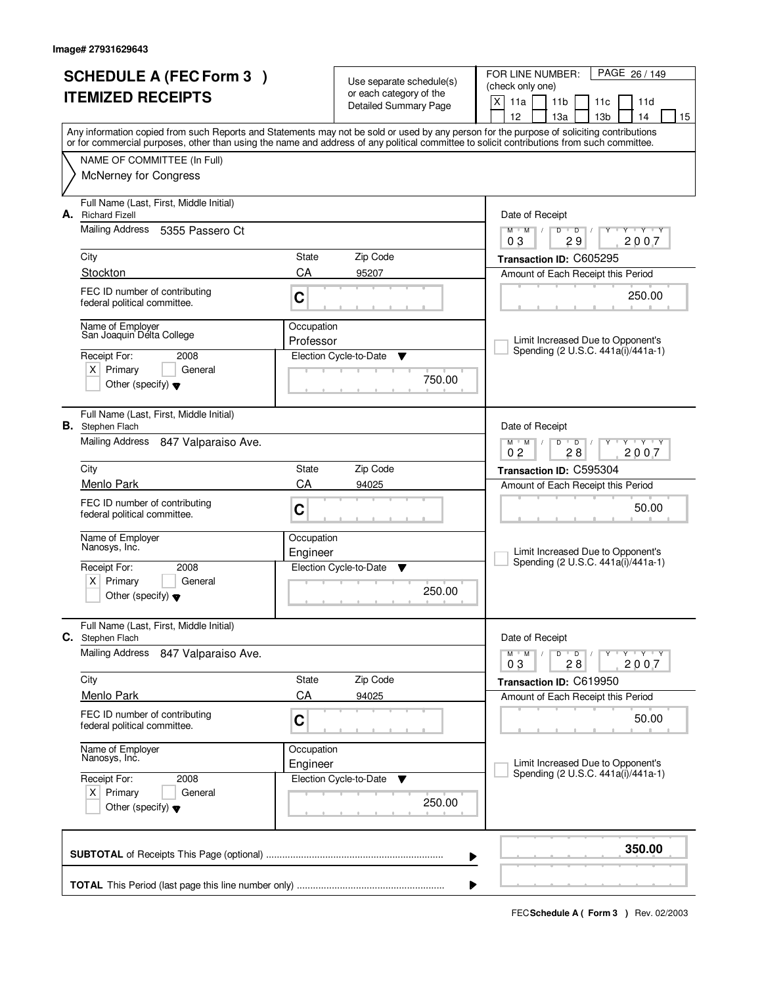| <b>SCHEDULE A (FEC Form 3)</b>                                                                                                             |                        | Use separate schedule(s)                                | FOR LINE NUMBER:<br>PAGE 26 / 149<br>(check only one)                                                 |
|--------------------------------------------------------------------------------------------------------------------------------------------|------------------------|---------------------------------------------------------|-------------------------------------------------------------------------------------------------------|
| <b>ITEMIZED RECEIPTS</b>                                                                                                                   |                        | or each category of the<br><b>Detailed Summary Page</b> | X<br>11a<br>11 <sub>b</sub><br>11d<br>11c                                                             |
| Any information copied from such Reports and Statements may not be sold or used by any person for the purpose of soliciting contributions  |                        |                                                         | 12<br>13 <sub>b</sub><br>13a<br>14<br>15                                                              |
| or for commercial purposes, other than using the name and address of any political committee to solicit contributions from such committee. |                        |                                                         |                                                                                                       |
| NAME OF COMMITTEE (In Full)                                                                                                                |                        |                                                         |                                                                                                       |
| <b>McNerney for Congress</b>                                                                                                               |                        |                                                         |                                                                                                       |
| Full Name (Last, First, Middle Initial)<br><b>Richard Fizell</b><br>А.                                                                     |                        |                                                         | Date of Receipt                                                                                       |
| Mailing Address<br>5355 Passero Ct                                                                                                         |                        |                                                         | $T$ $Y$ $T$ $Y$<br>$M$ <sup>U</sup><br>M<br>D<br>$\overline{D}$<br>$\sqrt{2}$                         |
| City                                                                                                                                       | State                  | Zip Code                                                | 29<br>2007<br>03<br>Transaction ID: C605295                                                           |
| Stockton                                                                                                                                   | CA                     | 95207                                                   | Amount of Each Receipt this Period                                                                    |
| FEC ID number of contributing<br>federal political committee.                                                                              | C                      |                                                         | 250.00                                                                                                |
| Name of Employer<br>San Joaquin Délta College                                                                                              | Occupation             |                                                         |                                                                                                       |
| Receipt For:<br>2008                                                                                                                       | Professor              | Election Cycle-to-Date<br>Y                             | Limit Increased Due to Opponent's<br>Spending (2 U.S.C. 441a(i)/441a-1)                               |
| $X$ Primary<br>General                                                                                                                     |                        |                                                         |                                                                                                       |
| Other (specify) $\blacktriangledown$                                                                                                       |                        | 750.00                                                  |                                                                                                       |
| Full Name (Last, First, Middle Initial)<br><b>B.</b> Stephen Flach                                                                         |                        |                                                         | Date of Receipt                                                                                       |
| Mailing Address<br>847 Valparaiso Ave.                                                                                                     |                        |                                                         | $M$ $M$ $/$<br>D<br>$\overline{D}$<br>$-\mathbf{y} + \mathbf{y}$<br>Y<br>0 <sub>2</sub><br>28<br>2007 |
| City                                                                                                                                       | State                  | Zip Code                                                | Transaction ID: C595304                                                                               |
| Menlo Park                                                                                                                                 | CA                     | 94025                                                   | Amount of Each Receipt this Period                                                                    |
| FEC ID number of contributing<br>federal political committee.                                                                              | C                      |                                                         | 50.00                                                                                                 |
| Name of Employer<br>Nanosys, Inc.                                                                                                          | Occupation             |                                                         | Limit Increased Due to Opponent's                                                                     |
| Receipt For:<br>2008                                                                                                                       | Engineer               | Election Cycle-to-Date<br>▼                             | Spending (2 U.S.C. 441a(i)/441a-1)                                                                    |
| Primary<br>$\times$<br>General                                                                                                             |                        | 250.00                                                  |                                                                                                       |
| Other (specify) $\blacktriangledown$                                                                                                       |                        |                                                         |                                                                                                       |
| Full Name (Last, First, Middle Initial)<br>C.<br>Stephen Flach                                                                             |                        |                                                         | Date of Receipt                                                                                       |
| <b>Mailing Address</b><br>847 Valparaiso Ave.                                                                                              |                        |                                                         | D<br>$M$ $M$ /<br>$\overline{D}$<br>$Y$ $Y$ $Y$ $Y$<br>2007<br>03<br>28                               |
| City                                                                                                                                       | State                  | Zip Code                                                | Transaction ID: C619950                                                                               |
| Menlo Park                                                                                                                                 | CA                     | 94025                                                   | Amount of Each Receipt this Period                                                                    |
| FEC ID number of contributing<br>federal political committee.                                                                              | C                      |                                                         | 50.00                                                                                                 |
| Name of Employer<br>Nanosys, Inc.                                                                                                          | Occupation<br>Engineer |                                                         | Limit Increased Due to Opponent's                                                                     |
| Receipt For:<br>2008                                                                                                                       |                        | Election Cycle-to-Date<br>v                             | Spending (2 U.S.C. 441a(i)/441a-1)                                                                    |
| $X$ Primary<br>General<br>Other (specify) $\blacktriangledown$                                                                             |                        | 250.00                                                  |                                                                                                       |
|                                                                                                                                            |                        |                                                         | 350.00<br>▶                                                                                           |
|                                                                                                                                            |                        |                                                         |                                                                                                       |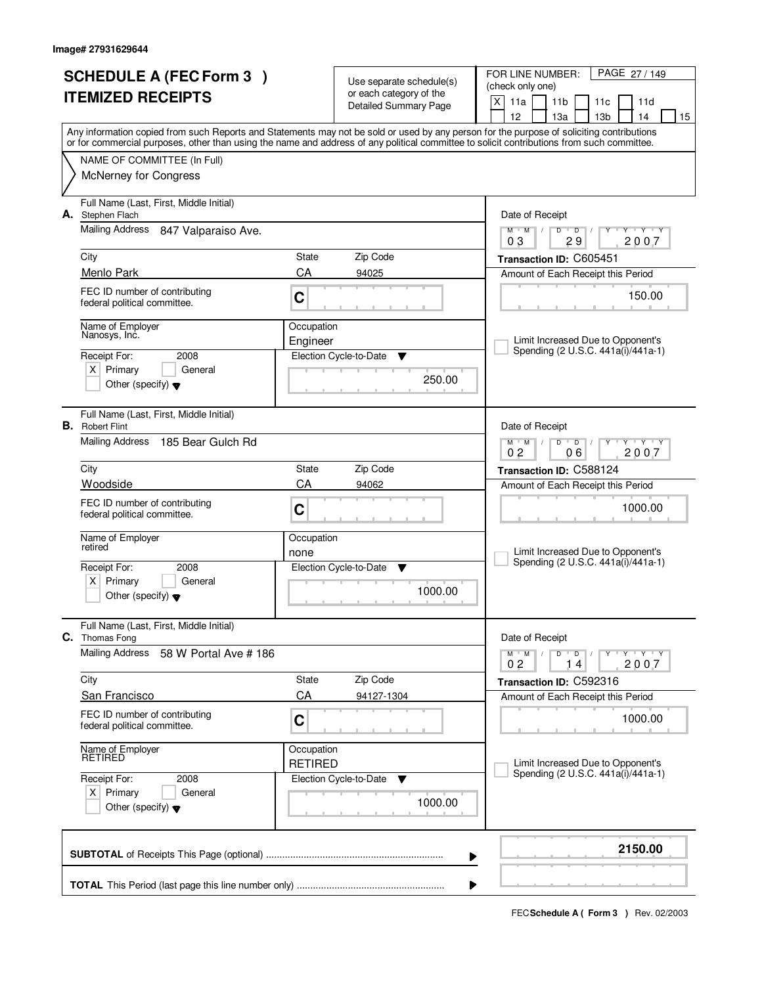| <b>SCHEDULE A (FEC Form 3)</b> |                                                                        |                              | Use separate schedule(s)                                | FOR LINE NUMBER:<br>PAGE 27 / 149<br>(check only one)                                                                                                                                                                                                                                   |  |  |
|--------------------------------|------------------------------------------------------------------------|------------------------------|---------------------------------------------------------|-----------------------------------------------------------------------------------------------------------------------------------------------------------------------------------------------------------------------------------------------------------------------------------------|--|--|
|                                | <b>ITEMIZED RECEIPTS</b>                                               |                              | or each category of the<br><b>Detailed Summary Page</b> | X<br>11a<br>11 <sub>b</sub><br>11c<br>11d<br>12<br>13 <sub>b</sub><br>13a<br>14<br>15                                                                                                                                                                                                   |  |  |
|                                |                                                                        |                              |                                                         | Any information copied from such Reports and Statements may not be sold or used by any person for the purpose of soliciting contributions<br>or for commercial purposes, other than using the name and address of any political committee to solicit contributions from such committee. |  |  |
|                                | NAME OF COMMITTEE (In Full)                                            |                              |                                                         |                                                                                                                                                                                                                                                                                         |  |  |
|                                | <b>McNerney for Congress</b>                                           |                              |                                                         |                                                                                                                                                                                                                                                                                         |  |  |
| А.                             | Full Name (Last, First, Middle Initial)<br>Stephen Flach               |                              |                                                         | Date of Receipt                                                                                                                                                                                                                                                                         |  |  |
|                                | <b>Mailing Address</b><br>847 Valparaiso Ave.                          |                              |                                                         | Y Y Y Y<br>$M$ $M$ /<br>D<br>$\overline{D}$<br>2007<br>03<br>29                                                                                                                                                                                                                         |  |  |
|                                | City                                                                   | State                        | Zip Code                                                | Transaction ID: C605451                                                                                                                                                                                                                                                                 |  |  |
|                                | Menlo Park                                                             | CA                           | 94025                                                   | Amount of Each Receipt this Period                                                                                                                                                                                                                                                      |  |  |
|                                | FEC ID number of contributing<br>federal political committee.          | C                            |                                                         | 150.00                                                                                                                                                                                                                                                                                  |  |  |
|                                | Name of Employer<br>Nanosys, Inc.                                      | Occupation                   |                                                         |                                                                                                                                                                                                                                                                                         |  |  |
|                                | Receipt For:<br>2008                                                   | Engineer                     | Election Cycle-to-Date<br>Y                             | Limit Increased Due to Opponent's<br>Spending (2 U.S.C. 441a(i)/441a-1)                                                                                                                                                                                                                 |  |  |
|                                | $X$ Primary<br>General                                                 |                              |                                                         |                                                                                                                                                                                                                                                                                         |  |  |
|                                | Other (specify) $\blacktriangledown$                                   |                              | 250.00                                                  |                                                                                                                                                                                                                                                                                         |  |  |
| В.                             | Full Name (Last, First, Middle Initial)<br><b>Robert Flint</b>         |                              |                                                         | Date of Receipt                                                                                                                                                                                                                                                                         |  |  |
|                                | <b>Mailing Address</b><br>185 Bear Gulch Rd                            |                              |                                                         | $M$ $M$ $/$<br><b>TEXTEY</b><br>D<br>$\overline{D}$<br>0 <sub>2</sub><br>06<br>2007                                                                                                                                                                                                     |  |  |
|                                | City                                                                   | State                        | Zip Code                                                | Transaction ID: C588124                                                                                                                                                                                                                                                                 |  |  |
|                                | Woodside                                                               | CA                           | 94062                                                   | Amount of Each Receipt this Period                                                                                                                                                                                                                                                      |  |  |
|                                | FEC ID number of contributing<br>federal political committee.          | C                            |                                                         | 1000.00                                                                                                                                                                                                                                                                                 |  |  |
|                                | Name of Employer<br>retired                                            | Occupation                   |                                                         | Limit Increased Due to Opponent's                                                                                                                                                                                                                                                       |  |  |
|                                | Receipt For:<br>2008                                                   | none                         | Election Cycle-to-Date<br>v                             | Spending (2 U.S.C. 441a(i)/441a-1)                                                                                                                                                                                                                                                      |  |  |
|                                | Primary<br>$X \mid$<br>General<br>Other (specify) $\blacktriangledown$ |                              | 1000.00                                                 |                                                                                                                                                                                                                                                                                         |  |  |
|                                | Full Name (Last, First, Middle Initial)<br>C. Thomas Fong              |                              |                                                         | Date of Receipt                                                                                                                                                                                                                                                                         |  |  |
|                                | <b>Mailing Address</b><br>58 W Portal Ave # 186                        |                              |                                                         | $D$ $D$ $I$<br>$M$ $M$ $/$<br>$Y + Y + Y$<br>Y<br>2007<br>14<br>02                                                                                                                                                                                                                      |  |  |
|                                | City                                                                   | State                        | Zip Code                                                | Transaction ID: C592316                                                                                                                                                                                                                                                                 |  |  |
|                                | <b>San Francisco</b>                                                   | CA                           | 94127-1304                                              | Amount of Each Receipt this Period                                                                                                                                                                                                                                                      |  |  |
|                                | FEC ID number of contributing<br>federal political committee.          | $\mathbf C$                  |                                                         | 1000.00                                                                                                                                                                                                                                                                                 |  |  |
|                                | Name of Employer<br>RETIRED                                            | Occupation<br><b>RETIRED</b> |                                                         | Limit Increased Due to Opponent's                                                                                                                                                                                                                                                       |  |  |
|                                | Receipt For:<br>2008                                                   |                              | Election Cycle-to-Date<br>v                             | Spending (2 U.S.C. 441a(i)/441a-1)                                                                                                                                                                                                                                                      |  |  |
|                                | $X$ Primary<br>General<br>Other (specify) $\blacktriangledown$         |                              | 1000.00                                                 |                                                                                                                                                                                                                                                                                         |  |  |
|                                |                                                                        |                              |                                                         | 2150.00<br>▶                                                                                                                                                                                                                                                                            |  |  |
|                                |                                                                        |                              |                                                         |                                                                                                                                                                                                                                                                                         |  |  |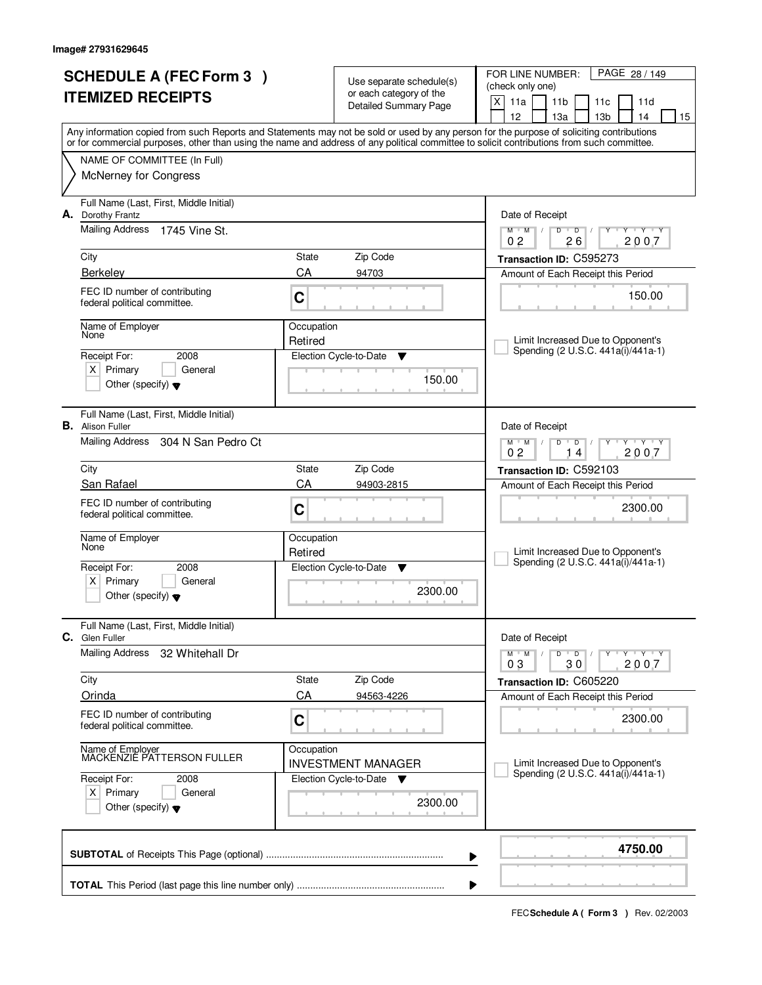|                          | <b>SCHEDULE A (FEC Form 3)</b>                                         |             |                                                                 | FOR LINE NUMBER:<br>PAGE 28 / 149                                                                                                                                                                                                                                                       |
|--------------------------|------------------------------------------------------------------------|-------------|-----------------------------------------------------------------|-----------------------------------------------------------------------------------------------------------------------------------------------------------------------------------------------------------------------------------------------------------------------------------------|
| <b>ITEMIZED RECEIPTS</b> |                                                                        |             | Use separate schedule(s)<br>or each category of the             | (check only one)                                                                                                                                                                                                                                                                        |
|                          |                                                                        |             | <b>Detailed Summary Page</b>                                    | X<br>11a<br>11 <sub>b</sub><br>11c<br>11d                                                                                                                                                                                                                                               |
|                          |                                                                        |             |                                                                 | 12<br>13 <sub>b</sub><br>13a<br>14<br>15                                                                                                                                                                                                                                                |
|                          |                                                                        |             |                                                                 | Any information copied from such Reports and Statements may not be sold or used by any person for the purpose of soliciting contributions<br>or for commercial purposes, other than using the name and address of any political committee to solicit contributions from such committee. |
|                          | NAME OF COMMITTEE (In Full)                                            |             |                                                                 |                                                                                                                                                                                                                                                                                         |
|                          | <b>McNerney for Congress</b>                                           |             |                                                                 |                                                                                                                                                                                                                                                                                         |
|                          |                                                                        |             |                                                                 |                                                                                                                                                                                                                                                                                         |
|                          | Full Name (Last, First, Middle Initial)                                |             |                                                                 |                                                                                                                                                                                                                                                                                         |
|                          | A. Dorothy Frantz<br><b>Mailing Address</b><br>1745 Vine St.           |             |                                                                 | Date of Receipt<br>$\overline{D}$<br>Y Y Y Y<br>$M$ $M$<br>$\sqrt{2}$<br>D                                                                                                                                                                                                              |
|                          |                                                                        |             |                                                                 | 26<br>2007<br>0 <sub>2</sub>                                                                                                                                                                                                                                                            |
|                          | City                                                                   | State       | Zip Code                                                        | Transaction ID: C595273                                                                                                                                                                                                                                                                 |
|                          | <b>Berkelev</b>                                                        | CA          | 94703                                                           | Amount of Each Receipt this Period                                                                                                                                                                                                                                                      |
|                          | FEC ID number of contributing                                          |             |                                                                 | 150.00                                                                                                                                                                                                                                                                                  |
|                          | federal political committee.                                           | C           |                                                                 |                                                                                                                                                                                                                                                                                         |
|                          | Name of Employer                                                       | Occupation  |                                                                 |                                                                                                                                                                                                                                                                                         |
|                          | None                                                                   | Retired     |                                                                 | Limit Increased Due to Opponent's                                                                                                                                                                                                                                                       |
|                          | Receipt For:<br>2008                                                   |             | Election Cycle-to-Date<br>Y                                     | Spending (2 U.S.C. 441a(i)/441a-1)                                                                                                                                                                                                                                                      |
|                          | $X$ Primary<br>General                                                 |             | 150.00                                                          |                                                                                                                                                                                                                                                                                         |
|                          | Other (specify) $\blacktriangledown$                                   |             |                                                                 |                                                                                                                                                                                                                                                                                         |
|                          |                                                                        |             |                                                                 |                                                                                                                                                                                                                                                                                         |
|                          | Full Name (Last, First, Middle Initial)<br><b>B.</b> Alison Fuller     |             |                                                                 | Date of Receipt                                                                                                                                                                                                                                                                         |
|                          | Mailing Address<br>304 N San Pedro Ct                                  |             |                                                                 | $Y$ $Y$ $Y$<br>$M$ $M$ $/$<br>$\overline{D}$<br>D                                                                                                                                                                                                                                       |
|                          |                                                                        |             |                                                                 | 0 <sub>2</sub><br>2007<br>14                                                                                                                                                                                                                                                            |
|                          | City                                                                   | State       | Zip Code                                                        | Transaction ID: C592103                                                                                                                                                                                                                                                                 |
|                          | San Rafael                                                             | CA          | 94903-2815                                                      | Amount of Each Receipt this Period                                                                                                                                                                                                                                                      |
|                          | FEC ID number of contributing                                          | C           |                                                                 | 2300.00                                                                                                                                                                                                                                                                                 |
|                          | federal political committee.                                           |             |                                                                 |                                                                                                                                                                                                                                                                                         |
|                          | Name of Employer                                                       | Occupation  |                                                                 |                                                                                                                                                                                                                                                                                         |
|                          | None                                                                   | Retired     |                                                                 | Limit Increased Due to Opponent's<br>Spending (2 U.S.C. 441a(i)/441a-1)                                                                                                                                                                                                                 |
|                          | Receipt For:<br>2008                                                   |             | Election Cycle-to-Date<br>v                                     |                                                                                                                                                                                                                                                                                         |
|                          | Primary<br>$X \mid$<br>General<br>Other (specify) $\blacktriangledown$ |             | 2300.00                                                         |                                                                                                                                                                                                                                                                                         |
|                          |                                                                        |             |                                                                 |                                                                                                                                                                                                                                                                                         |
|                          | Full Name (Last, First, Middle Initial)                                |             |                                                                 |                                                                                                                                                                                                                                                                                         |
| C.                       | Glen Fuller                                                            |             |                                                                 | Date of Receipt                                                                                                                                                                                                                                                                         |
|                          | <b>Mailing Address</b><br>32 Whitehall Dr                              |             |                                                                 | D<br>$M$ $M$ /<br>$\overline{\phantom{a}}$ D<br>$Y + Y + Y$                                                                                                                                                                                                                             |
|                          |                                                                        |             |                                                                 | 2007<br>03<br>30                                                                                                                                                                                                                                                                        |
|                          | City<br>Orinda                                                         | State<br>CA | Zip Code<br>94563-4226                                          | Transaction ID: C605220<br>Amount of Each Receipt this Period                                                                                                                                                                                                                           |
|                          |                                                                        |             |                                                                 |                                                                                                                                                                                                                                                                                         |
|                          | FEC ID number of contributing<br>federal political committee.          | C           |                                                                 | 2300.00                                                                                                                                                                                                                                                                                 |
|                          |                                                                        |             |                                                                 |                                                                                                                                                                                                                                                                                         |
|                          | Name of Employer<br>MACKENZIE PATTERSON FULLER                         | Occupation  |                                                                 | Limit Increased Due to Opponent's                                                                                                                                                                                                                                                       |
|                          | Receipt For:<br>2008                                                   |             | <b>INVESTMENT MANAGER</b><br>Election Cycle-to-Date<br><b>V</b> | Spending (2 U.S.C. 441a(i)/441a-1)                                                                                                                                                                                                                                                      |
| $X$ Primary<br>General   |                                                                        |             |                                                                 |                                                                                                                                                                                                                                                                                         |
|                          | Other (specify) $\blacktriangledown$                                   |             | 2300.00                                                         |                                                                                                                                                                                                                                                                                         |
|                          |                                                                        |             |                                                                 |                                                                                                                                                                                                                                                                                         |
|                          |                                                                        |             |                                                                 |                                                                                                                                                                                                                                                                                         |
|                          |                                                                        |             |                                                                 | 4750.00<br>▶                                                                                                                                                                                                                                                                            |
|                          |                                                                        |             |                                                                 |                                                                                                                                                                                                                                                                                         |
|                          |                                                                        |             |                                                                 |                                                                                                                                                                                                                                                                                         |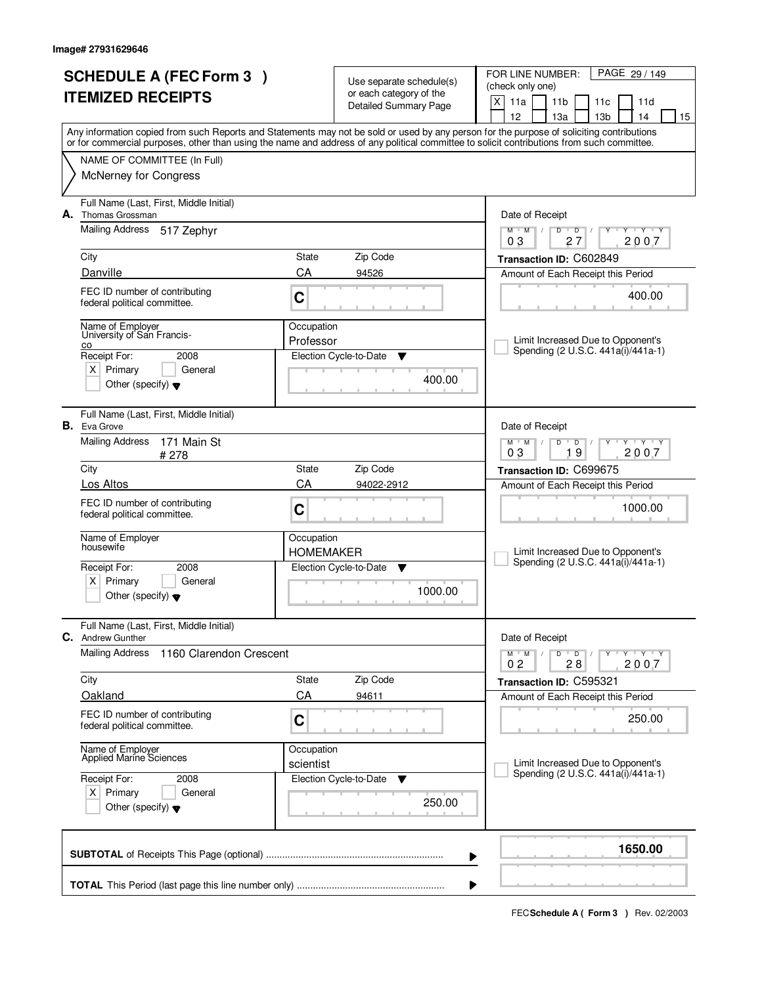| <b>SCHEDULE A (FEC Form 3)</b> |                                                                    |                         | Use separate schedule(s)                                | PAGE 29 / 149<br>FOR LINE NUMBER:<br>(check only one)                                                                                                                                                                                                                                   |
|--------------------------------|--------------------------------------------------------------------|-------------------------|---------------------------------------------------------|-----------------------------------------------------------------------------------------------------------------------------------------------------------------------------------------------------------------------------------------------------------------------------------------|
|                                | <b>ITEMIZED RECEIPTS</b>                                           |                         | or each category of the<br><b>Detailed Summary Page</b> | X<br>11a<br>11 <sub>b</sub><br>11c<br>11d                                                                                                                                                                                                                                               |
|                                |                                                                    |                         |                                                         | 12<br>13a<br>13 <sub>b</sub><br>14<br>15                                                                                                                                                                                                                                                |
|                                |                                                                    |                         |                                                         | Any information copied from such Reports and Statements may not be sold or used by any person for the purpose of soliciting contributions<br>or for commercial purposes, other than using the name and address of any political committee to solicit contributions from such committee. |
|                                | NAME OF COMMITTEE (In Full)                                        |                         |                                                         |                                                                                                                                                                                                                                                                                         |
|                                | <b>McNerney for Congress</b>                                       |                         |                                                         |                                                                                                                                                                                                                                                                                         |
| А.                             | Full Name (Last, First, Middle Initial)<br>Thomas Grossman         |                         |                                                         | Date of Receipt                                                                                                                                                                                                                                                                         |
|                                | <b>Mailing Address</b><br>517 Zephyr                               |                         |                                                         | $M$ $M$<br>$D$ $D$<br>$Y + Y + Y$<br>Y<br>$\sqrt{ }$<br>27<br>2007<br>03                                                                                                                                                                                                                |
|                                | City                                                               | State                   | Zip Code                                                | Transaction ID: C602849                                                                                                                                                                                                                                                                 |
|                                | Danville                                                           | CA                      | 94526                                                   | Amount of Each Receipt this Period                                                                                                                                                                                                                                                      |
|                                | FEC ID number of contributing<br>C<br>federal political committee. |                         |                                                         | 400.00                                                                                                                                                                                                                                                                                  |
|                                | Name of Employer                                                   | Occupation              |                                                         |                                                                                                                                                                                                                                                                                         |
|                                | University of San Francis-<br>co                                   | Professor               |                                                         | Limit Increased Due to Opponent's<br>Spending (2 U.S.C. 441a(i)/441a-1)                                                                                                                                                                                                                 |
|                                | Receipt For:<br>2008<br>$X$ Primary<br>General                     |                         | Election Cycle-to-Date<br>▼                             |                                                                                                                                                                                                                                                                                         |
|                                | Other (specify) $\blacktriangledown$                               |                         | 400.00                                                  |                                                                                                                                                                                                                                                                                         |
|                                | Full Name (Last, First, Middle Initial)<br><b>B.</b> Eva Grove     |                         |                                                         | Date of Receipt                                                                                                                                                                                                                                                                         |
|                                | <b>Mailing Address</b><br>171 Main St<br>#278                      |                         |                                                         | $M$ $M$ /<br>$T - Y - T Y$<br>D<br>$\overline{D}$<br>19<br>2007<br>03                                                                                                                                                                                                                   |
|                                | City                                                               | <b>State</b>            | Zip Code                                                | Transaction ID: C699675                                                                                                                                                                                                                                                                 |
|                                | Los Altos                                                          | CA                      | 94022-2912                                              | Amount of Each Receipt this Period                                                                                                                                                                                                                                                      |
|                                | FEC ID number of contributing<br>federal political committee.      | C                       |                                                         | 1000.00                                                                                                                                                                                                                                                                                 |
|                                | Name of Employer<br>housewife                                      | Occupation              |                                                         | Limit Increased Due to Opponent's                                                                                                                                                                                                                                                       |
|                                | Receipt For:<br>2008                                               | <b>HOMEMAKER</b>        | Election Cycle-to-Date<br>▼                             | Spending (2 U.S.C. 441a(i)/441a-1)                                                                                                                                                                                                                                                      |
|                                | $X$ Primary<br>General<br>Other (specify) $\blacktriangledown$     |                         | 1000.00                                                 |                                                                                                                                                                                                                                                                                         |
|                                | Full Name (Last, First, Middle Initial)<br>C. Andrew Gunther       |                         |                                                         | Date of Receipt                                                                                                                                                                                                                                                                         |
|                                | <b>Mailing Address</b><br>1160 Clarendon Crescent                  |                         |                                                         | $\mathsf D$<br>$M$ $M$ /<br>$\overline{\phantom{0}}$ D $\overline{\phantom{0}}$ /<br>$Y - Y - Y$<br>Υ                                                                                                                                                                                   |
|                                | City                                                               | State                   | Zip Code                                                | 0 <sub>2</sub><br>28<br>2007<br>Transaction ID: C595321                                                                                                                                                                                                                                 |
|                                | Oakland                                                            | CA                      | 94611                                                   | Amount of Each Receipt this Period                                                                                                                                                                                                                                                      |
|                                | FEC ID number of contributing<br>federal political committee.      | C                       |                                                         | 250.00                                                                                                                                                                                                                                                                                  |
|                                | Name of Employer<br>Applied Marine Sciences                        | Occupation<br>scientist |                                                         | Limit Increased Due to Opponent's                                                                                                                                                                                                                                                       |
|                                | Receipt For:<br>2008                                               |                         | Election Cycle-to-Date<br>v                             | Spending (2 U.S.C. 441a(i)/441a-1)                                                                                                                                                                                                                                                      |
|                                | $X$ Primary<br>General<br>Other (specify) $\blacktriangledown$     |                         | 250.00                                                  |                                                                                                                                                                                                                                                                                         |
|                                |                                                                    |                         |                                                         | 1650.00<br>▶                                                                                                                                                                                                                                                                            |
|                                |                                                                    |                         |                                                         |                                                                                                                                                                                                                                                                                         |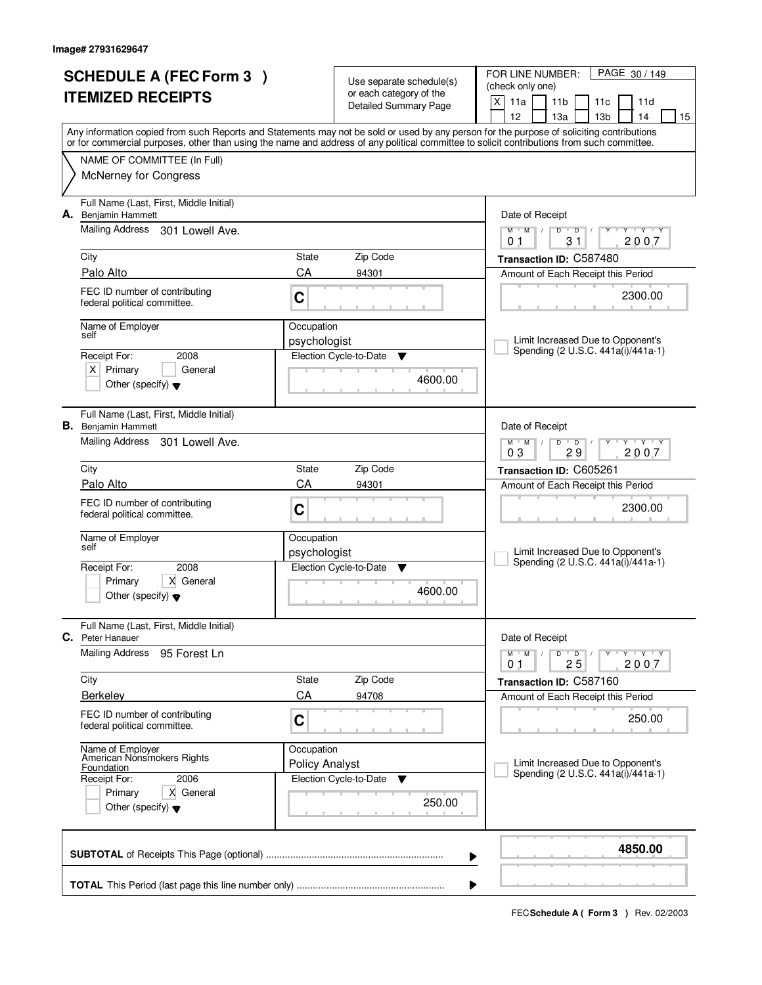| <b>SCHEDULE A (FEC Form 3)</b><br><b>ITEMIZED RECEIPTS</b> |                                                                                                          |                                     | Use separate schedule(s)<br>or each category of the<br><b>Detailed Summary Page</b> | PAGE 30 / 149<br>FOR LINE NUMBER:<br>(check only one)<br>X<br>11a<br>11 <sub>b</sub><br>11d<br>11c                                                                                                                                                                                                                                  |  |  |  |
|------------------------------------------------------------|----------------------------------------------------------------------------------------------------------|-------------------------------------|-------------------------------------------------------------------------------------|-------------------------------------------------------------------------------------------------------------------------------------------------------------------------------------------------------------------------------------------------------------------------------------------------------------------------------------|--|--|--|
|                                                            |                                                                                                          |                                     |                                                                                     | 12<br>13a<br>13 <sub>b</sub><br>14<br>15<br>Any information copied from such Reports and Statements may not be sold or used by any person for the purpose of soliciting contributions<br>or for commercial purposes, other than using the name and address of any political committee to solicit contributions from such committee. |  |  |  |
|                                                            | NAME OF COMMITTEE (In Full)<br>McNerney for Congress                                                     |                                     |                                                                                     |                                                                                                                                                                                                                                                                                                                                     |  |  |  |
|                                                            | Full Name (Last, First, Middle Initial)<br>A. Benjamin Hammett<br>Mailing Address 301 Lowell Ave.        |                                     |                                                                                     | Date of Receipt<br>$T$ $Y$ $T$ $Y$<br>$M$ $M$ /<br>D<br>$\overline{D}$<br>Y                                                                                                                                                                                                                                                         |  |  |  |
|                                                            |                                                                                                          |                                     |                                                                                     | 2007<br>31<br>01                                                                                                                                                                                                                                                                                                                    |  |  |  |
|                                                            | City<br>Palo Alto                                                                                        | State<br>CA                         | Zip Code<br>94301                                                                   | Transaction ID: C587480<br>Amount of Each Receipt this Period                                                                                                                                                                                                                                                                       |  |  |  |
|                                                            | FEC ID number of contributing<br>federal political committee.                                            | C                                   |                                                                                     | 2300.00                                                                                                                                                                                                                                                                                                                             |  |  |  |
|                                                            | Name of Employer<br>self                                                                                 | Occupation<br>psychologist          |                                                                                     | Limit Increased Due to Opponent's                                                                                                                                                                                                                                                                                                   |  |  |  |
|                                                            | Receipt For:<br>2008<br>$X$ Primary<br>General<br>Other (specify) $\blacktriangledown$                   |                                     | Election Cycle-to-Date<br>▼<br>4600.00                                              | Spending (2 U.S.C. 441a(i)/441a-1)                                                                                                                                                                                                                                                                                                  |  |  |  |
|                                                            | Full Name (Last, First, Middle Initial)<br><b>B.</b> Benjamin Hammett<br>Mailing Address 301 Lowell Ave. |                                     |                                                                                     | Date of Receipt<br>$T$ $Y$ $T$ $Y$<br>$M$ $M$ /<br>D<br>$\overline{D}$                                                                                                                                                                                                                                                              |  |  |  |
|                                                            | City                                                                                                     | State                               | Zip Code                                                                            | 29<br>2007<br>03                                                                                                                                                                                                                                                                                                                    |  |  |  |
|                                                            | Palo Alto                                                                                                | CA                                  | 94301                                                                               | Transaction ID: C605261<br>Amount of Each Receipt this Period                                                                                                                                                                                                                                                                       |  |  |  |
|                                                            | FEC ID number of contributing<br>federal political committee.                                            | C                                   |                                                                                     | 2300.00                                                                                                                                                                                                                                                                                                                             |  |  |  |
|                                                            | Name of Employer<br>self                                                                                 | Occupation<br>psychologist          |                                                                                     | Limit Increased Due to Opponent's                                                                                                                                                                                                                                                                                                   |  |  |  |
|                                                            | Receipt For:<br>2008<br>Primary<br>X General<br>Other (specify) $\blacktriangledown$                     |                                     | Election Cycle-to-Date<br>v<br>4600.00                                              | Spending (2 U.S.C. 441a(i)/441a-1)                                                                                                                                                                                                                                                                                                  |  |  |  |
| C.                                                         | Full Name (Last, First, Middle Initial)<br>Peter Hanauer                                                 |                                     |                                                                                     | Date of Receipt                                                                                                                                                                                                                                                                                                                     |  |  |  |
|                                                            | Mailing Address<br>95 Forest Ln                                                                          |                                     |                                                                                     | TEY TEY<br>$M$ <sup><math>+</math></sup><br>M<br>D<br>$\overline{D}$<br>2007<br>25<br>01                                                                                                                                                                                                                                            |  |  |  |
|                                                            | City                                                                                                     | State                               | Zip Code                                                                            | Transaction ID: C587160                                                                                                                                                                                                                                                                                                             |  |  |  |
|                                                            | <b>Berkelev</b>                                                                                          | CA                                  | 94708                                                                               | Amount of Each Receipt this Period                                                                                                                                                                                                                                                                                                  |  |  |  |
|                                                            | FEC ID number of contributing<br>federal political committee.                                            | C                                   |                                                                                     | 250.00                                                                                                                                                                                                                                                                                                                              |  |  |  |
|                                                            | Name of Employer<br>American Nonsmokers Rights<br>Foundation<br>2006<br>Receipt For:                     | Occupation<br><b>Policy Analyst</b> | Election Cycle-to-Date<br>▼                                                         | Limit Increased Due to Opponent's<br>Spending (2 U.S.C. 441a(i)/441a-1)                                                                                                                                                                                                                                                             |  |  |  |
|                                                            | Primary<br>X General<br>Other (specify) $\blacktriangledown$                                             |                                     | 250.00                                                                              |                                                                                                                                                                                                                                                                                                                                     |  |  |  |
|                                                            |                                                                                                          |                                     | ▶                                                                                   | 4850.00                                                                                                                                                                                                                                                                                                                             |  |  |  |
|                                                            | ▶                                                                                                        |                                     |                                                                                     |                                                                                                                                                                                                                                                                                                                                     |  |  |  |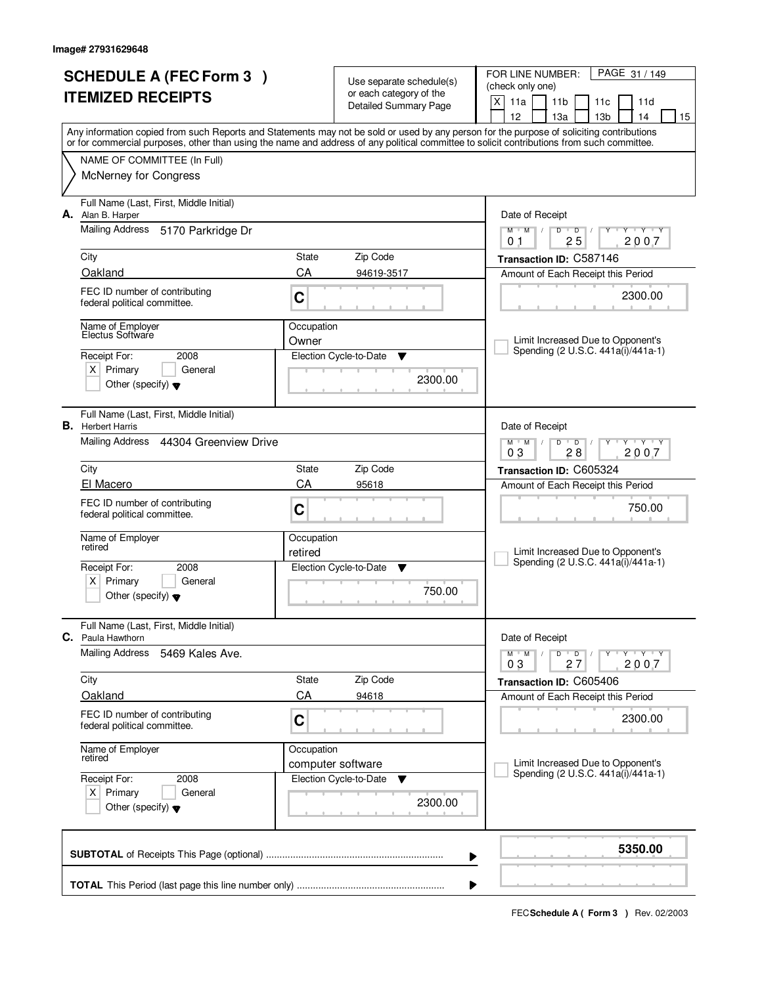| <b>SCHEDULE A (FEC Form 3)</b><br><b>ITEMIZED RECEIPTS</b> |                                                                                        |            | Use separate schedule(s)<br>or each category of the<br><b>Detailed Summary Page</b> | PAGE 31 / 149<br>FOR LINE NUMBER:<br>(check only one)<br>$\mathsf{X}$<br>11a<br>11 <sub>b</sub><br>11c<br>11d<br>12<br>13a<br>13 <sub>b</sub><br>14<br>15                                                                                                                               |
|------------------------------------------------------------|----------------------------------------------------------------------------------------|------------|-------------------------------------------------------------------------------------|-----------------------------------------------------------------------------------------------------------------------------------------------------------------------------------------------------------------------------------------------------------------------------------------|
|                                                            |                                                                                        |            |                                                                                     | Any information copied from such Reports and Statements may not be sold or used by any person for the purpose of soliciting contributions<br>or for commercial purposes, other than using the name and address of any political committee to solicit contributions from such committee. |
|                                                            | NAME OF COMMITTEE (In Full)<br><b>McNerney for Congress</b>                            |            |                                                                                     |                                                                                                                                                                                                                                                                                         |
|                                                            | Full Name (Last, First, Middle Initial)<br>A. Alan B. Harper                           |            |                                                                                     | Date of Receipt                                                                                                                                                                                                                                                                         |
|                                                            | <b>Mailing Address</b><br>5170 Parkridge Dr                                            |            |                                                                                     | $Y + Y + Y$<br>$M$ $M$<br>$D$ $D$<br>$\sqrt{ }$<br>Y<br>25<br>2007<br>0 <sub>1</sub>                                                                                                                                                                                                    |
|                                                            | City                                                                                   | State      | Zip Code                                                                            | Transaction ID: C587146                                                                                                                                                                                                                                                                 |
|                                                            | Oakland                                                                                | CA         | 94619-3517                                                                          | Amount of Each Receipt this Period                                                                                                                                                                                                                                                      |
|                                                            | FEC ID number of contributing<br>federal political committee.                          | C          |                                                                                     | 2300.00                                                                                                                                                                                                                                                                                 |
|                                                            | Name of Employer<br>Electus Software                                                   | Occupation |                                                                                     |                                                                                                                                                                                                                                                                                         |
|                                                            | Receipt For:<br>2008                                                                   | Owner      | Election Cycle-to-Date<br>▼                                                         | Limit Increased Due to Opponent's<br>Spending (2 U.S.C. 441a(i)/441a-1)                                                                                                                                                                                                                 |
|                                                            | $X$ Primary<br>General<br>Other (specify) $\blacktriangledown$                         |            | 2300.00                                                                             |                                                                                                                                                                                                                                                                                         |
|                                                            | Full Name (Last, First, Middle Initial)<br><b>B.</b> Herbert Harris                    |            |                                                                                     | Date of Receipt                                                                                                                                                                                                                                                                         |
|                                                            | Mailing Address<br>44304 Greenview Drive                                               |            |                                                                                     | $M$ M<br>D<br>$\overline{D}$<br>$T$ $Y$ $T$ $Y$<br>28<br>2007<br>03                                                                                                                                                                                                                     |
|                                                            | City                                                                                   | State      | Zip Code                                                                            | Transaction ID: C605324                                                                                                                                                                                                                                                                 |
|                                                            | El Macero                                                                              | CA         | 95618                                                                               | Amount of Each Receipt this Period                                                                                                                                                                                                                                                      |
|                                                            | FEC ID number of contributing<br>federal political committee.                          | C          |                                                                                     | 750.00                                                                                                                                                                                                                                                                                  |
|                                                            | Name of Employer<br>retired                                                            | Occupation |                                                                                     | Limit Increased Due to Opponent's                                                                                                                                                                                                                                                       |
|                                                            | Receipt For:<br>2008                                                                   | retired    | Election Cycle-to-Date<br>▼                                                         | Spending (2 U.S.C. 441a(i)/441a-1)                                                                                                                                                                                                                                                      |
|                                                            | Primary<br>$X \mid$<br>General<br>Other (specify) $\blacktriangledown$                 |            | 750.00                                                                              |                                                                                                                                                                                                                                                                                         |
|                                                            | Full Name (Last, First, Middle Initial)<br><b>C.</b> Paula Hawthorn                    |            |                                                                                     | Date of Receipt                                                                                                                                                                                                                                                                         |
|                                                            | <b>Mailing Address</b><br>5469 Kales Ave.                                              |            |                                                                                     | $M$ $M$ /<br>D<br>$\overline{D}$<br>Y Y Y Y<br>2007<br>03<br>27                                                                                                                                                                                                                         |
|                                                            | City                                                                                   | State      | Zip Code                                                                            | Transaction ID: C605406                                                                                                                                                                                                                                                                 |
|                                                            | Oakland                                                                                | CA         | 94618                                                                               | Amount of Each Receipt this Period                                                                                                                                                                                                                                                      |
|                                                            | FEC ID number of contributing<br>federal political committee.                          | C          |                                                                                     | 2300.00                                                                                                                                                                                                                                                                                 |
|                                                            | Name of Employer<br>retired                                                            | Occupation |                                                                                     | Limit Increased Due to Opponent's                                                                                                                                                                                                                                                       |
|                                                            | Receipt For:<br>2008<br>$X$ Primary<br>General<br>Other (specify) $\blacktriangledown$ |            | computer software<br>Election Cycle-to-Date<br>▼<br>2300.00                         | Spending (2 U.S.C. 441a(i)/441a-1)                                                                                                                                                                                                                                                      |
|                                                            |                                                                                        |            |                                                                                     | 5350.00<br>▶                                                                                                                                                                                                                                                                            |
|                                                            |                                                                                        |            |                                                                                     |                                                                                                                                                                                                                                                                                         |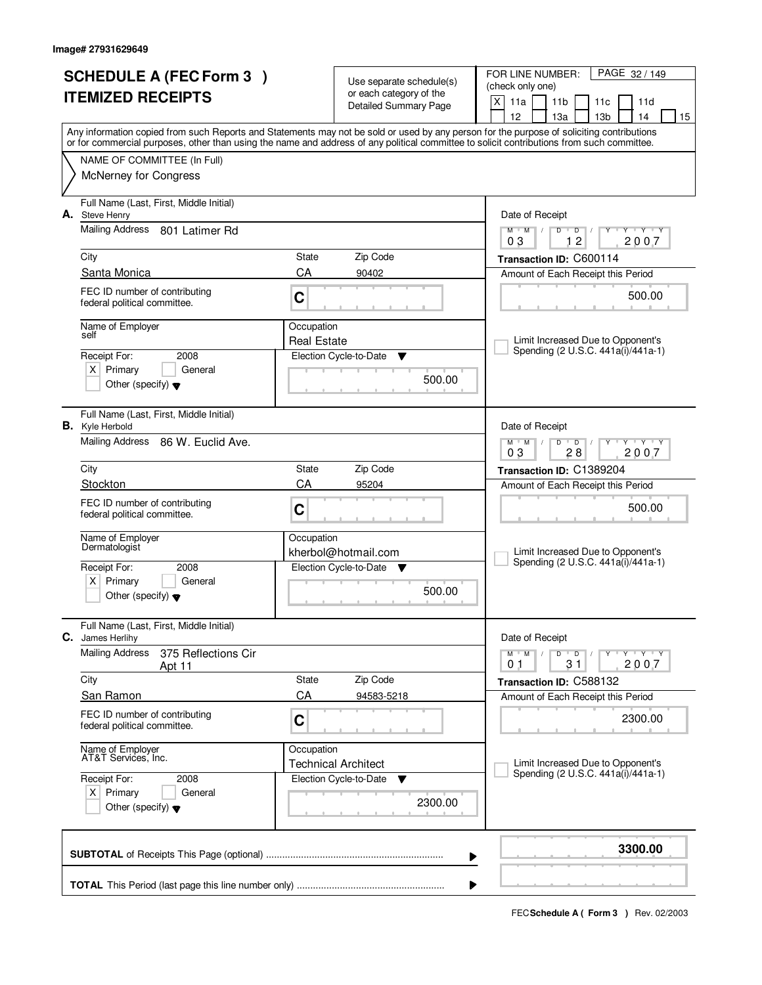| <b>SCHEDULE A (FEC Form 3)</b><br><b>ITEMIZED RECEIPTS</b> |                                                                                        |                    | Use separate schedule(s)<br>or each category of the<br><b>Detailed Summary Page</b> | PAGE 32 / 149<br>FOR LINE NUMBER:<br>(check only one)<br>X<br>11a<br>11 <sub>b</sub><br>11c<br>11d                                                                                                                                                                                                                                  |
|------------------------------------------------------------|----------------------------------------------------------------------------------------|--------------------|-------------------------------------------------------------------------------------|-------------------------------------------------------------------------------------------------------------------------------------------------------------------------------------------------------------------------------------------------------------------------------------------------------------------------------------|
|                                                            |                                                                                        |                    |                                                                                     | 12<br>13a<br>13 <sub>b</sub><br>14<br>15<br>Any information copied from such Reports and Statements may not be sold or used by any person for the purpose of soliciting contributions<br>or for commercial purposes, other than using the name and address of any political committee to solicit contributions from such committee. |
|                                                            | NAME OF COMMITTEE (In Full)<br><b>McNerney for Congress</b>                            |                    |                                                                                     |                                                                                                                                                                                                                                                                                                                                     |
| А.                                                         | Full Name (Last, First, Middle Initial)<br>Steve Henry                                 |                    |                                                                                     | Date of Receipt                                                                                                                                                                                                                                                                                                                     |
|                                                            | Mailing Address 801 Latimer Rd                                                         |                    |                                                                                     | $Y$ $Y$ $Y$<br>$M$ $M$ /<br>$D$ $D$<br>Y<br>$\mathbb{L}$<br>12<br>2007<br>03                                                                                                                                                                                                                                                        |
|                                                            | City                                                                                   | State              | Zip Code                                                                            | Transaction ID: C600114                                                                                                                                                                                                                                                                                                             |
|                                                            | Santa Monica                                                                           | CA                 | 90402                                                                               | Amount of Each Receipt this Period                                                                                                                                                                                                                                                                                                  |
|                                                            | FEC ID number of contributing<br>federal political committee.                          | C                  |                                                                                     | 500.00                                                                                                                                                                                                                                                                                                                              |
|                                                            | Name of Employer                                                                       | Occupation         |                                                                                     |                                                                                                                                                                                                                                                                                                                                     |
|                                                            | self                                                                                   | <b>Real Estate</b> |                                                                                     | Limit Increased Due to Opponent's<br>Spending (2 U.S.C. 441a(i)/441a-1)                                                                                                                                                                                                                                                             |
|                                                            | 2008<br>Receipt For:                                                                   |                    | Election Cycle-to-Date<br>▼                                                         |                                                                                                                                                                                                                                                                                                                                     |
|                                                            | $X$ Primary<br>General<br>Other (specify) $\blacktriangledown$                         |                    | 500.00                                                                              |                                                                                                                                                                                                                                                                                                                                     |
|                                                            | Full Name (Last, First, Middle Initial)<br><b>B.</b> Kyle Herbold                      |                    |                                                                                     | Date of Receipt                                                                                                                                                                                                                                                                                                                     |
|                                                            | Mailing Address 86 W. Euclid Ave.                                                      |                    |                                                                                     | $M$ $M$ $/$<br><b>TAY TAY</b><br>D<br>$\overline{D}$<br>Y<br>28<br>2007<br>03                                                                                                                                                                                                                                                       |
|                                                            | City                                                                                   | State              | Zip Code                                                                            | Transaction ID: C1389204                                                                                                                                                                                                                                                                                                            |
|                                                            | Stockton                                                                               | CA                 | 95204                                                                               | Amount of Each Receipt this Period                                                                                                                                                                                                                                                                                                  |
|                                                            | FEC ID number of contributing<br>federal political committee.                          | C                  |                                                                                     | 500.00                                                                                                                                                                                                                                                                                                                              |
|                                                            | Name of Employer<br>Dermatologist                                                      | Occupation         | kherbol@hotmail.com                                                                 | Limit Increased Due to Opponent's                                                                                                                                                                                                                                                                                                   |
|                                                            | Receipt For:<br>2008                                                                   |                    | Election Cycle-to-Date<br><b>V</b>                                                  | Spending (2 U.S.C. 441a(i)/441a-1)                                                                                                                                                                                                                                                                                                  |
|                                                            | $\times$<br>Primary<br>General<br>Other (specify) $\blacktriangledown$                 |                    | 500.00                                                                              |                                                                                                                                                                                                                                                                                                                                     |
| С.                                                         | Full Name (Last, First, Middle Initial)<br>James Herlihy                               |                    |                                                                                     | Date of Receipt                                                                                                                                                                                                                                                                                                                     |
|                                                            | <b>Mailing Address</b><br>375 Reflections Cir<br>Apt 11                                |                    |                                                                                     | $D$ $D$<br>$M$ $M$ $/$<br>Y Y Y Y<br>31<br>2007<br>01                                                                                                                                                                                                                                                                               |
|                                                            | City                                                                                   | State              | Zip Code                                                                            | Transaction ID: C588132                                                                                                                                                                                                                                                                                                             |
|                                                            | San Ramon                                                                              | CA                 | 94583-5218                                                                          | Amount of Each Receipt this Period                                                                                                                                                                                                                                                                                                  |
|                                                            | FEC ID number of contributing<br>federal political committee.                          | C                  |                                                                                     | 2300.00                                                                                                                                                                                                                                                                                                                             |
|                                                            | Name of Employer<br>AT&T Services, Inc.                                                | Occupation         | <b>Technical Architect</b>                                                          | Limit Increased Due to Opponent's                                                                                                                                                                                                                                                                                                   |
|                                                            | Receipt For:<br>2008<br>$X$ Primary<br>General<br>Other (specify) $\blacktriangledown$ |                    | Election Cycle-to-Date<br>v<br>2300.00                                              | Spending (2 U.S.C. 441a(i)/441a-1)                                                                                                                                                                                                                                                                                                  |
|                                                            |                                                                                        |                    |                                                                                     | 3300.00<br>▶                                                                                                                                                                                                                                                                                                                        |
|                                                            |                                                                                        |                    |                                                                                     |                                                                                                                                                                                                                                                                                                                                     |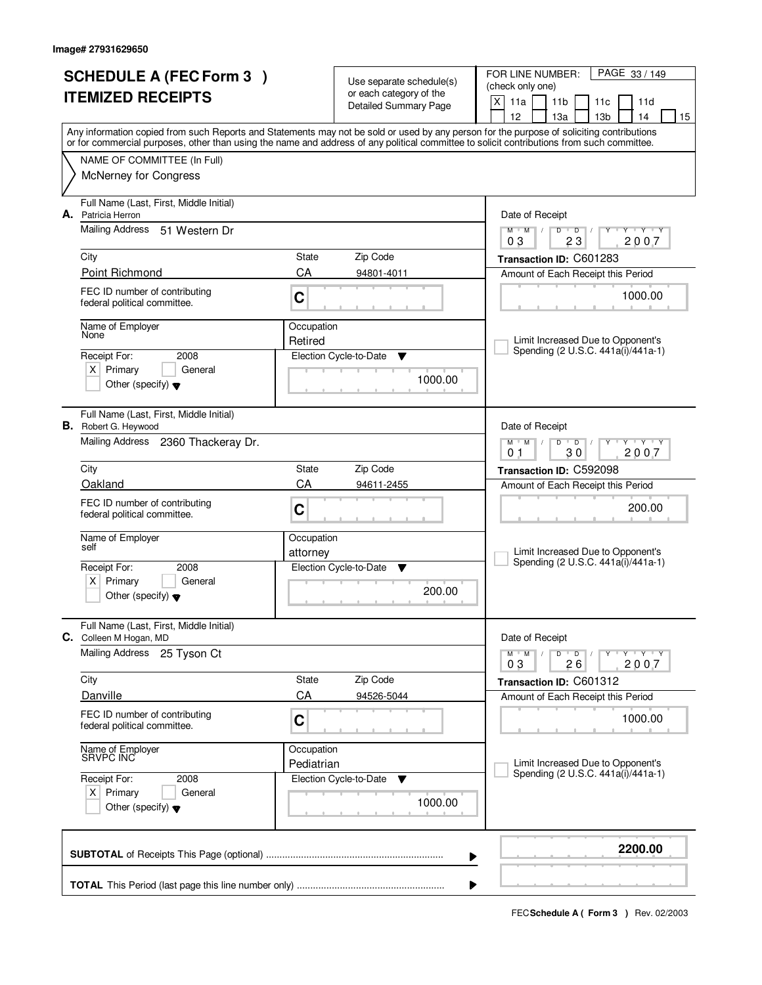|                          | <b>SCHEDULE A (FEC Form 3)</b>                                         |            |                                                     | PAGE 33 / 149<br>FOR LINE NUMBER:                                                                                                                                                     |  |  |  |
|--------------------------|------------------------------------------------------------------------|------------|-----------------------------------------------------|---------------------------------------------------------------------------------------------------------------------------------------------------------------------------------------|--|--|--|
| <b>ITEMIZED RECEIPTS</b> |                                                                        |            | Use separate schedule(s)<br>or each category of the | (check only one)                                                                                                                                                                      |  |  |  |
|                          |                                                                        |            | <b>Detailed Summary Page</b>                        | X<br>11a<br>11 <sub>b</sub><br>11c<br>11d                                                                                                                                             |  |  |  |
|                          |                                                                        |            |                                                     | 12<br>13 <sub>b</sub><br>13a<br>14<br>15<br>Any information copied from such Reports and Statements may not be sold or used by any person for the purpose of soliciting contributions |  |  |  |
|                          |                                                                        |            |                                                     | or for commercial purposes, other than using the name and address of any political committee to solicit contributions from such committee.                                            |  |  |  |
|                          | NAME OF COMMITTEE (In Full)                                            |            |                                                     |                                                                                                                                                                                       |  |  |  |
|                          | McNerney for Congress                                                  |            |                                                     |                                                                                                                                                                                       |  |  |  |
| А.                       | Full Name (Last, First, Middle Initial)<br>Patricia Herron             |            |                                                     | Date of Receipt                                                                                                                                                                       |  |  |  |
|                          | Mailing Address<br>51 Western Dr                                       |            |                                                     | $\overline{D}$<br><b>TEXTER</b><br>$M$ <sup>U</sup><br>M<br>$\sqrt{2}$<br>D<br>Y<br>2007<br>03<br>23                                                                                  |  |  |  |
|                          | City                                                                   | State      | Zip Code                                            | Transaction ID: C601283                                                                                                                                                               |  |  |  |
|                          | Point Richmond                                                         | CA         | 94801-4011                                          | Amount of Each Receipt this Period                                                                                                                                                    |  |  |  |
|                          | FEC ID number of contributing<br>federal political committee.          | C          |                                                     | 1000.00                                                                                                                                                                               |  |  |  |
|                          | Name of Employer                                                       | Occupation |                                                     |                                                                                                                                                                                       |  |  |  |
|                          | None                                                                   | Retired    |                                                     | Limit Increased Due to Opponent's<br>Spending (2 U.S.C. 441a(i)/441a-1)                                                                                                               |  |  |  |
|                          | Receipt For:<br>2008                                                   |            | Election Cycle-to-Date<br>Y                         |                                                                                                                                                                                       |  |  |  |
|                          | $X$ Primary<br>General<br>Other (specify) $\blacktriangledown$         |            | 1000.00                                             |                                                                                                                                                                                       |  |  |  |
|                          | Full Name (Last, First, Middle Initial)<br><b>B.</b> Robert G. Heywood |            |                                                     | Date of Receipt                                                                                                                                                                       |  |  |  |
|                          | Mailing Address 2360 Thackeray Dr.                                     |            |                                                     | $M$ $M$ /<br>D<br>$\overline{D}$<br>$-\mathbf{y} + \mathbf{y}$<br>Y<br>30<br>2007<br>0 <sub>1</sub>                                                                                   |  |  |  |
|                          | City                                                                   | State      | Zip Code                                            | Transaction ID: C592098                                                                                                                                                               |  |  |  |
|                          | Oakland                                                                | CA         | 94611-2455                                          | Amount of Each Receipt this Period                                                                                                                                                    |  |  |  |
|                          | FEC ID number of contributing<br>federal political committee.          | C          |                                                     | 200.00                                                                                                                                                                                |  |  |  |
|                          | Name of Employer<br>self                                               | Occupation |                                                     |                                                                                                                                                                                       |  |  |  |
|                          |                                                                        | attorney   |                                                     | Limit Increased Due to Opponent's<br>Spending (2 U.S.C. 441a(i)/441a-1)                                                                                                               |  |  |  |
|                          | Receipt For:<br>2008<br>Primary<br>General                             |            | Election Cycle-to-Date<br><b>V</b>                  |                                                                                                                                                                                       |  |  |  |
|                          | $X \mid$<br>Other (specify) $\blacktriangledown$                       |            | 200.00                                              |                                                                                                                                                                                       |  |  |  |
| С.                       | Full Name (Last, First, Middle Initial)<br>Colleen M Hogan, MD         |            |                                                     | Date of Receipt                                                                                                                                                                       |  |  |  |
|                          | <b>Mailing Address</b><br>25 Tyson Ct                                  |            |                                                     | D<br>$M$ $M$ /<br>$\overline{D}$<br>$Y$ $Y$ $Y$ $Y$<br>26<br>2007<br>03                                                                                                               |  |  |  |
|                          | City                                                                   | State      | Zip Code                                            | Transaction ID: C601312                                                                                                                                                               |  |  |  |
|                          | Danville                                                               | CA         | 94526-5044                                          | Amount of Each Receipt this Period                                                                                                                                                    |  |  |  |
|                          | FEC ID number of contributing<br>federal political committee.          | C          |                                                     | 1000.00                                                                                                                                                                               |  |  |  |
|                          | Name of Employer<br>SRVPC INC                                          | Occupation |                                                     |                                                                                                                                                                                       |  |  |  |
|                          |                                                                        | Pediatrian |                                                     | Limit Increased Due to Opponent's<br>Spending (2 U.S.C. 441a(i)/441a-1)                                                                                                               |  |  |  |
|                          | Receipt For:<br>2008<br>$X$ Primary<br>General                         |            | Election Cycle-to-Date<br>v                         |                                                                                                                                                                                       |  |  |  |
|                          | Other (specify) $\blacktriangledown$                                   |            | 1000.00                                             |                                                                                                                                                                                       |  |  |  |
|                          |                                                                        |            |                                                     | 2200.00<br>▶                                                                                                                                                                          |  |  |  |
|                          |                                                                        |            |                                                     |                                                                                                                                                                                       |  |  |  |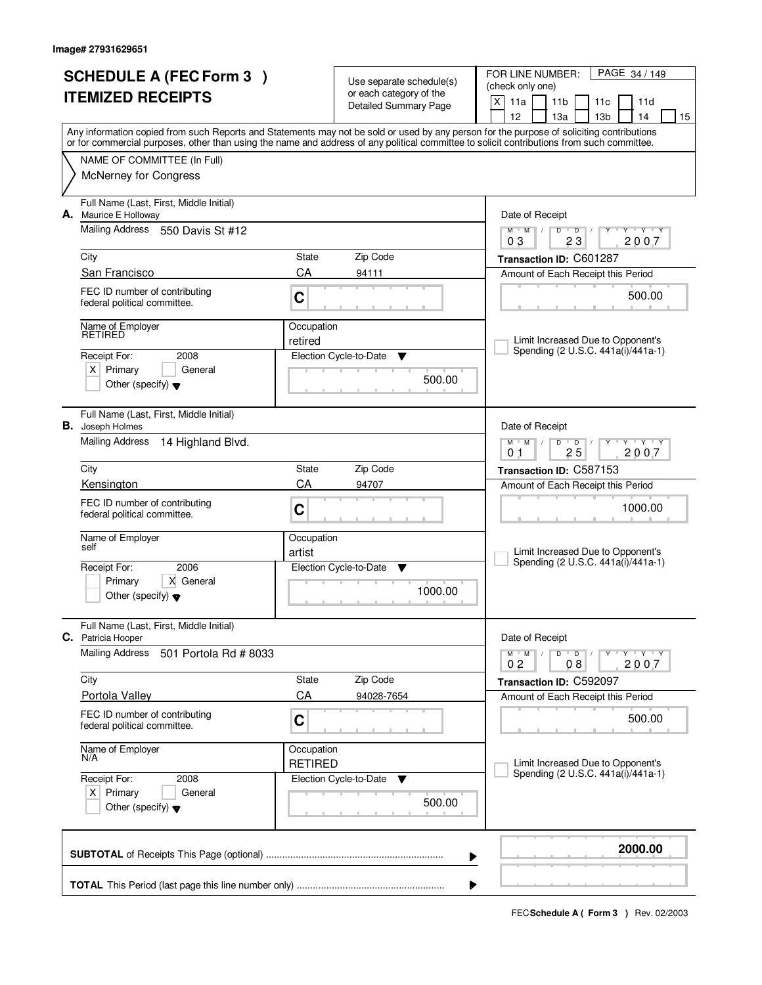|                          | <b>SCHEDULE A (FEC Form 3)</b>                                |                       |                                                     | PAGE 34 / 149<br>FOR LINE NUMBER:                                                                                                                                                                                                                                                       |  |
|--------------------------|---------------------------------------------------------------|-----------------------|-----------------------------------------------------|-----------------------------------------------------------------------------------------------------------------------------------------------------------------------------------------------------------------------------------------------------------------------------------------|--|
| <b>ITEMIZED RECEIPTS</b> |                                                               |                       | Use separate schedule(s)<br>or each category of the | (check only one)                                                                                                                                                                                                                                                                        |  |
|                          |                                                               |                       | <b>Detailed Summary Page</b>                        | X<br>11a<br>11 <sub>b</sub><br>11c<br>11d                                                                                                                                                                                                                                               |  |
|                          |                                                               |                       |                                                     | 12<br>13 <sub>b</sub><br>13a<br>14<br>15                                                                                                                                                                                                                                                |  |
|                          |                                                               |                       |                                                     | Any information copied from such Reports and Statements may not be sold or used by any person for the purpose of soliciting contributions<br>or for commercial purposes, other than using the name and address of any political committee to solicit contributions from such committee. |  |
|                          | NAME OF COMMITTEE (In Full)                                   |                       |                                                     |                                                                                                                                                                                                                                                                                         |  |
|                          | <b>McNerney for Congress</b>                                  |                       |                                                     |                                                                                                                                                                                                                                                                                         |  |
|                          |                                                               |                       |                                                     |                                                                                                                                                                                                                                                                                         |  |
|                          | Full Name (Last, First, Middle Initial)                       |                       |                                                     |                                                                                                                                                                                                                                                                                         |  |
| А.                       | Maurice E Holloway                                            |                       |                                                     | Date of Receipt                                                                                                                                                                                                                                                                         |  |
|                          | <b>Mailing Address</b><br>550 Davis St #12                    |                       |                                                     | $Y - Y - Y$<br>$M$ $M$ /<br>D<br>$\overline{D}$<br>2007<br>03<br>23                                                                                                                                                                                                                     |  |
|                          | City                                                          | State                 | Zip Code                                            | Transaction ID: C601287                                                                                                                                                                                                                                                                 |  |
|                          | San Francisco                                                 | CA                    | 94111                                               | Amount of Each Receipt this Period                                                                                                                                                                                                                                                      |  |
|                          | FEC ID number of contributing                                 |                       |                                                     |                                                                                                                                                                                                                                                                                         |  |
|                          | federal political committee.                                  | C                     |                                                     | 500.00                                                                                                                                                                                                                                                                                  |  |
|                          |                                                               |                       |                                                     |                                                                                                                                                                                                                                                                                         |  |
|                          | Name of Employer<br>RETIRED                                   | Occupation<br>retired |                                                     | Limit Increased Due to Opponent's                                                                                                                                                                                                                                                       |  |
|                          | Receipt For:<br>2008                                          |                       | Election Cycle-to-Date<br>Y                         | Spending (2 U.S.C. 441a(i)/441a-1)                                                                                                                                                                                                                                                      |  |
|                          | $X$ Primary<br>General                                        |                       |                                                     |                                                                                                                                                                                                                                                                                         |  |
|                          | Other (specify) $\blacktriangledown$                          |                       | 500.00                                              |                                                                                                                                                                                                                                                                                         |  |
|                          |                                                               |                       |                                                     |                                                                                                                                                                                                                                                                                         |  |
|                          | Full Name (Last, First, Middle Initial)                       |                       |                                                     |                                                                                                                                                                                                                                                                                         |  |
| В.                       | Joseph Holmes                                                 |                       |                                                     | Date of Receipt                                                                                                                                                                                                                                                                         |  |
|                          | Mailing Address<br>14 Highland Blvd.                          |                       |                                                     | <b>TEXTEY</b><br>$M$ $M$ /<br>D<br>$\overline{D}$<br>25<br>2007<br>0 <sub>1</sub>                                                                                                                                                                                                       |  |
|                          | City                                                          | State                 | Zip Code                                            | Transaction ID: C587153                                                                                                                                                                                                                                                                 |  |
|                          | Kensington                                                    | CA                    | 94707                                               | Amount of Each Receipt this Period                                                                                                                                                                                                                                                      |  |
|                          |                                                               |                       |                                                     |                                                                                                                                                                                                                                                                                         |  |
|                          | FEC ID number of contributing<br>federal political committee. | C                     |                                                     | 1000.00                                                                                                                                                                                                                                                                                 |  |
|                          |                                                               |                       |                                                     |                                                                                                                                                                                                                                                                                         |  |
|                          | Name of Employer<br>self                                      | Occupation<br>artist  |                                                     | Limit Increased Due to Opponent's                                                                                                                                                                                                                                                       |  |
|                          | 2006<br>Receipt For:                                          |                       | Election Cycle-to-Date<br>v                         | Spending (2 U.S.C. 441a(i)/441a-1)                                                                                                                                                                                                                                                      |  |
|                          | Primary<br>X General                                          |                       |                                                     |                                                                                                                                                                                                                                                                                         |  |
|                          | Other (specify) $\blacktriangledown$                          |                       | 1000.00                                             |                                                                                                                                                                                                                                                                                         |  |
|                          |                                                               |                       |                                                     |                                                                                                                                                                                                                                                                                         |  |
|                          | Full Name (Last, First, Middle Initial)                       |                       |                                                     |                                                                                                                                                                                                                                                                                         |  |
|                          | C. Patricia Hooper                                            |                       |                                                     | Date of Receipt                                                                                                                                                                                                                                                                         |  |
|                          | <b>Mailing Address</b><br>501 Portola Rd # 8033               |                       |                                                     | $D$ $D$ $/$<br>$M$ $M$ /<br>$\mathsf{Y} \dashv \mathsf{Y} \dashv \mathsf{Y}$<br>2007<br>08<br>02                                                                                                                                                                                        |  |
|                          | City                                                          | State                 | Zip Code                                            | Transaction ID: C592097                                                                                                                                                                                                                                                                 |  |
|                          | <b>Portola Valley</b>                                         | CA                    | 94028-7654                                          | Amount of Each Receipt this Period                                                                                                                                                                                                                                                      |  |
|                          | FEC ID number of contributing                                 |                       |                                                     |                                                                                                                                                                                                                                                                                         |  |
|                          | federal political committee.                                  | $\mathbf C$           |                                                     | 500.00                                                                                                                                                                                                                                                                                  |  |
|                          | Name of Employer                                              | Occupation            |                                                     |                                                                                                                                                                                                                                                                                         |  |
|                          | N/A                                                           | <b>RETIRED</b>        |                                                     | Limit Increased Due to Opponent's                                                                                                                                                                                                                                                       |  |
|                          | Receipt For:<br>2008                                          |                       | Election Cycle-to-Date<br>v                         | Spending (2 U.S.C. 441a(i)/441a-1)                                                                                                                                                                                                                                                      |  |
|                          | $X$ Primary<br>General                                        |                       |                                                     |                                                                                                                                                                                                                                                                                         |  |
|                          | Other (specify) $\blacktriangledown$                          |                       | 500.00                                              |                                                                                                                                                                                                                                                                                         |  |
|                          |                                                               |                       |                                                     |                                                                                                                                                                                                                                                                                         |  |
|                          |                                                               |                       |                                                     | 2000.00                                                                                                                                                                                                                                                                                 |  |
|                          |                                                               |                       |                                                     | ▶                                                                                                                                                                                                                                                                                       |  |
|                          |                                                               |                       |                                                     |                                                                                                                                                                                                                                                                                         |  |
|                          |                                                               |                       |                                                     | Þ                                                                                                                                                                                                                                                                                       |  |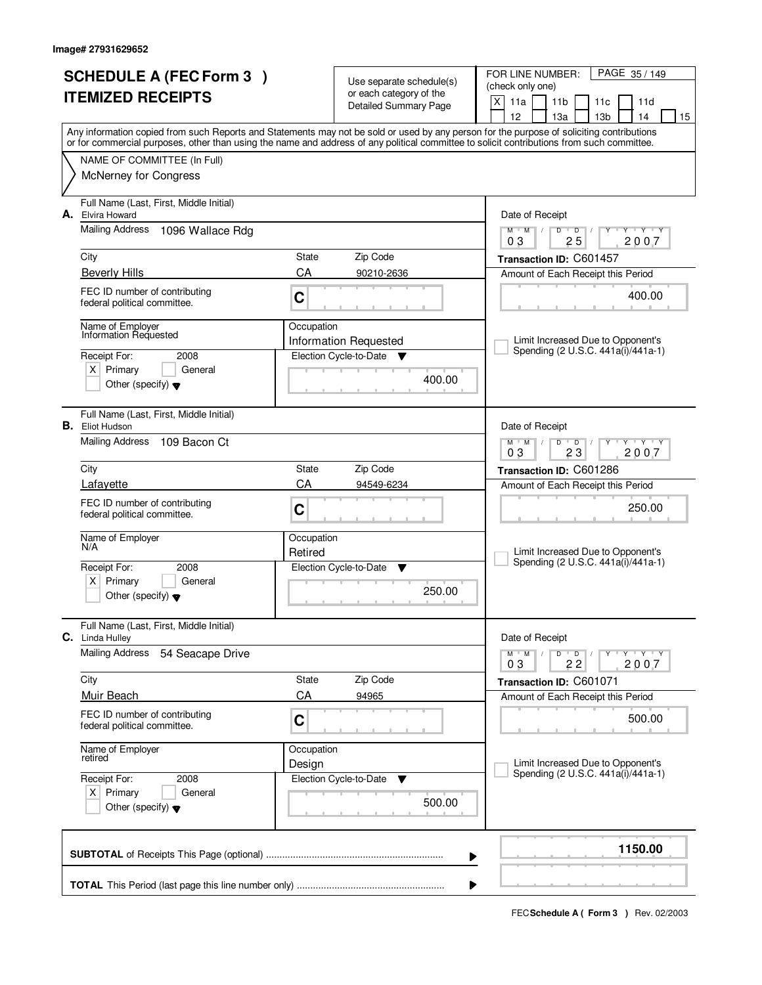| <b>SCHEDULE A (FEC Form 3)</b><br><b>ITEMIZED RECEIPTS</b> |                                                                                        |                       | Use separate schedule(s)<br>or each category of the<br><b>Detailed Summary Page</b> | PAGE 35 / 149<br>FOR LINE NUMBER:<br>(check only one)<br>X<br>11a<br>11 <sub>b</sub><br>11d<br>11c                                                                                                                                                                                      |
|------------------------------------------------------------|----------------------------------------------------------------------------------------|-----------------------|-------------------------------------------------------------------------------------|-----------------------------------------------------------------------------------------------------------------------------------------------------------------------------------------------------------------------------------------------------------------------------------------|
|                                                            |                                                                                        |                       |                                                                                     | 13 <sub>b</sub><br>12<br>13a<br>14<br>15                                                                                                                                                                                                                                                |
|                                                            |                                                                                        |                       |                                                                                     | Any information copied from such Reports and Statements may not be sold or used by any person for the purpose of soliciting contributions<br>or for commercial purposes, other than using the name and address of any political committee to solicit contributions from such committee. |
|                                                            | NAME OF COMMITTEE (In Full)                                                            |                       |                                                                                     |                                                                                                                                                                                                                                                                                         |
|                                                            | <b>McNerney for Congress</b>                                                           |                       |                                                                                     |                                                                                                                                                                                                                                                                                         |
| А.                                                         | Full Name (Last, First, Middle Initial)<br>Elvira Howard                               |                       |                                                                                     | Date of Receipt                                                                                                                                                                                                                                                                         |
|                                                            | <b>Mailing Address</b><br>1096 Wallace Rdg                                             |                       |                                                                                     | $M$ $M$ /<br>$D$ $D$<br>Y Y Y Y<br>Y<br>25<br>2007<br>03                                                                                                                                                                                                                                |
|                                                            | City                                                                                   | State                 | Zip Code                                                                            | Transaction ID: C601457                                                                                                                                                                                                                                                                 |
|                                                            | <b>Beverly Hills</b>                                                                   | CA                    | 90210-2636                                                                          | Amount of Each Receipt this Period                                                                                                                                                                                                                                                      |
|                                                            | FEC ID number of contributing<br>federal political committee.                          | C                     |                                                                                     | 400.00                                                                                                                                                                                                                                                                                  |
|                                                            | Name of Employer<br>Information Requested                                              | Occupation            |                                                                                     |                                                                                                                                                                                                                                                                                         |
|                                                            |                                                                                        |                       | Information Requested                                                               | Limit Increased Due to Opponent's<br>Spending (2 U.S.C. 441a(i)/441a-1)                                                                                                                                                                                                                 |
|                                                            | Receipt For:<br>2008<br>$X$ Primary<br>General                                         |                       | Election Cycle-to-Date<br>$\overline{\mathbf{v}}$                                   |                                                                                                                                                                                                                                                                                         |
|                                                            | Other (specify) $\blacktriangledown$                                                   |                       | 400.00                                                                              |                                                                                                                                                                                                                                                                                         |
|                                                            | Full Name (Last, First, Middle Initial)<br><b>B.</b> Eliot Hudson                      |                       |                                                                                     | Date of Receipt                                                                                                                                                                                                                                                                         |
|                                                            | Mailing Address<br>109 Bacon Ct                                                        |                       |                                                                                     | $M$ $M$ /<br>$Y - Y - Y$<br>D<br>$\overline{D}$<br>03<br>23<br>2007                                                                                                                                                                                                                     |
|                                                            | City                                                                                   | State                 | Zip Code                                                                            | Transaction ID: C601286                                                                                                                                                                                                                                                                 |
|                                                            | Lafayette                                                                              | CA                    | 94549-6234                                                                          | Amount of Each Receipt this Period                                                                                                                                                                                                                                                      |
|                                                            | FEC ID number of contributing<br>federal political committee.                          | C                     |                                                                                     | 250.00                                                                                                                                                                                                                                                                                  |
|                                                            | Name of Employer<br>N/A                                                                | Occupation<br>Retired |                                                                                     | Limit Increased Due to Opponent's                                                                                                                                                                                                                                                       |
|                                                            | Receipt For:<br>2008                                                                   |                       | Election Cycle-to-Date<br>▼                                                         | Spending (2 U.S.C. 441a(i)/441a-1)                                                                                                                                                                                                                                                      |
|                                                            | Primary<br>$\times$<br>General<br>Other (specify) $\blacktriangledown$                 |                       | 250.00                                                                              |                                                                                                                                                                                                                                                                                         |
| C.                                                         | Full Name (Last, First, Middle Initial)<br>Linda Hulley                                |                       |                                                                                     | Date of Receipt                                                                                                                                                                                                                                                                         |
|                                                            | <b>Mailing Address</b><br>54 Seacape Drive                                             |                       |                                                                                     | $D$ $D$<br>$M$ $M$ /<br>$Y - Y - Y$<br>2007<br>22<br>03                                                                                                                                                                                                                                 |
|                                                            | City                                                                                   | State                 | Zip Code                                                                            | Transaction ID: C601071                                                                                                                                                                                                                                                                 |
|                                                            | <b>Muir Beach</b>                                                                      | CA                    | 94965                                                                               | Amount of Each Receipt this Period                                                                                                                                                                                                                                                      |
|                                                            | FEC ID number of contributing<br>federal political committee.                          | C                     |                                                                                     | 500.00                                                                                                                                                                                                                                                                                  |
|                                                            | Name of Employer<br>retired                                                            | Occupation<br>Design  |                                                                                     | Limit Increased Due to Opponent's                                                                                                                                                                                                                                                       |
|                                                            | Receipt For:<br>2008<br>$X$ Primary<br>General<br>Other (specify) $\blacktriangledown$ |                       | Election Cycle-to-Date<br>v<br>500.00                                               | Spending (2 U.S.C. 441a(i)/441a-1)                                                                                                                                                                                                                                                      |
|                                                            |                                                                                        |                       |                                                                                     | 1150.00<br>▶                                                                                                                                                                                                                                                                            |
|                                                            |                                                                                        |                       |                                                                                     |                                                                                                                                                                                                                                                                                         |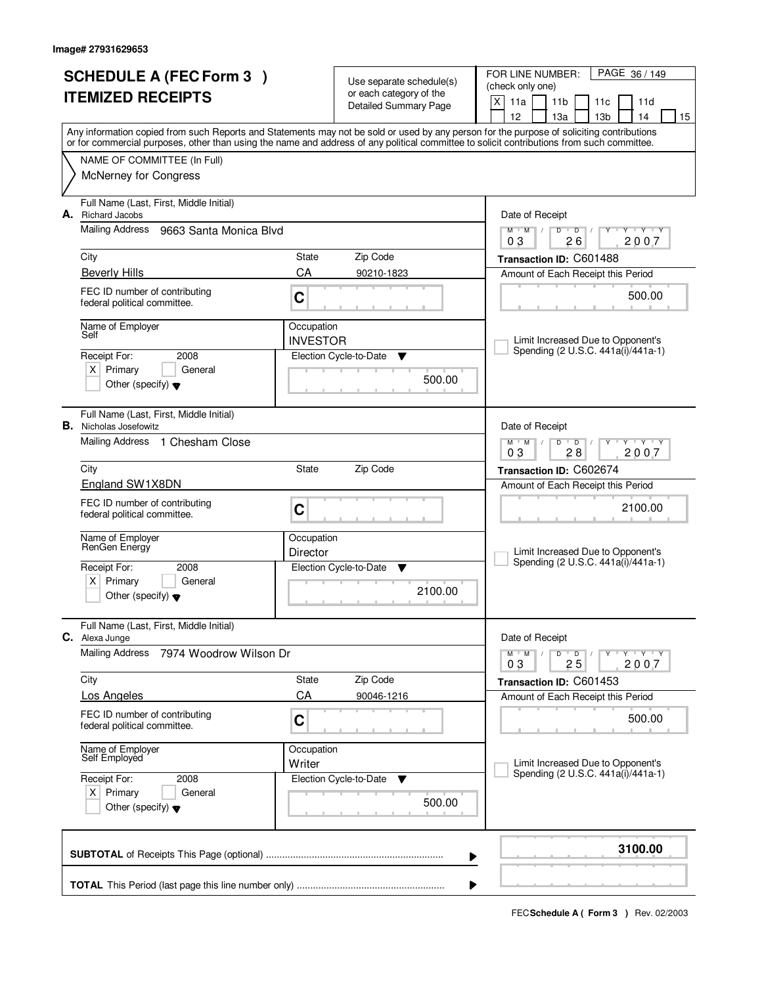| <b>SCHEDULE A (FEC Form 3)</b>                                                                                                                                                                                                                                                          |                                                                                                               |                 |                                                     | PAGE 36 / 149<br>FOR LINE NUMBER:                                               |  |
|-----------------------------------------------------------------------------------------------------------------------------------------------------------------------------------------------------------------------------------------------------------------------------------------|---------------------------------------------------------------------------------------------------------------|-----------------|-----------------------------------------------------|---------------------------------------------------------------------------------|--|
| <b>ITEMIZED RECEIPTS</b>                                                                                                                                                                                                                                                                |                                                                                                               |                 | Use separate schedule(s)<br>or each category of the | (check only one)                                                                |  |
|                                                                                                                                                                                                                                                                                         |                                                                                                               |                 | <b>Detailed Summary Page</b>                        | $\mathsf{X}$<br>11a<br>11 <sub>b</sub><br>11c<br>11d                            |  |
|                                                                                                                                                                                                                                                                                         |                                                                                                               |                 |                                                     | 12<br>13 <sub>b</sub><br>13a<br>14<br>15                                        |  |
| Any information copied from such Reports and Statements may not be sold or used by any person for the purpose of soliciting contributions<br>or for commercial purposes, other than using the name and address of any political committee to solicit contributions from such committee. |                                                                                                               |                 |                                                     |                                                                                 |  |
|                                                                                                                                                                                                                                                                                         | NAME OF COMMITTEE (In Full)                                                                                   |                 |                                                     |                                                                                 |  |
|                                                                                                                                                                                                                                                                                         | <b>McNerney for Congress</b>                                                                                  |                 |                                                     |                                                                                 |  |
| А.                                                                                                                                                                                                                                                                                      | Full Name (Last, First, Middle Initial)<br><b>Richard Jacobs</b>                                              |                 |                                                     | Date of Receipt                                                                 |  |
|                                                                                                                                                                                                                                                                                         | Mailing Address<br>9663 Santa Monica Blvd                                                                     |                 |                                                     | $Y - Y - Y$<br>$M$ $M$ /<br>D<br>$\overline{D}$<br>2007<br>03<br>26             |  |
|                                                                                                                                                                                                                                                                                         | City                                                                                                          | State           | Zip Code                                            | Transaction ID: C601488                                                         |  |
|                                                                                                                                                                                                                                                                                         | <b>Beverly Hills</b>                                                                                          | CA              | 90210-1823                                          | Amount of Each Receipt this Period                                              |  |
|                                                                                                                                                                                                                                                                                         | FEC ID number of contributing<br>federal political committee.                                                 | C               |                                                     | 500.00                                                                          |  |
|                                                                                                                                                                                                                                                                                         | Name of Employer                                                                                              | Occupation      |                                                     |                                                                                 |  |
|                                                                                                                                                                                                                                                                                         | Self                                                                                                          | <b>INVESTOR</b> |                                                     | Limit Increased Due to Opponent's                                               |  |
|                                                                                                                                                                                                                                                                                         | Receipt For:<br>2008                                                                                          |                 | Election Cycle-to-Date<br>Y                         | Spending (2 U.S.C. 441a(i)/441a-1)                                              |  |
|                                                                                                                                                                                                                                                                                         | $X$ Primary<br>General<br>Other (specify) $\blacktriangledown$                                                |                 | 500.00                                              |                                                                                 |  |
| В.                                                                                                                                                                                                                                                                                      | Full Name (Last, First, Middle Initial)<br>Nicholas Josefowitz                                                |                 |                                                     | Date of Receipt                                                                 |  |
|                                                                                                                                                                                                                                                                                         | Mailing Address 1 Chesham Close                                                                               |                 |                                                     | <b>TEXTEY</b><br>$M$ $M$ /<br>D<br>$\overline{D}$<br>Y<br>03<br>28<br>2007      |  |
|                                                                                                                                                                                                                                                                                         | Zip Code<br>City<br>State                                                                                     |                 |                                                     | Transaction ID: C602674                                                         |  |
|                                                                                                                                                                                                                                                                                         | England SW1X8DN                                                                                               |                 |                                                     | Amount of Each Receipt this Period                                              |  |
|                                                                                                                                                                                                                                                                                         | FEC ID number of contributing<br>federal political committee.                                                 | C               |                                                     | 2100.00                                                                         |  |
|                                                                                                                                                                                                                                                                                         | Name of Employer                                                                                              | Occupation      |                                                     |                                                                                 |  |
|                                                                                                                                                                                                                                                                                         | RenGen Energy                                                                                                 | Director        |                                                     | Limit Increased Due to Opponent's<br>Spending (2 U.S.C. 441a(i)/441a-1)         |  |
|                                                                                                                                                                                                                                                                                         | Receipt For:<br>2008                                                                                          |                 | Election Cycle-to-Date<br>▼                         |                                                                                 |  |
|                                                                                                                                                                                                                                                                                         | Primary<br>X  <br>General<br>Other (specify) $\blacktriangledown$                                             |                 | 2100.00                                             |                                                                                 |  |
|                                                                                                                                                                                                                                                                                         | Full Name (Last, First, Middle Initial)<br>C. Alexa Junge<br><b>Mailing Address</b><br>7974 Woodrow Wilson Dr |                 |                                                     | Date of Receipt                                                                 |  |
|                                                                                                                                                                                                                                                                                         |                                                                                                               |                 |                                                     | $M$ $M$ $/$<br>D<br>$\overline{\phantom{a}}$<br>$Y + Y + Y$<br>2007<br>25<br>03 |  |
|                                                                                                                                                                                                                                                                                         | City                                                                                                          |                 | Zip Code                                            | Transaction ID: C601453                                                         |  |
|                                                                                                                                                                                                                                                                                         | <b>Los Angeles</b>                                                                                            | CA              | 90046-1216                                          | Amount of Each Receipt this Period                                              |  |
|                                                                                                                                                                                                                                                                                         | FEC ID number of contributing<br>federal political committee.                                                 | C               |                                                     | 500.00                                                                          |  |
|                                                                                                                                                                                                                                                                                         | Name of Employer<br>Self Employed<br>Occupation                                                               |                 |                                                     | Limit Increased Due to Opponent's<br>Spending (2 U.S.C. 441a(i)/441a-1)         |  |
|                                                                                                                                                                                                                                                                                         | Writer                                                                                                        |                 |                                                     |                                                                                 |  |
|                                                                                                                                                                                                                                                                                         | Receipt For:<br>2008                                                                                          |                 | Election Cycle-to-Date<br>v                         |                                                                                 |  |
|                                                                                                                                                                                                                                                                                         | $X$ Primary<br>General<br>Other (specify) $\blacktriangledown$                                                |                 | 500.00                                              |                                                                                 |  |
| 3100.00<br>▶                                                                                                                                                                                                                                                                            |                                                                                                               |                 |                                                     |                                                                                 |  |
| ▶                                                                                                                                                                                                                                                                                       |                                                                                                               |                 |                                                     |                                                                                 |  |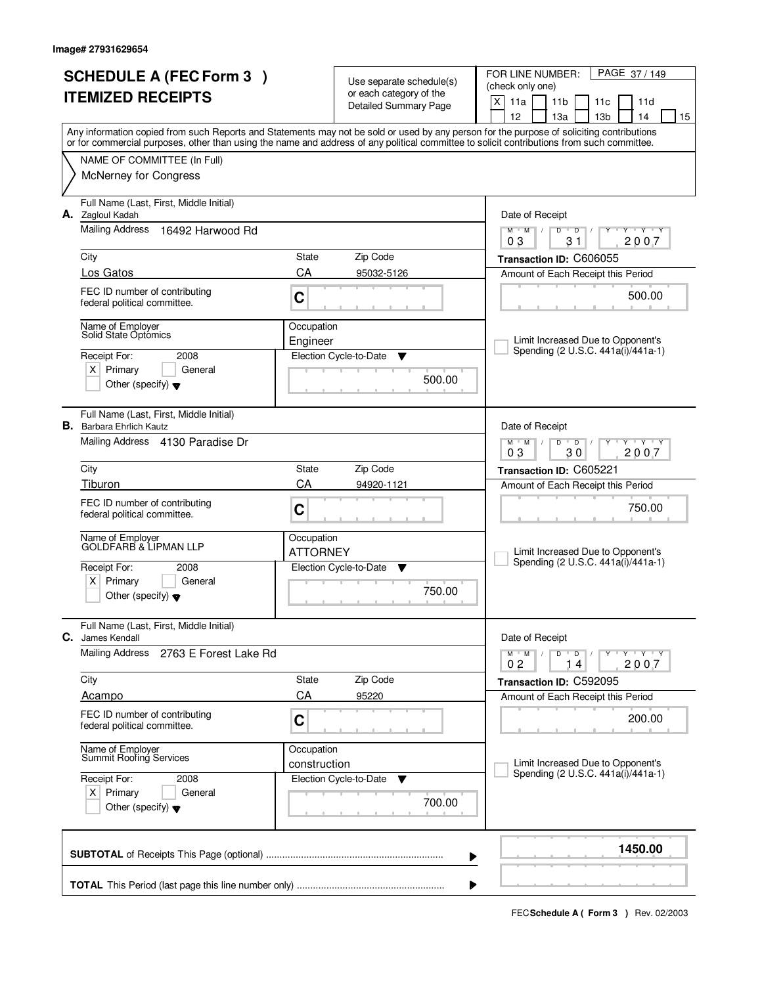|                          | <b>SCHEDULE A (FEC Form 3)</b>                                |                            |                                                     | PAGE 37/149<br>FOR LINE NUMBER:                                                                                                                                                                                                                                                         |
|--------------------------|---------------------------------------------------------------|----------------------------|-----------------------------------------------------|-----------------------------------------------------------------------------------------------------------------------------------------------------------------------------------------------------------------------------------------------------------------------------------------|
| <b>ITEMIZED RECEIPTS</b> |                                                               |                            | Use separate schedule(s)<br>or each category of the | (check only one)                                                                                                                                                                                                                                                                        |
|                          |                                                               |                            | Detailed Summary Page                               | X<br>11a<br>11 <sub>b</sub><br>11c<br>11d                                                                                                                                                                                                                                               |
|                          |                                                               |                            |                                                     | 12<br>13 <sub>b</sub><br>13a<br>14<br>15                                                                                                                                                                                                                                                |
|                          |                                                               |                            |                                                     | Any information copied from such Reports and Statements may not be sold or used by any person for the purpose of soliciting contributions<br>or for commercial purposes, other than using the name and address of any political committee to solicit contributions from such committee. |
|                          | NAME OF COMMITTEE (In Full)                                   |                            |                                                     |                                                                                                                                                                                                                                                                                         |
|                          | <b>McNerney for Congress</b>                                  |                            |                                                     |                                                                                                                                                                                                                                                                                         |
|                          |                                                               |                            |                                                     |                                                                                                                                                                                                                                                                                         |
|                          | Full Name (Last, First, Middle Initial)                       |                            |                                                     |                                                                                                                                                                                                                                                                                         |
|                          | A. Zagloul Kadah                                              |                            |                                                     | Date of Receipt                                                                                                                                                                                                                                                                         |
|                          | Mailing Address<br>16492 Harwood Rd                           |                            |                                                     | $Y - Y - Y$<br>$M$ $M$ /<br>D<br>$\overline{D}$<br>Y<br>$\sqrt{ }$<br>2007<br>03<br>31                                                                                                                                                                                                  |
|                          | City                                                          | State                      | Zip Code                                            | Transaction ID: C606055                                                                                                                                                                                                                                                                 |
|                          | Los Gatos                                                     | CA                         | 95032-5126                                          | Amount of Each Receipt this Period                                                                                                                                                                                                                                                      |
|                          | FEC ID number of contributing                                 |                            |                                                     |                                                                                                                                                                                                                                                                                         |
|                          | federal political committee.                                  | C                          |                                                     | 500.00                                                                                                                                                                                                                                                                                  |
|                          |                                                               |                            |                                                     |                                                                                                                                                                                                                                                                                         |
|                          | Name of Employer<br>Solid State Optómics                      | Occupation                 |                                                     | Limit Increased Due to Opponent's                                                                                                                                                                                                                                                       |
|                          | Receipt For:<br>2008                                          | Engineer                   | Election Cycle-to-Date<br>Y                         | Spending (2 U.S.C. 441a(i)/441a-1)                                                                                                                                                                                                                                                      |
|                          | $X$ Primary<br>General                                        |                            |                                                     |                                                                                                                                                                                                                                                                                         |
|                          | Other (specify) $\blacktriangledown$                          |                            | 500.00                                              |                                                                                                                                                                                                                                                                                         |
|                          |                                                               |                            |                                                     |                                                                                                                                                                                                                                                                                         |
|                          | Full Name (Last, First, Middle Initial)                       |                            |                                                     |                                                                                                                                                                                                                                                                                         |
| В.                       | <b>Barbara Ehrlich Kautz</b>                                  |                            |                                                     | Date of Receipt                                                                                                                                                                                                                                                                         |
|                          | Mailing Address 4130 Paradise Dr                              |                            |                                                     | $\overline{D}$<br><b>TEXTEY</b><br>$M$ $M$ /<br>D<br>Y<br>03<br>30<br>2007                                                                                                                                                                                                              |
|                          | City                                                          | State                      | Zip Code                                            |                                                                                                                                                                                                                                                                                         |
|                          | Tiburon                                                       | CA                         | 94920-1121                                          | Transaction ID: C605221                                                                                                                                                                                                                                                                 |
|                          |                                                               |                            |                                                     | Amount of Each Receipt this Period                                                                                                                                                                                                                                                      |
|                          | FEC ID number of contributing<br>federal political committee. | C                          |                                                     | 750.00                                                                                                                                                                                                                                                                                  |
|                          |                                                               |                            |                                                     |                                                                                                                                                                                                                                                                                         |
|                          | Name of Employer<br>GOLDFARB & LIPMAN LLP                     | Occupation                 |                                                     |                                                                                                                                                                                                                                                                                         |
|                          |                                                               | <b>ATTORNEY</b>            |                                                     | Limit Increased Due to Opponent's<br>Spending (2 U.S.C. 441a(i)/441a-1)                                                                                                                                                                                                                 |
|                          | Receipt For:<br>2008<br>Primary<br>$X \mid$<br>General        |                            | Election Cycle-to-Date<br>v                         |                                                                                                                                                                                                                                                                                         |
|                          | Other (specify) $\blacktriangledown$                          |                            | 750.00                                              |                                                                                                                                                                                                                                                                                         |
|                          |                                                               |                            |                                                     |                                                                                                                                                                                                                                                                                         |
|                          | Full Name (Last, First, Middle Initial)                       |                            |                                                     |                                                                                                                                                                                                                                                                                         |
| С.                       | James Kendall                                                 |                            |                                                     | Date of Receipt                                                                                                                                                                                                                                                                         |
|                          | <b>Mailing Address</b><br>2763 E Forest Lake Rd               |                            |                                                     | D<br>$M$ $M$ $/$<br>$\overline{\phantom{0}}$ D $\overline{\phantom{0}}$ /<br>$Y + Y + Y$<br>Y<br>2007<br>14<br>02                                                                                                                                                                       |
|                          | City                                                          | State                      | Zip Code                                            | Transaction ID: C592095                                                                                                                                                                                                                                                                 |
|                          | Acampo                                                        | CA                         | 95220                                               | Amount of Each Receipt this Period                                                                                                                                                                                                                                                      |
|                          | FEC ID number of contributing                                 |                            |                                                     |                                                                                                                                                                                                                                                                                         |
|                          | federal political committee.                                  | C                          |                                                     | 200.00                                                                                                                                                                                                                                                                                  |
|                          |                                                               |                            |                                                     |                                                                                                                                                                                                                                                                                         |
|                          | Name of Employer<br>Summit Roofing Services                   | Occupation<br>construction |                                                     | Limit Increased Due to Opponent's                                                                                                                                                                                                                                                       |
|                          | Receipt For:<br>2008                                          |                            | Election Cycle-to-Date<br>v                         | Spending (2 U.S.C. 441a(i)/441a-1)                                                                                                                                                                                                                                                      |
| $X$ Primary<br>General   |                                                               |                            |                                                     |                                                                                                                                                                                                                                                                                         |
|                          | Other (specify) $\blacktriangledown$                          |                            | 700.00                                              |                                                                                                                                                                                                                                                                                         |
|                          |                                                               |                            |                                                     |                                                                                                                                                                                                                                                                                         |
|                          |                                                               |                            |                                                     |                                                                                                                                                                                                                                                                                         |
|                          |                                                               |                            |                                                     | 1450.00<br>▶                                                                                                                                                                                                                                                                            |
|                          |                                                               |                            |                                                     |                                                                                                                                                                                                                                                                                         |
|                          |                                                               |                            |                                                     | ▶                                                                                                                                                                                                                                                                                       |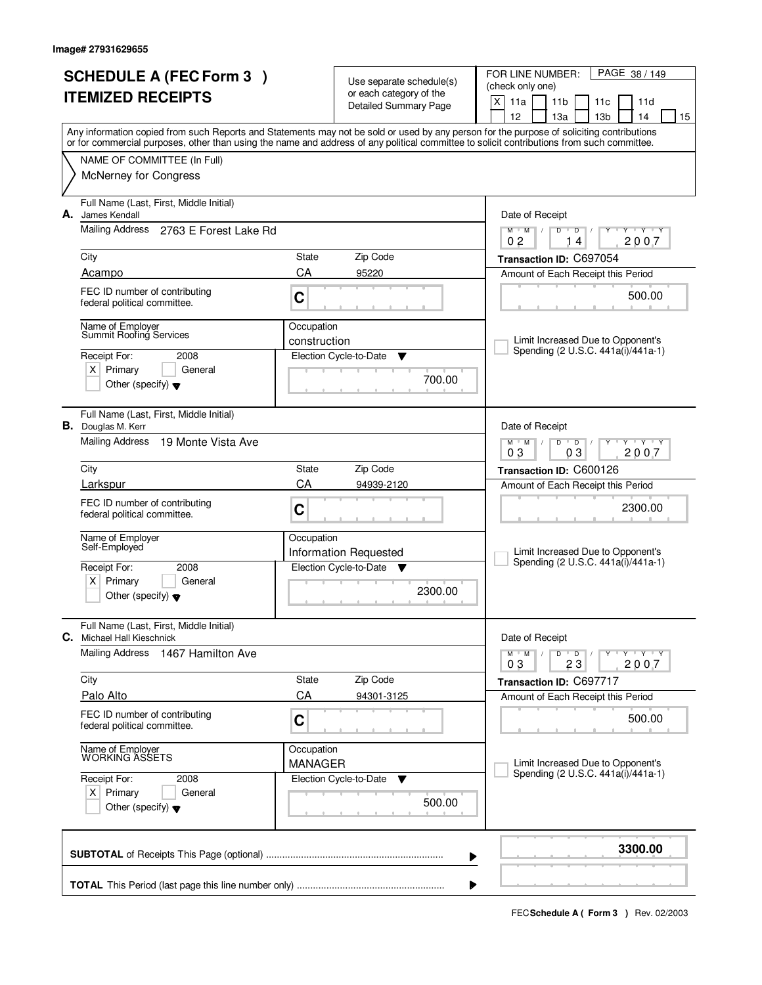|                          | <b>SCHEDULE A (FEC Form 3)</b>                                               |                  | Use separate schedule(s)                                | PAGE 38 / 149<br>FOR LINE NUMBER:<br>(check only one)                                                                                                                                 |
|--------------------------|------------------------------------------------------------------------------|------------------|---------------------------------------------------------|---------------------------------------------------------------------------------------------------------------------------------------------------------------------------------------|
| <b>ITEMIZED RECEIPTS</b> |                                                                              |                  | or each category of the<br><b>Detailed Summary Page</b> | X<br>11a<br>11 <sub>b</sub><br>11 <sub>c</sub><br>11d                                                                                                                                 |
|                          |                                                                              |                  |                                                         | 12<br>13a<br>13 <sub>b</sub><br>14<br>15<br>Any information copied from such Reports and Statements may not be sold or used by any person for the purpose of soliciting contributions |
|                          |                                                                              |                  |                                                         | or for commercial purposes, other than using the name and address of any political committee to solicit contributions from such committee.                                            |
|                          | NAME OF COMMITTEE (In Full)<br><b>McNerney for Congress</b>                  |                  |                                                         |                                                                                                                                                                                       |
|                          |                                                                              |                  |                                                         |                                                                                                                                                                                       |
| А.                       | Full Name (Last, First, Middle Initial)<br>James Kendall                     |                  |                                                         | Date of Receipt                                                                                                                                                                       |
|                          | Mailing Address 2763 E Forest Lake Rd                                        |                  |                                                         | $M$ $M$<br>$\overline{D}$<br>$Y - Y - Y$<br>$D$ <sup><math>\Box</math></sup><br>$\mathbb{I}$<br>Y<br>0 <sub>2</sub><br>2007<br>14                                                     |
|                          | City                                                                         | State            | Zip Code                                                | Transaction ID: C697054                                                                                                                                                               |
|                          | Acampo                                                                       | CA               | 95220                                                   | Amount of Each Receipt this Period                                                                                                                                                    |
|                          | FEC ID number of contributing<br>federal political committee.                | C                |                                                         | 500.00                                                                                                                                                                                |
|                          | Name of Employer<br>Summit Roofing Services                                  | Occupation       |                                                         |                                                                                                                                                                                       |
|                          | Receipt For:<br>2008                                                         | construction     | Election Cycle-to-Date<br>▼                             | Limit Increased Due to Opponent's<br>Spending (2 U.S.C. 441a(i)/441a-1)                                                                                                               |
|                          | $X$ Primary<br>General                                                       |                  | 700.00                                                  |                                                                                                                                                                                       |
|                          | Other (specify) $\blacktriangledown$                                         |                  |                                                         |                                                                                                                                                                                       |
|                          | Full Name (Last, First, Middle Initial)<br><b>B.</b> Douglas M. Kerr         |                  |                                                         | Date of Receipt                                                                                                                                                                       |
|                          | <b>Mailing Address</b><br>19 Monte Vista Ave                                 |                  |                                                         | $M$ $M$ /<br>D<br>$\overline{D}$<br>$T$ $Y$ $T$ $Y$<br>03<br>2007<br>03                                                                                                               |
|                          | City                                                                         | <b>State</b>     | Zip Code                                                | Transaction ID: C600126                                                                                                                                                               |
|                          | Larkspur                                                                     | CA<br>94939-2120 |                                                         | Amount of Each Receipt this Period                                                                                                                                                    |
|                          | FEC ID number of contributing<br>federal political committee.                | C                |                                                         | 2300.00                                                                                                                                                                               |
|                          | Name of Employer<br>Self-Employed                                            | Occupation       |                                                         |                                                                                                                                                                                       |
|                          | Receipt For:<br>2008                                                         |                  | Information Requested<br>Election Cycle-to-Date ▼       | Limit Increased Due to Opponent's<br>Spending (2 U.S.C. 441a(i)/441a-1)                                                                                                               |
|                          | $X$ Primary<br>General                                                       |                  |                                                         |                                                                                                                                                                                       |
|                          | Other (specify) $\blacktriangledown$                                         |                  | 2300.00                                                 |                                                                                                                                                                                       |
|                          | Full Name (Last, First, Middle Initial)<br><b>C.</b> Michael Hall Kieschnick |                  |                                                         | Date of Receipt                                                                                                                                                                       |
|                          | Mailing Address<br>1467 Hamilton Ave                                         |                  |                                                         | $D$ $D$ $I$<br>$M$ $M$ $/$<br>$Y + Y + Y$<br>23<br>2007<br>03                                                                                                                         |
|                          | City                                                                         | State            | Zip Code                                                | Transaction ID: C697717                                                                                                                                                               |
|                          | Palo Alto                                                                    | CA               | 94301-3125                                              | Amount of Each Receipt this Period                                                                                                                                                    |
|                          | FEC ID number of contributing<br>federal political committee.                | C                |                                                         | 500.00                                                                                                                                                                                |
|                          | Name of Employer<br>WORKING ASSETS                                           | Occupation       |                                                         | Limit Increased Due to Opponent's                                                                                                                                                     |
|                          | Receipt For:<br>2008                                                         | <b>MANAGER</b>   | Election Cycle-to-Date<br>v                             | Spending (2 U.S.C. 441a(i)/441a-1)                                                                                                                                                    |
|                          | $X$ Primary<br>General<br>Other (specify) $\blacktriangledown$               |                  | 500.00                                                  |                                                                                                                                                                                       |
|                          |                                                                              |                  |                                                         | 3300.00<br>▶                                                                                                                                                                          |
|                          |                                                                              |                  |                                                         |                                                                                                                                                                                       |
|                          |                                                                              |                  |                                                         |                                                                                                                                                                                       |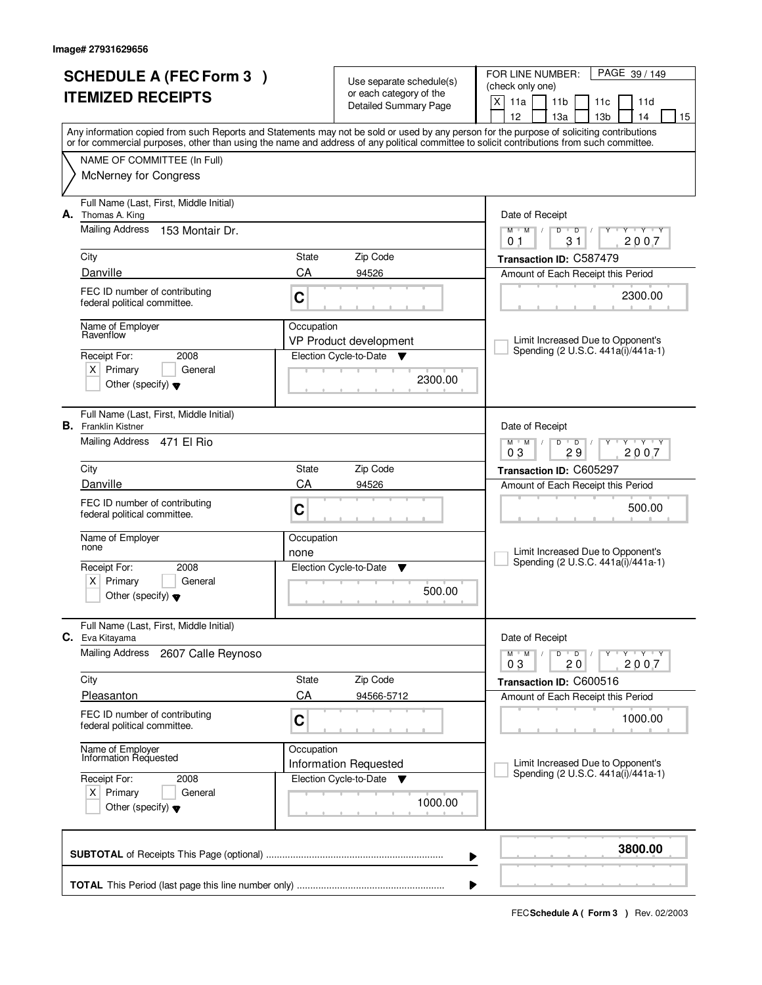| <b>SCHEDULE A (FEC Form 3)</b><br><b>ITEMIZED RECEIPTS</b> |                                                                                                                         |                    | Use separate schedule(s)<br>or each category of the<br><b>Detailed Summary Page</b> | PAGE 39 / 149<br>FOR LINE NUMBER:<br>(check only one)<br>$\mathsf{X}$<br>11a<br>11 <sub>b</sub><br>11 <sub>c</sub><br>11d<br>12<br>13 <sub>b</sub><br>13a<br>14<br>15                                                                                                                   |  |  |  |
|------------------------------------------------------------|-------------------------------------------------------------------------------------------------------------------------|--------------------|-------------------------------------------------------------------------------------|-----------------------------------------------------------------------------------------------------------------------------------------------------------------------------------------------------------------------------------------------------------------------------------------|--|--|--|
|                                                            | NAME OF COMMITTEE (In Full)                                                                                             |                    |                                                                                     | Any information copied from such Reports and Statements may not be sold or used by any person for the purpose of soliciting contributions<br>or for commercial purposes, other than using the name and address of any political committee to solicit contributions from such committee. |  |  |  |
|                                                            | <b>McNerney for Congress</b>                                                                                            |                    |                                                                                     |                                                                                                                                                                                                                                                                                         |  |  |  |
| А.                                                         | Full Name (Last, First, Middle Initial)<br>Thomas A. King                                                               |                    |                                                                                     | Date of Receipt                                                                                                                                                                                                                                                                         |  |  |  |
|                                                            | <b>Mailing Address</b><br>153 Montair Dr.                                                                               |                    |                                                                                     | $Y + Y + Y + Y$<br>$M$ $M$ $/$<br>$D$ $D$ $1$<br>31<br>2007<br>01                                                                                                                                                                                                                       |  |  |  |
|                                                            | City<br>Danville                                                                                                        | State<br>CA        | Zip Code<br>94526                                                                   | Transaction ID: C587479                                                                                                                                                                                                                                                                 |  |  |  |
|                                                            | FEC ID number of contributing<br>federal political committee.                                                           | C                  |                                                                                     | Amount of Each Receipt this Period<br>2300.00                                                                                                                                                                                                                                           |  |  |  |
|                                                            | Name of Employer<br>Ravenflow<br>2008<br>Receipt For:<br>$X$ Primary<br>General<br>Other (specify) $\blacktriangledown$ | Occupation         | VP Product development<br>Election Cycle-to-Date<br><b>V</b><br>2300.00             | Limit Increased Due to Opponent's<br>Spending (2 U.S.C. 441a(i)/441a-1)                                                                                                                                                                                                                 |  |  |  |
|                                                            | Full Name (Last, First, Middle Initial)<br><b>B.</b> Franklin Kistner<br>Mailing Address 471 El Rio                     |                    |                                                                                     | Date of Receipt<br>$M$ M<br>D<br>$\overline{D}$<br>$T$ $Y$ $T$ $Y$<br>29<br>2007<br>03                                                                                                                                                                                                  |  |  |  |
|                                                            | City                                                                                                                    | State              | Zip Code                                                                            | Transaction ID: C605297                                                                                                                                                                                                                                                                 |  |  |  |
|                                                            | Danville                                                                                                                | CA                 | 94526                                                                               | Amount of Each Receipt this Period                                                                                                                                                                                                                                                      |  |  |  |
|                                                            | FEC ID number of contributing<br>federal political committee.                                                           | C                  |                                                                                     | 500.00                                                                                                                                                                                                                                                                                  |  |  |  |
|                                                            | Name of Employer<br>none                                                                                                | Occupation<br>none |                                                                                     | Limit Increased Due to Opponent's                                                                                                                                                                                                                                                       |  |  |  |
|                                                            | Receipt For:<br>2008<br>Primary<br>$X \mid$<br>General<br>Other (specify) $\blacktriangledown$                          |                    | Election Cycle-to-Date<br>▼<br>500.00                                               | Spending (2 U.S.C. 441a(i)/441a-1)                                                                                                                                                                                                                                                      |  |  |  |
|                                                            | Full Name (Last, First, Middle Initial)<br>C. Eva Kitayama                                                              |                    |                                                                                     | Date of Receipt                                                                                                                                                                                                                                                                         |  |  |  |
|                                                            | <b>Mailing Address</b><br>2607 Calle Reynoso                                                                            |                    |                                                                                     | D<br>$M$ $M$ /<br>$\overline{\phantom{a}}$<br>$Y + Y + Y$<br>2007<br>03<br>20                                                                                                                                                                                                           |  |  |  |
|                                                            | City                                                                                                                    | State              | Zip Code                                                                            | Transaction ID: C600516                                                                                                                                                                                                                                                                 |  |  |  |
|                                                            | Pleasanton                                                                                                              | CA                 | 94566-5712                                                                          | Amount of Each Receipt this Period                                                                                                                                                                                                                                                      |  |  |  |
|                                                            | FEC ID number of contributing<br>federal political committee.                                                           | C                  |                                                                                     | 1000.00                                                                                                                                                                                                                                                                                 |  |  |  |
|                                                            | Name of Employer<br>Information Requested                                                                               | Occupation         | Information Requested                                                               | Limit Increased Due to Opponent's                                                                                                                                                                                                                                                       |  |  |  |
|                                                            | Receipt For:<br>2008<br>$X$ Primary<br>General<br>Other (specify) $\blacktriangledown$                                  |                    | Election Cycle-to-Date<br><b>v</b><br>1000.00                                       | Spending (2 U.S.C. 441a(i)/441a-1)                                                                                                                                                                                                                                                      |  |  |  |
|                                                            |                                                                                                                         |                    |                                                                                     | 3800.00<br>▶                                                                                                                                                                                                                                                                            |  |  |  |
|                                                            |                                                                                                                         |                    |                                                                                     |                                                                                                                                                                                                                                                                                         |  |  |  |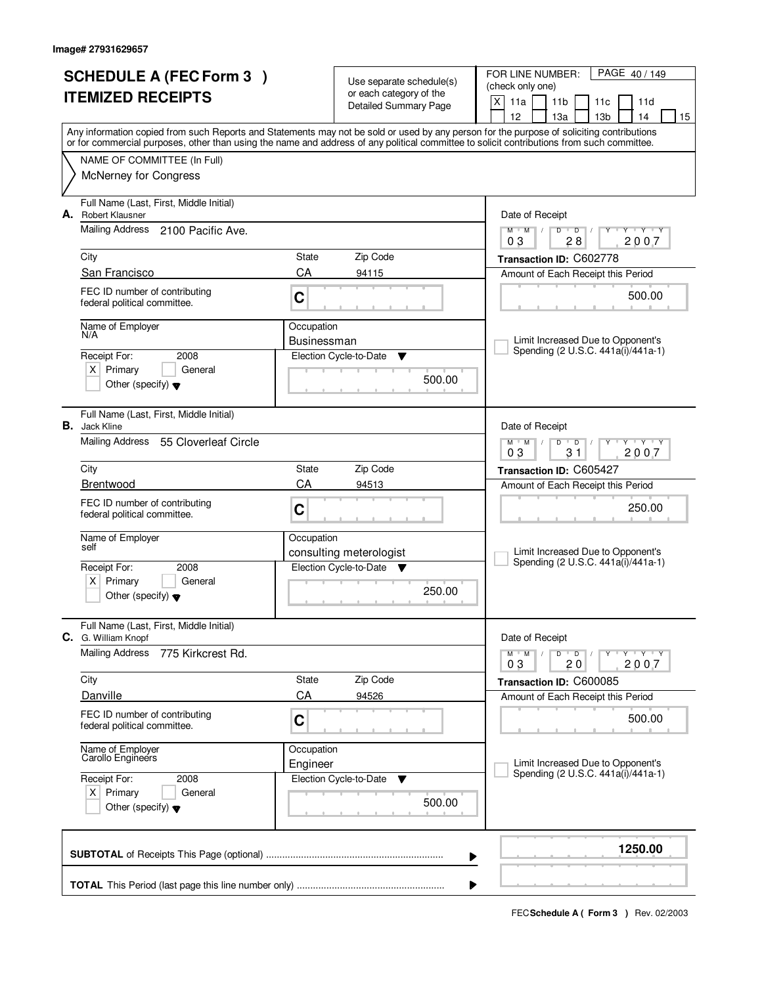|                          | <b>SCHEDULE A (FEC Form 3)</b>                                  |                        | Use separate schedule(s)                            | PAGE 40/149<br>FOR LINE NUMBER:<br>(check only one)                                                                                                                                                                                                                                     |  |  |  |  |
|--------------------------|-----------------------------------------------------------------|------------------------|-----------------------------------------------------|-----------------------------------------------------------------------------------------------------------------------------------------------------------------------------------------------------------------------------------------------------------------------------------------|--|--|--|--|
| <b>ITEMIZED RECEIPTS</b> |                                                                 |                        | or each category of the<br>Detailed Summary Page    | X<br>11a<br>11 <sub>b</sub><br>11c<br>11d<br>12<br>13 <sub>b</sub><br>14<br>13а<br>15                                                                                                                                                                                                   |  |  |  |  |
|                          |                                                                 |                        |                                                     | Any information copied from such Reports and Statements may not be sold or used by any person for the purpose of soliciting contributions<br>or for commercial purposes, other than using the name and address of any political committee to solicit contributions from such committee. |  |  |  |  |
|                          | NAME OF COMMITTEE (In Full)<br>McNerney for Congress            |                        |                                                     |                                                                                                                                                                                                                                                                                         |  |  |  |  |
|                          | Full Name (Last, First, Middle Initial)                         |                        |                                                     |                                                                                                                                                                                                                                                                                         |  |  |  |  |
|                          | A. Robert Klausner<br>Mailing Address 2100 Pacific Ave.         |                        |                                                     | Date of Receipt<br>$+Y+Y$<br>$M$ $M$ /<br>D<br>$\overline{D}$<br>Y                                                                                                                                                                                                                      |  |  |  |  |
|                          | City                                                            | State                  | Zip Code                                            | 28<br>2007<br>03                                                                                                                                                                                                                                                                        |  |  |  |  |
|                          | San Francisco                                                   | CA                     | 94115                                               | Transaction ID: C602778<br>Amount of Each Receipt this Period                                                                                                                                                                                                                           |  |  |  |  |
|                          | FEC ID number of contributing<br>federal political committee.   | $\mathbf C$            |                                                     | 500.00                                                                                                                                                                                                                                                                                  |  |  |  |  |
|                          | Name of Employer<br>N/A                                         | Occupation             |                                                     |                                                                                                                                                                                                                                                                                         |  |  |  |  |
|                          | 2008<br>Receipt For:                                            | Businessman            | Election Cycle-to-Date<br>▼                         | Limit Increased Due to Opponent's<br>Spending (2 U.S.C. 441a(i)/441a-1)                                                                                                                                                                                                                 |  |  |  |  |
|                          | $X$ Primary<br>General<br>Other (specify) $\blacktriangledown$  |                        | 500.00                                              |                                                                                                                                                                                                                                                                                         |  |  |  |  |
|                          | Full Name (Last, First, Middle Initial)<br><b>B.</b> Jack Kline |                        |                                                     | Date of Receipt                                                                                                                                                                                                                                                                         |  |  |  |  |
|                          | Mailing Address<br>55 Cloverleaf Circle                         |                        |                                                     | $M$ $M$ $/$<br>$D$ $D$<br>$Y - Y - Y$<br>03<br>2007<br>31                                                                                                                                                                                                                               |  |  |  |  |
|                          | City                                                            | State                  | Zip Code                                            | Transaction ID: C605427                                                                                                                                                                                                                                                                 |  |  |  |  |
|                          | Brentwood                                                       | CA                     | 94513                                               | Amount of Each Receipt this Period                                                                                                                                                                                                                                                      |  |  |  |  |
|                          | FEC ID number of contributing<br>federal political committee.   | C                      |                                                     | 250.00                                                                                                                                                                                                                                                                                  |  |  |  |  |
|                          | Name of Employer<br>self                                        | Occupation             |                                                     |                                                                                                                                                                                                                                                                                         |  |  |  |  |
|                          | Receipt For:<br>2008                                            |                        | consulting meterologist<br>Election Cycle-to-Date ▼ | Limit Increased Due to Opponent's<br>Spending (2 U.S.C. 441a(i)/441a-1)                                                                                                                                                                                                                 |  |  |  |  |
|                          | $X$ Primary<br>General<br>Other (specify) $\blacktriangledown$  |                        | 250.00                                              |                                                                                                                                                                                                                                                                                         |  |  |  |  |
|                          | Full Name (Last, First, Middle Initial)<br>C. G. William Knopf  |                        |                                                     | Date of Receipt                                                                                                                                                                                                                                                                         |  |  |  |  |
|                          | <b>Mailing Address</b><br>775 Kirkcrest Rd.                     |                        |                                                     | $M$ $M$ $M$<br>$D$ $D$ $/$<br>יץ ייץ ייד<br>Y<br>2007<br>03<br>20                                                                                                                                                                                                                       |  |  |  |  |
|                          | City                                                            | State                  | Zip Code                                            | Transaction ID: C600085                                                                                                                                                                                                                                                                 |  |  |  |  |
|                          | Danville                                                        | CA                     | 94526                                               | Amount of Each Receipt this Period                                                                                                                                                                                                                                                      |  |  |  |  |
|                          | FEC ID number of contributing<br>federal political committee.   | C                      |                                                     | 500.00                                                                                                                                                                                                                                                                                  |  |  |  |  |
|                          | Name of Employer<br>Carollo Engineers                           | Occupation<br>Engineer |                                                     | Limit Increased Due to Opponent's                                                                                                                                                                                                                                                       |  |  |  |  |
|                          | Receipt For:<br>2008                                            |                        | Election Cycle-to-Date<br>v                         | Spending (2 U.S.C. 441a(i)/441a-1)                                                                                                                                                                                                                                                      |  |  |  |  |
|                          | $X$ Primary<br>General<br>Other (specify) $\blacktriangledown$  |                        | 500.00                                              |                                                                                                                                                                                                                                                                                         |  |  |  |  |
|                          |                                                                 |                        |                                                     | 1250.00<br>▶                                                                                                                                                                                                                                                                            |  |  |  |  |
|                          |                                                                 |                        |                                                     |                                                                                                                                                                                                                                                                                         |  |  |  |  |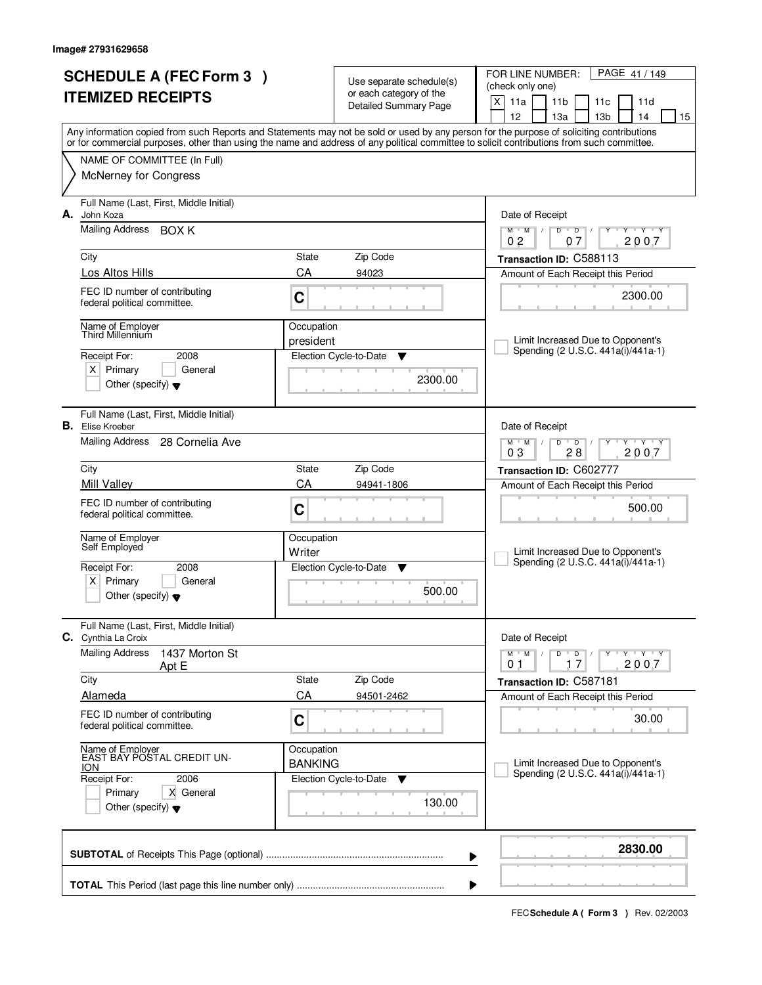|                          | <b>SCHEDULE A (FEC Form 3)</b>                                |                         |                                                     | PAGE 41 / 149<br>FOR LINE NUMBER:                                                                                                                                                                                                                                                       |  |  |
|--------------------------|---------------------------------------------------------------|-------------------------|-----------------------------------------------------|-----------------------------------------------------------------------------------------------------------------------------------------------------------------------------------------------------------------------------------------------------------------------------------------|--|--|
|                          |                                                               |                         | Use separate schedule(s)<br>or each category of the | (check only one)                                                                                                                                                                                                                                                                        |  |  |
| <b>ITEMIZED RECEIPTS</b> |                                                               |                         | <b>Detailed Summary Page</b>                        | X<br>11a<br>11 <sub>b</sub><br>11c<br>11d                                                                                                                                                                                                                                               |  |  |
|                          |                                                               |                         |                                                     | 12<br>13a<br>13 <sub>b</sub><br>14<br>15                                                                                                                                                                                                                                                |  |  |
|                          |                                                               |                         |                                                     | Any information copied from such Reports and Statements may not be sold or used by any person for the purpose of soliciting contributions<br>or for commercial purposes, other than using the name and address of any political committee to solicit contributions from such committee. |  |  |
|                          |                                                               |                         |                                                     |                                                                                                                                                                                                                                                                                         |  |  |
|                          | NAME OF COMMITTEE (In Full)                                   |                         |                                                     |                                                                                                                                                                                                                                                                                         |  |  |
|                          | <b>McNerney for Congress</b>                                  |                         |                                                     |                                                                                                                                                                                                                                                                                         |  |  |
|                          | Full Name (Last, First, Middle Initial)                       |                         |                                                     |                                                                                                                                                                                                                                                                                         |  |  |
| А.                       | John Koza                                                     |                         |                                                     | Date of Receipt                                                                                                                                                                                                                                                                         |  |  |
|                          | Mailing Address BOX K                                         |                         |                                                     | $M$ $M$ /<br>$D$ $D$<br>$Y - Y - Y$<br>$\sqrt{ }$<br>Y<br>0 <sub>2</sub><br>07<br>2007                                                                                                                                                                                                  |  |  |
|                          | City                                                          | State                   | Zip Code                                            | Transaction ID: C588113                                                                                                                                                                                                                                                                 |  |  |
|                          | Los Altos Hills                                               | CA                      | 94023                                               | Amount of Each Receipt this Period                                                                                                                                                                                                                                                      |  |  |
|                          |                                                               |                         |                                                     |                                                                                                                                                                                                                                                                                         |  |  |
|                          | FEC ID number of contributing<br>federal political committee. | C                       |                                                     | 2300.00                                                                                                                                                                                                                                                                                 |  |  |
|                          |                                                               |                         |                                                     |                                                                                                                                                                                                                                                                                         |  |  |
|                          | Name of Employer<br>Third Millennium                          | Occupation<br>president |                                                     | Limit Increased Due to Opponent's                                                                                                                                                                                                                                                       |  |  |
|                          | Receipt For:<br>2008                                          |                         | Election Cycle-to-Date<br>▼                         | Spending (2 U.S.C. 441a(i)/441a-1)                                                                                                                                                                                                                                                      |  |  |
|                          | $X$ Primary<br>General                                        |                         |                                                     |                                                                                                                                                                                                                                                                                         |  |  |
|                          | Other (specify) $\blacktriangledown$                          |                         | 2300.00                                             |                                                                                                                                                                                                                                                                                         |  |  |
|                          |                                                               |                         |                                                     |                                                                                                                                                                                                                                                                                         |  |  |
|                          | Full Name (Last, First, Middle Initial)                       |                         |                                                     |                                                                                                                                                                                                                                                                                         |  |  |
|                          | <b>B.</b> Elise Kroeber                                       |                         |                                                     | Date of Receipt                                                                                                                                                                                                                                                                         |  |  |
|                          | Mailing Address 28 Cornelia Ave                               |                         |                                                     | $T - Y - T Y$<br>$M$ M<br>D<br>$\overline{D}$<br>28<br>2007<br>03                                                                                                                                                                                                                       |  |  |
|                          | City                                                          | State                   | Zip Code                                            | Transaction ID: C602777                                                                                                                                                                                                                                                                 |  |  |
|                          | Mill Valley                                                   | CA                      | 94941-1806                                          | Amount of Each Receipt this Period                                                                                                                                                                                                                                                      |  |  |
|                          | FEC ID number of contributing                                 |                         |                                                     |                                                                                                                                                                                                                                                                                         |  |  |
|                          | federal political committee.                                  | C                       |                                                     | 500.00                                                                                                                                                                                                                                                                                  |  |  |
|                          |                                                               |                         |                                                     |                                                                                                                                                                                                                                                                                         |  |  |
|                          | Name of Employer<br>Self Employed                             | Occupation<br>Writer    |                                                     | Limit Increased Due to Opponent's                                                                                                                                                                                                                                                       |  |  |
|                          | Receipt For:<br>2008                                          |                         | Election Cycle-to-Date<br>▼                         | Spending (2 U.S.C. 441a(i)/441a-1)                                                                                                                                                                                                                                                      |  |  |
|                          | $\times$<br>Primary<br>General                                |                         |                                                     |                                                                                                                                                                                                                                                                                         |  |  |
|                          | Other (specify) $\blacktriangledown$                          |                         | 500.00                                              |                                                                                                                                                                                                                                                                                         |  |  |
|                          |                                                               |                         |                                                     |                                                                                                                                                                                                                                                                                         |  |  |
| С.                       | Full Name (Last, First, Middle Initial)<br>Cynthia La Croix   |                         |                                                     | Date of Receipt                                                                                                                                                                                                                                                                         |  |  |
|                          | <b>Mailing Address</b><br>1437 Morton St                      |                         |                                                     | D<br>$M$ $M$ /<br>$\blacksquare$ D $\blacksquare$ /<br>$Y + Y + Y$<br>Y                                                                                                                                                                                                                 |  |  |
|                          | Apt E                                                         |                         |                                                     | 17<br>2007<br>01                                                                                                                                                                                                                                                                        |  |  |
|                          | City                                                          | State                   | Zip Code                                            | Transaction ID: C587181                                                                                                                                                                                                                                                                 |  |  |
|                          | Alameda                                                       | CA                      | 94501-2462                                          | Amount of Each Receipt this Period                                                                                                                                                                                                                                                      |  |  |
|                          | FEC ID number of contributing                                 | C                       |                                                     | 30.00                                                                                                                                                                                                                                                                                   |  |  |
|                          | federal political committee.                                  |                         |                                                     |                                                                                                                                                                                                                                                                                         |  |  |
|                          | Name of Employer<br>EAST BAY POSTAL CREDIT UN-                | Occupation              |                                                     |                                                                                                                                                                                                                                                                                         |  |  |
|                          | <b>ION</b>                                                    | <b>BANKING</b>          |                                                     | Limit Increased Due to Opponent's                                                                                                                                                                                                                                                       |  |  |
|                          | Receipt For:<br>2006                                          |                         | Election Cycle-to-Date<br>v                         | Spending (2 U.S.C. 441a(i)/441a-1)                                                                                                                                                                                                                                                      |  |  |
|                          | Primary<br>X General                                          |                         | 130.00                                              |                                                                                                                                                                                                                                                                                         |  |  |
|                          | Other (specify) $\blacktriangledown$                          |                         |                                                     |                                                                                                                                                                                                                                                                                         |  |  |
|                          |                                                               |                         |                                                     |                                                                                                                                                                                                                                                                                         |  |  |
|                          |                                                               |                         |                                                     | 2830.00                                                                                                                                                                                                                                                                                 |  |  |
|                          |                                                               |                         |                                                     | ▶                                                                                                                                                                                                                                                                                       |  |  |
|                          |                                                               |                         |                                                     | ▶                                                                                                                                                                                                                                                                                       |  |  |
|                          |                                                               |                         |                                                     |                                                                                                                                                                                                                                                                                         |  |  |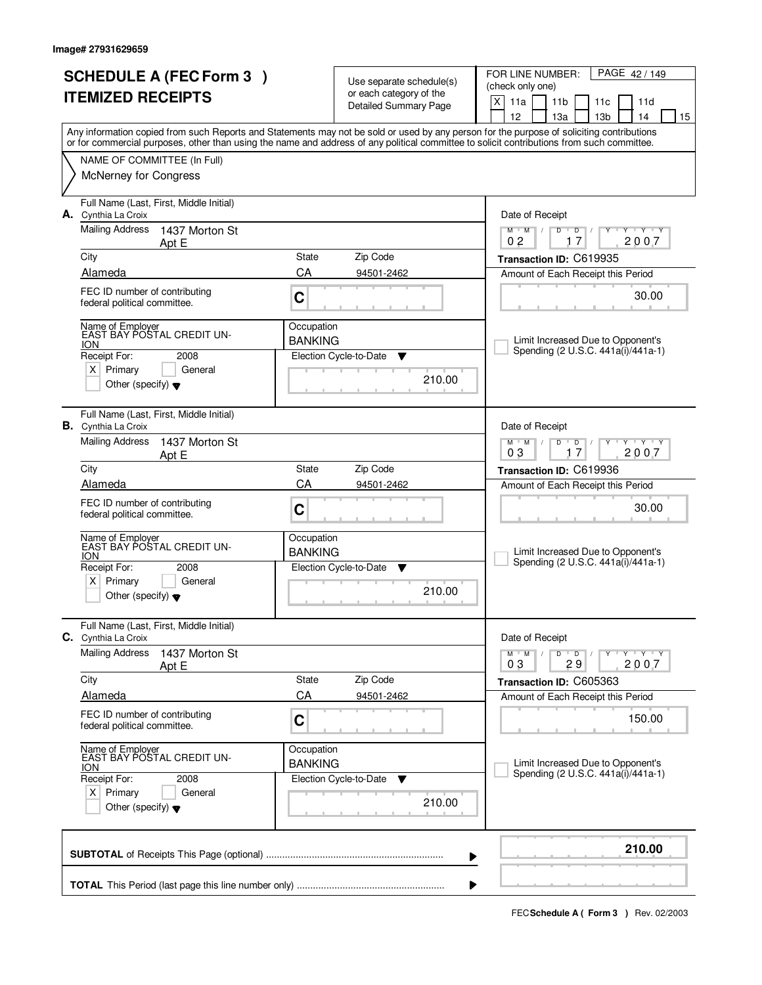| <b>SCHEDULE A (FEC Form 3)</b><br><b>ITEMIZED RECEIPTS</b> |                                                                              | Use separate schedule(s)<br>or each category of the |                                       | PAGE 42/149<br>FOR LINE NUMBER:<br>(check only one)                                                                                                                                                                                                                                     |
|------------------------------------------------------------|------------------------------------------------------------------------------|-----------------------------------------------------|---------------------------------------|-----------------------------------------------------------------------------------------------------------------------------------------------------------------------------------------------------------------------------------------------------------------------------------------|
|                                                            |                                                                              |                                                     | <b>Detailed Summary Page</b>          | X<br>11a<br>11 <sub>b</sub><br>11 <sub>c</sub><br>11d<br>12 <sup>2</sup><br>14<br>13a<br>13 <sub>b</sub><br>15                                                                                                                                                                          |
|                                                            |                                                                              |                                                     |                                       | Any information copied from such Reports and Statements may not be sold or used by any person for the purpose of soliciting contributions<br>or for commercial purposes, other than using the name and address of any political committee to solicit contributions from such committee. |
|                                                            | NAME OF COMMITTEE (In Full)                                                  |                                                     |                                       |                                                                                                                                                                                                                                                                                         |
|                                                            | McNerney for Congress                                                        |                                                     |                                       |                                                                                                                                                                                                                                                                                         |
|                                                            | Full Name (Last, First, Middle Initial)<br>A. Cynthia La Croix               |                                                     |                                       | Date of Receipt                                                                                                                                                                                                                                                                         |
|                                                            | <b>Mailing Address</b><br>1437 Morton St<br>Apt E                            |                                                     |                                       | $\mathsf D$<br>$Y - Y - Y$<br>$M$ <sup>U</sup><br>$M$ /<br>$D$ <sup>U</sup><br>0 <sub>2</sub><br>17<br>2007                                                                                                                                                                             |
|                                                            | City                                                                         | <b>State</b>                                        | Zip Code                              | Transaction ID: C619935                                                                                                                                                                                                                                                                 |
|                                                            | Alameda                                                                      | CA                                                  | 94501-2462                            | Amount of Each Receipt this Period                                                                                                                                                                                                                                                      |
|                                                            | FEC ID number of contributing<br>federal political committee.                | C                                                   |                                       | 30.00                                                                                                                                                                                                                                                                                   |
|                                                            | Name of Employer<br>EAST BAY POSTAL CREDIT UN-                               | Occupation                                          |                                       |                                                                                                                                                                                                                                                                                         |
|                                                            | <b>ION</b><br>Receipt For:<br>2008                                           | <b>BANKING</b>                                      | Election Cycle-to-Date<br>▼           | Limit Increased Due to Opponent's<br>Spending (2 U.S.C. 441a(i)/441a-1)                                                                                                                                                                                                                 |
|                                                            | $X$ Primary<br>General                                                       |                                                     |                                       |                                                                                                                                                                                                                                                                                         |
|                                                            | Other (specify) $\blacktriangledown$                                         |                                                     | 210.00                                |                                                                                                                                                                                                                                                                                         |
|                                                            | Full Name (Last, First, Middle Initial)<br><b>B.</b> Cynthia La Croix        |                                                     |                                       | Date of Receipt                                                                                                                                                                                                                                                                         |
|                                                            | <b>Mailing Address</b><br>1437 Morton St<br>Apt E                            |                                                     |                                       | $M$ $M$ /<br>D<br>$\overline{D}$<br>$T$ $Y$ $T$ $Y$<br>03<br>17<br>2007                                                                                                                                                                                                                 |
|                                                            | City                                                                         | State                                               | Zip Code                              | Transaction ID: C619936                                                                                                                                                                                                                                                                 |
|                                                            | Alameda                                                                      | CA                                                  | 94501-2462                            | Amount of Each Receipt this Period                                                                                                                                                                                                                                                      |
|                                                            | FEC ID number of contributing<br>federal political committee.                | C                                                   |                                       | 30.00                                                                                                                                                                                                                                                                                   |
|                                                            | Name of Employer<br>EAST BAY POSTAL CREDIT UN-<br><b>ION</b>                 | Occupation<br><b>BANKING</b>                        |                                       | Limit Increased Due to Opponent's                                                                                                                                                                                                                                                       |
|                                                            | Receipt For:<br>2008                                                         |                                                     | Election Cycle-to-Date<br>▼           | Spending (2 U.S.C. 441a(i)/441a-1)                                                                                                                                                                                                                                                      |
|                                                            | x <sub>1</sub><br>Primary<br>General<br>Other (specify) $\blacktriangledown$ |                                                     | 210.00                                |                                                                                                                                                                                                                                                                                         |
|                                                            | Full Name (Last, First, Middle Initial)<br><b>C.</b> Cynthia La Croix        |                                                     |                                       | Date of Receipt                                                                                                                                                                                                                                                                         |
|                                                            | <b>Mailing Address</b><br>1437 Morton St<br>Apt E                            |                                                     |                                       | $M$ $M$ $M$<br>$D$ $D$ $/$<br>יץ ייץ י<br>Y<br>03<br>29<br>2007                                                                                                                                                                                                                         |
|                                                            | City                                                                         | State                                               | Zip Code                              | Transaction ID: C605363                                                                                                                                                                                                                                                                 |
|                                                            | <b>Alameda</b>                                                               | CA                                                  | 94501-2462                            | Amount of Each Receipt this Period                                                                                                                                                                                                                                                      |
|                                                            | FEC ID number of contributing<br>federal political committee.                | C                                                   |                                       | 150.00                                                                                                                                                                                                                                                                                  |
|                                                            | Name of Employer<br>EAST BAY POSTAL CREDIT UN-<br><b>ION</b>                 | Occupation<br><b>BANKING</b>                        |                                       | Limit Increased Due to Opponent's                                                                                                                                                                                                                                                       |
|                                                            | Receipt For:<br>2008                                                         |                                                     | Election Cycle-to-Date<br>$\mathbf v$ | Spending (2 U.S.C. 441a(i)/441a-1)                                                                                                                                                                                                                                                      |
|                                                            | $X$ Primary<br>General<br>Other (specify) $\blacktriangledown$               |                                                     | 210.00                                |                                                                                                                                                                                                                                                                                         |
|                                                            |                                                                              |                                                     |                                       | 210.00<br>▶                                                                                                                                                                                                                                                                             |
|                                                            |                                                                              |                                                     |                                       |                                                                                                                                                                                                                                                                                         |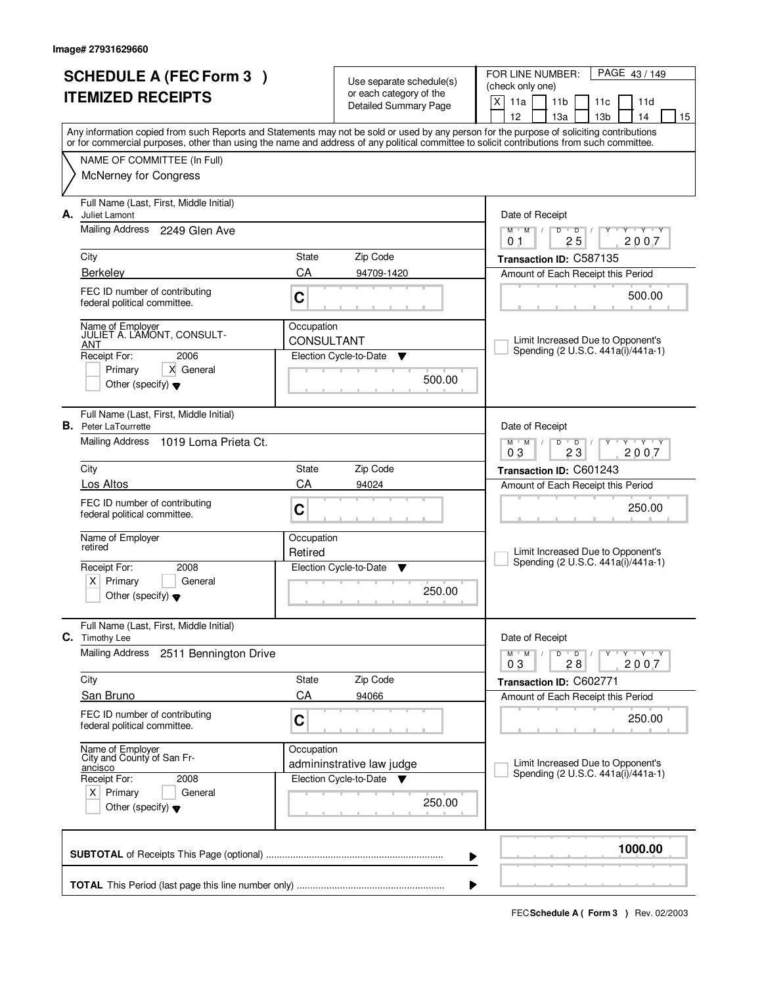|                                                | <b>SCHEDULE A (FEC Form 3)</b>                                         |                                 |                                                     | FOR LINE NUMBER:<br>PAGE 43/149                                                                                                                                                                                                                                                         |  |  |  |
|------------------------------------------------|------------------------------------------------------------------------|---------------------------------|-----------------------------------------------------|-----------------------------------------------------------------------------------------------------------------------------------------------------------------------------------------------------------------------------------------------------------------------------------------|--|--|--|
| <b>ITEMIZED RECEIPTS</b>                       |                                                                        |                                 | Use separate schedule(s)<br>or each category of the | (check only one)                                                                                                                                                                                                                                                                        |  |  |  |
|                                                |                                                                        |                                 | Detailed Summary Page                               | X<br>11a<br>11 <sub>b</sub><br>11c<br>11d                                                                                                                                                                                                                                               |  |  |  |
|                                                |                                                                        |                                 |                                                     | 12<br>13 <sub>b</sub><br>13a<br>14<br>15                                                                                                                                                                                                                                                |  |  |  |
|                                                |                                                                        |                                 |                                                     | Any information copied from such Reports and Statements may not be sold or used by any person for the purpose of soliciting contributions<br>or for commercial purposes, other than using the name and address of any political committee to solicit contributions from such committee. |  |  |  |
|                                                | NAME OF COMMITTEE (In Full)                                            |                                 |                                                     |                                                                                                                                                                                                                                                                                         |  |  |  |
|                                                | <b>McNerney for Congress</b>                                           |                                 |                                                     |                                                                                                                                                                                                                                                                                         |  |  |  |
| А.                                             | Full Name (Last, First, Middle Initial)<br>Juliet Lamont               |                                 |                                                     | Date of Receipt                                                                                                                                                                                                                                                                         |  |  |  |
|                                                | <b>Mailing Address</b><br>2249 Glen Ave                                |                                 |                                                     | $M$ $M$ /<br>$Y - Y - Y$<br>D<br>$\overline{D}$<br>Y<br>2007<br>25<br>0 <sub>1</sub>                                                                                                                                                                                                    |  |  |  |
|                                                | City                                                                   | State                           | Zip Code                                            | Transaction ID: C587135                                                                                                                                                                                                                                                                 |  |  |  |
|                                                | <b>Berkelev</b>                                                        | CA                              | 94709-1420                                          | Amount of Each Receipt this Period                                                                                                                                                                                                                                                      |  |  |  |
|                                                | FEC ID number of contributing<br>federal political committee.          | C                               |                                                     | 500.00                                                                                                                                                                                                                                                                                  |  |  |  |
|                                                | Name of Employer<br>JULIET A. LAMONT, CONSULT-<br>ANT                  | Occupation<br><b>CONSULTANT</b> |                                                     | Limit Increased Due to Opponent's                                                                                                                                                                                                                                                       |  |  |  |
|                                                | 2006<br>Receipt For:                                                   |                                 | Election Cycle-to-Date<br>▼                         | Spending (2 U.S.C. 441a(i)/441a-1)                                                                                                                                                                                                                                                      |  |  |  |
|                                                | Primary<br>X General<br>Other (specify) $\blacktriangledown$           |                                 | 500.00                                              |                                                                                                                                                                                                                                                                                         |  |  |  |
|                                                | Full Name (Last, First, Middle Initial)<br><b>B.</b> Peter LaTourrette |                                 |                                                     | Date of Receipt                                                                                                                                                                                                                                                                         |  |  |  |
|                                                | <b>Mailing Address</b><br>1019 Loma Prieta Ct.                         |                                 |                                                     | <b>TEXTEY</b><br>$M$ $M$ /<br>D<br>$\overline{D}$<br>Y<br>03<br>23<br>2007                                                                                                                                                                                                              |  |  |  |
|                                                | City<br>State                                                          |                                 | Zip Code                                            | Transaction ID: C601243                                                                                                                                                                                                                                                                 |  |  |  |
|                                                | Los Altos                                                              | CA                              | 94024                                               | Amount of Each Receipt this Period                                                                                                                                                                                                                                                      |  |  |  |
|                                                | FEC ID number of contributing<br>federal political committee.          | C                               |                                                     | 250.00                                                                                                                                                                                                                                                                                  |  |  |  |
|                                                | Name of Employer                                                       | Occupation                      |                                                     |                                                                                                                                                                                                                                                                                         |  |  |  |
|                                                | retired                                                                | Retired                         |                                                     | Limit Increased Due to Opponent's<br>Spending (2 U.S.C. 441a(i)/441a-1)                                                                                                                                                                                                                 |  |  |  |
|                                                | Receipt For:<br>2008<br>Primary<br>$X \mid$<br>General                 |                                 | Election Cycle-to-Date<br>v                         |                                                                                                                                                                                                                                                                                         |  |  |  |
|                                                | Other (specify) $\blacktriangledown$                                   |                                 | 250.00                                              |                                                                                                                                                                                                                                                                                         |  |  |  |
| С.                                             | Full Name (Last, First, Middle Initial)<br>Timothy Lee                 |                                 |                                                     | Date of Receipt                                                                                                                                                                                                                                                                         |  |  |  |
|                                                | Mailing Address<br>2511 Bennington Drive                               |                                 |                                                     | $M$ $M$ $/$<br>D<br>$\overline{D}$ /<br>$Y + Y + Y$<br>2007<br>03<br>28                                                                                                                                                                                                                 |  |  |  |
|                                                | City                                                                   | State                           | Zip Code                                            | Transaction ID: C602771                                                                                                                                                                                                                                                                 |  |  |  |
|                                                | San Bruno                                                              | CA                              | 94066                                               | Amount of Each Receipt this Period                                                                                                                                                                                                                                                      |  |  |  |
|                                                | FEC ID number of contributing<br>federal political committee.          | C                               |                                                     | 250.00                                                                                                                                                                                                                                                                                  |  |  |  |
|                                                | Name of Employer<br>City and County of San Fr-                         | Occupation                      |                                                     |                                                                                                                                                                                                                                                                                         |  |  |  |
|                                                | ancisco                                                                |                                 | admininstrative law judge                           | Limit Increased Due to Opponent's<br>Spending (2 U.S.C. 441a(i)/441a-1)                                                                                                                                                                                                                 |  |  |  |
| Receipt For:<br>2008<br>$X$ Primary<br>General |                                                                        |                                 | Election Cycle-to-Date<br>v                         |                                                                                                                                                                                                                                                                                         |  |  |  |
|                                                | Other (specify) $\blacktriangledown$                                   |                                 |                                                     |                                                                                                                                                                                                                                                                                         |  |  |  |
|                                                |                                                                        |                                 |                                                     | 1000.00<br>▶                                                                                                                                                                                                                                                                            |  |  |  |
|                                                | ▶                                                                      |                                 |                                                     |                                                                                                                                                                                                                                                                                         |  |  |  |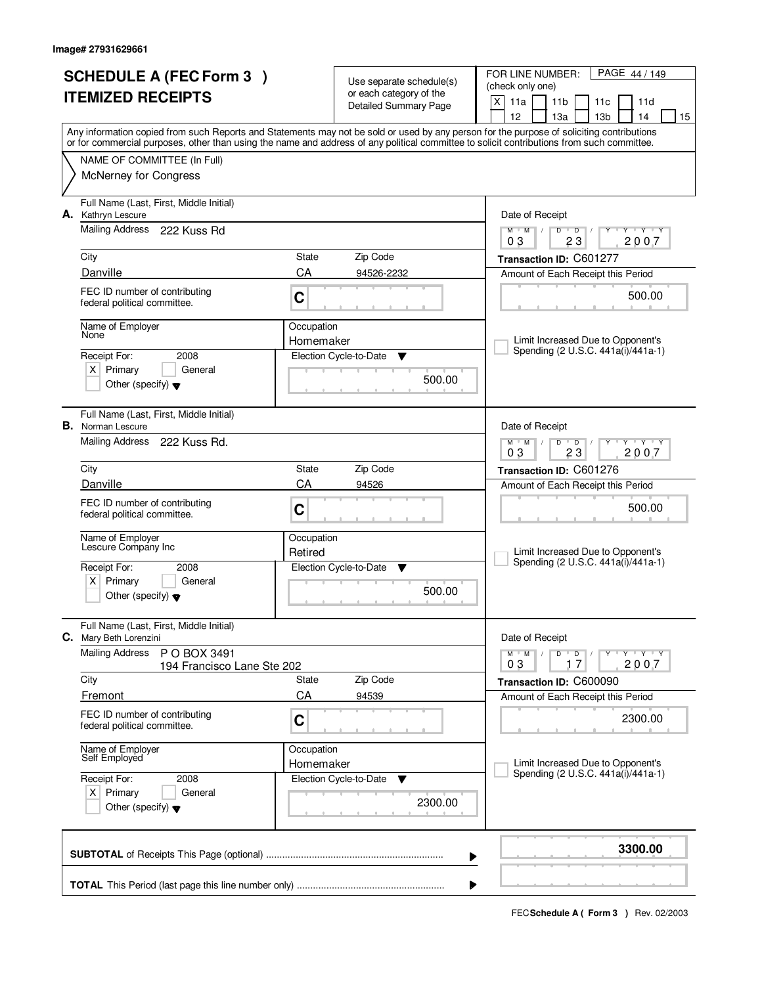|                          | <b>SCHEDULE A (FEC Form 3)</b>                                       | Use separate schedule(s) |                                                         | PAGE 44 / 149<br>FOR LINE NUMBER:<br>(check only one)                                                                                                                                 |  |  |  |  |
|--------------------------|----------------------------------------------------------------------|--------------------------|---------------------------------------------------------|---------------------------------------------------------------------------------------------------------------------------------------------------------------------------------------|--|--|--|--|
| <b>ITEMIZED RECEIPTS</b> |                                                                      |                          | or each category of the<br><b>Detailed Summary Page</b> | $\mathsf{X}$<br>11a<br>11 <sub>b</sub><br>11c<br>11d                                                                                                                                  |  |  |  |  |
|                          |                                                                      |                          |                                                         | 12<br>13 <sub>b</sub><br>13a<br>14<br>15<br>Any information copied from such Reports and Statements may not be sold or used by any person for the purpose of soliciting contributions |  |  |  |  |
|                          |                                                                      |                          |                                                         | or for commercial purposes, other than using the name and address of any political committee to solicit contributions from such committee.                                            |  |  |  |  |
|                          | NAME OF COMMITTEE (In Full)                                          |                          |                                                         |                                                                                                                                                                                       |  |  |  |  |
|                          | <b>McNerney for Congress</b>                                         |                          |                                                         |                                                                                                                                                                                       |  |  |  |  |
|                          | Full Name (Last, First, Middle Initial)<br>A. Kathryn Lescure        |                          |                                                         | Date of Receipt                                                                                                                                                                       |  |  |  |  |
|                          | <b>Mailing Address</b><br>222 Kuss Rd                                |                          |                                                         | $M$ $M$<br>$D$ $D$<br>Y Y Y Y<br>$\frac{1}{2}$                                                                                                                                        |  |  |  |  |
|                          | City                                                                 | State                    | Zip Code                                                | 2007<br>03<br>23<br>Transaction ID: C601277                                                                                                                                           |  |  |  |  |
|                          | Danville                                                             | CA                       | 94526-2232                                              | Amount of Each Receipt this Period                                                                                                                                                    |  |  |  |  |
|                          | FEC ID number of contributing<br>federal political committee.        | C                        |                                                         | 500.00                                                                                                                                                                                |  |  |  |  |
|                          | Name of Employer                                                     | Occupation               |                                                         |                                                                                                                                                                                       |  |  |  |  |
|                          | None<br>2008                                                         | Homemaker                | Election Cycle-to-Date                                  | Limit Increased Due to Opponent's<br>Spending (2 U.S.C. 441a(i)/441a-1)                                                                                                               |  |  |  |  |
|                          | Receipt For:<br>$X$ Primary<br>General                               |                          | v                                                       |                                                                                                                                                                                       |  |  |  |  |
|                          | Other (specify) $\blacktriangledown$                                 |                          | 500.00                                                  |                                                                                                                                                                                       |  |  |  |  |
|                          | Full Name (Last, First, Middle Initial)<br><b>B.</b> Norman Lescure  |                          |                                                         | Date of Receipt                                                                                                                                                                       |  |  |  |  |
|                          | Mailing Address 222 Kuss Rd.                                         |                          |                                                         | $\mathsf{L} \mathsf{Y} \mathsf{L} \mathsf{Y} \mathsf{Y}$<br>$M$ $M$ /<br>$D$ $D$<br>03<br>23<br>2007                                                                                  |  |  |  |  |
|                          | City                                                                 | State                    | Zip Code                                                | Transaction ID: C601276                                                                                                                                                               |  |  |  |  |
|                          | Danville                                                             | CA                       | 94526                                                   | Amount of Each Receipt this Period                                                                                                                                                    |  |  |  |  |
|                          | FEC ID number of contributing<br>federal political committee.        | C                        |                                                         | 500.00                                                                                                                                                                                |  |  |  |  |
|                          | Name of Employer<br>Lescure Company Inc                              | Occupation               |                                                         | Limit Increased Due to Opponent's                                                                                                                                                     |  |  |  |  |
|                          | Receipt For:<br>2008                                                 | Retired                  | Election Cycle-to-Date<br>▼                             | Spending (2 U.S.C. 441a(i)/441a-1)                                                                                                                                                    |  |  |  |  |
|                          | $X$ Primary<br>General                                               |                          | 500.00                                                  |                                                                                                                                                                                       |  |  |  |  |
|                          | Other (specify) $\blacktriangledown$                                 |                          |                                                         |                                                                                                                                                                                       |  |  |  |  |
| С.                       | Full Name (Last, First, Middle Initial)<br>Mary Beth Lorenzini       |                          |                                                         | Date of Receipt                                                                                                                                                                       |  |  |  |  |
|                          | <b>Mailing Address</b><br>P O BOX 3491<br>194 Francisco Lane Ste 202 |                          |                                                         | $D$ $D$ $I$<br>$Y - Y - Y$<br>$M$ $M$ $/$<br>2007<br>17<br>03                                                                                                                         |  |  |  |  |
|                          | City                                                                 | State                    | Zip Code                                                | Transaction ID: C600090                                                                                                                                                               |  |  |  |  |
|                          | Fremont                                                              | CA                       | 94539                                                   | Amount of Each Receipt this Period                                                                                                                                                    |  |  |  |  |
|                          | FEC ID number of contributing<br>federal political committee.        | C                        |                                                         | 2300.00                                                                                                                                                                               |  |  |  |  |
|                          | Name of Employer<br>Self Employed                                    | Occupation<br>Homemaker  |                                                         | Limit Increased Due to Opponent's                                                                                                                                                     |  |  |  |  |
|                          | Receipt For:<br>2008                                                 |                          | Election Cycle-to-Date<br>v                             | Spending (2 U.S.C. 441a(i)/441a-1)                                                                                                                                                    |  |  |  |  |
|                          | $X$ Primary<br>General<br>Other (specify) $\blacktriangledown$       |                          | 2300.00                                                 |                                                                                                                                                                                       |  |  |  |  |
|                          |                                                                      |                          |                                                         | 3300.00<br>▶                                                                                                                                                                          |  |  |  |  |
|                          |                                                                      |                          |                                                         |                                                                                                                                                                                       |  |  |  |  |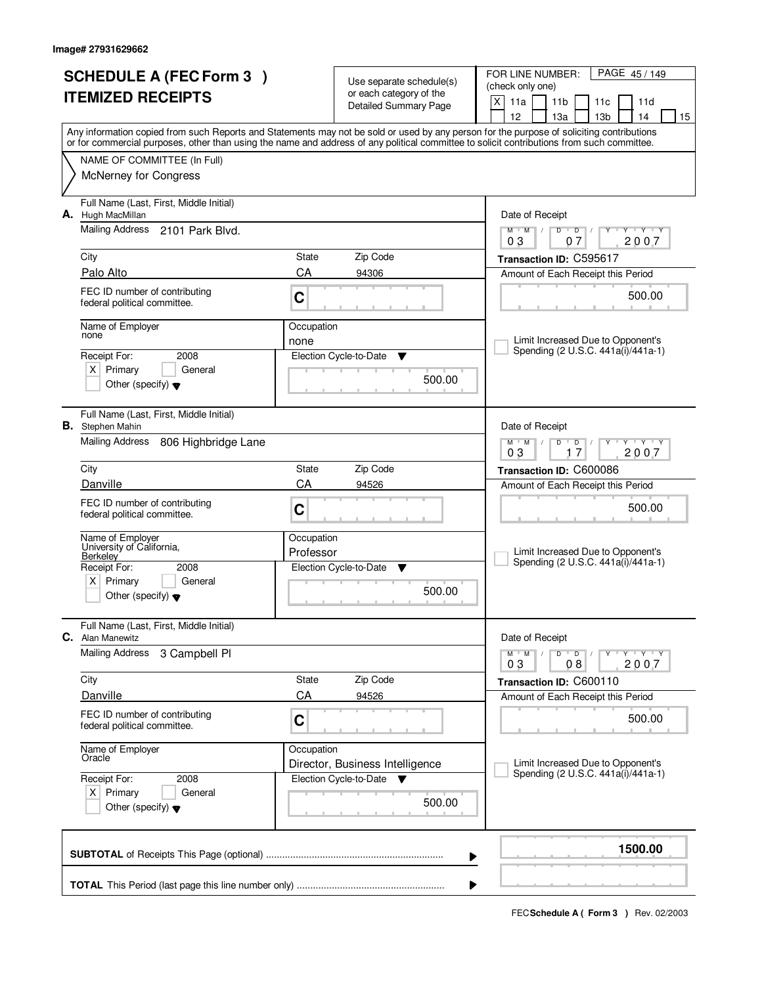|    | <b>SCHEDULE A (FEC Form 3)</b>                                                         |            | Use separate schedule(s)                         | FOR LINE NUMBER:<br>PAGE 45/149<br>(check only one)                                                                                                                                                                                                                                     |  |  |  |
|----|----------------------------------------------------------------------------------------|------------|--------------------------------------------------|-----------------------------------------------------------------------------------------------------------------------------------------------------------------------------------------------------------------------------------------------------------------------------------------|--|--|--|
|    | <b>ITEMIZED RECEIPTS</b>                                                               |            | or each category of the<br>Detailed Summary Page | X<br>11a<br>11 <sub>b</sub><br>11d<br>11c                                                                                                                                                                                                                                               |  |  |  |
|    |                                                                                        |            |                                                  | 12<br>13 <sub>b</sub><br>13a<br>14<br>15                                                                                                                                                                                                                                                |  |  |  |
|    |                                                                                        |            |                                                  | Any information copied from such Reports and Statements may not be sold or used by any person for the purpose of soliciting contributions<br>or for commercial purposes, other than using the name and address of any political committee to solicit contributions from such committee. |  |  |  |
|    | NAME OF COMMITTEE (In Full)                                                            |            |                                                  |                                                                                                                                                                                                                                                                                         |  |  |  |
|    | <b>McNerney for Congress</b>                                                           |            |                                                  |                                                                                                                                                                                                                                                                                         |  |  |  |
| А. | Full Name (Last, First, Middle Initial)<br>Hugh MacMillan                              |            |                                                  | Date of Receipt                                                                                                                                                                                                                                                                         |  |  |  |
|    | Mailing Address<br>2101 Park Blvd.                                                     |            |                                                  | $\overline{D}$<br>Y Y Y Y<br>$M$ <sup>U</sup><br>M<br>$\sqrt{2}$<br>D<br>2007<br>03<br>07                                                                                                                                                                                               |  |  |  |
|    | City                                                                                   | State      | Zip Code                                         | Transaction ID: C595617                                                                                                                                                                                                                                                                 |  |  |  |
|    | Palo Alto                                                                              | CA         | 94306                                            | Amount of Each Receipt this Period                                                                                                                                                                                                                                                      |  |  |  |
|    | FEC ID number of contributing<br>federal political committee.                          | C          |                                                  | 500.00                                                                                                                                                                                                                                                                                  |  |  |  |
|    | Name of Employer<br>none                                                               | Occupation |                                                  |                                                                                                                                                                                                                                                                                         |  |  |  |
|    | 2008                                                                                   | none       |                                                  | Limit Increased Due to Opponent's<br>Spending (2 U.S.C. 441a(i)/441a-1)                                                                                                                                                                                                                 |  |  |  |
|    | Receipt For:<br>$X$ Primary<br>General                                                 |            | Election Cycle-to-Date<br>Y                      |                                                                                                                                                                                                                                                                                         |  |  |  |
|    | Other (specify) $\blacktriangledown$                                                   |            | 500.00                                           |                                                                                                                                                                                                                                                                                         |  |  |  |
|    | Full Name (Last, First, Middle Initial)<br><b>B.</b> Stephen Mahin                     |            |                                                  | Date of Receipt                                                                                                                                                                                                                                                                         |  |  |  |
|    | Mailing Address<br>806 Highbridge Lane                                                 |            |                                                  | $M$ $M$ $/$<br>$\mathbf{y}$ $\mathbf{y}$<br>D<br>$\overline{D}$<br>Y<br>03<br>2007<br>17                                                                                                                                                                                                |  |  |  |
|    | City                                                                                   | State      | Zip Code                                         | Transaction ID: C600086                                                                                                                                                                                                                                                                 |  |  |  |
|    | Danville                                                                               | CA         | 94526                                            | Amount of Each Receipt this Period                                                                                                                                                                                                                                                      |  |  |  |
|    | FEC ID number of contributing<br>federal political committee.                          | C          |                                                  | 500.00                                                                                                                                                                                                                                                                                  |  |  |  |
|    | Name of Employer<br>University of California,                                          | Occupation |                                                  |                                                                                                                                                                                                                                                                                         |  |  |  |
|    | Berkeley<br>Receipt For:<br>2008                                                       | Professor  | Election Cycle-to-Date<br>▼                      | Limit Increased Due to Opponent's<br>Spending (2 U.S.C. 441a(i)/441a-1)                                                                                                                                                                                                                 |  |  |  |
|    | $x \mid$<br>Primary<br>General<br>Other (specify) $\blacktriangledown$                 |            | 500.00                                           |                                                                                                                                                                                                                                                                                         |  |  |  |
| С. | Full Name (Last, First, Middle Initial)<br>Alan Manewitz                               |            |                                                  | Date of Receipt                                                                                                                                                                                                                                                                         |  |  |  |
|    | <b>Mailing Address</b><br>3 Campbell Pl                                                |            |                                                  | $D$ $D$<br>$M$ $M$ /<br>$Y$ $Y$ $Y$ $Y$<br>2007<br>03<br>08                                                                                                                                                                                                                             |  |  |  |
|    | City                                                                                   | State      | Zip Code                                         | Transaction ID: C600110                                                                                                                                                                                                                                                                 |  |  |  |
|    | Danville                                                                               | CA         | 94526                                            | Amount of Each Receipt this Period                                                                                                                                                                                                                                                      |  |  |  |
|    | FEC ID number of contributing<br>federal political committee.                          | C          |                                                  | 500.00                                                                                                                                                                                                                                                                                  |  |  |  |
|    | Name of Employer<br>Oracle                                                             | Occupation | Director, Business Intelligence                  | Limit Increased Due to Opponent's                                                                                                                                                                                                                                                       |  |  |  |
|    | Receipt For:<br>2008<br>$X$ Primary<br>General<br>Other (specify) $\blacktriangledown$ |            | Election Cycle-to-Date<br>500.00                 | Spending (2 U.S.C. 441a(i)/441a-1)                                                                                                                                                                                                                                                      |  |  |  |
|    |                                                                                        |            |                                                  | 1500.00<br>▶                                                                                                                                                                                                                                                                            |  |  |  |
|    |                                                                                        |            |                                                  |                                                                                                                                                                                                                                                                                         |  |  |  |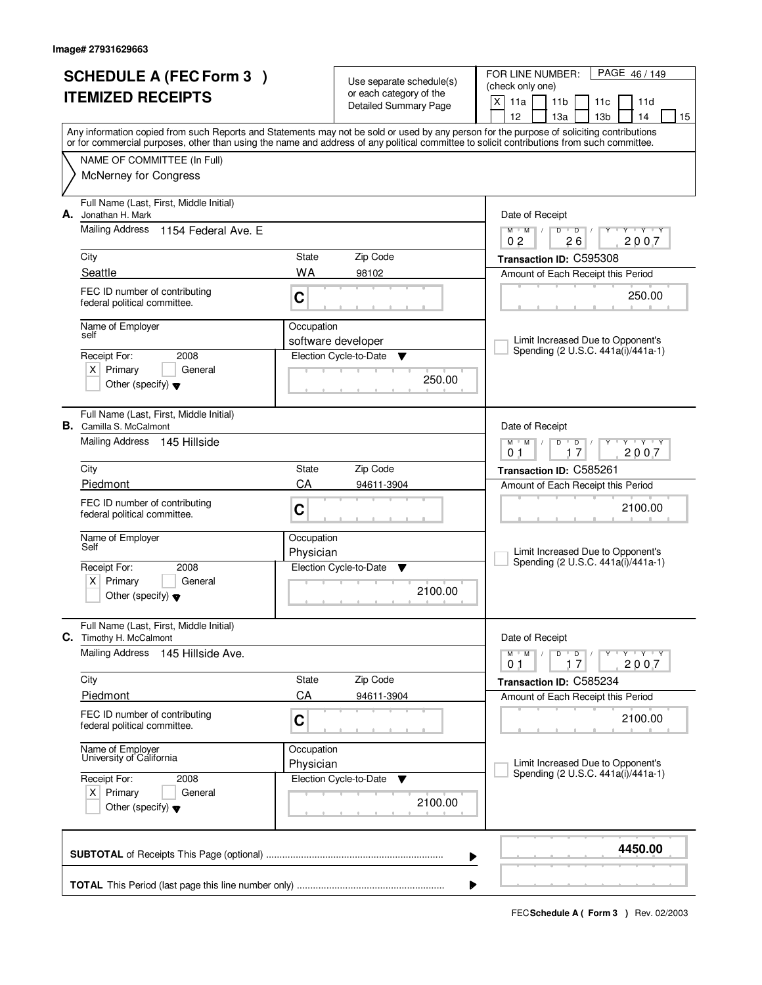|                          | <b>SCHEDULE A (FEC Form 3)</b>                                            |            |                                                     | FOR LINE NUMBER:<br>PAGE 46 / 149                                                                                                                                                     |  |
|--------------------------|---------------------------------------------------------------------------|------------|-----------------------------------------------------|---------------------------------------------------------------------------------------------------------------------------------------------------------------------------------------|--|
| <b>ITEMIZED RECEIPTS</b> |                                                                           |            | Use separate schedule(s)<br>or each category of the | (check only one)                                                                                                                                                                      |  |
|                          |                                                                           |            | <b>Detailed Summary Page</b>                        | X<br>11a<br>11 <sub>b</sub><br>11c<br>11d                                                                                                                                             |  |
|                          |                                                                           |            |                                                     | 12<br>13 <sub>b</sub><br>13a<br>14<br>15<br>Any information copied from such Reports and Statements may not be sold or used by any person for the purpose of soliciting contributions |  |
|                          |                                                                           |            |                                                     | or for commercial purposes, other than using the name and address of any political committee to solicit contributions from such committee.                                            |  |
|                          | NAME OF COMMITTEE (In Full)                                               |            |                                                     |                                                                                                                                                                                       |  |
|                          | <b>McNerney for Congress</b>                                              |            |                                                     |                                                                                                                                                                                       |  |
| А.                       | Full Name (Last, First, Middle Initial)<br>Jonathan H. Mark               |            |                                                     | Date of Receipt                                                                                                                                                                       |  |
|                          | <b>Mailing Address</b><br>1154 Federal Ave. F                             |            |                                                     | Y Y Y Y<br>$M$ $M$ /<br>$D$ $D$<br>2007<br>0 <sub>2</sub><br>26                                                                                                                       |  |
|                          | City                                                                      | State      | Zip Code                                            | Transaction ID: C595308                                                                                                                                                               |  |
|                          | Seattle                                                                   | WA         | 98102                                               | Amount of Each Receipt this Period                                                                                                                                                    |  |
|                          | FEC ID number of contributing<br>federal political committee.             | C          |                                                     | 250.00                                                                                                                                                                                |  |
|                          | Name of Employer                                                          | Occupation |                                                     |                                                                                                                                                                                       |  |
|                          | self                                                                      |            | software developer                                  | Limit Increased Due to Opponent's<br>Spending (2 U.S.C. 441a(i)/441a-1)                                                                                                               |  |
|                          | Receipt For:<br>2008                                                      |            | Election Cycle-to-Date<br>▼                         |                                                                                                                                                                                       |  |
|                          | $X$ Primary<br>General<br>Other (specify) $\blacktriangledown$            |            | 250.00                                              |                                                                                                                                                                                       |  |
|                          |                                                                           |            |                                                     |                                                                                                                                                                                       |  |
|                          | Full Name (Last, First, Middle Initial)<br><b>B.</b> Camilla S. McCalmont |            |                                                     | Date of Receipt                                                                                                                                                                       |  |
|                          | Mailing Address 145 Hillside                                              |            |                                                     | $\mathsf{L} \mathsf{Y} \mathsf{L} \mathsf{Y} \mathsf{Y}$<br>$M$ $M$ /<br>$D$ $D$                                                                                                      |  |
|                          | City                                                                      | State      | Zip Code                                            | 2007<br>0 <sub>1</sub><br>17                                                                                                                                                          |  |
|                          | Piedmont                                                                  | CA         | 94611-3904                                          | Transaction ID: C585261                                                                                                                                                               |  |
|                          |                                                                           |            |                                                     | Amount of Each Receipt this Period                                                                                                                                                    |  |
|                          | FEC ID number of contributing<br>federal political committee.             | C          |                                                     | 2100.00                                                                                                                                                                               |  |
|                          | Name of Employer<br>Self                                                  | Occupation |                                                     |                                                                                                                                                                                       |  |
|                          |                                                                           | Physician  |                                                     | Limit Increased Due to Opponent's<br>Spending (2 U.S.C. 441a(i)/441a-1)                                                                                                               |  |
|                          | Receipt For:<br>2008<br>Primary                                           |            | Election Cycle-to-Date<br>▼                         |                                                                                                                                                                                       |  |
|                          | $X \mid$<br>General<br>Other (specify) $\blacktriangledown$               |            | 2100.00                                             |                                                                                                                                                                                       |  |
|                          | Full Name (Last, First, Middle Initial)<br>C. Timothy H. McCalmont        |            |                                                     | Date of Receipt                                                                                                                                                                       |  |
|                          | <b>Mailing Address</b><br>145 Hillside Ave.                               |            |                                                     | $M^{\prime}$ M $\rightarrow$ M<br>$D$ $D$ $l$<br>$\mathsf{Y} \dashv \mathsf{Y} \dashv \mathsf{Y}$<br>2007<br>01<br>17                                                                 |  |
|                          | City                                                                      | State      | Zip Code                                            | Transaction ID: C585234                                                                                                                                                               |  |
|                          | Piedmont                                                                  | CA         | 94611-3904                                          | Amount of Each Receipt this Period                                                                                                                                                    |  |
|                          | FEC ID number of contributing<br>federal political committee.             | C          |                                                     | 2100.00                                                                                                                                                                               |  |
|                          | Name of Employer                                                          | Occupation |                                                     |                                                                                                                                                                                       |  |
|                          | University of California                                                  | Physician  |                                                     | Limit Increased Due to Opponent's<br>Spending (2 U.S.C. 441a(i)/441a-1)                                                                                                               |  |
|                          | Receipt For:<br>2008                                                      |            | Election Cycle-to-Date<br>v                         |                                                                                                                                                                                       |  |
|                          | $X$ Primary<br>General<br>Other (specify) $\blacktriangledown$            |            | 2100.00                                             |                                                                                                                                                                                       |  |
|                          |                                                                           |            |                                                     | 4450.00<br>▶                                                                                                                                                                          |  |
|                          |                                                                           |            |                                                     |                                                                                                                                                                                       |  |
|                          |                                                                           |            |                                                     |                                                                                                                                                                                       |  |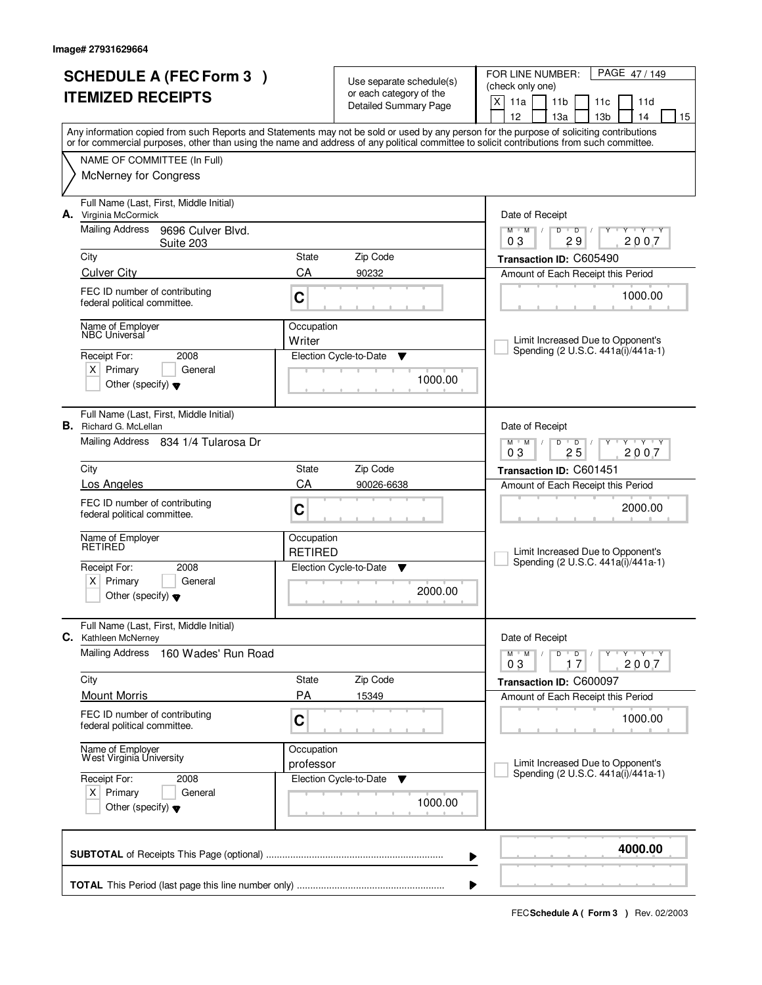|                          | <b>SCHEDULE A (FEC Form 3)</b>                                           |                  |                                                     | PAGE 47/149<br>FOR LINE NUMBER:                                                                                                                                                                                                                                                         |
|--------------------------|--------------------------------------------------------------------------|------------------|-----------------------------------------------------|-----------------------------------------------------------------------------------------------------------------------------------------------------------------------------------------------------------------------------------------------------------------------------------------|
| <b>ITEMIZED RECEIPTS</b> |                                                                          |                  | Use separate schedule(s)<br>or each category of the | (check only one)                                                                                                                                                                                                                                                                        |
|                          |                                                                          |                  | <b>Detailed Summary Page</b>                        | X<br>11a<br>11 <sub>b</sub><br>11 <sub>c</sub><br>11d                                                                                                                                                                                                                                   |
|                          |                                                                          |                  |                                                     | 12<br>13a<br>13 <sub>b</sub><br>14<br>15                                                                                                                                                                                                                                                |
|                          |                                                                          |                  |                                                     | Any information copied from such Reports and Statements may not be sold or used by any person for the purpose of soliciting contributions<br>or for commercial purposes, other than using the name and address of any political committee to solicit contributions from such committee. |
|                          | NAME OF COMMITTEE (In Full)                                              |                  |                                                     |                                                                                                                                                                                                                                                                                         |
|                          | <b>McNerney for Congress</b>                                             |                  |                                                     |                                                                                                                                                                                                                                                                                         |
|                          |                                                                          |                  |                                                     |                                                                                                                                                                                                                                                                                         |
|                          | Full Name (Last, First, Middle Initial)                                  |                  |                                                     |                                                                                                                                                                                                                                                                                         |
|                          | A. Virginia McCormick<br><b>Mailing Address</b>                          |                  |                                                     | Date of Receipt<br>$D$ $D$<br>$Y + Y + Y$                                                                                                                                                                                                                                               |
|                          | 9696 Culver Blvd.<br>Suite 203                                           |                  |                                                     | $M$ $M$<br>Y<br>$\sqrt{ }$<br>29<br>2007<br>03                                                                                                                                                                                                                                          |
|                          | City                                                                     | State            | Zip Code                                            | Transaction ID: C605490                                                                                                                                                                                                                                                                 |
|                          | <b>Culver City</b>                                                       | CA               | 90232                                               | Amount of Each Receipt this Period                                                                                                                                                                                                                                                      |
|                          | FEC ID number of contributing                                            |                  |                                                     | 1000.00                                                                                                                                                                                                                                                                                 |
|                          | federal political committee.                                             | C                |                                                     |                                                                                                                                                                                                                                                                                         |
|                          | Name of Employer                                                         | Occupation       |                                                     |                                                                                                                                                                                                                                                                                         |
|                          | <b>NBC Universal</b>                                                     | Writer           |                                                     | Limit Increased Due to Opponent's                                                                                                                                                                                                                                                       |
|                          | Receipt For:<br>2008                                                     |                  | Election Cycle-to-Date<br>▼                         | Spending (2 U.S.C. 441a(i)/441a-1)                                                                                                                                                                                                                                                      |
|                          | $X$ Primary<br>General                                                   |                  |                                                     |                                                                                                                                                                                                                                                                                         |
|                          | Other (specify) $\blacktriangledown$                                     |                  | 1000.00                                             |                                                                                                                                                                                                                                                                                         |
|                          |                                                                          |                  |                                                     |                                                                                                                                                                                                                                                                                         |
|                          | Full Name (Last, First, Middle Initial)<br><b>B.</b> Richard G. McLellan |                  |                                                     | Date of Receipt                                                                                                                                                                                                                                                                         |
|                          | Mailing Address 834 1/4 Tularosa Dr                                      |                  |                                                     | $T - Y - T Y$<br>$M$ $M$ /<br>D<br>$\overline{D}$                                                                                                                                                                                                                                       |
|                          |                                                                          |                  |                                                     | 25<br>2007<br>03                                                                                                                                                                                                                                                                        |
|                          | City                                                                     | <b>State</b>     | Zip Code                                            | Transaction ID: C601451                                                                                                                                                                                                                                                                 |
|                          | Los Angeles                                                              | CA<br>90026-6638 |                                                     | Amount of Each Receipt this Period                                                                                                                                                                                                                                                      |
|                          | FEC ID number of contributing                                            | C                |                                                     | 2000.00                                                                                                                                                                                                                                                                                 |
|                          | federal political committee.                                             |                  |                                                     |                                                                                                                                                                                                                                                                                         |
|                          | Name of Employer<br>RETIRED                                              | Occupation       |                                                     |                                                                                                                                                                                                                                                                                         |
|                          |                                                                          | <b>RETIRED</b>   |                                                     | Limit Increased Due to Opponent's<br>Spending (2 U.S.C. 441a(i)/441a-1)                                                                                                                                                                                                                 |
|                          | Receipt For:<br>2008                                                     |                  | Election Cycle-to-Date<br>▼                         |                                                                                                                                                                                                                                                                                         |
|                          | $X$ Primary<br>General                                                   |                  | 2000.00                                             |                                                                                                                                                                                                                                                                                         |
|                          | Other (specify) $\blacktriangledown$                                     |                  |                                                     |                                                                                                                                                                                                                                                                                         |
|                          | Full Name (Last, First, Middle Initial)                                  |                  |                                                     |                                                                                                                                                                                                                                                                                         |
|                          | C. Kathleen McNerney                                                     |                  |                                                     | Date of Receipt                                                                                                                                                                                                                                                                         |
|                          | <b>Mailing Address</b><br>160 Wades' Run Road                            |                  |                                                     | $D$ $D$ $I$<br>$M$ $M$ $/$<br>$\mathsf{Y} + \mathsf{Y} + \mathsf{Y}$<br>Y                                                                                                                                                                                                               |
|                          |                                                                          |                  |                                                     | 17<br>2007<br>03                                                                                                                                                                                                                                                                        |
|                          | City<br><b>Mount Morris</b>                                              | State<br>PA      | Zip Code<br>15349                                   | Transaction ID: C600097                                                                                                                                                                                                                                                                 |
|                          |                                                                          |                  |                                                     | Amount of Each Receipt this Period                                                                                                                                                                                                                                                      |
|                          | FEC ID number of contributing<br>federal political committee.            | C                |                                                     | 1000.00                                                                                                                                                                                                                                                                                 |
|                          |                                                                          |                  |                                                     |                                                                                                                                                                                                                                                                                         |
|                          | Name of Employer<br>West Virginia University                             | Occupation       |                                                     | Limit Increased Due to Opponent's                                                                                                                                                                                                                                                       |
|                          | Receipt For:<br>2008                                                     | professor        | Election Cycle-to-Date                              | Spending (2 U.S.C. 441a(i)/441a-1)                                                                                                                                                                                                                                                      |
|                          | $X$ Primary<br>General                                                   |                  | v                                                   |                                                                                                                                                                                                                                                                                         |
|                          | Other (specify) $\blacktriangledown$                                     |                  | 1000.00                                             |                                                                                                                                                                                                                                                                                         |
|                          |                                                                          |                  |                                                     |                                                                                                                                                                                                                                                                                         |
|                          |                                                                          |                  |                                                     |                                                                                                                                                                                                                                                                                         |
|                          |                                                                          |                  |                                                     | 4000.00<br>▶                                                                                                                                                                                                                                                                            |
|                          |                                                                          |                  |                                                     |                                                                                                                                                                                                                                                                                         |
|                          |                                                                          |                  |                                                     |                                                                                                                                                                                                                                                                                         |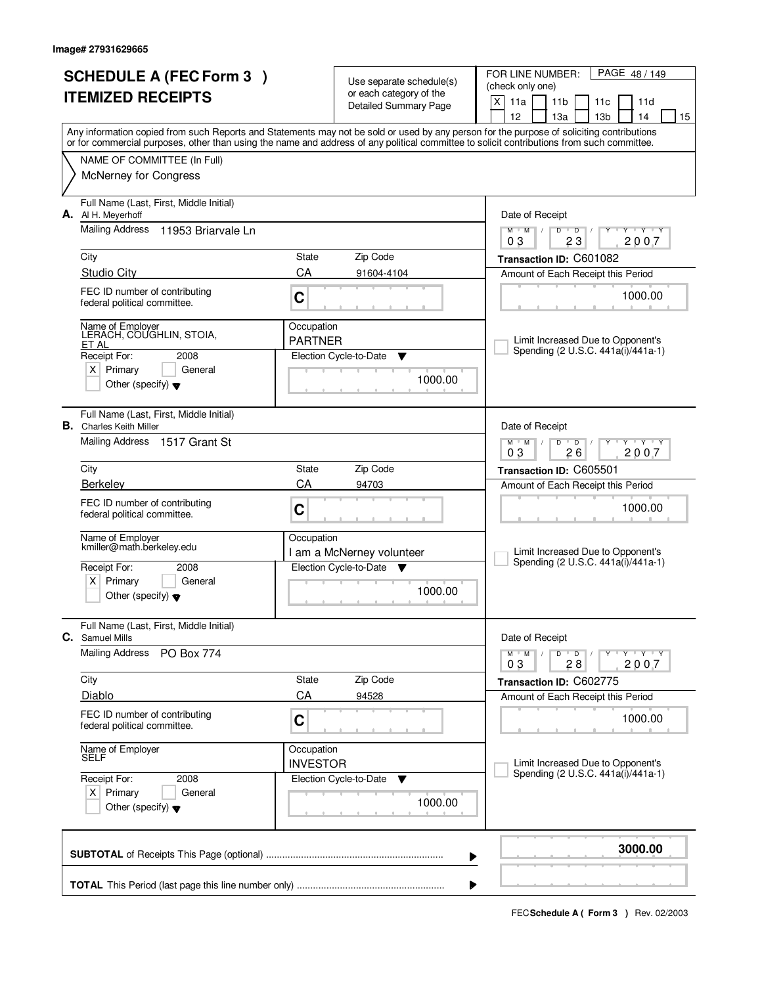|                          | <b>SCHEDULE A (FEC Form 3)</b>                                            |                               | Use separate schedule(s)                                | PAGE 48 / 149<br>FOR LINE NUMBER:<br>(check only one)                                                                                                                                 |  |  |  |
|--------------------------|---------------------------------------------------------------------------|-------------------------------|---------------------------------------------------------|---------------------------------------------------------------------------------------------------------------------------------------------------------------------------------------|--|--|--|
| <b>ITEMIZED RECEIPTS</b> |                                                                           |                               | or each category of the<br><b>Detailed Summary Page</b> | $\mathsf{X}$<br>11a<br>11 <sub>b</sub><br>11c<br>11d                                                                                                                                  |  |  |  |
|                          |                                                                           |                               |                                                         | 12<br>13a<br>13 <sub>b</sub><br>14<br>15<br>Any information copied from such Reports and Statements may not be sold or used by any person for the purpose of soliciting contributions |  |  |  |
|                          |                                                                           |                               |                                                         | or for commercial purposes, other than using the name and address of any political committee to solicit contributions from such committee.                                            |  |  |  |
|                          | NAME OF COMMITTEE (In Full)<br><b>McNerney for Congress</b>               |                               |                                                         |                                                                                                                                                                                       |  |  |  |
|                          | Full Name (Last, First, Middle Initial)<br>A. Al H. Meyerhoff             |                               |                                                         | Date of Receipt                                                                                                                                                                       |  |  |  |
|                          | Mailing Address<br>11953 Briarvale Ln                                     |                               |                                                         | $M$ $M$<br>$D$ $D$ $1$<br>Y Y Y Y<br>Y<br>23<br>03<br>2007                                                                                                                            |  |  |  |
|                          | City                                                                      | State                         | Zip Code                                                | Transaction ID: C601082                                                                                                                                                               |  |  |  |
|                          | <b>Studio City</b>                                                        | CA                            | 91604-4104                                              | Amount of Each Receipt this Period                                                                                                                                                    |  |  |  |
|                          | FEC ID number of contributing<br>federal political committee.             | C                             |                                                         | 1000.00                                                                                                                                                                               |  |  |  |
|                          | Name of Employer<br>LERACH, COUGHLIN, STOIA,<br>ET AL                     | Occupation<br><b>PARTNER</b>  |                                                         | Limit Increased Due to Opponent's                                                                                                                                                     |  |  |  |
|                          | Receipt For:<br>2008                                                      |                               | Election Cycle-to-Date<br>▼                             | Spending (2 U.S.C. 441a(i)/441a-1)                                                                                                                                                    |  |  |  |
|                          | $X$ Primary<br>General<br>Other (specify) $\blacktriangledown$            |                               | 1000.00                                                 |                                                                                                                                                                                       |  |  |  |
|                          | Full Name (Last, First, Middle Initial)<br><b>B.</b> Charles Keith Miller |                               |                                                         | Date of Receipt                                                                                                                                                                       |  |  |  |
|                          | Mailing Address 1517 Grant St                                             |                               |                                                         | $M$ M<br>D<br>$\overline{D}$<br>$T$ $Y$ $T$ $Y$<br>26<br>2007<br>03                                                                                                                   |  |  |  |
|                          | City                                                                      | State                         | Zip Code                                                | Transaction ID: C605501                                                                                                                                                               |  |  |  |
|                          | <b>Berkeley</b>                                                           | CA                            | 94703                                                   | Amount of Each Receipt this Period                                                                                                                                                    |  |  |  |
|                          | FEC ID number of contributing<br>federal political committee.             | C                             |                                                         | 1000.00                                                                                                                                                                               |  |  |  |
|                          | Name of Employer<br>kmiller@math.berkeley.edu                             | Occupation                    | I am a McNerney volunteer                               | Limit Increased Due to Opponent's                                                                                                                                                     |  |  |  |
|                          | Receipt For:<br>2008                                                      |                               | Election Cycle-to-Date ▼                                | Spending (2 U.S.C. 441a(i)/441a-1)                                                                                                                                                    |  |  |  |
|                          | Primary<br>ΧI<br>General<br>Other (specify) $\blacktriangledown$          |                               | 1000.00                                                 |                                                                                                                                                                                       |  |  |  |
| С.                       | Full Name (Last, First, Middle Initial)<br><b>Samuel Mills</b>            |                               |                                                         | Date of Receipt                                                                                                                                                                       |  |  |  |
|                          | <b>Mailing Address</b><br><b>PO Box 774</b>                               |                               |                                                         | D<br>$M$ $M$ /<br>$\overline{D}$ /<br>$Y + Y + Y$<br>2007<br>28<br>03                                                                                                                 |  |  |  |
|                          | City                                                                      | State                         | Zip Code                                                | Transaction ID: C602775                                                                                                                                                               |  |  |  |
|                          | Diablo                                                                    | CA                            | 94528                                                   | Amount of Each Receipt this Period                                                                                                                                                    |  |  |  |
|                          | FEC ID number of contributing<br>federal political committee.             | C                             |                                                         | 1000.00                                                                                                                                                                               |  |  |  |
|                          | Name of Employer<br>SELF                                                  | Occupation<br><b>INVESTOR</b> |                                                         | Limit Increased Due to Opponent's                                                                                                                                                     |  |  |  |
|                          | Receipt For:<br>2008                                                      |                               | Election Cycle-to-Date<br>v                             | Spending (2 U.S.C. 441a(i)/441a-1)                                                                                                                                                    |  |  |  |
|                          | $X$ Primary<br>General<br>Other (specify) $\blacktriangledown$            |                               | 1000.00                                                 |                                                                                                                                                                                       |  |  |  |
|                          |                                                                           |                               |                                                         | 3000.00<br>▶                                                                                                                                                                          |  |  |  |
|                          | ▶                                                                         |                               |                                                         |                                                                                                                                                                                       |  |  |  |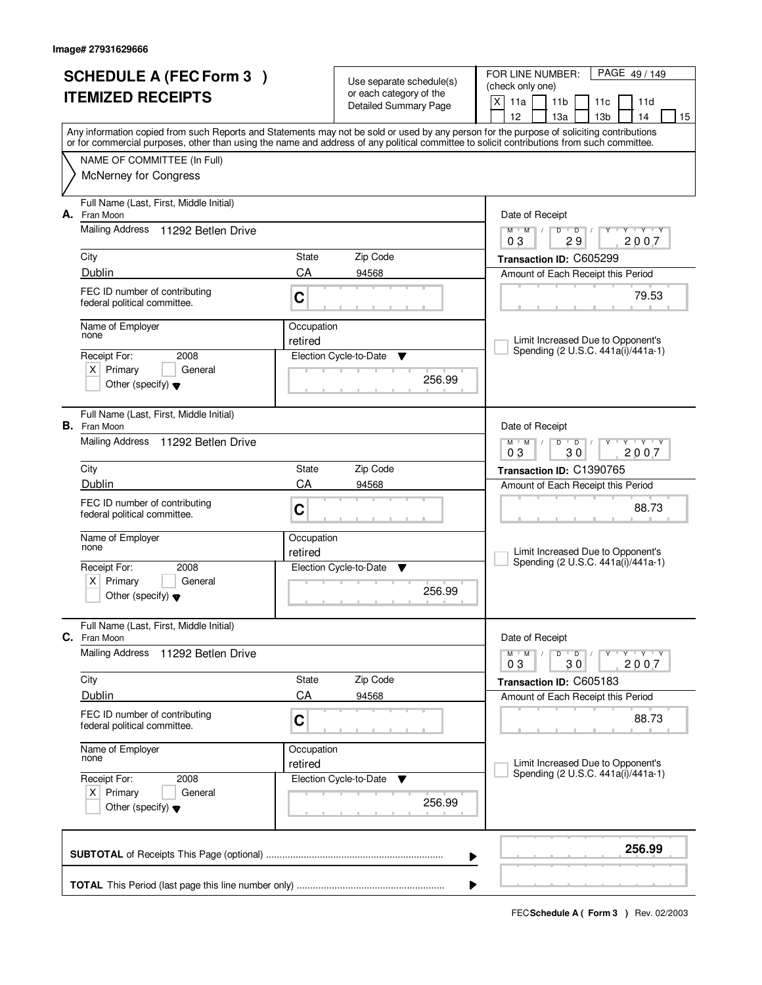| <b>SCHEDULE A (FEC Form 3)</b><br><b>ITEMIZED RECEIPTS</b> |                                                                                                                      |                       | Use separate schedule(s)<br>or each category of the<br>Detailed Summary Page | PAGE 49/149<br>FOR LINE NUMBER:<br>(check only one)<br>X<br>11a<br>11 <sub>b</sub><br>11c<br>11d<br>12<br>13 <sub>b</sub><br>13a<br>14<br>15                                                                                                                                            |  |  |  |  |
|------------------------------------------------------------|----------------------------------------------------------------------------------------------------------------------|-----------------------|------------------------------------------------------------------------------|-----------------------------------------------------------------------------------------------------------------------------------------------------------------------------------------------------------------------------------------------------------------------------------------|--|--|--|--|
|                                                            |                                                                                                                      |                       |                                                                              | Any information copied from such Reports and Statements may not be sold or used by any person for the purpose of soliciting contributions<br>or for commercial purposes, other than using the name and address of any political committee to solicit contributions from such committee. |  |  |  |  |
|                                                            | NAME OF COMMITTEE (In Full)<br>McNerney for Congress                                                                 |                       |                                                                              |                                                                                                                                                                                                                                                                                         |  |  |  |  |
| А.                                                         | Full Name (Last, First, Middle Initial)<br>Fran Moon                                                                 |                       |                                                                              | Date of Receipt                                                                                                                                                                                                                                                                         |  |  |  |  |
|                                                            | <b>Mailing Address</b><br>11292 Betlen Drive                                                                         |                       |                                                                              | $M$ $M$ $/$<br>Y Y Y Y<br>D<br>$\overline{D}$<br>2007<br>29<br>03                                                                                                                                                                                                                       |  |  |  |  |
|                                                            | City<br>Dublin                                                                                                       | State<br>CA           | Zip Code<br>94568                                                            | Transaction ID: C605299<br>Amount of Each Receipt this Period                                                                                                                                                                                                                           |  |  |  |  |
|                                                            | FEC ID number of contributing<br>federal political committee.                                                        | C                     |                                                                              | 79.53                                                                                                                                                                                                                                                                                   |  |  |  |  |
|                                                            | Name of Employer<br>none                                                                                             | Occupation<br>retired |                                                                              | Limit Increased Due to Opponent's<br>Spending (2 U.S.C. 441a(i)/441a-1)                                                                                                                                                                                                                 |  |  |  |  |
|                                                            | Receipt For:<br>2008<br>$X$ Primary<br>General<br>Other (specify) $\blacktriangledown$                               |                       | Election Cycle-to-Date<br>v<br>256.99                                        |                                                                                                                                                                                                                                                                                         |  |  |  |  |
|                                                            | Full Name (Last, First, Middle Initial)<br><b>B.</b> Fran Moon                                                       |                       |                                                                              | Date of Receipt                                                                                                                                                                                                                                                                         |  |  |  |  |
|                                                            | Mailing Address<br>11292 Betlen Drive                                                                                |                       |                                                                              | $\mathbf{y}$ $\mathbf{y}$ $\mathbf{y}$ $\mathbf{y}$<br>$M$ $M$ /<br>$\overline{D}$<br>$\overline{D}$<br>03<br>30<br>2007                                                                                                                                                                |  |  |  |  |
|                                                            | City<br>Dublin                                                                                                       | State<br>CA           | Zip Code<br>94568                                                            | Transaction ID: C1390765                                                                                                                                                                                                                                                                |  |  |  |  |
|                                                            | FEC ID number of contributing<br>federal political committee.                                                        | C                     |                                                                              | Amount of Each Receipt this Period<br>88.73                                                                                                                                                                                                                                             |  |  |  |  |
|                                                            | Name of Employer<br>none<br>Receipt For:<br>2008<br>Primary<br>General<br>ΧI<br>Other (specify) $\blacktriangledown$ | Occupation<br>retired | Election Cycle-to-Date<br><b>V</b><br>256.99                                 | Limit Increased Due to Opponent's<br>Spending (2 U.S.C. 441a(i)/441a-1)                                                                                                                                                                                                                 |  |  |  |  |
|                                                            | Full Name (Last, First, Middle Initial)<br>C. Fran Moon                                                              |                       |                                                                              | Date of Receipt                                                                                                                                                                                                                                                                         |  |  |  |  |
|                                                            | <b>Mailing Address</b><br>11292 Betlen Drive                                                                         |                       |                                                                              | D<br>$Y - Y - Y - Y$<br>$M$ $M$ $/$<br>$\bullet$ D $\prime$<br>2007<br>03<br>30                                                                                                                                                                                                         |  |  |  |  |
|                                                            | City                                                                                                                 | State<br>CA           | Zip Code                                                                     | Transaction ID: C605183                                                                                                                                                                                                                                                                 |  |  |  |  |
|                                                            | Dublin<br>FEC ID number of contributing<br>federal political committee.                                              | C                     | 94568                                                                        | Amount of Each Receipt this Period<br>88.73                                                                                                                                                                                                                                             |  |  |  |  |
|                                                            | Name of Employer<br>none                                                                                             | Occupation<br>retired |                                                                              | Limit Increased Due to Opponent's                                                                                                                                                                                                                                                       |  |  |  |  |
|                                                            | Receipt For:<br>2008<br>$X$ Primary<br>General<br>Other (specify) $\blacktriangledown$                               |                       | Election Cycle-to-Date<br>v<br>256.99                                        | Spending (2 U.S.C. 441a(i)/441a-1)                                                                                                                                                                                                                                                      |  |  |  |  |
|                                                            |                                                                                                                      |                       | ▶                                                                            | 256.99                                                                                                                                                                                                                                                                                  |  |  |  |  |
|                                                            | ▶                                                                                                                    |                       |                                                                              |                                                                                                                                                                                                                                                                                         |  |  |  |  |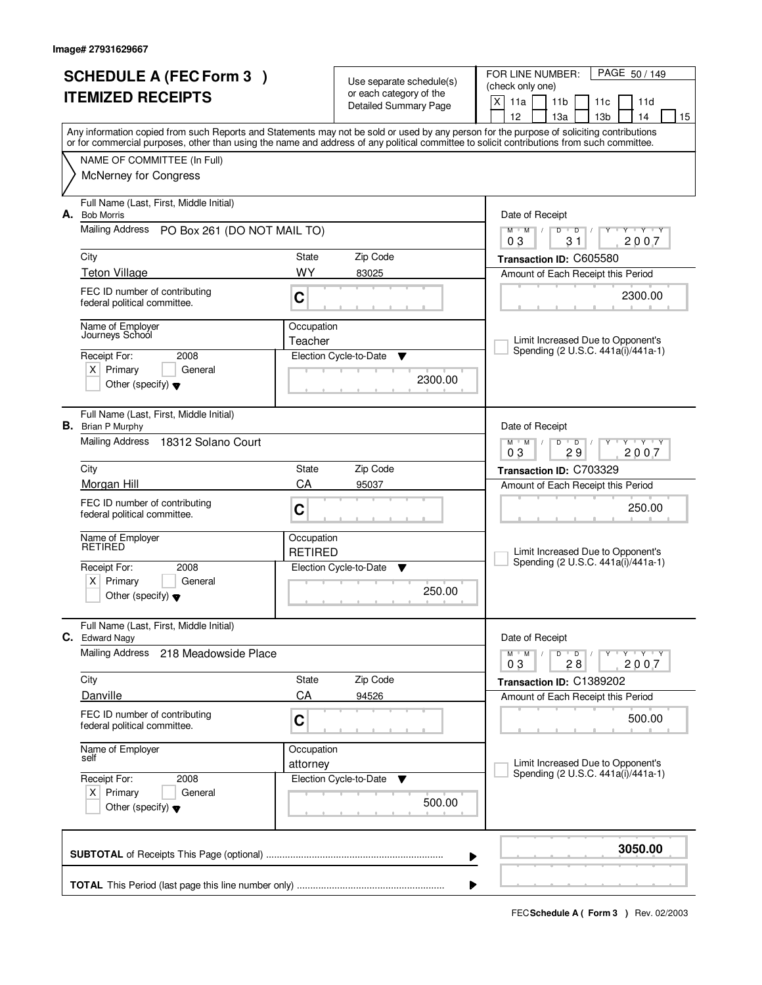|    | <b>SCHEDULE A (FEC Form 3)</b>                                                                                                             |                              | Use separate schedule(s)<br>or each category of the | PAGE 50 / 149<br>FOR LINE NUMBER:<br>(check only one)                                                                                     |
|----|--------------------------------------------------------------------------------------------------------------------------------------------|------------------------------|-----------------------------------------------------|-------------------------------------------------------------------------------------------------------------------------------------------|
|    | <b>ITEMIZED RECEIPTS</b>                                                                                                                   |                              | <b>Detailed Summary Page</b>                        | X<br>11a<br>11 <sub>b</sub><br>11c<br>11d<br>12<br>13a<br>13 <sub>b</sub><br>14<br>15                                                     |
|    | or for commercial purposes, other than using the name and address of any political committee to solicit contributions from such committee. |                              |                                                     | Any information copied from such Reports and Statements may not be sold or used by any person for the purpose of soliciting contributions |
|    | NAME OF COMMITTEE (In Full)                                                                                                                |                              |                                                     |                                                                                                                                           |
|    | <b>McNerney for Congress</b>                                                                                                               |                              |                                                     |                                                                                                                                           |
| А. | Full Name (Last, First, Middle Initial)<br><b>Bob Morris</b>                                                                               |                              |                                                     | Date of Receipt                                                                                                                           |
|    | Mailing Address PO Box 261 (DO NOT MAIL TO)                                                                                                |                              |                                                     | $Y + Y + Y$<br>$M$ $M$ /<br>$D$ $D$<br>$\sqrt{ }$<br>Y<br>2007<br>03<br>31                                                                |
|    | City                                                                                                                                       | State                        | Zip Code                                            | Transaction ID: C605580                                                                                                                   |
|    | <b>Teton Village</b>                                                                                                                       | <b>WY</b>                    | 83025                                               | Amount of Each Receipt this Period                                                                                                        |
|    | FEC ID number of contributing<br>federal political committee.                                                                              | C                            |                                                     | 2300.00                                                                                                                                   |
|    | Name of Employer<br>Journeys School                                                                                                        | Occupation<br>Teacher        |                                                     | Limit Increased Due to Opponent's                                                                                                         |
|    | Receipt For:<br>2008                                                                                                                       |                              | Election Cycle-to-Date<br>▼                         | Spending (2 U.S.C. 441a(i)/441a-1)                                                                                                        |
|    | $X$ Primary<br>General<br>Other (specify) $\blacktriangledown$                                                                             |                              | 2300.00                                             |                                                                                                                                           |
|    | Full Name (Last, First, Middle Initial)<br><b>B.</b> Brian P Murphy                                                                        |                              |                                                     | Date of Receipt                                                                                                                           |
|    | Mailing Address<br>18312 Solano Court                                                                                                      |                              |                                                     | $T - Y - T Y$<br>$M$ $M$ /<br>D<br>$\overline{D}$<br>29<br>2007<br>03                                                                     |
|    | City                                                                                                                                       | State                        | Zip Code                                            | Transaction ID: C703329                                                                                                                   |
|    | Morgan Hill                                                                                                                                | CA                           | 95037                                               | Amount of Each Receipt this Period                                                                                                        |
|    | FEC ID number of contributing<br>federal political committee.                                                                              | C                            |                                                     | 250.00                                                                                                                                    |
|    | Name of Employer<br>RETIRED                                                                                                                | Occupation<br><b>RETIRED</b> |                                                     | Limit Increased Due to Opponent's                                                                                                         |
|    | Receipt For:<br>2008                                                                                                                       |                              | Election Cycle-to-Date<br>▼                         | Spending (2 U.S.C. 441a(i)/441a-1)                                                                                                        |
|    | X  <br>Primary<br>General<br>Other (specify) $\blacktriangledown$                                                                          |                              | 250.00                                              |                                                                                                                                           |
| С. | Full Name (Last, First, Middle Initial)<br><b>Edward Nagy</b>                                                                              |                              |                                                     | Date of Receipt                                                                                                                           |
|    | <b>Mailing Address</b><br>218 Meadowside Place                                                                                             |                              |                                                     | $\mathsf D$<br>$M$ $M$ /<br>$\overline{D}$<br>$Y \rightarrow Y \rightarrow Y$<br>2007<br>03<br>28                                         |
|    | City                                                                                                                                       | State                        | Zip Code                                            | Transaction ID: C1389202                                                                                                                  |
|    | Danville                                                                                                                                   | CA                           | 94526                                               | Amount of Each Receipt this Period                                                                                                        |
|    | FEC ID number of contributing<br>federal political committee.                                                                              | C                            |                                                     | 500.00                                                                                                                                    |
|    | Name of Employer<br>self                                                                                                                   | Occupation                   |                                                     |                                                                                                                                           |
|    | Receipt For:<br>2008                                                                                                                       | attorney                     | Election Cycle-to-Date<br>v                         | Limit Increased Due to Opponent's<br>Spending (2 U.S.C. 441a(i)/441a-1)                                                                   |
|    | $X$ Primary<br>General<br>Other (specify) $\blacktriangledown$                                                                             |                              | 500.00                                              |                                                                                                                                           |
|    |                                                                                                                                            |                              |                                                     | 3050.00<br>▶                                                                                                                              |
|    |                                                                                                                                            |                              |                                                     |                                                                                                                                           |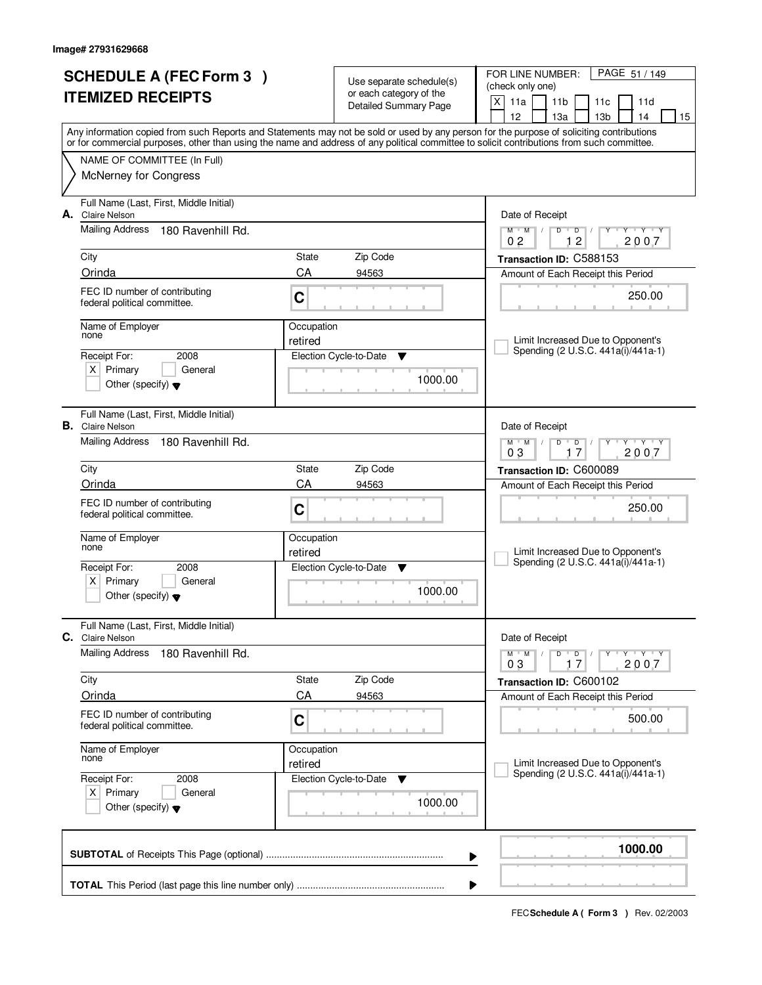|    | <b>SCHEDULE A (FEC Form 3)</b>                                     |                       | Use separate schedule(s)                                | FOR LINE NUMBER:<br>PAGE 51 / 149<br>(check only one)                                                                                                                                                                                                                                   |
|----|--------------------------------------------------------------------|-----------------------|---------------------------------------------------------|-----------------------------------------------------------------------------------------------------------------------------------------------------------------------------------------------------------------------------------------------------------------------------------------|
|    | <b>ITEMIZED RECEIPTS</b>                                           |                       | or each category of the<br><b>Detailed Summary Page</b> | X<br>11a<br>11 <sub>b</sub><br>11c<br>11d<br>12<br>13 <sub>b</sub><br>13a<br>14<br>15                                                                                                                                                                                                   |
|    |                                                                    |                       |                                                         | Any information copied from such Reports and Statements may not be sold or used by any person for the purpose of soliciting contributions<br>or for commercial purposes, other than using the name and address of any political committee to solicit contributions from such committee. |
|    | NAME OF COMMITTEE (In Full)                                        |                       |                                                         |                                                                                                                                                                                                                                                                                         |
|    | McNerney for Congress                                              |                       |                                                         |                                                                                                                                                                                                                                                                                         |
| А. | Full Name (Last, First, Middle Initial)<br><b>Claire Nelson</b>    |                       |                                                         | Date of Receipt                                                                                                                                                                                                                                                                         |
|    | <b>Mailing Address</b><br>180 Ravenhill Rd.                        |                       |                                                         | $\mathsf D$<br>$Y - Y - Y$<br>$M$ $M$<br>$\sqrt{2}$<br>$D$ <sup>U</sup><br>12<br>2007<br>0 <sub>2</sub>                                                                                                                                                                                 |
|    | City                                                               | State                 | Zip Code                                                | Transaction ID: C588153                                                                                                                                                                                                                                                                 |
|    | Orinda                                                             | CA                    | 94563                                                   | Amount of Each Receipt this Period                                                                                                                                                                                                                                                      |
|    | FEC ID number of contributing<br>federal political committee.      | C                     |                                                         | 250.00                                                                                                                                                                                                                                                                                  |
|    | Name of Employer                                                   | Occupation            |                                                         |                                                                                                                                                                                                                                                                                         |
|    | none                                                               | retired               |                                                         | Limit Increased Due to Opponent's<br>Spending (2 U.S.C. 441a(i)/441a-1)                                                                                                                                                                                                                 |
|    | Receipt For:<br>2008<br>$X$ Primary<br>General                     |                       | Election Cycle-to-Date<br>Y                             |                                                                                                                                                                                                                                                                                         |
|    | Other (specify) $\blacktriangledown$                               |                       | 1000.00                                                 |                                                                                                                                                                                                                                                                                         |
|    | Full Name (Last, First, Middle Initial)<br><b>B.</b> Claire Nelson |                       |                                                         | Date of Receipt                                                                                                                                                                                                                                                                         |
|    | Mailing Address<br>180 Ravenhill Rd.                               |                       |                                                         | $Y$ $Y$ $Y$<br>$M$ $M$ $/$<br>D<br>$\overline{D}$<br>03<br>2007<br>17                                                                                                                                                                                                                   |
|    | City                                                               | State                 | Zip Code                                                | Transaction ID: C600089                                                                                                                                                                                                                                                                 |
|    | Orinda                                                             | CA                    | 94563                                                   | Amount of Each Receipt this Period                                                                                                                                                                                                                                                      |
|    | FEC ID number of contributing<br>federal political committee.      | C                     |                                                         | 250.00                                                                                                                                                                                                                                                                                  |
|    | Name of Employer<br>none                                           | Occupation<br>retired |                                                         | Limit Increased Due to Opponent's                                                                                                                                                                                                                                                       |
|    | Receipt For:<br>2008                                               |                       | Election Cycle-to-Date<br>v                             | Spending (2 U.S.C. 441a(i)/441a-1)                                                                                                                                                                                                                                                      |
|    | Primary<br>X  <br>General<br>Other (specify) $\blacktriangledown$  |                       | 1000.00                                                 |                                                                                                                                                                                                                                                                                         |
| С. | Full Name (Last, First, Middle Initial)<br><b>Claire Nelson</b>    |                       |                                                         | Date of Receipt                                                                                                                                                                                                                                                                         |
|    | <b>Mailing Address</b><br>180 Ravenhill Rd.                        |                       |                                                         | $D$ $D$<br>$M$ $M$ /<br>$Y + Y + Y$<br>2007<br>03<br>17                                                                                                                                                                                                                                 |
|    | City                                                               | State                 | Zip Code                                                | Transaction ID: C600102                                                                                                                                                                                                                                                                 |
|    | Orinda                                                             | CA                    | 94563                                                   | Amount of Each Receipt this Period                                                                                                                                                                                                                                                      |
|    | FEC ID number of contributing<br>federal political committee.      | C                     |                                                         | 500.00                                                                                                                                                                                                                                                                                  |
|    | Name of Employer<br>none                                           | Occupation<br>retired |                                                         | Limit Increased Due to Opponent's                                                                                                                                                                                                                                                       |
|    | Receipt For:<br>2008<br>$X$ Primary<br>General                     |                       | Election Cycle-to-Date<br>v                             | Spending (2 U.S.C. 441a(i)/441a-1)                                                                                                                                                                                                                                                      |
|    | Other (specify) $\blacktriangledown$                               |                       | 1000.00                                                 |                                                                                                                                                                                                                                                                                         |
|    |                                                                    |                       |                                                         | 1000.00<br>▶                                                                                                                                                                                                                                                                            |
|    |                                                                    |                       |                                                         |                                                                                                                                                                                                                                                                                         |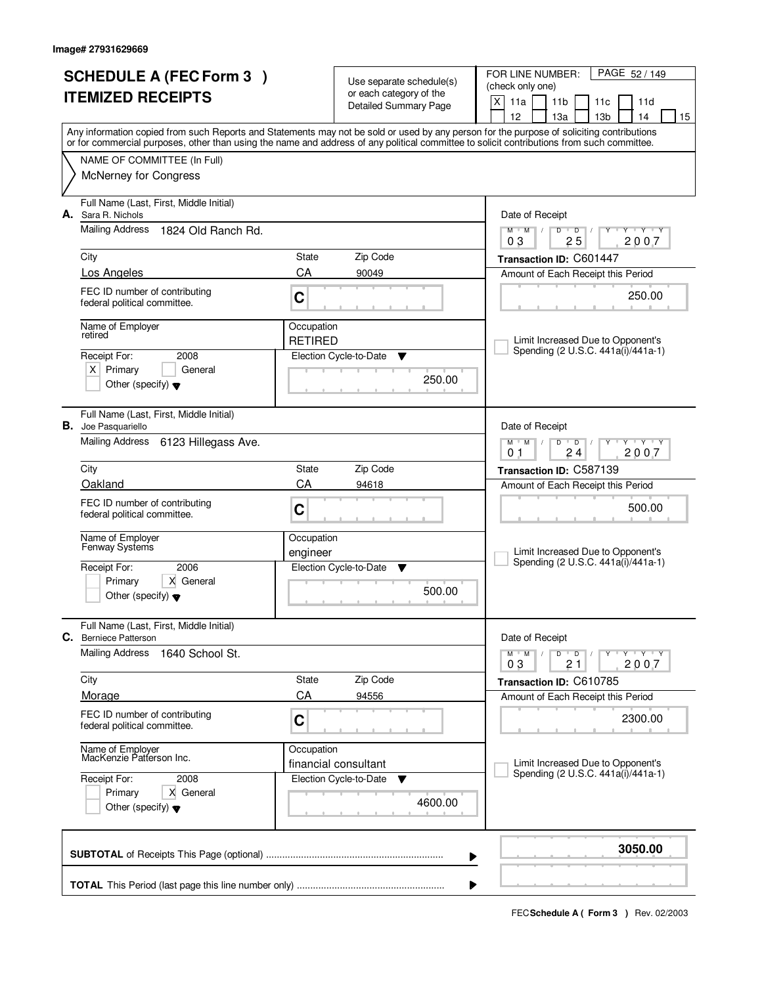| or each category of the<br><b>ITEMIZED RECEIPTS</b><br>X<br>11a<br>11 <sub>b</sub><br>11d<br>11c<br><b>Detailed Summary Page</b><br>12<br>13 <sub>b</sub><br>13a<br>14<br>Any information copied from such Reports and Statements may not be sold or used by any person for the purpose of soliciting contributions<br>or for commercial purposes, other than using the name and address of any political committee to solicit contributions from such committee.<br>NAME OF COMMITTEE (In Full)<br><b>McNerney for Congress</b><br>Full Name (Last, First, Middle Initial)<br>А.<br>Sara R. Nichols<br>Date of Receipt<br><b>Mailing Address</b><br>1824 Old Ranch Rd.<br><b>TEXT Y</b><br>$M$ <sup>U</sup><br>$M$ /<br>D<br>$\overline{D}$<br>25<br>2007<br>03<br>Zip Code<br>City<br>State<br>Transaction ID: C601447<br>CA<br>Los Angeles<br>90049<br>Amount of Each Receipt this Period<br>FEC ID number of contributing<br>250.00<br>C<br>federal political committee.<br>Name of Employer<br>Occupation<br>retired<br><b>RETIRED</b><br>Limit Increased Due to Opponent's<br>Spending (2 U.S.C. 441a(i)/441a-1)<br>Election Cycle-to-Date<br>Receipt For:<br>2008<br>▼<br>$X$ Primary<br>General<br>250.00<br>Other (specify) $\blacktriangledown$<br>Full Name (Last, First, Middle Initial)<br>В.<br>Joe Pasquariello<br>Date of Receipt<br>Mailing Address<br>6123 Hillegass Ave.<br>$M$ $M$ /<br>$\mathbf{y}$ $\mathbf{y}$<br>D<br>$\overline{D}$<br>Y<br>24<br>2007<br>0 <sub>1</sub><br>Zip Code<br>City<br><b>State</b><br>Transaction ID: C587139<br>Oakland<br>CA<br>94618<br>Amount of Each Receipt this Period<br>FEC ID number of contributing<br>500.00<br>C<br>federal political committee.<br>Name of Employer<br>Occupation<br>Fenway Systems<br>Limit Increased Due to Opponent's<br>engineer<br>Spending (2 U.S.C. 441a(i)/441a-1)<br>2006<br>Receipt For:<br>Election Cycle-to-Date<br>v<br>X General<br>Primary<br>500.00<br>Other (specify) $\blacktriangledown$<br>Full Name (Last, First, Middle Initial)<br>С.<br>Date of Receipt<br><b>Berniece Patterson</b><br><b>Mailing Address</b><br>1640 School St.<br>D<br>$M$ $M$ /<br>$\overline{D}$<br>$Y$ $Y$ $Y$ $Y$<br>03<br>21<br>2007<br>Zip Code<br>City<br>State<br>Transaction ID: C610785<br>CA<br>Morage<br>94556<br>Amount of Each Receipt this Period<br>FEC ID number of contributing<br>2300.00<br>C<br>federal political committee.<br>Name of Employer<br>MacKenzie Patterson Inc.<br>Occupation<br>Limit Increased Due to Opponent's<br>financial consultant<br>Spending (2 U.S.C. 441a(i)/441a-1)<br>Receipt For:<br>Election Cycle-to-Date<br>2008<br>v<br>Primary<br>X General<br>4600.00<br>Other (specify) $\blacktriangledown$<br>3050.00<br>▶ |  | <b>SCHEDULE A (FEC Form 3)</b> |  | Use separate schedule(s) | FOR LINE NUMBER:<br>PAGE 52 / 149<br>(check only one) |
|--------------------------------------------------------------------------------------------------------------------------------------------------------------------------------------------------------------------------------------------------------------------------------------------------------------------------------------------------------------------------------------------------------------------------------------------------------------------------------------------------------------------------------------------------------------------------------------------------------------------------------------------------------------------------------------------------------------------------------------------------------------------------------------------------------------------------------------------------------------------------------------------------------------------------------------------------------------------------------------------------------------------------------------------------------------------------------------------------------------------------------------------------------------------------------------------------------------------------------------------------------------------------------------------------------------------------------------------------------------------------------------------------------------------------------------------------------------------------------------------------------------------------------------------------------------------------------------------------------------------------------------------------------------------------------------------------------------------------------------------------------------------------------------------------------------------------------------------------------------------------------------------------------------------------------------------------------------------------------------------------------------------------------------------------------------------------------------------------------------------------------------------------------------------------------------------------------------------------------------------------------------------------------------------------------------------------------------------------------------------------------------------------------------------------------------------------------------------------------------------------------------------------------------------------------------------------------------------------------------------------------------------------------------------------------------------------------------------------------------------------|--|--------------------------------|--|--------------------------|-------------------------------------------------------|
|                                                                                                                                                                                                                                                                                                                                                                                                                                                                                                                                                                                                                                                                                                                                                                                                                                                                                                                                                                                                                                                                                                                                                                                                                                                                                                                                                                                                                                                                                                                                                                                                                                                                                                                                                                                                                                                                                                                                                                                                                                                                                                                                                                                                                                                                                                                                                                                                                                                                                                                                                                                                                                                                                                                                                  |  |                                |  |                          | 15                                                    |
|                                                                                                                                                                                                                                                                                                                                                                                                                                                                                                                                                                                                                                                                                                                                                                                                                                                                                                                                                                                                                                                                                                                                                                                                                                                                                                                                                                                                                                                                                                                                                                                                                                                                                                                                                                                                                                                                                                                                                                                                                                                                                                                                                                                                                                                                                                                                                                                                                                                                                                                                                                                                                                                                                                                                                  |  |                                |  |                          |                                                       |
|                                                                                                                                                                                                                                                                                                                                                                                                                                                                                                                                                                                                                                                                                                                                                                                                                                                                                                                                                                                                                                                                                                                                                                                                                                                                                                                                                                                                                                                                                                                                                                                                                                                                                                                                                                                                                                                                                                                                                                                                                                                                                                                                                                                                                                                                                                                                                                                                                                                                                                                                                                                                                                                                                                                                                  |  |                                |  |                          |                                                       |
|                                                                                                                                                                                                                                                                                                                                                                                                                                                                                                                                                                                                                                                                                                                                                                                                                                                                                                                                                                                                                                                                                                                                                                                                                                                                                                                                                                                                                                                                                                                                                                                                                                                                                                                                                                                                                                                                                                                                                                                                                                                                                                                                                                                                                                                                                                                                                                                                                                                                                                                                                                                                                                                                                                                                                  |  |                                |  |                          |                                                       |
|                                                                                                                                                                                                                                                                                                                                                                                                                                                                                                                                                                                                                                                                                                                                                                                                                                                                                                                                                                                                                                                                                                                                                                                                                                                                                                                                                                                                                                                                                                                                                                                                                                                                                                                                                                                                                                                                                                                                                                                                                                                                                                                                                                                                                                                                                                                                                                                                                                                                                                                                                                                                                                                                                                                                                  |  |                                |  |                          |                                                       |
|                                                                                                                                                                                                                                                                                                                                                                                                                                                                                                                                                                                                                                                                                                                                                                                                                                                                                                                                                                                                                                                                                                                                                                                                                                                                                                                                                                                                                                                                                                                                                                                                                                                                                                                                                                                                                                                                                                                                                                                                                                                                                                                                                                                                                                                                                                                                                                                                                                                                                                                                                                                                                                                                                                                                                  |  |                                |  |                          |                                                       |
|                                                                                                                                                                                                                                                                                                                                                                                                                                                                                                                                                                                                                                                                                                                                                                                                                                                                                                                                                                                                                                                                                                                                                                                                                                                                                                                                                                                                                                                                                                                                                                                                                                                                                                                                                                                                                                                                                                                                                                                                                                                                                                                                                                                                                                                                                                                                                                                                                                                                                                                                                                                                                                                                                                                                                  |  |                                |  |                          |                                                       |
|                                                                                                                                                                                                                                                                                                                                                                                                                                                                                                                                                                                                                                                                                                                                                                                                                                                                                                                                                                                                                                                                                                                                                                                                                                                                                                                                                                                                                                                                                                                                                                                                                                                                                                                                                                                                                                                                                                                                                                                                                                                                                                                                                                                                                                                                                                                                                                                                                                                                                                                                                                                                                                                                                                                                                  |  |                                |  |                          |                                                       |
|                                                                                                                                                                                                                                                                                                                                                                                                                                                                                                                                                                                                                                                                                                                                                                                                                                                                                                                                                                                                                                                                                                                                                                                                                                                                                                                                                                                                                                                                                                                                                                                                                                                                                                                                                                                                                                                                                                                                                                                                                                                                                                                                                                                                                                                                                                                                                                                                                                                                                                                                                                                                                                                                                                                                                  |  |                                |  |                          |                                                       |
|                                                                                                                                                                                                                                                                                                                                                                                                                                                                                                                                                                                                                                                                                                                                                                                                                                                                                                                                                                                                                                                                                                                                                                                                                                                                                                                                                                                                                                                                                                                                                                                                                                                                                                                                                                                                                                                                                                                                                                                                                                                                                                                                                                                                                                                                                                                                                                                                                                                                                                                                                                                                                                                                                                                                                  |  |                                |  |                          |                                                       |
|                                                                                                                                                                                                                                                                                                                                                                                                                                                                                                                                                                                                                                                                                                                                                                                                                                                                                                                                                                                                                                                                                                                                                                                                                                                                                                                                                                                                                                                                                                                                                                                                                                                                                                                                                                                                                                                                                                                                                                                                                                                                                                                                                                                                                                                                                                                                                                                                                                                                                                                                                                                                                                                                                                                                                  |  |                                |  |                          |                                                       |
|                                                                                                                                                                                                                                                                                                                                                                                                                                                                                                                                                                                                                                                                                                                                                                                                                                                                                                                                                                                                                                                                                                                                                                                                                                                                                                                                                                                                                                                                                                                                                                                                                                                                                                                                                                                                                                                                                                                                                                                                                                                                                                                                                                                                                                                                                                                                                                                                                                                                                                                                                                                                                                                                                                                                                  |  |                                |  |                          |                                                       |
|                                                                                                                                                                                                                                                                                                                                                                                                                                                                                                                                                                                                                                                                                                                                                                                                                                                                                                                                                                                                                                                                                                                                                                                                                                                                                                                                                                                                                                                                                                                                                                                                                                                                                                                                                                                                                                                                                                                                                                                                                                                                                                                                                                                                                                                                                                                                                                                                                                                                                                                                                                                                                                                                                                                                                  |  |                                |  |                          |                                                       |
|                                                                                                                                                                                                                                                                                                                                                                                                                                                                                                                                                                                                                                                                                                                                                                                                                                                                                                                                                                                                                                                                                                                                                                                                                                                                                                                                                                                                                                                                                                                                                                                                                                                                                                                                                                                                                                                                                                                                                                                                                                                                                                                                                                                                                                                                                                                                                                                                                                                                                                                                                                                                                                                                                                                                                  |  |                                |  |                          |                                                       |
|                                                                                                                                                                                                                                                                                                                                                                                                                                                                                                                                                                                                                                                                                                                                                                                                                                                                                                                                                                                                                                                                                                                                                                                                                                                                                                                                                                                                                                                                                                                                                                                                                                                                                                                                                                                                                                                                                                                                                                                                                                                                                                                                                                                                                                                                                                                                                                                                                                                                                                                                                                                                                                                                                                                                                  |  |                                |  |                          |                                                       |
|                                                                                                                                                                                                                                                                                                                                                                                                                                                                                                                                                                                                                                                                                                                                                                                                                                                                                                                                                                                                                                                                                                                                                                                                                                                                                                                                                                                                                                                                                                                                                                                                                                                                                                                                                                                                                                                                                                                                                                                                                                                                                                                                                                                                                                                                                                                                                                                                                                                                                                                                                                                                                                                                                                                                                  |  |                                |  |                          |                                                       |
|                                                                                                                                                                                                                                                                                                                                                                                                                                                                                                                                                                                                                                                                                                                                                                                                                                                                                                                                                                                                                                                                                                                                                                                                                                                                                                                                                                                                                                                                                                                                                                                                                                                                                                                                                                                                                                                                                                                                                                                                                                                                                                                                                                                                                                                                                                                                                                                                                                                                                                                                                                                                                                                                                                                                                  |  |                                |  |                          |                                                       |
|                                                                                                                                                                                                                                                                                                                                                                                                                                                                                                                                                                                                                                                                                                                                                                                                                                                                                                                                                                                                                                                                                                                                                                                                                                                                                                                                                                                                                                                                                                                                                                                                                                                                                                                                                                                                                                                                                                                                                                                                                                                                                                                                                                                                                                                                                                                                                                                                                                                                                                                                                                                                                                                                                                                                                  |  |                                |  |                          |                                                       |
|                                                                                                                                                                                                                                                                                                                                                                                                                                                                                                                                                                                                                                                                                                                                                                                                                                                                                                                                                                                                                                                                                                                                                                                                                                                                                                                                                                                                                                                                                                                                                                                                                                                                                                                                                                                                                                                                                                                                                                                                                                                                                                                                                                                                                                                                                                                                                                                                                                                                                                                                                                                                                                                                                                                                                  |  |                                |  |                          |                                                       |
|                                                                                                                                                                                                                                                                                                                                                                                                                                                                                                                                                                                                                                                                                                                                                                                                                                                                                                                                                                                                                                                                                                                                                                                                                                                                                                                                                                                                                                                                                                                                                                                                                                                                                                                                                                                                                                                                                                                                                                                                                                                                                                                                                                                                                                                                                                                                                                                                                                                                                                                                                                                                                                                                                                                                                  |  |                                |  |                          |                                                       |
|                                                                                                                                                                                                                                                                                                                                                                                                                                                                                                                                                                                                                                                                                                                                                                                                                                                                                                                                                                                                                                                                                                                                                                                                                                                                                                                                                                                                                                                                                                                                                                                                                                                                                                                                                                                                                                                                                                                                                                                                                                                                                                                                                                                                                                                                                                                                                                                                                                                                                                                                                                                                                                                                                                                                                  |  |                                |  |                          |                                                       |
|                                                                                                                                                                                                                                                                                                                                                                                                                                                                                                                                                                                                                                                                                                                                                                                                                                                                                                                                                                                                                                                                                                                                                                                                                                                                                                                                                                                                                                                                                                                                                                                                                                                                                                                                                                                                                                                                                                                                                                                                                                                                                                                                                                                                                                                                                                                                                                                                                                                                                                                                                                                                                                                                                                                                                  |  |                                |  |                          |                                                       |
|                                                                                                                                                                                                                                                                                                                                                                                                                                                                                                                                                                                                                                                                                                                                                                                                                                                                                                                                                                                                                                                                                                                                                                                                                                                                                                                                                                                                                                                                                                                                                                                                                                                                                                                                                                                                                                                                                                                                                                                                                                                                                                                                                                                                                                                                                                                                                                                                                                                                                                                                                                                                                                                                                                                                                  |  |                                |  |                          |                                                       |
|                                                                                                                                                                                                                                                                                                                                                                                                                                                                                                                                                                                                                                                                                                                                                                                                                                                                                                                                                                                                                                                                                                                                                                                                                                                                                                                                                                                                                                                                                                                                                                                                                                                                                                                                                                                                                                                                                                                                                                                                                                                                                                                                                                                                                                                                                                                                                                                                                                                                                                                                                                                                                                                                                                                                                  |  |                                |  |                          |                                                       |
|                                                                                                                                                                                                                                                                                                                                                                                                                                                                                                                                                                                                                                                                                                                                                                                                                                                                                                                                                                                                                                                                                                                                                                                                                                                                                                                                                                                                                                                                                                                                                                                                                                                                                                                                                                                                                                                                                                                                                                                                                                                                                                                                                                                                                                                                                                                                                                                                                                                                                                                                                                                                                                                                                                                                                  |  |                                |  |                          |                                                       |
|                                                                                                                                                                                                                                                                                                                                                                                                                                                                                                                                                                                                                                                                                                                                                                                                                                                                                                                                                                                                                                                                                                                                                                                                                                                                                                                                                                                                                                                                                                                                                                                                                                                                                                                                                                                                                                                                                                                                                                                                                                                                                                                                                                                                                                                                                                                                                                                                                                                                                                                                                                                                                                                                                                                                                  |  |                                |  |                          |                                                       |
|                                                                                                                                                                                                                                                                                                                                                                                                                                                                                                                                                                                                                                                                                                                                                                                                                                                                                                                                                                                                                                                                                                                                                                                                                                                                                                                                                                                                                                                                                                                                                                                                                                                                                                                                                                                                                                                                                                                                                                                                                                                                                                                                                                                                                                                                                                                                                                                                                                                                                                                                                                                                                                                                                                                                                  |  |                                |  |                          |                                                       |
|                                                                                                                                                                                                                                                                                                                                                                                                                                                                                                                                                                                                                                                                                                                                                                                                                                                                                                                                                                                                                                                                                                                                                                                                                                                                                                                                                                                                                                                                                                                                                                                                                                                                                                                                                                                                                                                                                                                                                                                                                                                                                                                                                                                                                                                                                                                                                                                                                                                                                                                                                                                                                                                                                                                                                  |  |                                |  |                          |                                                       |
|                                                                                                                                                                                                                                                                                                                                                                                                                                                                                                                                                                                                                                                                                                                                                                                                                                                                                                                                                                                                                                                                                                                                                                                                                                                                                                                                                                                                                                                                                                                                                                                                                                                                                                                                                                                                                                                                                                                                                                                                                                                                                                                                                                                                                                                                                                                                                                                                                                                                                                                                                                                                                                                                                                                                                  |  |                                |  |                          |                                                       |
|                                                                                                                                                                                                                                                                                                                                                                                                                                                                                                                                                                                                                                                                                                                                                                                                                                                                                                                                                                                                                                                                                                                                                                                                                                                                                                                                                                                                                                                                                                                                                                                                                                                                                                                                                                                                                                                                                                                                                                                                                                                                                                                                                                                                                                                                                                                                                                                                                                                                                                                                                                                                                                                                                                                                                  |  |                                |  |                          |                                                       |
|                                                                                                                                                                                                                                                                                                                                                                                                                                                                                                                                                                                                                                                                                                                                                                                                                                                                                                                                                                                                                                                                                                                                                                                                                                                                                                                                                                                                                                                                                                                                                                                                                                                                                                                                                                                                                                                                                                                                                                                                                                                                                                                                                                                                                                                                                                                                                                                                                                                                                                                                                                                                                                                                                                                                                  |  |                                |  |                          |                                                       |
|                                                                                                                                                                                                                                                                                                                                                                                                                                                                                                                                                                                                                                                                                                                                                                                                                                                                                                                                                                                                                                                                                                                                                                                                                                                                                                                                                                                                                                                                                                                                                                                                                                                                                                                                                                                                                                                                                                                                                                                                                                                                                                                                                                                                                                                                                                                                                                                                                                                                                                                                                                                                                                                                                                                                                  |  |                                |  |                          |                                                       |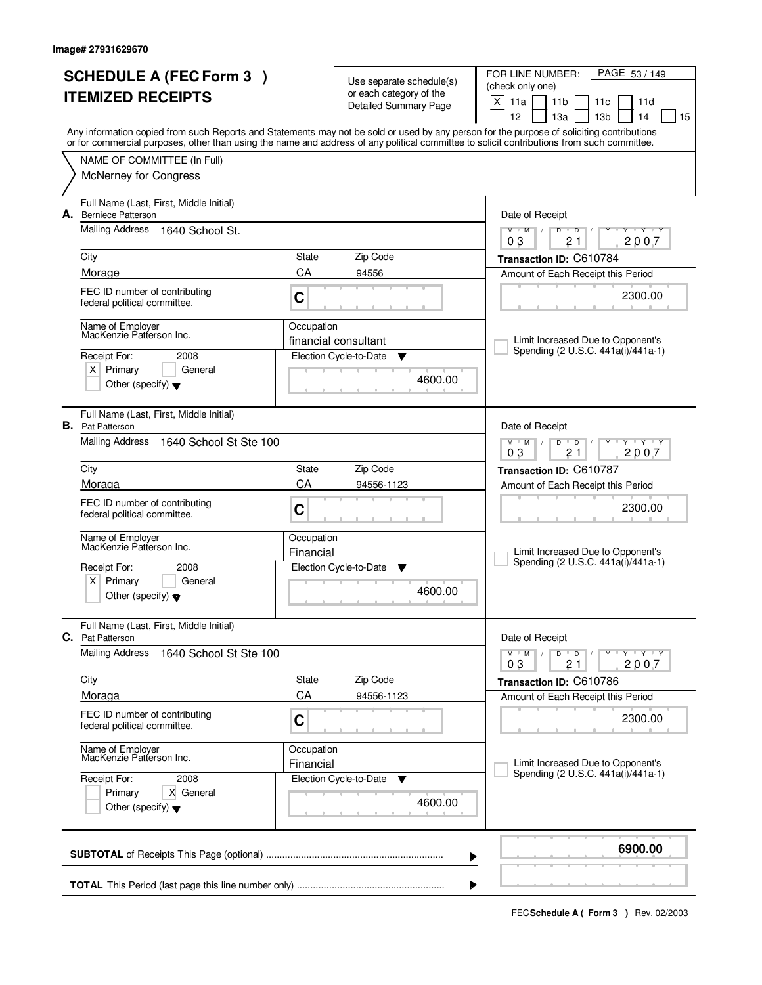|                          | <b>SCHEDULE A (FEC Form 3)</b>                                         |             |                                                     | PAGE 53 / 149<br>FOR LINE NUMBER:                                                                                                                                                                                                                                                       |
|--------------------------|------------------------------------------------------------------------|-------------|-----------------------------------------------------|-----------------------------------------------------------------------------------------------------------------------------------------------------------------------------------------------------------------------------------------------------------------------------------------|
| <b>ITEMIZED RECEIPTS</b> |                                                                        |             | Use separate schedule(s)<br>or each category of the | (check only one)                                                                                                                                                                                                                                                                        |
|                          |                                                                        |             | Detailed Summary Page                               | X<br>11a<br>11 <sub>b</sub><br>11c<br>11d                                                                                                                                                                                                                                               |
|                          |                                                                        |             |                                                     | 12<br>13 <sub>b</sub><br>14<br>13a<br>15                                                                                                                                                                                                                                                |
|                          |                                                                        |             |                                                     | Any information copied from such Reports and Statements may not be sold or used by any person for the purpose of soliciting contributions<br>or for commercial purposes, other than using the name and address of any political committee to solicit contributions from such committee. |
|                          | NAME OF COMMITTEE (In Full)                                            |             |                                                     |                                                                                                                                                                                                                                                                                         |
|                          | <b>McNerney for Congress</b>                                           |             |                                                     |                                                                                                                                                                                                                                                                                         |
| А.                       | Full Name (Last, First, Middle Initial)<br><b>Berniece Patterson</b>   |             |                                                     | Date of Receipt                                                                                                                                                                                                                                                                         |
|                          | Mailing Address<br>1640 School St.                                     |             |                                                     | $T - Y - T - Y$<br>$M$ $M$ /<br>D<br>$\overline{D}$<br>Y<br>2007<br>03<br>21                                                                                                                                                                                                            |
|                          | City                                                                   | State       | Zip Code                                            | Transaction ID: C610784                                                                                                                                                                                                                                                                 |
|                          | Morage                                                                 | CA          | 94556                                               | Amount of Each Receipt this Period                                                                                                                                                                                                                                                      |
|                          | FEC ID number of contributing<br>federal political committee.          | $\mathbf C$ |                                                     | 2300.00                                                                                                                                                                                                                                                                                 |
|                          |                                                                        | Occupation  |                                                     |                                                                                                                                                                                                                                                                                         |
|                          | Name of Employer<br>MacKenzie Patterson Inc.                           |             | financial consultant                                | Limit Increased Due to Opponent's                                                                                                                                                                                                                                                       |
|                          | Receipt For:<br>2008                                                   |             | Election Cycle-to-Date<br>▼                         | Spending (2 U.S.C. 441a(i)/441a-1)                                                                                                                                                                                                                                                      |
|                          | $X$ Primary<br>General                                                 |             |                                                     |                                                                                                                                                                                                                                                                                         |
|                          | Other (specify) $\blacktriangledown$                                   |             | 4600.00                                             |                                                                                                                                                                                                                                                                                         |
|                          | Full Name (Last, First, Middle Initial)                                |             |                                                     |                                                                                                                                                                                                                                                                                         |
|                          | <b>B.</b> Pat Patterson<br><b>Mailing Address</b>                      |             |                                                     | Date of Receipt<br>D<br>$Y - Y - Y$                                                                                                                                                                                                                                                     |
|                          | 1640 School St Ste 100                                                 |             |                                                     | $M$ $M$ /<br>$\overline{D}$<br>03<br>2007<br>21                                                                                                                                                                                                                                         |
|                          | City                                                                   | State       | Zip Code                                            | Transaction ID: C610787                                                                                                                                                                                                                                                                 |
|                          | Moraga                                                                 | CA          | 94556-1123                                          | Amount of Each Receipt this Period                                                                                                                                                                                                                                                      |
|                          | FEC ID number of contributing                                          |             |                                                     | 2300.00                                                                                                                                                                                                                                                                                 |
|                          | federal political committee.                                           | C           |                                                     |                                                                                                                                                                                                                                                                                         |
|                          | Name of Employer<br>MacKenzie Patterson Inc.                           | Occupation  |                                                     |                                                                                                                                                                                                                                                                                         |
|                          |                                                                        | Financial   |                                                     | Limit Increased Due to Opponent's                                                                                                                                                                                                                                                       |
|                          | Receipt For:<br>2008                                                   |             | Election Cycle-to-Date<br><b>V</b>                  | Spending (2 U.S.C. 441a(i)/441a-1)                                                                                                                                                                                                                                                      |
|                          | $x \mid$<br>Primary<br>General<br>Other (specify) $\blacktriangledown$ |             | 4600.00                                             |                                                                                                                                                                                                                                                                                         |
|                          | Full Name (Last, First, Middle Initial)<br><b>C.</b> Pat Patterson     |             |                                                     | Date of Receipt                                                                                                                                                                                                                                                                         |
|                          | <b>Mailing Address</b><br>1640 School St Ste 100                       |             |                                                     | $D$ $D$ $/$<br>Y Y Y Y Y Y<br>$M$ $M$ /                                                                                                                                                                                                                                                 |
|                          |                                                                        |             |                                                     | 2007<br>03<br>21                                                                                                                                                                                                                                                                        |
|                          | City                                                                   | State       | Zip Code                                            | Transaction ID: C610786                                                                                                                                                                                                                                                                 |
|                          | Moraga                                                                 | CA          | 94556-1123                                          | Amount of Each Receipt this Period                                                                                                                                                                                                                                                      |
|                          | FEC ID number of contributing<br>federal political committee.          | C           |                                                     | 2300.00                                                                                                                                                                                                                                                                                 |
|                          | Name of Employer<br>MacKenzie Patterson Inc.                           | Occupation  |                                                     |                                                                                                                                                                                                                                                                                         |
|                          |                                                                        | Financial   |                                                     | Limit Increased Due to Opponent's<br>Spending (2 U.S.C. 441a(i)/441a-1)                                                                                                                                                                                                                 |
|                          | Receipt For:<br>2008                                                   |             | Election Cycle-to-Date<br>v                         |                                                                                                                                                                                                                                                                                         |
|                          | Primary<br>X General<br>Other (specify) $\blacktriangledown$           |             | 4600.00                                             |                                                                                                                                                                                                                                                                                         |
|                          |                                                                        |             | ▶                                                   | 6900.00                                                                                                                                                                                                                                                                                 |
|                          |                                                                        |             |                                                     |                                                                                                                                                                                                                                                                                         |
|                          |                                                                        |             | ▶                                                   |                                                                                                                                                                                                                                                                                         |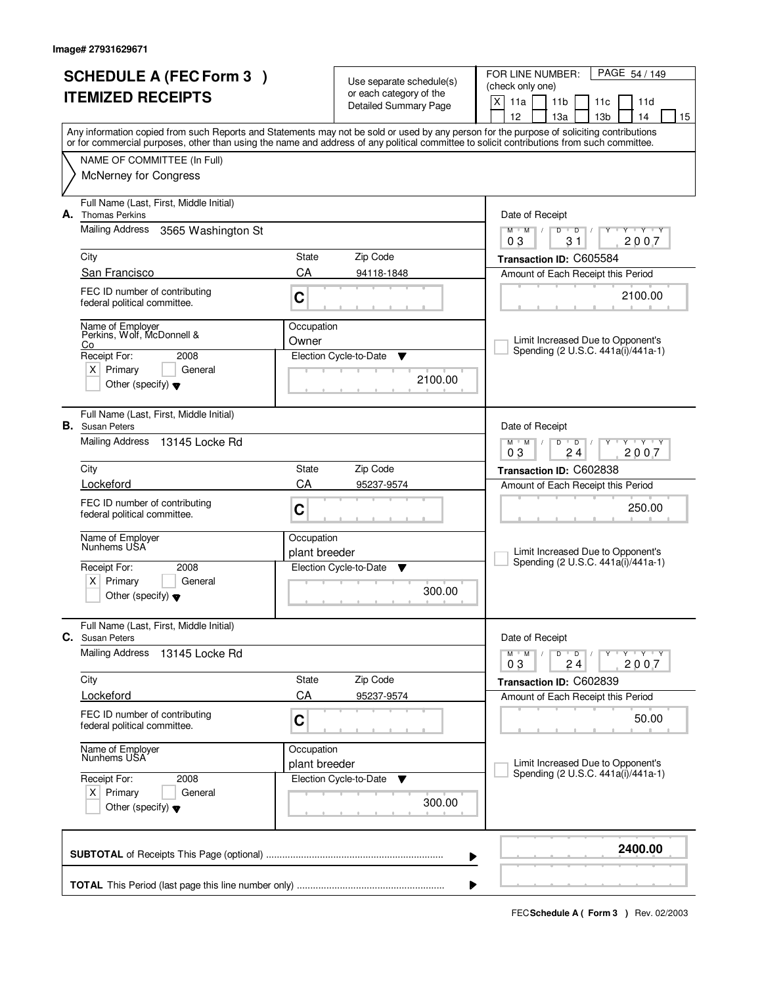|    | <b>SCHEDULE A (FEC Form 3)</b>                                                                                                             |                             |                                                     | PAGE 54 / 149<br>FOR LINE NUMBER:                                                      |
|----|--------------------------------------------------------------------------------------------------------------------------------------------|-----------------------------|-----------------------------------------------------|----------------------------------------------------------------------------------------|
|    | <b>ITEMIZED RECEIPTS</b>                                                                                                                   |                             | Use separate schedule(s)<br>or each category of the | (check only one)                                                                       |
|    |                                                                                                                                            |                             | <b>Detailed Summary Page</b>                        | X<br>11a<br>11 <sub>b</sub><br>11d<br>11c                                              |
|    | Any information copied from such Reports and Statements may not be sold or used by any person for the purpose of soliciting contributions  |                             |                                                     | 12<br>14<br>15<br>13a<br>13 <sub>b</sub>                                               |
|    | or for commercial purposes, other than using the name and address of any political committee to solicit contributions from such committee. |                             |                                                     |                                                                                        |
|    | NAME OF COMMITTEE (In Full)                                                                                                                |                             |                                                     |                                                                                        |
|    | McNerney for Congress                                                                                                                      |                             |                                                     |                                                                                        |
| А. | Full Name (Last, First, Middle Initial)<br><b>Thomas Perkins</b>                                                                           |                             |                                                     | Date of Receipt                                                                        |
|    | Mailing Address<br>3565 Washington St                                                                                                      |                             |                                                     | $\mathbf{y} + \mathbf{y}$<br>$M$ $M$ /<br>$\overline{D}$<br>D<br>Y<br>31<br>2007<br>03 |
|    | City                                                                                                                                       | State                       | Zip Code                                            | Transaction ID: C605584                                                                |
|    | San Francisco                                                                                                                              | CA                          | 94118-1848                                          | Amount of Each Receipt this Period                                                     |
|    | FEC ID number of contributing<br>federal political committee.                                                                              | C                           |                                                     | 2100.00                                                                                |
|    | Name of Employer<br>Perkins, Wolf, McDonnell &<br>Co                                                                                       | Occupation<br>Owner         |                                                     | Limit Increased Due to Opponent's                                                      |
|    | Receipt For:<br>2008                                                                                                                       |                             | Election Cycle-to-Date<br>▼                         | Spending (2 U.S.C. 441a(i)/441a-1)                                                     |
|    | $X$ Primary<br>General                                                                                                                     |                             |                                                     |                                                                                        |
|    | Other (specify) $\blacktriangledown$                                                                                                       |                             | 2100.00                                             |                                                                                        |
|    | Full Name (Last, First, Middle Initial)<br><b>B.</b> Susan Peters                                                                          |                             |                                                     | Date of Receipt                                                                        |
|    | Mailing Address<br>13145 Locke Rd                                                                                                          |                             |                                                     | $M$ $M$ /<br>D<br>$\overline{D}$<br>$Y + Y + Y$<br>03<br>2007<br>24                    |
|    | City                                                                                                                                       | State                       | Zip Code                                            | Transaction ID: C602838                                                                |
|    | Lockeford                                                                                                                                  | CA                          | 95237-9574                                          | Amount of Each Receipt this Period                                                     |
|    | FEC ID number of contributing<br>federal political committee.                                                                              | C                           |                                                     | 250.00                                                                                 |
|    | Name of Employer<br>Nunhems USA                                                                                                            | Occupation<br>plant breeder |                                                     | Limit Increased Due to Opponent's                                                      |
|    | Receipt For:<br>2008                                                                                                                       |                             | Election Cycle-to-Date<br><b>V</b>                  | Spending (2 U.S.C. 441a(i)/441a-1)                                                     |
|    | $x \mid$<br>Primary<br>General<br>Other (specify) $\blacktriangledown$                                                                     |                             | 300.00                                              |                                                                                        |
|    | Full Name (Last, First, Middle Initial)<br>C. Susan Peters                                                                                 |                             |                                                     | Date of Receipt                                                                        |
|    | <b>Mailing Address</b><br>13145 Locke Rd                                                                                                   |                             |                                                     | $D$ $D$ $/$<br>Y FY FY FY<br>$M^+$ M                                                   |
|    | City                                                                                                                                       | State                       | Zip Code                                            | 2007<br>03<br>24<br>Transaction ID: C602839                                            |
|    | Lockeford                                                                                                                                  | CA                          | 95237-9574                                          | Amount of Each Receipt this Period                                                     |
|    | FEC ID number of contributing                                                                                                              |                             |                                                     |                                                                                        |
|    | federal political committee.                                                                                                               | C                           |                                                     | 50.00                                                                                  |
|    | Name of Employer<br>Nunhems USA                                                                                                            | Occupation                  |                                                     | Limit Increased Due to Opponent's                                                      |
|    | Receipt For:<br>2008                                                                                                                       | plant breeder               | Election Cycle-to-Date<br>v                         | Spending (2 U.S.C. 441a(i)/441a-1)                                                     |
|    | $X$ Primary<br>General                                                                                                                     |                             |                                                     |                                                                                        |
|    | Other (specify) $\blacktriangledown$                                                                                                       |                             | 300.00                                              |                                                                                        |
|    |                                                                                                                                            |                             | ▶                                                   | 2400.00                                                                                |
|    |                                                                                                                                            |                             | ₽                                                   |                                                                                        |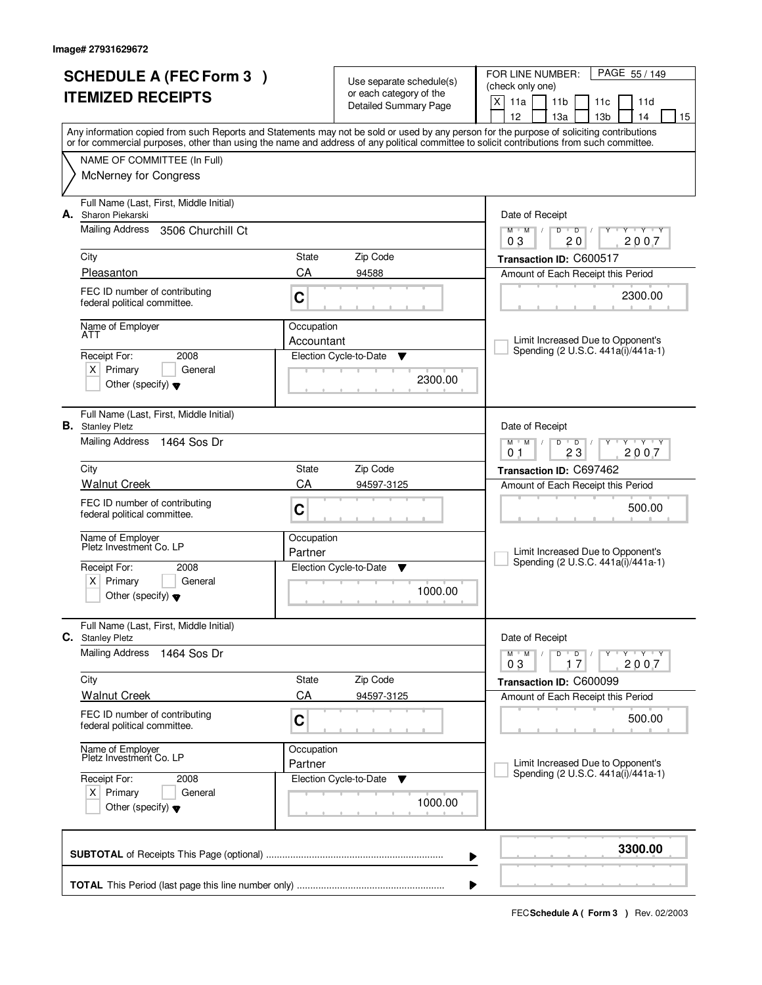| <b>SCHEDULE A (FEC Form 3)</b>                                               |             | Use separate schedule(s)     | PAGE 55 / 149<br>FOR LINE NUMBER:                                                                                                          |  |  |
|------------------------------------------------------------------------------|-------------|------------------------------|--------------------------------------------------------------------------------------------------------------------------------------------|--|--|
| <b>ITEMIZED RECEIPTS</b>                                                     |             | or each category of the      | (check only one)                                                                                                                           |  |  |
|                                                                              |             | <b>Detailed Summary Page</b> | X<br>11a<br>11 <sub>b</sub><br>11c<br>11d<br>12<br>14<br>15<br>13a<br>13 <sub>b</sub>                                                      |  |  |
|                                                                              |             |                              | Any information copied from such Reports and Statements may not be sold or used by any person for the purpose of soliciting contributions  |  |  |
| NAME OF COMMITTEE (In Full)                                                  |             |                              | or for commercial purposes, other than using the name and address of any political committee to solicit contributions from such committee. |  |  |
| <b>McNerney for Congress</b>                                                 |             |                              |                                                                                                                                            |  |  |
|                                                                              |             |                              |                                                                                                                                            |  |  |
| Full Name (Last, First, Middle Initial)<br>A. Sharon Piekarski               |             |                              | Date of Receipt                                                                                                                            |  |  |
| Mailing Address<br>3506 Churchill Ct                                         |             |                              | <b>TY TY</b><br>$M$ $M$ /<br>D<br>$\overline{D}$<br>Y<br>20<br>2007<br>03                                                                  |  |  |
| City                                                                         | State       | Zip Code                     | Transaction ID: C600517                                                                                                                    |  |  |
| Pleasanton                                                                   | CA          | 94588                        | Amount of Each Receipt this Period                                                                                                         |  |  |
| FEC ID number of contributing                                                |             |                              | 2300.00                                                                                                                                    |  |  |
| federal political committee.                                                 | C           |                              |                                                                                                                                            |  |  |
| Name of Employer<br>ATT                                                      | Occupation  |                              |                                                                                                                                            |  |  |
|                                                                              | Accountant  |                              | Limit Increased Due to Opponent's<br>Spending (2 U.S.C. 441a(i)/441a-1)                                                                    |  |  |
| 2008<br>Receipt For:<br>$X$ Primary<br>General                               |             | Election Cycle-to-Date<br>▼  |                                                                                                                                            |  |  |
| Other (specify) $\blacktriangledown$                                         |             | 2300.00                      |                                                                                                                                            |  |  |
|                                                                              |             |                              |                                                                                                                                            |  |  |
| Full Name (Last, First, Middle Initial)<br><b>B.</b> Stanley Pletz           |             |                              | Date of Receipt                                                                                                                            |  |  |
| Mailing Address<br>1464 Sos Dr                                               |             |                              | $Y \vdash Y \vdash Y$<br>$M$ $M$ /<br>D<br>$\overline{D}$                                                                                  |  |  |
|                                                                              |             |                              | 23<br>2007<br>0 <sub>1</sub>                                                                                                               |  |  |
| City<br><b>Walnut Creek</b>                                                  | State<br>CA | Zip Code<br>94597-3125       | Transaction ID: C697462                                                                                                                    |  |  |
| FEC ID number of contributing                                                |             |                              | Amount of Each Receipt this Period                                                                                                         |  |  |
| federal political committee.                                                 | C           |                              | 500.00                                                                                                                                     |  |  |
| Name of Employer                                                             | Occupation  |                              |                                                                                                                                            |  |  |
| Pletz Investment Co. LP                                                      | Partner     |                              | Limit Increased Due to Opponent's                                                                                                          |  |  |
| Receipt For:<br>2008                                                         |             | Election Cycle-to-Date<br>▼  | Spending (2 U.S.C. 441a(i)/441a-1)                                                                                                         |  |  |
| x <sub>1</sub><br>Primary<br>General<br>Other (specify) $\blacktriangledown$ |             | 1000.00                      |                                                                                                                                            |  |  |
|                                                                              |             |                              |                                                                                                                                            |  |  |
| Full Name (Last, First, Middle Initial)<br>C. Stanley Pletz                  |             |                              | Date of Receipt                                                                                                                            |  |  |
| <b>Mailing Address</b><br>1464 Sos Dr                                        |             |                              | $D$ $D$ $/$<br>Y FY FY FY<br>$M$ $M$                                                                                                       |  |  |
|                                                                              |             |                              | 2007<br>03<br>17                                                                                                                           |  |  |
| City<br><b>Walnut Creek</b>                                                  | State<br>CA | Zip Code<br>94597-3125       | Transaction ID: C600099<br>Amount of Each Receipt this Period                                                                              |  |  |
| FEC ID number of contributing                                                |             |                              |                                                                                                                                            |  |  |
| federal political committee.                                                 | C           |                              | 500.00                                                                                                                                     |  |  |
| Name of Employer<br>Pletz Investment Co. LP                                  | Occupation  |                              |                                                                                                                                            |  |  |
|                                                                              | Partner     |                              | Limit Increased Due to Opponent's<br>Spending (2 U.S.C. 441a(i)/441a-1)                                                                    |  |  |
| Receipt For:<br>2008<br>$X$ Primary<br>General                               |             | Election Cycle-to-Date<br>v  |                                                                                                                                            |  |  |
| Other (specify) $\blacktriangledown$                                         |             | 1000.00                      |                                                                                                                                            |  |  |
|                                                                              |             |                              |                                                                                                                                            |  |  |
|                                                                              |             |                              | 3300.00                                                                                                                                    |  |  |
|                                                                              |             |                              | ▶                                                                                                                                          |  |  |
|                                                                              |             |                              | ₽                                                                                                                                          |  |  |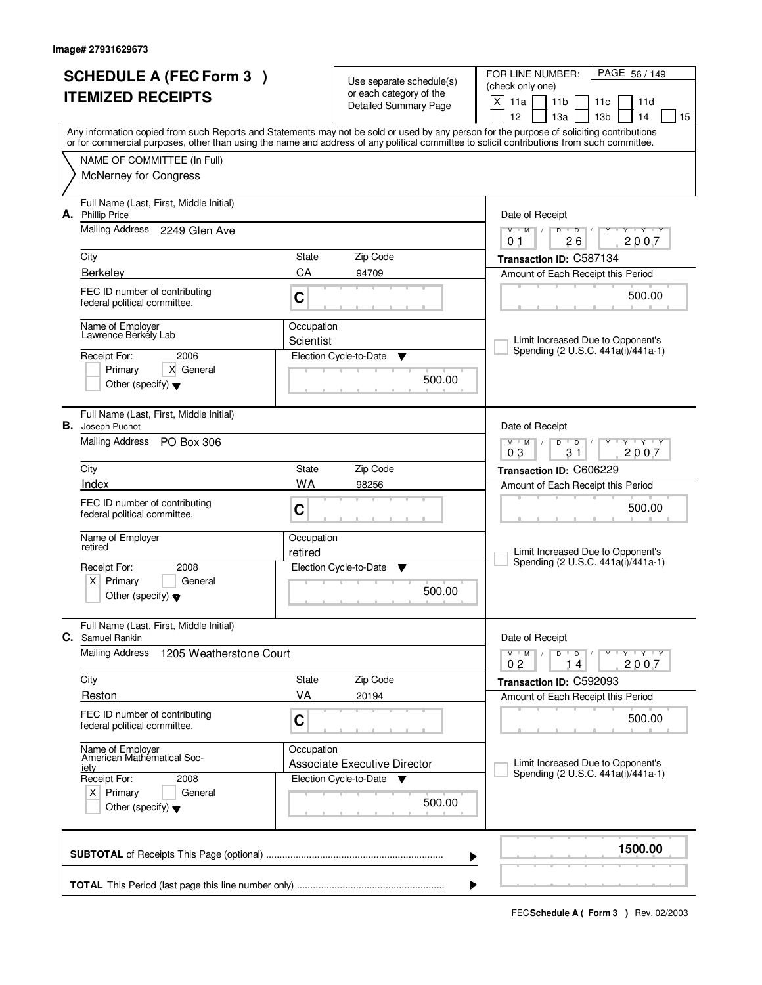| <b>SCHEDULE A (FEC Form 3)</b>                                     |                         | Use separate schedule(s)                                                  | PAGE 56 / 149<br>FOR LINE NUMBER:<br>(check only one)                                                                                                                                                                                                                                   |
|--------------------------------------------------------------------|-------------------------|---------------------------------------------------------------------------|-----------------------------------------------------------------------------------------------------------------------------------------------------------------------------------------------------------------------------------------------------------------------------------------|
| <b>ITEMIZED RECEIPTS</b>                                           |                         | or each category of the<br>Detailed Summary Page                          | X<br>11a<br>11 <sub>b</sub><br>11c<br>11d<br>12<br>13 <sub>b</sub><br>14<br>13a<br>15                                                                                                                                                                                                   |
|                                                                    |                         |                                                                           | Any information copied from such Reports and Statements may not be sold or used by any person for the purpose of soliciting contributions<br>or for commercial purposes, other than using the name and address of any political committee to solicit contributions from such committee. |
| NAME OF COMMITTEE (In Full)                                        |                         |                                                                           |                                                                                                                                                                                                                                                                                         |
| <b>McNerney for Congress</b>                                       |                         |                                                                           |                                                                                                                                                                                                                                                                                         |
| Full Name (Last, First, Middle Initial)<br>A. Phillip Price        |                         |                                                                           | Date of Receipt                                                                                                                                                                                                                                                                         |
| Mailing Address 2249 Glen Ave                                      |                         |                                                                           | $\overline{Y}$ $\overline{Y}$ $\overline{Y}$<br>$M$ $M$ /<br>D<br>$\overline{D}$<br>Y<br>26<br>2007<br>0 <sub>1</sub>                                                                                                                                                                   |
| City                                                               | State                   | Zip Code                                                                  | Transaction ID: C587134                                                                                                                                                                                                                                                                 |
| <b>Berkeley</b>                                                    | CA                      | 94709                                                                     | Amount of Each Receipt this Period                                                                                                                                                                                                                                                      |
| FEC ID number of contributing<br>federal political committee.      | $\mathbf C$             |                                                                           | 500.00                                                                                                                                                                                                                                                                                  |
| Name of Employer<br>Lawrence Berkély Lab                           | Occupation<br>Scientist |                                                                           | Limit Increased Due to Opponent's                                                                                                                                                                                                                                                       |
| 2006<br>Receipt For:                                               |                         | Election Cycle-to-Date<br>▼                                               | Spending (2 U.S.C. 441a(i)/441a-1)                                                                                                                                                                                                                                                      |
| Primary<br>X General<br>Other (specify) $\blacktriangledown$       |                         | 500.00                                                                    |                                                                                                                                                                                                                                                                                         |
| Full Name (Last, First, Middle Initial)<br><b>B.</b> Joseph Puchot |                         |                                                                           | Date of Receipt                                                                                                                                                                                                                                                                         |
| Mailing Address PO Box 306                                         |                         |                                                                           | $M$ $M$ $/$<br>D<br>$Y - Y - Y$<br>$\overline{D}$<br>03<br>2007<br>31                                                                                                                                                                                                                   |
| City                                                               | State                   | Zip Code                                                                  | Transaction ID: C606229                                                                                                                                                                                                                                                                 |
| Index                                                              | WA                      | 98256                                                                     | Amount of Each Receipt this Period                                                                                                                                                                                                                                                      |
| FEC ID number of contributing<br>federal political committee.      | C                       |                                                                           | 500.00                                                                                                                                                                                                                                                                                  |
| Name of Employer<br>retired                                        | Occupation              |                                                                           |                                                                                                                                                                                                                                                                                         |
| Receipt For:<br>2008                                               | retired                 | Election Cycle-to-Date<br>- V                                             | Limit Increased Due to Opponent's<br>Spending (2 U.S.C. 441a(i)/441a-1)                                                                                                                                                                                                                 |
| $x \mid$<br>Primary<br>General                                     |                         |                                                                           |                                                                                                                                                                                                                                                                                         |
| Other (specify) $\blacktriangledown$                               |                         | 500.00                                                                    |                                                                                                                                                                                                                                                                                         |
| Full Name (Last, First, Middle Initial)<br><b>C.</b> Samuel Rankin |                         |                                                                           | Date of Receipt                                                                                                                                                                                                                                                                         |
| <b>Mailing Address</b><br>1205 Weatherstone Court                  |                         |                                                                           | $D$ $D$ $I$<br>Y TY TY TY<br>$M$ M<br>$\sqrt{2}$<br>2007<br>0 <sub>2</sub><br>14                                                                                                                                                                                                        |
| City                                                               | State                   | Zip Code                                                                  | Transaction ID: C592093                                                                                                                                                                                                                                                                 |
| Reston                                                             | VA                      | 20194                                                                     | Amount of Each Receipt this Period                                                                                                                                                                                                                                                      |
| FEC ID number of contributing<br>federal political committee.      | C                       |                                                                           | 500.00                                                                                                                                                                                                                                                                                  |
| Name of Employer<br>American Mathematical Soc-                     | Occupation              |                                                                           |                                                                                                                                                                                                                                                                                         |
| <u>iety</u><br>Receipt For:<br>2008                                |                         | <b>Associate Executive Director</b><br>Election Cycle-to-Date<br><b>V</b> | Limit Increased Due to Opponent's<br>Spending (2 U.S.C. 441a(i)/441a-1)                                                                                                                                                                                                                 |
| $X$ Primary<br>General<br>Other (specify) $\blacktriangledown$     |                         | 500.00                                                                    |                                                                                                                                                                                                                                                                                         |
|                                                                    |                         |                                                                           | 1500.00                                                                                                                                                                                                                                                                                 |
|                                                                    |                         |                                                                           | ▶                                                                                                                                                                                                                                                                                       |
|                                                                    |                         |                                                                           |                                                                                                                                                                                                                                                                                         |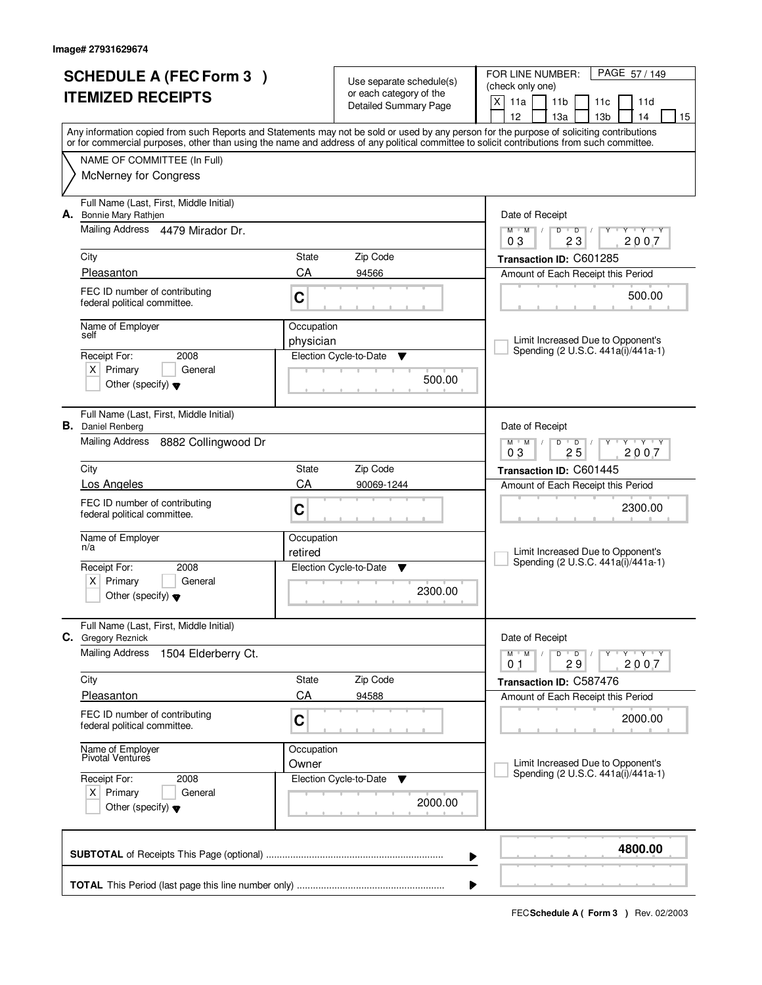|    | <b>SCHEDULE A (FEC Form 3)</b>                                      |                     | Use separate schedule(s)<br>or each category of the | PAGE 57/149<br>FOR LINE NUMBER:<br>(check only one)                                                                                                                                                                                                                                     |  |
|----|---------------------------------------------------------------------|---------------------|-----------------------------------------------------|-----------------------------------------------------------------------------------------------------------------------------------------------------------------------------------------------------------------------------------------------------------------------------------------|--|
|    | <b>ITEMIZED RECEIPTS</b>                                            |                     | Detailed Summary Page                               | X<br>11a<br>11 <sub>b</sub><br>11c<br>11d<br>12<br>13a<br>13 <sub>b</sub><br>14<br>15                                                                                                                                                                                                   |  |
|    |                                                                     |                     |                                                     | Any information copied from such Reports and Statements may not be sold or used by any person for the purpose of soliciting contributions<br>or for commercial purposes, other than using the name and address of any political committee to solicit contributions from such committee. |  |
|    | NAME OF COMMITTEE (In Full)                                         |                     |                                                     |                                                                                                                                                                                                                                                                                         |  |
|    | <b>McNerney for Congress</b>                                        |                     |                                                     |                                                                                                                                                                                                                                                                                         |  |
| А. | Full Name (Last, First, Middle Initial)<br>Bonnie Mary Rathjen      |                     |                                                     | Date of Receipt                                                                                                                                                                                                                                                                         |  |
|    | Mailing Address 4479 Mirador Dr.                                    |                     |                                                     | $Y$ $Y$ $Y$<br>$M$ $M$<br>$D$ $D$<br>Y<br>$\sqrt{ }$<br>23<br>2007<br>03                                                                                                                                                                                                                |  |
|    | City                                                                | State               | Zip Code                                            | Transaction ID: C601285                                                                                                                                                                                                                                                                 |  |
|    | Pleasanton                                                          | CA                  | 94566                                               | Amount of Each Receipt this Period                                                                                                                                                                                                                                                      |  |
|    | FEC ID number of contributing<br>federal political committee.       | C                   |                                                     | 500.00                                                                                                                                                                                                                                                                                  |  |
|    | Name of Employer<br>self                                            | Occupation          |                                                     |                                                                                                                                                                                                                                                                                         |  |
|    | Receipt For:<br>2008                                                | physician           | Election Cycle-to-Date<br>▼                         | Limit Increased Due to Opponent's<br>Spending (2 U.S.C. 441a(i)/441a-1)                                                                                                                                                                                                                 |  |
|    | $X$ Primary<br>General                                              |                     |                                                     |                                                                                                                                                                                                                                                                                         |  |
|    | Other (specify) $\blacktriangledown$                                |                     | 500.00                                              |                                                                                                                                                                                                                                                                                         |  |
|    | Full Name (Last, First, Middle Initial)<br><b>B.</b> Daniel Renberg |                     |                                                     | Date of Receipt                                                                                                                                                                                                                                                                         |  |
|    | Mailing Address 8882 Collingwood Dr                                 |                     |                                                     | $M$ $M$ /<br><b>TY TY</b><br>D<br>$\overline{D}$<br>25<br>03<br>2007                                                                                                                                                                                                                    |  |
|    | City                                                                | <b>State</b>        | Zip Code                                            | Transaction ID: C601445                                                                                                                                                                                                                                                                 |  |
|    | Los Angeles                                                         | CA                  | 90069-1244                                          | Amount of Each Receipt this Period                                                                                                                                                                                                                                                      |  |
|    | FEC ID number of contributing<br>federal political committee.       | C                   |                                                     | 2300.00                                                                                                                                                                                                                                                                                 |  |
|    | Name of Employer<br>n/a                                             | Occupation          |                                                     |                                                                                                                                                                                                                                                                                         |  |
|    | Receipt For:<br>2008                                                | retired             | Election Cycle-to-Date<br>▼                         | Limit Increased Due to Opponent's<br>Spending (2 U.S.C. 441a(i)/441a-1)                                                                                                                                                                                                                 |  |
|    | Primary<br>X  <br>General<br>Other (specify) $\blacktriangledown$   |                     | 2300.00                                             |                                                                                                                                                                                                                                                                                         |  |
|    | Full Name (Last, First, Middle Initial)<br>C. Gregory Reznick       |                     |                                                     | Date of Receipt                                                                                                                                                                                                                                                                         |  |
|    | <b>Mailing Address</b><br>1504 Elderberry Ct.                       |                     |                                                     | $D$ $D$<br>$M$ $M$ $/$<br>Y 'Y 'Y<br>29<br>2007<br>01                                                                                                                                                                                                                                   |  |
|    | City                                                                | State               | Zip Code                                            | Transaction ID: C587476                                                                                                                                                                                                                                                                 |  |
|    | Pleasanton                                                          | CA                  | 94588                                               | Amount of Each Receipt this Period                                                                                                                                                                                                                                                      |  |
|    | FEC ID number of contributing<br>federal political committee.       | C                   |                                                     | 2000.00                                                                                                                                                                                                                                                                                 |  |
|    | Name of Employer<br>Pivotal Ventures                                | Occupation<br>Owner |                                                     | Limit Increased Due to Opponent's                                                                                                                                                                                                                                                       |  |
|    | Receipt For:<br>2008                                                |                     | Election Cycle-to-Date<br>v                         | Spending (2 U.S.C. 441a(i)/441a-1)                                                                                                                                                                                                                                                      |  |
|    | $X$ Primary<br>General<br>Other (specify) $\blacktriangledown$      |                     | 2000.00                                             |                                                                                                                                                                                                                                                                                         |  |
|    |                                                                     |                     |                                                     | 4800.00                                                                                                                                                                                                                                                                                 |  |
|    |                                                                     |                     |                                                     |                                                                                                                                                                                                                                                                                         |  |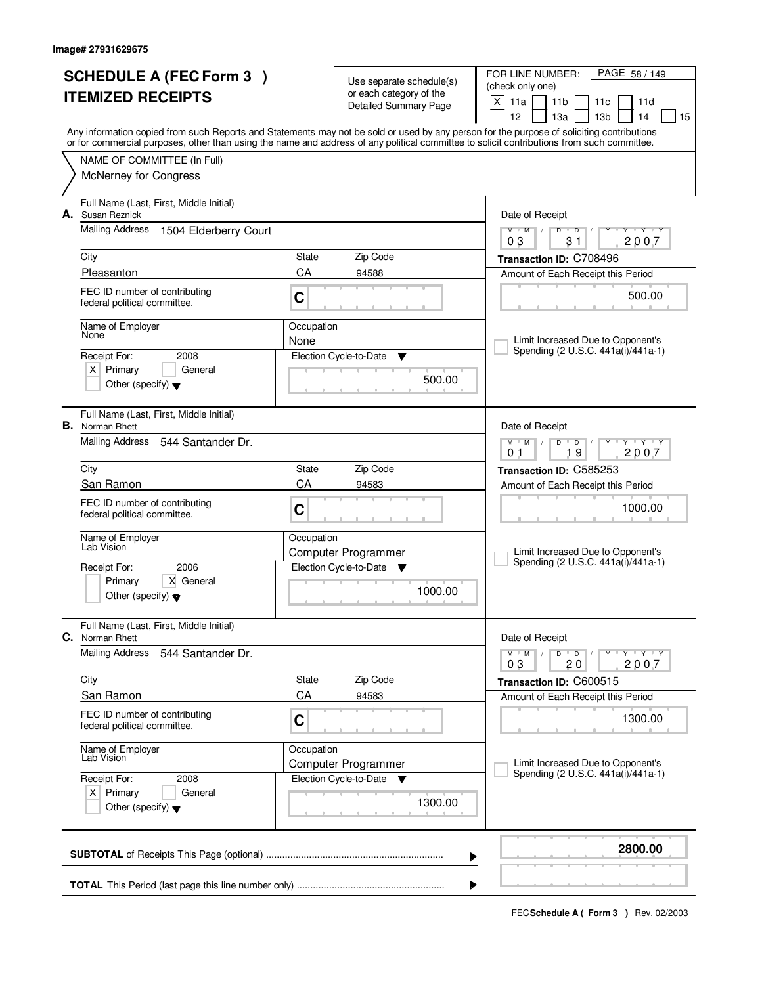| <b>SCHEDULE A (FEC Form 3)</b><br><b>ITEMIZED RECEIPTS</b> |                                                                   |            | Use separate schedule(s)<br>or each category of the<br><b>Detailed Summary Page</b> | PAGE 58 / 149<br>FOR LINE NUMBER:<br>(check only one)<br>$\mathsf{X}$<br>11a<br>11 <sub>b</sub><br>11 <sub>c</sub><br>11d                                                             |
|------------------------------------------------------------|-------------------------------------------------------------------|------------|-------------------------------------------------------------------------------------|---------------------------------------------------------------------------------------------------------------------------------------------------------------------------------------|
|                                                            |                                                                   |            |                                                                                     | 12<br>13a<br>13 <sub>b</sub><br>14<br>15<br>Any information copied from such Reports and Statements may not be sold or used by any person for the purpose of soliciting contributions |
|                                                            |                                                                   |            |                                                                                     | or for commercial purposes, other than using the name and address of any political committee to solicit contributions from such committee.                                            |
|                                                            | NAME OF COMMITTEE (In Full)<br><b>McNerney for Congress</b>       |            |                                                                                     |                                                                                                                                                                                       |
| А.                                                         | Full Name (Last, First, Middle Initial)<br>Susan Reznick          |            |                                                                                     | Date of Receipt                                                                                                                                                                       |
|                                                            | <b>Mailing Address</b><br>1504 Elderberry Court                   |            |                                                                                     | $\mathbf{y}$ $\mathbf{y}$ $\mathbf{y}$ $\mathbf{y}$<br>$M$ $M$<br>$D$ $D$ $/$<br>Y<br>03<br>31<br>2007                                                                                |
|                                                            | City                                                              | State      | Zip Code                                                                            | Transaction ID: C708496                                                                                                                                                               |
|                                                            | Pleasanton                                                        | CA         | 94588                                                                               | Amount of Each Receipt this Period                                                                                                                                                    |
|                                                            | FEC ID number of contributing<br>federal political committee.     | C          |                                                                                     | 500.00                                                                                                                                                                                |
|                                                            | Name of Employer<br>None                                          | Occupation |                                                                                     |                                                                                                                                                                                       |
|                                                            | Receipt For:<br>2008                                              | None       | Election Cycle-to-Date<br>▼                                                         | Limit Increased Due to Opponent's<br>Spending (2 U.S.C. 441a(i)/441a-1)                                                                                                               |
|                                                            | $X$ Primary<br>General                                            |            | 500.00                                                                              |                                                                                                                                                                                       |
|                                                            | Other (specify) $\blacktriangledown$                              |            |                                                                                     |                                                                                                                                                                                       |
|                                                            | Full Name (Last, First, Middle Initial)<br><b>B.</b> Norman Rhett |            |                                                                                     | Date of Receipt                                                                                                                                                                       |
|                                                            | Mailing Address<br>544 Santander Dr.                              |            |                                                                                     | $T - Y - T Y$<br>$M$ M<br>D<br>$\overline{D}$<br>19<br>2007<br>0 <sub>1</sub>                                                                                                         |
|                                                            | City                                                              | State      | Zip Code                                                                            | Transaction ID: C585253                                                                                                                                                               |
|                                                            | San Ramon                                                         | CA         | 94583                                                                               | Amount of Each Receipt this Period                                                                                                                                                    |
|                                                            | FEC ID number of contributing<br>federal political committee.     | C          |                                                                                     | 1000.00                                                                                                                                                                               |
|                                                            | Name of Employer<br>Lab Vision                                    | Occupation |                                                                                     |                                                                                                                                                                                       |
|                                                            |                                                                   |            | Computer Programmer                                                                 | Limit Increased Due to Opponent's<br>Spending (2 U.S.C. 441a(i)/441a-1)                                                                                                               |
|                                                            | 2006<br>Receipt For:<br>X General<br>Primary                      |            | Election Cycle-to-Date ▼                                                            |                                                                                                                                                                                       |
|                                                            | Other (specify) $\blacktriangledown$                              |            | 1000.00                                                                             |                                                                                                                                                                                       |
| C.                                                         | Full Name (Last, First, Middle Initial)<br>Norman Rhett           |            |                                                                                     | Date of Receipt                                                                                                                                                                       |
|                                                            | <b>Mailing Address</b><br>544 Santander Dr.                       |            |                                                                                     | D<br>$M$ $M$ /<br>$\overline{D}$<br>$Y + Y + Y$<br>03<br>2007<br>20                                                                                                                   |
|                                                            | City                                                              | State      | Zip Code                                                                            | Transaction ID: C600515                                                                                                                                                               |
|                                                            | <b>San Ramon</b>                                                  | CA         | 94583                                                                               | Amount of Each Receipt this Period                                                                                                                                                    |
|                                                            | FEC ID number of contributing<br>federal political committee.     | C          |                                                                                     | 1300.00                                                                                                                                                                               |
|                                                            | Name of Employer<br>Lab Vision                                    | Occupation |                                                                                     | Limit Increased Due to Opponent's                                                                                                                                                     |
|                                                            | Receipt For:<br>2008                                              |            | Computer Programmer<br>Election Cycle-to-Date<br>v                                  | Spending (2 U.S.C. 441a(i)/441a-1)                                                                                                                                                    |
|                                                            | $X$ Primary<br>General<br>Other (specify) $\blacktriangledown$    |            | 1300.00                                                                             |                                                                                                                                                                                       |
|                                                            |                                                                   |            |                                                                                     | 2800.00                                                                                                                                                                               |
|                                                            |                                                                   |            |                                                                                     | ▶                                                                                                                                                                                     |
|                                                            |                                                                   |            |                                                                                     | ▶                                                                                                                                                                                     |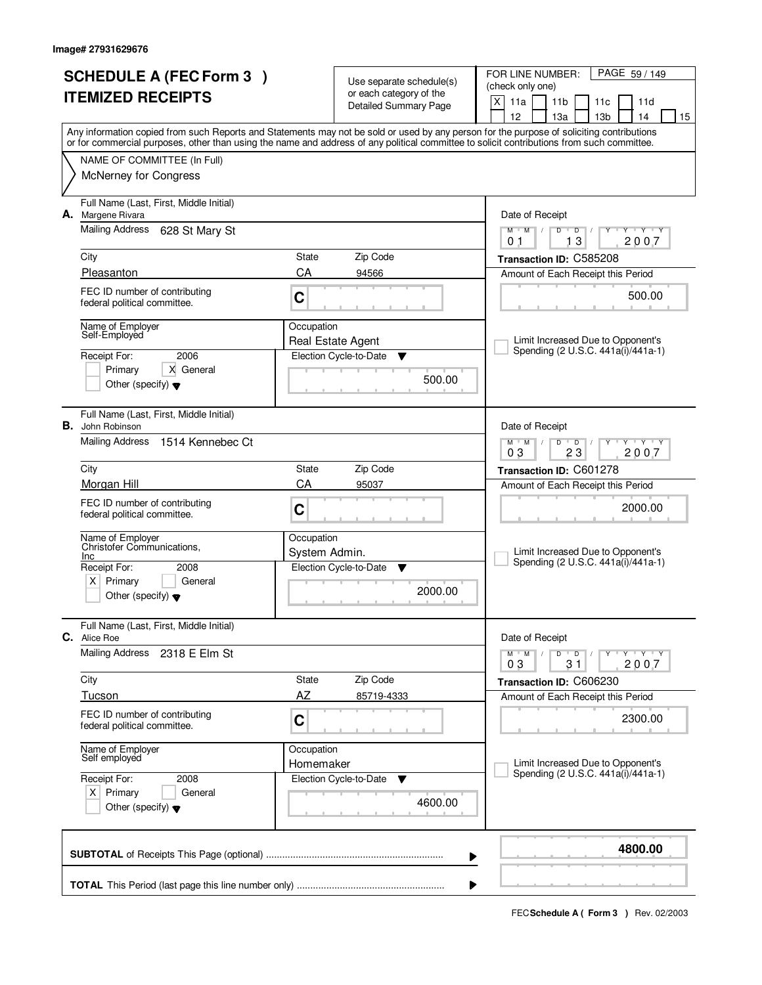|                          | <b>SCHEDULE A (FEC Form 3)</b>                                 |               |                                                                              | FOR LINE NUMBER:<br>PAGE 59 / 149                                                                                                                                                                                                                                                       |
|--------------------------|----------------------------------------------------------------|---------------|------------------------------------------------------------------------------|-----------------------------------------------------------------------------------------------------------------------------------------------------------------------------------------------------------------------------------------------------------------------------------------|
| <b>ITEMIZED RECEIPTS</b> |                                                                |               | Use separate schedule(s)<br>or each category of the<br>Detailed Summary Page | (check only one)                                                                                                                                                                                                                                                                        |
|                          |                                                                |               |                                                                              | X<br>11a<br>11 <sub>b</sub><br>11c<br>11d                                                                                                                                                                                                                                               |
|                          |                                                                |               |                                                                              | 12<br>13 <sub>b</sub><br>13a<br>14<br>15                                                                                                                                                                                                                                                |
|                          |                                                                |               |                                                                              | Any information copied from such Reports and Statements may not be sold or used by any person for the purpose of soliciting contributions<br>or for commercial purposes, other than using the name and address of any political committee to solicit contributions from such committee. |
|                          | NAME OF COMMITTEE (In Full)                                    |               |                                                                              |                                                                                                                                                                                                                                                                                         |
|                          | <b>McNerney for Congress</b>                                   |               |                                                                              |                                                                                                                                                                                                                                                                                         |
|                          | Full Name (Last, First, Middle Initial)                        |               |                                                                              |                                                                                                                                                                                                                                                                                         |
| А.                       | Margene Rivara                                                 |               |                                                                              | Date of Receipt                                                                                                                                                                                                                                                                         |
|                          | <b>Mailing Address</b><br>628 St Mary St                       |               |                                                                              | $M$ $M$ /<br>$\overline{D}$<br>$Y - Y - Y$<br>$D$ <sup>U</sup><br>Y<br>$\sqrt{ }$<br>13<br>2007<br>0 <sub>1</sub>                                                                                                                                                                       |
|                          | City                                                           | State         | Zip Code                                                                     | Transaction ID: C585208                                                                                                                                                                                                                                                                 |
|                          | Pleasanton                                                     | CA            | 94566                                                                        | Amount of Each Receipt this Period                                                                                                                                                                                                                                                      |
|                          | FEC ID number of contributing                                  |               |                                                                              |                                                                                                                                                                                                                                                                                         |
|                          | federal political committee.                                   | C             |                                                                              | 500.00                                                                                                                                                                                                                                                                                  |
|                          | Name of Employer                                               | Occupation    |                                                                              |                                                                                                                                                                                                                                                                                         |
|                          | Self-Employed                                                  |               | Real Estate Agent                                                            | Limit Increased Due to Opponent's<br>Spending (2 U.S.C. 441a(i)/441a-1)                                                                                                                                                                                                                 |
|                          | 2006<br>Receipt For:                                           |               | Election Cycle-to-Date<br>▼                                                  |                                                                                                                                                                                                                                                                                         |
|                          | X General<br>Primary<br>Other (specify) $\blacktriangledown$   |               | 500.00                                                                       |                                                                                                                                                                                                                                                                                         |
|                          |                                                                |               |                                                                              |                                                                                                                                                                                                                                                                                         |
|                          | Full Name (Last, First, Middle Initial)                        |               |                                                                              |                                                                                                                                                                                                                                                                                         |
| В.                       | John Robinson<br>Mailing Address<br>1514 Kennebec Ct           |               |                                                                              | Date of Receipt<br>TEY TEY<br>D                                                                                                                                                                                                                                                         |
|                          |                                                                |               |                                                                              | $M$ $M$<br>$\overline{D}$<br>03<br>23<br>2007                                                                                                                                                                                                                                           |
|                          | City                                                           | State         | Zip Code                                                                     | Transaction ID: C601278                                                                                                                                                                                                                                                                 |
|                          | Morgan Hill                                                    | CA            | 95037                                                                        | Amount of Each Receipt this Period                                                                                                                                                                                                                                                      |
|                          | FEC ID number of contributing                                  | C             |                                                                              | 2000.00                                                                                                                                                                                                                                                                                 |
|                          | federal political committee.                                   |               |                                                                              |                                                                                                                                                                                                                                                                                         |
|                          | Name of Employer<br>Christofer Communications.                 | Occupation    |                                                                              |                                                                                                                                                                                                                                                                                         |
|                          | <b>Inc</b>                                                     | System Admin. |                                                                              | Limit Increased Due to Opponent's<br>Spending (2 U.S.C. 441a(i)/441a-1)                                                                                                                                                                                                                 |
|                          | Receipt For:<br>2008<br>Primary<br>General                     |               | Election Cycle-to-Date<br>▼                                                  |                                                                                                                                                                                                                                                                                         |
|                          | x <sub>1</sub><br>Other (specify) $\blacktriangledown$         |               | 2000.00                                                                      |                                                                                                                                                                                                                                                                                         |
|                          |                                                                |               |                                                                              |                                                                                                                                                                                                                                                                                         |
|                          | Full Name (Last, First, Middle Initial)<br><b>C.</b> Alice Roe |               |                                                                              | Date of Receipt                                                                                                                                                                                                                                                                         |
|                          | Mailing Address<br>2318 E Elm St                               |               |                                                                              | $M$ $M$ $/$<br>D<br>$\overline{D}$<br>$Y + Y + Y$                                                                                                                                                                                                                                       |
|                          |                                                                |               |                                                                              | 2007<br>03<br>31                                                                                                                                                                                                                                                                        |
|                          | City<br>Tucson                                                 | State<br>AZ   | Zip Code<br>85719-4333                                                       | Transaction ID: C606230                                                                                                                                                                                                                                                                 |
|                          | FEC ID number of contributing                                  |               |                                                                              | Amount of Each Receipt this Period                                                                                                                                                                                                                                                      |
|                          | federal political committee.                                   | $\mathbf C$   |                                                                              | 2300.00                                                                                                                                                                                                                                                                                 |
|                          |                                                                | Occupation    |                                                                              |                                                                                                                                                                                                                                                                                         |
|                          | Name of Employer<br>Self employed                              | Homemaker     |                                                                              | Limit Increased Due to Opponent's                                                                                                                                                                                                                                                       |
|                          | Receipt For:<br>2008                                           |               | Election Cycle-to-Date<br>v                                                  | Spending (2 U.S.C. 441a(i)/441a-1)                                                                                                                                                                                                                                                      |
|                          | $X$ Primary<br>General                                         |               | 4600.00                                                                      |                                                                                                                                                                                                                                                                                         |
|                          | Other (specify) $\blacktriangledown$                           |               |                                                                              |                                                                                                                                                                                                                                                                                         |
|                          |                                                                |               |                                                                              |                                                                                                                                                                                                                                                                                         |
|                          |                                                                |               |                                                                              | 4800.00<br>▶                                                                                                                                                                                                                                                                            |
|                          |                                                                |               |                                                                              |                                                                                                                                                                                                                                                                                         |
|                          |                                                                |               |                                                                              | ▶                                                                                                                                                                                                                                                                                       |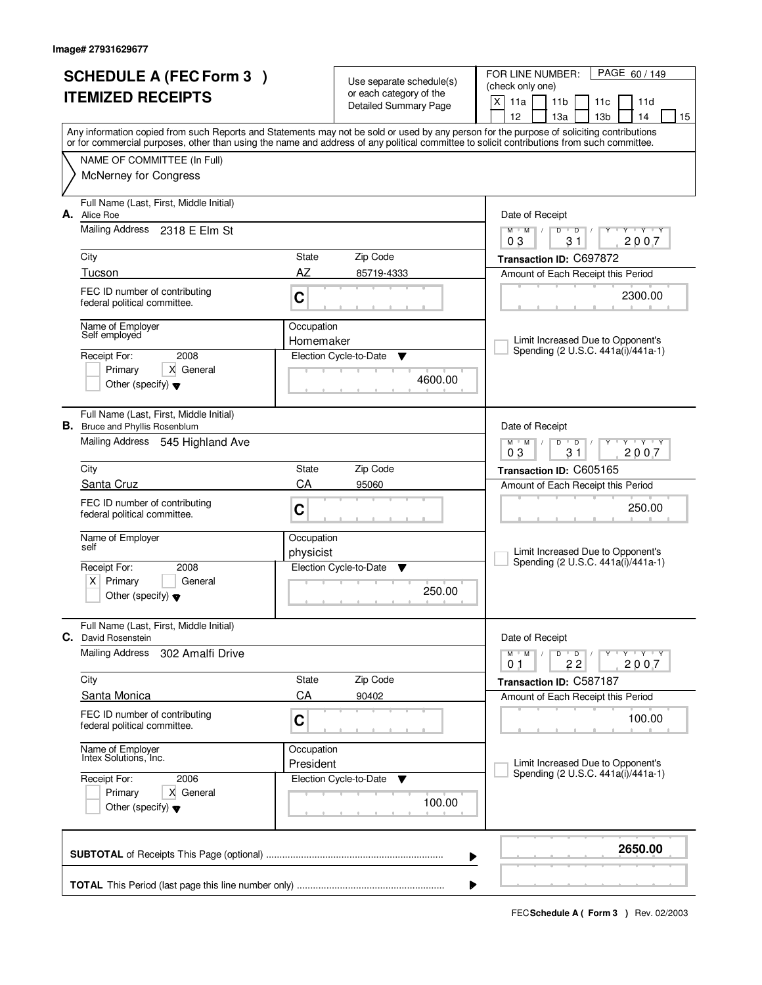|                                                                                  | <b>SCHEDULE A (FEC Form 3)</b> |                         | Use separate schedule(s)     | PAGE 60/149<br>FOR LINE NUMBER:                                                                                                                                                                                                                                                         |
|----------------------------------------------------------------------------------|--------------------------------|-------------------------|------------------------------|-----------------------------------------------------------------------------------------------------------------------------------------------------------------------------------------------------------------------------------------------------------------------------------------|
| <b>ITEMIZED RECEIPTS</b>                                                         |                                |                         | or each category of the      | (check only one)<br>X<br>11a<br>11 <sub>b</sub><br>11c<br>11d                                                                                                                                                                                                                           |
|                                                                                  |                                |                         | <b>Detailed Summary Page</b> | 12<br>14<br>15<br>13a<br>13 <sub>b</sub>                                                                                                                                                                                                                                                |
|                                                                                  |                                |                         |                              | Any information copied from such Reports and Statements may not be sold or used by any person for the purpose of soliciting contributions<br>or for commercial purposes, other than using the name and address of any political committee to solicit contributions from such committee. |
| NAME OF COMMITTEE (In Full)                                                      |                                |                         |                              |                                                                                                                                                                                                                                                                                         |
| <b>McNerney for Congress</b>                                                     |                                |                         |                              |                                                                                                                                                                                                                                                                                         |
| Full Name (Last, First, Middle Initial)<br>A. Alice Roe                          |                                |                         |                              | Date of Receipt                                                                                                                                                                                                                                                                         |
| Mailing Address 2318 E Elm St                                                    |                                |                         |                              | $\mathbf{y} + \mathbf{y}$<br>$M$ $M$ /<br>$\overline{D}$<br>D<br>Y<br>31<br>2007<br>03                                                                                                                                                                                                  |
| City                                                                             |                                | State                   | Zip Code                     | Transaction ID: C697872                                                                                                                                                                                                                                                                 |
| Tucson                                                                           |                                | AZ                      | 85719-4333                   | Amount of Each Receipt this Period                                                                                                                                                                                                                                                      |
| FEC ID number of contributing<br>federal political committee.                    |                                | C                       |                              | 2300.00                                                                                                                                                                                                                                                                                 |
| Name of Employer<br>Self employed                                                |                                | Occupation<br>Homemaker |                              | Limit Increased Due to Opponent's                                                                                                                                                                                                                                                       |
| Receipt For:                                                                     | 2008                           |                         | Election Cycle-to-Date<br>▼  | Spending (2 U.S.C. 441a(i)/441a-1)                                                                                                                                                                                                                                                      |
| Primary<br>Other (specify) $\blacktriangledown$                                  | X General                      |                         | 4600.00                      |                                                                                                                                                                                                                                                                                         |
| Full Name (Last, First, Middle Initial)<br><b>B.</b> Bruce and Phyllis Rosenblum |                                |                         |                              | Date of Receipt                                                                                                                                                                                                                                                                         |
| Mailing Address 545 Highland Ave                                                 |                                |                         |                              | $M$ $M$ /<br>D<br>$\overline{D}$<br>Y Y Y Y<br>03<br>31<br>2007                                                                                                                                                                                                                         |
| City                                                                             |                                | State                   | Zip Code                     | Transaction ID: C605165                                                                                                                                                                                                                                                                 |
| Santa Cruz                                                                       |                                | CA                      | 95060                        | Amount of Each Receipt this Period                                                                                                                                                                                                                                                      |
| FEC ID number of contributing<br>federal political committee.                    |                                | C                       |                              | 250.00                                                                                                                                                                                                                                                                                  |
| Name of Employer<br>self                                                         |                                | Occupation<br>physicist |                              | Limit Increased Due to Opponent's                                                                                                                                                                                                                                                       |
| Receipt For:                                                                     | 2008                           |                         | Election Cycle-to-Date<br>▼  | Spending (2 U.S.C. 441a(i)/441a-1)                                                                                                                                                                                                                                                      |
| x <sub>1</sub><br>Primary<br>Other (specify) $\blacktriangledown$                | General                        |                         | 250.00                       |                                                                                                                                                                                                                                                                                         |
| Full Name (Last, First, Middle Initial)<br>C.<br>David Rosenstein                |                                |                         |                              | Date of Receipt                                                                                                                                                                                                                                                                         |
| <b>Mailing Address</b>                                                           | 302 Amalfi Drive               |                         |                              | $D$ $D$<br><b>TY TY TY</b><br>$M$ $M$ $/$<br>Y<br>$\sqrt{ }$<br>2007<br>22<br>01                                                                                                                                                                                                        |
| City                                                                             |                                | State                   | Zip Code                     | Transaction ID: C587187                                                                                                                                                                                                                                                                 |
| Santa Monica                                                                     |                                | CA                      | 90402                        | Amount of Each Receipt this Period                                                                                                                                                                                                                                                      |
| FEC ID number of contributing<br>federal political committee.                    |                                | C                       |                              | 100.00                                                                                                                                                                                                                                                                                  |
| Name of Employer<br>Intex Solutions, Inc.                                        |                                | Occupation<br>President |                              | Limit Increased Due to Opponent's                                                                                                                                                                                                                                                       |
| Receipt For:                                                                     | 2006                           |                         | Election Cycle-to-Date<br>v  | Spending (2 U.S.C. 441a(i)/441a-1)                                                                                                                                                                                                                                                      |
| Primary<br>Other (specify) $\blacktriangledown$                                  | X General                      |                         | 100.00                       |                                                                                                                                                                                                                                                                                         |
|                                                                                  |                                |                         |                              | 2650.00<br>▶                                                                                                                                                                                                                                                                            |
|                                                                                  |                                |                         |                              | ₽                                                                                                                                                                                                                                                                                       |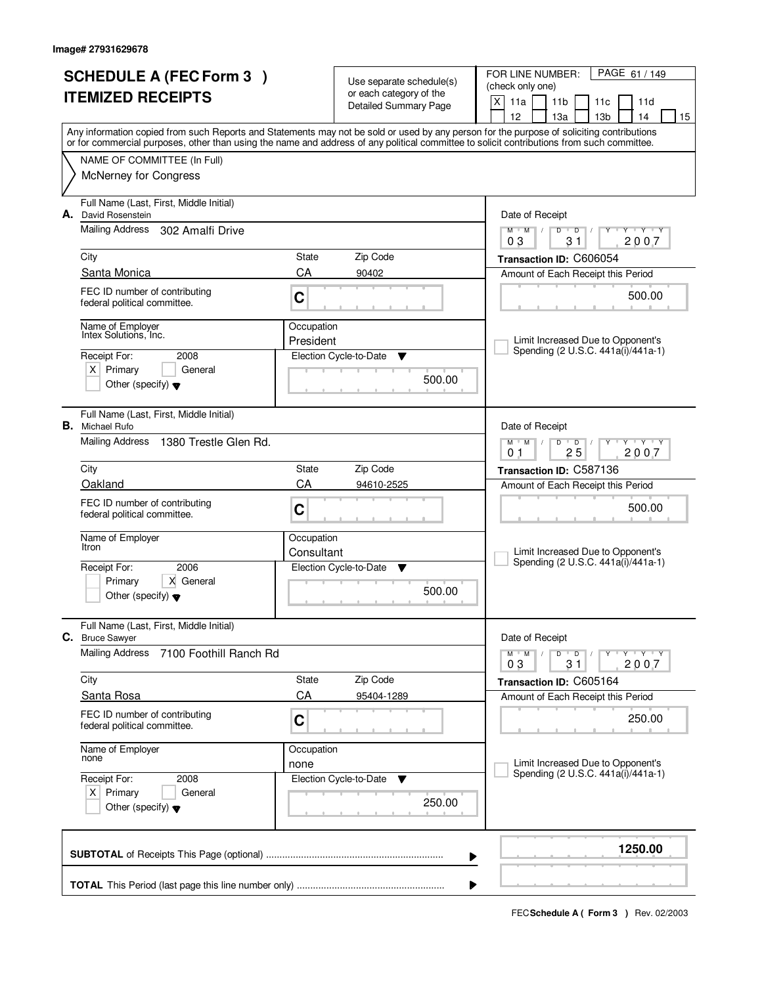| <b>SCHEDULE A (FEC Form 3)</b><br><b>ITEMIZED RECEIPTS</b> |                                                                   |            | Use separate schedule(s)<br>or each category of the<br><b>Detailed Summary Page</b> | PAGE 61 / 149<br>FOR LINE NUMBER:<br>(check only one)<br>$\mathsf{X}$<br>11a<br>11 <sub>b</sub><br>11 <sub>c</sub><br>11d                                                                                                                                                                                                           |  |  |
|------------------------------------------------------------|-------------------------------------------------------------------|------------|-------------------------------------------------------------------------------------|-------------------------------------------------------------------------------------------------------------------------------------------------------------------------------------------------------------------------------------------------------------------------------------------------------------------------------------|--|--|
|                                                            |                                                                   |            |                                                                                     | 12<br>13a<br>13 <sub>b</sub><br>14<br>15<br>Any information copied from such Reports and Statements may not be sold or used by any person for the purpose of soliciting contributions<br>or for commercial purposes, other than using the name and address of any political committee to solicit contributions from such committee. |  |  |
|                                                            | NAME OF COMMITTEE (In Full)<br><b>McNerney for Congress</b>       |            |                                                                                     |                                                                                                                                                                                                                                                                                                                                     |  |  |
| А.                                                         | Full Name (Last, First, Middle Initial)<br>David Rosenstein       |            |                                                                                     | Date of Receipt                                                                                                                                                                                                                                                                                                                     |  |  |
|                                                            | <b>Mailing Address</b><br>302 Amalfi Drive                        |            |                                                                                     | $Y + Y + Y$<br>$M$ $M$ /<br>$D$ $D$ $/$<br>Y<br>03<br>31<br>2007                                                                                                                                                                                                                                                                    |  |  |
|                                                            | City                                                              | State      | Zip Code                                                                            | Transaction ID: C606054                                                                                                                                                                                                                                                                                                             |  |  |
|                                                            | Santa Monica                                                      | CA         | 90402                                                                               | Amount of Each Receipt this Period                                                                                                                                                                                                                                                                                                  |  |  |
|                                                            | FEC ID number of contributing<br>federal political committee.     | C          |                                                                                     | 500.00                                                                                                                                                                                                                                                                                                                              |  |  |
|                                                            | Name of Employer<br>Intex Solutions, Inc.                         | Occupation |                                                                                     |                                                                                                                                                                                                                                                                                                                                     |  |  |
|                                                            | Receipt For:<br>2008                                              | President  | Election Cycle-to-Date<br>▼                                                         | Limit Increased Due to Opponent's<br>Spending (2 U.S.C. 441a(i)/441a-1)                                                                                                                                                                                                                                                             |  |  |
|                                                            | $X$ Primary<br>General<br>Other (specify) $\blacktriangledown$    |            | 500.00                                                                              |                                                                                                                                                                                                                                                                                                                                     |  |  |
|                                                            |                                                                   |            |                                                                                     |                                                                                                                                                                                                                                                                                                                                     |  |  |
|                                                            | Full Name (Last, First, Middle Initial)<br><b>B.</b> Michael Rufo |            |                                                                                     | Date of Receipt                                                                                                                                                                                                                                                                                                                     |  |  |
|                                                            | Mailing Address<br>1380 Trestle Glen Rd.                          |            |                                                                                     | $M$ M<br>D<br>$\overline{D}$<br>$T$ $Y$ $T$ $Y$<br>25<br>2007<br>0 <sub>1</sub>                                                                                                                                                                                                                                                     |  |  |
|                                                            | City                                                              | State      | Zip Code                                                                            | Transaction ID: C587136                                                                                                                                                                                                                                                                                                             |  |  |
|                                                            | Oakland                                                           | CA         | 94610-2525                                                                          | Amount of Each Receipt this Period                                                                                                                                                                                                                                                                                                  |  |  |
|                                                            | FEC ID number of contributing<br>federal political committee.     | C          |                                                                                     | 500.00                                                                                                                                                                                                                                                                                                                              |  |  |
|                                                            | Name of Employer<br>Itron                                         | Occupation |                                                                                     | Limit Increased Due to Opponent's                                                                                                                                                                                                                                                                                                   |  |  |
|                                                            | 2006<br>Receipt For:                                              | Consultant | Election Cycle-to-Date<br>▼                                                         | Spending (2 U.S.C. 441a(i)/441a-1)                                                                                                                                                                                                                                                                                                  |  |  |
|                                                            | X General<br>Primary<br>Other (specify) $\blacktriangledown$      |            | 500.00                                                                              |                                                                                                                                                                                                                                                                                                                                     |  |  |
|                                                            | Full Name (Last, First, Middle Initial)<br>C. Bruce Sawyer        |            |                                                                                     | Date of Receipt                                                                                                                                                                                                                                                                                                                     |  |  |
|                                                            | <b>Mailing Address</b><br>7100 Foothill Ranch Rd                  |            |                                                                                     | D<br>$M$ $M$ /<br>$\blacksquare$ D $\blacksquare$ /<br>$Y + Y + Y$<br>Υ<br>31<br>2007<br>03                                                                                                                                                                                                                                         |  |  |
|                                                            | City                                                              | State      | Zip Code                                                                            | Transaction ID: C605164                                                                                                                                                                                                                                                                                                             |  |  |
|                                                            | Santa Rosa                                                        | CA         | 95404-1289                                                                          | Amount of Each Receipt this Period                                                                                                                                                                                                                                                                                                  |  |  |
|                                                            | FEC ID number of contributing<br>federal political committee.     | C          |                                                                                     | 250.00                                                                                                                                                                                                                                                                                                                              |  |  |
|                                                            | Name of Employer<br>none                                          | Occupation |                                                                                     |                                                                                                                                                                                                                                                                                                                                     |  |  |
|                                                            | Receipt For:<br>2008                                              | none       | Election Cycle-to-Date<br>v                                                         | Limit Increased Due to Opponent's<br>Spending (2 U.S.C. 441a(i)/441a-1)                                                                                                                                                                                                                                                             |  |  |
|                                                            | $X$ Primary<br>General<br>Other (specify) $\blacktriangledown$    |            | 250.00                                                                              |                                                                                                                                                                                                                                                                                                                                     |  |  |
|                                                            |                                                                   |            |                                                                                     | 1250.00<br>▶                                                                                                                                                                                                                                                                                                                        |  |  |
|                                                            |                                                                   |            |                                                                                     |                                                                                                                                                                                                                                                                                                                                     |  |  |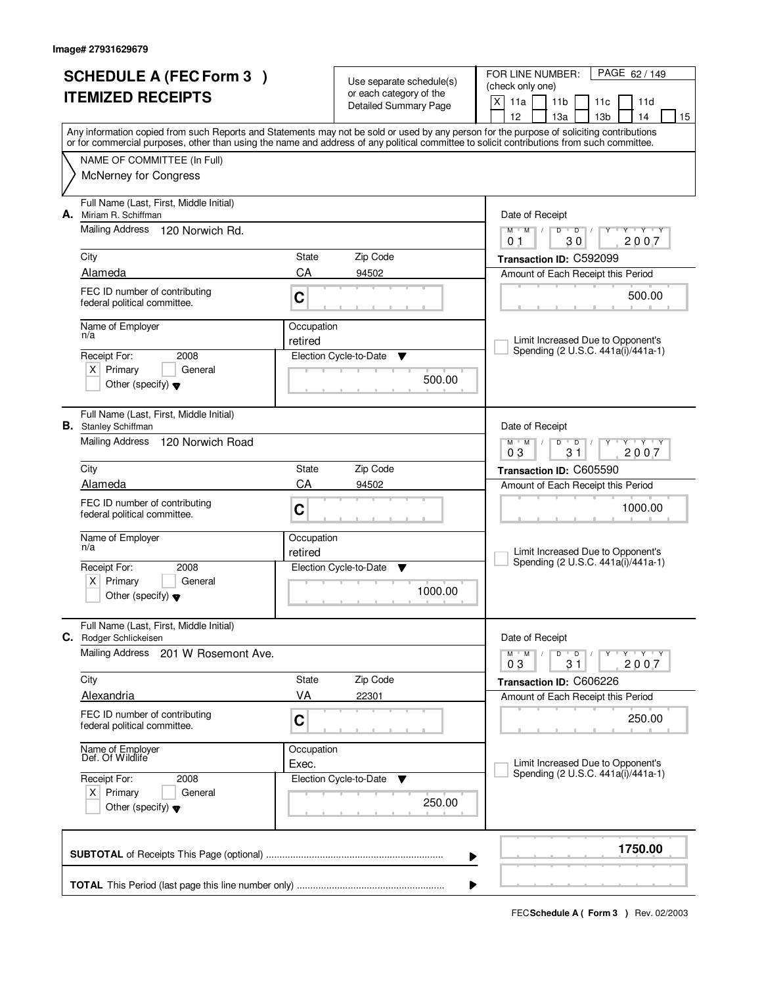| <b>SCHEDULE A (FEC Form 3)</b><br><b>ITEMIZED RECEIPTS</b> |                                                                                        |                     | Use separate schedule(s)<br>or each category of the | PAGE 62 / 149<br>FOR LINE NUMBER:<br>(check only one)                                                                                                                                                                                                                                   |  |  |  |
|------------------------------------------------------------|----------------------------------------------------------------------------------------|---------------------|-----------------------------------------------------|-----------------------------------------------------------------------------------------------------------------------------------------------------------------------------------------------------------------------------------------------------------------------------------------|--|--|--|
|                                                            |                                                                                        |                     | Detailed Summary Page                               | X<br>11a<br>11 <sub>b</sub><br>11c<br>11d<br>12<br>13a<br>13 <sub>b</sub><br>14<br>15                                                                                                                                                                                                   |  |  |  |
|                                                            |                                                                                        |                     |                                                     | Any information copied from such Reports and Statements may not be sold or used by any person for the purpose of soliciting contributions<br>or for commercial purposes, other than using the name and address of any political committee to solicit contributions from such committee. |  |  |  |
|                                                            | NAME OF COMMITTEE (In Full)                                                            |                     |                                                     |                                                                                                                                                                                                                                                                                         |  |  |  |
|                                                            | <b>McNerney for Congress</b>                                                           |                     |                                                     |                                                                                                                                                                                                                                                                                         |  |  |  |
| А.                                                         | Full Name (Last, First, Middle Initial)<br>Miriam R. Schiffman                         |                     |                                                     | Date of Receipt                                                                                                                                                                                                                                                                         |  |  |  |
|                                                            | <b>Mailing Address</b><br>120 Norwich Rd.                                              |                     |                                                     | $Y + Y + Y + Y$<br>$M$ $M$<br>$D$ $D$ $1$<br>30<br>2007<br>0 <sub>1</sub>                                                                                                                                                                                                               |  |  |  |
|                                                            | City                                                                                   | State               | Zip Code                                            | Transaction ID: C592099                                                                                                                                                                                                                                                                 |  |  |  |
|                                                            | Alameda                                                                                | CA                  | 94502                                               | Amount of Each Receipt this Period                                                                                                                                                                                                                                                      |  |  |  |
|                                                            | FEC ID number of contributing<br>federal political committee.                          | C                   |                                                     | 500.00                                                                                                                                                                                                                                                                                  |  |  |  |
|                                                            | Name of Employer<br>n/a                                                                | Occupation          |                                                     |                                                                                                                                                                                                                                                                                         |  |  |  |
|                                                            | Receipt For:<br>2008                                                                   | retired             | Election Cycle-to-Date<br>▼                         | Limit Increased Due to Opponent's<br>Spending (2 U.S.C. 441a(i)/441a-1)                                                                                                                                                                                                                 |  |  |  |
|                                                            | $X$ Primary<br>General                                                                 |                     |                                                     |                                                                                                                                                                                                                                                                                         |  |  |  |
|                                                            | Other (specify) $\blacktriangledown$                                                   |                     | 500.00                                              |                                                                                                                                                                                                                                                                                         |  |  |  |
|                                                            | Full Name (Last, First, Middle Initial)<br><b>B.</b> Stanley Schiffman                 |                     |                                                     | Date of Receipt                                                                                                                                                                                                                                                                         |  |  |  |
|                                                            | Mailing Address<br>120 Norwich Road                                                    |                     |                                                     | $M$ $M$ /<br>$Y - Y - Y$<br>D<br>$\overline{D}$<br>03<br>31<br>2007                                                                                                                                                                                                                     |  |  |  |
|                                                            | City                                                                                   | <b>State</b>        | Zip Code                                            | Transaction ID: C605590                                                                                                                                                                                                                                                                 |  |  |  |
|                                                            | Alameda                                                                                | CA                  | 94502                                               | Amount of Each Receipt this Period                                                                                                                                                                                                                                                      |  |  |  |
|                                                            | FEC ID number of contributing<br>federal political committee.                          | C                   |                                                     | 1000.00                                                                                                                                                                                                                                                                                 |  |  |  |
|                                                            | Name of Employer<br>n/a                                                                | Occupation          |                                                     |                                                                                                                                                                                                                                                                                         |  |  |  |
|                                                            | Receipt For:<br>2008                                                                   | retired             | Election Cycle-to-Date<br>▼                         | Limit Increased Due to Opponent's<br>Spending (2 U.S.C. 441a(i)/441a-1)                                                                                                                                                                                                                 |  |  |  |
|                                                            | Primary<br>X  <br>General<br>Other (specify) $\blacktriangledown$                      |                     | 1000.00                                             |                                                                                                                                                                                                                                                                                         |  |  |  |
|                                                            | Full Name (Last, First, Middle Initial)<br>C. Rodger Schlickeisen                      |                     |                                                     | Date of Receipt                                                                                                                                                                                                                                                                         |  |  |  |
|                                                            | Mailing Address<br>201 W Rosemont Ave.                                                 |                     |                                                     | $D$ $D$ $/$<br>$M$ $M$ $/$<br>Y 'Y 'Y<br>03<br>31<br>2007                                                                                                                                                                                                                               |  |  |  |
|                                                            | City                                                                                   | State               | Zip Code                                            | Transaction ID: C606226                                                                                                                                                                                                                                                                 |  |  |  |
|                                                            | Alexandria                                                                             | VA                  | 22301                                               | Amount of Each Receipt this Period                                                                                                                                                                                                                                                      |  |  |  |
|                                                            | FEC ID number of contributing<br>federal political committee.                          | C                   |                                                     | 250.00                                                                                                                                                                                                                                                                                  |  |  |  |
|                                                            | Name of Employer<br>Def. Of Wildlife                                                   | Occupation<br>Exec. |                                                     | Limit Increased Due to Opponent's                                                                                                                                                                                                                                                       |  |  |  |
|                                                            | Receipt For:<br>2008<br>$X$ Primary<br>General<br>Other (specify) $\blacktriangledown$ |                     | Election Cycle-to-Date<br>v<br>250.00               | Spending (2 U.S.C. 441a(i)/441a-1)                                                                                                                                                                                                                                                      |  |  |  |
|                                                            |                                                                                        |                     |                                                     | 1750.00<br>▶                                                                                                                                                                                                                                                                            |  |  |  |
|                                                            |                                                                                        |                     |                                                     |                                                                                                                                                                                                                                                                                         |  |  |  |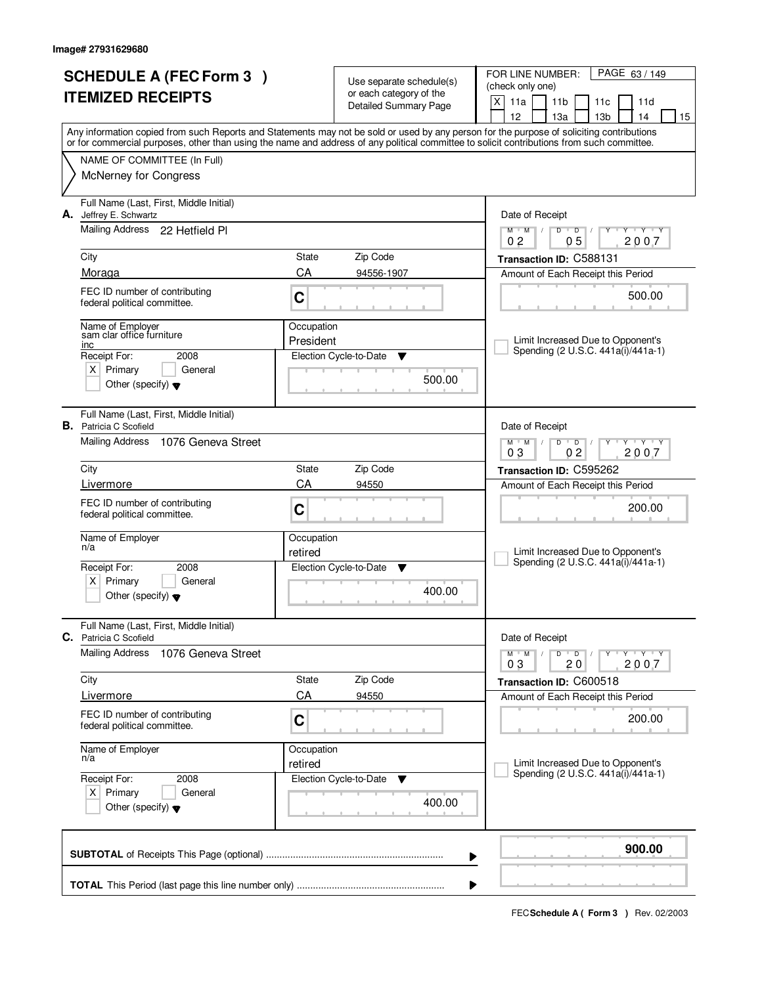|                          | <b>SCHEDULE A (FEC Form 3)</b>                                           |                 | Use separate schedule(s)    | FOR LINE NUMBER:<br>PAGE 63/149                                                                                                            |  |  |  |
|--------------------------|--------------------------------------------------------------------------|-----------------|-----------------------------|--------------------------------------------------------------------------------------------------------------------------------------------|--|--|--|
| <b>ITEMIZED RECEIPTS</b> |                                                                          |                 | or each category of the     | (check only one)                                                                                                                           |  |  |  |
|                          |                                                                          |                 | Detailed Summary Page       | X<br>11a<br>11 <sub>b</sub><br>11d<br>11c<br>12<br>13 <sub>b</sub><br>13a<br>14<br>15                                                      |  |  |  |
|                          |                                                                          |                 |                             | Any information copied from such Reports and Statements may not be sold or used by any person for the purpose of soliciting contributions  |  |  |  |
|                          |                                                                          |                 |                             | or for commercial purposes, other than using the name and address of any political committee to solicit contributions from such committee. |  |  |  |
|                          | NAME OF COMMITTEE (In Full)                                              |                 |                             |                                                                                                                                            |  |  |  |
|                          | <b>McNerney for Congress</b>                                             |                 |                             |                                                                                                                                            |  |  |  |
|                          | Full Name (Last, First, Middle Initial)                                  |                 |                             |                                                                                                                                            |  |  |  |
| А.                       | Jeffrey E. Schwartz<br>Mailing Address 22 Hetfield PI                    |                 |                             | Date of Receipt                                                                                                                            |  |  |  |
|                          |                                                                          |                 |                             | $\overline{D}$<br>Y Y Y Y<br>$M$ $M$ /<br>D<br>0 <sub>5</sub><br>2007<br>0 <sub>2</sub>                                                    |  |  |  |
|                          | City                                                                     | State           | Zip Code                    | Transaction ID: C588131                                                                                                                    |  |  |  |
|                          | Moraga                                                                   | CA              | 94556-1907                  | Amount of Each Receipt this Period                                                                                                         |  |  |  |
|                          | FEC ID number of contributing<br>federal political committee.            | C               |                             | 500.00                                                                                                                                     |  |  |  |
|                          | Name of Employer                                                         | Occupation      |                             |                                                                                                                                            |  |  |  |
|                          | sam clar office furniture<br>inc                                         | President       |                             | Limit Increased Due to Opponent's<br>Spending (2 U.S.C. 441a(i)/441a-1)                                                                    |  |  |  |
|                          | Receipt For:<br>2008                                                     |                 | Election Cycle-to-Date<br>▼ |                                                                                                                                            |  |  |  |
|                          | $X$ Primary<br>General<br>Other (specify) $\blacktriangledown$           |                 | 500.00                      |                                                                                                                                            |  |  |  |
|                          |                                                                          |                 |                             |                                                                                                                                            |  |  |  |
|                          | Full Name (Last, First, Middle Initial)<br><b>B.</b> Patricia C Scofield |                 |                             | Date of Receipt                                                                                                                            |  |  |  |
|                          | Mailing Address<br>1076 Geneva Street                                    |                 |                             | $M$ $M$ /<br>$\overline{D}$<br>$-\mathbf{y} + \mathbf{y}$<br>D<br>Y                                                                        |  |  |  |
|                          | City                                                                     | <b>State</b>    | Zip Code                    | 02<br>03<br>2007                                                                                                                           |  |  |  |
|                          | Livermore                                                                | CA              | 94550                       | Transaction ID: C595262<br>Amount of Each Receipt this Period                                                                              |  |  |  |
|                          | FEC ID number of contributing                                            |                 |                             |                                                                                                                                            |  |  |  |
|                          | federal political committee.                                             | C<br>Occupation |                             | 200.00                                                                                                                                     |  |  |  |
|                          | Name of Employer                                                         |                 |                             |                                                                                                                                            |  |  |  |
|                          | n/a                                                                      | retired         |                             | Limit Increased Due to Opponent's                                                                                                          |  |  |  |
|                          | Receipt For:<br>2008                                                     |                 | Election Cycle-to-Date<br>v | Spending (2 U.S.C. 441a(i)/441a-1)                                                                                                         |  |  |  |
|                          | Primary<br>$X \mid$<br>General<br>Other (specify) $\blacktriangledown$   |                 | 400.00                      |                                                                                                                                            |  |  |  |
|                          |                                                                          |                 |                             |                                                                                                                                            |  |  |  |
|                          | Full Name (Last, First, Middle Initial)<br>C. Patricia C Scofield        |                 |                             | Date of Receipt                                                                                                                            |  |  |  |
|                          | <b>Mailing Address</b><br>1076 Geneva Street                             |                 |                             | D<br>$M$ $M$ /<br>$\overline{D}$<br>$Y$ $Y$ $Y$ $Y$<br>2007<br>03<br>20                                                                    |  |  |  |
|                          | City                                                                     | State           | Zip Code                    | Transaction ID: C600518                                                                                                                    |  |  |  |
|                          | Livermore                                                                | CA              | 94550                       | Amount of Each Receipt this Period                                                                                                         |  |  |  |
|                          | FEC ID number of contributing<br>federal political committee.            | C               |                             | 200.00                                                                                                                                     |  |  |  |
|                          | Name of Employer<br>n/a                                                  | Occupation      |                             |                                                                                                                                            |  |  |  |
|                          |                                                                          | retired         |                             | Limit Increased Due to Opponent's<br>Spending (2 U.S.C. 441a(i)/441a-1)                                                                    |  |  |  |
|                          | Receipt For:<br>2008<br>$X$ Primary<br>General                           |                 | Election Cycle-to-Date<br>v |                                                                                                                                            |  |  |  |
|                          | Other (specify) $\blacktriangledown$                                     |                 | 400.00                      |                                                                                                                                            |  |  |  |
|                          |                                                                          |                 |                             | 900.00                                                                                                                                     |  |  |  |
|                          |                                                                          |                 |                             | ▶                                                                                                                                          |  |  |  |
|                          |                                                                          |                 |                             |                                                                                                                                            |  |  |  |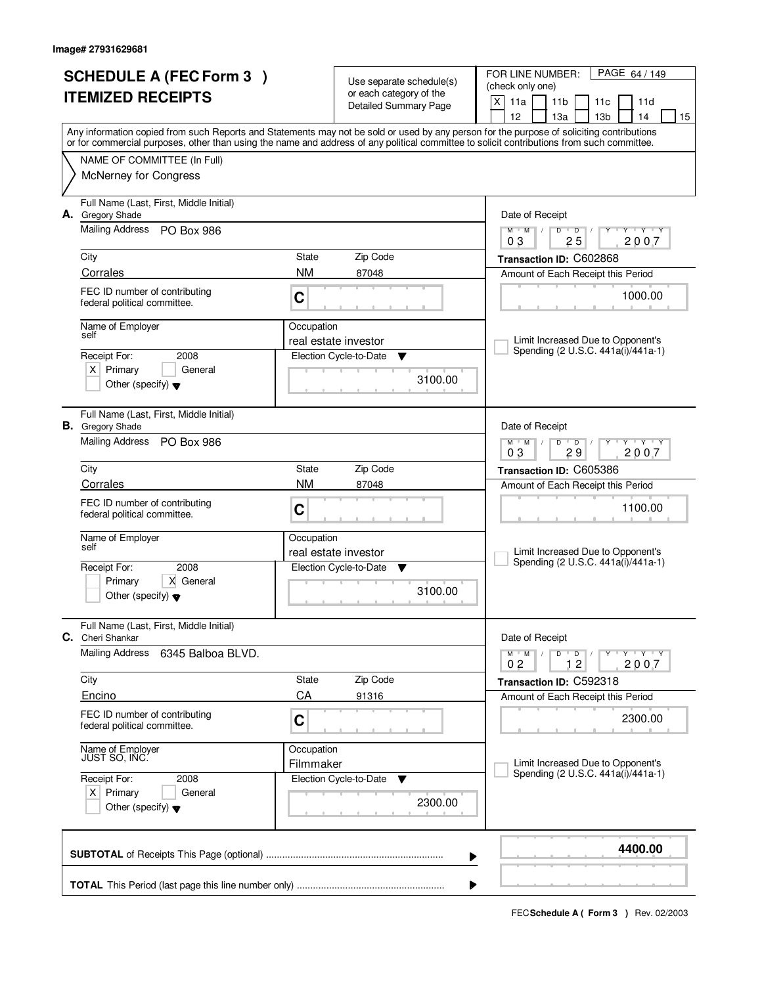|    | <b>SCHEDULE A (FEC Form 3)</b><br><b>ITEMIZED RECEIPTS</b>         |                         | Use separate schedule(s)<br>or each category of the<br><b>Detailed Summary Page</b> | FOR LINE NUMBER:<br>PAGE 64 / 149<br>(check only one)<br>X<br>11a<br>11 <sub>b</sub><br>11c<br>11d<br>12<br>13a<br>13 <sub>b</sub><br>14<br>15                                                                                                                                          |  |  |  |
|----|--------------------------------------------------------------------|-------------------------|-------------------------------------------------------------------------------------|-----------------------------------------------------------------------------------------------------------------------------------------------------------------------------------------------------------------------------------------------------------------------------------------|--|--|--|
|    |                                                                    |                         |                                                                                     | Any information copied from such Reports and Statements may not be sold or used by any person for the purpose of soliciting contributions<br>or for commercial purposes, other than using the name and address of any political committee to solicit contributions from such committee. |  |  |  |
|    | NAME OF COMMITTEE (In Full)<br>McNerney for Congress               |                         |                                                                                     |                                                                                                                                                                                                                                                                                         |  |  |  |
| А. | Full Name (Last, First, Middle Initial)<br><b>Gregory Shade</b>    |                         |                                                                                     | Date of Receipt                                                                                                                                                                                                                                                                         |  |  |  |
|    | <b>Mailing Address</b><br>PO Box 986<br>City                       | State                   | Zip Code                                                                            | $M = M$<br>$D$ $D$<br>$Y - Y - Y$<br>$\overline{1}$<br>25<br>2007<br>03<br>Transaction ID: C602868                                                                                                                                                                                      |  |  |  |
|    | Corrales                                                           | <b>NM</b>               | 87048                                                                               | Amount of Each Receipt this Period                                                                                                                                                                                                                                                      |  |  |  |
|    | FEC ID number of contributing<br>federal political committee.      | C                       |                                                                                     | 1000.00                                                                                                                                                                                                                                                                                 |  |  |  |
|    | Name of Employer<br>self<br>Receipt For:<br>2008                   | Occupation              | real estate investor<br>Election Cycle-to-Date<br>v                                 | Limit Increased Due to Opponent's<br>Spending (2 U.S.C. 441a(i)/441a-1)                                                                                                                                                                                                                 |  |  |  |
|    | $X$ Primary<br>General<br>Other (specify) $\blacktriangledown$     |                         | 3100.00                                                                             |                                                                                                                                                                                                                                                                                         |  |  |  |
|    | Full Name (Last, First, Middle Initial)<br><b>B.</b> Gregory Shade |                         |                                                                                     | Date of Receipt                                                                                                                                                                                                                                                                         |  |  |  |
|    | Mailing Address<br><b>PO Box 986</b>                               |                         |                                                                                     | $\mathbf{Y}$ $\mathbf{Y}$<br>$M$ M<br>D<br>$\overline{D}$<br>Y<br>29<br>2007<br>03                                                                                                                                                                                                      |  |  |  |
|    | City                                                               | State                   | Zip Code                                                                            | Transaction ID: C605386                                                                                                                                                                                                                                                                 |  |  |  |
|    | Corrales                                                           | <b>NM</b>               | 87048                                                                               | Amount of Each Receipt this Period                                                                                                                                                                                                                                                      |  |  |  |
|    | FEC ID number of contributing<br>federal political committee.      | C                       |                                                                                     | 1100.00                                                                                                                                                                                                                                                                                 |  |  |  |
|    | Name of Employer<br>self                                           | Occupation              |                                                                                     |                                                                                                                                                                                                                                                                                         |  |  |  |
|    |                                                                    |                         | real estate investor                                                                | Limit Increased Due to Opponent's<br>Spending (2 U.S.C. 441a(i)/441a-1)                                                                                                                                                                                                                 |  |  |  |
|    | 2008<br>Receipt For:<br>Primary<br>X General                       |                         | Election Cycle-to-Date<br>▼                                                         |                                                                                                                                                                                                                                                                                         |  |  |  |
|    | Other (specify) $\blacktriangledown$                               |                         | 3100.00                                                                             |                                                                                                                                                                                                                                                                                         |  |  |  |
|    | Full Name (Last, First, Middle Initial)<br><b>C.</b> Cheri Shankar |                         |                                                                                     | Date of Receipt                                                                                                                                                                                                                                                                         |  |  |  |
|    | <b>Mailing Address</b><br>6345 Balboa BLVD.                        |                         |                                                                                     | $M = M$<br>$D$ $D$ $/$<br>יץ יידע י<br>Y<br>12<br>2007<br>02                                                                                                                                                                                                                            |  |  |  |
|    | City                                                               | State                   | Zip Code                                                                            | Transaction ID: C592318                                                                                                                                                                                                                                                                 |  |  |  |
|    | Encino                                                             | CA                      | 91316                                                                               | Amount of Each Receipt this Period                                                                                                                                                                                                                                                      |  |  |  |
|    | FEC ID number of contributing<br>federal political committee.      | C                       |                                                                                     | 2300.00                                                                                                                                                                                                                                                                                 |  |  |  |
|    | Name of Employer<br>JUST SO, INC.                                  | Occupation<br>Filmmaker |                                                                                     | Limit Increased Due to Opponent's                                                                                                                                                                                                                                                       |  |  |  |
|    | Receipt For:<br>2008                                               |                         | Election Cycle-to-Date ▼                                                            | Spending (2 U.S.C. 441a(i)/441a-1)                                                                                                                                                                                                                                                      |  |  |  |
|    | $X$ Primary<br>General<br>Other (specify) $\blacktriangledown$     |                         | 2300.00                                                                             |                                                                                                                                                                                                                                                                                         |  |  |  |
|    |                                                                    |                         |                                                                                     | 4400.00<br>▶                                                                                                                                                                                                                                                                            |  |  |  |
|    |                                                                    |                         |                                                                                     |                                                                                                                                                                                                                                                                                         |  |  |  |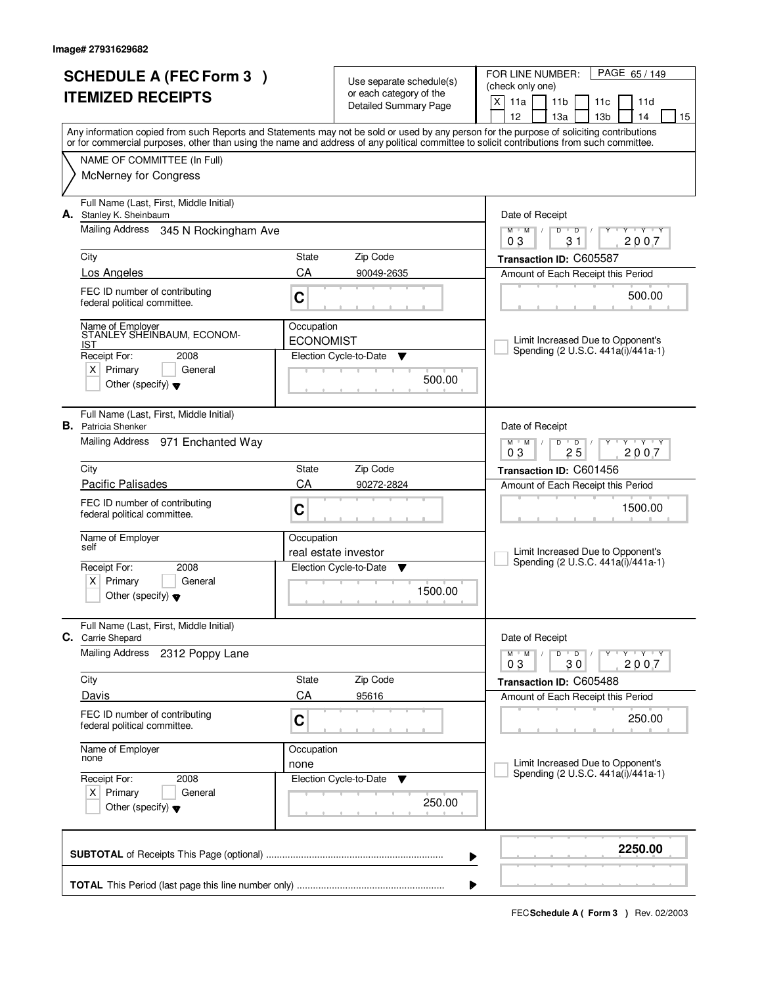| <b>SCHEDULE A (FEC Form 3)</b><br><b>ITEMIZED RECEIPTS</b> |                                                                       |                                | Use separate schedule(s)<br>or each category of the | PAGE 65 / 149<br>FOR LINE NUMBER:<br>(check only one)                                                                                                                                                                                                                                   |  |  |  |
|------------------------------------------------------------|-----------------------------------------------------------------------|--------------------------------|-----------------------------------------------------|-----------------------------------------------------------------------------------------------------------------------------------------------------------------------------------------------------------------------------------------------------------------------------------------|--|--|--|
|                                                            |                                                                       |                                | <b>Detailed Summary Page</b>                        | $\mathsf{X}$<br>11a<br>11 <sub>b</sub><br>11 <sub>c</sub><br>11d<br>12<br>13a<br>13 <sub>b</sub><br>14<br>15                                                                                                                                                                            |  |  |  |
|                                                            |                                                                       |                                |                                                     | Any information copied from such Reports and Statements may not be sold or used by any person for the purpose of soliciting contributions<br>or for commercial purposes, other than using the name and address of any political committee to solicit contributions from such committee. |  |  |  |
|                                                            | NAME OF COMMITTEE (In Full)                                           |                                |                                                     |                                                                                                                                                                                                                                                                                         |  |  |  |
|                                                            | <b>McNerney for Congress</b>                                          |                                |                                                     |                                                                                                                                                                                                                                                                                         |  |  |  |
| А.                                                         | Full Name (Last, First, Middle Initial)<br>Stanley K. Sheinbaum       |                                |                                                     | Date of Receipt                                                                                                                                                                                                                                                                         |  |  |  |
|                                                            | Mailing Address 345 N Rockingham Ave                                  |                                |                                                     | $Y + Y + Y + Y$<br>$M$ $M$<br>$D$ $D$ $1$<br>03<br>31<br>2007                                                                                                                                                                                                                           |  |  |  |
|                                                            | City                                                                  | State                          | Zip Code                                            | Transaction ID: C605587                                                                                                                                                                                                                                                                 |  |  |  |
|                                                            | Los Angeles                                                           | CA                             | 90049-2635                                          | Amount of Each Receipt this Period                                                                                                                                                                                                                                                      |  |  |  |
|                                                            | FEC ID number of contributing<br>federal political committee.         | C                              |                                                     | 500.00                                                                                                                                                                                                                                                                                  |  |  |  |
|                                                            | Name of Employer<br>STANLEY SHEINBAUM, ECONOM-<br>IST                 | Occupation<br><b>ECONOMIST</b> |                                                     | Limit Increased Due to Opponent's                                                                                                                                                                                                                                                       |  |  |  |
|                                                            | Receipt For:<br>2008                                                  |                                | Election Cycle-to-Date<br>▼                         | Spending (2 U.S.C. 441a(i)/441a-1)                                                                                                                                                                                                                                                      |  |  |  |
|                                                            | $X$ Primary<br>General<br>Other (specify) $\blacktriangledown$        |                                | 500.00                                              |                                                                                                                                                                                                                                                                                         |  |  |  |
|                                                            | Full Name (Last, First, Middle Initial)<br><b>B.</b> Patricia Shenker |                                |                                                     | Date of Receipt                                                                                                                                                                                                                                                                         |  |  |  |
|                                                            | Mailing Address 971 Enchanted Way                                     |                                |                                                     | $M$ M<br>D<br>$\overline{D}$<br>$T$ $Y$ $T$ $Y$<br>25<br>2007<br>03                                                                                                                                                                                                                     |  |  |  |
|                                                            | City                                                                  | State                          | Zip Code                                            | Transaction ID: C601456                                                                                                                                                                                                                                                                 |  |  |  |
|                                                            | <b>Pacific Palisades</b>                                              | CA                             | 90272-2824                                          | Amount of Each Receipt this Period                                                                                                                                                                                                                                                      |  |  |  |
|                                                            | FEC ID number of contributing<br>federal political committee.         | C                              |                                                     | 1500.00                                                                                                                                                                                                                                                                                 |  |  |  |
|                                                            | Name of Employer<br>self                                              | Occupation                     |                                                     |                                                                                                                                                                                                                                                                                         |  |  |  |
|                                                            | Receipt For:<br>2008                                                  |                                | real estate investor<br>Election Cycle-to-Date      | Limit Increased Due to Opponent's<br>Spending (2 U.S.C. 441a(i)/441a-1)                                                                                                                                                                                                                 |  |  |  |
|                                                            | Primary<br>X  <br>General                                             |                                | ▼                                                   |                                                                                                                                                                                                                                                                                         |  |  |  |
|                                                            | Other (specify) $\blacktriangledown$                                  |                                | 1500.00                                             |                                                                                                                                                                                                                                                                                         |  |  |  |
|                                                            | Full Name (Last, First, Middle Initial)<br><b>C.</b> Carrie Shepard   |                                |                                                     | Date of Receipt                                                                                                                                                                                                                                                                         |  |  |  |
|                                                            | <b>Mailing Address</b><br>2312 Poppy Lane                             |                                |                                                     | D<br>$M$ $M$ /<br>$\blacksquare$ D $\blacksquare$ /<br>$Y + Y + Y$<br>Υ<br>2007<br>30<br>03                                                                                                                                                                                             |  |  |  |
|                                                            | City                                                                  | State                          | Zip Code                                            | Transaction ID: C605488                                                                                                                                                                                                                                                                 |  |  |  |
|                                                            | Davis                                                                 | CA                             | 95616                                               | Amount of Each Receipt this Period                                                                                                                                                                                                                                                      |  |  |  |
|                                                            | FEC ID number of contributing<br>federal political committee.         | C                              |                                                     | 250.00                                                                                                                                                                                                                                                                                  |  |  |  |
|                                                            | Name of Employer<br>none                                              | Occupation                     |                                                     |                                                                                                                                                                                                                                                                                         |  |  |  |
|                                                            | Receipt For:<br>2008                                                  | none                           | Election Cycle-to-Date<br>v                         | Limit Increased Due to Opponent's<br>Spending (2 U.S.C. 441a(i)/441a-1)                                                                                                                                                                                                                 |  |  |  |
|                                                            | $X$ Primary<br>General<br>Other (specify) $\blacktriangledown$        |                                | 250.00                                              |                                                                                                                                                                                                                                                                                         |  |  |  |
|                                                            |                                                                       |                                |                                                     | 2250.00<br>▶                                                                                                                                                                                                                                                                            |  |  |  |
|                                                            | ▶                                                                     |                                |                                                     |                                                                                                                                                                                                                                                                                         |  |  |  |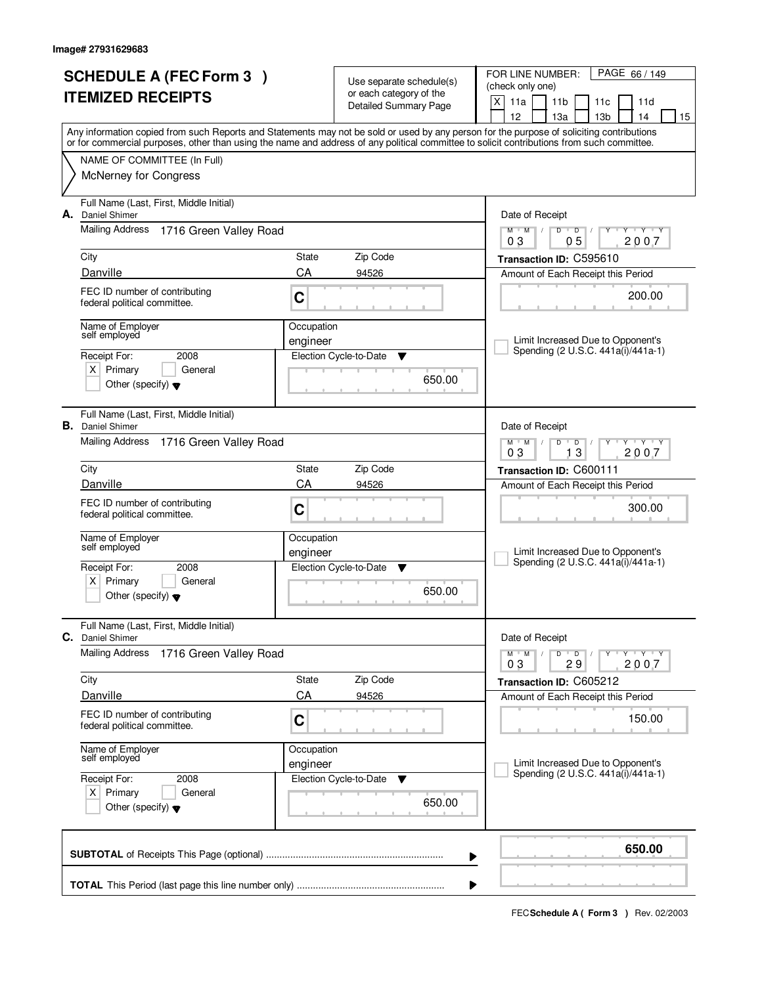| <b>SCHEDULE A (FEC Form 3)</b><br><b>ITEMIZED RECEIPTS</b> |                                                                                                              |                        | Use separate schedule(s)<br>or each category of the<br><b>Detailed Summary Page</b> | FOR LINE NUMBER:<br>PAGE 66 / 149<br>(check only one)<br>$\mathsf{X}$<br>11a<br>11 <sub>b</sub><br>11c<br>11d                                                                                                                                                                                                                       |  |  |  |
|------------------------------------------------------------|--------------------------------------------------------------------------------------------------------------|------------------------|-------------------------------------------------------------------------------------|-------------------------------------------------------------------------------------------------------------------------------------------------------------------------------------------------------------------------------------------------------------------------------------------------------------------------------------|--|--|--|
|                                                            |                                                                                                              |                        |                                                                                     | 12<br>13a<br>13 <sub>b</sub><br>14<br>15<br>Any information copied from such Reports and Statements may not be sold or used by any person for the purpose of soliciting contributions<br>or for commercial purposes, other than using the name and address of any political committee to solicit contributions from such committee. |  |  |  |
|                                                            | NAME OF COMMITTEE (In Full)<br>McNerney for Congress                                                         |                        |                                                                                     |                                                                                                                                                                                                                                                                                                                                     |  |  |  |
| А.                                                         | Full Name (Last, First, Middle Initial)<br>Daniel Shimer<br><b>Mailing Address</b><br>1716 Green Valley Road |                        |                                                                                     | Date of Receipt<br>$\mathsf D$<br>$M$ M<br>$\top$ /<br>D<br><b>TEY TEY</b>                                                                                                                                                                                                                                                          |  |  |  |
|                                                            |                                                                                                              |                        |                                                                                     | 0 <sub>5</sub><br>2007<br>03                                                                                                                                                                                                                                                                                                        |  |  |  |
|                                                            | City<br>Danville                                                                                             | State<br>CA            | Zip Code<br>94526                                                                   | Transaction ID: C595610<br>Amount of Each Receipt this Period                                                                                                                                                                                                                                                                       |  |  |  |
|                                                            | FEC ID number of contributing<br>federal political committee.                                                | C                      |                                                                                     | 200.00                                                                                                                                                                                                                                                                                                                              |  |  |  |
|                                                            | Name of Employer<br>self employed                                                                            | Occupation<br>engineer |                                                                                     | Limit Increased Due to Opponent's<br>Spending (2 U.S.C. 441a(i)/441a-1)                                                                                                                                                                                                                                                             |  |  |  |
|                                                            | Receipt For:<br>2008<br>$X$ Primary<br>General<br>Other (specify) $\blacktriangledown$                       |                        | Election Cycle-to-Date<br>v<br>650.00                                               |                                                                                                                                                                                                                                                                                                                                     |  |  |  |
| В.                                                         | Full Name (Last, First, Middle Initial)<br><b>Daniel Shimer</b>                                              |                        |                                                                                     | Date of Receipt                                                                                                                                                                                                                                                                                                                     |  |  |  |
|                                                            | Mailing Address<br>1716 Green Valley Road                                                                    |                        |                                                                                     | $M$ $M$ /<br>$\overline{D}$<br>$Y - Y - Y$<br>D<br>03<br>13<br>2007                                                                                                                                                                                                                                                                 |  |  |  |
|                                                            | City                                                                                                         | State                  | Zip Code                                                                            | Transaction ID: C600111                                                                                                                                                                                                                                                                                                             |  |  |  |
|                                                            | Danville                                                                                                     | CA                     | 94526                                                                               | Amount of Each Receipt this Period                                                                                                                                                                                                                                                                                                  |  |  |  |
|                                                            | FEC ID number of contributing<br>federal political committee.                                                | C                      |                                                                                     | 300.00                                                                                                                                                                                                                                                                                                                              |  |  |  |
|                                                            | Name of Employer<br>self employed                                                                            | Occupation<br>engineer |                                                                                     | Limit Increased Due to Opponent's                                                                                                                                                                                                                                                                                                   |  |  |  |
|                                                            | Receipt For:<br>2008                                                                                         |                        | Election Cycle-to-Date<br>▼                                                         | Spending (2 U.S.C. 441a(i)/441a-1)                                                                                                                                                                                                                                                                                                  |  |  |  |
|                                                            | Primary<br>ΧI<br>General<br>Other (specify) $\blacktriangledown$                                             |                        | 650.00                                                                              |                                                                                                                                                                                                                                                                                                                                     |  |  |  |
| С.                                                         | Full Name (Last, First, Middle Initial)<br><b>Daniel Shimer</b>                                              |                        |                                                                                     | Date of Receipt                                                                                                                                                                                                                                                                                                                     |  |  |  |
|                                                            | <b>Mailing Address</b><br>1716 Green Valley Road                                                             |                        |                                                                                     | $Y - Y - Y - Y$<br>$M$ $M$ $/$<br>D<br>$\overline{D}$<br>2007<br>03<br>29                                                                                                                                                                                                                                                           |  |  |  |
|                                                            | City                                                                                                         | <b>State</b>           | Zip Code                                                                            | Transaction ID: C605212                                                                                                                                                                                                                                                                                                             |  |  |  |
|                                                            | Danville                                                                                                     | CA                     | 94526                                                                               | Amount of Each Receipt this Period                                                                                                                                                                                                                                                                                                  |  |  |  |
|                                                            | FEC ID number of contributing<br>federal political committee.                                                | C                      |                                                                                     | 150.00                                                                                                                                                                                                                                                                                                                              |  |  |  |
|                                                            | Name of Employer<br>self employed                                                                            | Occupation<br>engineer |                                                                                     | Limit Increased Due to Opponent's                                                                                                                                                                                                                                                                                                   |  |  |  |
|                                                            | Receipt For:<br>2008                                                                                         |                        | Election Cycle-to-Date<br>v                                                         | Spending (2 U.S.C. 441a(i)/441a-1)                                                                                                                                                                                                                                                                                                  |  |  |  |
|                                                            | $X$ Primary<br>General<br>Other (specify) $\blacktriangledown$                                               |                        | 650.00                                                                              |                                                                                                                                                                                                                                                                                                                                     |  |  |  |
|                                                            |                                                                                                              |                        |                                                                                     | 650.00<br>▶                                                                                                                                                                                                                                                                                                                         |  |  |  |
|                                                            |                                                                                                              |                        |                                                                                     |                                                                                                                                                                                                                                                                                                                                     |  |  |  |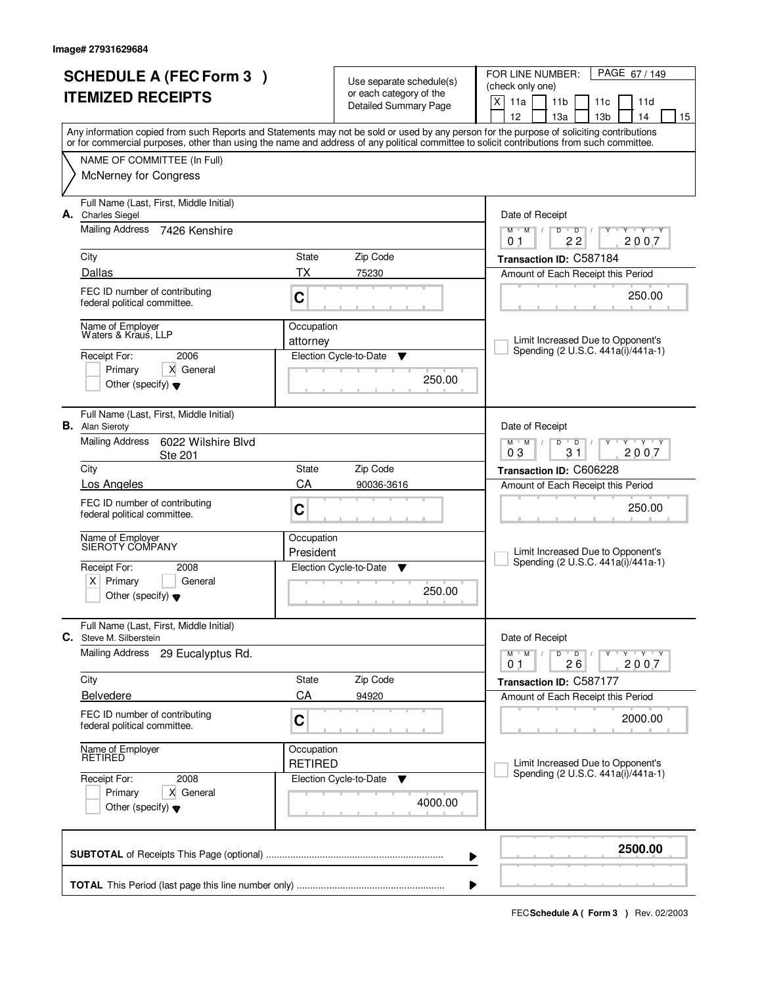|                          | <b>SCHEDULE A (FEC Form 3)</b>                                    |                              |                                                     | FOR LINE NUMBER:<br>PAGE 67/149                                                                                                            |
|--------------------------|-------------------------------------------------------------------|------------------------------|-----------------------------------------------------|--------------------------------------------------------------------------------------------------------------------------------------------|
| <b>ITEMIZED RECEIPTS</b> |                                                                   |                              | Use separate schedule(s)<br>or each category of the | (check only one)                                                                                                                           |
|                          |                                                                   |                              | Detailed Summary Page                               | X<br>11a<br>11 <sub>b</sub><br>11d<br>11c<br>12<br>13 <sub>b</sub><br>13a<br>14<br>15                                                      |
|                          |                                                                   |                              |                                                     | Any information copied from such Reports and Statements may not be sold or used by any person for the purpose of soliciting contributions  |
|                          |                                                                   |                              |                                                     | or for commercial purposes, other than using the name and address of any political committee to solicit contributions from such committee. |
|                          | NAME OF COMMITTEE (In Full)                                       |                              |                                                     |                                                                                                                                            |
|                          | <b>McNerney for Congress</b>                                      |                              |                                                     |                                                                                                                                            |
|                          | Full Name (Last, First, Middle Initial)<br>A. Charles Siegel      |                              |                                                     | Date of Receipt                                                                                                                            |
|                          | Mailing Address<br>7426 Kenshire                                  |                              |                                                     | $\overline{D}$<br>$\mathbf{y}$ $\mathbf{y}$<br>$M$ <sup>U</sup><br>$M$ /<br>D<br>Y<br>22<br>2007<br>0 <sub>1</sub>                         |
|                          | City                                                              | State                        | Zip Code                                            | Transaction ID: C587184                                                                                                                    |
|                          | Dallas                                                            | ТX                           | 75230                                               | Amount of Each Receipt this Period                                                                                                         |
|                          | FEC ID number of contributing<br>federal political committee.     | C                            |                                                     | 250.00                                                                                                                                     |
|                          | Name of Employer<br>Waters & Kraus, LLP                           | Occupation                   |                                                     |                                                                                                                                            |
|                          | Receipt For:<br>2006                                              | attorney                     | Election Cycle-to-Date<br>Y                         | Limit Increased Due to Opponent's<br>Spending (2 U.S.C. 441a(i)/441a-1)                                                                    |
|                          | X General<br>Primary                                              |                              |                                                     |                                                                                                                                            |
|                          | Other (specify) $\blacktriangledown$                              |                              | 250.00                                              |                                                                                                                                            |
|                          | Full Name (Last, First, Middle Initial)<br><b>B.</b> Alan Sieroty |                              |                                                     | Date of Receipt                                                                                                                            |
|                          | <b>Mailing Address</b><br>6022 Wilshire Blvd<br><b>Ste 201</b>    |                              |                                                     | $M$ $M$ $/$<br>$\overline{D}$<br>$\mathbf{y}$ $\mathbf{y}$<br>D<br>Y<br>03<br>31<br>2007                                                   |
|                          | City                                                              | State                        | Zip Code                                            | Transaction ID: C606228                                                                                                                    |
|                          | Los Angeles                                                       | CA<br>90036-3616             |                                                     | Amount of Each Receipt this Period                                                                                                         |
|                          | FEC ID number of contributing<br>federal political committee.     | C                            |                                                     | 250.00                                                                                                                                     |
|                          | Name of Employer<br>SIEROTY COMPANY                               | Occupation                   |                                                     |                                                                                                                                            |
|                          |                                                                   | President                    |                                                     | Limit Increased Due to Opponent's<br>Spending (2 U.S.C. 441a(i)/441a-1)                                                                    |
|                          | Receipt For:<br>2008<br>Primary<br>$\times$<br>General            |                              | Election Cycle-to-Date<br>▼                         |                                                                                                                                            |
|                          | Other (specify) $\blacktriangledown$                              |                              | 250.00                                              |                                                                                                                                            |
| С.                       | Full Name (Last, First, Middle Initial)<br>Steve M. Silberstein   |                              |                                                     | Date of Receipt                                                                                                                            |
|                          | <b>Mailing Address</b><br>29 Eucalyptus Rd.                       |                              |                                                     | D<br>$M$ $M$ $/$<br>$\overline{D}$<br>$Y$ $Y$ $Y$ $Y$<br>2007<br>26<br>01                                                                  |
|                          | City                                                              | State                        | Zip Code                                            | Transaction ID: C587177                                                                                                                    |
|                          | <b>Belvedere</b>                                                  | CA                           | 94920                                               | Amount of Each Receipt this Period                                                                                                         |
|                          | FEC ID number of contributing<br>federal political committee.     | C                            |                                                     | 2000.00                                                                                                                                    |
|                          | Name of Employer<br>RETIRED                                       | Occupation<br><b>RETIRED</b> |                                                     | Limit Increased Due to Opponent's                                                                                                          |
|                          | Receipt For:<br>2008                                              |                              | Election Cycle-to-Date<br>v                         | Spending (2 U.S.C. 441a(i)/441a-1)                                                                                                         |
|                          | Primary<br>X General<br>Other (specify) $\blacktriangledown$      |                              | 4000.00                                             |                                                                                                                                            |
|                          |                                                                   |                              |                                                     | 2500.00<br>▶                                                                                                                               |
|                          |                                                                   |                              |                                                     |                                                                                                                                            |
|                          |                                                                   |                              |                                                     |                                                                                                                                            |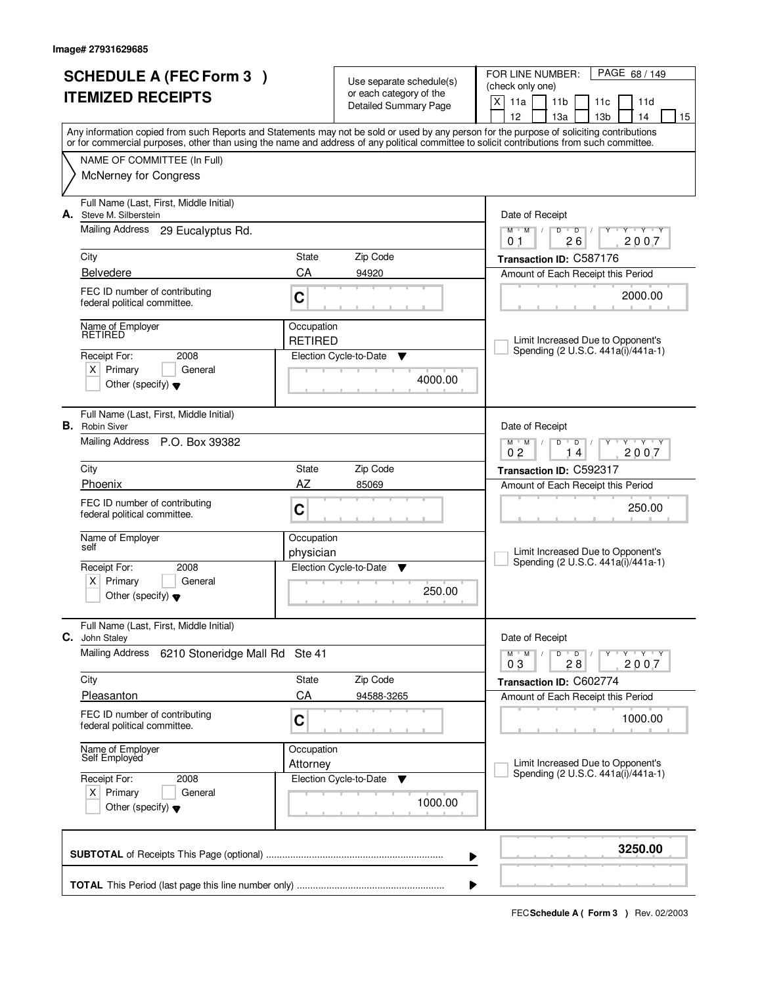|                          | <b>SCHEDULE A (FEC Form 3)</b>                                |                              |                                                     | FOR LINE NUMBER:<br>PAGE 68 / 149                                                                                                                                                                                                                                                       |
|--------------------------|---------------------------------------------------------------|------------------------------|-----------------------------------------------------|-----------------------------------------------------------------------------------------------------------------------------------------------------------------------------------------------------------------------------------------------------------------------------------------|
|                          |                                                               |                              | Use separate schedule(s)<br>or each category of the | (check only one)                                                                                                                                                                                                                                                                        |
| <b>ITEMIZED RECEIPTS</b> |                                                               |                              | Detailed Summary Page                               | X<br>11a<br>11 <sub>b</sub><br>11c<br>11d                                                                                                                                                                                                                                               |
|                          |                                                               |                              |                                                     | 12<br>13 <sub>b</sub><br>13a<br>14<br>15                                                                                                                                                                                                                                                |
|                          |                                                               |                              |                                                     | Any information copied from such Reports and Statements may not be sold or used by any person for the purpose of soliciting contributions<br>or for commercial purposes, other than using the name and address of any political committee to solicit contributions from such committee. |
|                          |                                                               |                              |                                                     |                                                                                                                                                                                                                                                                                         |
|                          | NAME OF COMMITTEE (In Full)<br><b>McNerney for Congress</b>   |                              |                                                     |                                                                                                                                                                                                                                                                                         |
|                          |                                                               |                              |                                                     |                                                                                                                                                                                                                                                                                         |
|                          | Full Name (Last, First, Middle Initial)                       |                              |                                                     |                                                                                                                                                                                                                                                                                         |
| А.                       | Steve M. Silberstein                                          |                              |                                                     | Date of Receipt                                                                                                                                                                                                                                                                         |
|                          | <b>Mailing Address</b><br>29 Eucalyptus Rd.                   |                              |                                                     | $M$ $M$ /<br>D<br>$\overline{D}$<br>$Y - Y - Y$<br>Y<br>2007<br>26<br>0 <sub>1</sub>                                                                                                                                                                                                    |
|                          | City                                                          | State                        | Zip Code                                            | Transaction ID: C587176                                                                                                                                                                                                                                                                 |
|                          | <b>Belvedere</b>                                              | CA                           | 94920                                               | Amount of Each Receipt this Period                                                                                                                                                                                                                                                      |
|                          |                                                               |                              |                                                     |                                                                                                                                                                                                                                                                                         |
|                          | FEC ID number of contributing<br>federal political committee. | C                            |                                                     | 2000.00                                                                                                                                                                                                                                                                                 |
|                          |                                                               |                              |                                                     |                                                                                                                                                                                                                                                                                         |
|                          | Name of Employer<br>RETIRED                                   | Occupation<br><b>RETIRED</b> |                                                     | Limit Increased Due to Opponent's                                                                                                                                                                                                                                                       |
|                          | Receipt For:<br>2008                                          |                              | Election Cycle-to-Date<br>Y                         | Spending (2 U.S.C. 441a(i)/441a-1)                                                                                                                                                                                                                                                      |
|                          | $X$ Primary<br>General                                        |                              |                                                     |                                                                                                                                                                                                                                                                                         |
|                          | Other (specify) $\blacktriangledown$                          |                              | 4000.00                                             |                                                                                                                                                                                                                                                                                         |
|                          |                                                               |                              |                                                     |                                                                                                                                                                                                                                                                                         |
|                          | Full Name (Last, First, Middle Initial)                       |                              |                                                     |                                                                                                                                                                                                                                                                                         |
|                          | <b>B.</b> Robin Siver                                         |                              |                                                     | Date of Receipt                                                                                                                                                                                                                                                                         |
|                          | Mailing Address P.O. Box 39382                                |                              |                                                     | $M$ $M$ /<br>$Y - Y - Y - Y$<br>D<br>$\overline{D}$<br>0 <sub>2</sub><br>2007<br>4                                                                                                                                                                                                      |
|                          | City                                                          | State                        | Zip Code                                            | Transaction ID: C592317                                                                                                                                                                                                                                                                 |
|                          | Phoenix                                                       | AZ                           | 85069                                               | Amount of Each Receipt this Period                                                                                                                                                                                                                                                      |
|                          | FEC ID number of contributing                                 |                              |                                                     |                                                                                                                                                                                                                                                                                         |
|                          | federal political committee.                                  | C                            |                                                     | 250.00                                                                                                                                                                                                                                                                                  |
|                          | Name of Employer                                              | Occupation                   |                                                     |                                                                                                                                                                                                                                                                                         |
|                          | self                                                          | physician                    |                                                     | Limit Increased Due to Opponent's                                                                                                                                                                                                                                                       |
|                          | Receipt For:<br>2008                                          |                              | Election Cycle-to-Date<br>Y                         | Spending (2 U.S.C. 441a(i)/441a-1)                                                                                                                                                                                                                                                      |
|                          | Primary<br>$X \mid$<br>General                                |                              |                                                     |                                                                                                                                                                                                                                                                                         |
|                          | Other (specify) $\blacktriangledown$                          |                              | 250.00                                              |                                                                                                                                                                                                                                                                                         |
|                          |                                                               |                              |                                                     |                                                                                                                                                                                                                                                                                         |
| С.                       | Full Name (Last, First, Middle Initial)<br>John Staley        |                              |                                                     | Date of Receipt                                                                                                                                                                                                                                                                         |
|                          | <b>Mailing Address</b><br>6210 Stoneridge Mall Rd Ste 41      |                              |                                                     | $M$ $M$ $/$<br>D<br>$\overline{D}$ /<br>$Y + Y + Y$                                                                                                                                                                                                                                     |
|                          |                                                               |                              |                                                     | 2007<br>03<br>28                                                                                                                                                                                                                                                                        |
|                          | City                                                          | State                        | Zip Code                                            | Transaction ID: C602774                                                                                                                                                                                                                                                                 |
|                          | Pleasanton                                                    | CA                           | 94588-3265                                          | Amount of Each Receipt this Period                                                                                                                                                                                                                                                      |
|                          | FEC ID number of contributing                                 | C                            |                                                     | 1000.00                                                                                                                                                                                                                                                                                 |
|                          | federal political committee.                                  |                              |                                                     |                                                                                                                                                                                                                                                                                         |
|                          | Name of Employer<br>Self Employed                             | Occupation                   |                                                     |                                                                                                                                                                                                                                                                                         |
|                          |                                                               | Attorney                     |                                                     | Limit Increased Due to Opponent's<br>Spending (2 U.S.C. 441a(i)/441a-1)                                                                                                                                                                                                                 |
|                          | Receipt For:<br>2008                                          |                              | Election Cycle-to-Date<br>v                         |                                                                                                                                                                                                                                                                                         |
|                          | $X$ Primary<br>General                                        |                              | 1000.00                                             |                                                                                                                                                                                                                                                                                         |
|                          | Other (specify) $\blacktriangledown$                          |                              |                                                     |                                                                                                                                                                                                                                                                                         |
|                          |                                                               |                              |                                                     |                                                                                                                                                                                                                                                                                         |
|                          |                                                               |                              |                                                     | 3250.00<br>▶                                                                                                                                                                                                                                                                            |
|                          |                                                               |                              |                                                     |                                                                                                                                                                                                                                                                                         |
|                          |                                                               |                              |                                                     | ▶                                                                                                                                                                                                                                                                                       |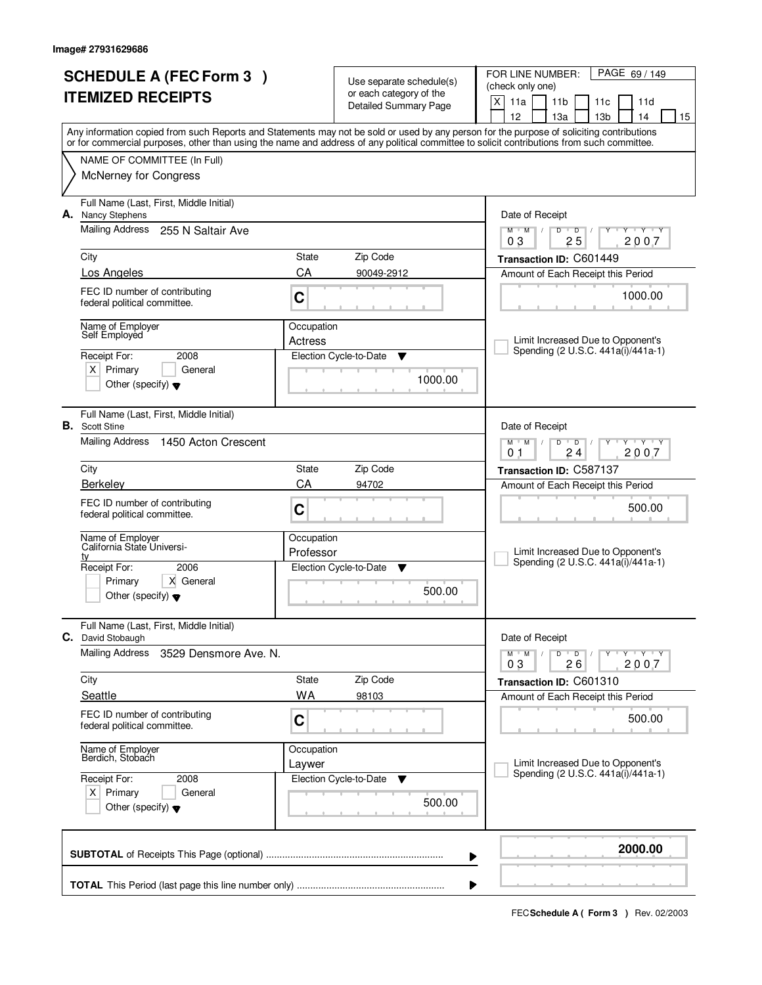|                          | <b>SCHEDULE A (FEC Form 3)</b>                                   |                    | Use separate schedule(s)    | FOR LINE NUMBER:<br>PAGE 69 / 149                                                                                                                                                                                                                                                       |  |
|--------------------------|------------------------------------------------------------------|--------------------|-----------------------------|-----------------------------------------------------------------------------------------------------------------------------------------------------------------------------------------------------------------------------------------------------------------------------------------|--|
| <b>ITEMIZED RECEIPTS</b> |                                                                  |                    | or each category of the     | (check only one)<br>X<br>11a<br>11 <sub>b</sub><br>11d<br>11c                                                                                                                                                                                                                           |  |
|                          |                                                                  |                    | Detailed Summary Page       | 12<br>13 <sub>b</sub><br>13a<br>14<br>15                                                                                                                                                                                                                                                |  |
|                          |                                                                  |                    |                             | Any information copied from such Reports and Statements may not be sold or used by any person for the purpose of soliciting contributions<br>or for commercial purposes, other than using the name and address of any political committee to solicit contributions from such committee. |  |
|                          | NAME OF COMMITTEE (In Full)                                      |                    |                             |                                                                                                                                                                                                                                                                                         |  |
|                          | <b>McNerney for Congress</b>                                     |                    |                             |                                                                                                                                                                                                                                                                                         |  |
|                          |                                                                  |                    |                             |                                                                                                                                                                                                                                                                                         |  |
| А.                       | Full Name (Last, First, Middle Initial)<br><b>Nancy Stephens</b> |                    |                             | Date of Receipt                                                                                                                                                                                                                                                                         |  |
|                          | Mailing Address<br>255 N Saltair Ave                             |                    |                             | $T$ $Y$ $T$ $Y$<br>$M$ <sup>U</sup><br>M<br>D<br>$\overline{D}$<br>$\sqrt{2}$                                                                                                                                                                                                           |  |
|                          |                                                                  |                    |                             | 25<br>2007<br>03                                                                                                                                                                                                                                                                        |  |
|                          | City                                                             | State<br>CA        | Zip Code                    | Transaction ID: C601449                                                                                                                                                                                                                                                                 |  |
|                          | Los Angeles                                                      |                    | 90049-2912                  | Amount of Each Receipt this Period                                                                                                                                                                                                                                                      |  |
|                          | FEC ID number of contributing<br>federal political committee.    | C                  |                             | 1000.00                                                                                                                                                                                                                                                                                 |  |
|                          | Name of Employer                                                 | Occupation         |                             |                                                                                                                                                                                                                                                                                         |  |
|                          | Self Employed                                                    | Actress            |                             | Limit Increased Due to Opponent's                                                                                                                                                                                                                                                       |  |
|                          | Receipt For:<br>2008                                             |                    | Election Cycle-to-Date<br>Y | Spending (2 U.S.C. 441a(i)/441a-1)                                                                                                                                                                                                                                                      |  |
|                          | $X$ Primary<br>General                                           |                    | 1000.00                     |                                                                                                                                                                                                                                                                                         |  |
|                          | Other (specify) $\blacktriangledown$                             |                    |                             |                                                                                                                                                                                                                                                                                         |  |
|                          | Full Name (Last, First, Middle Initial)                          |                    |                             |                                                                                                                                                                                                                                                                                         |  |
|                          | <b>B.</b> Scott Stine                                            |                    |                             | Date of Receipt                                                                                                                                                                                                                                                                         |  |
|                          | <b>Mailing Address</b><br>1450 Acton Crescent                    |                    |                             | $M$ $M$ $/$<br>$\overline{D}$<br>$\mathbf{y}$ $\mathbf{y}$<br>D<br>Y<br>24<br>2007<br>0 <sub>1</sub>                                                                                                                                                                                    |  |
|                          | City                                                             | State              | Zip Code                    | Transaction ID: C587137                                                                                                                                                                                                                                                                 |  |
|                          | Berkeley                                                         | CA                 | 94702                       | Amount of Each Receipt this Period                                                                                                                                                                                                                                                      |  |
|                          | FEC ID number of contributing                                    | C                  |                             | 500.00                                                                                                                                                                                                                                                                                  |  |
|                          | federal political committee.                                     |                    |                             |                                                                                                                                                                                                                                                                                         |  |
|                          | Name of Employer<br>California State Universi-                   | Occupation         |                             |                                                                                                                                                                                                                                                                                         |  |
|                          | tv                                                               | Professor          |                             | Limit Increased Due to Opponent's<br>Spending (2 U.S.C. 441a(i)/441a-1)                                                                                                                                                                                                                 |  |
|                          | Receipt For:<br>2006<br>Primary<br>X General                     |                    | Election Cycle-to-Date<br>▼ |                                                                                                                                                                                                                                                                                         |  |
|                          | Other (specify) $\blacktriangledown$                             |                    | 500.00                      |                                                                                                                                                                                                                                                                                         |  |
|                          |                                                                  |                    |                             |                                                                                                                                                                                                                                                                                         |  |
| C.                       | Full Name (Last, First, Middle Initial)<br>David Stobaugh        |                    |                             | Date of Receipt                                                                                                                                                                                                                                                                         |  |
|                          | <b>Mailing Address</b><br>3529 Densmore Ave. N.                  |                    |                             | D<br>$M$ $M$ /<br>$\overline{D}$<br>$Y$ $Y$ $Y$ $Y$                                                                                                                                                                                                                                     |  |
|                          |                                                                  |                    |                             | 26<br>2007<br>03                                                                                                                                                                                                                                                                        |  |
|                          | City<br>Seattle                                                  | State<br><b>WA</b> | Zip Code<br>98103           | Transaction ID: C601310<br>Amount of Each Receipt this Period                                                                                                                                                                                                                           |  |
|                          | FEC ID number of contributing                                    |                    |                             |                                                                                                                                                                                                                                                                                         |  |
|                          | federal political committee.                                     | C                  |                             | 500.00                                                                                                                                                                                                                                                                                  |  |
|                          |                                                                  | Occupation         |                             |                                                                                                                                                                                                                                                                                         |  |
|                          | Name of Employer<br>Berdich, Stobach                             | Laywer             |                             | Limit Increased Due to Opponent's                                                                                                                                                                                                                                                       |  |
|                          | Receipt For:<br>2008                                             |                    | Election Cycle-to-Date<br>v | Spending (2 U.S.C. 441a(i)/441a-1)                                                                                                                                                                                                                                                      |  |
|                          | $X$ Primary<br>General                                           |                    | 500.00                      |                                                                                                                                                                                                                                                                                         |  |
|                          | Other (specify) $\blacktriangledown$                             |                    |                             |                                                                                                                                                                                                                                                                                         |  |
|                          |                                                                  |                    |                             |                                                                                                                                                                                                                                                                                         |  |
|                          |                                                                  |                    |                             | 2000.00<br>▶                                                                                                                                                                                                                                                                            |  |
|                          |                                                                  |                    |                             |                                                                                                                                                                                                                                                                                         |  |
|                          |                                                                  |                    |                             |                                                                                                                                                                                                                                                                                         |  |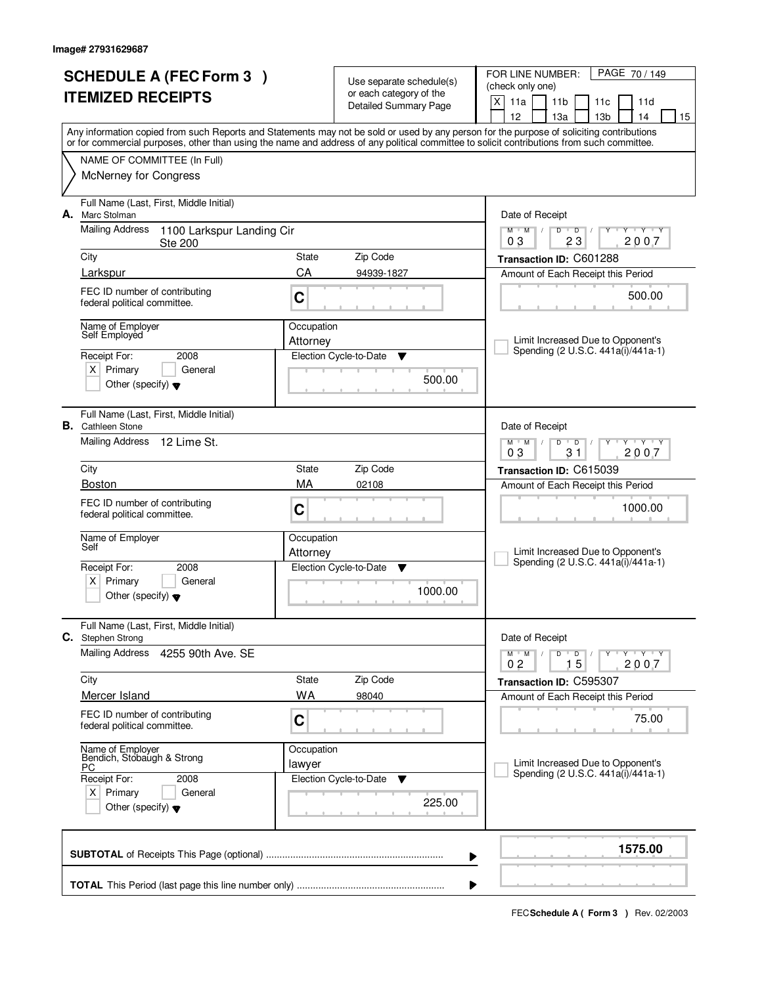|    | <b>SCHEDULE A (FEC Form 3)</b><br><b>ITEMIZED RECEIPTS</b>                                                                  |                        | Use separate schedule(s)<br>or each category of the<br><b>Detailed Summary Page</b> | PAGE 70/149<br>FOR LINE NUMBER:<br>(check only one)<br>X<br>11a<br>11 <sub>b</sub><br>11d<br>11c<br>12<br>13a<br>13 <sub>b</sub><br>14<br>15                                                                                                                                            |
|----|-----------------------------------------------------------------------------------------------------------------------------|------------------------|-------------------------------------------------------------------------------------|-----------------------------------------------------------------------------------------------------------------------------------------------------------------------------------------------------------------------------------------------------------------------------------------|
|    | NAME OF COMMITTEE (In Full)<br><b>McNerney for Congress</b>                                                                 |                        |                                                                                     | Any information copied from such Reports and Statements may not be sold or used by any person for the purpose of soliciting contributions<br>or for commercial purposes, other than using the name and address of any political committee to solicit contributions from such committee. |
| А. | Full Name (Last, First, Middle Initial)<br>Marc Stolman<br>Mailing Address<br>1100 Larkspur Landing Cir                     |                        |                                                                                     | Date of Receipt<br>$Y + Y + Y$<br>$M$ /<br>$D$ $D$<br>$M$ <sup>U</sup>                                                                                                                                                                                                                  |
|    | <b>Ste 200</b><br>City                                                                                                      | State                  | Zip Code                                                                            | 23<br>2007<br>03<br>Transaction ID: C601288                                                                                                                                                                                                                                             |
|    | Larkspur<br>FEC ID number of contributing<br>federal political committee.                                                   | CA<br>C                | 94939-1827                                                                          | Amount of Each Receipt this Period<br>500.00                                                                                                                                                                                                                                            |
|    | Name of Emplover<br>Self Employed<br>2008<br>Receipt For:<br>$X$ Primary<br>General<br>Other (specify) $\blacktriangledown$ | Occupation<br>Attorney | Election Cycle-to-Date<br>▼<br>500.00                                               | Limit Increased Due to Opponent's<br>Spending (2 U.S.C. 441a(i)/441a-1)                                                                                                                                                                                                                 |
|    | Full Name (Last, First, Middle Initial)<br><b>B.</b> Cathleen Stone<br>Mailing Address<br>12 Lime St.                       |                        |                                                                                     | Date of Receipt<br>$M$ $M$ /<br>D<br>$\overline{D}$<br>Y Y Y Y<br>31<br>03<br>2007                                                                                                                                                                                                      |
|    | City                                                                                                                        | State                  | Zip Code                                                                            | Transaction ID: C615039                                                                                                                                                                                                                                                                 |
|    | <b>Boston</b><br>FEC ID number of contributing<br>federal political committee.                                              | MA<br>C                | 02108                                                                               | Amount of Each Receipt this Period<br>1000.00                                                                                                                                                                                                                                           |
|    | Name of Employer<br>Self                                                                                                    | Occupation<br>Attorney |                                                                                     | Limit Increased Due to Opponent's<br>Spending (2 U.S.C. 441a(i)/441a-1)                                                                                                                                                                                                                 |
|    | Receipt For:<br>2008<br>$x \mid$<br>Primary<br>General<br>Other (specify) $\blacktriangledown$                              |                        | Election Cycle-to-Date<br>▼<br>1000.00                                              |                                                                                                                                                                                                                                                                                         |
| С. | Full Name (Last, First, Middle Initial)<br>Stephen Strong                                                                   |                        |                                                                                     | Date of Receipt                                                                                                                                                                                                                                                                         |
|    | Mailing Address<br>4255 90th Ave. SE                                                                                        |                        |                                                                                     | $D$ $D$ $I$<br>$M^{\prime}$ $M^{\prime}$ $M^{\prime}$<br>Y Y Y Y Y Y<br>02<br>15<br>2007                                                                                                                                                                                                |
|    | City<br>Mercer Island                                                                                                       | State<br>WA            | Zip Code                                                                            | Transaction ID: C595307                                                                                                                                                                                                                                                                 |
|    | FEC ID number of contributing<br>federal political committee.                                                               | C                      | 98040                                                                               | Amount of Each Receipt this Period<br>75.00                                                                                                                                                                                                                                             |
|    | Name of Employer<br>Bendich, Stobaugh & Strong<br>РC                                                                        | Occupation<br>lawyer   |                                                                                     | Limit Increased Due to Opponent's<br>Spending (2 U.S.C. 441a(i)/441a-1)                                                                                                                                                                                                                 |
|    | Receipt For:<br>2008<br>$X$ Primary<br>General<br>Other (specify) $\blacktriangledown$                                      |                        | Election Cycle-to-Date<br><b>V</b><br>225.00                                        |                                                                                                                                                                                                                                                                                         |
|    |                                                                                                                             |                        |                                                                                     | 1575.00<br>▶                                                                                                                                                                                                                                                                            |
|    |                                                                                                                             |                        |                                                                                     |                                                                                                                                                                                                                                                                                         |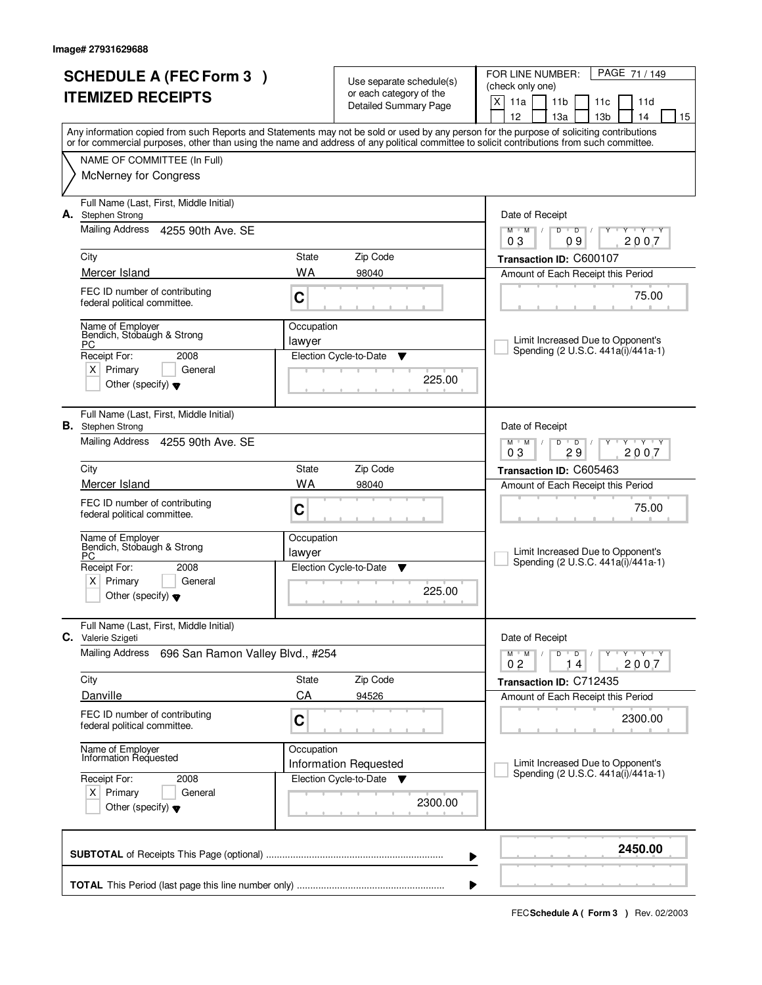| <b>SCHEDULE A (FEC Form 3)</b> |                                                                     |            | Use separate schedule(s)                                | PAGE 71 / 149<br>FOR LINE NUMBER:<br>(check only one)                                                                                                                                                                                                                                   |
|--------------------------------|---------------------------------------------------------------------|------------|---------------------------------------------------------|-----------------------------------------------------------------------------------------------------------------------------------------------------------------------------------------------------------------------------------------------------------------------------------------|
|                                | <b>ITEMIZED RECEIPTS</b>                                            |            | or each category of the<br><b>Detailed Summary Page</b> | X<br>11a<br>11 <sub>b</sub><br>11d<br>11c<br>12<br>13a<br>13 <sub>b</sub><br>14<br>15                                                                                                                                                                                                   |
|                                |                                                                     |            |                                                         | Any information copied from such Reports and Statements may not be sold or used by any person for the purpose of soliciting contributions<br>or for commercial purposes, other than using the name and address of any political committee to solicit contributions from such committee. |
|                                | NAME OF COMMITTEE (In Full)                                         |            |                                                         |                                                                                                                                                                                                                                                                                         |
|                                | <b>McNerney for Congress</b>                                        |            |                                                         |                                                                                                                                                                                                                                                                                         |
| А.                             | Full Name (Last, First, Middle Initial)<br>Stephen Strong           |            |                                                         | Date of Receipt                                                                                                                                                                                                                                                                         |
|                                | Mailing Address 4255 90th Ave. SE                                   |            |                                                         | $D$ $D$<br>$Y + Y + Y$<br>$M$ $M$ $/$<br>Y<br>$\sqrt{ }$<br>09<br>2007<br>03                                                                                                                                                                                                            |
|                                | City                                                                | State      | Zip Code                                                | Transaction ID: C600107                                                                                                                                                                                                                                                                 |
|                                | Mercer Island                                                       | <b>WA</b>  | 98040                                                   | Amount of Each Receipt this Period                                                                                                                                                                                                                                                      |
|                                | FEC ID number of contributing<br>federal political committee.       | C          |                                                         | 75.00                                                                                                                                                                                                                                                                                   |
|                                | Name of Employer<br>Bendich, Stobaugh & Strong                      | Occupation |                                                         |                                                                                                                                                                                                                                                                                         |
|                                | PC.<br>Receipt For:<br>2008                                         | lawyer     | Election Cycle-to-Date<br>▼                             | Limit Increased Due to Opponent's<br>Spending (2 U.S.C. 441a(i)/441a-1)                                                                                                                                                                                                                 |
|                                | $X$ Primary<br>General                                              |            |                                                         |                                                                                                                                                                                                                                                                                         |
|                                | Other (specify) $\blacktriangledown$                                |            | 225.00                                                  |                                                                                                                                                                                                                                                                                         |
|                                | Full Name (Last, First, Middle Initial)<br><b>B.</b> Stephen Strong |            |                                                         | Date of Receipt                                                                                                                                                                                                                                                                         |
|                                | Mailing Address 4255 90th Ave. SE                                   |            |                                                         | <b>TY TY</b><br>$M$ $M$ /<br>D<br>$\overline{D}$<br>29<br>2007<br>03                                                                                                                                                                                                                    |
|                                | City                                                                | State      | Zip Code                                                | Transaction ID: C605463                                                                                                                                                                                                                                                                 |
|                                | Mercer Island                                                       | <b>WA</b>  | 98040                                                   | Amount of Each Receipt this Period                                                                                                                                                                                                                                                      |
|                                | FEC ID number of contributing<br>federal political committee.       | C          |                                                         | 75.00                                                                                                                                                                                                                                                                                   |
|                                | Name of Employer<br>Bendich, Stobaugh & Strong                      | Occupation |                                                         |                                                                                                                                                                                                                                                                                         |
|                                | PC<br>Receipt For:<br>2008                                          | lawyer     | Election Cycle-to-Date<br>▼                             | Limit Increased Due to Opponent's<br>Spending (2 U.S.C. 441a(i)/441a-1)                                                                                                                                                                                                                 |
|                                | $\times$<br>Primary<br>General                                      |            |                                                         |                                                                                                                                                                                                                                                                                         |
|                                | Other (specify) $\blacktriangledown$                                |            | 225.00                                                  |                                                                                                                                                                                                                                                                                         |
| С.                             | Full Name (Last, First, Middle Initial)<br>Valerie Szigeti          |            |                                                         | Date of Receipt                                                                                                                                                                                                                                                                         |
|                                | <b>Mailing Address</b><br>696 San Ramon Valley Blvd., #254          |            |                                                         | $D$ $D$ $/$<br>$M$ $M$ /<br>Y Y Y Y<br>0 <sub>2</sub><br>2007<br>14                                                                                                                                                                                                                     |
|                                | City                                                                | State      | Zip Code                                                | Transaction ID: C712435                                                                                                                                                                                                                                                                 |
|                                | Danville                                                            | CA         | 94526                                                   | Amount of Each Receipt this Period                                                                                                                                                                                                                                                      |
|                                | FEC ID number of contributing<br>federal political committee.       | C          |                                                         | 2300.00                                                                                                                                                                                                                                                                                 |
|                                | Name of Employer<br>Information Requested                           | Occupation | Information Requested                                   | Limit Increased Due to Opponent's                                                                                                                                                                                                                                                       |
|                                | Receipt For:<br>2008                                                |            | Election Cycle-to-Date<br>$\overline{\mathbf{v}}$       | Spending (2 U.S.C. 441a(i)/441a-1)                                                                                                                                                                                                                                                      |
|                                | $X$ Primary<br>General<br>Other (specify) $\blacktriangledown$      |            | 2300.00                                                 |                                                                                                                                                                                                                                                                                         |
|                                |                                                                     |            |                                                         | 2450.00<br>▶                                                                                                                                                                                                                                                                            |
|                                |                                                                     |            |                                                         |                                                                                                                                                                                                                                                                                         |
|                                |                                                                     |            |                                                         |                                                                                                                                                                                                                                                                                         |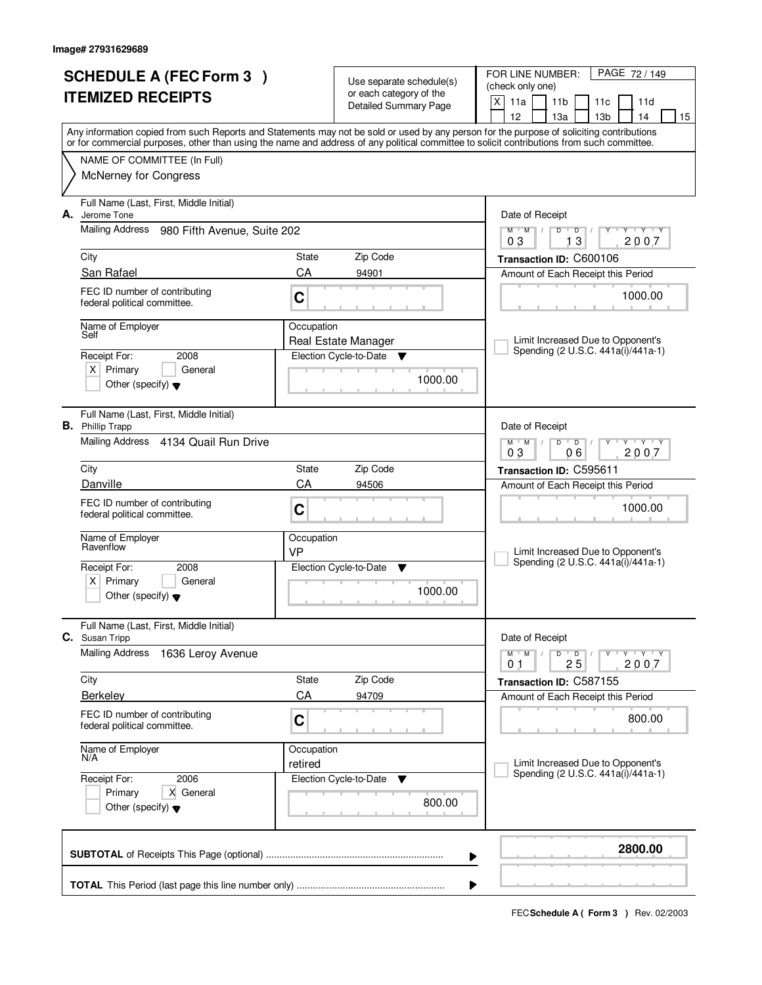|    | <b>SCHEDULE A (FEC Form 3)</b>                                                                                                             |                  | Use separate schedule(s)      | FOR LINE NUMBER:<br>PAGE 72 / 149                                         |
|----|--------------------------------------------------------------------------------------------------------------------------------------------|------------------|-------------------------------|---------------------------------------------------------------------------|
|    | <b>ITEMIZED RECEIPTS</b>                                                                                                                   |                  | or each category of the       | (check only one)<br>X<br>11a                                              |
|    |                                                                                                                                            |                  | Detailed Summary Page         | 11 <sub>b</sub><br>11d<br>11c<br>12<br>13 <sub>b</sub><br>13a<br>14<br>15 |
|    | Any information copied from such Reports and Statements may not be sold or used by any person for the purpose of soliciting contributions  |                  |                               |                                                                           |
|    | or for commercial purposes, other than using the name and address of any political committee to solicit contributions from such committee. |                  |                               |                                                                           |
|    | NAME OF COMMITTEE (In Full)                                                                                                                |                  |                               |                                                                           |
|    | <b>McNerney for Congress</b>                                                                                                               |                  |                               |                                                                           |
| А. | Full Name (Last, First, Middle Initial)<br>Jerome Tone                                                                                     |                  |                               | Date of Receipt                                                           |
|    | Mailing Address<br>980 Fifth Avenue, Suite 202                                                                                             |                  |                               | $M$ $M$ /<br>$Y - Y - Y$<br>D<br>$\overline{D}$                           |
|    | City                                                                                                                                       | State            | Zip Code                      | 13<br>2007<br>03                                                          |
|    | San Rafael                                                                                                                                 | CA               | 94901                         | Transaction ID: C600106<br>Amount of Each Receipt this Period             |
|    | FEC ID number of contributing                                                                                                              |                  |                               |                                                                           |
|    | federal political committee.                                                                                                               | C                |                               | 1000.00                                                                   |
|    | Name of Employer                                                                                                                           | Occupation       |                               |                                                                           |
|    | Self                                                                                                                                       |                  | Real Estate Manager           | Limit Increased Due to Opponent's<br>Spending (2 U.S.C. 441a(i)/441a-1)   |
|    | Receipt For:<br>2008<br>$X$ Primary<br>General                                                                                             |                  | Election Cycle-to-Date<br>v   |                                                                           |
|    | Other (specify) $\blacktriangledown$                                                                                                       |                  | 1000.00                       |                                                                           |
|    |                                                                                                                                            |                  |                               |                                                                           |
|    | Full Name (Last, First, Middle Initial)<br><b>B.</b> Phillip Trapp                                                                         |                  |                               | Date of Receipt                                                           |
|    | Mailing Address 4134 Quail Run Drive                                                                                                       |                  |                               | $Y$ $Y$ $Y$<br>$M$ $M$ /<br>D<br>$\overline{D}$                           |
|    |                                                                                                                                            |                  |                               | 03<br>06<br>2007                                                          |
|    | City                                                                                                                                       | State            | Zip Code                      | Transaction ID: C595611                                                   |
|    | Danville                                                                                                                                   | CA               | 94506                         | Amount of Each Receipt this Period                                        |
|    | FEC ID number of contributing<br>federal political committee.                                                                              | C                |                               | 1000.00                                                                   |
|    |                                                                                                                                            |                  |                               |                                                                           |
|    | Name of Employer<br>Ravenflow                                                                                                              | Occupation<br>VP |                               | Limit Increased Due to Opponent's                                         |
|    | Receipt For:<br>2008                                                                                                                       |                  | Election Cycle-to-Date<br>- V | Spending (2 U.S.C. 441a(i)/441a-1)                                        |
|    | Primary<br>ΧI<br>General                                                                                                                   |                  | 1000.00                       |                                                                           |
|    | Other (specify) $\blacktriangledown$                                                                                                       |                  |                               |                                                                           |
|    | Full Name (Last, First, Middle Initial)<br>C. Susan Tripp                                                                                  |                  |                               | Date of Receipt                                                           |
|    | <b>Mailing Address</b><br>1636 Leroy Avenue                                                                                                |                  |                               | $M$ $M$<br>D<br>$\overline{D}$<br>$Y + Y + Y$                             |
|    |                                                                                                                                            |                  |                               | 2007<br>25<br>01                                                          |
|    | City                                                                                                                                       | State            | Zip Code                      | Transaction ID: C587155                                                   |
|    | <b>Berkeley</b>                                                                                                                            | CA               | 94709                         | Amount of Each Receipt this Period                                        |
|    | FEC ID number of contributing<br>federal political committee.                                                                              | C                |                               | 800.00                                                                    |
|    | Name of Employer                                                                                                                           | Occupation       |                               |                                                                           |
|    | N/A                                                                                                                                        | retired          |                               | Limit Increased Due to Opponent's                                         |
|    | Receipt For:<br>2006                                                                                                                       |                  | Election Cycle-to-Date<br>v   | Spending (2 U.S.C. 441a(i)/441a-1)                                        |
|    | Primary<br>X General                                                                                                                       |                  | 800.00                        |                                                                           |
|    | Other (specify) $\blacktriangledown$                                                                                                       |                  |                               |                                                                           |
|    |                                                                                                                                            |                  |                               | 2800.00                                                                   |
|    |                                                                                                                                            |                  | ▶                             |                                                                           |
|    |                                                                                                                                            |                  |                               |                                                                           |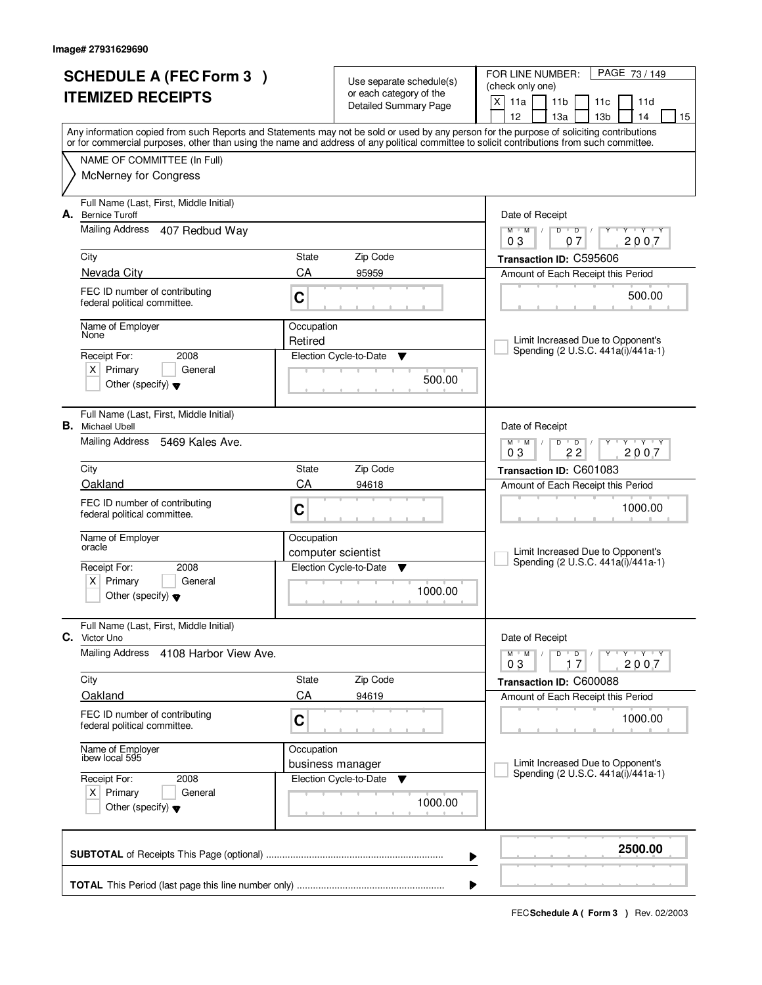|    | <b>SCHEDULE A (FEC Form 3)</b>                                  |                       |                                                     | PAGE 73 / 149<br>FOR LINE NUMBER:                                                                                                                                                                                                                                                       |  |  |
|----|-----------------------------------------------------------------|-----------------------|-----------------------------------------------------|-----------------------------------------------------------------------------------------------------------------------------------------------------------------------------------------------------------------------------------------------------------------------------------------|--|--|
|    |                                                                 |                       | Use separate schedule(s)<br>or each category of the | (check only one)                                                                                                                                                                                                                                                                        |  |  |
|    | <b>ITEMIZED RECEIPTS</b>                                        |                       | <b>Detailed Summary Page</b>                        | $\mathsf{X}$<br>11a<br>11 <sub>b</sub><br>11c<br>11d                                                                                                                                                                                                                                    |  |  |
|    |                                                                 |                       |                                                     | 12<br>13 <sub>b</sub><br>13a<br>14<br>15                                                                                                                                                                                                                                                |  |  |
|    |                                                                 |                       |                                                     | Any information copied from such Reports and Statements may not be sold or used by any person for the purpose of soliciting contributions<br>or for commercial purposes, other than using the name and address of any political committee to solicit contributions from such committee. |  |  |
|    | NAME OF COMMITTEE (In Full)                                     |                       |                                                     |                                                                                                                                                                                                                                                                                         |  |  |
|    | <b>McNerney for Congress</b>                                    |                       |                                                     |                                                                                                                                                                                                                                                                                         |  |  |
|    |                                                                 |                       |                                                     |                                                                                                                                                                                                                                                                                         |  |  |
|    | Full Name (Last, First, Middle Initial)                         |                       |                                                     |                                                                                                                                                                                                                                                                                         |  |  |
| А. | <b>Bernice Turoff</b>                                           |                       |                                                     | Date of Receipt                                                                                                                                                                                                                                                                         |  |  |
|    | <b>Mailing Address</b><br>407 Redbud Way                        |                       |                                                     | $M$ $M$ /<br>$D$ $D$<br>$Y - Y - Y$<br>Y<br>$\sqrt{ }$<br>2007<br>03<br>07                                                                                                                                                                                                              |  |  |
|    | City                                                            | State                 | Zip Code                                            | Transaction ID: C595606                                                                                                                                                                                                                                                                 |  |  |
|    | Nevada City                                                     | CA                    | 95959                                               | Amount of Each Receipt this Period                                                                                                                                                                                                                                                      |  |  |
|    | FEC ID number of contributing                                   |                       |                                                     |                                                                                                                                                                                                                                                                                         |  |  |
|    | federal political committee.                                    | C                     |                                                     | 500.00                                                                                                                                                                                                                                                                                  |  |  |
|    |                                                                 |                       |                                                     |                                                                                                                                                                                                                                                                                         |  |  |
|    | Name of Employer<br>None                                        | Occupation<br>Retired |                                                     | Limit Increased Due to Opponent's                                                                                                                                                                                                                                                       |  |  |
|    | Receipt For:<br>2008                                            |                       | Election Cycle-to-Date<br>Y                         | Spending (2 U.S.C. 441a(i)/441a-1)                                                                                                                                                                                                                                                      |  |  |
|    | $X$ Primary<br>General                                          |                       |                                                     |                                                                                                                                                                                                                                                                                         |  |  |
|    | Other (specify) $\blacktriangledown$                            |                       | 500.00                                              |                                                                                                                                                                                                                                                                                         |  |  |
|    |                                                                 |                       |                                                     |                                                                                                                                                                                                                                                                                         |  |  |
|    | Full Name (Last, First, Middle Initial)                         |                       |                                                     |                                                                                                                                                                                                                                                                                         |  |  |
| В. | Michael Ubell                                                   |                       |                                                     | Date of Receipt                                                                                                                                                                                                                                                                         |  |  |
|    | Mailing Address<br>5469 Kales Ave.                              |                       |                                                     | <b>TEXTEY</b><br>$M$ $M$ /<br>D<br>$\overline{D}$<br>22<br>03<br>2007                                                                                                                                                                                                                   |  |  |
|    | City                                                            | State                 | Zip Code                                            | Transaction ID: C601083                                                                                                                                                                                                                                                                 |  |  |
|    | Oakland                                                         | CA                    | 94618                                               | Amount of Each Receipt this Period                                                                                                                                                                                                                                                      |  |  |
|    | FEC ID number of contributing                                   |                       |                                                     |                                                                                                                                                                                                                                                                                         |  |  |
|    | federal political committee.                                    | C                     |                                                     | 1000.00                                                                                                                                                                                                                                                                                 |  |  |
|    | Name of Employer                                                | Occupation            |                                                     |                                                                                                                                                                                                                                                                                         |  |  |
|    | oracle                                                          |                       | computer scientist                                  | Limit Increased Due to Opponent's                                                                                                                                                                                                                                                       |  |  |
|    | Receipt For:<br>2008                                            |                       | Election Cycle-to-Date<br>▼                         | Spending (2 U.S.C. 441a(i)/441a-1)                                                                                                                                                                                                                                                      |  |  |
|    | Primary<br>$X \mid$<br>General                                  |                       |                                                     |                                                                                                                                                                                                                                                                                         |  |  |
|    | Other (specify) $\blacktriangledown$                            |                       | 1000.00                                             |                                                                                                                                                                                                                                                                                         |  |  |
|    |                                                                 |                       |                                                     |                                                                                                                                                                                                                                                                                         |  |  |
|    | Full Name (Last, First, Middle Initial)<br><b>C.</b> Victor Uno |                       |                                                     | Date of Receipt                                                                                                                                                                                                                                                                         |  |  |
|    | Mailing Address<br>4108 Harbor View Ave.                        |                       |                                                     | $M$ $M$ $/$<br>D<br>$\overline{\phantom{0}}$ D $\overline{\phantom{0}}$ /<br>$Y + Y + Y$                                                                                                                                                                                                |  |  |
|    |                                                                 |                       |                                                     | 2007<br>03<br>17                                                                                                                                                                                                                                                                        |  |  |
|    | City                                                            | State                 | Zip Code                                            | Transaction ID: C600088                                                                                                                                                                                                                                                                 |  |  |
|    | Oakland                                                         | CA                    | 94619                                               | Amount of Each Receipt this Period                                                                                                                                                                                                                                                      |  |  |
|    | FEC ID number of contributing                                   | C                     |                                                     | 1000.00                                                                                                                                                                                                                                                                                 |  |  |
|    | federal political committee.                                    |                       |                                                     |                                                                                                                                                                                                                                                                                         |  |  |
|    | Name of Employer<br>ibew local 595                              | Occupation            |                                                     |                                                                                                                                                                                                                                                                                         |  |  |
|    |                                                                 |                       | business manager                                    | Limit Increased Due to Opponent's                                                                                                                                                                                                                                                       |  |  |
|    | Receipt For:<br>2008                                            |                       | Election Cycle-to-Date<br>v                         | Spending (2 U.S.C. 441a(i)/441a-1)                                                                                                                                                                                                                                                      |  |  |
|    | $X$ Primary<br>General                                          |                       | 1000.00                                             |                                                                                                                                                                                                                                                                                         |  |  |
|    | Other (specify) $\blacktriangledown$                            |                       |                                                     |                                                                                                                                                                                                                                                                                         |  |  |
|    |                                                                 |                       |                                                     |                                                                                                                                                                                                                                                                                         |  |  |
|    |                                                                 |                       |                                                     | 2500.00                                                                                                                                                                                                                                                                                 |  |  |
|    |                                                                 |                       |                                                     | ▶                                                                                                                                                                                                                                                                                       |  |  |
|    |                                                                 |                       |                                                     |                                                                                                                                                                                                                                                                                         |  |  |
|    | ▶                                                               |                       |                                                     |                                                                                                                                                                                                                                                                                         |  |  |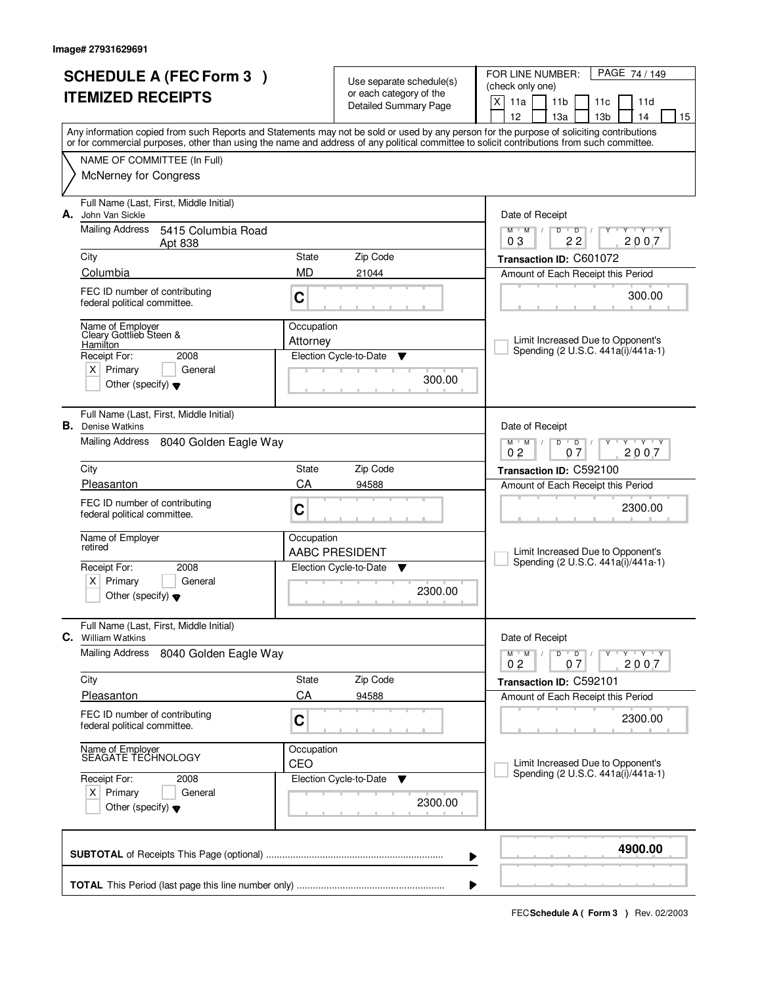| <b>SCHEDULE A (FEC Form 3)</b><br><b>ITEMIZED RECEIPTS</b> |                                                                                                                                            |                        | Use separate schedule(s)<br>or each category of the | FOR LINE NUMBER:<br>PAGE 74/149<br>(check only one)                                                                                       |  |  |  |
|------------------------------------------------------------|--------------------------------------------------------------------------------------------------------------------------------------------|------------------------|-----------------------------------------------------|-------------------------------------------------------------------------------------------------------------------------------------------|--|--|--|
|                                                            |                                                                                                                                            |                        | Detailed Summary Page                               | X<br>11a<br>11 <sub>b</sub><br>11c<br>11d<br>12<br>13a<br>13 <sub>b</sub><br>14<br>15                                                     |  |  |  |
|                                                            | or for commercial purposes, other than using the name and address of any political committee to solicit contributions from such committee. |                        |                                                     | Any information copied from such Reports and Statements may not be sold or used by any person for the purpose of soliciting contributions |  |  |  |
|                                                            | NAME OF COMMITTEE (In Full)                                                                                                                |                        |                                                     |                                                                                                                                           |  |  |  |
|                                                            | <b>McNerney for Congress</b>                                                                                                               |                        |                                                     |                                                                                                                                           |  |  |  |
| А.                                                         | Full Name (Last, First, Middle Initial)<br>John Van Sickle                                                                                 |                        |                                                     | Date of Receipt                                                                                                                           |  |  |  |
|                                                            | <b>Mailing Address</b><br>5415 Columbia Road<br>Apt 838                                                                                    |                        |                                                     | $M$ $M$<br>$D$ $D$<br>Y Y Y Y<br>$\sqrt{ }$<br>2007<br>03<br>22                                                                           |  |  |  |
|                                                            | City                                                                                                                                       | State                  | Zip Code                                            | Transaction ID: C601072                                                                                                                   |  |  |  |
|                                                            | Columbia                                                                                                                                   | <b>MD</b>              | 21044                                               | Amount of Each Receipt this Period                                                                                                        |  |  |  |
|                                                            | FEC ID number of contributing<br>C<br>federal political committee.                                                                         |                        |                                                     | 300.00                                                                                                                                    |  |  |  |
|                                                            | Name of Employer<br>Cleary Gottlieb Steen &<br>Hamilton                                                                                    | Occupation<br>Attorney |                                                     | Limit Increased Due to Opponent's                                                                                                         |  |  |  |
|                                                            | Receipt For:<br>2008                                                                                                                       |                        | Election Cycle-to-Date<br>v                         | Spending (2 U.S.C. 441a(i)/441a-1)                                                                                                        |  |  |  |
|                                                            | $X$ Primary<br>General<br>Other (specify) $\blacktriangledown$                                                                             |                        | 300.00                                              |                                                                                                                                           |  |  |  |
|                                                            | Full Name (Last, First, Middle Initial)<br><b>B.</b> Denise Watkins                                                                        |                        |                                                     | Date of Receipt                                                                                                                           |  |  |  |
|                                                            | Mailing Address<br>8040 Golden Eagle Way                                                                                                   |                        |                                                     | $\mathsf{L} \mathsf{Y} \mathsf{L} \mathsf{Y} \mathsf{Y}$<br>$M$ $M$ /<br>$D$ $D$<br>0 <sub>2</sub><br>2007<br>07                          |  |  |  |
|                                                            | City                                                                                                                                       | State                  | Zip Code                                            | Transaction ID: C592100                                                                                                                   |  |  |  |
|                                                            | Pleasanton                                                                                                                                 | CA                     | 94588                                               | Amount of Each Receipt this Period                                                                                                        |  |  |  |
|                                                            | FEC ID number of contributing<br>federal political committee.                                                                              | C                      |                                                     | 2300.00                                                                                                                                   |  |  |  |
|                                                            | Name of Employer<br>retired                                                                                                                | Occupation             |                                                     |                                                                                                                                           |  |  |  |
|                                                            | Receipt For:<br>2008                                                                                                                       |                        | <b>AABC PRESIDENT</b><br>▼                          | Limit Increased Due to Opponent's<br>Spending (2 U.S.C. 441a(i)/441a-1)                                                                   |  |  |  |
|                                                            | $X$ Primary<br>General                                                                                                                     | Election Cycle-to-Date |                                                     |                                                                                                                                           |  |  |  |
|                                                            | Other (specify) $\blacktriangledown$                                                                                                       |                        | 2300.00                                             |                                                                                                                                           |  |  |  |
|                                                            | Full Name (Last, First, Middle Initial)<br><b>C.</b> William Watkins                                                                       |                        |                                                     | Date of Receipt                                                                                                                           |  |  |  |
|                                                            | <b>Mailing Address</b><br>8040 Golden Eagle Way                                                                                            |                        |                                                     | $D \quad D \quad / \quad$<br>$\mathsf{Y} \dashv \mathsf{Y} \dashv \mathsf{Y}$<br>$M$ $M$ /<br>2007<br>0 <sub>2</sub><br>07                |  |  |  |
|                                                            | City                                                                                                                                       | State                  | Zip Code                                            | Transaction ID: C592101                                                                                                                   |  |  |  |
|                                                            | Pleasanton                                                                                                                                 | CA                     | 94588                                               | Amount of Each Receipt this Period                                                                                                        |  |  |  |
|                                                            | FEC ID number of contributing<br>federal political committee.                                                                              | C                      |                                                     | 2300.00                                                                                                                                   |  |  |  |
|                                                            | Name of Employer<br>SEAGATE TECHNOLOGY                                                                                                     | Occupation<br>CEO      |                                                     | Limit Increased Due to Opponent's                                                                                                         |  |  |  |
|                                                            | Receipt For:<br>2008                                                                                                                       |                        | Election Cycle-to-Date<br>v                         | Spending (2 U.S.C. 441a(i)/441a-1)                                                                                                        |  |  |  |
|                                                            | $X$ Primary<br>General<br>Other (specify) $\blacktriangledown$                                                                             |                        | 2300.00                                             |                                                                                                                                           |  |  |  |
|                                                            |                                                                                                                                            |                        |                                                     | 4900.00<br>▶                                                                                                                              |  |  |  |
|                                                            |                                                                                                                                            |                        |                                                     |                                                                                                                                           |  |  |  |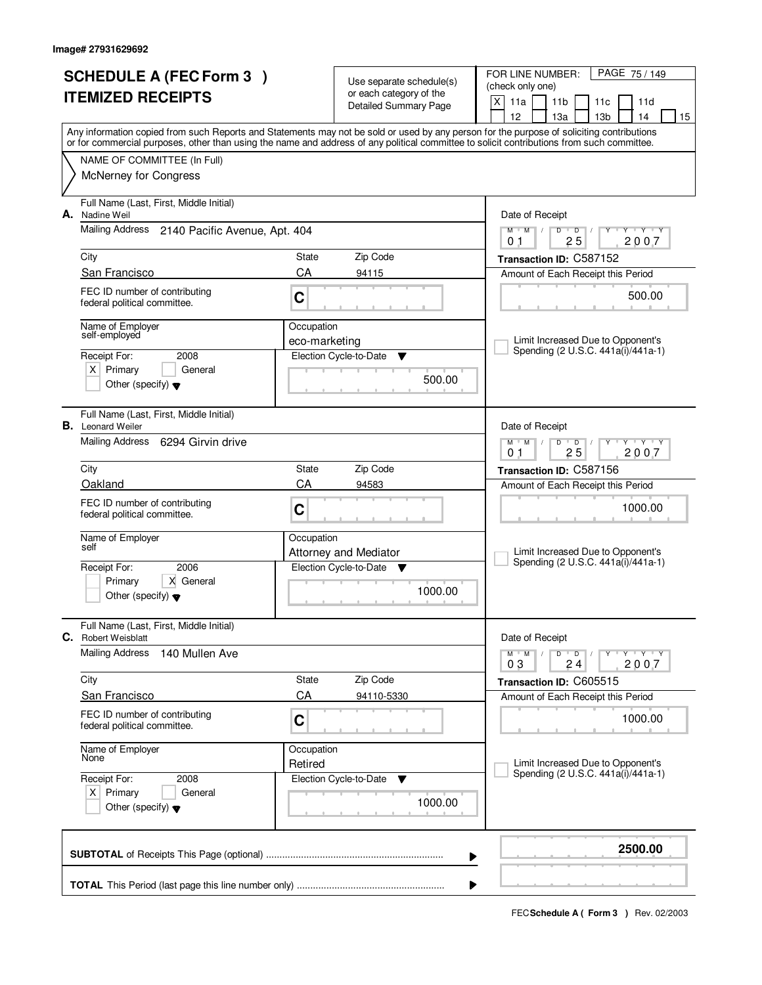|    | <b>SCHEDULE A (FEC Form 3)</b><br><b>ITEMIZED RECEIPTS</b>                           |                       | Use separate schedule(s)<br>or each category of the<br><b>Detailed Summary Page</b> | PAGE 75 / 149<br>FOR LINE NUMBER:<br>(check only one)<br>X<br>11a<br>11 <sub>b</sub><br>11d<br>11c                                                                                    |
|----|--------------------------------------------------------------------------------------|-----------------------|-------------------------------------------------------------------------------------|---------------------------------------------------------------------------------------------------------------------------------------------------------------------------------------|
|    |                                                                                      |                       |                                                                                     | 12<br>13a<br>13 <sub>b</sub><br>14<br>15<br>Any information copied from such Reports and Statements may not be sold or used by any person for the purpose of soliciting contributions |
|    |                                                                                      |                       |                                                                                     | or for commercial purposes, other than using the name and address of any political committee to solicit contributions from such committee.                                            |
|    | NAME OF COMMITTEE (In Full)                                                          |                       |                                                                                     |                                                                                                                                                                                       |
|    | <b>McNerney for Congress</b>                                                         |                       |                                                                                     |                                                                                                                                                                                       |
| А. | Full Name (Last, First, Middle Initial)<br>Nadine Weil                               |                       |                                                                                     | Date of Receipt                                                                                                                                                                       |
|    | Mailing Address 2140 Pacific Avenue, Apt. 404                                        |                       |                                                                                     | $Y$ $Y$ $Y$<br>$M$ $M$<br>$D$ $D$<br>Y<br>25<br>2007<br>0 <sub>1</sub>                                                                                                                |
|    | City                                                                                 | State                 | Zip Code                                                                            | Transaction ID: C587152                                                                                                                                                               |
|    | San Francisco                                                                        | CA                    | 94115                                                                               | Amount of Each Receipt this Period                                                                                                                                                    |
|    | FEC ID number of contributing<br>federal political committee.                        | C                     |                                                                                     | 500.00                                                                                                                                                                                |
|    | Name of Employer                                                                     | Occupation            |                                                                                     |                                                                                                                                                                                       |
|    | self-employed                                                                        | eco-marketing         |                                                                                     | Limit Increased Due to Opponent's<br>Spending (2 U.S.C. 441a(i)/441a-1)                                                                                                               |
|    | 2008<br>Receipt For:<br>$X$ Primary<br>General                                       |                       | Election Cycle-to-Date<br>▼                                                         |                                                                                                                                                                                       |
|    | Other (specify) $\blacktriangledown$                                                 |                       | 500.00                                                                              |                                                                                                                                                                                       |
|    | Full Name (Last, First, Middle Initial)<br><b>B.</b> Leonard Weiler                  |                       |                                                                                     | Date of Receipt                                                                                                                                                                       |
|    | Mailing Address 6294 Girvin drive                                                    |                       |                                                                                     | <b>TY TY</b><br>$M$ $M$ /<br>D<br>$\overline{D}$<br>25<br>2007<br>0 <sub>1</sub>                                                                                                      |
|    | City                                                                                 | <b>State</b>          | Zip Code                                                                            | Transaction ID: C587156                                                                                                                                                               |
|    | Oakland                                                                              | CA                    | 94583                                                                               | Amount of Each Receipt this Period                                                                                                                                                    |
|    | FEC ID number of contributing<br>federal political committee.                        | C                     |                                                                                     | 1000.00                                                                                                                                                                               |
|    | Name of Employer<br>self                                                             | Occupation            |                                                                                     |                                                                                                                                                                                       |
|    |                                                                                      |                       | <b>Attorney and Mediator</b>                                                        | Limit Increased Due to Opponent's<br>Spending (2 U.S.C. 441a(i)/441a-1)                                                                                                               |
|    | Receipt For:<br>2006<br>X General<br>Primary<br>Other (specify) $\blacktriangledown$ |                       | Election Cycle-to-Date<br><b>V</b><br>1000.00                                       |                                                                                                                                                                                       |
| C. | Full Name (Last, First, Middle Initial)                                              |                       |                                                                                     |                                                                                                                                                                                       |
|    | <b>Robert Weisblatt</b><br><b>Mailing Address</b><br>140 Mullen Ave                  |                       |                                                                                     | Date of Receipt<br>$D$ $D$ $/$<br>$M$ $M$ /<br>$Y - Y - Y$                                                                                                                            |
|    | City                                                                                 | State                 | Zip Code                                                                            | 03<br>24<br>2007<br>Transaction ID: C605515                                                                                                                                           |
|    | <b>San Francisco</b>                                                                 | CA                    | 94110-5330                                                                          | Amount of Each Receipt this Period                                                                                                                                                    |
|    | FEC ID number of contributing<br>federal political committee.                        | C                     |                                                                                     | 1000.00                                                                                                                                                                               |
|    | Name of Employer<br>None                                                             | Occupation<br>Retired |                                                                                     | Limit Increased Due to Opponent's                                                                                                                                                     |
|    | Receipt For:<br>2008                                                                 |                       | Election Cycle-to-Date<br>v                                                         | Spending (2 U.S.C. 441a(i)/441a-1)                                                                                                                                                    |
|    | $X$ Primary<br>General<br>Other (specify) $\blacktriangledown$                       |                       | 1000.00                                                                             |                                                                                                                                                                                       |
|    |                                                                                      |                       |                                                                                     | 2500.00<br>▶                                                                                                                                                                          |
|    |                                                                                      |                       |                                                                                     |                                                                                                                                                                                       |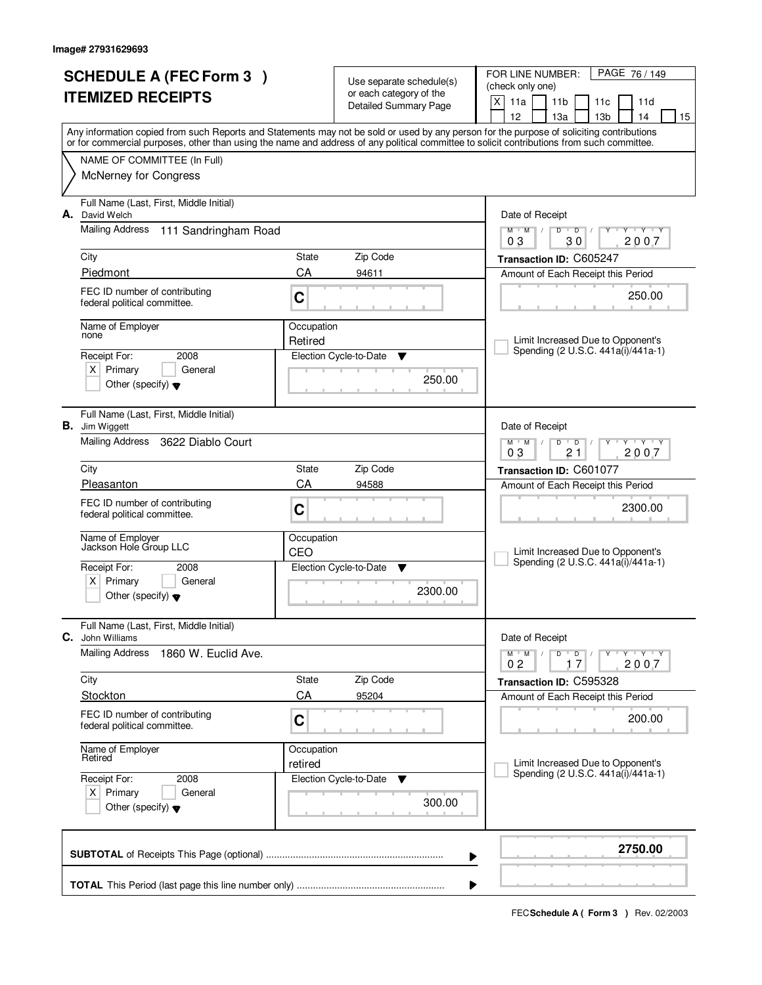| <b>SCHEDULE A (FEC Form 3)</b><br><b>ITEMIZED RECEIPTS</b> |                                                                        |                       | Use separate schedule(s)<br>or each category of the | FOR LINE NUMBER:<br>PAGE 76 / 149<br>(check only one)                                                                                                  |
|------------------------------------------------------------|------------------------------------------------------------------------|-----------------------|-----------------------------------------------------|--------------------------------------------------------------------------------------------------------------------------------------------------------|
|                                                            |                                                                        |                       | <b>Detailed Summary Page</b>                        | X<br>11a<br>11 <sub>b</sub><br>11d<br>11c<br>12<br>13 <sub>b</sub><br>14                                                                               |
|                                                            |                                                                        |                       |                                                     | 13a<br>15<br>Any information copied from such Reports and Statements may not be sold or used by any person for the purpose of soliciting contributions |
|                                                            | NAME OF COMMITTEE (In Full)                                            |                       |                                                     | or for commercial purposes, other than using the name and address of any political committee to solicit contributions from such committee.             |
|                                                            | <b>McNerney for Congress</b>                                           |                       |                                                     |                                                                                                                                                        |
| А.                                                         | Full Name (Last, First, Middle Initial)<br>David Welch                 |                       |                                                     | Date of Receipt                                                                                                                                        |
|                                                            | <b>Mailing Address</b><br>111 Sandringham Road                         |                       |                                                     | <b>TEXTER</b><br>$M$ <sup>U</sup><br>$M$ /<br>D<br>$\overline{D}$<br>30<br>2007<br>03                                                                  |
|                                                            | City                                                                   | State                 | Zip Code                                            | Transaction ID: C605247                                                                                                                                |
|                                                            | Piedmont                                                               | CA                    | 94611                                               | Amount of Each Receipt this Period                                                                                                                     |
|                                                            | FEC ID number of contributing<br>federal political committee.          | C                     |                                                     | 250.00                                                                                                                                                 |
|                                                            | Name of Employer<br>none                                               | Occupation<br>Retired |                                                     | Limit Increased Due to Opponent's                                                                                                                      |
|                                                            | Receipt For:<br>2008                                                   |                       | Election Cycle-to-Date<br>▼                         | Spending (2 U.S.C. 441a(i)/441a-1)                                                                                                                     |
|                                                            | $X$ Primary<br>General<br>Other (specify) $\blacktriangledown$         |                       | 250.00                                              |                                                                                                                                                        |
|                                                            | Full Name (Last, First, Middle Initial)<br><b>B.</b> Jim Wiggett       |                       |                                                     | Date of Receipt                                                                                                                                        |
|                                                            | <b>Mailing Address</b><br>3622 Diablo Court                            |                       |                                                     | $M$ $M$ /<br>$\mathbf{y}$ $\mathbf{y}$<br>D<br>$\overline{D}$<br>Y<br>03<br>21<br>2007                                                                 |
|                                                            | City                                                                   | <b>State</b>          | Zip Code                                            | Transaction ID: C601077                                                                                                                                |
|                                                            | Pleasanton                                                             | CA                    | 94588                                               | Amount of Each Receipt this Period                                                                                                                     |
|                                                            | FEC ID number of contributing<br>federal political committee.          | C                     |                                                     | 2300.00                                                                                                                                                |
|                                                            | Name of Employer<br>Jackson Hole Group LLC                             | Occupation<br>CEO     |                                                     | Limit Increased Due to Opponent's                                                                                                                      |
|                                                            | Receipt For:<br>2008                                                   |                       | Election Cycle-to-Date<br>v                         | Spending (2 U.S.C. 441a(i)/441a-1)                                                                                                                     |
|                                                            | Primary<br>$X \mid$<br>General<br>Other (specify) $\blacktriangledown$ |                       | 2300.00                                             |                                                                                                                                                        |
| С.                                                         | Full Name (Last, First, Middle Initial)<br>John Williams               |                       |                                                     | Date of Receipt                                                                                                                                        |
|                                                            | <b>Mailing Address</b><br>1860 W. Euclid Ave.                          |                       |                                                     | $D$ $D$<br>$M$ $M$ /<br>$Y + Y + Y$<br>2007<br>02<br>17                                                                                                |
|                                                            | City                                                                   | State                 | Zip Code                                            | Transaction ID: C595328                                                                                                                                |
|                                                            | <b>Stockton</b>                                                        | CA                    | 95204                                               | Amount of Each Receipt this Period                                                                                                                     |
|                                                            | FEC ID number of contributing<br>federal political committee.          | C                     |                                                     | 200.00                                                                                                                                                 |
|                                                            | Name of Employer<br>Retired                                            | Occupation<br>retired |                                                     | Limit Increased Due to Opponent's                                                                                                                      |
|                                                            | Receipt For:<br>2008                                                   |                       | Election Cycle-to-Date<br>v                         | Spending (2 U.S.C. 441a(i)/441a-1)                                                                                                                     |
|                                                            | $X$ Primary<br>General<br>Other (specify) $\blacktriangledown$         |                       | 300.00                                              |                                                                                                                                                        |
|                                                            |                                                                        |                       |                                                     | 2750.00<br>▶                                                                                                                                           |
|                                                            |                                                                        |                       |                                                     |                                                                                                                                                        |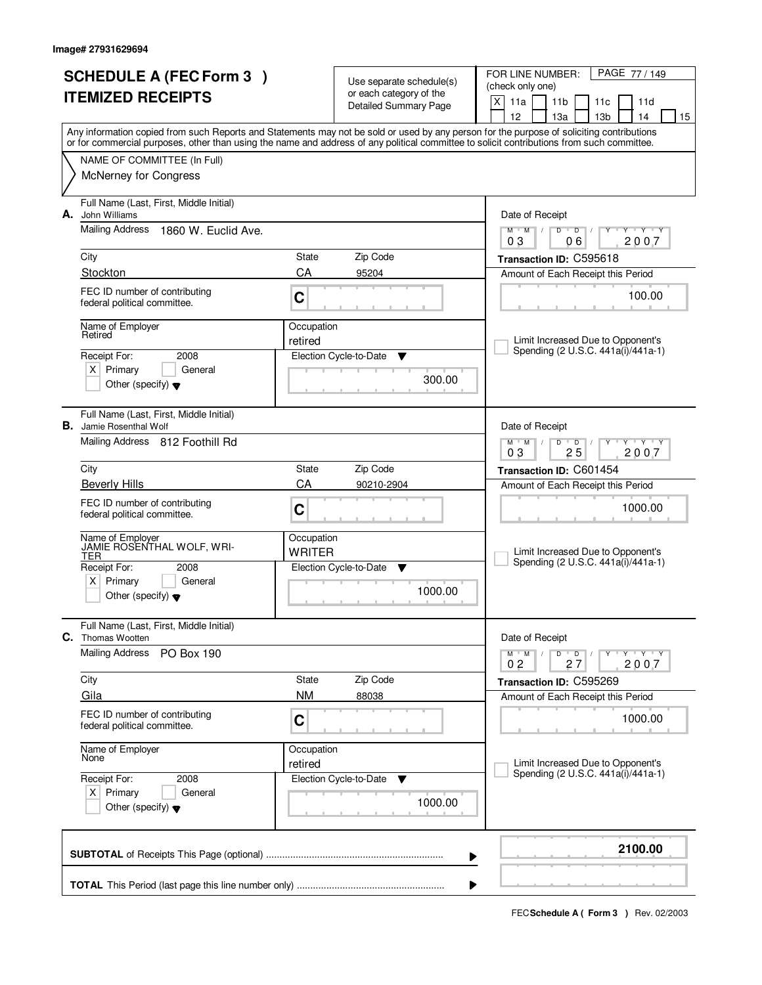| <b>SCHEDULE A (FEC Form 3)</b><br><b>ITEMIZED RECEIPTS</b> |                                                                           |                             | Use separate schedule(s)<br>or each category of the | PAGE 77 / 149<br>FOR LINE NUMBER:<br>(check only one)                                                                                                                                                                                                                                   |
|------------------------------------------------------------|---------------------------------------------------------------------------|-----------------------------|-----------------------------------------------------|-----------------------------------------------------------------------------------------------------------------------------------------------------------------------------------------------------------------------------------------------------------------------------------------|
|                                                            |                                                                           |                             | <b>Detailed Summary Page</b>                        | $\times$<br>11a<br>11 <sub>b</sub><br>11d<br>11c<br>12<br>13a<br>13 <sub>b</sub><br>14<br>15                                                                                                                                                                                            |
|                                                            |                                                                           |                             |                                                     | Any information copied from such Reports and Statements may not be sold or used by any person for the purpose of soliciting contributions<br>or for commercial purposes, other than using the name and address of any political committee to solicit contributions from such committee. |
|                                                            | NAME OF COMMITTEE (In Full)                                               |                             |                                                     |                                                                                                                                                                                                                                                                                         |
|                                                            | <b>McNerney for Congress</b>                                              |                             |                                                     |                                                                                                                                                                                                                                                                                         |
| А.                                                         | Full Name (Last, First, Middle Initial)<br>John Williams                  |                             |                                                     | Date of Receipt                                                                                                                                                                                                                                                                         |
|                                                            | <b>Mailing Address</b><br>1860 W. Euclid Ave.                             |                             |                                                     | $M$ $M$ $/$<br>$D$ $D$ $1$<br>Y Y Y Y<br>Y<br>06<br>2007<br>03                                                                                                                                                                                                                          |
|                                                            | City                                                                      | State                       | Zip Code                                            | Transaction ID: C595618                                                                                                                                                                                                                                                                 |
|                                                            | Stockton                                                                  | CA                          | 95204                                               | Amount of Each Receipt this Period                                                                                                                                                                                                                                                      |
|                                                            | FEC ID number of contributing<br>federal political committee.             | C                           |                                                     | 100.00                                                                                                                                                                                                                                                                                  |
|                                                            | Name of Employer<br>Retired                                               | Occupation<br>retired       |                                                     | Limit Increased Due to Opponent's                                                                                                                                                                                                                                                       |
|                                                            | Receipt For:<br>2008                                                      |                             | Election Cycle-to-Date<br>▼                         | Spending (2 U.S.C. 441a(i)/441a-1)                                                                                                                                                                                                                                                      |
|                                                            | $X$ Primary<br>General<br>Other (specify) $\blacktriangledown$            |                             | 300.00                                              |                                                                                                                                                                                                                                                                                         |
|                                                            |                                                                           |                             |                                                     |                                                                                                                                                                                                                                                                                         |
|                                                            | Full Name (Last, First, Middle Initial)<br><b>B.</b> Jamie Rosenthal Wolf |                             |                                                     | Date of Receipt                                                                                                                                                                                                                                                                         |
|                                                            | Mailing Address 812 Foothill Rd                                           |                             |                                                     | $M$ $M$ /<br>$Y - Y - Y$<br>D<br>$\overline{D}$<br>25<br>03<br>2007                                                                                                                                                                                                                     |
|                                                            | City                                                                      | State                       | Zip Code                                            | Transaction ID: C601454                                                                                                                                                                                                                                                                 |
|                                                            | <b>Beverly Hills</b>                                                      | CA                          | 90210-2904                                          | Amount of Each Receipt this Period                                                                                                                                                                                                                                                      |
|                                                            | FEC ID number of contributing<br>federal political committee.             | C                           |                                                     | 1000.00                                                                                                                                                                                                                                                                                 |
|                                                            | Name of Employer<br>JAMIE ROSENTHAL WOLF, WRI-<br><b>TER</b>              | Occupation<br><b>WRITER</b> |                                                     | Limit Increased Due to Opponent's<br>Spending (2 U.S.C. 441a(i)/441a-1)                                                                                                                                                                                                                 |
|                                                            | Receipt For:<br>2008<br>$x \mid$<br>Primary<br>General                    |                             | Election Cycle-to-Date<br>▼                         |                                                                                                                                                                                                                                                                                         |
|                                                            | Other (specify) $\blacktriangledown$                                      |                             | 1000.00                                             |                                                                                                                                                                                                                                                                                         |
| С.                                                         | Full Name (Last, First, Middle Initial)<br>Thomas Wootten                 |                             |                                                     | Date of Receipt                                                                                                                                                                                                                                                                         |
|                                                            | <b>Mailing Address</b><br><b>PO Box 190</b>                               |                             |                                                     | $D$ $D$<br>$M$ $M$ $/$<br>$Y - Y - Y$<br>2007<br>0 <sub>2</sub><br>27                                                                                                                                                                                                                   |
|                                                            | City                                                                      | State                       | Zip Code                                            | Transaction ID: C595269                                                                                                                                                                                                                                                                 |
|                                                            | Gila                                                                      | <b>NM</b>                   | 88038                                               | Amount of Each Receipt this Period                                                                                                                                                                                                                                                      |
|                                                            | FEC ID number of contributing<br>federal political committee.             | C                           |                                                     | 1000.00                                                                                                                                                                                                                                                                                 |
|                                                            | Name of Employer<br>None                                                  | Occupation<br>retired       |                                                     | Limit Increased Due to Opponent's                                                                                                                                                                                                                                                       |
|                                                            | Receipt For:<br>2008                                                      |                             | Election Cycle-to-Date<br>v                         | Spending (2 U.S.C. 441a(i)/441a-1)                                                                                                                                                                                                                                                      |
|                                                            | $X$ Primary<br>General<br>Other (specify) $\blacktriangledown$            |                             | 1000.00                                             |                                                                                                                                                                                                                                                                                         |
|                                                            |                                                                           |                             |                                                     | 2100.00<br>▶                                                                                                                                                                                                                                                                            |
|                                                            |                                                                           |                             |                                                     | ▶                                                                                                                                                                                                                                                                                       |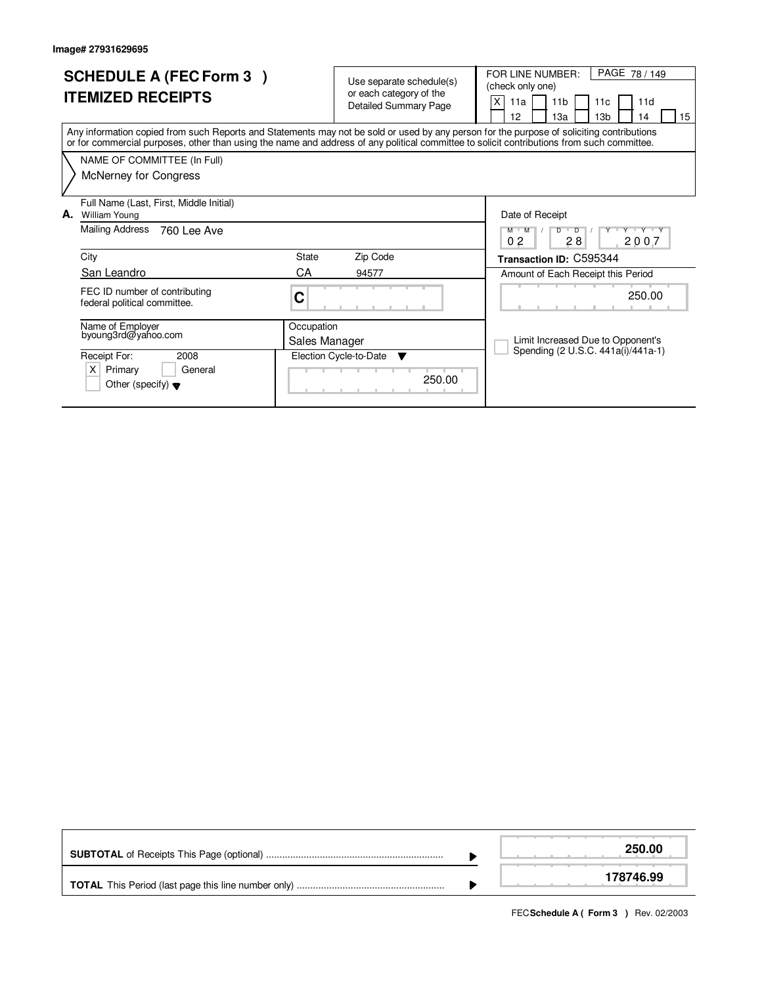| <b>SCHEDULE A (FEC Form 3)</b><br><b>ITEMIZED RECEIPTS</b>                                                                                                                                                                                                                              | Use separate schedule(s)<br>or each category of the<br><b>Detailed Summary Page</b> | PAGE 78 / 149<br>FOR LINE NUMBER:<br>(check only one)<br>X<br>11 <sub>b</sub><br>11d<br>11a<br>11 <sub>c</sub><br>13 <sub>b</sub><br>12<br>13a<br>14<br>15 |
|-----------------------------------------------------------------------------------------------------------------------------------------------------------------------------------------------------------------------------------------------------------------------------------------|-------------------------------------------------------------------------------------|------------------------------------------------------------------------------------------------------------------------------------------------------------|
| Any information copied from such Reports and Statements may not be sold or used by any person for the purpose of soliciting contributions<br>or for commercial purposes, other than using the name and address of any political committee to solicit contributions from such committee. |                                                                                     |                                                                                                                                                            |
| NAME OF COMMITTEE (In Full)                                                                                                                                                                                                                                                             |                                                                                     |                                                                                                                                                            |
| <b>McNerney for Congress</b>                                                                                                                                                                                                                                                            |                                                                                     |                                                                                                                                                            |
| Full Name (Last, First, Middle Initial)<br>А.<br><b>William Young</b>                                                                                                                                                                                                                   |                                                                                     | Date of Receipt                                                                                                                                            |
| Mailing Address<br>760 Lee Ave                                                                                                                                                                                                                                                          |                                                                                     | Y Y Y Y Y Y<br>$\overline{\phantom{a}}$<br>D<br>M M<br>0 <sub>2</sub><br>28<br>2007                                                                        |
| City                                                                                                                                                                                                                                                                                    | State<br>Zip Code                                                                   | Transaction ID: C595344                                                                                                                                    |
| San Leandro                                                                                                                                                                                                                                                                             | СA<br>94577                                                                         | Amount of Each Receipt this Period                                                                                                                         |
| FEC ID number of contributing<br>federal political committee.                                                                                                                                                                                                                           | C                                                                                   | 250.00                                                                                                                                                     |
| Name of Employer<br>byoung3rd@yahoo.com                                                                                                                                                                                                                                                 | Occupation<br>Sales Manager                                                         | Limit Increased Due to Opponent's                                                                                                                          |
| 2008<br>Receipt For:                                                                                                                                                                                                                                                                    | Election Cycle-to-Date<br>$\overline{\mathbf{v}}$                                   | Spending (2 U.S.C. 441a(i)/441a-1)                                                                                                                         |
| $\times$<br>Primary<br>General<br>Other (specify) $\blacktriangledown$                                                                                                                                                                                                                  | 250.00                                                                              |                                                                                                                                                            |

|  | 250.00    |
|--|-----------|
|  | 178746.99 |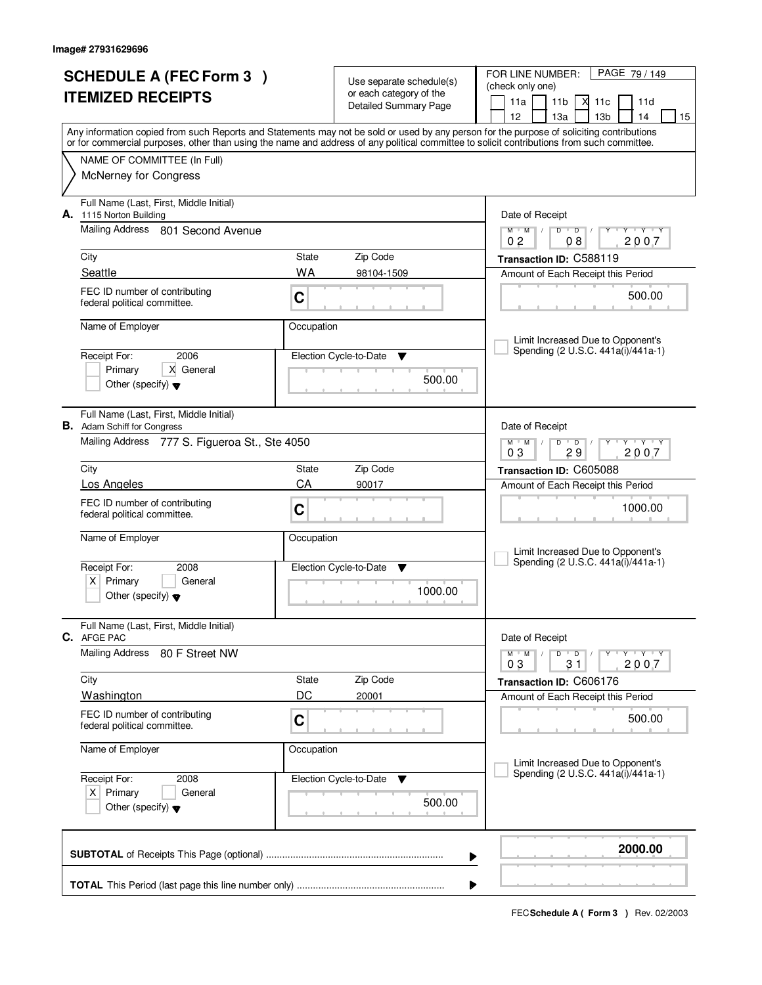|                      | <b>SCHEDULE A (FEC Form 3)</b>                                 |             |                                                     | PAGE 79 / 149<br>FOR LINE NUMBER:                                                                                                                                                                                                                                                       |  |  |
|----------------------|----------------------------------------------------------------|-------------|-----------------------------------------------------|-----------------------------------------------------------------------------------------------------------------------------------------------------------------------------------------------------------------------------------------------------------------------------------------|--|--|
|                      |                                                                |             | Use separate schedule(s)<br>or each category of the | (check only one)                                                                                                                                                                                                                                                                        |  |  |
|                      | <b>ITEMIZED RECEIPTS</b>                                       |             | <b>Detailed Summary Page</b>                        | 11a<br>11 <sub>b</sub><br>м<br>11c<br>11d                                                                                                                                                                                                                                               |  |  |
|                      |                                                                |             |                                                     | 12<br>13 <sub>b</sub><br>13a<br>14<br>15                                                                                                                                                                                                                                                |  |  |
|                      |                                                                |             |                                                     | Any information copied from such Reports and Statements may not be sold or used by any person for the purpose of soliciting contributions<br>or for commercial purposes, other than using the name and address of any political committee to solicit contributions from such committee. |  |  |
|                      | NAME OF COMMITTEE (In Full)                                    |             |                                                     |                                                                                                                                                                                                                                                                                         |  |  |
|                      | <b>McNerney for Congress</b>                                   |             |                                                     |                                                                                                                                                                                                                                                                                         |  |  |
|                      |                                                                |             |                                                     |                                                                                                                                                                                                                                                                                         |  |  |
|                      | Full Name (Last, First, Middle Initial)                        |             |                                                     |                                                                                                                                                                                                                                                                                         |  |  |
|                      | A. 1115 Norton Building<br>Mailing Address 801 Second Avenue   |             |                                                     | Date of Receipt<br>$Y$ $Y$ $Y$<br>$M$ $M$ /<br>$D$ $D$ $/$<br>Y                                                                                                                                                                                                                         |  |  |
|                      |                                                                |             |                                                     | 2007<br>0 <sub>2</sub><br>08                                                                                                                                                                                                                                                            |  |  |
|                      | City                                                           | State       | Zip Code                                            | Transaction ID: C588119                                                                                                                                                                                                                                                                 |  |  |
|                      | Seattle                                                        | WA          | 98104-1509                                          | Amount of Each Receipt this Period                                                                                                                                                                                                                                                      |  |  |
|                      | FEC ID number of contributing                                  | C           |                                                     | 500.00                                                                                                                                                                                                                                                                                  |  |  |
|                      | federal political committee.                                   |             |                                                     |                                                                                                                                                                                                                                                                                         |  |  |
|                      | Name of Employer                                               | Occupation  |                                                     |                                                                                                                                                                                                                                                                                         |  |  |
|                      |                                                                |             |                                                     | Limit Increased Due to Opponent's                                                                                                                                                                                                                                                       |  |  |
|                      | 2006<br>Receipt For:                                           |             | Election Cycle-to-Date<br>v                         | Spending (2 U.S.C. 441a(i)/441a-1)                                                                                                                                                                                                                                                      |  |  |
|                      | X General<br>Primary                                           |             | 500.00                                              |                                                                                                                                                                                                                                                                                         |  |  |
|                      | Other (specify) $\blacktriangledown$                           |             |                                                     |                                                                                                                                                                                                                                                                                         |  |  |
|                      | Full Name (Last, First, Middle Initial)                        |             |                                                     |                                                                                                                                                                                                                                                                                         |  |  |
|                      | <b>B.</b> Adam Schiff for Congress                             |             |                                                     | Date of Receipt                                                                                                                                                                                                                                                                         |  |  |
|                      | Mailing Address 777 S. Figueroa St., Ste 4050                  |             |                                                     | $M$ $M$ $/$<br>$Y - Y - Y$<br>D<br>$\overline{D}$                                                                                                                                                                                                                                       |  |  |
|                      |                                                                |             |                                                     | 03<br>29<br>2007                                                                                                                                                                                                                                                                        |  |  |
|                      | City<br>Los Angeles                                            | State<br>CA | Zip Code<br>90017                                   | Transaction ID: C605088                                                                                                                                                                                                                                                                 |  |  |
|                      |                                                                |             |                                                     | Amount of Each Receipt this Period                                                                                                                                                                                                                                                      |  |  |
|                      | FEC ID number of contributing<br>federal political committee.  | C           |                                                     | 1000.00                                                                                                                                                                                                                                                                                 |  |  |
|                      |                                                                |             |                                                     |                                                                                                                                                                                                                                                                                         |  |  |
|                      | Name of Employer                                               | Occupation  |                                                     | Limit Increased Due to Opponent's                                                                                                                                                                                                                                                       |  |  |
|                      | Receipt For:<br>2008                                           |             | Election Cycle-to-Date<br>v                         | Spending (2 U.S.C. 441a(i)/441a-1)                                                                                                                                                                                                                                                      |  |  |
|                      | Primary<br>$X \mid$<br>General                                 |             |                                                     |                                                                                                                                                                                                                                                                                         |  |  |
|                      | Other (specify) $\blacktriangledown$                           |             | 1000.00                                             |                                                                                                                                                                                                                                                                                         |  |  |
|                      |                                                                |             |                                                     |                                                                                                                                                                                                                                                                                         |  |  |
|                      | Full Name (Last, First, Middle Initial)<br>C. AFGE PAC         |             |                                                     | Date of Receipt                                                                                                                                                                                                                                                                         |  |  |
|                      | Mailing Address<br>80 F Street NW                              |             |                                                     | D<br>$M$ $M$ $/$<br>$\overline{D}$<br>$\mathsf{Y} \dashv \mathsf{Y} \dashv \mathsf{Y}$                                                                                                                                                                                                  |  |  |
|                      |                                                                |             |                                                     | 2007<br>03<br>31                                                                                                                                                                                                                                                                        |  |  |
|                      | City                                                           | State       | Zip Code                                            | Transaction ID: C606176                                                                                                                                                                                                                                                                 |  |  |
|                      | <b>Washington</b>                                              | DC          | 20001                                               | Amount of Each Receipt this Period                                                                                                                                                                                                                                                      |  |  |
|                      | FEC ID number of contributing                                  | $\mathbf C$ |                                                     | 500.00                                                                                                                                                                                                                                                                                  |  |  |
|                      | federal political committee.                                   |             |                                                     |                                                                                                                                                                                                                                                                                         |  |  |
|                      | Name of Employer                                               | Occupation  |                                                     |                                                                                                                                                                                                                                                                                         |  |  |
|                      |                                                                |             |                                                     | Limit Increased Due to Opponent's<br>Spending (2 U.S.C. 441a(i)/441a-1)                                                                                                                                                                                                                 |  |  |
| Receipt For:<br>2008 |                                                                |             | Election Cycle-to-Date<br>v                         |                                                                                                                                                                                                                                                                                         |  |  |
|                      | $X$ Primary<br>General<br>Other (specify) $\blacktriangledown$ |             | 500.00                                              |                                                                                                                                                                                                                                                                                         |  |  |
|                      |                                                                |             |                                                     |                                                                                                                                                                                                                                                                                         |  |  |
|                      |                                                                |             |                                                     |                                                                                                                                                                                                                                                                                         |  |  |
|                      |                                                                |             |                                                     | 2000.00<br>▶                                                                                                                                                                                                                                                                            |  |  |
|                      |                                                                |             |                                                     |                                                                                                                                                                                                                                                                                         |  |  |
|                      | ▶                                                              |             |                                                     |                                                                                                                                                                                                                                                                                         |  |  |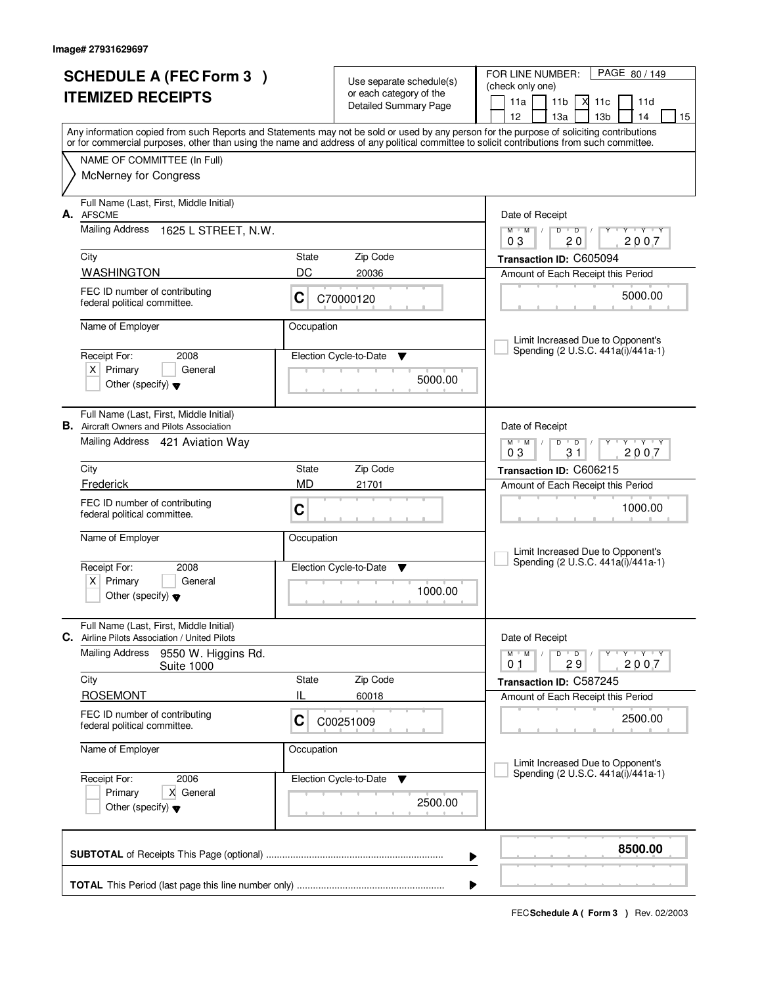|    | <b>SCHEDULE A (FEC Form 3)</b>                                                                                                             |            | Use separate schedule(s)     | PAGE 80 / 149<br>FOR LINE NUMBER:                                                                                                         |
|----|--------------------------------------------------------------------------------------------------------------------------------------------|------------|------------------------------|-------------------------------------------------------------------------------------------------------------------------------------------|
|    | <b>ITEMIZED RECEIPTS</b>                                                                                                                   |            | or each category of the      | (check only one)                                                                                                                          |
|    |                                                                                                                                            |            | <b>Detailed Summary Page</b> | 11a<br>11 <sub>b</sub><br>Х<br>11c<br>11d<br>12<br>13 <sub>b</sub><br>15<br>13a<br>14                                                     |
|    |                                                                                                                                            |            |                              | Any information copied from such Reports and Statements may not be sold or used by any person for the purpose of soliciting contributions |
|    | or for commercial purposes, other than using the name and address of any political committee to solicit contributions from such committee. |            |                              |                                                                                                                                           |
|    | NAME OF COMMITTEE (In Full)<br><b>McNerney for Congress</b>                                                                                |            |                              |                                                                                                                                           |
|    |                                                                                                                                            |            |                              |                                                                                                                                           |
| А. | Full Name (Last, First, Middle Initial)<br><b>AFSCME</b>                                                                                   |            |                              | Date of Receipt                                                                                                                           |
|    | Mailing Address<br>1625 L STREET, N.W.                                                                                                     |            |                              | $M$ $M$ /<br>$D$ $D$ $/$<br><b>TY Y Y TY</b><br>Y                                                                                         |
|    | City                                                                                                                                       | State      | Zip Code                     | 20<br>2007<br>03<br>Transaction ID: C605094                                                                                               |
|    | <b>WASHINGTON</b>                                                                                                                          | DC         | 20036                        | Amount of Each Receipt this Period                                                                                                        |
|    | FEC ID number of contributing                                                                                                              |            |                              | 5000.00                                                                                                                                   |
|    | federal political committee.                                                                                                               | C          | C70000120                    |                                                                                                                                           |
|    | Name of Employer                                                                                                                           | Occupation |                              |                                                                                                                                           |
|    | Receipt For:<br>2008                                                                                                                       |            | Election Cycle-to-Date<br>▼  | Limit Increased Due to Opponent's<br>Spending (2 U.S.C. 441a(i)/441a-1)                                                                   |
|    | $X$ Primary<br>General                                                                                                                     |            |                              |                                                                                                                                           |
|    | Other (specify) $\blacktriangledown$                                                                                                       |            | 5000.00                      |                                                                                                                                           |
|    | Full Name (Last, First, Middle Initial)                                                                                                    |            |                              |                                                                                                                                           |
|    | <b>B.</b> Aircraft Owners and Pilots Association                                                                                           |            |                              | Date of Receipt                                                                                                                           |
|    | Mailing Address 421 Aviation Way                                                                                                           |            |                              | $Y - Y - Y$<br>$M$ $M$<br>D<br>$\overline{D}$<br>31<br>2007<br>03                                                                         |
|    | City                                                                                                                                       | State      | Zip Code                     | Transaction ID: C606215                                                                                                                   |
|    | Frederick                                                                                                                                  | <b>MD</b>  | 21701                        | Amount of Each Receipt this Period                                                                                                        |
|    | FEC ID number of contributing<br>federal political committee.                                                                              | C          |                              | 1000.00                                                                                                                                   |
|    |                                                                                                                                            |            |                              |                                                                                                                                           |
|    | Name of Employer                                                                                                                           | Occupation |                              | Limit Increased Due to Opponent's                                                                                                         |
|    | Receipt For:<br>2008                                                                                                                       |            | Election Cycle-to-Date<br>▼  | Spending (2 U.S.C. 441a(i)/441a-1)                                                                                                        |
|    | $X$ Primary<br>General                                                                                                                     |            | 1000.00                      |                                                                                                                                           |
|    | Other (specify) $\blacktriangledown$                                                                                                       |            |                              |                                                                                                                                           |
|    | Full Name (Last, First, Middle Initial)                                                                                                    |            |                              |                                                                                                                                           |
|    | C. Airline Pilots Association / United Pilots<br><b>Mailing Address</b>                                                                    |            |                              | Date of Receipt                                                                                                                           |
|    | 9550 W. Higgins Rd.<br><b>Suite 1000</b>                                                                                                   |            |                              | $\mathsf D$<br>$M$ $M$ /<br>$\overline{D}$<br>Y Y Y Y<br>2007<br>29<br>01                                                                 |
|    | City                                                                                                                                       | State      | Zip Code                     | Transaction ID: C587245                                                                                                                   |
|    | <b>ROSEMONT</b>                                                                                                                            | IL         | 60018                        | Amount of Each Receipt this Period                                                                                                        |
|    | FEC ID number of contributing<br>federal political committee.                                                                              | C          | C00251009                    | 2500.00                                                                                                                                   |
|    | Name of Employer                                                                                                                           | Occupation |                              |                                                                                                                                           |
|    |                                                                                                                                            |            |                              | Limit Increased Due to Opponent's<br>Spending (2 U.S.C. 441a(i)/441a-1)                                                                   |
|    | Receipt For:<br>2006<br>X General<br>Primary                                                                                               |            | Election Cycle-to-Date<br>v  |                                                                                                                                           |
|    | Other (specify) $\blacktriangledown$                                                                                                       |            | 2500.00                      |                                                                                                                                           |
|    |                                                                                                                                            |            |                              |                                                                                                                                           |
|    |                                                                                                                                            |            |                              | 8500.00<br>▶                                                                                                                              |
|    |                                                                                                                                            |            |                              |                                                                                                                                           |
|    |                                                                                                                                            |            |                              |                                                                                                                                           |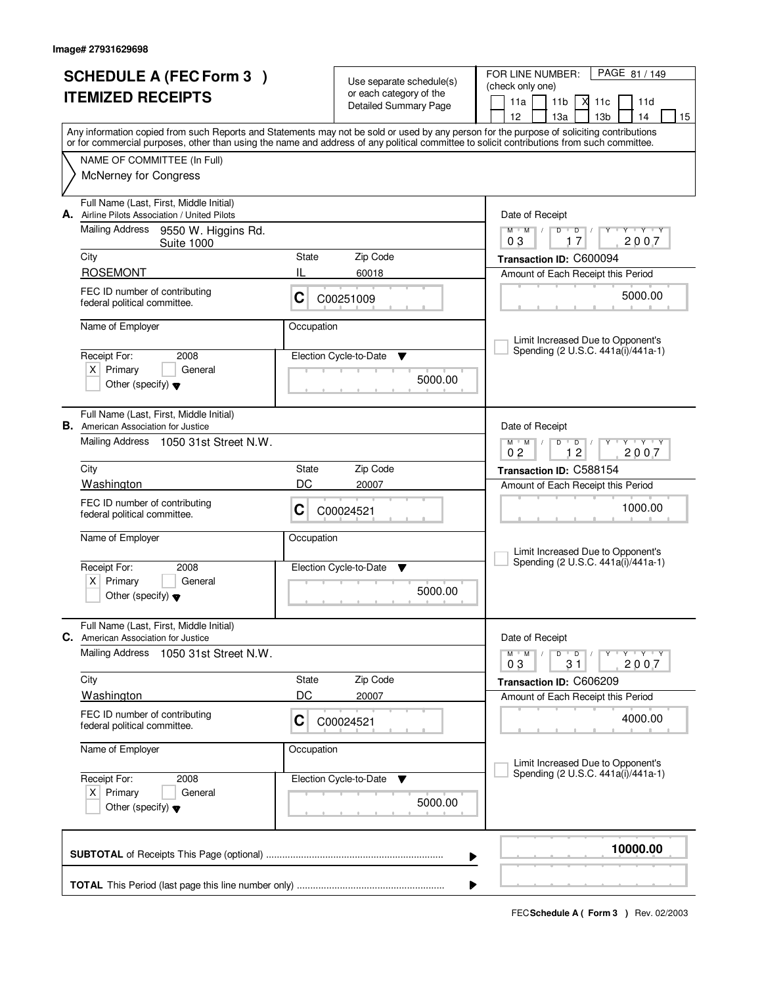|    | <b>SCHEDULE A (FEC Form 3)</b>                                                                                                                                                                                                                                                          |             |                                                     | PAGE 81 / 149<br>FOR LINE NUMBER:                                                                       |  |
|----|-----------------------------------------------------------------------------------------------------------------------------------------------------------------------------------------------------------------------------------------------------------------------------------------|-------------|-----------------------------------------------------|---------------------------------------------------------------------------------------------------------|--|
|    | <b>ITEMIZED RECEIPTS</b>                                                                                                                                                                                                                                                                |             | Use separate schedule(s)<br>or each category of the | (check only one)                                                                                        |  |
|    |                                                                                                                                                                                                                                                                                         |             | Detailed Summary Page                               | 11a<br>11 <sub>b</sub><br>М<br>11c<br>11d                                                               |  |
|    |                                                                                                                                                                                                                                                                                         |             |                                                     | 12<br>13 <sub>b</sub><br>13a<br>14<br>15                                                                |  |
|    | Any information copied from such Reports and Statements may not be sold or used by any person for the purpose of soliciting contributions<br>or for commercial purposes, other than using the name and address of any political committee to solicit contributions from such committee. |             |                                                     |                                                                                                         |  |
|    | NAME OF COMMITTEE (In Full)                                                                                                                                                                                                                                                             |             |                                                     |                                                                                                         |  |
|    | <b>McNerney for Congress</b>                                                                                                                                                                                                                                                            |             |                                                     |                                                                                                         |  |
|    | Full Name (Last, First, Middle Initial)<br>Airline Pilots Association / United Pilots                                                                                                                                                                                                   |             |                                                     |                                                                                                         |  |
| А. | Mailing Address 9550 W. Higgins Rd.                                                                                                                                                                                                                                                     |             |                                                     | Date of Receipt<br>$D^{-1}$<br>D<br>$Y - Y - Y$<br>$M$ $M$ /<br>$\sqrt{ }$                              |  |
|    | <b>Suite 1000</b>                                                                                                                                                                                                                                                                       |             |                                                     | 17<br>2007<br>03                                                                                        |  |
|    | City                                                                                                                                                                                                                                                                                    | State       | Zip Code                                            | Transaction ID: C600094                                                                                 |  |
|    | <b>ROSEMONT</b>                                                                                                                                                                                                                                                                         | IL          | 60018                                               | Amount of Each Receipt this Period                                                                      |  |
|    | FEC ID number of contributing<br>federal political committee.                                                                                                                                                                                                                           | C           | C00251009                                           | 5000.00                                                                                                 |  |
|    | Name of Employer                                                                                                                                                                                                                                                                        | Occupation  |                                                     |                                                                                                         |  |
|    |                                                                                                                                                                                                                                                                                         |             |                                                     | Limit Increased Due to Opponent's<br>Spending (2 U.S.C. 441a(i)/441a-1)                                 |  |
|    | Receipt For:<br>2008<br>$X$ Primary<br>General                                                                                                                                                                                                                                          |             | Election Cycle-to-Date<br>v                         |                                                                                                         |  |
|    | Other (specify) $\blacktriangledown$                                                                                                                                                                                                                                                    |             | 5000.00                                             |                                                                                                         |  |
|    |                                                                                                                                                                                                                                                                                         |             |                                                     |                                                                                                         |  |
|    | Full Name (Last, First, Middle Initial)<br><b>B.</b> American Association for Justice                                                                                                                                                                                                   |             |                                                     | Date of Receipt                                                                                         |  |
|    | Mailing Address 1050 31st Street N.W.                                                                                                                                                                                                                                                   |             |                                                     | $Y + Y + Y$<br>$M$ $M$ $/$<br>$D$ $D$                                                                   |  |
|    |                                                                                                                                                                                                                                                                                         |             |                                                     | 12<br>0 <sub>2</sub><br>2007                                                                            |  |
|    | City                                                                                                                                                                                                                                                                                    | State<br>DC | Zip Code                                            | Transaction ID: C588154                                                                                 |  |
|    | Washington                                                                                                                                                                                                                                                                              |             | 20007                                               | Amount of Each Receipt this Period                                                                      |  |
|    | FEC ID number of contributing<br>federal political committee.                                                                                                                                                                                                                           | С           | C00024521                                           | 1000.00                                                                                                 |  |
|    | Name of Employer                                                                                                                                                                                                                                                                        | Occupation  |                                                     |                                                                                                         |  |
|    |                                                                                                                                                                                                                                                                                         |             |                                                     | Limit Increased Due to Opponent's<br>Spending (2 U.S.C. 441a(i)/441a-1)                                 |  |
|    | Receipt For:<br>2008<br>Primary<br>$X \mid$<br>General                                                                                                                                                                                                                                  |             | Election Cycle-to-Date<br>v                         |                                                                                                         |  |
|    | Other (specify) $\blacktriangledown$                                                                                                                                                                                                                                                    |             | 5000.00                                             |                                                                                                         |  |
|    | Full Name (Last, First, Middle Initial)                                                                                                                                                                                                                                                 |             |                                                     |                                                                                                         |  |
|    | <b>C.</b> American Association for Justice<br><b>Mailing Address</b><br>1050 31st Street N.W.                                                                                                                                                                                           |             |                                                     | Date of Receipt<br>D<br>$M$ $M$ /<br>$\overline{D}$<br>$\mathsf{Y} \dashv \mathsf{Y} \dashv \mathsf{Y}$ |  |
|    |                                                                                                                                                                                                                                                                                         |             |                                                     | 2007<br>03<br>31                                                                                        |  |
|    | City                                                                                                                                                                                                                                                                                    | State       | Zip Code                                            | Transaction ID: C606209                                                                                 |  |
|    | <b>Washington</b>                                                                                                                                                                                                                                                                       | DC          | 20007                                               | Amount of Each Receipt this Period                                                                      |  |
|    | FEC ID number of contributing<br>federal political committee.                                                                                                                                                                                                                           | C           | C00024521                                           | 4000.00                                                                                                 |  |
|    | Name of Employer                                                                                                                                                                                                                                                                        | Occupation  |                                                     |                                                                                                         |  |
|    |                                                                                                                                                                                                                                                                                         |             |                                                     | Limit Increased Due to Opponent's                                                                       |  |
|    | Receipt For:<br>2008                                                                                                                                                                                                                                                                    |             | Election Cycle-to-Date<br>v                         | Spending (2 U.S.C. 441a(i)/441a-1)                                                                      |  |
|    | $X$ Primary<br>General                                                                                                                                                                                                                                                                  |             | 5000.00                                             |                                                                                                         |  |
|    | Other (specify) $\blacktriangledown$                                                                                                                                                                                                                                                    |             |                                                     |                                                                                                         |  |
|    |                                                                                                                                                                                                                                                                                         |             |                                                     | 10000.00                                                                                                |  |
|    |                                                                                                                                                                                                                                                                                         |             |                                                     | ▶                                                                                                       |  |
|    |                                                                                                                                                                                                                                                                                         |             |                                                     |                                                                                                         |  |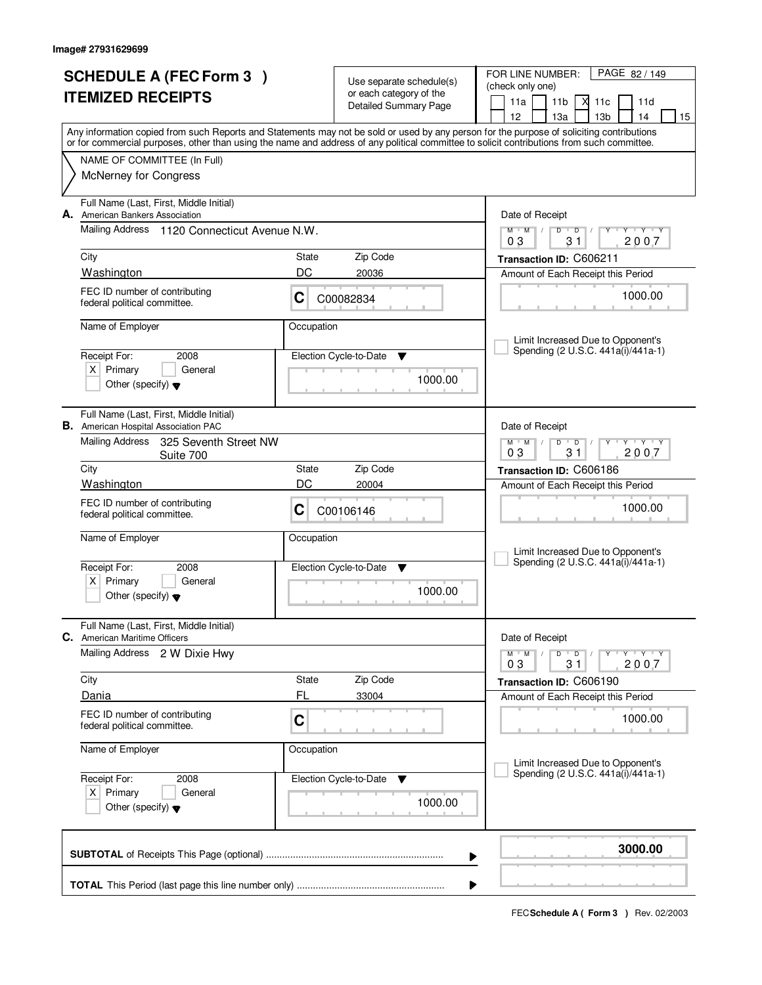| <b>SCHEDULE A (FEC Form 3)</b><br><b>ITEMIZED RECEIPTS</b> |                                                                                        |                          | Use separate schedule(s)<br>or each category of the | PAGE 82/149<br>FOR LINE NUMBER:<br>(check only one)<br>11a<br>11 <sub>b</sub><br>М<br>11c<br>11d                                                                                                                                                                                        |  |  |
|------------------------------------------------------------|----------------------------------------------------------------------------------------|--------------------------|-----------------------------------------------------|-----------------------------------------------------------------------------------------------------------------------------------------------------------------------------------------------------------------------------------------------------------------------------------------|--|--|
|                                                            |                                                                                        |                          | <b>Detailed Summary Page</b>                        | 12<br>13 <sub>b</sub><br>13a<br>14<br>15                                                                                                                                                                                                                                                |  |  |
|                                                            |                                                                                        |                          |                                                     | Any information copied from such Reports and Statements may not be sold or used by any person for the purpose of soliciting contributions<br>or for commercial purposes, other than using the name and address of any political committee to solicit contributions from such committee. |  |  |
|                                                            | NAME OF COMMITTEE (In Full)                                                            |                          |                                                     |                                                                                                                                                                                                                                                                                         |  |  |
|                                                            | <b>McNerney for Congress</b>                                                           |                          |                                                     |                                                                                                                                                                                                                                                                                         |  |  |
|                                                            | Full Name (Last, First, Middle Initial)<br>A. American Bankers Association             |                          |                                                     | Date of Receipt                                                                                                                                                                                                                                                                         |  |  |
|                                                            | Mailing Address 1120 Connecticut Avenue N.W.                                           |                          |                                                     | $M$ $M$<br>$D$ $D$<br>$Y - Y - Y$<br>$\perp$<br>31<br>2007<br>03                                                                                                                                                                                                                        |  |  |
|                                                            | City                                                                                   | State                    | Zip Code                                            | Transaction ID: C606211                                                                                                                                                                                                                                                                 |  |  |
|                                                            | Washington                                                                             | DC                       | 20036                                               | Amount of Each Receipt this Period                                                                                                                                                                                                                                                      |  |  |
|                                                            | FEC ID number of contributing<br>C<br>federal political committee.                     |                          | C00082834                                           | 1000.00                                                                                                                                                                                                                                                                                 |  |  |
|                                                            | Name of Employer                                                                       | Occupation               |                                                     | Limit Increased Due to Opponent's                                                                                                                                                                                                                                                       |  |  |
|                                                            | Receipt For:<br>2008                                                                   |                          | Election Cycle-to-Date<br>v                         | Spending (2 U.S.C. 441a(i)/441a-1)                                                                                                                                                                                                                                                      |  |  |
|                                                            | $X$ Primary<br>General<br>Other (specify) $\blacktriangledown$                         |                          | 1000.00                                             |                                                                                                                                                                                                                                                                                         |  |  |
|                                                            | Full Name (Last, First, Middle Initial)<br><b>B.</b> American Hospital Association PAC |                          |                                                     | Date of Receipt                                                                                                                                                                                                                                                                         |  |  |
|                                                            | Mailing Address<br>325 Seventh Street NW<br>Suite 700                                  |                          |                                                     | $\mathsf{L} \mathsf{Y} \mathsf{L} \mathsf{Y} \mathsf{Y} \mathsf{Y}$<br>$M$ $M$<br>$D$ $D$<br>03<br>31<br>2007                                                                                                                                                                           |  |  |
|                                                            | City                                                                                   | State                    | Zip Code                                            | Transaction ID: C606186                                                                                                                                                                                                                                                                 |  |  |
|                                                            | Washington                                                                             | DC                       | 20004                                               | Amount of Each Receipt this Period                                                                                                                                                                                                                                                      |  |  |
|                                                            | FEC ID number of contributing<br>federal political committee.                          | C                        | C00106146                                           | 1000.00                                                                                                                                                                                                                                                                                 |  |  |
|                                                            | Name of Employer                                                                       | Occupation               |                                                     |                                                                                                                                                                                                                                                                                         |  |  |
|                                                            | Receipt For:<br>2008                                                                   | Election Cycle-to-Date ▼ |                                                     | Limit Increased Due to Opponent's<br>Spending (2 U.S.C. 441a(i)/441a-1)                                                                                                                                                                                                                 |  |  |
|                                                            | $\times$<br>Primary<br>General                                                         |                          |                                                     |                                                                                                                                                                                                                                                                                         |  |  |
|                                                            | Other (specify) $\blacktriangledown$                                                   |                          | 1000.00                                             |                                                                                                                                                                                                                                                                                         |  |  |
|                                                            | Full Name (Last, First, Middle Initial)<br><b>C.</b> American Maritime Officers        |                          |                                                     | Date of Receipt                                                                                                                                                                                                                                                                         |  |  |
|                                                            | Mailing Address 2 W Dixie Hwy                                                          |                          |                                                     | $M = M$<br>$D$ $D$ $I$<br>$\mathsf{Y} \dashv \mathsf{Y} \dashv \mathsf{Y}$<br>2007<br>03<br>31                                                                                                                                                                                          |  |  |
|                                                            | City                                                                                   | State                    | Zip Code                                            | Transaction ID: C606190                                                                                                                                                                                                                                                                 |  |  |
|                                                            | Dania                                                                                  | FL                       | 33004                                               | Amount of Each Receipt this Period                                                                                                                                                                                                                                                      |  |  |
|                                                            | FEC ID number of contributing<br>federal political committee.                          | $\mathbf C$              |                                                     | 1000.00                                                                                                                                                                                                                                                                                 |  |  |
|                                                            | Name of Employer                                                                       | Occupation               |                                                     | Limit Increased Due to Opponent's                                                                                                                                                                                                                                                       |  |  |
|                                                            | Receipt For:<br>2008                                                                   |                          | Election Cycle-to-Date<br>v                         | Spending (2 U.S.C. 441a(i)/441a-1)                                                                                                                                                                                                                                                      |  |  |
|                                                            | $X$ Primary<br>General<br>Other (specify) $\blacktriangledown$                         |                          | 1000.00                                             |                                                                                                                                                                                                                                                                                         |  |  |
|                                                            |                                                                                        |                          |                                                     | 3000.00<br>▶                                                                                                                                                                                                                                                                            |  |  |
|                                                            |                                                                                        |                          |                                                     |                                                                                                                                                                                                                                                                                         |  |  |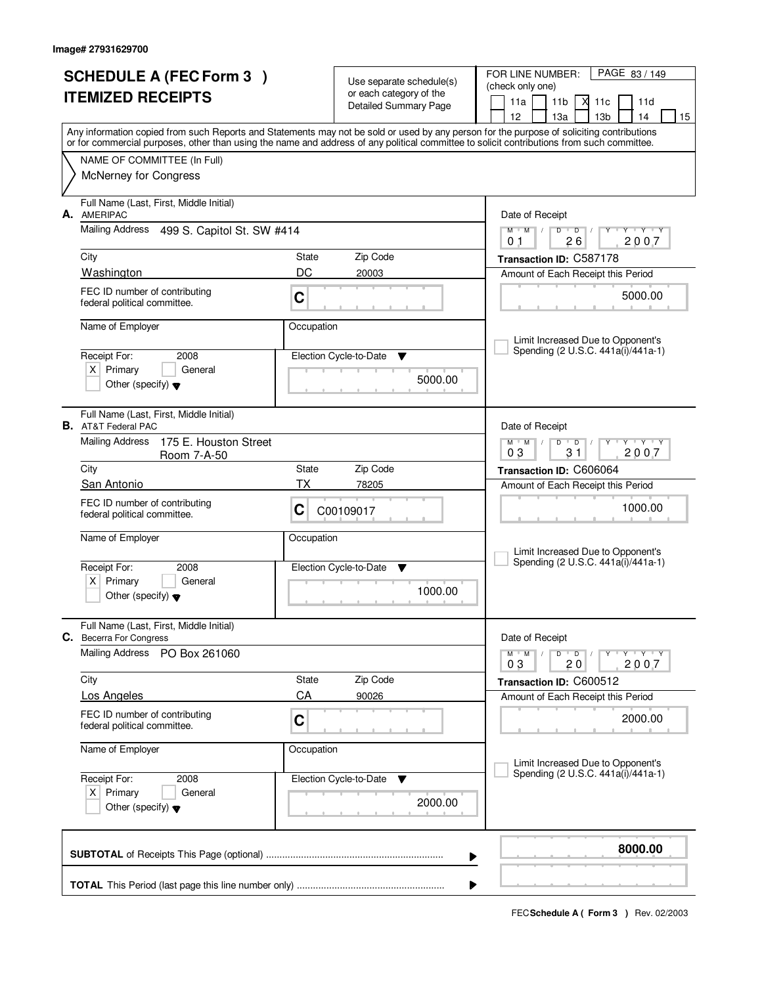| <b>SCHEDULE A (FEC Form 3)</b><br><b>ITEMIZED RECEIPTS</b> |                                                                                                                    |                    | Use separate schedule(s)<br>or each category of the<br>Detailed Summary Page | FOR LINE NUMBER:<br>PAGE 83/149<br>(check only one)<br>11a<br>11 <sub>b</sub><br>X<br>11c<br>11d                                                                                                                                                                                                                                    |
|------------------------------------------------------------|--------------------------------------------------------------------------------------------------------------------|--------------------|------------------------------------------------------------------------------|-------------------------------------------------------------------------------------------------------------------------------------------------------------------------------------------------------------------------------------------------------------------------------------------------------------------------------------|
|                                                            |                                                                                                                    |                    |                                                                              | 12<br>13a<br>13 <sub>b</sub><br>14<br>15<br>Any information copied from such Reports and Statements may not be sold or used by any person for the purpose of soliciting contributions<br>or for commercial purposes, other than using the name and address of any political committee to solicit contributions from such committee. |
|                                                            | NAME OF COMMITTEE (In Full)<br>McNerney for Congress                                                               |                    |                                                                              |                                                                                                                                                                                                                                                                                                                                     |
| А.                                                         | Full Name (Last, First, Middle Initial)<br><b>AMERIPAC</b>                                                         |                    |                                                                              | Date of Receipt                                                                                                                                                                                                                                                                                                                     |
|                                                            | Mailing Address 499 S. Capitol St. SW #414                                                                         |                    |                                                                              | $M$ $M$<br>$\overline{D}$<br>Y TY Y Y<br>D<br>2007<br>26<br>0 <sub>1</sub>                                                                                                                                                                                                                                                          |
|                                                            | City<br>Washington                                                                                                 | State<br>DC        | Zip Code<br>20003                                                            | Transaction ID: C587178<br>Amount of Each Receipt this Period                                                                                                                                                                                                                                                                       |
|                                                            | FEC ID number of contributing<br>federal political committee.                                                      | C                  |                                                                              | 5000.00                                                                                                                                                                                                                                                                                                                             |
|                                                            | Name of Employer                                                                                                   | Occupation         |                                                                              | Limit Increased Due to Opponent's                                                                                                                                                                                                                                                                                                   |
|                                                            | Receipt For:<br>2008<br>$X$ Primary<br>General<br>Other (specify) $\blacktriangledown$                             |                    | Election Cycle-to-Date<br>v<br>5000.00                                       | Spending (2 U.S.C. 441a(i)/441a-1)                                                                                                                                                                                                                                                                                                  |
|                                                            | Full Name (Last, First, Middle Initial)<br><b>B.</b> AT&T Federal PAC                                              |                    |                                                                              | Date of Receipt                                                                                                                                                                                                                                                                                                                     |
|                                                            | <b>Mailing Address</b><br>175 E. Houston Street<br>Room 7-A-50                                                     |                    |                                                                              | $Y$ $Y$ $Y$<br>$M$ $M$ /<br>D<br>$\overline{D}$<br>03<br>31<br>2007                                                                                                                                                                                                                                                                 |
|                                                            | City<br>San Antonio                                                                                                | State<br>ТX        | Zip Code<br>78205                                                            | Transaction ID: C606064<br>Amount of Each Receipt this Period                                                                                                                                                                                                                                                                       |
|                                                            | FEC ID number of contributing<br>federal political committee.                                                      | C                  | C00109017                                                                    | 1000.00                                                                                                                                                                                                                                                                                                                             |
|                                                            | Name of Employer<br>Receipt For:<br>2008<br>$x \mid$<br>Primary<br>General<br>Other (specify) $\blacktriangledown$ | Occupation         | Election Cycle-to-Date<br>▼<br>1000.00                                       | Limit Increased Due to Opponent's<br>Spending (2 U.S.C. 441a(i)/441a-1)                                                                                                                                                                                                                                                             |
|                                                            | Full Name (Last, First, Middle Initial)<br>C. Becerra For Congress                                                 |                    |                                                                              | Date of Receipt                                                                                                                                                                                                                                                                                                                     |
|                                                            | Mailing Address<br>PO Box 261060                                                                                   |                    |                                                                              | $D$ $D$ $I$<br>$Y - Y - Y - Y$<br>$M$ $M$ /<br>2007<br>03<br>20                                                                                                                                                                                                                                                                     |
|                                                            | City                                                                                                               | <b>State</b><br>CA | Zip Code                                                                     | Transaction ID: C600512                                                                                                                                                                                                                                                                                                             |
|                                                            | <b>Los Angeles</b><br>FEC ID number of contributing<br>federal political committee.                                | C                  | 90026                                                                        | Amount of Each Receipt this Period<br>2000.00                                                                                                                                                                                                                                                                                       |
|                                                            | Name of Employer                                                                                                   | Occupation         |                                                                              | Limit Increased Due to Opponent's                                                                                                                                                                                                                                                                                                   |
|                                                            | Receipt For:<br>2008<br>$X$ Primary<br>General<br>Other (specify) $\blacktriangledown$                             |                    | Election Cycle-to-Date<br>v<br>2000.00                                       | Spending (2 U.S.C. 441a(i)/441a-1)                                                                                                                                                                                                                                                                                                  |
|                                                            |                                                                                                                    |                    |                                                                              | 8000.00<br>▶                                                                                                                                                                                                                                                                                                                        |
|                                                            |                                                                                                                    |                    |                                                                              |                                                                                                                                                                                                                                                                                                                                     |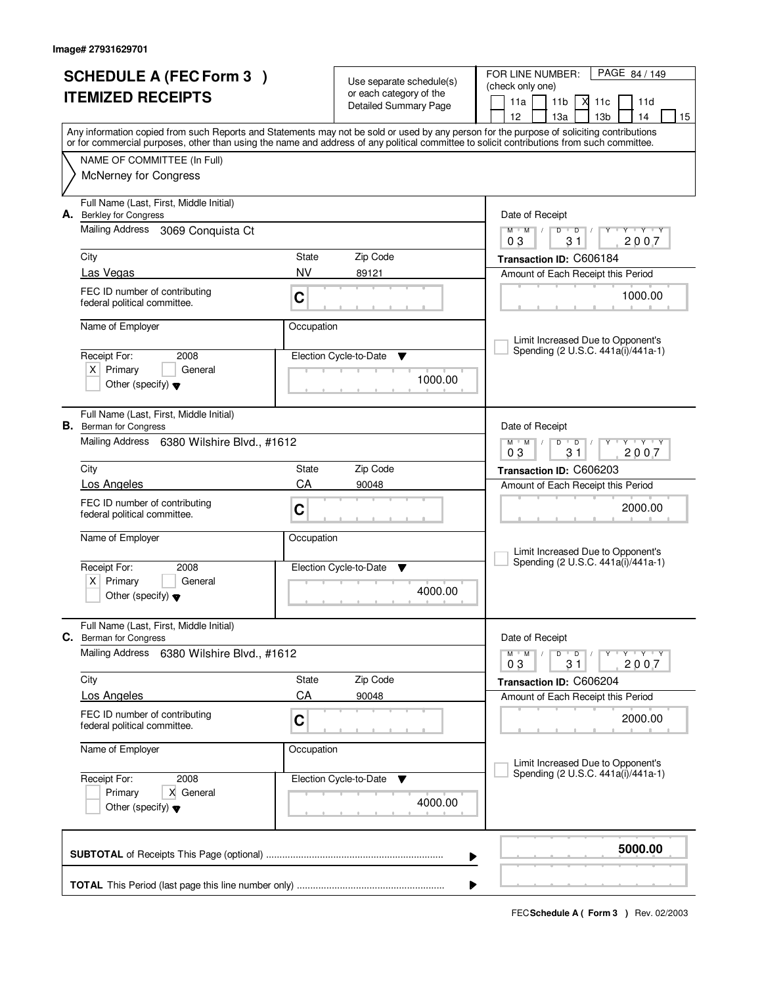|    | <b>SCHEDULE A (FEC Form 3)</b>                                           |                             | Use separate schedule(s)    | PAGE 84 / 149<br>FOR LINE NUMBER:                                                                                                                                                                                                                                                       |  |  |  |  |
|----|--------------------------------------------------------------------------|-----------------------------|-----------------------------|-----------------------------------------------------------------------------------------------------------------------------------------------------------------------------------------------------------------------------------------------------------------------------------------|--|--|--|--|
|    | <b>ITEMIZED RECEIPTS</b>                                                 |                             | or each category of the     | (check only one)<br>11a<br>11 <sub>b</sub><br>Х<br>11c<br>11d                                                                                                                                                                                                                           |  |  |  |  |
|    |                                                                          |                             | Detailed Summary Page       | 13 <sub>b</sub><br>15<br>12<br>13a<br>14                                                                                                                                                                                                                                                |  |  |  |  |
|    |                                                                          |                             |                             | Any information copied from such Reports and Statements may not be sold or used by any person for the purpose of soliciting contributions<br>or for commercial purposes, other than using the name and address of any political committee to solicit contributions from such committee. |  |  |  |  |
|    | NAME OF COMMITTEE (In Full)                                              |                             |                             |                                                                                                                                                                                                                                                                                         |  |  |  |  |
|    | <b>McNerney for Congress</b>                                             |                             |                             |                                                                                                                                                                                                                                                                                         |  |  |  |  |
| А. | Full Name (Last, First, Middle Initial)<br><b>Berkley for Congress</b>   |                             |                             | Date of Receipt                                                                                                                                                                                                                                                                         |  |  |  |  |
|    | Mailing Address 3069 Conquista Ct                                        |                             |                             | $M$ $M$ /<br>$D$ $D$ $/$<br>$Y + Y + Y + Y$<br>31<br>2007<br>03                                                                                                                                                                                                                         |  |  |  |  |
|    | City                                                                     | State                       | Zip Code                    | Transaction ID: C606184                                                                                                                                                                                                                                                                 |  |  |  |  |
|    | Las Vegas                                                                | <b>NV</b>                   | 89121                       | Amount of Each Receipt this Period                                                                                                                                                                                                                                                      |  |  |  |  |
|    | FEC ID number of contributing<br>federal political committee.            | C                           |                             | 1000.00                                                                                                                                                                                                                                                                                 |  |  |  |  |
|    | Name of Employer                                                         | Occupation                  |                             |                                                                                                                                                                                                                                                                                         |  |  |  |  |
|    |                                                                          |                             |                             | Limit Increased Due to Opponent's<br>Spending (2 U.S.C. 441a(i)/441a-1)                                                                                                                                                                                                                 |  |  |  |  |
|    | Receipt For:<br>2008                                                     |                             | Election Cycle-to-Date<br>▼ |                                                                                                                                                                                                                                                                                         |  |  |  |  |
|    | $X$ Primary<br>General<br>Other (specify) $\blacktriangledown$           |                             | 1000.00                     |                                                                                                                                                                                                                                                                                         |  |  |  |  |
|    |                                                                          |                             |                             |                                                                                                                                                                                                                                                                                         |  |  |  |  |
|    | Full Name (Last, First, Middle Initial)<br><b>B.</b> Berman for Congress |                             |                             | Date of Receipt                                                                                                                                                                                                                                                                         |  |  |  |  |
|    | Mailing Address 6380 Wilshire Blvd., #1612                               |                             |                             | $M$ M<br>D<br>$\overline{D}$<br>Y 'Y 'Y                                                                                                                                                                                                                                                 |  |  |  |  |
|    | City                                                                     | State                       | Zip Code                    | 31<br>2007<br>03                                                                                                                                                                                                                                                                        |  |  |  |  |
|    | Los Angeles                                                              | CA                          | 90048                       | Transaction ID: C606203<br>Amount of Each Receipt this Period                                                                                                                                                                                                                           |  |  |  |  |
|    | FEC ID number of contributing                                            |                             |                             |                                                                                                                                                                                                                                                                                         |  |  |  |  |
|    | federal political committee.                                             | C                           |                             | 2000.00                                                                                                                                                                                                                                                                                 |  |  |  |  |
|    | Name of Employer                                                         | Occupation                  |                             |                                                                                                                                                                                                                                                                                         |  |  |  |  |
|    |                                                                          |                             |                             | Limit Increased Due to Opponent's                                                                                                                                                                                                                                                       |  |  |  |  |
|    | Receipt For:<br>2008                                                     | Election Cycle-to-Date<br>▼ |                             | Spending (2 U.S.C. 441a(i)/441a-1)                                                                                                                                                                                                                                                      |  |  |  |  |
|    | Primary<br>X  <br>General<br>Other (specify) $\blacktriangledown$        |                             | 4000.00                     |                                                                                                                                                                                                                                                                                         |  |  |  |  |
|    | Full Name (Last, First, Middle Initial)                                  |                             |                             |                                                                                                                                                                                                                                                                                         |  |  |  |  |
|    | C. Berman for Congress                                                   |                             |                             | Date of Receipt                                                                                                                                                                                                                                                                         |  |  |  |  |
|    | Mailing Address<br>6380 Wilshire Blvd., #1612                            |                             |                             | $\mathsf D$<br>M<br>$\overline{D}$<br>M<br>Y Y Y Y<br>Υ<br>2007<br>03<br>31                                                                                                                                                                                                             |  |  |  |  |
|    | City                                                                     | State                       | Zip Code                    | Transaction ID: C606204                                                                                                                                                                                                                                                                 |  |  |  |  |
|    | <b>Los Angeles</b>                                                       | CA                          | 90048                       | Amount of Each Receipt this Period                                                                                                                                                                                                                                                      |  |  |  |  |
|    | FEC ID number of contributing<br>federal political committee.            | C                           |                             | 2000.00                                                                                                                                                                                                                                                                                 |  |  |  |  |
|    | Name of Employer                                                         | Occupation                  |                             |                                                                                                                                                                                                                                                                                         |  |  |  |  |
|    |                                                                          |                             |                             | Limit Increased Due to Opponent's<br>Spending (2 U.S.C. 441a(i)/441a-1)                                                                                                                                                                                                                 |  |  |  |  |
|    | Receipt For:<br>2008<br>X General<br>Primary                             |                             | Election Cycle-to-Date<br>v |                                                                                                                                                                                                                                                                                         |  |  |  |  |
|    | Other (specify) $\blacktriangledown$                                     |                             | 4000.00                     |                                                                                                                                                                                                                                                                                         |  |  |  |  |
|    |                                                                          |                             |                             |                                                                                                                                                                                                                                                                                         |  |  |  |  |
|    |                                                                          |                             |                             | 5000.00<br>▶                                                                                                                                                                                                                                                                            |  |  |  |  |
|    |                                                                          |                             |                             |                                                                                                                                                                                                                                                                                         |  |  |  |  |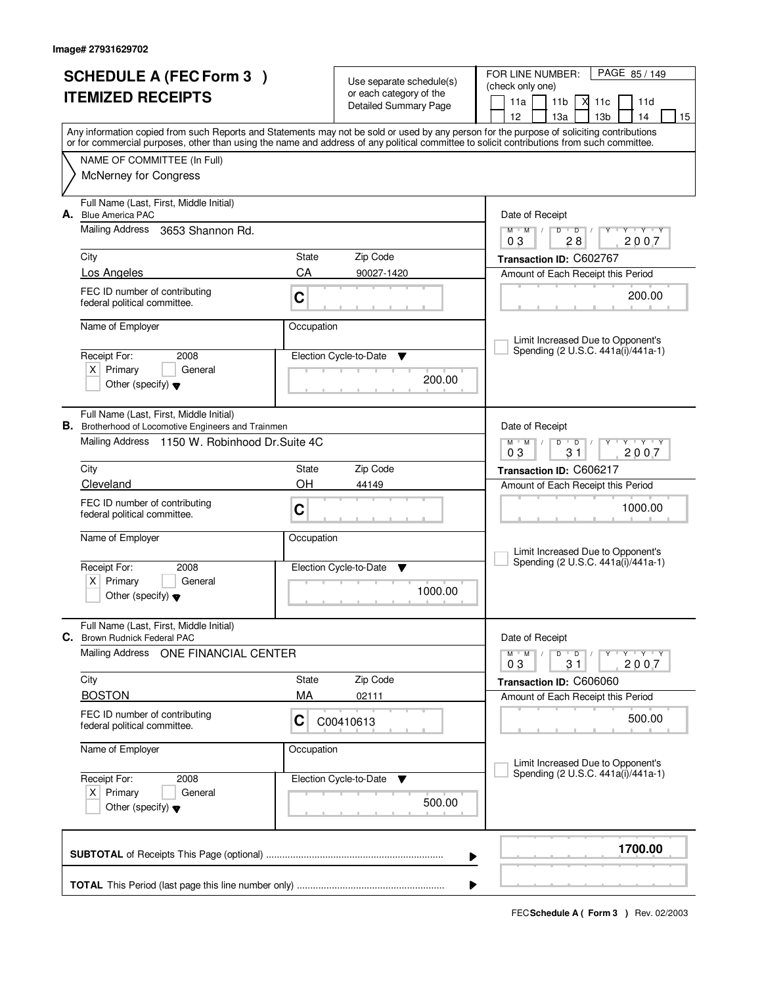|                          | <b>SCHEDULE A (FEC Form 3)</b>                                                                        |            |                                                     | PAGE 85 / 149<br>FOR LINE NUMBER:                                                                                                                                                     |  |  |  |
|--------------------------|-------------------------------------------------------------------------------------------------------|------------|-----------------------------------------------------|---------------------------------------------------------------------------------------------------------------------------------------------------------------------------------------|--|--|--|
| <b>ITEMIZED RECEIPTS</b> |                                                                                                       |            | Use separate schedule(s)<br>or each category of the | (check only one)                                                                                                                                                                      |  |  |  |
|                          |                                                                                                       |            | <b>Detailed Summary Page</b>                        | 11a<br>11 <sub>b</sub><br>Х<br>11c<br>11d                                                                                                                                             |  |  |  |
|                          |                                                                                                       |            |                                                     | 12<br>13 <sub>b</sub><br>15<br>13a<br>14<br>Any information copied from such Reports and Statements may not be sold or used by any person for the purpose of soliciting contributions |  |  |  |
|                          |                                                                                                       |            |                                                     | or for commercial purposes, other than using the name and address of any political committee to solicit contributions from such committee.                                            |  |  |  |
|                          | NAME OF COMMITTEE (In Full)                                                                           |            |                                                     |                                                                                                                                                                                       |  |  |  |
|                          | <b>McNerney for Congress</b>                                                                          |            |                                                     |                                                                                                                                                                                       |  |  |  |
| А.                       | Full Name (Last, First, Middle Initial)<br><b>Blue America PAC</b>                                    |            |                                                     | Date of Receipt                                                                                                                                                                       |  |  |  |
|                          | Mailing Address<br>3653 Shannon Rd.                                                                   |            |                                                     | $M$ $M$ /<br>$D$ $D$ $/$<br><b>TY TY TY</b><br>Y<br>28<br>2007<br>03                                                                                                                  |  |  |  |
|                          | City                                                                                                  | State      | Zip Code                                            | Transaction ID: C602767                                                                                                                                                               |  |  |  |
|                          | Los Angeles                                                                                           | CA         | 90027-1420                                          | Amount of Each Receipt this Period                                                                                                                                                    |  |  |  |
|                          | FEC ID number of contributing<br>federal political committee.                                         | C          |                                                     | 200.00                                                                                                                                                                                |  |  |  |
|                          | Name of Employer                                                                                      | Occupation |                                                     | Limit Increased Due to Opponent's                                                                                                                                                     |  |  |  |
|                          | Receipt For:<br>2008                                                                                  |            | Election Cycle-to-Date<br>▼                         | Spending (2 U.S.C. 441a(i)/441a-1)                                                                                                                                                    |  |  |  |
|                          | $X$ Primary<br>General                                                                                |            | 200.00                                              |                                                                                                                                                                                       |  |  |  |
|                          | Other (specify) $\blacktriangledown$                                                                  |            |                                                     |                                                                                                                                                                                       |  |  |  |
|                          | Full Name (Last, First, Middle Initial)<br><b>B.</b> Brotherhood of Locomotive Engineers and Trainmen |            |                                                     | Date of Receipt                                                                                                                                                                       |  |  |  |
|                          | Mailing Address 1150 W. Robinhood Dr. Suite 4C                                                        |            | Zip Code                                            | $Y - Y - Y$<br>$M$ $M$<br>D<br>$\overline{D}$<br>31<br>2007<br>03                                                                                                                     |  |  |  |
|                          | City                                                                                                  | State      |                                                     | Transaction ID: C606217                                                                                                                                                               |  |  |  |
|                          | Cleveland                                                                                             | OH         | 44149                                               | Amount of Each Receipt this Period                                                                                                                                                    |  |  |  |
|                          | FEC ID number of contributing<br>federal political committee.                                         | C          |                                                     | 1000.00                                                                                                                                                                               |  |  |  |
|                          | Name of Employer                                                                                      | Occupation |                                                     | Limit Increased Due to Opponent's                                                                                                                                                     |  |  |  |
|                          | Receipt For:<br>2008                                                                                  |            | Election Cycle-to-Date<br>▼                         | Spending (2 U.S.C. 441a(i)/441a-1)                                                                                                                                                    |  |  |  |
|                          | $X$ Primary<br>General<br>Other (specify) $\blacktriangledown$                                        |            | 1000.00                                             |                                                                                                                                                                                       |  |  |  |
|                          | Full Name (Last, First, Middle Initial)<br>C. Brown Rudnick Federal PAC                               |            |                                                     | Date of Receipt                                                                                                                                                                       |  |  |  |
|                          | Mailing Address ONE FINANCIAL CENTER                                                                  |            |                                                     | $\mathsf D$<br>$M$ /<br>$\overline{D}$<br>$M$ <sup><math>+</math></sup><br>Y Y Y Y<br>2007<br>03<br>31                                                                                |  |  |  |
|                          | City                                                                                                  | State      | Zip Code                                            | Transaction ID: C606060                                                                                                                                                               |  |  |  |
|                          | <b>BOSTON</b>                                                                                         | МA         | 02111                                               | Amount of Each Receipt this Period                                                                                                                                                    |  |  |  |
|                          | FEC ID number of contributing<br>federal political committee.                                         | C          | C00410613                                           | 500.00                                                                                                                                                                                |  |  |  |
|                          | Name of Employer                                                                                      | Occupation |                                                     | Limit Increased Due to Opponent's                                                                                                                                                     |  |  |  |
|                          | Receipt For:<br>2008                                                                                  |            | Election Cycle-to-Date<br>v                         | Spending (2 U.S.C. 441a(i)/441a-1)                                                                                                                                                    |  |  |  |
|                          | $X$ Primary<br>General<br>Other (specify) $\blacktriangledown$                                        |            | 500.00                                              |                                                                                                                                                                                       |  |  |  |
|                          |                                                                                                       |            |                                                     | 1700.00<br>▶                                                                                                                                                                          |  |  |  |
|                          |                                                                                                       |            |                                                     | ▶                                                                                                                                                                                     |  |  |  |
|                          |                                                                                                       |            |                                                     |                                                                                                                                                                                       |  |  |  |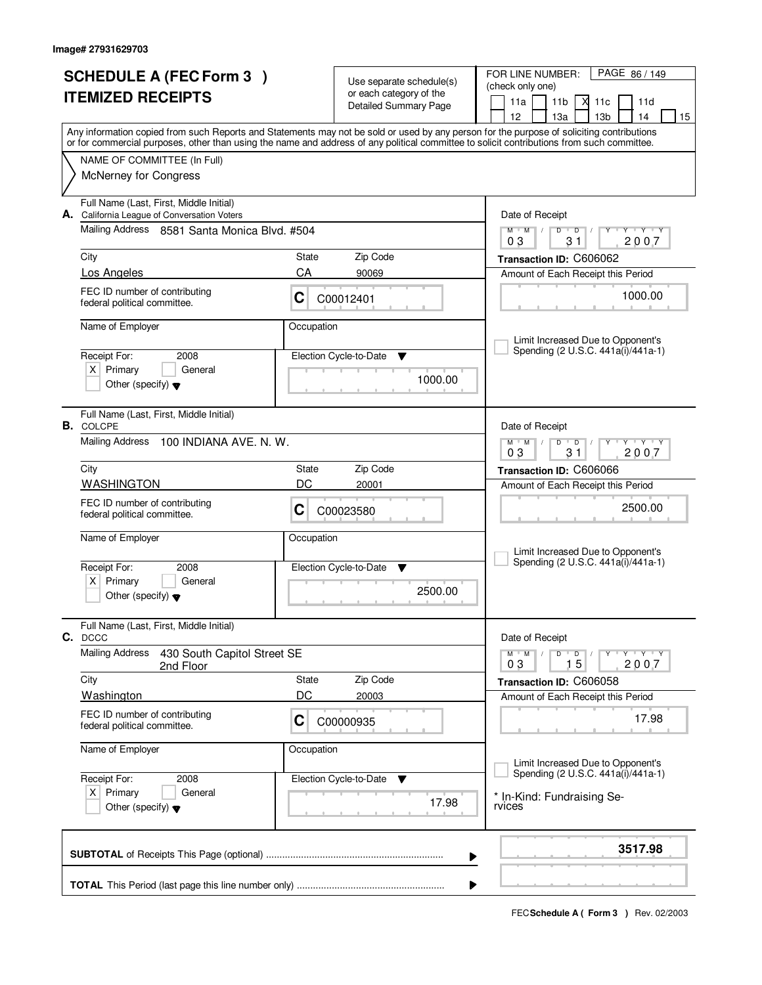| <b>SCHEDULE A (FEC Form 3)</b><br><b>ITEMIZED RECEIPTS</b> |                                                                                                          |             | Use separate schedule(s)<br>or each category of the<br><b>Detailed Summary Page</b> | PAGE 86 / 149<br>FOR LINE NUMBER:<br>(check only one)<br>11 <sub>b</sub><br>$X$ 11 $c$<br>11a<br>11d                                                                                                                                                                                                                                |  |  |
|------------------------------------------------------------|----------------------------------------------------------------------------------------------------------|-------------|-------------------------------------------------------------------------------------|-------------------------------------------------------------------------------------------------------------------------------------------------------------------------------------------------------------------------------------------------------------------------------------------------------------------------------------|--|--|
|                                                            |                                                                                                          |             |                                                                                     | 12<br>13 <sub>b</sub><br>13a<br>14<br>15<br>Any information copied from such Reports and Statements may not be sold or used by any person for the purpose of soliciting contributions<br>or for commercial purposes, other than using the name and address of any political committee to solicit contributions from such committee. |  |  |
|                                                            | NAME OF COMMITTEE (In Full)<br><b>McNerney for Congress</b>                                              |             |                                                                                     |                                                                                                                                                                                                                                                                                                                                     |  |  |
|                                                            | Full Name (Last, First, Middle Initial)<br>A. California League of Conversation Voters                   |             |                                                                                     | Date of Receipt                                                                                                                                                                                                                                                                                                                     |  |  |
|                                                            | Mailing Address 8581 Santa Monica Blvd. #504                                                             |             |                                                                                     | $Y + Y + Y + Y$<br>$M$ $M$<br>$D$ $D$ $1$<br>2007<br>03<br>31                                                                                                                                                                                                                                                                       |  |  |
|                                                            | City                                                                                                     | State       | Zip Code                                                                            | Transaction ID: C606062                                                                                                                                                                                                                                                                                                             |  |  |
|                                                            | Los Angeles<br>FEC ID number of contributing<br>federal political committee.                             | CA<br>C     | 90069<br>C00012401                                                                  | Amount of Each Receipt this Period<br>1000.00                                                                                                                                                                                                                                                                                       |  |  |
|                                                            | Name of Employer                                                                                         | Occupation  |                                                                                     | Limit Increased Due to Opponent's                                                                                                                                                                                                                                                                                                   |  |  |
|                                                            | Receipt For:<br>2008<br>$X$ Primary<br>General<br>Other (specify) $\blacktriangledown$                   |             | Election Cycle-to-Date<br>▼<br>1000.00                                              | Spending (2 U.S.C. 441a(i)/441a-1)                                                                                                                                                                                                                                                                                                  |  |  |
|                                                            | Full Name (Last, First, Middle Initial)<br><b>B.</b> COLCPE<br>Mailing Address<br>100 INDIANA AVE. N. W. |             |                                                                                     | Date of Receipt<br>$T - Y - T Y$<br>$M$ M<br>D<br>$\overline{D}$                                                                                                                                                                                                                                                                    |  |  |
|                                                            | City                                                                                                     | State       | Zip Code                                                                            | 31<br>2007<br>03<br>Transaction ID: C606066                                                                                                                                                                                                                                                                                         |  |  |
|                                                            | <b>WASHINGTON</b>                                                                                        | DC          | 20001                                                                               | Amount of Each Receipt this Period                                                                                                                                                                                                                                                                                                  |  |  |
|                                                            | FEC ID number of contributing<br>federal political committee.                                            | С           | C00023580                                                                           | 2500.00                                                                                                                                                                                                                                                                                                                             |  |  |
|                                                            | Name of Employer                                                                                         | Occupation  |                                                                                     | Limit Increased Due to Opponent's<br>Spending (2 U.S.C. 441a(i)/441a-1)                                                                                                                                                                                                                                                             |  |  |
|                                                            | Receipt For:<br>2008<br>Primary<br>ΧI<br>General<br>Other (specify) $\blacktriangledown$                 |             | Election Cycle-to-Date<br><b>V</b><br>2500.00                                       |                                                                                                                                                                                                                                                                                                                                     |  |  |
|                                                            | Full Name (Last, First, Middle Initial)<br>C. DCCC                                                       |             |                                                                                     | Date of Receipt                                                                                                                                                                                                                                                                                                                     |  |  |
|                                                            | <b>Mailing Address</b><br>430 South Capitol Street SE<br>2nd Floor                                       |             |                                                                                     | $D$ $D$ $/$<br>$M$ $M$ /<br>$Y + Y + Y$<br>Y<br>2007<br>15<br>03                                                                                                                                                                                                                                                                    |  |  |
|                                                            | City<br><b>Washington</b>                                                                                | State<br>DC | Zip Code<br>20003                                                                   | Transaction ID: C606058                                                                                                                                                                                                                                                                                                             |  |  |
|                                                            | FEC ID number of contributing<br>federal political committee.                                            | C           | C00000935                                                                           | Amount of Each Receipt this Period<br>17.98                                                                                                                                                                                                                                                                                         |  |  |
|                                                            | Name of Employer                                                                                         | Occupation  |                                                                                     |                                                                                                                                                                                                                                                                                                                                     |  |  |
|                                                            | Receipt For:<br>2008<br>$X$ Primary<br>General<br>Other (specify) $\blacktriangledown$                   |             | Election Cycle-to-Date<br>v<br>17.98                                                | Limit Increased Due to Opponent's<br>Spending (2 U.S.C. 441a(i)/441a-1)<br>* In-Kind: Fundraising Se-<br>rvices                                                                                                                                                                                                                     |  |  |
|                                                            |                                                                                                          |             |                                                                                     | 3517.98<br>▶                                                                                                                                                                                                                                                                                                                        |  |  |
|                                                            | ▶                                                                                                        |             |                                                                                     |                                                                                                                                                                                                                                                                                                                                     |  |  |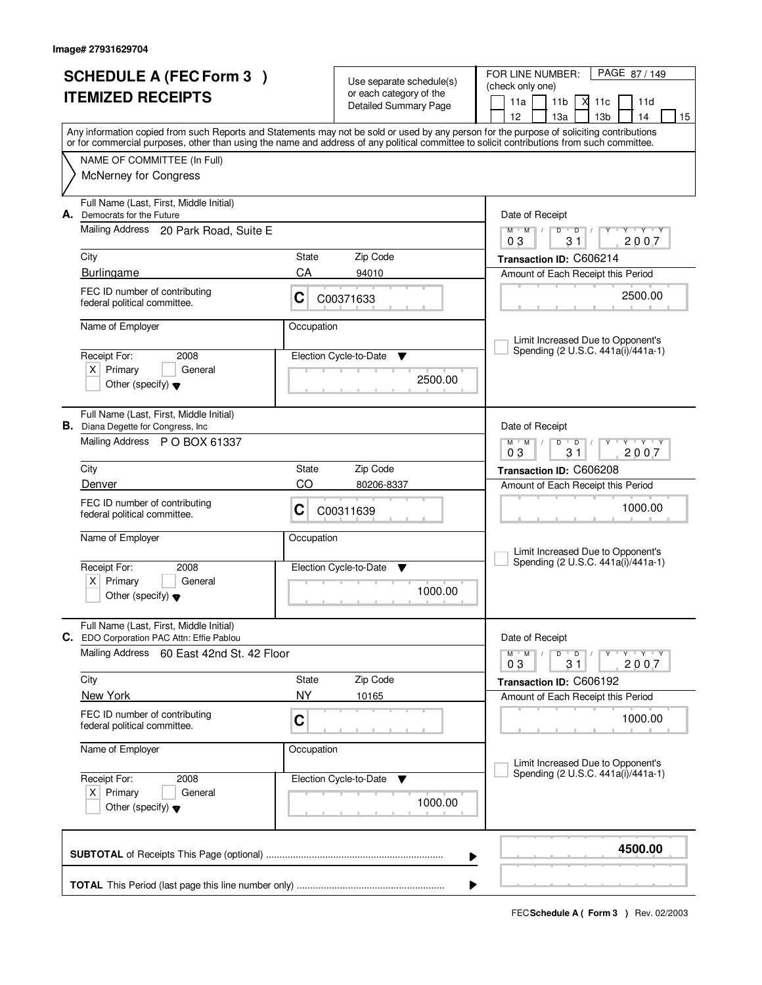| <b>SCHEDULE A (FEC Form 3)</b><br><b>ITEMIZED RECEIPTS</b> |                                                                                      |                                           | Use separate schedule(s)<br>or each category of the | PAGE 87/149<br>FOR LINE NUMBER:<br>(check only one)<br>11a<br>11 <sub>b</sub><br>М<br>11c<br>11d                                                                                                                                                                                        |  |  |  |
|------------------------------------------------------------|--------------------------------------------------------------------------------------|-------------------------------------------|-----------------------------------------------------|-----------------------------------------------------------------------------------------------------------------------------------------------------------------------------------------------------------------------------------------------------------------------------------------|--|--|--|
|                                                            |                                                                                      |                                           | Detailed Summary Page                               | 12<br>13 <sub>b</sub><br>13a<br>14<br>15                                                                                                                                                                                                                                                |  |  |  |
|                                                            |                                                                                      |                                           |                                                     | Any information copied from such Reports and Statements may not be sold or used by any person for the purpose of soliciting contributions<br>or for commercial purposes, other than using the name and address of any political committee to solicit contributions from such committee. |  |  |  |
|                                                            | NAME OF COMMITTEE (In Full)                                                          |                                           |                                                     |                                                                                                                                                                                                                                                                                         |  |  |  |
|                                                            | <b>McNerney for Congress</b>                                                         |                                           |                                                     |                                                                                                                                                                                                                                                                                         |  |  |  |
|                                                            | Full Name (Last, First, Middle Initial)<br>A. Democrats for the Future               |                                           |                                                     | Date of Receipt                                                                                                                                                                                                                                                                         |  |  |  |
|                                                            | Mailing Address 20 Park Road, Suite E                                                |                                           |                                                     | $M$ $M$<br>$D$ $D$<br>$Y - Y - Y$<br>$\perp$<br>31<br>2007<br>03                                                                                                                                                                                                                        |  |  |  |
|                                                            | City                                                                                 | State                                     | Zip Code                                            | Transaction ID: C606214                                                                                                                                                                                                                                                                 |  |  |  |
|                                                            | <b>Burlingame</b>                                                                    | CA                                        | 94010                                               | Amount of Each Receipt this Period                                                                                                                                                                                                                                                      |  |  |  |
|                                                            | FEC ID number of contributing<br>federal political committee.                        | C                                         | C00371633                                           | 2500.00                                                                                                                                                                                                                                                                                 |  |  |  |
|                                                            | Name of Employer                                                                     | Occupation                                |                                                     | Limit Increased Due to Opponent's                                                                                                                                                                                                                                                       |  |  |  |
|                                                            | Receipt For:<br>2008                                                                 |                                           | Election Cycle-to-Date<br>v                         | Spending (2 U.S.C. 441a(i)/441a-1)                                                                                                                                                                                                                                                      |  |  |  |
|                                                            | $X$ Primary<br>General<br>Other (specify) $\blacktriangledown$                       |                                           | 2500.00                                             |                                                                                                                                                                                                                                                                                         |  |  |  |
|                                                            |                                                                                      |                                           |                                                     |                                                                                                                                                                                                                                                                                         |  |  |  |
|                                                            | Full Name (Last, First, Middle Initial)<br><b>B.</b> Diana Degette for Congress, Inc |                                           |                                                     | Date of Receipt                                                                                                                                                                                                                                                                         |  |  |  |
|                                                            | Mailing Address P O BOX 61337                                                        |                                           |                                                     | $\mathsf{L} \mathsf{Y} \mathsf{L} \mathsf{Y} \mathsf{Y}$<br>$M$ $M$ /<br>D<br>$\overline{D}$<br>03<br>31<br>2007                                                                                                                                                                        |  |  |  |
|                                                            | City                                                                                 | State                                     | Zip Code                                            | Transaction ID: C606208                                                                                                                                                                                                                                                                 |  |  |  |
|                                                            | Denver                                                                               | CO                                        | 80206-8337                                          | Amount of Each Receipt this Period                                                                                                                                                                                                                                                      |  |  |  |
|                                                            | FEC ID number of contributing<br>federal political committee.                        | C                                         | C00311639                                           | 1000.00                                                                                                                                                                                                                                                                                 |  |  |  |
|                                                            | Name of Employer                                                                     | Occupation<br>Election Cycle-to-Date<br>▼ |                                                     |                                                                                                                                                                                                                                                                                         |  |  |  |
|                                                            |                                                                                      |                                           |                                                     | Limit Increased Due to Opponent's<br>Spending (2 U.S.C. 441a(i)/441a-1)                                                                                                                                                                                                                 |  |  |  |
|                                                            | Receipt For:<br>2008<br>Primary<br>General<br>ΧI                                     |                                           |                                                     |                                                                                                                                                                                                                                                                                         |  |  |  |
|                                                            | Other (specify) $\blacktriangledown$                                                 |                                           | 1000.00                                             |                                                                                                                                                                                                                                                                                         |  |  |  |
|                                                            | Full Name (Last, First, Middle Initial)<br>C. EDO Corporation PAC Attn: Effie Pablou |                                           |                                                     | Date of Receipt                                                                                                                                                                                                                                                                         |  |  |  |
|                                                            | Mailing Address<br>60 East 42nd St. 42 Floor                                         |                                           |                                                     | $D$ $D$ $I$<br>$\mathsf{Y} \dashv \mathsf{Y} \dashv \mathsf{Y}$<br>$M$ $M$ $/$<br>2007<br>03<br>31                                                                                                                                                                                      |  |  |  |
|                                                            | City                                                                                 | State                                     | Zip Code                                            | Transaction ID: C606192                                                                                                                                                                                                                                                                 |  |  |  |
|                                                            | New York                                                                             | <b>NY</b>                                 | 10165                                               | Amount of Each Receipt this Period                                                                                                                                                                                                                                                      |  |  |  |
|                                                            | FEC ID number of contributing<br>federal political committee.                        | C                                         |                                                     | 1000.00                                                                                                                                                                                                                                                                                 |  |  |  |
|                                                            | Name of Employer                                                                     | Occupation                                |                                                     | Limit Increased Due to Opponent's                                                                                                                                                                                                                                                       |  |  |  |
|                                                            | Receipt For:<br>2008                                                                 |                                           | Election Cycle-to-Date<br>v                         | Spending (2 U.S.C. 441a(i)/441a-1)                                                                                                                                                                                                                                                      |  |  |  |
|                                                            | $X$ Primary<br>General<br>Other (specify) $\blacktriangledown$                       |                                           | 1000.00                                             |                                                                                                                                                                                                                                                                                         |  |  |  |
|                                                            |                                                                                      |                                           |                                                     | 4500.00<br>▶                                                                                                                                                                                                                                                                            |  |  |  |
|                                                            |                                                                                      |                                           |                                                     |                                                                                                                                                                                                                                                                                         |  |  |  |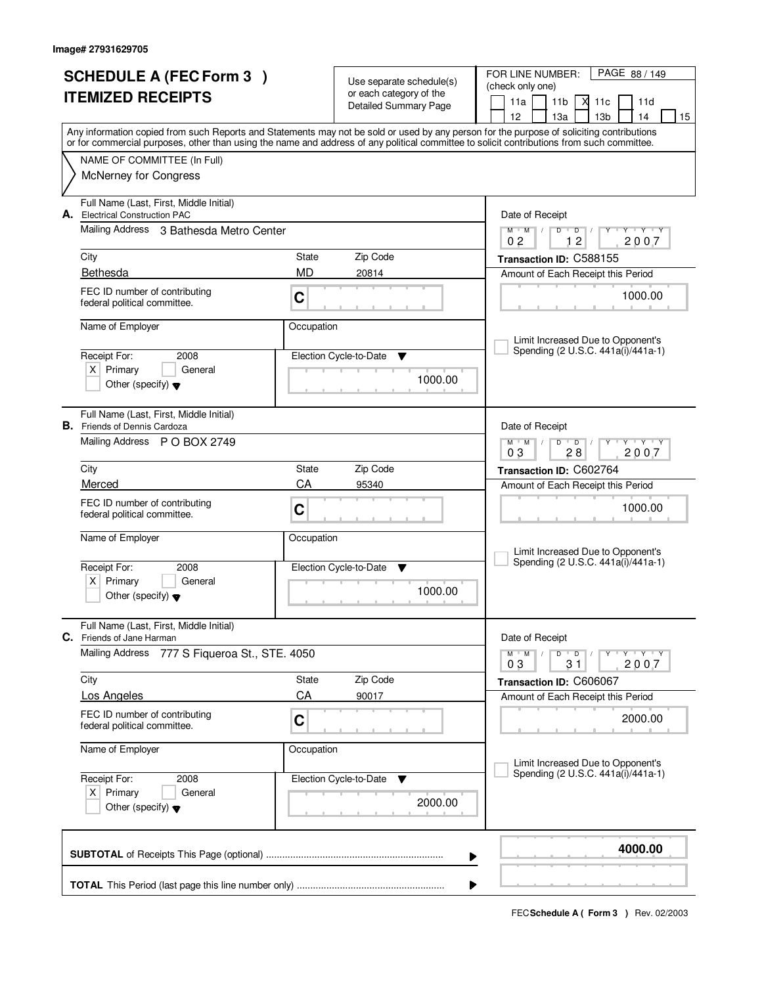|                          | <b>SCHEDULE A (FEC Form 3)</b>                                                 |                                           | Use separate schedule(s)                         | PAGE 88 / 149<br>FOR LINE NUMBER:<br>(check only one)                                                                                                                                 |  |  |  |
|--------------------------|--------------------------------------------------------------------------------|-------------------------------------------|--------------------------------------------------|---------------------------------------------------------------------------------------------------------------------------------------------------------------------------------------|--|--|--|
| <b>ITEMIZED RECEIPTS</b> |                                                                                |                                           | or each category of the<br>Detailed Summary Page | 11a<br>11 <sub>b</sub><br>М<br>11c<br>11d                                                                                                                                             |  |  |  |
|                          |                                                                                |                                           |                                                  | 12<br>13 <sub>b</sub><br>13a<br>14<br>15<br>Any information copied from such Reports and Statements may not be sold or used by any person for the purpose of soliciting contributions |  |  |  |
|                          |                                                                                |                                           |                                                  | or for commercial purposes, other than using the name and address of any political committee to solicit contributions from such committee.                                            |  |  |  |
|                          | NAME OF COMMITTEE (In Full)                                                    |                                           |                                                  |                                                                                                                                                                                       |  |  |  |
|                          | <b>McNerney for Congress</b>                                                   |                                           |                                                  |                                                                                                                                                                                       |  |  |  |
|                          | Full Name (Last, First, Middle Initial)<br>A. Electrical Construction PAC      |                                           |                                                  | Date of Receipt                                                                                                                                                                       |  |  |  |
|                          | Mailing Address 3 Bathesda Metro Center                                        |                                           |                                                  | $M$ $M$ $/$<br>$D$ $D$ $1$<br>Y<br>$Y - Y - Y$<br>12<br>2007<br>0 <sub>2</sub>                                                                                                        |  |  |  |
|                          | City                                                                           | State                                     | Zip Code                                         | Transaction ID: C588155                                                                                                                                                               |  |  |  |
|                          | Bethesda                                                                       | <b>MD</b>                                 | 20814                                            | Amount of Each Receipt this Period                                                                                                                                                    |  |  |  |
|                          | FEC ID number of contributing<br>federal political committee.                  | C                                         |                                                  | 1000.00                                                                                                                                                                               |  |  |  |
|                          | Name of Employer                                                               | Occupation                                |                                                  |                                                                                                                                                                                       |  |  |  |
|                          | Receipt For:<br>2008                                                           |                                           | Election Cycle-to-Date<br>v                      | Limit Increased Due to Opponent's<br>Spending (2 U.S.C. 441a(i)/441a-1)                                                                                                               |  |  |  |
|                          | $X$ Primary<br>General                                                         |                                           |                                                  |                                                                                                                                                                                       |  |  |  |
|                          | Other (specify) $\blacktriangledown$                                           |                                           | 1000.00                                          |                                                                                                                                                                                       |  |  |  |
|                          | Full Name (Last, First, Middle Initial)<br><b>B.</b> Friends of Dennis Cardoza |                                           |                                                  | Date of Receipt                                                                                                                                                                       |  |  |  |
|                          | Mailing Address P O BOX 2749                                                   |                                           |                                                  | $\begin{array}{c} \Vdash \mathsf{Y} \dashv \mathsf{Y} \dashv \mathsf{Y} \end{array}$<br>$M$ $M$ /<br>$D$ $D$<br>03<br>28<br>2007                                                      |  |  |  |
|                          | City                                                                           | State                                     | Zip Code                                         | Transaction ID: C602764                                                                                                                                                               |  |  |  |
|                          | Merced                                                                         | CA                                        | 95340                                            | Amount of Each Receipt this Period                                                                                                                                                    |  |  |  |
|                          | FEC ID number of contributing<br>federal political committee.                  | C                                         |                                                  | 1000.00                                                                                                                                                                               |  |  |  |
|                          | Name of Employer                                                               | Occupation<br>Election Cycle-to-Date<br>▼ |                                                  |                                                                                                                                                                                       |  |  |  |
|                          | Receipt For:<br>2008                                                           |                                           |                                                  | Limit Increased Due to Opponent's<br>Spending (2 U.S.C. 441a(i)/441a-1)                                                                                                               |  |  |  |
|                          | $X$ Primary<br>General                                                         |                                           |                                                  |                                                                                                                                                                                       |  |  |  |
|                          | Other (specify) $\blacktriangledown$                                           |                                           | 1000.00                                          |                                                                                                                                                                                       |  |  |  |
|                          | Full Name (Last, First, Middle Initial)<br><b>C.</b> Friends of Jane Harman    |                                           |                                                  | Date of Receipt                                                                                                                                                                       |  |  |  |
|                          | <b>Mailing Address</b><br>777 S Fiqueroa St., STE. 4050                        |                                           |                                                  | $D$ $D$ $I$<br>$\mathsf{Y} \dashv \mathsf{Y} \dashv \mathsf{Y}$<br>$M$ $M$ $/$<br>2007<br>03<br>31                                                                                    |  |  |  |
|                          | City                                                                           | State                                     | Zip Code                                         | Transaction ID: C606067                                                                                                                                                               |  |  |  |
|                          | Los Angeles                                                                    | CA                                        | 90017                                            | Amount of Each Receipt this Period                                                                                                                                                    |  |  |  |
|                          | FEC ID number of contributing<br>federal political committee.                  | C                                         |                                                  | 2000.00                                                                                                                                                                               |  |  |  |
|                          | Name of Employer                                                               | Occupation                                |                                                  | Limit Increased Due to Opponent's                                                                                                                                                     |  |  |  |
|                          | Receipt For:<br>2008                                                           |                                           | Election Cycle-to-Date<br>v                      | Spending (2 U.S.C. 441a(i)/441a-1)                                                                                                                                                    |  |  |  |
|                          | $X$ Primary<br>General<br>Other (specify) $\blacktriangledown$                 |                                           | 2000.00                                          |                                                                                                                                                                                       |  |  |  |
|                          |                                                                                |                                           |                                                  | 4000.00<br>▶                                                                                                                                                                          |  |  |  |
|                          |                                                                                |                                           |                                                  |                                                                                                                                                                                       |  |  |  |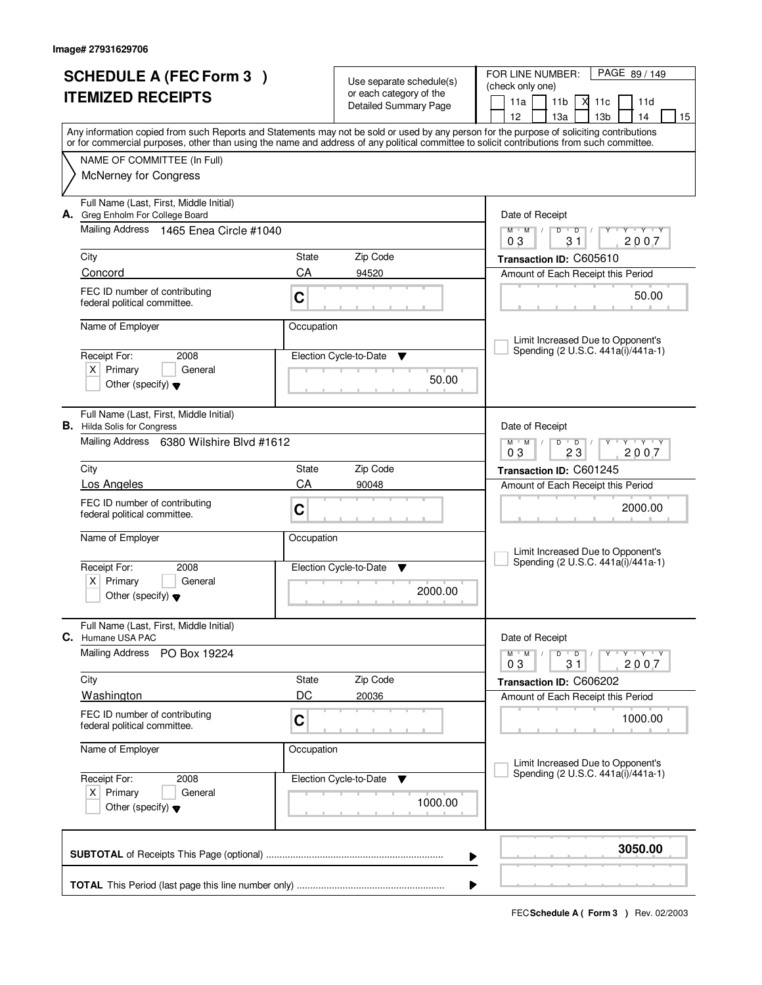|                          | <b>SCHEDULE A (FEC Form 3)</b>                                 |            |                                                     | FOR LINE NUMBER:<br>PAGE 89 / 149                                                                                                                                                                                                                                                       |
|--------------------------|----------------------------------------------------------------|------------|-----------------------------------------------------|-----------------------------------------------------------------------------------------------------------------------------------------------------------------------------------------------------------------------------------------------------------------------------------------|
|                          |                                                                |            | Use separate schedule(s)<br>or each category of the | (check only one)                                                                                                                                                                                                                                                                        |
| <b>ITEMIZED RECEIPTS</b> |                                                                |            | Detailed Summary Page                               | 11a<br>11 <sub>b</sub><br>М<br>11c<br>11d                                                                                                                                                                                                                                               |
|                          |                                                                |            |                                                     | 12<br>13 <sub>b</sub><br>13a<br>14<br>15                                                                                                                                                                                                                                                |
|                          |                                                                |            |                                                     | Any information copied from such Reports and Statements may not be sold or used by any person for the purpose of soliciting contributions<br>or for commercial purposes, other than using the name and address of any political committee to solicit contributions from such committee. |
|                          |                                                                |            |                                                     |                                                                                                                                                                                                                                                                                         |
|                          | NAME OF COMMITTEE (In Full)                                    |            |                                                     |                                                                                                                                                                                                                                                                                         |
|                          | <b>McNerney for Congress</b>                                   |            |                                                     |                                                                                                                                                                                                                                                                                         |
|                          | Full Name (Last, First, Middle Initial)                        |            |                                                     |                                                                                                                                                                                                                                                                                         |
|                          | A. Greg Enholm For College Board                               |            |                                                     | Date of Receipt                                                                                                                                                                                                                                                                         |
|                          | Mailing Address 1465 Enea Circle #1040                         |            |                                                     | $Y - Y - Y$<br>$M$ $M$ /<br>$D$ $D$<br>Y<br>$\sqrt{ }$<br>2007<br>03<br>31                                                                                                                                                                                                              |
|                          | City                                                           | State      | Zip Code                                            | Transaction ID: C605610                                                                                                                                                                                                                                                                 |
|                          | Concord                                                        | CA         | 94520                                               | Amount of Each Receipt this Period                                                                                                                                                                                                                                                      |
|                          | FEC ID number of contributing                                  |            |                                                     |                                                                                                                                                                                                                                                                                         |
|                          | federal political committee.                                   | C          |                                                     | 50.00                                                                                                                                                                                                                                                                                   |
|                          |                                                                |            |                                                     |                                                                                                                                                                                                                                                                                         |
|                          | Name of Employer                                               | Occupation |                                                     | Limit Increased Due to Opponent's                                                                                                                                                                                                                                                       |
|                          | Receipt For:<br>2008                                           |            | Election Cycle-to-Date<br>v                         | Spending (2 U.S.C. 441a(i)/441a-1)                                                                                                                                                                                                                                                      |
|                          | $X$ Primary<br>General                                         |            |                                                     |                                                                                                                                                                                                                                                                                         |
|                          | Other (specify) $\blacktriangledown$                           | 50.00      |                                                     |                                                                                                                                                                                                                                                                                         |
|                          |                                                                |            |                                                     |                                                                                                                                                                                                                                                                                         |
|                          | Full Name (Last, First, Middle Initial)                        |            |                                                     |                                                                                                                                                                                                                                                                                         |
|                          | <b>B.</b> Hilda Solis for Congress                             |            |                                                     | Date of Receipt                                                                                                                                                                                                                                                                         |
|                          | Mailing Address 6380 Wilshire Blvd #1612                       |            |                                                     | $\mathsf{L} \mathsf{Y} \mathsf{L} \mathsf{Y} \mathsf{Y}$<br>$M$ $M$ $/$<br>$D$ $D$<br>03<br>23<br>2007                                                                                                                                                                                  |
|                          | City                                                           | State      | Zip Code                                            | Transaction ID: C601245                                                                                                                                                                                                                                                                 |
|                          | Los Angeles                                                    | CA         | 90048                                               | Amount of Each Receipt this Period                                                                                                                                                                                                                                                      |
|                          | FEC ID number of contributing                                  |            |                                                     |                                                                                                                                                                                                                                                                                         |
|                          | federal political committee.                                   | C          |                                                     | 2000.00                                                                                                                                                                                                                                                                                 |
|                          | Name of Employer                                               | Occupation |                                                     |                                                                                                                                                                                                                                                                                         |
|                          |                                                                |            |                                                     | Limit Increased Due to Opponent's                                                                                                                                                                                                                                                       |
|                          | Receipt For:<br>2008                                           |            | Election Cycle-to-Date<br>v                         | Spending (2 U.S.C. 441a(i)/441a-1)                                                                                                                                                                                                                                                      |
|                          | Primary<br>$X \mid$<br>General                                 |            |                                                     |                                                                                                                                                                                                                                                                                         |
|                          | Other (specify) $\blacktriangledown$                           |            | 2000.00                                             |                                                                                                                                                                                                                                                                                         |
|                          |                                                                |            |                                                     |                                                                                                                                                                                                                                                                                         |
|                          | Full Name (Last, First, Middle Initial)<br>C. Humane USA PAC   |            |                                                     | Date of Receipt                                                                                                                                                                                                                                                                         |
|                          | <b>Mailing Address</b><br>PO Box 19224                         |            |                                                     | D<br>$M$ $M$ /<br>$\overline{D}$<br>$\mathsf{Y} \dashv \mathsf{Y} \dashv \mathsf{Y}$                                                                                                                                                                                                    |
|                          |                                                                |            |                                                     | 2007<br>03<br>31                                                                                                                                                                                                                                                                        |
|                          | City                                                           | State      | Zip Code                                            | Transaction ID: C606202                                                                                                                                                                                                                                                                 |
|                          | <b>Washington</b>                                              | DC         | 20036                                               | Amount of Each Receipt this Period                                                                                                                                                                                                                                                      |
|                          | FEC ID number of contributing                                  | C          |                                                     | 1000.00                                                                                                                                                                                                                                                                                 |
|                          | federal political committee.                                   |            |                                                     |                                                                                                                                                                                                                                                                                         |
|                          | Name of Employer                                               | Occupation |                                                     |                                                                                                                                                                                                                                                                                         |
|                          |                                                                |            |                                                     | Limit Increased Due to Opponent's<br>Spending (2 U.S.C. 441a(i)/441a-1)                                                                                                                                                                                                                 |
|                          | Receipt For:<br>2008                                           |            | Election Cycle-to-Date<br>v                         |                                                                                                                                                                                                                                                                                         |
|                          | $X$ Primary<br>General<br>Other (specify) $\blacktriangledown$ |            | 1000.00                                             |                                                                                                                                                                                                                                                                                         |
|                          |                                                                |            |                                                     |                                                                                                                                                                                                                                                                                         |
|                          |                                                                |            |                                                     |                                                                                                                                                                                                                                                                                         |
|                          |                                                                |            |                                                     | 3050.00<br>▶                                                                                                                                                                                                                                                                            |
|                          |                                                                |            |                                                     |                                                                                                                                                                                                                                                                                         |
|                          |                                                                |            |                                                     |                                                                                                                                                                                                                                                                                         |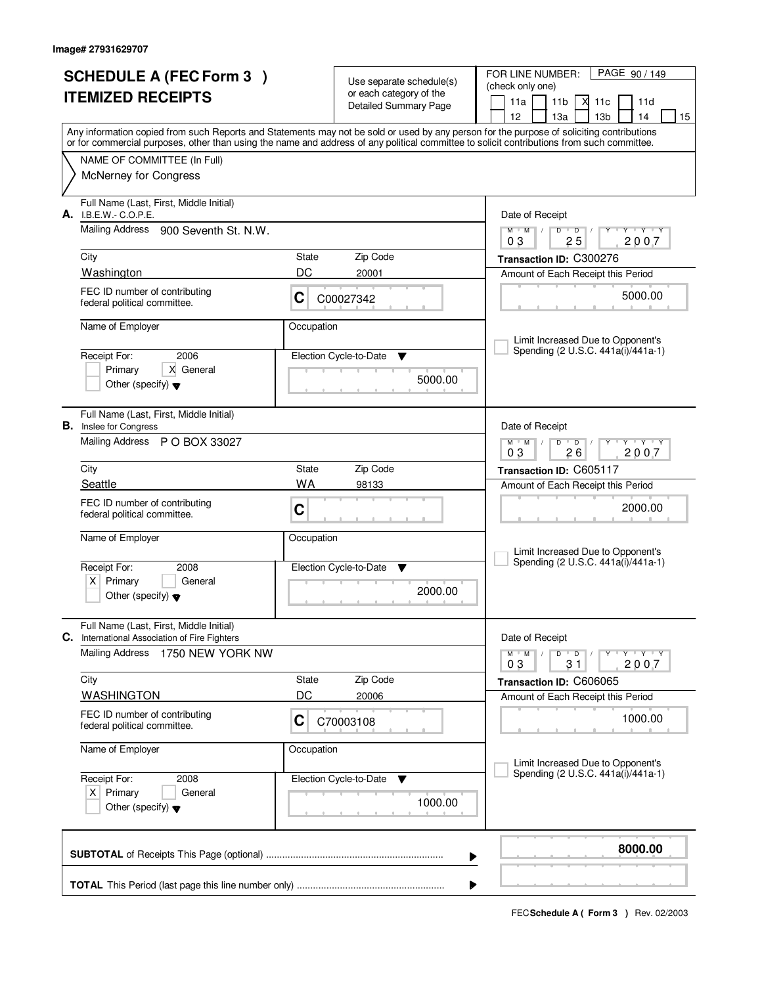|                          | <b>SCHEDULE A (FEC Form 3)</b>                                                                                                             |            | Use separate schedule(s)                                | PAGE 90 / 149<br>FOR LINE NUMBER:<br>(check only one)                                                                                     |
|--------------------------|--------------------------------------------------------------------------------------------------------------------------------------------|------------|---------------------------------------------------------|-------------------------------------------------------------------------------------------------------------------------------------------|
| <b>ITEMIZED RECEIPTS</b> |                                                                                                                                            |            | or each category of the<br><b>Detailed Summary Page</b> | 11 <sub>b</sub><br>$X$ 11 $c$<br>11a<br>11d<br>12<br>13 <sub>b</sub><br>13a<br>14<br>15                                                   |
|                          | or for commercial purposes, other than using the name and address of any political committee to solicit contributions from such committee. |            |                                                         | Any information copied from such Reports and Statements may not be sold or used by any person for the purpose of soliciting contributions |
|                          | NAME OF COMMITTEE (In Full)                                                                                                                |            |                                                         |                                                                                                                                           |
|                          | <b>McNerney for Congress</b>                                                                                                               |            |                                                         |                                                                                                                                           |
|                          | Full Name (Last, First, Middle Initial)<br>A. I.B.E.W.- C.O.P.E.                                                                           |            |                                                         | Date of Receipt                                                                                                                           |
|                          | Mailing Address 900 Seventh St. N.W.                                                                                                       |            |                                                         | $Y + Y + Y + Y$<br>$M$ $M$ $/$<br>$D$ $D$ $1$<br>25<br>2007<br>03                                                                         |
|                          | City                                                                                                                                       | State      | Zip Code                                                | Transaction ID: C300276                                                                                                                   |
|                          | Washington                                                                                                                                 | DC         | 20001                                                   | Amount of Each Receipt this Period                                                                                                        |
|                          | FEC ID number of contributing<br>federal political committee.                                                                              | C          | C00027342                                               | 5000.00                                                                                                                                   |
|                          | Name of Employer                                                                                                                           | Occupation |                                                         | Limit Increased Due to Opponent's                                                                                                         |
|                          | 2006<br>Receipt For:                                                                                                                       |            | Election Cycle-to-Date<br>▼                             | Spending (2 U.S.C. 441a(i)/441a-1)                                                                                                        |
|                          | X General<br>Primary<br>Other (specify) $\blacktriangledown$                                                                               |            | 5000.00                                                 |                                                                                                                                           |
|                          | Full Name (Last, First, Middle Initial)<br><b>B.</b> Inslee for Congress                                                                   |            |                                                         | Date of Receipt                                                                                                                           |
|                          | Mailing Address P O BOX 33027                                                                                                              |            |                                                         | $Y - Y - Y$<br>$M$ M<br>D<br>$\overline{D}$<br>26<br>03<br>2007                                                                           |
|                          | City                                                                                                                                       | State      | Zip Code                                                | Transaction ID: C605117                                                                                                                   |
|                          | Seattle                                                                                                                                    | <b>WA</b>  | 98133                                                   | Amount of Each Receipt this Period                                                                                                        |
|                          | FEC ID number of contributing<br>federal political committee.                                                                              | C          |                                                         | 2000.00                                                                                                                                   |
|                          | Name of Employer                                                                                                                           | Occupation |                                                         | Limit Increased Due to Opponent's                                                                                                         |
|                          | Receipt For:<br>2008                                                                                                                       |            | Election Cycle-to-Date<br>v                             | Spending (2 U.S.C. 441a(i)/441a-1)                                                                                                        |
|                          | Primary<br>X  <br>General<br>Other (specify) $\blacktriangledown$                                                                          |            | 2000.00                                                 |                                                                                                                                           |
| С.                       | Full Name (Last, First, Middle Initial)<br>International Association of Fire Fighters                                                      |            |                                                         | Date of Receipt                                                                                                                           |
|                          | <b>Mailing Address</b><br>1750 NEW YORK NW                                                                                                 |            |                                                         | D<br>$M$ $M$ /<br>$\overline{D}$<br>$Y + Y + Y$<br>Υ<br>2007<br>31<br>03                                                                  |
|                          | City                                                                                                                                       | State      | Zip Code                                                | Transaction ID: C606065                                                                                                                   |
|                          | <b>WASHINGTON</b>                                                                                                                          | DC         | 20006                                                   | Amount of Each Receipt this Period                                                                                                        |
|                          | FEC ID number of contributing<br>federal political committee.                                                                              | C          | C70003108                                               | 1000.00                                                                                                                                   |
|                          | Name of Employer                                                                                                                           | Occupation |                                                         | Limit Increased Due to Opponent's                                                                                                         |
| Receipt For:<br>2008     |                                                                                                                                            |            | Election Cycle-to-Date<br>v                             | Spending (2 U.S.C. 441a(i)/441a-1)                                                                                                        |
|                          | $X$ Primary<br>General<br>Other (specify) $\blacktriangledown$                                                                             |            | 1000.00                                                 |                                                                                                                                           |
|                          |                                                                                                                                            |            |                                                         | 8000.00<br>▶                                                                                                                              |
|                          |                                                                                                                                            |            |                                                         | ▶                                                                                                                                         |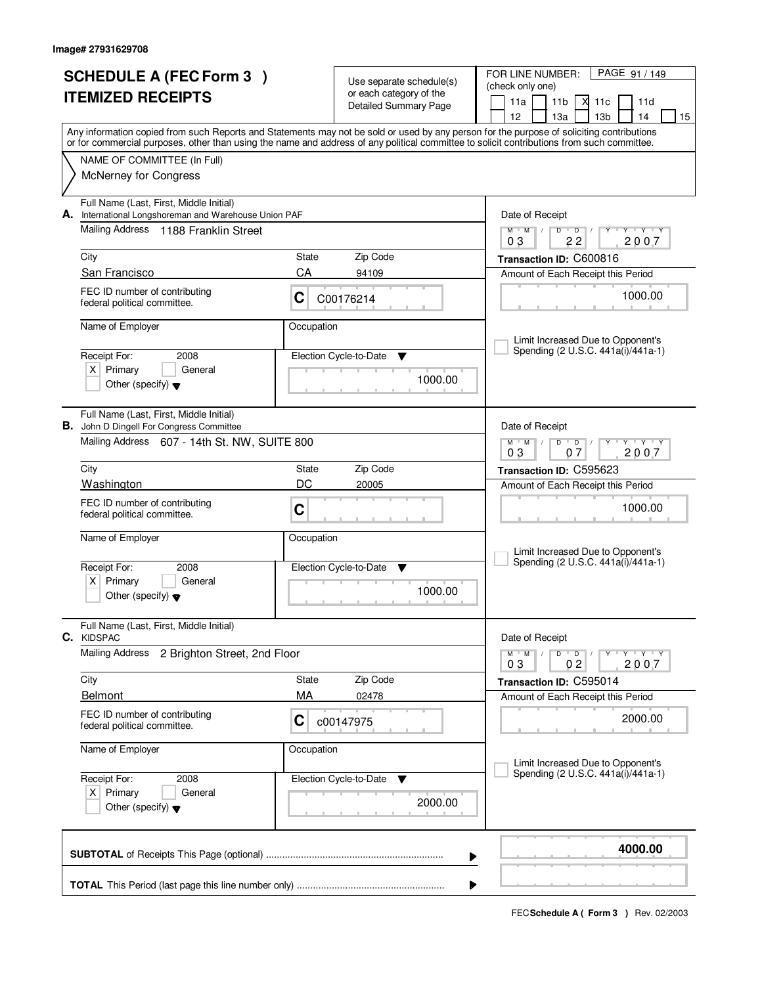| <b>SCHEDULE A (FEC Form 3)</b><br><b>ITEMIZED RECEIPTS</b> |                                                                                                                                                                                                                                                                                         |             | Use separate schedule(s)<br>or each category of the<br>Detailed Summary Page | PAGE 91 / 149<br>FOR LINE NUMBER:<br>(check only one)<br>11a<br>11 <sub>b</sub><br>М<br>11c<br>11d            |
|------------------------------------------------------------|-----------------------------------------------------------------------------------------------------------------------------------------------------------------------------------------------------------------------------------------------------------------------------------------|-------------|------------------------------------------------------------------------------|---------------------------------------------------------------------------------------------------------------|
|                                                            | Any information copied from such Reports and Statements may not be sold or used by any person for the purpose of soliciting contributions<br>or for commercial purposes, other than using the name and address of any political committee to solicit contributions from such committee. |             |                                                                              | 12<br>13 <sub>b</sub><br>13a<br>14<br>15                                                                      |
|                                                            | NAME OF COMMITTEE (In Full)<br><b>McNerney for Congress</b>                                                                                                                                                                                                                             |             |                                                                              |                                                                                                               |
| А.                                                         | Full Name (Last, First, Middle Initial)<br>International Longshoreman and Warehouse Union PAF                                                                                                                                                                                           |             |                                                                              | Date of Receipt                                                                                               |
|                                                            | Mailing Address<br>1188 Franklin Street                                                                                                                                                                                                                                                 |             |                                                                              | $M$ $M$<br>$D$ $D$<br>Y Y Y Y<br>2007<br>22<br>03                                                             |
|                                                            | City<br>San Francisco                                                                                                                                                                                                                                                                   | State<br>CA | Zip Code<br>94109                                                            | Transaction ID: C600816                                                                                       |
|                                                            | FEC ID number of contributing<br>federal political committee.                                                                                                                                                                                                                           | C           | C00176214                                                                    | Amount of Each Receipt this Period<br>1000.00                                                                 |
|                                                            | Name of Employer                                                                                                                                                                                                                                                                        | Occupation  |                                                                              | Limit Increased Due to Opponent's                                                                             |
|                                                            | Receipt For:<br>2008<br>$X$ Primary<br>General<br>Other (specify) $\blacktriangledown$                                                                                                                                                                                                  |             | Election Cycle-to-Date<br>v<br>1000.00                                       | Spending (2 U.S.C. 441a(i)/441a-1)                                                                            |
|                                                            | Full Name (Last, First, Middle Initial)<br><b>B.</b> John D Dingell For Congress Committee                                                                                                                                                                                              |             |                                                                              | Date of Receipt                                                                                               |
|                                                            | Mailing Address 607 - 14th St. NW, SUITE 800                                                                                                                                                                                                                                            |             |                                                                              | $\mathsf{L} \mathsf{Y} \mathsf{L} \mathsf{Y} \mathsf{Y} \mathsf{Y}$<br>$M$ $M$<br>$D$ $D$<br>03<br>07<br>2007 |
|                                                            | City                                                                                                                                                                                                                                                                                    | State       | Zip Code                                                                     | Transaction ID: C595623                                                                                       |
|                                                            | Washington                                                                                                                                                                                                                                                                              | DC          | 20005                                                                        | Amount of Each Receipt this Period                                                                            |
|                                                            | FEC ID number of contributing<br>federal political committee.                                                                                                                                                                                                                           | $\mathbf C$ |                                                                              | 1000.00                                                                                                       |
|                                                            | Name of Employer                                                                                                                                                                                                                                                                        | Occupation  |                                                                              | Limit Increased Due to Opponent's<br>Spending (2 U.S.C. 441a(i)/441a-1)                                       |
|                                                            | Receipt For:<br>2008<br>$\times$<br>Primary<br>General<br>Other (specify) $\blacktriangledown$                                                                                                                                                                                          |             | Election Cycle-to-Date<br>$\overline{\mathbf{v}}$<br>1000.00                 |                                                                                                               |
|                                                            | Full Name (Last, First, Middle Initial)<br>C. KIDSPAC                                                                                                                                                                                                                                   |             |                                                                              | Date of Receipt                                                                                               |
|                                                            | Mailing Address<br>2 Brighton Street, 2nd Floor                                                                                                                                                                                                                                         |             |                                                                              | $D$ $D$ $l$<br>$Y - Y - Y - Y$<br>$M$ $M$ $/$<br>2007<br>03<br>0 <sub>2</sub>                                 |
|                                                            | City                                                                                                                                                                                                                                                                                    | State       | Zip Code                                                                     | Transaction ID: C595014                                                                                       |
|                                                            | Belmont                                                                                                                                                                                                                                                                                 | MA          | 02478                                                                        | Amount of Each Receipt this Period                                                                            |
|                                                            | FEC ID number of contributing<br>federal political committee.                                                                                                                                                                                                                           | C           | c00147975                                                                    | 2000.00                                                                                                       |
|                                                            | Name of Employer                                                                                                                                                                                                                                                                        | Occupation  |                                                                              | Limit Increased Due to Opponent's                                                                             |
|                                                            | Receipt For:<br>2008<br>$X$ Primary<br>General<br>Other (specify) $\blacktriangledown$                                                                                                                                                                                                  |             | Election Cycle-to-Date<br>v<br>2000.00                                       | Spending (2 U.S.C. 441a(i)/441a-1)                                                                            |
|                                                            |                                                                                                                                                                                                                                                                                         |             | ▶                                                                            | 4000.00                                                                                                       |
|                                                            |                                                                                                                                                                                                                                                                                         |             |                                                                              |                                                                                                               |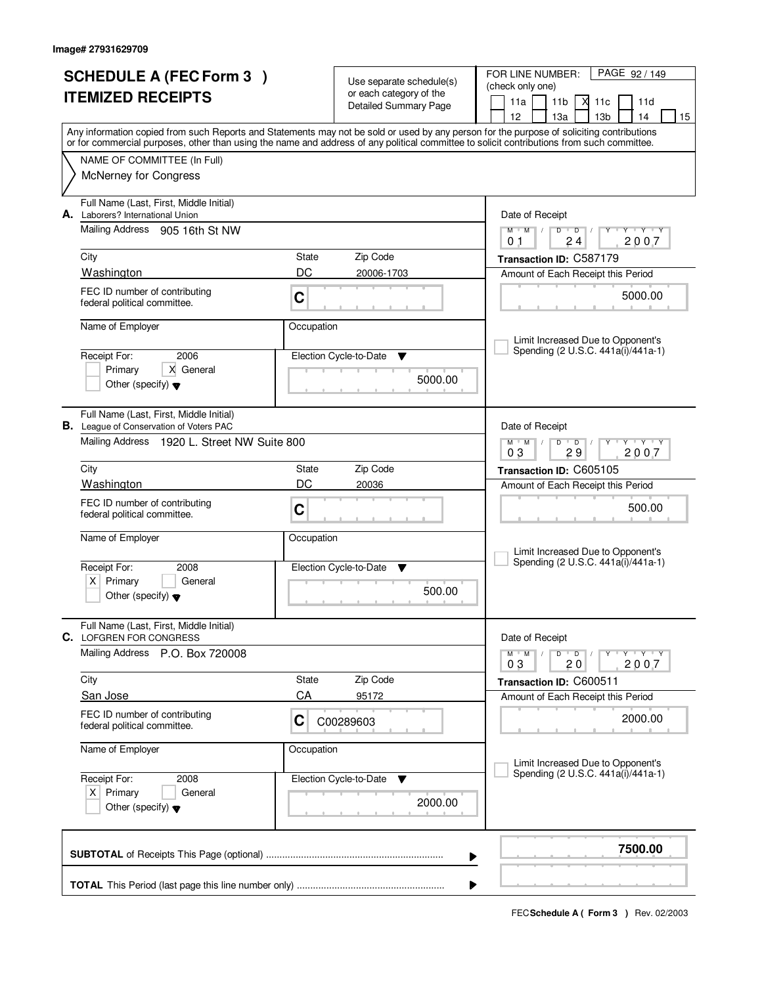| <b>SCHEDULE A (FEC Form 3)</b><br><b>ITEMIZED RECEIPTS</b> |                                                                                           |             | Use separate schedule(s)<br>or each category of the | PAGE 92/149<br>FOR LINE NUMBER:<br>(check only one)                                                                                                                                                                                                                                     |  |  |  |
|------------------------------------------------------------|-------------------------------------------------------------------------------------------|-------------|-----------------------------------------------------|-----------------------------------------------------------------------------------------------------------------------------------------------------------------------------------------------------------------------------------------------------------------------------------------|--|--|--|
|                                                            |                                                                                           |             | <b>Detailed Summary Page</b>                        | 11a<br>11 <sub>b</sub><br>М<br>11c<br>11d<br>12<br>13 <sub>b</sub><br>13a<br>14<br>15                                                                                                                                                                                                   |  |  |  |
|                                                            |                                                                                           |             |                                                     | Any information copied from such Reports and Statements may not be sold or used by any person for the purpose of soliciting contributions<br>or for commercial purposes, other than using the name and address of any political committee to solicit contributions from such committee. |  |  |  |
|                                                            | NAME OF COMMITTEE (In Full)                                                               |             |                                                     |                                                                                                                                                                                                                                                                                         |  |  |  |
|                                                            | <b>McNerney for Congress</b>                                                              |             |                                                     |                                                                                                                                                                                                                                                                                         |  |  |  |
|                                                            | Full Name (Last, First, Middle Initial)<br>A. Laborers? International Union               |             |                                                     | Date of Receipt                                                                                                                                                                                                                                                                         |  |  |  |
|                                                            | Mailing Address 905 16th St NW                                                            |             |                                                     | $M$ $M$ $/$<br>$D$ $D$<br>$Y - Y - Y$<br>$\perp$<br>2007<br>24<br>01                                                                                                                                                                                                                    |  |  |  |
|                                                            | City                                                                                      | State       | Zip Code                                            | Transaction ID: C587179                                                                                                                                                                                                                                                                 |  |  |  |
|                                                            | Washington                                                                                | DC          | 20006-1703                                          | Amount of Each Receipt this Period                                                                                                                                                                                                                                                      |  |  |  |
|                                                            | FEC ID number of contributing<br>federal political committee.                             | C           |                                                     | 5000.00                                                                                                                                                                                                                                                                                 |  |  |  |
|                                                            | Name of Employer                                                                          | Occupation  |                                                     | Limit Increased Due to Opponent's                                                                                                                                                                                                                                                       |  |  |  |
|                                                            | Receipt For:<br>2006                                                                      |             | Election Cycle-to-Date<br>v                         | Spending (2 U.S.C. 441a(i)/441a-1)                                                                                                                                                                                                                                                      |  |  |  |
|                                                            | X General<br>Primary                                                                      |             |                                                     |                                                                                                                                                                                                                                                                                         |  |  |  |
|                                                            | Other (specify) $\blacktriangledown$                                                      |             | 5000.00                                             |                                                                                                                                                                                                                                                                                         |  |  |  |
|                                                            | Full Name (Last, First, Middle Initial)<br><b>B.</b> League of Conservation of Voters PAC |             |                                                     | Date of Receipt                                                                                                                                                                                                                                                                         |  |  |  |
|                                                            | Mailing Address 1920 L. Street NW Suite 800                                               |             |                                                     | $\mathsf{L} \mathsf{Y} \mathsf{L} \mathsf{Y} \mathsf{Y}$<br>$M$ $M$ /<br>$D$ $D$<br>03<br>29<br>2007                                                                                                                                                                                    |  |  |  |
|                                                            | City                                                                                      | State       | Zip Code                                            | Transaction ID: C605105                                                                                                                                                                                                                                                                 |  |  |  |
|                                                            | Washington                                                                                | DC          | 20036                                               | Amount of Each Receipt this Period                                                                                                                                                                                                                                                      |  |  |  |
|                                                            | FEC ID number of contributing<br>federal political committee.                             | C           |                                                     | 500.00                                                                                                                                                                                                                                                                                  |  |  |  |
|                                                            | Name of Employer                                                                          | Occupation  |                                                     | Limit Increased Due to Opponent's                                                                                                                                                                                                                                                       |  |  |  |
|                                                            | Receipt For:<br>2008                                                                      |             | Election Cycle-to-Date<br>▼                         | Spending (2 U.S.C. 441a(i)/441a-1)                                                                                                                                                                                                                                                      |  |  |  |
|                                                            | $X$ Primary<br>General<br>Other (specify) $\blacktriangledown$                            |             | 500.00                                              |                                                                                                                                                                                                                                                                                         |  |  |  |
|                                                            | Full Name (Last, First, Middle Initial)                                                   |             |                                                     |                                                                                                                                                                                                                                                                                         |  |  |  |
|                                                            | <b>C.</b> LOFGREN FOR CONGRESS<br>Mailing Address P.O. Box 720008                         |             |                                                     | Date of Receipt<br>$D$ $D$ $I$<br>$\mathsf{Y} \dashv \neg \mathsf{Y} \dashv \neg \mathsf{Y}$<br>$M$ $M$ $/$                                                                                                                                                                             |  |  |  |
|                                                            |                                                                                           |             |                                                     | 2007<br>03<br>20                                                                                                                                                                                                                                                                        |  |  |  |
|                                                            | City                                                                                      | State<br>CA | Zip Code                                            | Transaction ID: C600511                                                                                                                                                                                                                                                                 |  |  |  |
|                                                            | San Jose                                                                                  |             | 95172                                               | Amount of Each Receipt this Period                                                                                                                                                                                                                                                      |  |  |  |
|                                                            | FEC ID number of contributing<br>federal political committee.                             | C           | C00289603                                           | 2000.00                                                                                                                                                                                                                                                                                 |  |  |  |
|                                                            | Name of Employer                                                                          | Occupation  |                                                     | Limit Increased Due to Opponent's                                                                                                                                                                                                                                                       |  |  |  |
|                                                            | Receipt For:<br>2008                                                                      |             | Election Cycle-to-Date<br>v                         | Spending (2 U.S.C. 441a(i)/441a-1)                                                                                                                                                                                                                                                      |  |  |  |
|                                                            | $X$ Primary<br>General                                                                    |             |                                                     |                                                                                                                                                                                                                                                                                         |  |  |  |
|                                                            | Other (specify) $\blacktriangledown$                                                      |             | 2000.00                                             |                                                                                                                                                                                                                                                                                         |  |  |  |
|                                                            |                                                                                           |             |                                                     | 7500.00<br>▶                                                                                                                                                                                                                                                                            |  |  |  |
|                                                            |                                                                                           |             |                                                     |                                                                                                                                                                                                                                                                                         |  |  |  |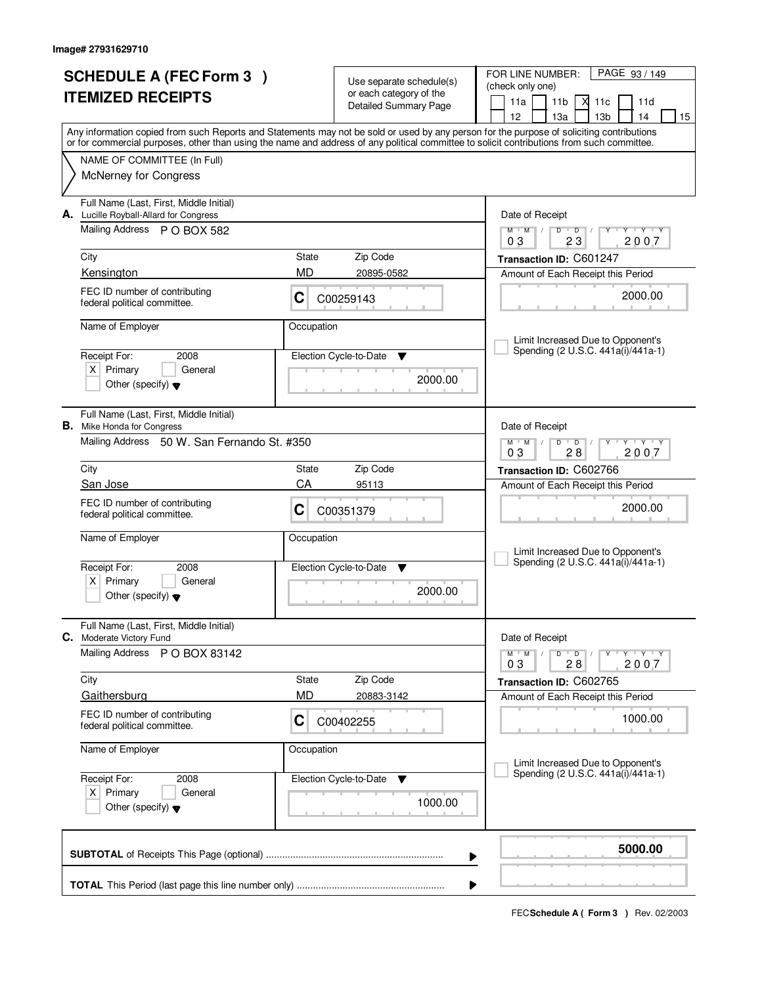|                          | <b>SCHEDULE A (FEC Form 3)</b>                                                    |            |                                                     | PAGE 93 / 149<br>FOR LINE NUMBER:                                                                                                                                                     |  |  |
|--------------------------|-----------------------------------------------------------------------------------|------------|-----------------------------------------------------|---------------------------------------------------------------------------------------------------------------------------------------------------------------------------------------|--|--|
| <b>ITEMIZED RECEIPTS</b> |                                                                                   |            | Use separate schedule(s)<br>or each category of the | (check only one)                                                                                                                                                                      |  |  |
|                          |                                                                                   |            | Detailed Summary Page                               | 11a<br>11 <sub>b</sub><br>М<br>11c<br>11d                                                                                                                                             |  |  |
|                          |                                                                                   |            |                                                     | 12<br>13 <sub>b</sub><br>13a<br>14<br>15<br>Any information copied from such Reports and Statements may not be sold or used by any person for the purpose of soliciting contributions |  |  |
|                          |                                                                                   |            |                                                     | or for commercial purposes, other than using the name and address of any political committee to solicit contributions from such committee.                                            |  |  |
|                          | NAME OF COMMITTEE (In Full)                                                       |            |                                                     |                                                                                                                                                                                       |  |  |
|                          | <b>McNerney for Congress</b>                                                      |            |                                                     |                                                                                                                                                                                       |  |  |
|                          | Full Name (Last, First, Middle Initial)<br>A. Lucille Royball-Allard for Congress |            |                                                     | Date of Receipt                                                                                                                                                                       |  |  |
|                          | Mailing Address P O BOX 582                                                       |            |                                                     | $M$ $M$<br>$D$ $D$<br>Y Y Y Y<br>$\frac{1}{2}$<br>2007<br>03<br>23                                                                                                                    |  |  |
|                          | City                                                                              | State      | Zip Code                                            | Transaction ID: C601247                                                                                                                                                               |  |  |
|                          | Kensington                                                                        | <b>MD</b>  | 20895-0582                                          | Amount of Each Receipt this Period                                                                                                                                                    |  |  |
|                          | FEC ID number of contributing<br>federal political committee.                     | C          | C00259143                                           | 2000.00                                                                                                                                                                               |  |  |
|                          | Name of Employer                                                                  | Occupation |                                                     | Limit Increased Due to Opponent's                                                                                                                                                     |  |  |
|                          | Receipt For:<br>2008                                                              |            | Election Cycle-to-Date<br>v                         | Spending (2 U.S.C. 441a(i)/441a-1)                                                                                                                                                    |  |  |
|                          | $X$ Primary<br>General                                                            |            |                                                     |                                                                                                                                                                                       |  |  |
|                          | Other (specify) $\blacktriangledown$                                              |            | 2000.00                                             |                                                                                                                                                                                       |  |  |
|                          | Full Name (Last, First, Middle Initial)<br><b>B.</b> Mike Honda for Congress      |            |                                                     | Date of Receipt                                                                                                                                                                       |  |  |
|                          | Mailing Address 50 W. San Fernando St. #350                                       |            |                                                     | $\mathsf{L} \mathsf{Y} \mathsf{L} \mathsf{Y} \mathsf{Y}$<br>$M$ $M$ /<br>$D$ $D$<br>03<br>28<br>2007                                                                                  |  |  |
|                          | City                                                                              | State      | Zip Code                                            | Transaction ID: C602766                                                                                                                                                               |  |  |
|                          | San Jose                                                                          | CA         | 95113                                               | Amount of Each Receipt this Period                                                                                                                                                    |  |  |
|                          | FEC ID number of contributing<br>federal political committee.                     | C          | C00351379                                           | 2000.00                                                                                                                                                                               |  |  |
|                          | Name of Employer                                                                  | Occupation |                                                     |                                                                                                                                                                                       |  |  |
|                          |                                                                                   |            |                                                     | Limit Increased Due to Opponent's<br>Spending (2 U.S.C. 441a(i)/441a-1)                                                                                                               |  |  |
|                          | Receipt For:<br>2008                                                              |            | Election Cycle-to-Date<br><b>V</b>                  |                                                                                                                                                                                       |  |  |
|                          | Primary<br>General<br>ΧI<br>Other (specify) $\blacktriangledown$                  |            | 2000.00                                             |                                                                                                                                                                                       |  |  |
|                          | Full Name (Last, First, Middle Initial)<br>C. Moderate Victory Fund               |            |                                                     | Date of Receipt                                                                                                                                                                       |  |  |
|                          | Mailing Address P O BOX 83142                                                     |            |                                                     | D<br>$\mathsf{Y} \dashv \mathsf{Y} \dashv \mathsf{Y}$<br>$M$ $M$ $/$<br>$\overline{\phantom{0}}$ D $\overline{\phantom{0}}$ /<br>2007<br>03<br>28                                     |  |  |
|                          | City                                                                              | State      | Zip Code                                            | Transaction ID: C602765                                                                                                                                                               |  |  |
|                          | Gaithersburg                                                                      | MD         | 20883-3142                                          | Amount of Each Receipt this Period                                                                                                                                                    |  |  |
|                          | FEC ID number of contributing<br>federal political committee.                     | C          | C00402255                                           | 1000.00                                                                                                                                                                               |  |  |
|                          | Name of Employer                                                                  | Occupation |                                                     |                                                                                                                                                                                       |  |  |
|                          |                                                                                   |            |                                                     | Limit Increased Due to Opponent's<br>Spending (2 U.S.C. 441a(i)/441a-1)                                                                                                               |  |  |
| Receipt For:<br>2008     |                                                                                   |            | Election Cycle-to-Date<br>v                         |                                                                                                                                                                                       |  |  |
|                          | $X$ Primary<br>General<br>Other (specify) $\blacktriangledown$                    |            | 1000.00                                             |                                                                                                                                                                                       |  |  |
|                          |                                                                                   |            |                                                     |                                                                                                                                                                                       |  |  |
|                          |                                                                                   |            |                                                     | 5000.00<br>▶                                                                                                                                                                          |  |  |
|                          |                                                                                   |            |                                                     |                                                                                                                                                                                       |  |  |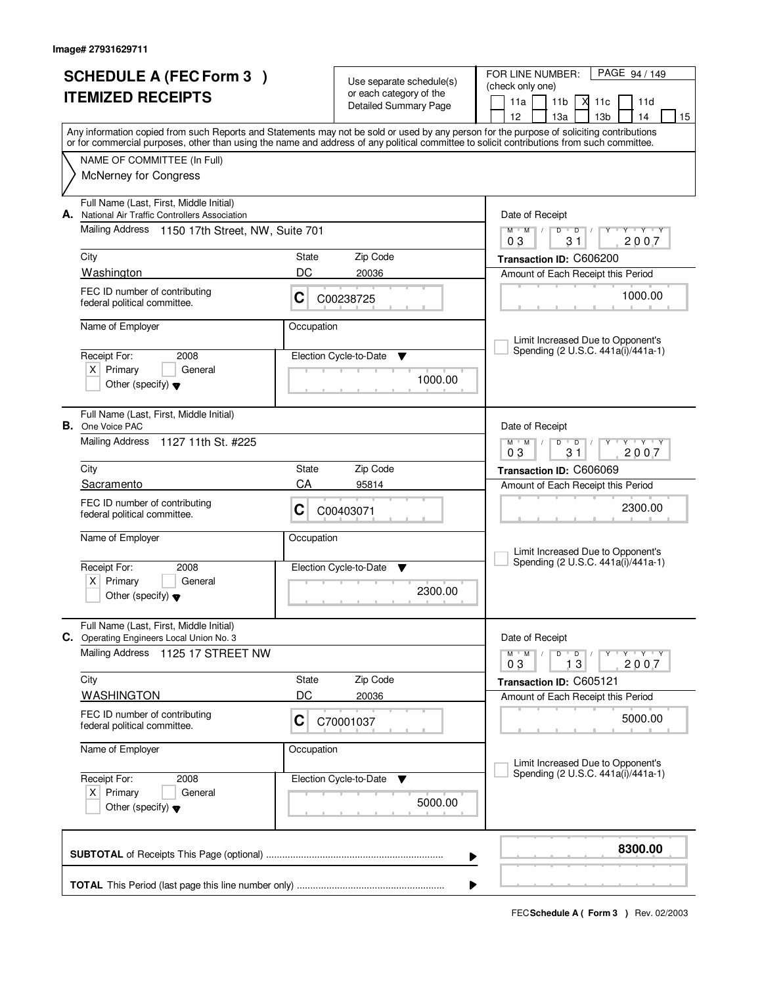|                          | <b>SCHEDULE A (FEC Form 3)</b>                                                                                                                                                                                                                                                          |            |                                                     | FOR LINE NUMBER:<br>PAGE 94 / 149                                                                            |
|--------------------------|-----------------------------------------------------------------------------------------------------------------------------------------------------------------------------------------------------------------------------------------------------------------------------------------|------------|-----------------------------------------------------|--------------------------------------------------------------------------------------------------------------|
| <b>ITEMIZED RECEIPTS</b> |                                                                                                                                                                                                                                                                                         |            | Use separate schedule(s)<br>or each category of the | (check only one)                                                                                             |
|                          |                                                                                                                                                                                                                                                                                         |            | <b>Detailed Summary Page</b>                        | 11a<br>11 <sub>b</sub><br>М<br>11c<br>11d                                                                    |
|                          |                                                                                                                                                                                                                                                                                         |            |                                                     | 12<br>13 <sub>b</sub><br>13a<br>14<br>15                                                                     |
|                          | Any information copied from such Reports and Statements may not be sold or used by any person for the purpose of soliciting contributions<br>or for commercial purposes, other than using the name and address of any political committee to solicit contributions from such committee. |            |                                                     |                                                                                                              |
|                          | NAME OF COMMITTEE (In Full)                                                                                                                                                                                                                                                             |            |                                                     |                                                                                                              |
|                          | <b>McNerney for Congress</b>                                                                                                                                                                                                                                                            |            |                                                     |                                                                                                              |
| А.                       | Full Name (Last, First, Middle Initial)<br>National Air Traffic Controllers Association                                                                                                                                                                                                 |            |                                                     | Date of Receipt                                                                                              |
|                          | Mailing Address<br>1150 17th Street, NW, Suite 701                                                                                                                                                                                                                                      |            |                                                     | $Y + Y + Y$<br>$M$ $M$ /<br>$D$ $D$<br>Y<br>$\sqrt{ }$<br>2007<br>03<br>31                                   |
|                          | City                                                                                                                                                                                                                                                                                    | State      | Zip Code                                            | Transaction ID: C606200                                                                                      |
|                          | Washington                                                                                                                                                                                                                                                                              | DC         | 20036                                               | Amount of Each Receipt this Period                                                                           |
|                          | FEC ID number of contributing<br>federal political committee.                                                                                                                                                                                                                           | C          | C00238725                                           | 1000.00                                                                                                      |
|                          | Name of Employer                                                                                                                                                                                                                                                                        | Occupation |                                                     | Limit Increased Due to Opponent's                                                                            |
|                          | Receipt For:<br>2008                                                                                                                                                                                                                                                                    |            | Election Cycle-to-Date<br>v                         | Spending (2 U.S.C. 441a(i)/441a-1)                                                                           |
|                          | $X$ Primary<br>General                                                                                                                                                                                                                                                                  |            | 1000.00                                             |                                                                                                              |
|                          | Other (specify) $\blacktriangledown$                                                                                                                                                                                                                                                    |            |                                                     |                                                                                                              |
| В.                       | Full Name (Last, First, Middle Initial)<br>One Voice PAC                                                                                                                                                                                                                                |            |                                                     | Date of Receipt                                                                                              |
|                          | Mailing Address<br>1127 11th St. #225                                                                                                                                                                                                                                                   |            |                                                     | $M$ $M$ /<br>$Y - Y - Y$<br>D<br>$\overline{D}$<br>03<br>31<br>2007                                          |
|                          | City                                                                                                                                                                                                                                                                                    | State      | Zip Code                                            | Transaction ID: C606069                                                                                      |
|                          | Sacramento                                                                                                                                                                                                                                                                              | CA         | 95814                                               | Amount of Each Receipt this Period                                                                           |
|                          | FEC ID number of contributing<br>federal political committee.                                                                                                                                                                                                                           | C          | C00403071                                           | 2300.00                                                                                                      |
|                          | Name of Employer                                                                                                                                                                                                                                                                        | Occupation |                                                     | Limit Increased Due to Opponent's                                                                            |
|                          | Receipt For:<br>2008                                                                                                                                                                                                                                                                    |            | Election Cycle-to-Date<br>v                         | Spending (2 U.S.C. 441a(i)/441a-1)                                                                           |
|                          | Primary<br>$X \mid$<br>General<br>Other (specify) $\blacktriangledown$                                                                                                                                                                                                                  |            | 2300.00                                             |                                                                                                              |
|                          | Full Name (Last, First, Middle Initial)<br>C. Operating Engineers Local Union No. 3                                                                                                                                                                                                     |            |                                                     | Date of Receipt                                                                                              |
|                          | <b>Mailing Address</b><br>1125 17 STREET NW                                                                                                                                                                                                                                             |            |                                                     | D<br>$M$ $M$ $/$<br>$\overline{\phantom{0}}$ D $\overline{\phantom{0}}$ /<br>$Y + Y + Y$<br>2007<br>13<br>03 |
|                          | City                                                                                                                                                                                                                                                                                    | State      | Zip Code                                            | Transaction ID: C605121                                                                                      |
|                          | <b>WASHINGTON</b>                                                                                                                                                                                                                                                                       | DC         | 20036                                               | Amount of Each Receipt this Period                                                                           |
|                          | FEC ID number of contributing<br>federal political committee.                                                                                                                                                                                                                           | C          | C70001037                                           | 5000.00                                                                                                      |
|                          | Name of Employer                                                                                                                                                                                                                                                                        | Occupation |                                                     | Limit Increased Due to Opponent's                                                                            |
|                          | Receipt For:<br>2008                                                                                                                                                                                                                                                                    |            | Election Cycle-to-Date<br>v                         | Spending (2 U.S.C. 441a(i)/441a-1)                                                                           |
|                          | $X$ Primary<br>General<br>Other (specify) $\blacktriangledown$                                                                                                                                                                                                                          |            | 5000.00                                             |                                                                                                              |
|                          |                                                                                                                                                                                                                                                                                         |            |                                                     | 8300.00<br>▶                                                                                                 |
|                          |                                                                                                                                                                                                                                                                                         |            |                                                     |                                                                                                              |
|                          |                                                                                                                                                                                                                                                                                         |            |                                                     | ▶                                                                                                            |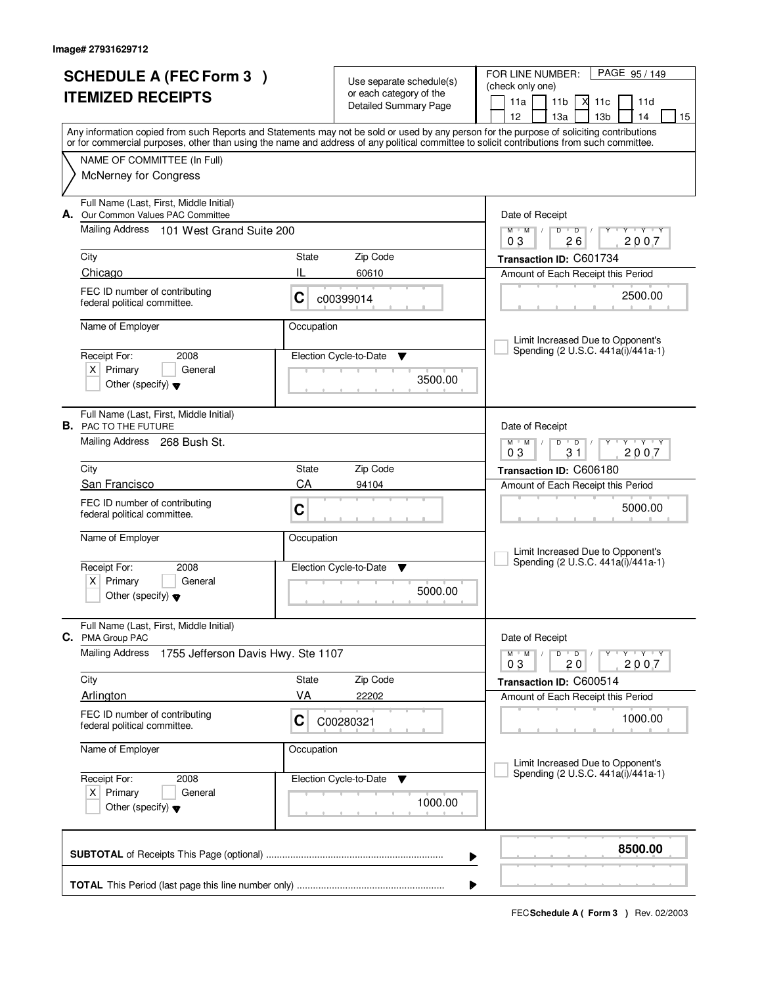| <b>SCHEDULE A (FEC Form 3)</b>                                                                                                                                                                                                                                                          |            |                                                     | FOR LINE NUMBER:<br>PAGE 95/149                                                                            |  |  |  |
|-----------------------------------------------------------------------------------------------------------------------------------------------------------------------------------------------------------------------------------------------------------------------------------------|------------|-----------------------------------------------------|------------------------------------------------------------------------------------------------------------|--|--|--|
|                                                                                                                                                                                                                                                                                         |            | Use separate schedule(s)<br>or each category of the | (check only one)                                                                                           |  |  |  |
| <b>ITEMIZED RECEIPTS</b>                                                                                                                                                                                                                                                                |            | Detailed Summary Page                               | 11a<br>11 <sub>b</sub><br>М<br>11c<br>11d                                                                  |  |  |  |
|                                                                                                                                                                                                                                                                                         |            |                                                     | 12<br>13 <sub>b</sub><br>13a<br>14<br>15                                                                   |  |  |  |
| Any information copied from such Reports and Statements may not be sold or used by any person for the purpose of soliciting contributions<br>or for commercial purposes, other than using the name and address of any political committee to solicit contributions from such committee. |            |                                                     |                                                                                                            |  |  |  |
| NAME OF COMMITTEE (In Full)                                                                                                                                                                                                                                                             |            |                                                     |                                                                                                            |  |  |  |
| <b>McNerney for Congress</b>                                                                                                                                                                                                                                                            |            |                                                     |                                                                                                            |  |  |  |
|                                                                                                                                                                                                                                                                                         |            |                                                     |                                                                                                            |  |  |  |
| Full Name (Last, First, Middle Initial)                                                                                                                                                                                                                                                 |            |                                                     |                                                                                                            |  |  |  |
| A. Our Common Values PAC Committee                                                                                                                                                                                                                                                      |            |                                                     | Date of Receipt                                                                                            |  |  |  |
| Mailing Address<br>101 West Grand Suite 200                                                                                                                                                                                                                                             |            |                                                     | $Y - Y - Y$<br>$M$ $M$ /<br>$D$ $D$<br>2007<br>03<br>26                                                    |  |  |  |
| City                                                                                                                                                                                                                                                                                    | State      | Zip Code                                            | Transaction ID: C601734                                                                                    |  |  |  |
| Chicago                                                                                                                                                                                                                                                                                 | IL         | 60610                                               | Amount of Each Receipt this Period                                                                         |  |  |  |
| FEC ID number of contributing                                                                                                                                                                                                                                                           |            |                                                     |                                                                                                            |  |  |  |
| federal political committee.                                                                                                                                                                                                                                                            | C          | c00399014                                           | 2500.00                                                                                                    |  |  |  |
| Name of Employer                                                                                                                                                                                                                                                                        | Occupation |                                                     |                                                                                                            |  |  |  |
|                                                                                                                                                                                                                                                                                         |            |                                                     | Limit Increased Due to Opponent's                                                                          |  |  |  |
| Receipt For:<br>2008                                                                                                                                                                                                                                                                    |            | Election Cycle-to-Date<br>v                         | Spending (2 U.S.C. 441a(i)/441a-1)                                                                         |  |  |  |
| $X$ Primary<br>General                                                                                                                                                                                                                                                                  |            |                                                     |                                                                                                            |  |  |  |
| Other (specify) $\blacktriangledown$                                                                                                                                                                                                                                                    |            | 3500.00                                             |                                                                                                            |  |  |  |
|                                                                                                                                                                                                                                                                                         |            |                                                     |                                                                                                            |  |  |  |
| Full Name (Last, First, Middle Initial)<br><b>B.</b> PAC TO THE FUTURE                                                                                                                                                                                                                  |            |                                                     | Date of Receipt                                                                                            |  |  |  |
| Mailing Address 268 Bush St.                                                                                                                                                                                                                                                            |            |                                                     | $Y + Y + Y$<br>$M$ $M$ $/$<br>D<br>$\overline{D}$                                                          |  |  |  |
|                                                                                                                                                                                                                                                                                         |            |                                                     |                                                                                                            |  |  |  |
| City                                                                                                                                                                                                                                                                                    | State      | Zip Code                                            | Transaction ID: C606180                                                                                    |  |  |  |
| San Francisco                                                                                                                                                                                                                                                                           | CA         | 94104                                               | Amount of Each Receipt this Period                                                                         |  |  |  |
| FEC ID number of contributing                                                                                                                                                                                                                                                           | C          |                                                     | 5000.00                                                                                                    |  |  |  |
| federal political committee.                                                                                                                                                                                                                                                            |            |                                                     |                                                                                                            |  |  |  |
| Name of Employer                                                                                                                                                                                                                                                                        | Occupation |                                                     |                                                                                                            |  |  |  |
|                                                                                                                                                                                                                                                                                         |            |                                                     | Limit Increased Due to Opponent's<br>Spending (2 U.S.C. 441a(i)/441a-1)                                    |  |  |  |
| Receipt For:<br>2008                                                                                                                                                                                                                                                                    |            | Election Cycle-to-Date<br>v                         |                                                                                                            |  |  |  |
| Primary<br>$X \mid$<br>General<br>Other (specify) $\blacktriangledown$                                                                                                                                                                                                                  |            | 5000.00                                             |                                                                                                            |  |  |  |
|                                                                                                                                                                                                                                                                                         |            |                                                     |                                                                                                            |  |  |  |
| Full Name (Last, First, Middle Initial)                                                                                                                                                                                                                                                 |            |                                                     |                                                                                                            |  |  |  |
| C. PMA Group PAC                                                                                                                                                                                                                                                                        |            |                                                     | Date of Receipt                                                                                            |  |  |  |
| <b>Mailing Address</b><br>1755 Jefferson Davis Hwy. Ste 1107                                                                                                                                                                                                                            |            |                                                     | D<br>$M$ $M$ /<br>$\overline{D}$ /<br>$\mathsf{Y} \dashv \mathsf{Y} \dashv \mathsf{Y}$<br>2007<br>03<br>20 |  |  |  |
| City                                                                                                                                                                                                                                                                                    | State      | Zip Code                                            | Transaction ID: C600514                                                                                    |  |  |  |
| Arlington                                                                                                                                                                                                                                                                               | VA         | 22202                                               | Amount of Each Receipt this Period                                                                         |  |  |  |
| FEC ID number of contributing                                                                                                                                                                                                                                                           |            |                                                     |                                                                                                            |  |  |  |
| federal political committee.                                                                                                                                                                                                                                                            | C          | C00280321                                           | 1000.00                                                                                                    |  |  |  |
| Name of Employer                                                                                                                                                                                                                                                                        | Occupation |                                                     |                                                                                                            |  |  |  |
|                                                                                                                                                                                                                                                                                         |            |                                                     | Limit Increased Due to Opponent's                                                                          |  |  |  |
| Receipt For:<br>2008                                                                                                                                                                                                                                                                    |            | Election Cycle-to-Date<br>v                         | Spending (2 U.S.C. 441a(i)/441a-1)                                                                         |  |  |  |
| $X$ Primary<br>General                                                                                                                                                                                                                                                                  |            |                                                     |                                                                                                            |  |  |  |
| Other (specify) $\blacktriangledown$                                                                                                                                                                                                                                                    |            | 1000.00                                             |                                                                                                            |  |  |  |
|                                                                                                                                                                                                                                                                                         |            |                                                     |                                                                                                            |  |  |  |
|                                                                                                                                                                                                                                                                                         |            |                                                     | 8500.00                                                                                                    |  |  |  |
|                                                                                                                                                                                                                                                                                         |            |                                                     | ▶                                                                                                          |  |  |  |
|                                                                                                                                                                                                                                                                                         |            |                                                     |                                                                                                            |  |  |  |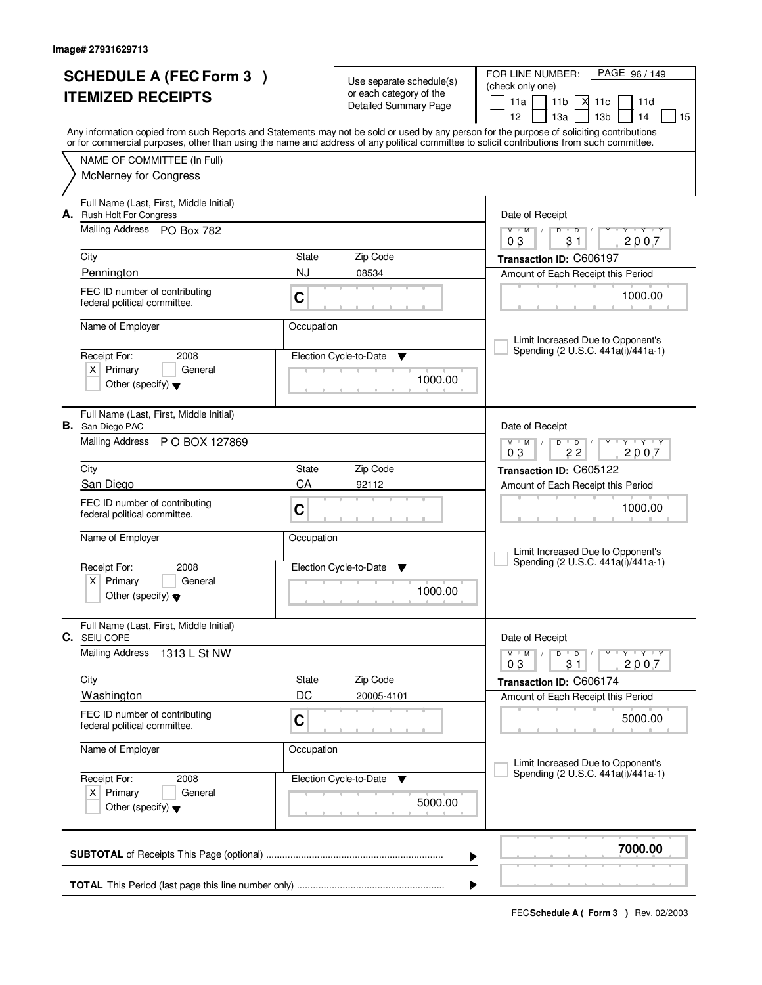| <b>SCHEDULE A (FEC Form 3)</b> |                                                                |                             |                                                     | FOR LINE NUMBER:<br>PAGE 96/149                                                                                                                                                                                                                                                         |
|--------------------------------|----------------------------------------------------------------|-----------------------------|-----------------------------------------------------|-----------------------------------------------------------------------------------------------------------------------------------------------------------------------------------------------------------------------------------------------------------------------------------------|
|                                |                                                                |                             | Use separate schedule(s)<br>or each category of the | (check only one)                                                                                                                                                                                                                                                                        |
|                                | <b>ITEMIZED RECEIPTS</b>                                       |                             | <b>Detailed Summary Page</b>                        | 11a<br>11 <sub>b</sub><br>М<br>11c<br>11d                                                                                                                                                                                                                                               |
|                                |                                                                |                             |                                                     | 12<br>13 <sub>b</sub><br>13a<br>14<br>15                                                                                                                                                                                                                                                |
|                                |                                                                |                             |                                                     | Any information copied from such Reports and Statements may not be sold or used by any person for the purpose of soliciting contributions<br>or for commercial purposes, other than using the name and address of any political committee to solicit contributions from such committee. |
|                                | NAME OF COMMITTEE (In Full)                                    |                             |                                                     |                                                                                                                                                                                                                                                                                         |
|                                | <b>McNerney for Congress</b>                                   |                             |                                                     |                                                                                                                                                                                                                                                                                         |
|                                |                                                                |                             |                                                     |                                                                                                                                                                                                                                                                                         |
|                                | Full Name (Last, First, Middle Initial)                        |                             |                                                     |                                                                                                                                                                                                                                                                                         |
|                                | A. Rush Holt For Congress                                      |                             |                                                     | Date of Receipt                                                                                                                                                                                                                                                                         |
|                                | Mailing Address PO Box 782                                     |                             |                                                     | $Y$ $Y$ $Y$<br>$M$ $M$ /<br>$D$ $D$<br>$Y$ <sup>U</sup><br>$\sqrt{ }$<br>2007<br>03<br>31                                                                                                                                                                                               |
|                                | City                                                           | State                       | Zip Code                                            | Transaction ID: C606197                                                                                                                                                                                                                                                                 |
|                                | Pennington                                                     | NJ                          | 08534                                               | Amount of Each Receipt this Period                                                                                                                                                                                                                                                      |
|                                | FEC ID number of contributing                                  |                             |                                                     |                                                                                                                                                                                                                                                                                         |
|                                | federal political committee.                                   | C                           |                                                     | 1000.00                                                                                                                                                                                                                                                                                 |
|                                |                                                                |                             |                                                     |                                                                                                                                                                                                                                                                                         |
|                                | Name of Employer                                               | Occupation                  |                                                     | Limit Increased Due to Opponent's                                                                                                                                                                                                                                                       |
|                                | Receipt For:<br>2008                                           |                             |                                                     | Spending (2 U.S.C. 441a(i)/441a-1)                                                                                                                                                                                                                                                      |
|                                | $X$ Primary<br>General                                         | Election Cycle-to-Date<br>v |                                                     |                                                                                                                                                                                                                                                                                         |
|                                | Other (specify) $\blacktriangledown$                           |                             | 1000.00                                             |                                                                                                                                                                                                                                                                                         |
|                                |                                                                |                             |                                                     |                                                                                                                                                                                                                                                                                         |
|                                | Full Name (Last, First, Middle Initial)                        |                             |                                                     |                                                                                                                                                                                                                                                                                         |
|                                | <b>B.</b> San Diego PAC                                        |                             |                                                     | Date of Receipt                                                                                                                                                                                                                                                                         |
|                                | Mailing Address P O BOX 127869                                 |                             |                                                     | $M$ $M$ $/$<br>$Y - Y - Y$<br>D<br>$\overline{D}$<br>22<br>03<br>2007                                                                                                                                                                                                                   |
|                                | City                                                           | State                       | Zip Code                                            | Transaction ID: C605122                                                                                                                                                                                                                                                                 |
|                                | San Diego                                                      | CA                          | 92112                                               | Amount of Each Receipt this Period                                                                                                                                                                                                                                                      |
|                                | FEC ID number of contributing                                  |                             |                                                     |                                                                                                                                                                                                                                                                                         |
|                                | federal political committee.                                   | C                           |                                                     | 1000.00                                                                                                                                                                                                                                                                                 |
|                                | Name of Employer                                               | Occupation                  |                                                     |                                                                                                                                                                                                                                                                                         |
|                                |                                                                |                             |                                                     | Limit Increased Due to Opponent's                                                                                                                                                                                                                                                       |
|                                | Receipt For:<br>2008                                           |                             | Election Cycle-to-Date<br>v                         | Spending (2 U.S.C. 441a(i)/441a-1)                                                                                                                                                                                                                                                      |
|                                | Primary<br>$X \mid$<br>General                                 |                             |                                                     |                                                                                                                                                                                                                                                                                         |
|                                | Other (specify) $\blacktriangledown$                           |                             | 1000.00                                             |                                                                                                                                                                                                                                                                                         |
|                                |                                                                |                             |                                                     |                                                                                                                                                                                                                                                                                         |
|                                | Full Name (Last, First, Middle Initial)<br><b>C.</b> SEIU COPE |                             |                                                     | Date of Receipt                                                                                                                                                                                                                                                                         |
|                                | <b>Mailing Address</b><br>1313 L St NW                         |                             |                                                     | D<br>$M$ $M$ $/$<br>$\overline{D}$ /<br>$Y + Y + Y$                                                                                                                                                                                                                                     |
|                                |                                                                |                             |                                                     | 2007<br>03<br>31                                                                                                                                                                                                                                                                        |
|                                | City                                                           | State                       | Zip Code                                            | Transaction ID: C606174                                                                                                                                                                                                                                                                 |
|                                | <b>Washington</b>                                              | DC                          | 20005-4101                                          | Amount of Each Receipt this Period                                                                                                                                                                                                                                                      |
|                                | FEC ID number of contributing                                  | $\mathbf C$                 |                                                     | 5000.00                                                                                                                                                                                                                                                                                 |
|                                | federal political committee.                                   |                             |                                                     |                                                                                                                                                                                                                                                                                         |
|                                | Name of Employer                                               | Occupation                  |                                                     |                                                                                                                                                                                                                                                                                         |
|                                |                                                                |                             |                                                     | Limit Increased Due to Opponent's                                                                                                                                                                                                                                                       |
|                                | Receipt For:<br>2008                                           |                             | Election Cycle-to-Date<br>v                         | Spending (2 U.S.C. 441a(i)/441a-1)                                                                                                                                                                                                                                                      |
|                                | $X$ Primary<br>General                                         |                             | 5000.00                                             |                                                                                                                                                                                                                                                                                         |
|                                | Other (specify) $\blacktriangledown$                           |                             |                                                     |                                                                                                                                                                                                                                                                                         |
|                                |                                                                |                             |                                                     |                                                                                                                                                                                                                                                                                         |
|                                |                                                                |                             |                                                     | 7000.00                                                                                                                                                                                                                                                                                 |
|                                |                                                                |                             |                                                     | ▶                                                                                                                                                                                                                                                                                       |
|                                |                                                                |                             |                                                     | ▶                                                                                                                                                                                                                                                                                       |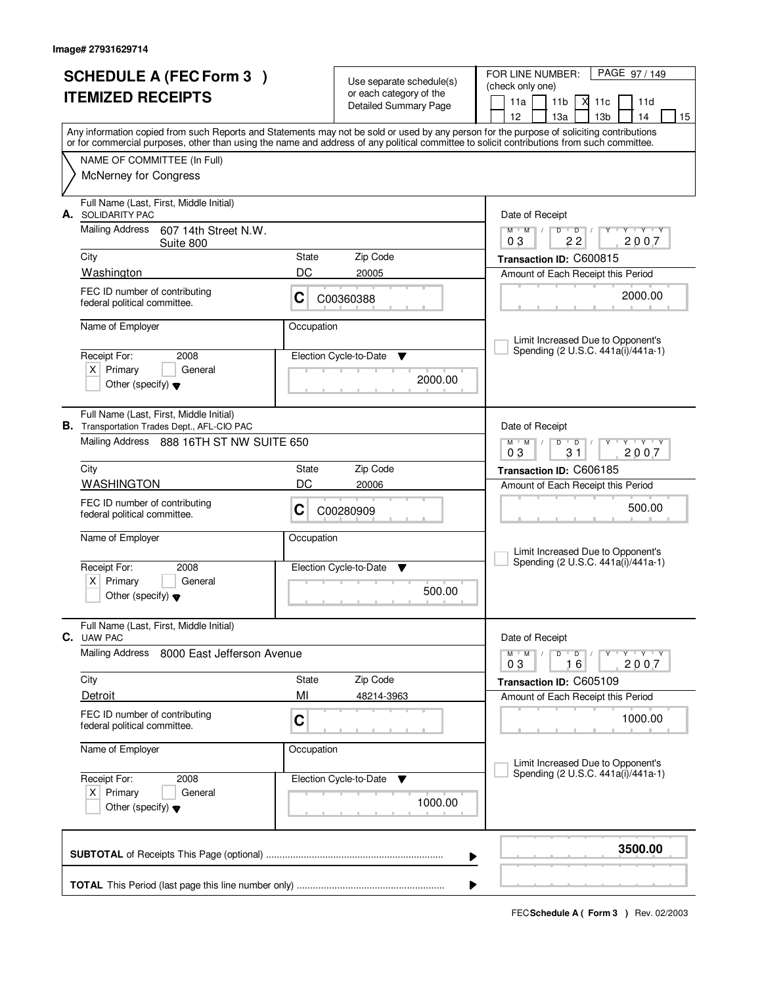|                          | <b>SCHEDULE A (FEC Form 3)</b>                                                                                                             |                                                     |                             | PAGE 97/149<br>FOR LINE NUMBER:                                                                                  |
|--------------------------|--------------------------------------------------------------------------------------------------------------------------------------------|-----------------------------------------------------|-----------------------------|------------------------------------------------------------------------------------------------------------------|
| <b>ITEMIZED RECEIPTS</b> |                                                                                                                                            | Use separate schedule(s)<br>or each category of the |                             | (check only one)                                                                                                 |
|                          |                                                                                                                                            |                                                     | Detailed Summary Page       | 11a<br>11 <sub>b</sub><br>М<br>11c<br>11d                                                                        |
|                          | Any information copied from such Reports and Statements may not be sold or used by any person for the purpose of soliciting contributions  |                                                     |                             | 12<br>13 <sub>b</sub><br>13a<br>14<br>15                                                                         |
|                          | or for commercial purposes, other than using the name and address of any political committee to solicit contributions from such committee. |                                                     |                             |                                                                                                                  |
|                          | NAME OF COMMITTEE (In Full)                                                                                                                |                                                     |                             |                                                                                                                  |
|                          | <b>McNerney for Congress</b>                                                                                                               |                                                     |                             |                                                                                                                  |
|                          | Full Name (Last, First, Middle Initial)<br>A. SOLIDARITY PAC                                                                               |                                                     |                             | Date of Receipt                                                                                                  |
|                          | <b>Mailing Address</b><br>607 14th Street N.W.<br>Suite 800                                                                                |                                                     |                             | $M$ $M$<br>$D$ $D$<br>Y Y Y Y<br>$\frac{1}{2}$<br>2007<br>03<br>22                                               |
|                          | City                                                                                                                                       | State                                               | Zip Code                    | Transaction ID: C600815                                                                                          |
|                          | Washington                                                                                                                                 | DC                                                  | 20005                       | Amount of Each Receipt this Period                                                                               |
|                          | FEC ID number of contributing<br>federal political committee.                                                                              | C                                                   | C00360388                   | 2000.00                                                                                                          |
|                          | Name of Employer                                                                                                                           | Occupation                                          |                             | Limit Increased Due to Opponent's                                                                                |
|                          | Receipt For:<br>2008                                                                                                                       |                                                     | Election Cycle-to-Date<br>v | Spending (2 U.S.C. 441a(i)/441a-1)                                                                               |
|                          | $X$ Primary<br>General                                                                                                                     |                                                     |                             |                                                                                                                  |
|                          | Other (specify) $\blacktriangledown$                                                                                                       |                                                     | 2000.00                     |                                                                                                                  |
|                          | Full Name (Last, First, Middle Initial)<br><b>B.</b> Transportation Trades Dept., AFL-CIO PAC                                              |                                                     |                             | Date of Receipt                                                                                                  |
|                          | Mailing Address 888 16TH ST NW SUITE 650                                                                                                   |                                                     |                             | $\mathsf{L} \mathsf{Y} \mathsf{L} \mathsf{Y} \mathsf{Y}$<br>$M$ $M$ /<br>D<br>$\overline{D}$<br>03<br>31<br>2007 |
|                          | City                                                                                                                                       | State                                               | Zip Code                    | Transaction ID: C606185                                                                                          |
|                          | <b>WASHINGTON</b>                                                                                                                          | DC                                                  | 20006                       | Amount of Each Receipt this Period                                                                               |
|                          | FEC ID number of contributing<br>federal political committee.                                                                              | C                                                   | C00280909                   | 500.00                                                                                                           |
|                          | Name of Employer                                                                                                                           | Occupation                                          |                             |                                                                                                                  |
|                          |                                                                                                                                            |                                                     |                             | Limit Increased Due to Opponent's<br>Spending (2 U.S.C. 441a(i)/441a-1)                                          |
|                          | Receipt For:<br>2008<br>Primary<br>General<br>ΧI                                                                                           |                                                     | Election Cycle-to-Date<br>▼ |                                                                                                                  |
|                          | Other (specify) $\blacktriangledown$                                                                                                       |                                                     | 500.00                      |                                                                                                                  |
|                          | Full Name (Last, First, Middle Initial)<br><b>C.</b> UAW PAC                                                                               |                                                     |                             | Date of Receipt                                                                                                  |
|                          | <b>Mailing Address</b><br>8000 East Jefferson Avenue                                                                                       |                                                     |                             | $D$ $D$ $I$<br>$\mathsf{Y} \dashv \neg \mathsf{Y} \dashv \neg \mathsf{Y}$<br>$M$ $M$ $/$<br>2007<br>16<br>03     |
|                          | City                                                                                                                                       | <b>State</b>                                        | Zip Code                    | Transaction ID: C605109                                                                                          |
|                          | Detroit                                                                                                                                    | MI                                                  | 48214-3963                  | Amount of Each Receipt this Period                                                                               |
|                          | FEC ID number of contributing<br>federal political committee.                                                                              | C                                                   |                             | 1000.00                                                                                                          |
|                          | Name of Employer                                                                                                                           | Occupation                                          |                             | Limit Increased Due to Opponent's                                                                                |
|                          | Receipt For:<br>2008                                                                                                                       |                                                     | Election Cycle-to-Date<br>v | Spending (2 U.S.C. 441a(i)/441a-1)                                                                               |
|                          | $X$ Primary<br>General                                                                                                                     |                                                     |                             |                                                                                                                  |
|                          | Other (specify) $\blacktriangledown$                                                                                                       |                                                     | 1000.00                     |                                                                                                                  |
|                          |                                                                                                                                            |                                                     |                             | 3500.00<br>▶                                                                                                     |
|                          |                                                                                                                                            |                                                     |                             |                                                                                                                  |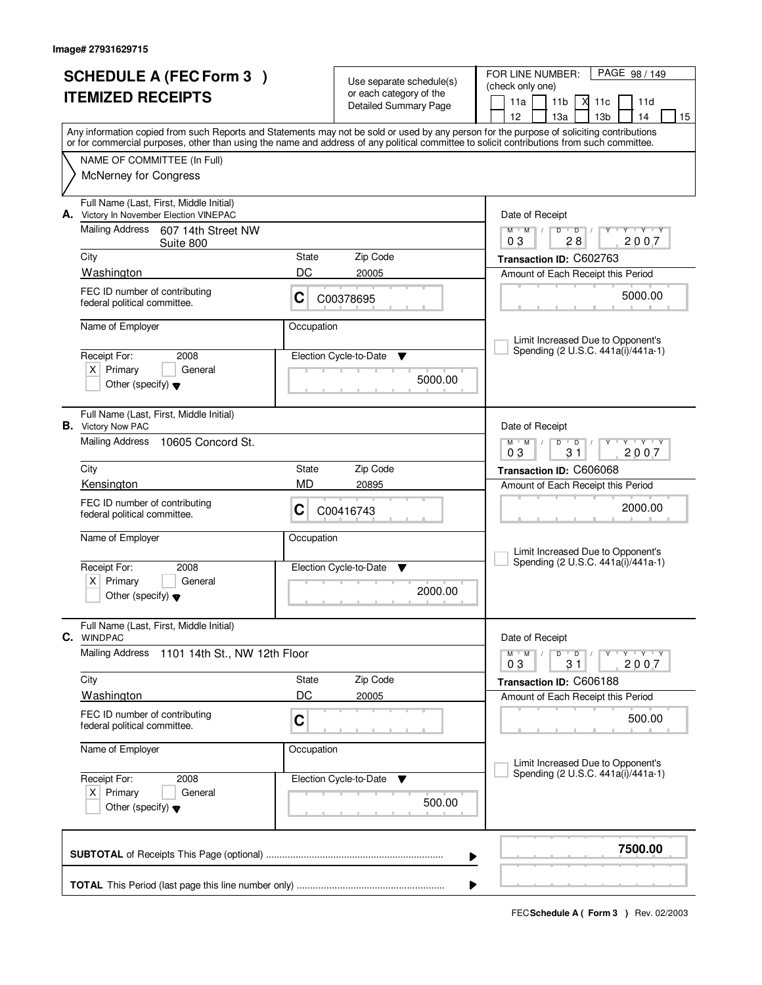| <b>SCHEDULE A (FEC Form 3)</b><br><b>ITEMIZED RECEIPTS</b> |                                                                                 |             | Use separate schedule(s)<br>or each category of the<br><b>Detailed Summary Page</b> | PAGE 98 / 149<br>FOR LINE NUMBER:<br>(check only one)<br>11a<br>11 <sub>b</sub><br>Х<br>11c<br>11d                                                                                                                                                                                      |
|------------------------------------------------------------|---------------------------------------------------------------------------------|-------------|-------------------------------------------------------------------------------------|-----------------------------------------------------------------------------------------------------------------------------------------------------------------------------------------------------------------------------------------------------------------------------------------|
|                                                            |                                                                                 |             |                                                                                     | 12<br>13 <sub>b</sub><br>13a<br>14<br>15                                                                                                                                                                                                                                                |
|                                                            |                                                                                 |             |                                                                                     | Any information copied from such Reports and Statements may not be sold or used by any person for the purpose of soliciting contributions<br>or for commercial purposes, other than using the name and address of any political committee to solicit contributions from such committee. |
|                                                            | NAME OF COMMITTEE (In Full)<br>McNerney for Congress                            |             |                                                                                     |                                                                                                                                                                                                                                                                                         |
| А.                                                         | Full Name (Last, First, Middle Initial)<br>Victory In November Election VINEPAC |             |                                                                                     | Date of Receipt                                                                                                                                                                                                                                                                         |
|                                                            | <b>Mailing Address</b><br>607 14th Street NW<br>Suite 800                       |             |                                                                                     | $M$ $M$ /<br>$\overline{D}$<br><b>TY TY</b><br>D<br>Y<br>2007<br>03<br>28                                                                                                                                                                                                               |
|                                                            | City<br>Washington                                                              | State<br>DC | Zip Code<br>20005                                                                   | Transaction ID: C602763                                                                                                                                                                                                                                                                 |
|                                                            | FEC ID number of contributing                                                   |             |                                                                                     | Amount of Each Receipt this Period                                                                                                                                                                                                                                                      |
|                                                            | federal political committee.                                                    | C           | C00378695                                                                           | 5000.00                                                                                                                                                                                                                                                                                 |
|                                                            | Name of Employer                                                                | Occupation  |                                                                                     | Limit Increased Due to Opponent's                                                                                                                                                                                                                                                       |
|                                                            | Receipt For:<br>2008                                                            |             | Election Cycle-to-Date<br>v                                                         | Spending (2 U.S.C. 441a(i)/441a-1)                                                                                                                                                                                                                                                      |
|                                                            | $X$ Primary<br>General<br>Other (specify) $\blacktriangledown$                  |             | 5000.00                                                                             |                                                                                                                                                                                                                                                                                         |
|                                                            | Full Name (Last, First, Middle Initial)<br><b>B.</b> Victory Now PAC            |             |                                                                                     | Date of Receipt                                                                                                                                                                                                                                                                         |
|                                                            | Mailing Address<br>10605 Concord St.                                            |             |                                                                                     | $\mathsf{L} \mathsf{Y} \mathsf{L} \mathsf{Y} \mathsf{Y} \mathsf{Y}$<br>$M$ $M$ $/$<br>D<br>$\overline{D}$<br>03<br>31<br>2007                                                                                                                                                           |
|                                                            | City                                                                            | State       | Zip Code                                                                            | Transaction ID: C606068                                                                                                                                                                                                                                                                 |
|                                                            | Kensington                                                                      | <b>MD</b>   | 20895                                                                               | Amount of Each Receipt this Period                                                                                                                                                                                                                                                      |
|                                                            | FEC ID number of contributing<br>federal political committee.                   | C           | C00416743                                                                           | 2000.00                                                                                                                                                                                                                                                                                 |
|                                                            | Name of Employer                                                                | Occupation  |                                                                                     | Limit Increased Due to Opponent's                                                                                                                                                                                                                                                       |
|                                                            | Receipt For:<br>2008                                                            |             | Election Cycle-to-Date<br>▼                                                         | Spending (2 U.S.C. 441a(i)/441a-1)                                                                                                                                                                                                                                                      |
|                                                            | Primary<br>$\times$<br>General<br>Other (specify) $\blacktriangledown$          |             | 2000.00                                                                             |                                                                                                                                                                                                                                                                                         |
|                                                            | Full Name (Last, First, Middle Initial)<br>C. WINDPAC                           |             |                                                                                     | Date of Receipt                                                                                                                                                                                                                                                                         |
|                                                            | Mailing Address<br>1101 14th St., NW 12th Floor                                 |             |                                                                                     | $\mathsf{Y} \dashv \neg \mathsf{Y} \dashv \neg \mathsf{Y}$<br>$M$ $M$ /<br>$D$ $D$ $/$<br>2007<br>03<br>31                                                                                                                                                                              |
|                                                            | City                                                                            | State       | Zip Code                                                                            | Transaction ID: C606188                                                                                                                                                                                                                                                                 |
|                                                            | Washington                                                                      | DC          | 20005                                                                               | Amount of Each Receipt this Period                                                                                                                                                                                                                                                      |
|                                                            | FEC ID number of contributing<br>federal political committee.                   | C           |                                                                                     | 500.00                                                                                                                                                                                                                                                                                  |
|                                                            | Name of Employer                                                                | Occupation  |                                                                                     | Limit Increased Due to Opponent's                                                                                                                                                                                                                                                       |
|                                                            | Receipt For:<br>2008                                                            |             | Election Cycle-to-Date<br>v                                                         | Spending (2 U.S.C. 441a(i)/441a-1)                                                                                                                                                                                                                                                      |
|                                                            | $X$ Primary<br>General<br>Other (specify) $\blacktriangledown$                  |             | 500.00                                                                              |                                                                                                                                                                                                                                                                                         |
|                                                            |                                                                                 |             |                                                                                     | 7500.00<br>▶                                                                                                                                                                                                                                                                            |
|                                                            |                                                                                 |             |                                                                                     | ▶                                                                                                                                                                                                                                                                                       |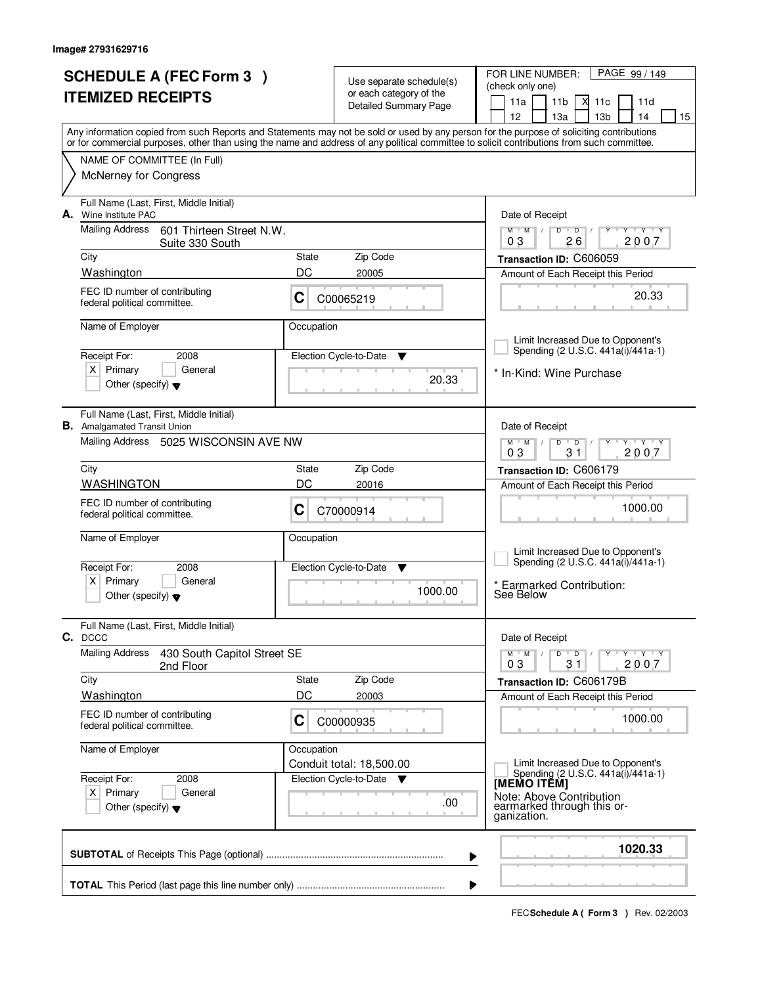| <b>SCHEDULE A (FEC Form 3)</b> |                                                                                |              | Use separate schedule(s)                                       | PAGE 99 / 149<br>FOR LINE NUMBER:<br>(check only one)                                                                                                                                 |
|--------------------------------|--------------------------------------------------------------------------------|--------------|----------------------------------------------------------------|---------------------------------------------------------------------------------------------------------------------------------------------------------------------------------------|
| <b>ITEMIZED RECEIPTS</b>       |                                                                                |              | or each category of the<br><b>Detailed Summary Page</b>        | М<br>11a<br>11 <sub>b</sub><br>11c<br>11d                                                                                                                                             |
|                                |                                                                                |              |                                                                | 12<br>13a<br>13 <sub>b</sub><br>14<br>15<br>Any information copied from such Reports and Statements may not be sold or used by any person for the purpose of soliciting contributions |
|                                |                                                                                |              |                                                                | or for commercial purposes, other than using the name and address of any political committee to solicit contributions from such committee.                                            |
|                                | NAME OF COMMITTEE (In Full)<br><b>McNerney for Congress</b>                    |              |                                                                |                                                                                                                                                                                       |
|                                | Full Name (Last, First, Middle Initial)                                        |              |                                                                |                                                                                                                                                                                       |
| А.                             | Wine Institute PAC<br><b>Mailing Address</b><br>601 Thirteen Street N.W.       |              |                                                                | Date of Receipt<br>$Y + Y + Y + Y$<br>$M$ $M$ /<br>$D$ $D$ $1$                                                                                                                        |
|                                | Suite 330 South<br>City                                                        | State        | Zip Code                                                       | 26<br>2007<br>03                                                                                                                                                                      |
|                                | Washington                                                                     | DC           | 20005                                                          | Transaction ID: C606059<br>Amount of Each Receipt this Period                                                                                                                         |
|                                | FEC ID number of contributing<br>federal political committee.                  | C            | C00065219                                                      | 20.33                                                                                                                                                                                 |
|                                | Name of Employer                                                               | Occupation   |                                                                |                                                                                                                                                                                       |
|                                |                                                                                |              |                                                                | Limit Increased Due to Opponent's<br>Spending (2 U.S.C. 441a(i)/441a-1)                                                                                                               |
|                                | Receipt For:<br>2008<br>$X$ Primary<br>General                                 |              | Election Cycle-to-Date<br>▼                                    |                                                                                                                                                                                       |
|                                | Other (specify) $\blacktriangledown$                                           |              | 20.33                                                          | * In-Kind: Wine Purchase                                                                                                                                                              |
|                                | Full Name (Last, First, Middle Initial)<br><b>B.</b> Amalgamated Transit Union |              |                                                                | Date of Receipt                                                                                                                                                                       |
|                                | Mailing Address 5025 WISCONSIN AVE NW                                          |              |                                                                | $M$ $M$ /<br>$Y - Y - Y$<br>D<br>$\overline{D}$<br>03<br>31<br>2007                                                                                                                   |
|                                | City                                                                           | <b>State</b> | Zip Code                                                       | Transaction ID: C606179                                                                                                                                                               |
|                                | <b>WASHINGTON</b>                                                              | DC           | 20016                                                          | Amount of Each Receipt this Period                                                                                                                                                    |
|                                | FEC ID number of contributing<br>federal political committee.                  | С            | C70000914                                                      | 1000.00                                                                                                                                                                               |
|                                | Name of Employer                                                               | Occupation   |                                                                | Limit Increased Due to Opponent's                                                                                                                                                     |
|                                | Receipt For:<br>2008                                                           |              | Election Cycle-to-Date<br>▼                                    | Spending (2 U.S.C. 441a(i)/441a-1)                                                                                                                                                    |
|                                | Primary<br>General<br>ΧI<br>Other (specify) $\blacktriangledown$               |              | 1000.00                                                        | * Earmarked Contribution:<br>See Below                                                                                                                                                |
|                                | Full Name (Last, First, Middle Initial)<br>C. DCCC                             |              |                                                                | Date of Receipt                                                                                                                                                                       |
|                                | <b>Mailing Address</b><br>430 South Capitol Street SE<br>2nd Floor             |              |                                                                | $D$ $D$ $/$<br>$M$ $M$ $/$<br>$Y \rightarrow Y \rightarrow Y$<br>Y<br>03<br>31<br>2007                                                                                                |
|                                | City                                                                           | State        | Zip Code                                                       | Transaction ID: C606179B                                                                                                                                                              |
|                                | <b>Washington</b>                                                              | DC           | 20003                                                          | Amount of Each Receipt this Period                                                                                                                                                    |
|                                | FEC ID number of contributing<br>federal political committee.                  | C            | C00000935                                                      | 1000.00                                                                                                                                                                               |
|                                | Name of Employer                                                               | Occupation   |                                                                | Limit Increased Due to Opponent's                                                                                                                                                     |
|                                | Receipt For:<br>2008                                                           |              | Conduit total: 18,500.00<br>Election Cycle-to-Date<br><b>V</b> | Spending (2 U.S.C. 441a(i)/441a-1)<br>[MEMO ITÊM]                                                                                                                                     |
|                                | $X$ Primary<br>General<br>Other (specify) $\blacktriangledown$                 |              | .00                                                            | Note: Above Contribution<br>earmarked through this or-<br>ganization.                                                                                                                 |
|                                |                                                                                |              |                                                                | 1020.33                                                                                                                                                                               |
|                                |                                                                                |              |                                                                | ▶                                                                                                                                                                                     |
|                                |                                                                                |              |                                                                |                                                                                                                                                                                       |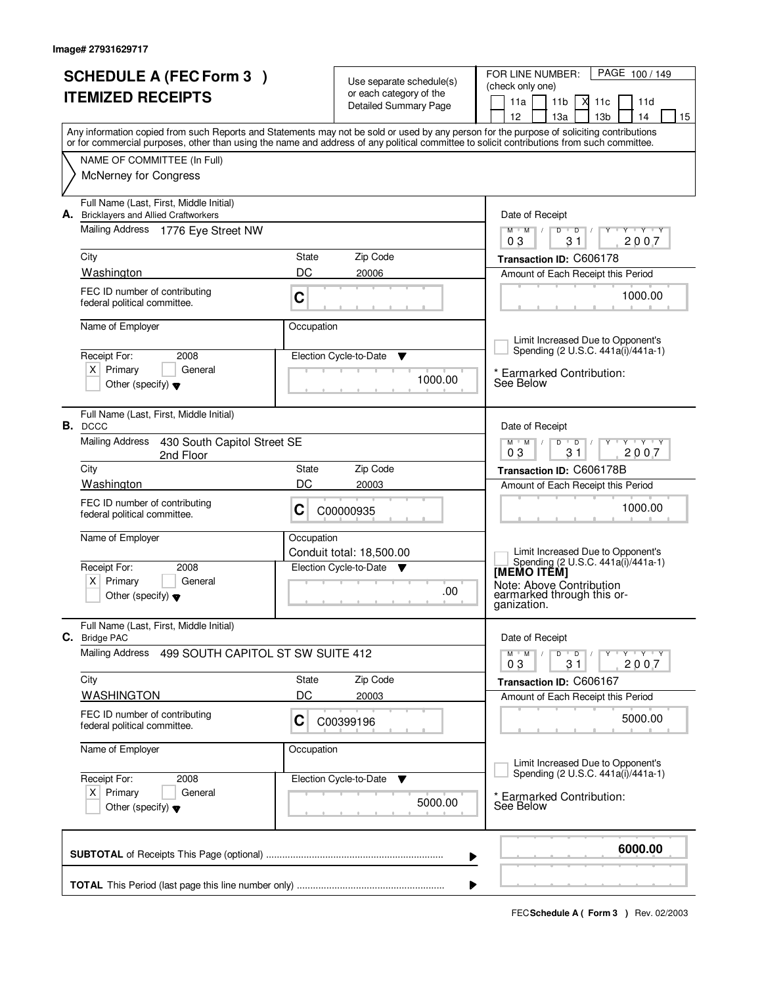| <b>SCHEDULE A (FEC Form 3)</b>                                                                                                                                                                                                                                                          |             |                                                     | PAGE 100 / 149<br>FOR LINE NUMBER:                                      |
|-----------------------------------------------------------------------------------------------------------------------------------------------------------------------------------------------------------------------------------------------------------------------------------------|-------------|-----------------------------------------------------|-------------------------------------------------------------------------|
|                                                                                                                                                                                                                                                                                         |             | Use separate schedule(s)<br>or each category of the | (check only one)                                                        |
| <b>ITEMIZED RECEIPTS</b>                                                                                                                                                                                                                                                                |             | <b>Detailed Summary Page</b>                        | 11a<br>11 <sub>b</sub><br>М<br>11d<br>11c                               |
|                                                                                                                                                                                                                                                                                         |             |                                                     | 13 <sub>b</sub><br>12<br>13a<br>14<br>15                                |
| Any information copied from such Reports and Statements may not be sold or used by any person for the purpose of soliciting contributions<br>or for commercial purposes, other than using the name and address of any political committee to solicit contributions from such committee. |             |                                                     |                                                                         |
| NAME OF COMMITTEE (In Full)                                                                                                                                                                                                                                                             |             |                                                     |                                                                         |
| <b>McNerney for Congress</b>                                                                                                                                                                                                                                                            |             |                                                     |                                                                         |
|                                                                                                                                                                                                                                                                                         |             |                                                     |                                                                         |
| Full Name (Last, First, Middle Initial)                                                                                                                                                                                                                                                 |             |                                                     |                                                                         |
| A. Bricklayers and Allied Craftworkers                                                                                                                                                                                                                                                  |             |                                                     | Date of Receipt                                                         |
| Mailing Address 1776 Eye Street NW                                                                                                                                                                                                                                                      |             |                                                     | $Y + Y + Y$<br>$M$ $M$ /<br>$D$ $D$ $I$<br>Y<br>31<br>2007<br>03        |
| City                                                                                                                                                                                                                                                                                    | State       | Zip Code                                            |                                                                         |
| Washington                                                                                                                                                                                                                                                                              | DC          | 20006                                               | Transaction ID: C606178                                                 |
|                                                                                                                                                                                                                                                                                         |             |                                                     | Amount of Each Receipt this Period                                      |
| FEC ID number of contributing<br>federal political committee.                                                                                                                                                                                                                           | $\mathbf C$ |                                                     | 1000.00                                                                 |
|                                                                                                                                                                                                                                                                                         |             |                                                     |                                                                         |
| Name of Employer                                                                                                                                                                                                                                                                        | Occupation  |                                                     |                                                                         |
|                                                                                                                                                                                                                                                                                         |             |                                                     | Limit Increased Due to Opponent's<br>Spending (2 U.S.C. 441a(i)/441a-1) |
| Receipt For:<br>2008                                                                                                                                                                                                                                                                    |             | Election Cycle-to-Date<br>▼                         |                                                                         |
| $X$ Primary<br>General<br>Other (specify) $\blacktriangledown$                                                                                                                                                                                                                          | 1000.00     |                                                     | <b>Earmarked Contribution:</b><br>See Below                             |
|                                                                                                                                                                                                                                                                                         |             |                                                     |                                                                         |
| Full Name (Last, First, Middle Initial)                                                                                                                                                                                                                                                 |             |                                                     |                                                                         |
| B. DCCC                                                                                                                                                                                                                                                                                 |             |                                                     | Date of Receipt                                                         |
| <b>Mailing Address</b><br>430 South Capitol Street SE                                                                                                                                                                                                                                   |             |                                                     | $M$ $M$ /<br>$Y \vdash Y \vdash Y$<br>D<br>$\overline{D}$               |
| 2nd Floor                                                                                                                                                                                                                                                                               |             |                                                     | 03<br>31<br>2007                                                        |
| City                                                                                                                                                                                                                                                                                    | State       | Zip Code                                            | Transaction ID: C606178B                                                |
| Washington                                                                                                                                                                                                                                                                              | DC          | 20003                                               | Amount of Each Receipt this Period                                      |
| FEC ID number of contributing                                                                                                                                                                                                                                                           | C           | C00000935                                           | 1000.00                                                                 |
| federal political committee.                                                                                                                                                                                                                                                            |             |                                                     |                                                                         |
| Name of Employer                                                                                                                                                                                                                                                                        | Occupation  |                                                     |                                                                         |
|                                                                                                                                                                                                                                                                                         |             | Conduit total: 18,500.00                            | Limit Increased Due to Opponent's                                       |
| Receipt For:<br>2008                                                                                                                                                                                                                                                                    |             | Election Cycle-to-Date ▼                            | Spending (2 U.S.C. 441a(i)/441a-1)<br><b>IMEMO ITEMI</b>                |
| Primary<br>$X \mid$<br>General                                                                                                                                                                                                                                                          |             | .00                                                 | Note: Above Contribution                                                |
| Other (specify) $\blacktriangledown$                                                                                                                                                                                                                                                    |             |                                                     | earmarked through this or-<br>ganization.                               |
|                                                                                                                                                                                                                                                                                         |             |                                                     |                                                                         |
| Full Name (Last, First, Middle Initial)<br>C. Bridge PAC                                                                                                                                                                                                                                |             |                                                     | Date of Receipt                                                         |
| <b>Mailing Address</b><br>499 SOUTH CAPITOL ST SW SUITE 412                                                                                                                                                                                                                             |             |                                                     | $M$ $M$ $/$<br>$D$ $D$<br>$Y \rightarrow Y \rightarrow Y$               |
|                                                                                                                                                                                                                                                                                         |             |                                                     | 03<br>31<br>2007                                                        |
| City                                                                                                                                                                                                                                                                                    | State       | Zip Code                                            | Transaction ID: C606167                                                 |
| <b>WASHINGTON</b>                                                                                                                                                                                                                                                                       | DC          | 20003                                               | Amount of Each Receipt this Period                                      |
| FEC ID number of contributing                                                                                                                                                                                                                                                           | C           | C00399196                                           | 5000.00                                                                 |
| federal political committee.                                                                                                                                                                                                                                                            |             |                                                     |                                                                         |
| Name of Employer                                                                                                                                                                                                                                                                        | Occupation  |                                                     |                                                                         |
|                                                                                                                                                                                                                                                                                         |             |                                                     | Limit Increased Due to Opponent's                                       |
| Receipt For:<br>2008                                                                                                                                                                                                                                                                    |             | Election Cycle-to-Date<br>v                         | Spending (2 U.S.C. 441a(i)/441a-1)                                      |
| $X$ Primary<br>General                                                                                                                                                                                                                                                                  |             | 5000.00                                             | * Earmarked Contribution:                                               |
| Other (specify) $\blacktriangledown$                                                                                                                                                                                                                                                    |             |                                                     | See Below                                                               |
|                                                                                                                                                                                                                                                                                         |             |                                                     |                                                                         |
|                                                                                                                                                                                                                                                                                         |             |                                                     | 6000.00                                                                 |
|                                                                                                                                                                                                                                                                                         |             | ▶                                                   |                                                                         |
|                                                                                                                                                                                                                                                                                         |             | ▶                                                   |                                                                         |
|                                                                                                                                                                                                                                                                                         |             |                                                     |                                                                         |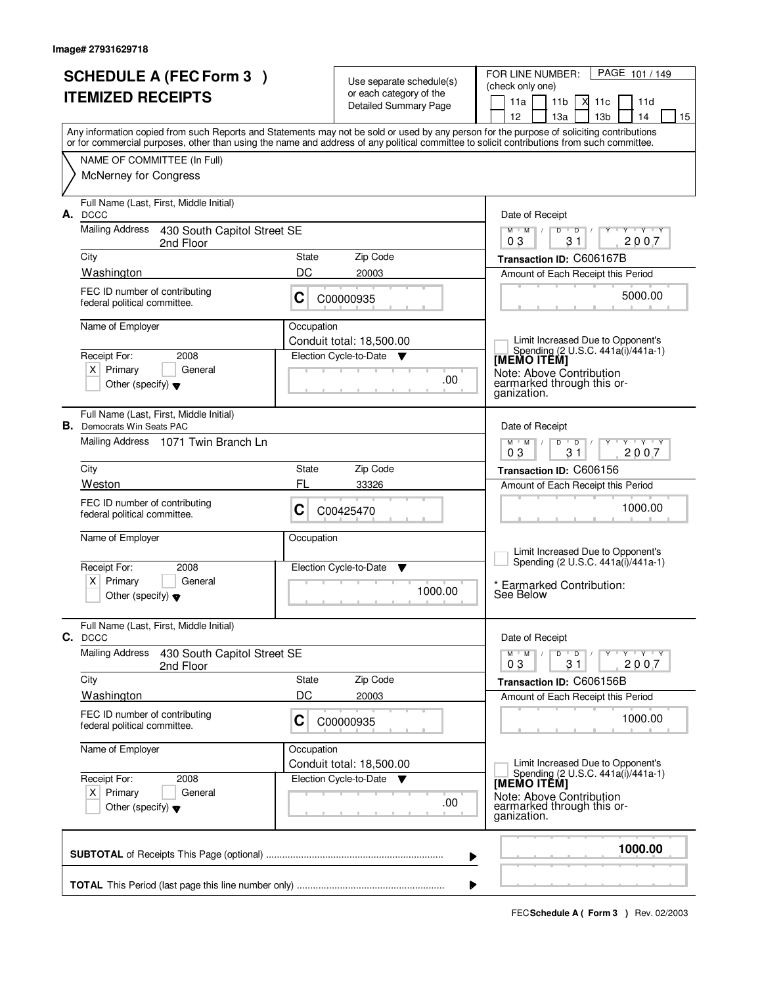| <b>SCHEDULE A (FEC Form 3)</b><br><b>ITEMIZED RECEIPTS</b> |                                                                              |            | Use separate schedule(s)<br>or each category of the<br>Detailed Summary Page | PAGE 101 / 149<br>FOR LINE NUMBER:<br>(check only one)<br>11a<br>11 <sub>b</sub><br>X<br>11c<br>11d<br>13 <sub>b</sub><br>12 <sup>2</sup><br>13a<br>14<br>15                                                                                                                            |
|------------------------------------------------------------|------------------------------------------------------------------------------|------------|------------------------------------------------------------------------------|-----------------------------------------------------------------------------------------------------------------------------------------------------------------------------------------------------------------------------------------------------------------------------------------|
|                                                            |                                                                              |            |                                                                              | Any information copied from such Reports and Statements may not be sold or used by any person for the purpose of soliciting contributions<br>or for commercial purposes, other than using the name and address of any political committee to solicit contributions from such committee. |
|                                                            | NAME OF COMMITTEE (In Full)<br><b>McNerney for Congress</b>                  |            |                                                                              |                                                                                                                                                                                                                                                                                         |
| А.                                                         | Full Name (Last, First, Middle Initial)<br><b>DCCC</b>                       |            |                                                                              | Date of Receipt                                                                                                                                                                                                                                                                         |
|                                                            | Mailing Address 430 South Capitol Street SE<br>2nd Floor                     |            |                                                                              | $Y$ $Y$ $Y$<br>$M$ $M$ $/$<br>$D$ $D$ $/$<br>$Y$ <sup>U</sup><br>31<br>2007<br>03                                                                                                                                                                                                       |
|                                                            | City                                                                         | State      | Zip Code                                                                     | Transaction ID: C606167B                                                                                                                                                                                                                                                                |
|                                                            | Washington                                                                   | DC         | 20003                                                                        | Amount of Each Receipt this Period                                                                                                                                                                                                                                                      |
|                                                            | FEC ID number of contributing<br>federal political committee.                | C          | C00000935                                                                    | 5000.00                                                                                                                                                                                                                                                                                 |
|                                                            | Name of Employer                                                             | Occupation | Conduit total: 18,500.00                                                     | Limit Increased Due to Opponent's                                                                                                                                                                                                                                                       |
|                                                            | Receipt For:<br>2008                                                         |            | Election Cycle-to-Date<br><b>V</b>                                           | Spending (2 U.S.C. 441a(i)/441a-1)<br>[MEMO ITĔM]                                                                                                                                                                                                                                       |
|                                                            | $X$ Primary<br>General<br>Other (specify) $\blacktriangledown$               |            | .00                                                                          | Note: Above Contribution<br>earmarked through this or-<br>ganization.                                                                                                                                                                                                                   |
|                                                            | Full Name (Last, First, Middle Initial)<br><b>B.</b> Democrats Win Seats PAC |            |                                                                              | Date of Receipt                                                                                                                                                                                                                                                                         |
|                                                            | Mailing Address 1071 Twin Branch Ln                                          |            |                                                                              | $M$ $M$ /<br>$Y \vdash Y \vdash Y$<br>D<br>$\overline{D}$<br>03<br>31<br>2007                                                                                                                                                                                                           |
|                                                            | City                                                                         | State      | Zip Code                                                                     | Transaction ID: C606156                                                                                                                                                                                                                                                                 |
|                                                            | Weston                                                                       | FL         | 33326                                                                        | Amount of Each Receipt this Period                                                                                                                                                                                                                                                      |
|                                                            | FEC ID number of contributing<br>federal political committee.                | С          | C00425470                                                                    | 1000.00                                                                                                                                                                                                                                                                                 |
|                                                            | Name of Employer                                                             | Occupation |                                                                              | Limit Increased Due to Opponent's                                                                                                                                                                                                                                                       |
|                                                            | Receipt For:<br>2008                                                         |            | Election Cycle-to-Date<br>- V                                                | Spending (2 U.S.C. 441a(i)/441a-1)                                                                                                                                                                                                                                                      |
|                                                            | Primary<br>General<br>ΧI<br>Other (specify) $\blacktriangledown$             |            | 1000.00                                                                      | Earmarked Contribution:<br>See Below                                                                                                                                                                                                                                                    |
|                                                            | Full Name (Last, First, Middle Initial)<br>C. DCCC                           |            |                                                                              | Date of Receipt                                                                                                                                                                                                                                                                         |
|                                                            | <b>Mailing Address</b><br>430 South Capitol Street SE<br>2nd Floor           |            |                                                                              | $D$ $D$ $I$<br>$M$ $M$ $/$<br>$Y \dashv Y \dashv Y$<br>2007<br>03<br>31                                                                                                                                                                                                                 |
|                                                            | City                                                                         | State      | Zip Code                                                                     | Transaction ID: C606156B                                                                                                                                                                                                                                                                |
|                                                            | <b>Washington</b>                                                            | DC         | 20003                                                                        | Amount of Each Receipt this Period                                                                                                                                                                                                                                                      |
|                                                            | FEC ID number of contributing<br>federal political committee.                | C          | C00000935                                                                    | 1000.00                                                                                                                                                                                                                                                                                 |
|                                                            | Name of Employer                                                             | Occupation | Conduit total: 18,500.00                                                     | Limit Increased Due to Opponent's                                                                                                                                                                                                                                                       |
|                                                            | Receipt For:<br>2008                                                         |            | Election Cycle-to-Date<br><b>V</b>                                           | Spending (2 U.S.C. 441a(i)/441a-1)<br>[MEMO ITÊM]                                                                                                                                                                                                                                       |
|                                                            | $X$ Primary<br>General<br>Other (specify) $\blacktriangledown$               |            | .00.                                                                         | Note: Above Contribution<br>earmarked through this or-<br>ganization.                                                                                                                                                                                                                   |
|                                                            |                                                                              |            | ▶                                                                            | 1000.00                                                                                                                                                                                                                                                                                 |
|                                                            |                                                                              |            |                                                                              |                                                                                                                                                                                                                                                                                         |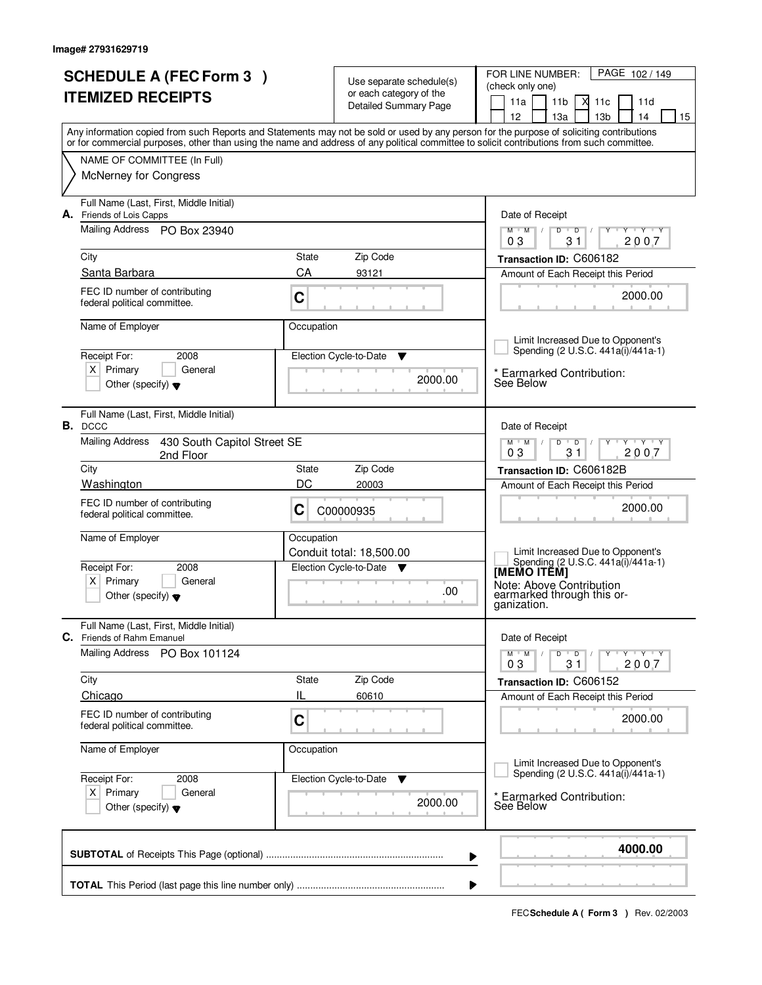| <b>SCHEDULE A (FEC Form 3)</b><br><b>ITEMIZED RECEIPTS</b> |                                                                       |             | Use separate schedule(s)<br>or each category of the  | PAGE 102/149<br>FOR LINE NUMBER:<br>(check only one)                                                                                                                                                                                                                                    |
|------------------------------------------------------------|-----------------------------------------------------------------------|-------------|------------------------------------------------------|-----------------------------------------------------------------------------------------------------------------------------------------------------------------------------------------------------------------------------------------------------------------------------------------|
|                                                            |                                                                       |             | <b>Detailed Summary Page</b>                         | М<br>11a<br>11 <sub>b</sub><br>11c<br>11d<br>12<br>13a<br>13 <sub>b</sub><br>14<br>15                                                                                                                                                                                                   |
|                                                            |                                                                       |             |                                                      | Any information copied from such Reports and Statements may not be sold or used by any person for the purpose of soliciting contributions<br>or for commercial purposes, other than using the name and address of any political committee to solicit contributions from such committee. |
|                                                            | NAME OF COMMITTEE (In Full)                                           |             |                                                      |                                                                                                                                                                                                                                                                                         |
|                                                            | <b>McNerney for Congress</b>                                          |             |                                                      |                                                                                                                                                                                                                                                                                         |
|                                                            | Full Name (Last, First, Middle Initial)<br>A. Friends of Lois Capps   |             |                                                      | Date of Receipt                                                                                                                                                                                                                                                                         |
|                                                            | Mailing Address PO Box 23940                                          |             |                                                      | $Y$ $Y$ $Y$<br>$M$ $M$<br>$D$ $D$<br>Ϋ<br>$\sqrt{ }$<br>31<br>2007<br>03                                                                                                                                                                                                                |
|                                                            | City                                                                  | State       | Zip Code                                             | Transaction ID: C606182                                                                                                                                                                                                                                                                 |
|                                                            | Santa Barbara                                                         | CA          | 93121                                                | Amount of Each Receipt this Period                                                                                                                                                                                                                                                      |
|                                                            | FEC ID number of contributing<br>federal political committee.         | C           |                                                      | 2000.00                                                                                                                                                                                                                                                                                 |
|                                                            | Name of Employer                                                      | Occupation  |                                                      |                                                                                                                                                                                                                                                                                         |
|                                                            |                                                                       |             |                                                      | Limit Increased Due to Opponent's<br>Spending (2 U.S.C. 441a(i)/441a-1)                                                                                                                                                                                                                 |
|                                                            | Receipt For:<br>2008<br>$X$ Primary<br>General                        |             | Election Cycle-to-Date<br>▼                          |                                                                                                                                                                                                                                                                                         |
|                                                            | Other (specify) $\blacktriangledown$                                  |             | 2000.00                                              | * Earmarked Contribution:<br>See Below                                                                                                                                                                                                                                                  |
|                                                            | Full Name (Last, First, Middle Initial)<br>B. DCCC                    |             |                                                      | Date of Receipt                                                                                                                                                                                                                                                                         |
|                                                            | <b>Mailing Address</b><br>430 South Capitol Street SE<br>2nd Floor    |             |                                                      | $M$ $M$ $/$<br>$Y \vdash Y \vdash Y$<br>D<br>$\overline{D}$<br>31<br>03<br>2007                                                                                                                                                                                                         |
|                                                            | City                                                                  | State       | Zip Code                                             | Transaction ID: C606182B                                                                                                                                                                                                                                                                |
|                                                            | Washington                                                            | DC          | 20003                                                | Amount of Each Receipt this Period                                                                                                                                                                                                                                                      |
|                                                            | FEC ID number of contributing<br>federal political committee.         | С           | C00000935                                            | 2000.00                                                                                                                                                                                                                                                                                 |
|                                                            | Name of Employer                                                      | Occupation  |                                                      |                                                                                                                                                                                                                                                                                         |
|                                                            | Receipt For:<br>2008                                                  |             | Conduit total: 18,500.00<br>Election Cycle-to-Date ▼ | Limit Increased Due to Opponent's<br>Spending (2 U.S.C. 441a(i)/441a-1)                                                                                                                                                                                                                 |
|                                                            | $x \mid$<br>Primary<br>General                                        |             |                                                      | <b>IMEMO ITEMI</b><br>Note: Above Contribution                                                                                                                                                                                                                                          |
|                                                            | Other (specify) $\blacktriangledown$                                  |             | .00                                                  | earmarked through this or-<br>ganization.                                                                                                                                                                                                                                               |
|                                                            | Full Name (Last, First, Middle Initial)<br>C. Friends of Rahm Emanuel |             |                                                      | Date of Receipt                                                                                                                                                                                                                                                                         |
|                                                            | Mailing Address<br>PO Box 101124                                      |             |                                                      | $D$ $D$ $I$<br>$M$ $M$ $/$<br>Y TY TY TY<br>03<br>31<br>2007                                                                                                                                                                                                                            |
|                                                            | City                                                                  | State       | Zip Code                                             | Transaction ID: C606152                                                                                                                                                                                                                                                                 |
|                                                            | Chicago                                                               | IL          | 60610                                                | Amount of Each Receipt this Period                                                                                                                                                                                                                                                      |
|                                                            | FEC ID number of contributing<br>federal political committee.         | $\mathbf C$ |                                                      | 2000.00                                                                                                                                                                                                                                                                                 |
|                                                            | Name of Employer                                                      | Occupation  |                                                      |                                                                                                                                                                                                                                                                                         |
|                                                            | Receipt For:<br>2008                                                  |             | Election Cycle-to-Date ▼                             | Limit Increased Due to Opponent's<br>Spending (2 U.S.C. 441a(i)/441a-1)                                                                                                                                                                                                                 |
|                                                            | $X$ Primary<br>General<br>Other (specify) $\blacktriangledown$        |             | 2000.00                                              | * Earmarked Contribution:<br>See Below                                                                                                                                                                                                                                                  |
|                                                            |                                                                       |             |                                                      | 4000.00<br>▶                                                                                                                                                                                                                                                                            |
|                                                            |                                                                       |             |                                                      |                                                                                                                                                                                                                                                                                         |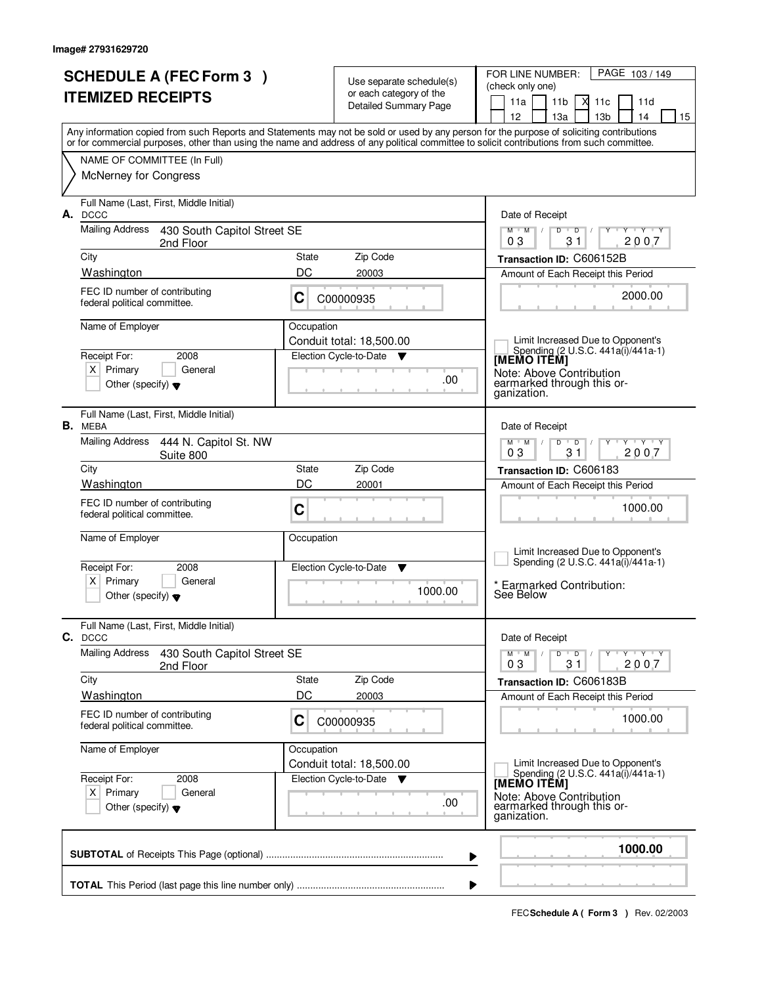|    | <b>SCHEDULE A (FEC Form 3)</b><br><b>ITEMIZED RECEIPTS</b>                                                                                 |            | Use separate schedule(s)<br>or each category of the<br>Detailed Summary Page | PAGE 103/149<br>FOR LINE NUMBER:<br>(check only one)<br>11a<br>11 <sub>b</sub><br>X<br>11c<br>11d<br>13 <sub>b</sub><br>12 <sup>2</sup><br>13a<br>14<br>15 |
|----|--------------------------------------------------------------------------------------------------------------------------------------------|------------|------------------------------------------------------------------------------|------------------------------------------------------------------------------------------------------------------------------------------------------------|
|    | or for commercial purposes, other than using the name and address of any political committee to solicit contributions from such committee. |            |                                                                              | Any information copied from such Reports and Statements may not be sold or used by any person for the purpose of soliciting contributions                  |
|    | NAME OF COMMITTEE (In Full)                                                                                                                |            |                                                                              |                                                                                                                                                            |
|    | <b>McNerney for Congress</b>                                                                                                               |            |                                                                              |                                                                                                                                                            |
| А. | Full Name (Last, First, Middle Initial)<br><b>DCCC</b>                                                                                     |            |                                                                              | Date of Receipt                                                                                                                                            |
|    | Mailing Address 430 South Capitol Street SE<br>2nd Floor                                                                                   |            |                                                                              | $Y$ $Y$ $Y$<br>$M$ $M$ /<br>$D$ $D$ $/$<br>Y<br>31<br>2007<br>03                                                                                           |
|    | City                                                                                                                                       | State      | Zip Code                                                                     | Transaction ID: C606152B                                                                                                                                   |
|    | Washington                                                                                                                                 | DC         | 20003                                                                        | Amount of Each Receipt this Period                                                                                                                         |
|    | FEC ID number of contributing<br>federal political committee.                                                                              | C          | C00000935                                                                    | 2000.00                                                                                                                                                    |
|    | Name of Employer                                                                                                                           | Occupation |                                                                              |                                                                                                                                                            |
|    |                                                                                                                                            |            | Conduit total: 18,500.00                                                     | Limit Increased Due to Opponent's<br>Spending (2 U.S.C. 441a(i)/441a-1)                                                                                    |
|    | Receipt For:<br>2008<br>$X$ Primary<br>General                                                                                             |            | Election Cycle-to-Date<br><b>V</b>                                           | [MEMO ITĔM]                                                                                                                                                |
|    | Other (specify) $\blacktriangledown$                                                                                                       |            | .00                                                                          | Note: Above Contribution<br>earmarked through this or-<br>ganization.                                                                                      |
|    | Full Name (Last, First, Middle Initial)<br>B. MEBA                                                                                         |            |                                                                              | Date of Receipt                                                                                                                                            |
|    | Mailing Address 444 N. Capitol St. NW<br>Suite 800                                                                                         |            |                                                                              | $M$ $M$ /<br>$Y - Y - Y$<br>D<br>$\overline{D}$<br>03<br>31<br>2007                                                                                        |
|    | City                                                                                                                                       | State      | Zip Code                                                                     | Transaction ID: C606183                                                                                                                                    |
|    | Washington                                                                                                                                 | DC         | 20001                                                                        | Amount of Each Receipt this Period                                                                                                                         |
|    | FEC ID number of contributing<br>federal political committee.                                                                              | C          |                                                                              | 1000.00                                                                                                                                                    |
|    | Name of Employer                                                                                                                           | Occupation |                                                                              | Limit Increased Due to Opponent's                                                                                                                          |
|    | Receipt For:<br>2008                                                                                                                       |            | Election Cycle-to-Date<br>- V                                                | Spending (2 U.S.C. 441a(i)/441a-1)                                                                                                                         |
|    | Primary<br>General<br>ΧI<br>Other (specify) $\blacktriangledown$                                                                           |            | 1000.00                                                                      | Earmarked Contribution:<br>See Below                                                                                                                       |
|    | Full Name (Last, First, Middle Initial)<br>C. DCCC                                                                                         |            |                                                                              | Date of Receipt                                                                                                                                            |
|    | <b>Mailing Address</b><br>430 South Capitol Street SE<br>2nd Floor                                                                         |            |                                                                              | $D$ $D$ $I$<br>$M$ $M$ $/$<br>$Y \dashv Y \dashv Y$<br>2007<br>03<br>31                                                                                    |
|    | City                                                                                                                                       | State      | Zip Code                                                                     | Transaction ID: C606183B                                                                                                                                   |
|    | <b>Washington</b>                                                                                                                          | DC         | 20003                                                                        | Amount of Each Receipt this Period                                                                                                                         |
|    | FEC ID number of contributing<br>federal political committee.                                                                              | C          | C00000935                                                                    | 1000.00                                                                                                                                                    |
|    | Name of Employer                                                                                                                           | Occupation | Conduit total: 18,500.00                                                     | Limit Increased Due to Opponent's                                                                                                                          |
|    | Receipt For:<br>2008                                                                                                                       |            | Election Cycle-to-Date<br><b>V</b>                                           | Spending (2 U.S.C. 441a(i)/441a-1)<br>[MEMO ITÊM]                                                                                                          |
|    | $X$ Primary<br>General<br>Other (specify) $\blacktriangledown$                                                                             |            | .00.                                                                         | Note: Above Contribution<br>earmarked through this or-<br>ganization.                                                                                      |
|    |                                                                                                                                            |            | ▶                                                                            | 1000.00                                                                                                                                                    |
|    |                                                                                                                                            |            |                                                                              |                                                                                                                                                            |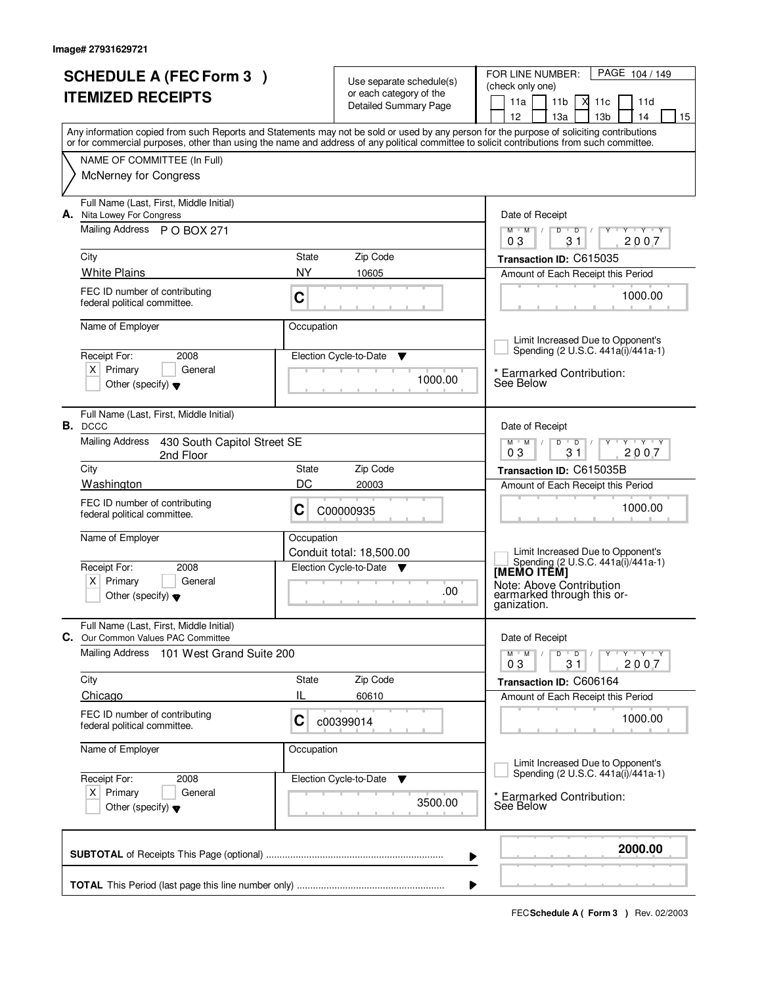| <b>SCHEDULE A (FEC Form 3)</b><br><b>ITEMIZED RECEIPTS</b> |                                                                                                                    |                    | Use separate schedule(s)<br>or each category of the<br>Detailed Summary Page | FOR LINE NUMBER:<br>PAGE 104 / 149<br>(check only one)<br>11a<br>11 <sub>b</sub><br>М<br>11c<br>11d                                                                                                                                                                                                                                 |  |  |  |
|------------------------------------------------------------|--------------------------------------------------------------------------------------------------------------------|--------------------|------------------------------------------------------------------------------|-------------------------------------------------------------------------------------------------------------------------------------------------------------------------------------------------------------------------------------------------------------------------------------------------------------------------------------|--|--|--|
|                                                            |                                                                                                                    |                    |                                                                              | 12<br>13a<br>13 <sub>b</sub><br>14<br>15<br>Any information copied from such Reports and Statements may not be sold or used by any person for the purpose of soliciting contributions<br>or for commercial purposes, other than using the name and address of any political committee to solicit contributions from such committee. |  |  |  |
|                                                            | NAME OF COMMITTEE (In Full)<br>McNerney for Congress                                                               |                    |                                                                              |                                                                                                                                                                                                                                                                                                                                     |  |  |  |
| А.                                                         | Full Name (Last, First, Middle Initial)<br>Nita Lowey For Congress                                                 |                    |                                                                              | Date of Receipt                                                                                                                                                                                                                                                                                                                     |  |  |  |
|                                                            | Mailing Address P O BOX 271                                                                                        |                    |                                                                              | $D$ $D$<br>Y TY Y Y<br>$M$ $M$ /<br>2007<br>31<br>03                                                                                                                                                                                                                                                                                |  |  |  |
|                                                            | City<br><b>White Plains</b>                                                                                        | State<br><b>NY</b> | Zip Code<br>10605                                                            | Transaction ID: C615035<br>Amount of Each Receipt this Period                                                                                                                                                                                                                                                                       |  |  |  |
|                                                            | FEC ID number of contributing<br>federal political committee.                                                      | C                  |                                                                              | 1000.00                                                                                                                                                                                                                                                                                                                             |  |  |  |
|                                                            | Name of Employer                                                                                                   | Occupation         |                                                                              | Limit Increased Due to Opponent's                                                                                                                                                                                                                                                                                                   |  |  |  |
|                                                            | Receipt For:<br>2008                                                                                               |                    | Election Cycle-to-Date<br>v                                                  | Spending (2 U.S.C. 441a(i)/441a-1)                                                                                                                                                                                                                                                                                                  |  |  |  |
|                                                            | $X$ Primary<br>General<br>Other (specify) $\blacktriangledown$                                                     |                    | 1000.00                                                                      | * Earmarked Contribution:<br>See Below                                                                                                                                                                                                                                                                                              |  |  |  |
|                                                            | Full Name (Last, First, Middle Initial)<br>B. DCCC                                                                 |                    |                                                                              | Date of Receipt                                                                                                                                                                                                                                                                                                                     |  |  |  |
|                                                            | <b>Mailing Address</b><br>430 South Capitol Street SE<br>2nd Floor                                                 |                    |                                                                              | $Y + Y + Y$<br>$M$ $M$ /<br>$\mathsf{D}$<br>$\overline{D}$<br>03<br>31<br>2007                                                                                                                                                                                                                                                      |  |  |  |
|                                                            | City<br>Washington                                                                                                 | State<br>DC        | Zip Code<br>20003                                                            | Transaction ID: C615035B                                                                                                                                                                                                                                                                                                            |  |  |  |
|                                                            | FEC ID number of contributing<br>federal political committee.                                                      | C                  | C00000935                                                                    | Amount of Each Receipt this Period<br>1000.00                                                                                                                                                                                                                                                                                       |  |  |  |
|                                                            | Name of Employer<br>Receipt For:<br>2008<br>Primary<br>General<br>$X \mid$<br>Other (specify) $\blacktriangledown$ | Occupation         | Conduit total: 18,500.00<br>Election Cycle-to-Date ▼<br>.00                  | Limit Increased Due to Opponent's<br>Spending (2 U.S.C. 441a(i)/441a-1)<br>[MEMO ITĔM]<br>Note: Above Contribution<br>earmarked through this or-<br>ganization.                                                                                                                                                                     |  |  |  |
|                                                            | Full Name (Last, First, Middle Initial)<br>C. Our Common Values PAC Committee                                      |                    |                                                                              | Date of Receipt                                                                                                                                                                                                                                                                                                                     |  |  |  |
|                                                            | Mailing Address<br>101 West Grand Suite 200                                                                        |                    |                                                                              | $Y - Y - Y - Y$<br>$M$ $M$ /<br>$D$ $D$ $I$<br>2007<br>03<br>31                                                                                                                                                                                                                                                                     |  |  |  |
|                                                            | City                                                                                                               | State              | Zip Code                                                                     | Transaction ID: C606164                                                                                                                                                                                                                                                                                                             |  |  |  |
|                                                            | Chicago<br>FEC ID number of contributing<br>federal political committee.                                           | IL<br>C            | 60610<br>c00399014                                                           | Amount of Each Receipt this Period<br>1000.00                                                                                                                                                                                                                                                                                       |  |  |  |
|                                                            | Name of Employer                                                                                                   | Occupation         |                                                                              | Limit Increased Due to Opponent's                                                                                                                                                                                                                                                                                                   |  |  |  |
|                                                            | 2008<br>Receipt For:                                                                                               |                    | Election Cycle-to-Date<br>v                                                  | Spending (2 U.S.C. 441a(i)/441a-1)                                                                                                                                                                                                                                                                                                  |  |  |  |
|                                                            | $X$ Primary<br>General<br>Other (specify) $\blacktriangledown$                                                     |                    | 3500.00                                                                      | <b>Earmarked Contribution:</b><br>See Below                                                                                                                                                                                                                                                                                         |  |  |  |
|                                                            |                                                                                                                    |                    | ▶                                                                            | 2000.00                                                                                                                                                                                                                                                                                                                             |  |  |  |
|                                                            |                                                                                                                    |                    |                                                                              |                                                                                                                                                                                                                                                                                                                                     |  |  |  |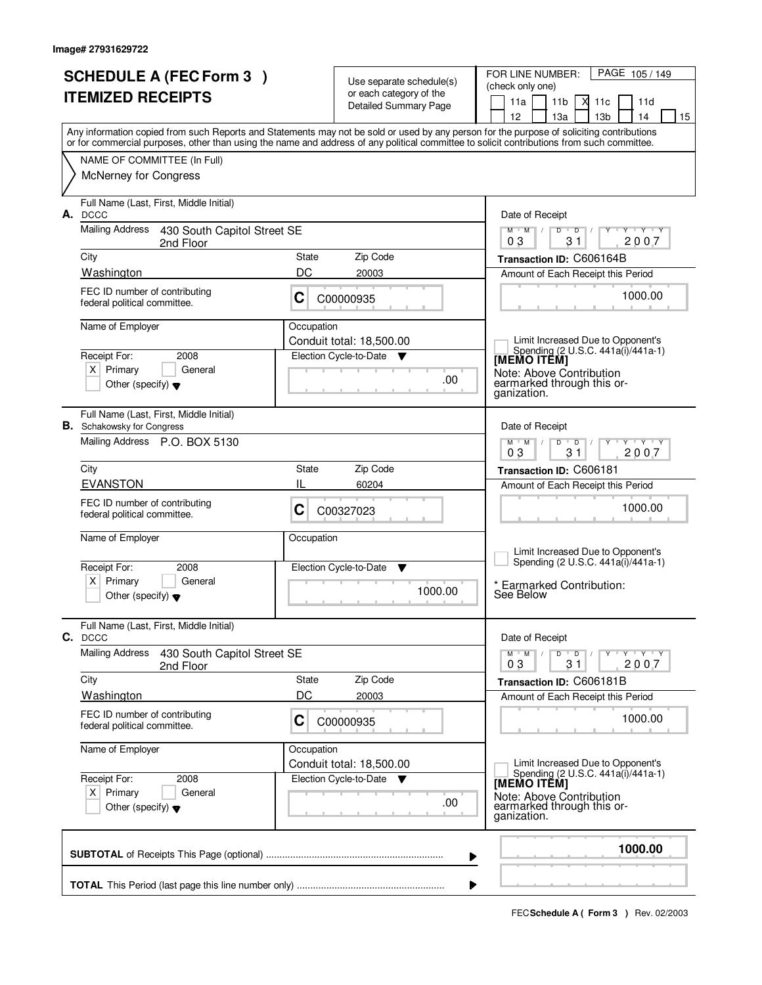| <b>SCHEDULE A (FEC Form 3)</b><br><b>ITEMIZED RECEIPTS</b>                                                                                                                                                                                                                              |                              | Use separate schedule(s)<br>or each category of the | PAGE 105/149<br>FOR LINE NUMBER:<br>(check only one)<br>11a<br>11 <sub>b</sub><br>М<br>11d<br>11c |
|-----------------------------------------------------------------------------------------------------------------------------------------------------------------------------------------------------------------------------------------------------------------------------------------|------------------------------|-----------------------------------------------------|---------------------------------------------------------------------------------------------------|
|                                                                                                                                                                                                                                                                                         | <b>Detailed Summary Page</b> |                                                     | 13 <sub>b</sub><br>12<br>13a<br>14<br>15                                                          |
| Any information copied from such Reports and Statements may not be sold or used by any person for the purpose of soliciting contributions<br>or for commercial purposes, other than using the name and address of any political committee to solicit contributions from such committee. |                              |                                                     |                                                                                                   |
| NAME OF COMMITTEE (In Full)                                                                                                                                                                                                                                                             |                              |                                                     |                                                                                                   |
| <b>McNerney for Congress</b>                                                                                                                                                                                                                                                            |                              |                                                     |                                                                                                   |
| Full Name (Last, First, Middle Initial)<br>A. DCCC                                                                                                                                                                                                                                      |                              |                                                     | Date of Receipt                                                                                   |
| Mailing Address<br>430 South Capitol Street SE<br>2nd Floor                                                                                                                                                                                                                             |                              |                                                     | $Y$ $Y$ $Y$<br>$M$ $M$ /<br>D<br>$\overline{D}$<br>Ÿ<br>31<br>2007<br>03                          |
| City                                                                                                                                                                                                                                                                                    | State                        | Zip Code                                            | Transaction ID: C606164B                                                                          |
| Washington                                                                                                                                                                                                                                                                              | DC                           | 20003                                               | Amount of Each Receipt this Period                                                                |
| FEC ID number of contributing<br>federal political committee.                                                                                                                                                                                                                           | C                            | C00000935                                           | 1000.00                                                                                           |
| Name of Employer                                                                                                                                                                                                                                                                        | Occupation                   |                                                     |                                                                                                   |
|                                                                                                                                                                                                                                                                                         |                              | Conduit total: 18,500.00                            | Limit Increased Due to Opponent's<br>Spending (2 U.S.C. 441a(i)/441a-1)                           |
| Receipt For:<br>2008<br>$X$ Primary<br>General                                                                                                                                                                                                                                          |                              | Election Cycle-to-Date<br>v                         | [MEMO ITĚM]                                                                                       |
| Other (specify) $\blacktriangledown$                                                                                                                                                                                                                                                    |                              | .00                                                 | Note: Above Contribution<br>earmarked through this or-<br>ganization.                             |
| Full Name (Last, First, Middle Initial)<br><b>B.</b> Schakowsky for Congress                                                                                                                                                                                                            |                              |                                                     | Date of Receipt                                                                                   |
| Mailing Address P.O. BOX 5130                                                                                                                                                                                                                                                           |                              |                                                     | $M$ $M$ /<br>$Y - Y - Y$<br>D<br>$\overline{D}$<br>31<br>2007<br>03                               |
| City                                                                                                                                                                                                                                                                                    | State                        | Zip Code                                            | Transaction ID: C606181                                                                           |
| <b>EVANSTON</b>                                                                                                                                                                                                                                                                         | IL                           | 60204                                               | Amount of Each Receipt this Period                                                                |
| FEC ID number of contributing<br>federal political committee.                                                                                                                                                                                                                           | C                            | C00327023                                           | 1000.00                                                                                           |
| Name of Employer                                                                                                                                                                                                                                                                        | Occupation                   |                                                     | Limit Increased Due to Opponent's                                                                 |
| Receipt For:<br>2008                                                                                                                                                                                                                                                                    |                              | Election Cycle-to-Date<br>v                         | Spending (2 U.S.C. 441a(i)/441a-1)                                                                |
| $X$ Primary<br>General<br>Other (specify) $\blacktriangledown$                                                                                                                                                                                                                          |                              | 1000.00                                             | * Earmarked Contribution:<br>See Below                                                            |
| Full Name (Last, First, Middle Initial)<br>C. DCCC                                                                                                                                                                                                                                      |                              |                                                     | Date of Receipt                                                                                   |
| <b>Mailing Address</b><br>430 South Capitol Street SE<br>2nd Floor                                                                                                                                                                                                                      |                              |                                                     | $M$ $-M$ $/$<br>$D$ $D$ $/$<br>Y Y Y Y Y Y<br>03<br>31<br>2007                                    |
| City                                                                                                                                                                                                                                                                                    | State                        | Zip Code                                            | Transaction ID: C606181B                                                                          |
| <b>Washington</b>                                                                                                                                                                                                                                                                       | DC                           | 20003                                               | Amount of Each Receipt this Period                                                                |
| FEC ID number of contributing<br>federal political committee.                                                                                                                                                                                                                           | $\mathbf C$                  | C00000935                                           | 1000.00                                                                                           |
| Name of Employer                                                                                                                                                                                                                                                                        | Occupation                   | Conduit total: 18,500.00                            | Limit Increased Due to Opponent's                                                                 |
| Receipt For:<br>2008                                                                                                                                                                                                                                                                    |                              | Election Cycle-to-Date ▼                            | Spending (2 U.S.C. 441a(i)/441a-1)<br>[MEMO ITÊM]                                                 |
| $X$ Primary<br>General<br>Other (specify) $\blacktriangledown$                                                                                                                                                                                                                          |                              | .00                                                 | Note: Above Contribution<br>earmarked through this or-<br>ganization.                             |
|                                                                                                                                                                                                                                                                                         |                              | ▶                                                   | 1000.00                                                                                           |
|                                                                                                                                                                                                                                                                                         |                              | ▶                                                   |                                                                                                   |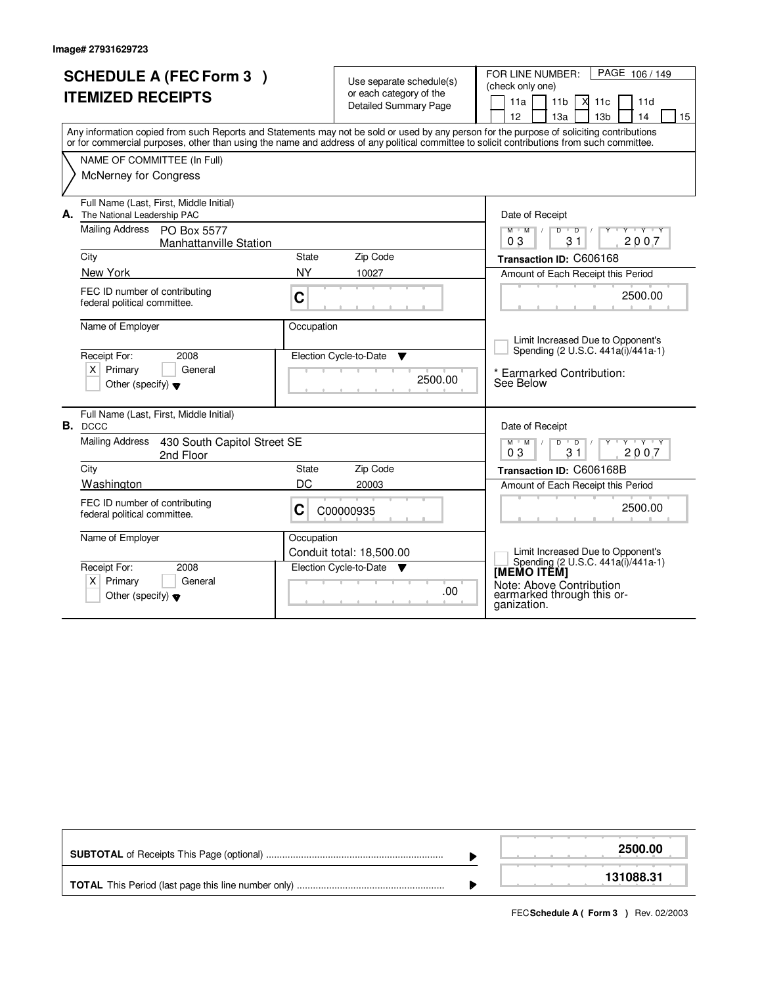|    | <b>SCHEDULE A (FEC Form 3)</b><br><b>ITEMIZED RECEIPTS</b><br>Any information copied from such Reports and Statements may not be sold or used by any person for the purpose of soliciting contributions<br>or for commercial purposes, other than using the name and address of any political committee to solicit contributions from such committee.<br>NAME OF COMMITTEE (In Full)<br>McNerney for Congress |                    | Use separate schedule(s)<br>or each category of the<br><b>Detailed Summary Page</b> | FOR LINE NUMBER:<br>PAGE 106 / 149<br>(check only one)<br>$X$ 11 $c$<br>11a<br>11d<br>11 <sub>b</sub><br>12 <sup>2</sup><br>13a<br>13 <sub>b</sub><br>14<br>15 |
|----|---------------------------------------------------------------------------------------------------------------------------------------------------------------------------------------------------------------------------------------------------------------------------------------------------------------------------------------------------------------------------------------------------------------|--------------------|-------------------------------------------------------------------------------------|----------------------------------------------------------------------------------------------------------------------------------------------------------------|
| А. | Full Name (Last, First, Middle Initial)<br>The National Leadership PAC<br><b>Mailing Address</b><br>PO Box 5577<br><b>Manhattanville Station</b>                                                                                                                                                                                                                                                              |                    |                                                                                     | Date of Receipt<br>$\mathsf{L} \mathsf{Y} \mathsf{L} \mathsf{Y} \mathsf{Y} \mathsf{Y}$<br>$M$ $M$ /<br>$D$ $D$<br>03<br>2007<br>31                             |
|    | City                                                                                                                                                                                                                                                                                                                                                                                                          | State<br><b>NY</b> | Zip Code                                                                            | Transaction ID: C606168                                                                                                                                        |
|    | New York<br>FEC ID number of contributing<br>federal political committee.                                                                                                                                                                                                                                                                                                                                     | C                  | 10027                                                                               | Amount of Each Receipt this Period<br>2500.00                                                                                                                  |
|    | Name of Employer<br>Receipt For:<br>2008<br>$X$ Primary<br>General<br>Other (specify) $\blacktriangledown$                                                                                                                                                                                                                                                                                                    | Occupation         | Election Cycle-to-Date<br>▼<br>2500.00                                              | Limit Increased Due to Opponent's<br>Spending (2 U.S.C. 441a(i)/441a-1)<br>* Earmarked Contribution:<br>See Below                                              |
| В. | Full Name (Last, First, Middle Initial)<br><b>DCCC</b>                                                                                                                                                                                                                                                                                                                                                        |                    |                                                                                     | Date of Receipt                                                                                                                                                |
|    | <b>Mailing Address</b><br>430 South Capitol Street SE<br>2nd Floor                                                                                                                                                                                                                                                                                                                                            |                    |                                                                                     | $+Y+Y$<br>Y<br>$M$ <sup><math>+</math></sup><br>M<br>$\overline{D}$<br>D<br>0 <sub>3</sub><br>2007<br>31                                                       |
|    | City                                                                                                                                                                                                                                                                                                                                                                                                          | State              | Zip Code                                                                            | Transaction ID: C606168B                                                                                                                                       |
|    | Washington                                                                                                                                                                                                                                                                                                                                                                                                    | DC                 | 20003                                                                               | Amount of Each Receipt this Period                                                                                                                             |
|    | FEC ID number of contributing<br>federal political committee.                                                                                                                                                                                                                                                                                                                                                 | C                  | C00000935                                                                           | 2500.00                                                                                                                                                        |
|    | Name of Employer                                                                                                                                                                                                                                                                                                                                                                                              | Occupation         | Conduit total: 18,500.00                                                            | Limit Increased Due to Opponent's<br>Spending (2 U.S.C. 441a(i)/441a-1)                                                                                        |
|    | Receipt For:<br>2008<br>$X$ Primary<br>General<br>Other (specify) $\blacktriangledown$                                                                                                                                                                                                                                                                                                                        |                    | Election Cycle-to-Date<br><b>V</b><br>.00                                           | [MEMO ITĔM]<br>Note: Above Contribution<br>earmarked through this or-<br>ganization.                                                                           |

|  | 2500.00   |
|--|-----------|
|  | 131088.31 |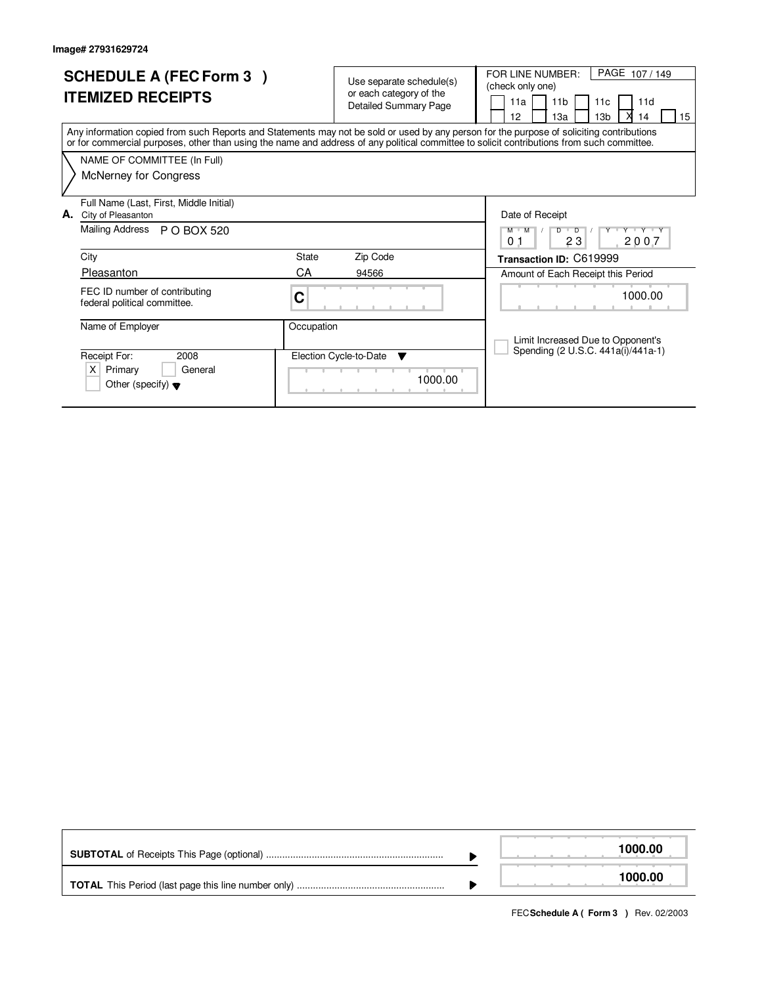| <b>SCHEDULE A (FEC Form 3)</b><br><b>ITEMIZED RECEIPTS</b>                                                                                                                                                                                                                              | Use separate schedule(s)<br>or each category of the<br><b>Detailed Summary Page</b> | PAGE 107/149<br>FOR LINE NUMBER:<br>(check only one)<br>11 <sub>b</sub><br>11a<br>11d<br>11 <sub>c</sub><br>12<br>13 <sub>b</sub><br>13a<br>15<br>14 |  |  |  |  |  |
|-----------------------------------------------------------------------------------------------------------------------------------------------------------------------------------------------------------------------------------------------------------------------------------------|-------------------------------------------------------------------------------------|------------------------------------------------------------------------------------------------------------------------------------------------------|--|--|--|--|--|
| Any information copied from such Reports and Statements may not be sold or used by any person for the purpose of soliciting contributions<br>or for commercial purposes, other than using the name and address of any political committee to solicit contributions from such committee. |                                                                                     |                                                                                                                                                      |  |  |  |  |  |
| NAME OF COMMITTEE (In Full)                                                                                                                                                                                                                                                             |                                                                                     |                                                                                                                                                      |  |  |  |  |  |
| McNerney for Congress                                                                                                                                                                                                                                                                   |                                                                                     |                                                                                                                                                      |  |  |  |  |  |
| Full Name (Last, First, Middle Initial)<br>City of Pleasanton<br>А.                                                                                                                                                                                                                     |                                                                                     | Date of Receipt                                                                                                                                      |  |  |  |  |  |
| Mailing Address<br>P O BOX 520                                                                                                                                                                                                                                                          |                                                                                     | $\overline{D}$<br>Y Y Y Y Y<br>м<br>M<br>D<br>23<br>2007<br>0 <sub>1</sub>                                                                           |  |  |  |  |  |
| City                                                                                                                                                                                                                                                                                    | State<br>Zip Code                                                                   | Transaction ID: C619999                                                                                                                              |  |  |  |  |  |
| Pleasanton                                                                                                                                                                                                                                                                              | СA<br>94566                                                                         | Amount of Each Receipt this Period                                                                                                                   |  |  |  |  |  |
| FEC ID number of contributing<br>federal political committee.                                                                                                                                                                                                                           | C                                                                                   | 1000.00                                                                                                                                              |  |  |  |  |  |
| Name of Employer                                                                                                                                                                                                                                                                        | Occupation                                                                          |                                                                                                                                                      |  |  |  |  |  |
| Receipt For:<br>2008<br>$\times$<br>Primary<br>General<br>Other (specify) $\blacktriangledown$                                                                                                                                                                                          | Election Cycle-to-Date<br>▼<br>1000.00                                              | Limit Increased Due to Opponent's<br>Spending (2 U.S.C. 441a(i)/441a-1)                                                                              |  |  |  |  |  |

|  | 1000.00 |
|--|---------|
|  | 1000.00 |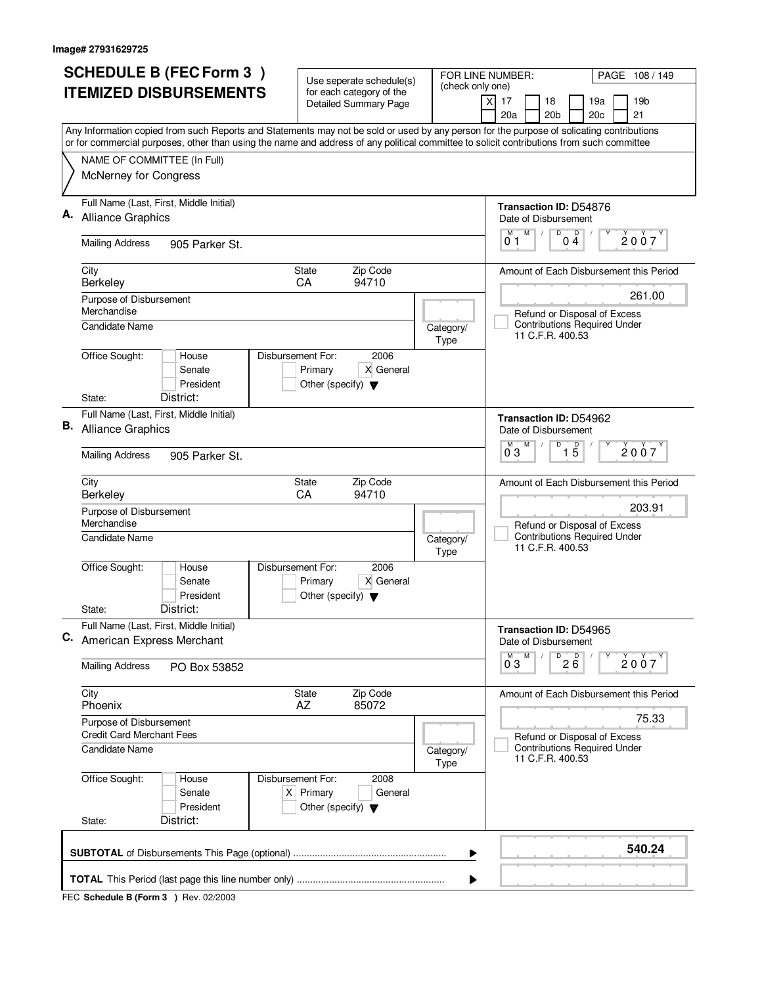|             | <b>SCHEDULE B (FEC Form 3)</b>                                                                                                                                                                                                                                                         | Use seperate schedule(s)                                                                    |                                                               | FOR LINE NUMBER:<br>PAGE 108 / 149                                                      |  |  |
|-------------|----------------------------------------------------------------------------------------------------------------------------------------------------------------------------------------------------------------------------------------------------------------------------------------|---------------------------------------------------------------------------------------------|---------------------------------------------------------------|-----------------------------------------------------------------------------------------|--|--|
|             | <b>ITEMIZED DISBURSEMENTS</b>                                                                                                                                                                                                                                                          | for each category of the<br><b>Detailed Summary Page</b>                                    | (check only one)                                              | 17<br>18<br>19a<br>19 <sub>b</sub><br>X<br>20a<br>20 <sub>b</sub><br>20c<br>21          |  |  |
|             | Any Information copied from such Reports and Statements may not be sold or used by any person for the purpose of solicating contributions<br>or for commercial purposes, other than using the name and address of any political committee to solicit contributions from such committee |                                                                                             |                                                               |                                                                                         |  |  |
|             | NAME OF COMMITTEE (In Full)                                                                                                                                                                                                                                                            |                                                                                             |                                                               |                                                                                         |  |  |
|             | McNerney for Congress                                                                                                                                                                                                                                                                  |                                                                                             |                                                               |                                                                                         |  |  |
|             | Full Name (Last, First, Middle Initial)<br><b>Alliance Graphics</b>                                                                                                                                                                                                                    |                                                                                             |                                                               | Transaction ID: D54876<br>Date of Disbursement                                          |  |  |
|             | <b>Mailing Address</b><br>905 Parker St.                                                                                                                                                                                                                                               |                                                                                             |                                                               | M<br>$\overline{D}$ $\overline{O}$ $\overline{4}$<br>M<br>2007<br>01                    |  |  |
|             | City<br>Berkeley                                                                                                                                                                                                                                                                       | <b>State</b><br>Zip Code<br>94710<br>CA                                                     |                                                               | Amount of Each Disbursement this Period                                                 |  |  |
|             | Purpose of Disbursement<br>Merchandise<br><b>Candidate Name</b>                                                                                                                                                                                                                        |                                                                                             |                                                               | 261.00<br>Refund or Disposal of Excess<br><b>Contributions Required Under</b>           |  |  |
|             | Office Sought:<br>House                                                                                                                                                                                                                                                                | Disbursement For:<br>2006                                                                   | Category/<br>Type                                             | 11 C.F.R. 400.53                                                                        |  |  |
|             | Senate<br>President<br>District:                                                                                                                                                                                                                                                       | Primary<br>X General<br>Other (specify) $\blacktriangledown$                                |                                                               |                                                                                         |  |  |
|             | State:                                                                                                                                                                                                                                                                                 |                                                                                             |                                                               |                                                                                         |  |  |
| В.          | Full Name (Last, First, Middle Initial)<br><b>Alliance Graphics</b>                                                                                                                                                                                                                    |                                                                                             | Transaction ID: D54962<br>Date of Disbursement<br>D<br>D<br>M |                                                                                         |  |  |
|             | <b>Mailing Address</b><br>905 Parker St.                                                                                                                                                                                                                                               |                                                                                             |                                                               | 2007<br>03<br>$1\overline{5}$                                                           |  |  |
|             | City<br>Berkeley                                                                                                                                                                                                                                                                       | Zip Code<br><b>State</b><br>CA<br>94710                                                     |                                                               | Amount of Each Disbursement this Period<br>203.91                                       |  |  |
|             | Purpose of Disbursement<br>Merchandise<br>Candidate Name                                                                                                                                                                                                                               |                                                                                             |                                                               | Refund or Disposal of Excess<br><b>Contributions Required Under</b>                     |  |  |
|             |                                                                                                                                                                                                                                                                                        |                                                                                             | Category/<br>Type                                             | 11 C.F.R. 400.53                                                                        |  |  |
|             | Office Sought:<br>House<br>Senate<br>President                                                                                                                                                                                                                                         | Disbursement For:<br>2006<br>X General<br>Primary<br>Other (specify) $\blacktriangledown$   |                                                               |                                                                                         |  |  |
|             | District:<br>State:                                                                                                                                                                                                                                                                    |                                                                                             |                                                               |                                                                                         |  |  |
|             | Full Name (Last, First, Middle Initial)<br>C. American Express Merchant                                                                                                                                                                                                                |                                                                                             |                                                               | Transaction ID: D54965<br>Date of Disbursement                                          |  |  |
|             | <b>Mailing Address</b><br>PO Box 53852                                                                                                                                                                                                                                                 |                                                                                             |                                                               | $^{D}$ 2 $B$<br>M<br>2007<br>0 <sub>3</sub>                                             |  |  |
|             | City<br>Phoenix                                                                                                                                                                                                                                                                        | State<br>Zip Code<br>AZ<br>85072                                                            |                                                               | Amount of Each Disbursement this Period                                                 |  |  |
|             | Purpose of Disbursement<br><b>Credit Card Merchant Fees</b>                                                                                                                                                                                                                            |                                                                                             |                                                               | 75.33                                                                                   |  |  |
|             | Candidate Name                                                                                                                                                                                                                                                                         |                                                                                             | Category/<br>Type                                             | Refund or Disposal of Excess<br><b>Contributions Required Under</b><br>11 C.F.R. 400.53 |  |  |
|             | Office Sought:<br>House<br>Senate<br>President                                                                                                                                                                                                                                         | 2008<br>Disbursement For:<br>$X$ Primary<br>General<br>Other (specify) $\blacktriangledown$ |                                                               |                                                                                         |  |  |
|             | District:<br>State:                                                                                                                                                                                                                                                                    |                                                                                             |                                                               |                                                                                         |  |  |
| 540.24<br>▶ |                                                                                                                                                                                                                                                                                        |                                                                                             |                                                               |                                                                                         |  |  |
|             |                                                                                                                                                                                                                                                                                        |                                                                                             |                                                               |                                                                                         |  |  |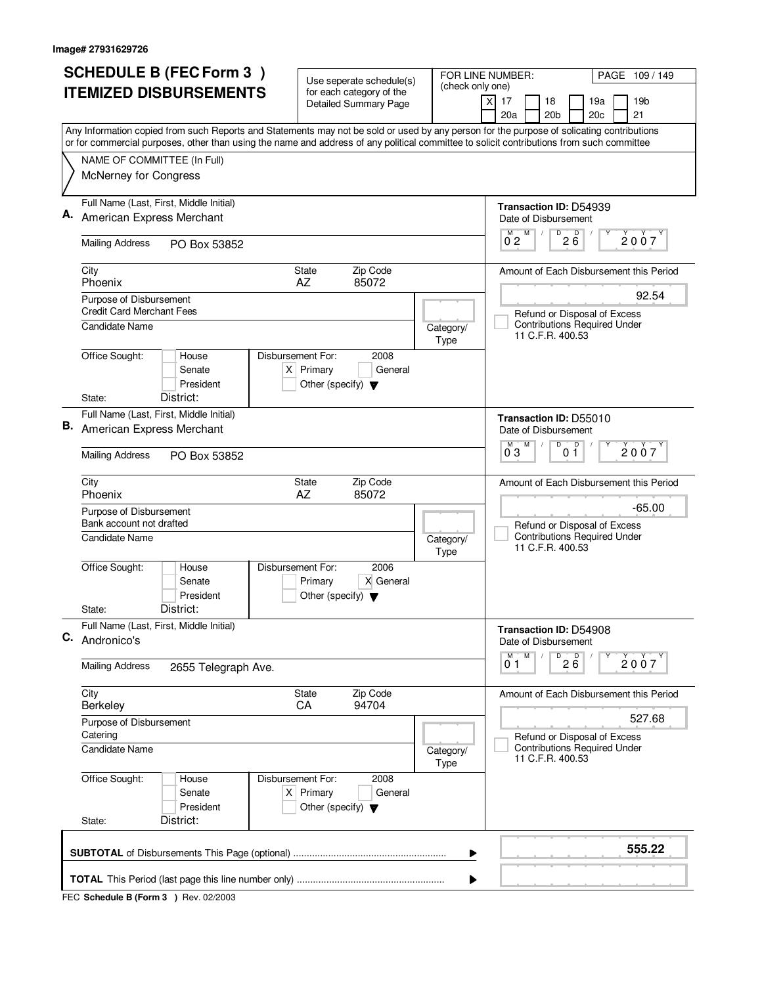|                                                                                | <b>SCHEDULE B (FEC Form 3)</b>                                                                                                                                                                                                                                                         |                   |                                                     | Use seperate schedule(s)                                 |                                 | FOR LINE NUMBER:  |                                 |                              |                                                    |                                                                     | PAGE 109/149                            |
|--------------------------------------------------------------------------------|----------------------------------------------------------------------------------------------------------------------------------------------------------------------------------------------------------------------------------------------------------------------------------------|-------------------|-----------------------------------------------------|----------------------------------------------------------|---------------------------------|-------------------|---------------------------------|------------------------------|----------------------------------------------------|---------------------------------------------------------------------|-----------------------------------------|
|                                                                                | <b>ITEMIZED DISBURSEMENTS</b>                                                                                                                                                                                                                                                          |                   |                                                     | for each category of the<br><b>Detailed Summary Page</b> |                                 | (check only one)  | $\boldsymbol{\mathsf{X}}$<br>17 |                              | 18                                                 | 19a                                                                 | 19b                                     |
|                                                                                |                                                                                                                                                                                                                                                                                        |                   |                                                     |                                                          |                                 |                   | 20a                             |                              | 20 <sub>b</sub>                                    | 20c                                                                 | 21                                      |
|                                                                                | Any Information copied from such Reports and Statements may not be sold or used by any person for the purpose of solicating contributions<br>or for commercial purposes, other than using the name and address of any political committee to solicit contributions from such committee |                   |                                                     |                                                          |                                 |                   |                                 |                              |                                                    |                                                                     |                                         |
| NAME OF COMMITTEE (In Full)                                                    |                                                                                                                                                                                                                                                                                        |                   |                                                     |                                                          |                                 |                   |                                 |                              |                                                    |                                                                     |                                         |
| McNerney for Congress                                                          |                                                                                                                                                                                                                                                                                        |                   |                                                     |                                                          |                                 |                   |                                 |                              |                                                    |                                                                     |                                         |
| Full Name (Last, First, Middle Initial)                                        |                                                                                                                                                                                                                                                                                        |                   |                                                     |                                                          |                                 |                   |                                 |                              |                                                    | Transaction ID: D54939                                              |                                         |
| American Express Merchant                                                      |                                                                                                                                                                                                                                                                                        |                   |                                                     |                                                          |                                 |                   |                                 | M                            | Date of Disbursement                               |                                                                     |                                         |
| <b>Mailing Address</b>                                                         | PO Box 53852                                                                                                                                                                                                                                                                           |                   |                                                     |                                                          |                                 |                   | м<br>$0^{\degree}2$             |                              | $\overline{P}$ 2 $\overline{6}$                    |                                                                     | 2007                                    |
| City<br>Phoenix                                                                |                                                                                                                                                                                                                                                                                        |                   | <b>State</b><br>AZ                                  | Zip Code<br>85072                                        |                                 |                   |                                 |                              |                                                    |                                                                     | Amount of Each Disbursement this Period |
| Purpose of Disbursement<br><b>Credit Card Merchant Fees</b>                    |                                                                                                                                                                                                                                                                                        |                   |                                                     |                                                          |                                 |                   |                                 |                              |                                                    | Refund or Disposal of Excess                                        | 92.54                                   |
| <b>Candidate Name</b>                                                          |                                                                                                                                                                                                                                                                                        |                   |                                                     |                                                          |                                 | Category/<br>Type |                                 |                              | 11 C.F.R. 400.53                                   | <b>Contributions Required Under</b>                                 |                                         |
| Office Sought:                                                                 | House<br>Senate<br>President                                                                                                                                                                                                                                                           | Disbursement For: | $X$ Primary<br>Other (specify) $\blacktriangledown$ | 2008<br>General                                          |                                 |                   |                                 |                              |                                                    |                                                                     |                                         |
| State:                                                                         | District:                                                                                                                                                                                                                                                                              |                   |                                                     |                                                          |                                 |                   |                                 |                              |                                                    |                                                                     |                                         |
| Full Name (Last, First, Middle Initial)<br><b>B.</b> American Express Merchant |                                                                                                                                                                                                                                                                                        |                   |                                                     |                                                          |                                 |                   |                                 |                              | Date of Disbursement<br>$\overline{D}$             | <b>Transaction ID: D55010</b>                                       |                                         |
| <b>Mailing Address</b><br>PO Box 53852                                         |                                                                                                                                                                                                                                                                                        |                   |                                                     |                                                          | D<br>М<br>M<br>2007<br>03<br>01 |                   |                                 |                              |                                                    |                                                                     |                                         |
| City<br>Phoenix                                                                |                                                                                                                                                                                                                                                                                        |                   | <b>State</b><br>AZ                                  | Zip Code<br>85072                                        |                                 |                   |                                 |                              |                                                    |                                                                     | Amount of Each Disbursement this Period |
| Purpose of Disbursement<br>Bank account not drafted                            |                                                                                                                                                                                                                                                                                        |                   |                                                     |                                                          |                                 |                   |                                 |                              |                                                    |                                                                     | $-65.00$                                |
| <b>Candidate Name</b>                                                          |                                                                                                                                                                                                                                                                                        |                   |                                                     |                                                          |                                 | Category/<br>Type |                                 |                              | 11 C.F.R. 400.53                                   | Refund or Disposal of Excess<br><b>Contributions Required Under</b> |                                         |
| Office Sought:                                                                 | House<br>Senate<br>President                                                                                                                                                                                                                                                           | Disbursement For: | Primary<br>Other (specify) $\blacktriangledown$     | 2006<br>X General                                        |                                 |                   |                                 |                              |                                                    |                                                                     |                                         |
| State:                                                                         | District:                                                                                                                                                                                                                                                                              |                   |                                                     |                                                          |                                 |                   |                                 |                              |                                                    |                                                                     |                                         |
| Full Name (Last, First, Middle Initial)<br>C. Andronico's                      |                                                                                                                                                                                                                                                                                        |                   |                                                     |                                                          |                                 |                   |                                 |                              | Date of Disbursement                               | Transaction ID: D54908                                              |                                         |
| <b>Mailing Address</b>                                                         | 2655 Telegraph Ave.                                                                                                                                                                                                                                                                    |                   |                                                     |                                                          |                                 |                   | M<br>01                         | ${\sf M}$                    | $D$ <sub>2</sub> $B$ <sup>D</sup> <sub>2</sub> $B$ |                                                                     | 2007                                    |
| City<br><b>Berkeley</b>                                                        |                                                                                                                                                                                                                                                                                        |                   | State<br><b>CA</b>                                  | Zip Code<br>94704                                        |                                 |                   |                                 |                              |                                                    |                                                                     | Amount of Each Disbursement this Period |
| Purpose of Disbursement<br>Catering                                            |                                                                                                                                                                                                                                                                                        |                   |                                                     |                                                          |                                 |                   |                                 | Refund or Disposal of Excess | 527.68                                             |                                                                     |                                         |
| <b>Candidate Name</b>                                                          |                                                                                                                                                                                                                                                                                        |                   |                                                     |                                                          | Category/<br>Type               |                   |                                 | 11 C.F.R. 400.53             | <b>Contributions Required Under</b>                |                                                                     |                                         |
| Office Sought:<br>State:                                                       | House<br>Senate<br>President<br>District:                                                                                                                                                                                                                                              | Disbursement For: | $X$ Primary<br>Other (specify) $\blacktriangledown$ | 2008<br>General                                          |                                 |                   |                                 |                              |                                                    |                                                                     |                                         |
|                                                                                |                                                                                                                                                                                                                                                                                        |                   |                                                     |                                                          |                                 |                   |                                 |                              |                                                    |                                                                     |                                         |
|                                                                                |                                                                                                                                                                                                                                                                                        |                   |                                                     |                                                          |                                 | ▶                 |                                 |                              |                                                    |                                                                     | 555.22                                  |
|                                                                                |                                                                                                                                                                                                                                                                                        |                   |                                                     |                                                          |                                 |                   |                                 |                              |                                                    |                                                                     |                                         |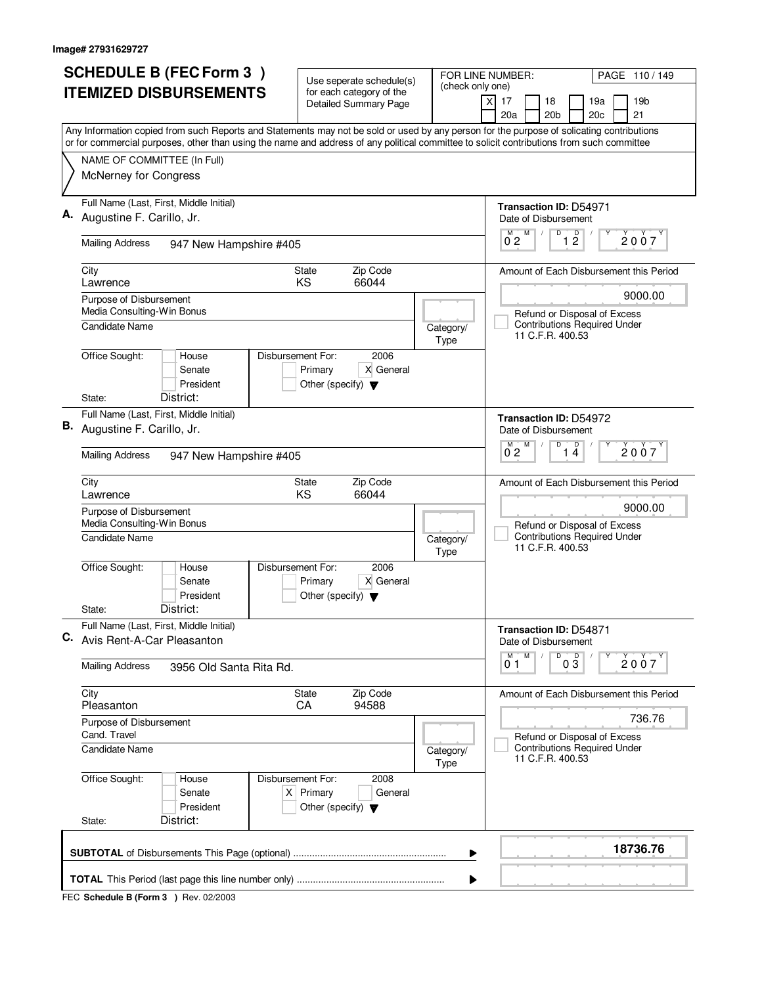| <b>SCHEDULE B (FEC Form 3)</b>                                                                                                                                                                                                                                                         | Use seperate schedule(s)                                               |                                        | FOR LINE NUMBER:<br>PAGE 110/149                              |
|----------------------------------------------------------------------------------------------------------------------------------------------------------------------------------------------------------------------------------------------------------------------------------------|------------------------------------------------------------------------|----------------------------------------|---------------------------------------------------------------|
| <b>ITEMIZED DISBURSEMENTS</b>                                                                                                                                                                                                                                                          | for each category of the<br><b>Detailed Summary Page</b>               | (check only one)                       | 17<br>18<br>19a<br>19 <sub>b</sub><br>X                       |
|                                                                                                                                                                                                                                                                                        |                                                                        |                                        | 20a<br>20 <sub>b</sub><br>20c<br>21                           |
| Any Information copied from such Reports and Statements may not be sold or used by any person for the purpose of solicating contributions<br>or for commercial purposes, other than using the name and address of any political committee to solicit contributions from such committee |                                                                        |                                        |                                                               |
| NAME OF COMMITTEE (In Full)                                                                                                                                                                                                                                                            |                                                                        |                                        |                                                               |
| McNerney for Congress                                                                                                                                                                                                                                                                  |                                                                        |                                        |                                                               |
| Full Name (Last, First, Middle Initial)                                                                                                                                                                                                                                                |                                                                        |                                        | <b>Transaction ID: D54971</b>                                 |
| Augustine F. Carillo, Jr.                                                                                                                                                                                                                                                              |                                                                        |                                        | Date of Disbursement<br>D<br>М                                |
| <b>Mailing Address</b><br>947 New Hampshire #405                                                                                                                                                                                                                                       |                                                                        |                                        | $\overline{1}$ $\overline{2}$<br>$0^{M}$ <sub>2</sub><br>2007 |
| City<br>Lawrence                                                                                                                                                                                                                                                                       | Zip Code<br><b>State</b><br><b>KS</b><br>66044                         |                                        | Amount of Each Disbursement this Period                       |
| Purpose of Disbursement                                                                                                                                                                                                                                                                |                                                                        |                                        | 9000.00                                                       |
| Media Consulting-Win Bonus                                                                                                                                                                                                                                                             |                                                                        |                                        | Refund or Disposal of Excess                                  |
| <b>Candidate Name</b>                                                                                                                                                                                                                                                                  |                                                                        | Category/<br>Type                      | <b>Contributions Required Under</b><br>11 C.F.R. 400.53       |
| Office Sought:<br>Disbursement For:<br>House<br>Senate                                                                                                                                                                                                                                 | 2006                                                                   |                                        |                                                               |
| President                                                                                                                                                                                                                                                                              | Primary<br>X General<br>Other (specify) $\blacktriangledown$           |                                        |                                                               |
| District:<br>State:                                                                                                                                                                                                                                                                    |                                                                        |                                        |                                                               |
| Full Name (Last, First, Middle Initial)                                                                                                                                                                                                                                                |                                                                        |                                        | Transaction ID: D54972                                        |
| B. Augustine F. Carillo, Jr.                                                                                                                                                                                                                                                           |                                                                        |                                        | Date of Disbursement<br>D<br>M                                |
| <b>Mailing Address</b><br>947 New Hampshire #405                                                                                                                                                                                                                                       |                                                                        | D<br>M<br>2007<br>$0^{\degree}2$<br>14 |                                                               |
| City<br>Lawrence                                                                                                                                                                                                                                                                       | Zip Code<br><b>State</b><br>KS<br>66044                                |                                        | Amount of Each Disbursement this Period                       |
| Purpose of Disbursement                                                                                                                                                                                                                                                                |                                                                        | 9000.00                                |                                                               |
| Media Consulting-Win Bonus                                                                                                                                                                                                                                                             |                                                                        |                                        | Refund or Disposal of Excess                                  |
| <b>Candidate Name</b>                                                                                                                                                                                                                                                                  |                                                                        | Category/<br>Type                      | <b>Contributions Required Under</b><br>11 C.F.R. 400.53       |
| Office Sought:<br>Disbursement For:<br>House<br>Senate                                                                                                                                                                                                                                 | 2006<br>X General<br>Primary                                           |                                        |                                                               |
| President                                                                                                                                                                                                                                                                              | Other (specify) $\blacktriangledown$                                   |                                        |                                                               |
| District:<br>State:                                                                                                                                                                                                                                                                    |                                                                        |                                        |                                                               |
| Full Name (Last, First, Middle Initial)<br>C. Avis Rent-A-Car Pleasanton                                                                                                                                                                                                               |                                                                        |                                        | Transaction ID: D54871<br>Date of Disbursement                |
| <b>Mailing Address</b><br>3956 Old Santa Rita Rd.                                                                                                                                                                                                                                      |                                                                        |                                        | $^{D}$ 0 $\overline{3}$<br>M<br>M<br>2007<br>0 1              |
| City                                                                                                                                                                                                                                                                                   | State<br>Zip Code                                                      |                                        | Amount of Each Disbursement this Period                       |
| Pleasanton                                                                                                                                                                                                                                                                             | CA<br>94588                                                            |                                        |                                                               |
| Purpose of Disbursement<br>Cand. Travel                                                                                                                                                                                                                                                |                                                                        |                                        | 736.76<br>Refund or Disposal of Excess                        |
| Candidate Name                                                                                                                                                                                                                                                                         |                                                                        | Category/<br>Type                      | <b>Contributions Required Under</b><br>11 C.F.R. 400.53       |
| Office Sought:<br>Disbursement For:<br>House<br>Senate<br>President                                                                                                                                                                                                                    | 2008<br>$X$ Primary<br>General<br>Other (specify) $\blacktriangledown$ |                                        |                                                               |
| District:<br>State:                                                                                                                                                                                                                                                                    |                                                                        |                                        |                                                               |
|                                                                                                                                                                                                                                                                                        |                                                                        | ▶                                      | 18736.76                                                      |
|                                                                                                                                                                                                                                                                                        |                                                                        |                                        |                                                               |
|                                                                                                                                                                                                                                                                                        |                                                                        |                                        |                                                               |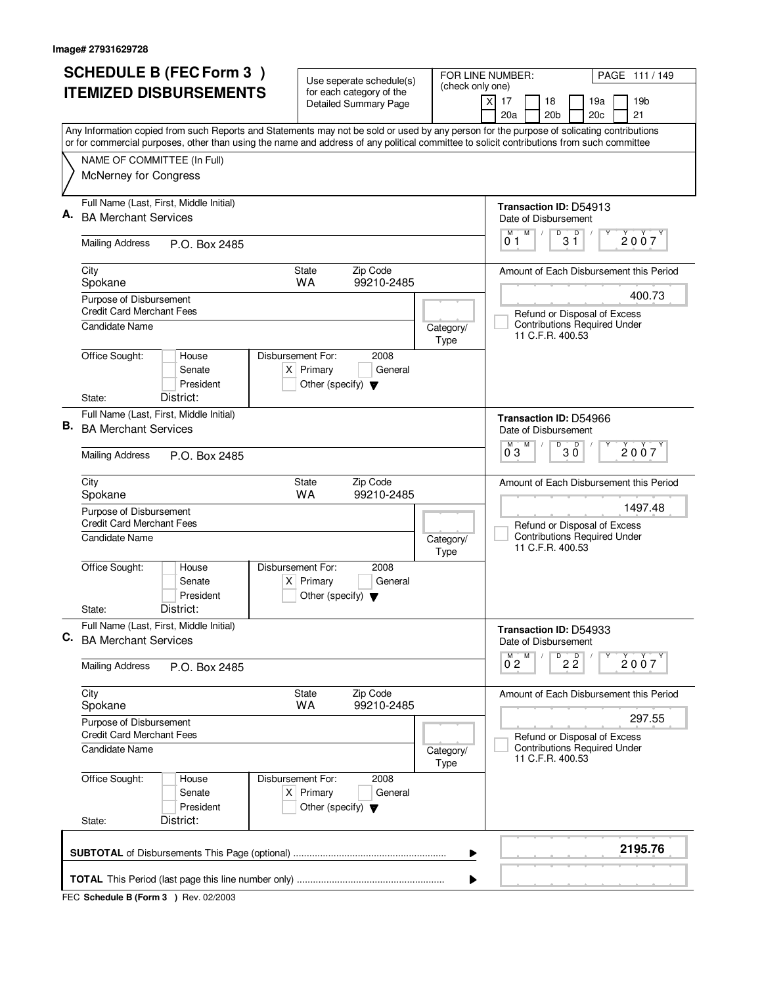|    | <b>SCHEDULE B (FEC Form 3)</b>                                                                                                                                                                                                                                                         | Use seperate schedule(s)                                                                    |                                        |                   | FOR LINE NUMBER:<br>PAGE 111/149                                |  |
|----|----------------------------------------------------------------------------------------------------------------------------------------------------------------------------------------------------------------------------------------------------------------------------------------|---------------------------------------------------------------------------------------------|----------------------------------------|-------------------|-----------------------------------------------------------------|--|
|    | <b>ITEMIZED DISBURSEMENTS</b>                                                                                                                                                                                                                                                          | for each category of the<br><b>Detailed Summary Page</b>                                    |                                        | (check only one)  | $\boldsymbol{\mathsf{X}}$<br>17<br>18<br>19a<br>19 <sub>b</sub> |  |
|    |                                                                                                                                                                                                                                                                                        |                                                                                             |                                        |                   | 20 <sub>b</sub><br>20c<br>21<br>20a                             |  |
|    | Any Information copied from such Reports and Statements may not be sold or used by any person for the purpose of solicating contributions<br>or for commercial purposes, other than using the name and address of any political committee to solicit contributions from such committee |                                                                                             |                                        |                   |                                                                 |  |
|    | NAME OF COMMITTEE (In Full)                                                                                                                                                                                                                                                            |                                                                                             |                                        |                   |                                                                 |  |
|    | McNerney for Congress                                                                                                                                                                                                                                                                  |                                                                                             |                                        |                   |                                                                 |  |
| А. | Full Name (Last, First, Middle Initial)                                                                                                                                                                                                                                                |                                                                                             |                                        |                   | <b>Transaction ID: D54913</b>                                   |  |
|    | <b>BA Merchant Services</b>                                                                                                                                                                                                                                                            |                                                                                             |                                        |                   | Date of Disbursement<br>M<br>D<br>D<br>М                        |  |
|    | <b>Mailing Address</b><br>P.O. Box 2485                                                                                                                                                                                                                                                |                                                                                             |                                        |                   | 2007<br>3 Ĭ<br>01                                               |  |
|    | City<br>Spokane                                                                                                                                                                                                                                                                        | Zip Code<br><b>State</b><br><b>WA</b><br>99210-2485                                         |                                        |                   | Amount of Each Disbursement this Period                         |  |
|    | Purpose of Disbursement<br><b>Credit Card Merchant Fees</b>                                                                                                                                                                                                                            |                                                                                             |                                        |                   | 400.73<br>Refund or Disposal of Excess                          |  |
|    | Candidate Name                                                                                                                                                                                                                                                                         |                                                                                             |                                        | Category/<br>Type | <b>Contributions Required Under</b><br>11 C.F.R. 400.53         |  |
|    | Office Sought:<br>House<br>Senate<br>President                                                                                                                                                                                                                                         | Disbursement For:<br>2008<br>$X$ Primary<br>General<br>Other (specify) $\blacktriangledown$ |                                        |                   |                                                                 |  |
|    | District:<br>State:                                                                                                                                                                                                                                                                    |                                                                                             |                                        |                   |                                                                 |  |
| В. | Full Name (Last, First, Middle Initial)<br><b>BA Merchant Services</b>                                                                                                                                                                                                                 |                                                                                             |                                        |                   | <b>Transaction ID: D54966</b><br>Date of Disbursement           |  |
|    | <b>Mailing Address</b><br>P.O. Box 2485                                                                                                                                                                                                                                                |                                                                                             |                                        |                   | $\overline{D}$<br>M<br>D<br>м<br>2007<br>30<br>03               |  |
|    | City<br>Spokane                                                                                                                                                                                                                                                                        | Zip Code<br><b>State</b><br>99210-2485<br><b>WA</b>                                         |                                        |                   | Amount of Each Disbursement this Period                         |  |
|    | Purpose of Disbursement<br><b>Credit Card Merchant Fees</b>                                                                                                                                                                                                                            |                                                                                             |                                        |                   | 1497.48<br>Refund or Disposal of Excess                         |  |
|    | <b>Candidate Name</b>                                                                                                                                                                                                                                                                  |                                                                                             |                                        | Category/<br>Type | <b>Contributions Required Under</b><br>11 C.F.R. 400.53         |  |
|    | Office Sought:<br>House<br>Senate<br>President                                                                                                                                                                                                                                         | Disbursement For:<br>2008<br>$X$ Primary<br>General<br>Other (specify) $\blacktriangledown$ |                                        |                   |                                                                 |  |
|    | District:<br>State:                                                                                                                                                                                                                                                                    |                                                                                             |                                        |                   |                                                                 |  |
| С. | Full Name (Last, First, Middle Initial)<br><b>BA Merchant Services</b>                                                                                                                                                                                                                 |                                                                                             |                                        |                   | Transaction ID: D54933<br>Date of Disbursement                  |  |
|    | <b>Mailing Address</b><br>P.O. Box 2485                                                                                                                                                                                                                                                |                                                                                             |                                        |                   | $D$ <sub>2</sub> $\overline{2}$<br>M<br>$0^{M}$ 2<br>2007       |  |
|    | City<br>Spokane                                                                                                                                                                                                                                                                        | Zip Code<br>State<br><b>WA</b><br>99210-2485                                                |                                        |                   | Amount of Each Disbursement this Period                         |  |
|    | Purpose of Disbursement<br><b>Credit Card Merchant Fees</b>                                                                                                                                                                                                                            |                                                                                             | 297.55<br>Refund or Disposal of Excess |                   |                                                                 |  |
|    | Candidate Name                                                                                                                                                                                                                                                                         |                                                                                             |                                        | Category/<br>Type | <b>Contributions Required Under</b><br>11 C.F.R. 400.53         |  |
|    | Office Sought:<br>House<br>Senate<br>President                                                                                                                                                                                                                                         | Disbursement For:<br>2008<br>$X$ Primary<br>General<br>Other (specify) $\blacktriangledown$ |                                        |                   |                                                                 |  |
|    | District:<br>State:                                                                                                                                                                                                                                                                    |                                                                                             |                                        |                   |                                                                 |  |
|    |                                                                                                                                                                                                                                                                                        |                                                                                             |                                        | ▶                 | 2195.76                                                         |  |
|    |                                                                                                                                                                                                                                                                                        |                                                                                             |                                        | ▶                 |                                                                 |  |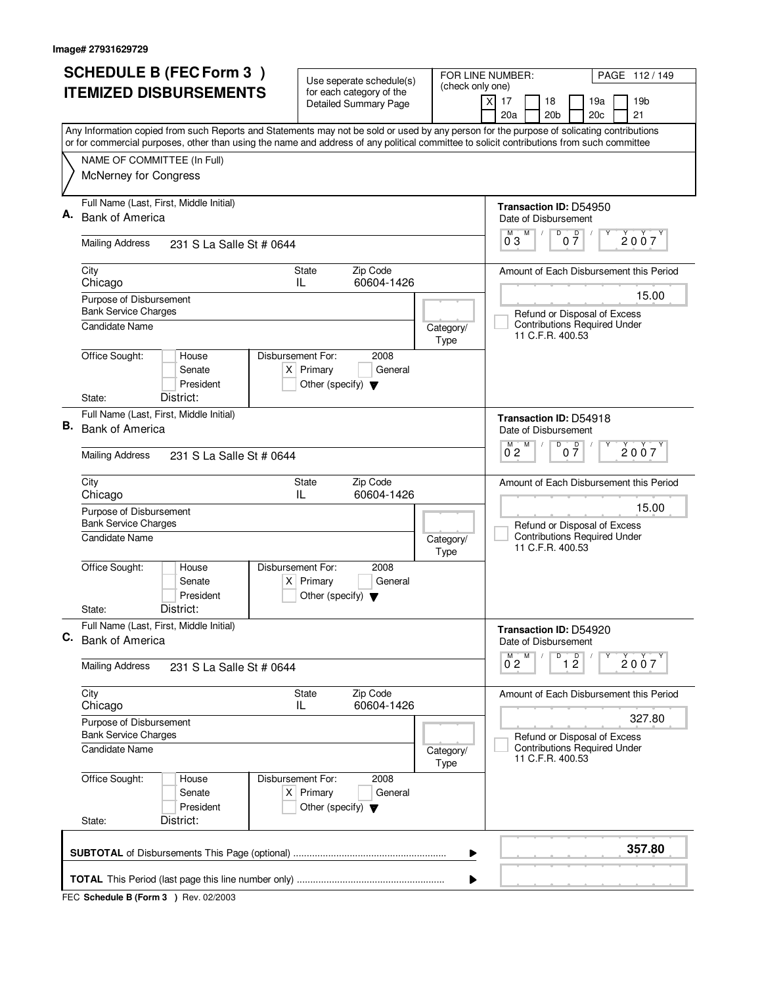|    | <b>ITEMIZED DISBURSEMENTS</b>                                                              | Use seperate schedule(s)                                               | (check only one)                                                                                                                                                                                                                                                                       |
|----|--------------------------------------------------------------------------------------------|------------------------------------------------------------------------|----------------------------------------------------------------------------------------------------------------------------------------------------------------------------------------------------------------------------------------------------------------------------------------|
|    |                                                                                            | for each category of the<br>Detailed Summary Page                      | $\boldsymbol{\mathsf{X}}$<br>17<br>18<br>19a<br>19b<br>20a<br>21<br>20 <sub>b</sub><br>20c                                                                                                                                                                                             |
|    |                                                                                            |                                                                        | Any Information copied from such Reports and Statements may not be sold or used by any person for the purpose of solicating contributions<br>or for commercial purposes, other than using the name and address of any political committee to solicit contributions from such committee |
|    | NAME OF COMMITTEE (In Full)<br>McNerney for Congress                                       |                                                                        |                                                                                                                                                                                                                                                                                        |
|    | Full Name (Last, First, Middle Initial)                                                    |                                                                        | Transaction ID: D54950                                                                                                                                                                                                                                                                 |
| Α. | <b>Bank of America</b>                                                                     |                                                                        | Date of Disbursement<br>$\overline{D}$<br>M<br>$0\frac{D}{7}$<br>$\overline{0}^M$ 3<br>2007                                                                                                                                                                                            |
|    | <b>Mailing Address</b><br>231 S La Salle St # 0644                                         |                                                                        |                                                                                                                                                                                                                                                                                        |
|    | City<br>Chicago                                                                            | Zip Code<br>State<br>60604-1426<br>IL.                                 | Amount of Each Disbursement this Period                                                                                                                                                                                                                                                |
|    | Purpose of Disbursement<br><b>Bank Service Charges</b>                                     |                                                                        | 15.00<br>Refund or Disposal of Excess                                                                                                                                                                                                                                                  |
|    | Candidate Name                                                                             |                                                                        | <b>Contributions Required Under</b><br>Category/<br>11 C.F.R. 400.53<br>Type                                                                                                                                                                                                           |
|    | Office Sought:<br>Disbursement For:<br>House<br>Senate<br>President                        | 2008<br>$X$ Primary<br>General<br>Other (specify) $\blacktriangledown$ |                                                                                                                                                                                                                                                                                        |
|    | District:<br>State:<br>Full Name (Last, First, Middle Initial)                             |                                                                        |                                                                                                                                                                                                                                                                                        |
| В. | <b>Bank of America</b>                                                                     |                                                                        | <b>Transaction ID: D54918</b><br>Date of Disbursement<br>D<br>$\mathsf D$<br>M                                                                                                                                                                                                         |
|    | <b>Mailing Address</b><br>231 S La Salle St # 0644                                         |                                                                        | 2007<br>0 <sub>2</sub><br>07                                                                                                                                                                                                                                                           |
|    | City<br>Chicago                                                                            | Zip Code<br><b>State</b><br>60604-1426<br>IL                           | Amount of Each Disbursement this Period                                                                                                                                                                                                                                                |
|    | Purpose of Disbursement<br><b>Bank Service Charges</b>                                     |                                                                        | 15.00                                                                                                                                                                                                                                                                                  |
|    | Candidate Name                                                                             |                                                                        | Refund or Disposal of Excess<br><b>Contributions Required Under</b><br>Category/<br>11 C.F.R. 400.53<br>Type                                                                                                                                                                           |
|    | Office Sought:<br>Disbursement For:<br>House<br>Senate<br>President                        | 2008<br>$X$ Primary<br>General<br>Other (specify) $\blacktriangledown$ |                                                                                                                                                                                                                                                                                        |
|    | District:<br>State:                                                                        |                                                                        |                                                                                                                                                                                                                                                                                        |
| C. | Full Name (Last, First, Middle Initial)<br><b>Bank of America</b>                          |                                                                        | Transaction ID: D54920<br>Date of Disbursement<br>D                                                                                                                                                                                                                                    |
|    | <b>Mailing Address</b><br>231 S La Salle St # 0644                                         |                                                                        | M<br>$\overline{1}$ $\overline{2}$<br>2007<br>0 <sub>2</sub>                                                                                                                                                                                                                           |
|    | City<br>Chicago                                                                            | Zip Code<br>State<br>60604-1426<br>IL                                  | Amount of Each Disbursement this Period                                                                                                                                                                                                                                                |
|    | Purpose of Disbursement<br><b>Bank Service Charges</b>                                     | 327.80<br>Refund or Disposal of Excess                                 |                                                                                                                                                                                                                                                                                        |
|    | <b>Candidate Name</b>                                                                      |                                                                        | <b>Contributions Required Under</b><br>Category/<br>11 C.F.R. 400.53<br>Type                                                                                                                                                                                                           |
|    | Office Sought:<br>Disbursement For:<br>House<br>Senate<br>President<br>District:<br>State: | 2008<br>$X$ Primary<br>General<br>Other (specify) $\blacktriangledown$ |                                                                                                                                                                                                                                                                                        |
|    |                                                                                            |                                                                        | 357.80<br>▶                                                                                                                                                                                                                                                                            |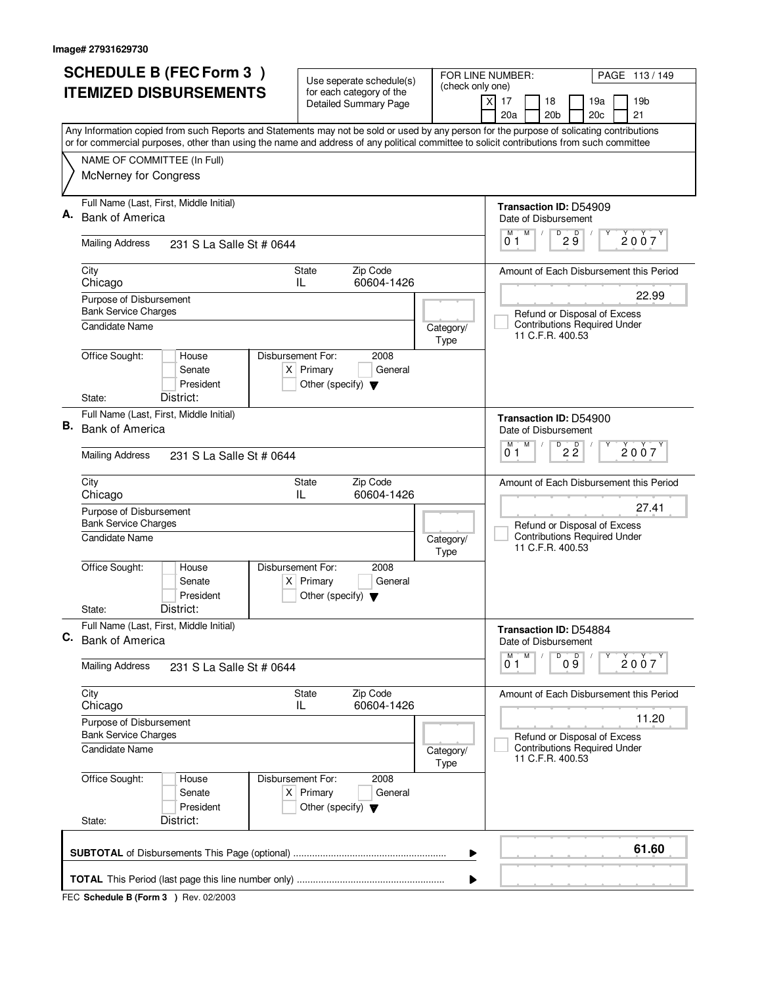|    | <b>SCHEDULE B (FEC Form 3)</b>                                                                                                            | Use seperate schedule(s)                                               |                   | FOR LINE NUMBER:<br>PAGE 113/149                                                        |
|----|-------------------------------------------------------------------------------------------------------------------------------------------|------------------------------------------------------------------------|-------------------|-----------------------------------------------------------------------------------------|
|    | <b>ITEMIZED DISBURSEMENTS</b>                                                                                                             | for each category of the                                               | (check only one)  | 17<br>18<br>19a<br>19 <sub>b</sub><br>X                                                 |
|    |                                                                                                                                           | <b>Detailed Summary Page</b>                                           |                   | 20a<br>20 <sub>b</sub><br>20c<br>21                                                     |
|    | Any Information copied from such Reports and Statements may not be sold or used by any person for the purpose of solicating contributions |                                                                        |                   |                                                                                         |
|    | or for commercial purposes, other than using the name and address of any political committee to solicit contributions from such committee |                                                                        |                   |                                                                                         |
|    | NAME OF COMMITTEE (In Full)                                                                                                               |                                                                        |                   |                                                                                         |
|    | McNerney for Congress                                                                                                                     |                                                                        |                   |                                                                                         |
|    | Full Name (Last, First, Middle Initial)                                                                                                   |                                                                        |                   | Transaction ID: D54909                                                                  |
|    | <b>Bank of America</b>                                                                                                                    |                                                                        |                   | Date of Disbursement                                                                    |
|    | <b>Mailing Address</b><br>231 S La Salle St # 0644                                                                                        |                                                                        |                   | M<br>$D^D$ $\overline{9}$<br>M<br>2007<br>01                                            |
|    | City                                                                                                                                      | Zip Code<br><b>State</b>                                               |                   | Amount of Each Disbursement this Period                                                 |
|    | Chicago                                                                                                                                   | 60604-1426<br>IL                                                       |                   | 22.99                                                                                   |
|    | Purpose of Disbursement<br><b>Bank Service Charges</b>                                                                                    |                                                                        |                   | Refund or Disposal of Excess                                                            |
|    | Candidate Name                                                                                                                            |                                                                        | Category/         | <b>Contributions Required Under</b>                                                     |
|    |                                                                                                                                           |                                                                        | Type              | 11 C.F.R. 400.53                                                                        |
|    | Office Sought:<br>Disbursement For:<br>House<br>Senate                                                                                    | 2008<br>$X$ Primary<br>General                                         |                   |                                                                                         |
|    | President                                                                                                                                 | Other (specify) $\blacktriangledown$                                   |                   |                                                                                         |
|    | District:<br>State:                                                                                                                       |                                                                        |                   |                                                                                         |
|    | Full Name (Last, First, Middle Initial)                                                                                                   |                                                                        |                   | Transaction ID: D54900                                                                  |
| В. | <b>Bank of America</b>                                                                                                                    |                                                                        |                   | Date of Disbursement                                                                    |
|    | <b>Mailing Address</b><br>231 S La Salle St # 0644                                                                                        |                                                                        |                   | D<br>M<br>м<br>$2\overline{2}$<br>2007<br>01                                            |
|    | City<br>Chicago                                                                                                                           | Zip Code<br>State<br>60604-1426<br>IL                                  |                   | Amount of Each Disbursement this Period                                                 |
|    | Purpose of Disbursement<br><b>Bank Service Charges</b>                                                                                    |                                                                        |                   | 27.41                                                                                   |
|    | <b>Candidate Name</b>                                                                                                                     |                                                                        | Category/<br>Type | Refund or Disposal of Excess<br><b>Contributions Required Under</b><br>11 C.F.R. 400.53 |
|    | Office Sought:<br>Disbursement For:<br>House<br>Senate<br>President                                                                       | 2008<br>$X$ Primary<br>General<br>Other (specify) $\blacktriangledown$ |                   |                                                                                         |
|    | District:<br>State:                                                                                                                       |                                                                        |                   |                                                                                         |
| C. | Full Name (Last, First, Middle Initial)                                                                                                   |                                                                        |                   | Transaction ID: D54884                                                                  |
|    | <b>Bank of America</b>                                                                                                                    |                                                                        |                   | Date of Disbursement<br>D<br>M<br>М                                                     |
|    | <b>Mailing Address</b><br>231 S La Salle St # 0644                                                                                        |                                                                        |                   | 09<br>2007<br>01                                                                        |
|    | City<br>Chicago                                                                                                                           | Zip Code<br>State<br>60604-1426<br>IL                                  |                   | Amount of Each Disbursement this Period                                                 |
|    | Purpose of Disbursement<br><b>Bank Service Charges</b>                                                                                    |                                                                        |                   | 11.20                                                                                   |
|    | <b>Candidate Name</b>                                                                                                                     |                                                                        | Category/         | Refund or Disposal of Excess<br><b>Contributions Required Under</b>                     |
|    |                                                                                                                                           |                                                                        | Type              | 11 C.F.R. 400.53                                                                        |
|    | Office Sought:<br>Disbursement For:<br>House<br>Senate<br>President                                                                       | 2008<br>$X$ Primary<br>General<br>Other (specify) $\blacktriangledown$ |                   |                                                                                         |
|    | District:<br>State:                                                                                                                       |                                                                        |                   |                                                                                         |
|    |                                                                                                                                           |                                                                        | ▶                 | 61.60                                                                                   |
|    |                                                                                                                                           |                                                                        | ▶                 |                                                                                         |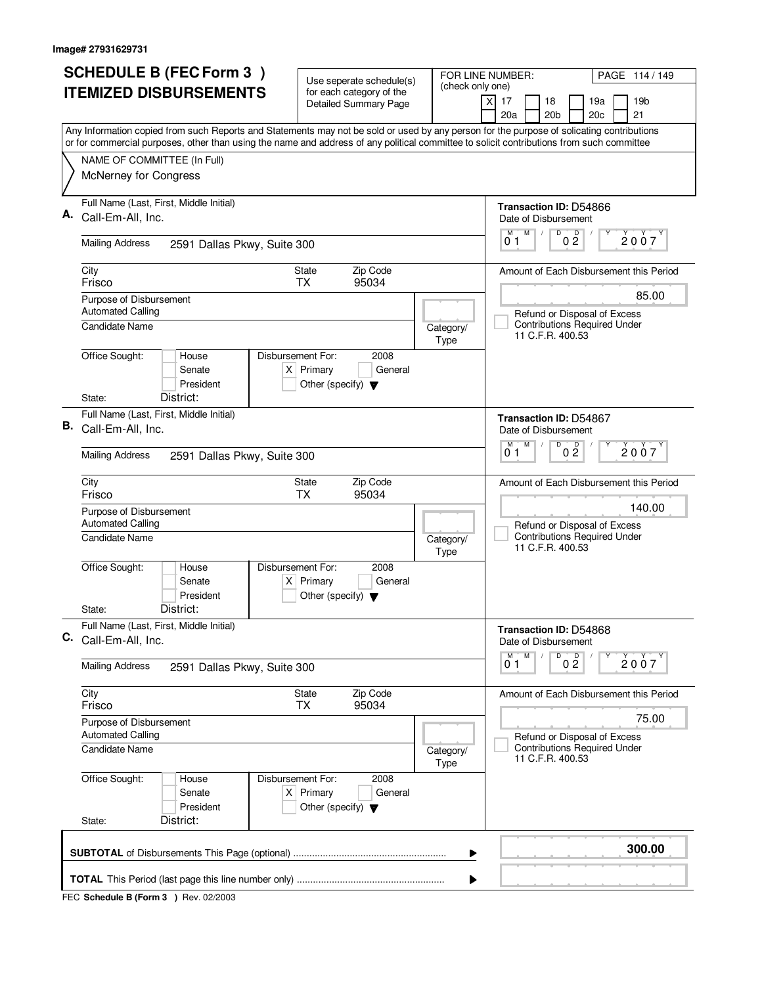|    | <b>SCHEDULE B (FEC Form 3)</b>                                                                                                                                                                                                                                                         | Use seperate schedule(s)                                                                    | (check only one)                      | FOR LINE NUMBER:<br>PAGE 114 / 149                                                               |
|----|----------------------------------------------------------------------------------------------------------------------------------------------------------------------------------------------------------------------------------------------------------------------------------------|---------------------------------------------------------------------------------------------|---------------------------------------|--------------------------------------------------------------------------------------------------|
|    | <b>ITEMIZED DISBURSEMENTS</b>                                                                                                                                                                                                                                                          | for each category of the<br><b>Detailed Summary Page</b>                                    |                                       | $\times$<br>17<br>18<br>19 <sub>b</sub><br>19a<br>20a<br>20 <sub>b</sub><br>21<br>20c            |
|    | Any Information copied from such Reports and Statements may not be sold or used by any person for the purpose of solicating contributions<br>or for commercial purposes, other than using the name and address of any political committee to solicit contributions from such committee |                                                                                             |                                       |                                                                                                  |
|    | NAME OF COMMITTEE (In Full)<br>McNerney for Congress                                                                                                                                                                                                                                   |                                                                                             |                                       |                                                                                                  |
| Α. | Full Name (Last, First, Middle Initial)<br>Call-Em-All, Inc.                                                                                                                                                                                                                           |                                                                                             |                                       | Transaction ID: D54866<br>Date of Disbursement                                                   |
|    | <b>Mailing Address</b><br>2591 Dallas Pkwy, Suite 300                                                                                                                                                                                                                                  |                                                                                             |                                       | D<br>M<br>$0\frac{D}{2}$<br>2007<br>01                                                           |
|    | City<br>Frisco                                                                                                                                                                                                                                                                         | Zip Code<br>State<br><b>TX</b><br>95034                                                     |                                       | Amount of Each Disbursement this Period                                                          |
|    | Purpose of Disbursement<br><b>Automated Calling</b><br>Candidate Name                                                                                                                                                                                                                  |                                                                                             | Category/<br>Type                     | 85.00<br>Refund or Disposal of Excess<br><b>Contributions Required Under</b><br>11 C.F.R. 400.53 |
|    | Office Sought:<br>House<br>Senate<br>President<br>District:<br>State:                                                                                                                                                                                                                  | Disbursement For:<br>2008<br>$X$ Primary<br>General<br>Other (specify) $\blacktriangledown$ |                                       |                                                                                                  |
| В. | Full Name (Last, First, Middle Initial)                                                                                                                                                                                                                                                |                                                                                             |                                       | <b>Transaction ID: D54867</b>                                                                    |
|    | Call-Em-All, Inc.                                                                                                                                                                                                                                                                      |                                                                                             |                                       | Date of Disbursement<br>$\overline{D}$<br>M<br>D                                                 |
|    | <b>Mailing Address</b><br>2591 Dallas Pkwy, Suite 300                                                                                                                                                                                                                                  |                                                                                             |                                       | 2007<br>0 <sub>2</sub><br>01                                                                     |
|    | City<br>Frisco                                                                                                                                                                                                                                                                         | Zip Code<br>State<br>95034<br><b>TX</b>                                                     |                                       | Amount of Each Disbursement this Period                                                          |
|    | Purpose of Disbursement<br><b>Automated Calling</b>                                                                                                                                                                                                                                    |                                                                                             |                                       | 140.00<br>Refund or Disposal of Excess                                                           |
|    | Candidate Name                                                                                                                                                                                                                                                                         |                                                                                             | Category/<br>Type                     | <b>Contributions Required Under</b><br>11 C.F.R. 400.53                                          |
|    | Office Sought:<br>House<br>Senate<br>President<br>District:<br>State:                                                                                                                                                                                                                  | Disbursement For:<br>2008<br>$X$ Primary<br>General<br>Other (specify) $\blacktriangledown$ |                                       |                                                                                                  |
|    | Full Name (Last, First, Middle Initial)                                                                                                                                                                                                                                                |                                                                                             |                                       | Transaction ID: D54868                                                                           |
|    | C. Call-Em-All, Inc.                                                                                                                                                                                                                                                                   |                                                                                             |                                       | Date of Disbursement<br>$\overline{D}$<br>M<br>М                                                 |
|    | <b>Mailing Address</b><br>2591 Dallas Pkwy, Suite 300                                                                                                                                                                                                                                  |                                                                                             |                                       | 0 <sup>0</sup><br>2007<br>01                                                                     |
|    | City<br>Frisco                                                                                                                                                                                                                                                                         | Zip Code<br>State<br><b>TX</b><br>95034                                                     |                                       | Amount of Each Disbursement this Period                                                          |
|    | Purpose of Disbursement<br><b>Automated Calling</b>                                                                                                                                                                                                                                    |                                                                                             | 75.00<br>Refund or Disposal of Excess |                                                                                                  |
|    | <b>Candidate Name</b>                                                                                                                                                                                                                                                                  |                                                                                             | Category/<br>Type                     | <b>Contributions Required Under</b><br>11 C.F.R. 400.53                                          |
|    | Office Sought:<br>House<br>Senate<br>President<br>District:<br>State:                                                                                                                                                                                                                  | Disbursement For:<br>2008<br>$X$ Primary<br>General<br>Other (specify) $\blacktriangledown$ |                                       |                                                                                                  |
|    |                                                                                                                                                                                                                                                                                        |                                                                                             | ▶                                     | 300.00                                                                                           |
|    |                                                                                                                                                                                                                                                                                        |                                                                                             |                                       |                                                                                                  |
|    |                                                                                                                                                                                                                                                                                        |                                                                                             |                                       |                                                                                                  |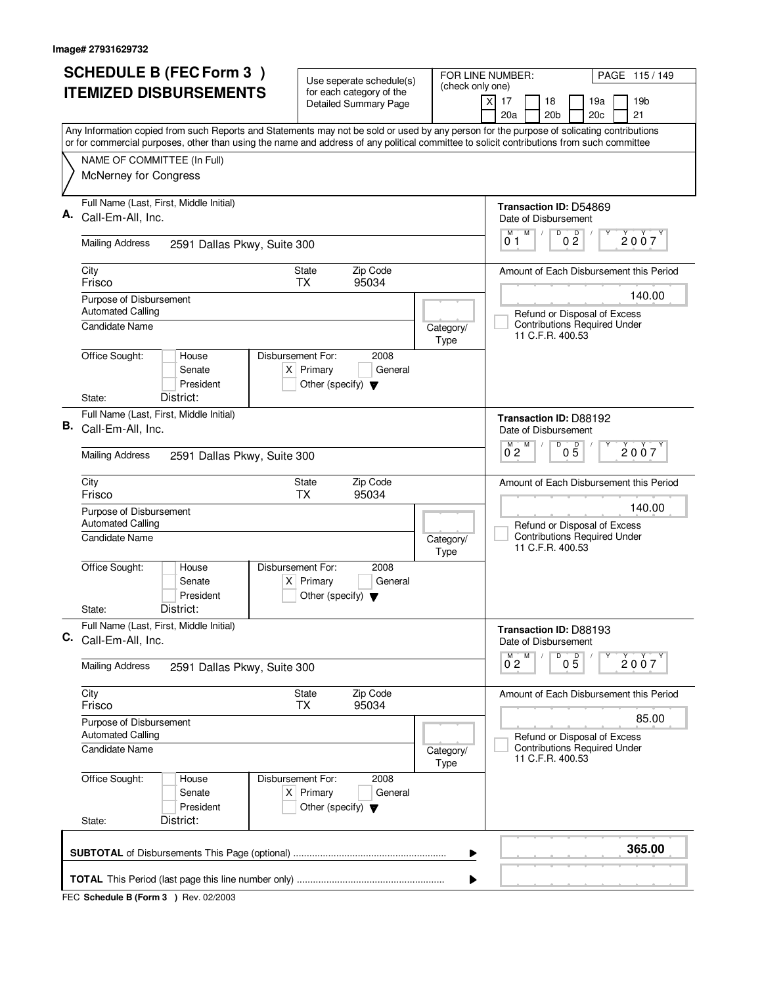| (check only one)<br><b>ITEMIZED DISBURSEMENTS</b><br>for each category of the<br>17<br>18<br>19a<br>19 <sub>b</sub><br>X<br><b>Detailed Summary Page</b><br>20a<br>20 <sub>b</sub><br>20c<br>21<br>Any Information copied from such Reports and Statements may not be sold or used by any person for the purpose of solicating contributions<br>or for commercial purposes, other than using the name and address of any political committee to solicit contributions from such committee<br>NAME OF COMMITTEE (In Full)<br>McNerney for Congress<br>Full Name (Last, First, Middle Initial)<br>Transaction ID: D54869<br>Call-Em-All, Inc.<br>Date of Disbursement<br>M<br>D<br>0 <sup>0</sup><br>M<br>2007<br>01<br><b>Mailing Address</b><br>2591 Dallas Pkwy, Suite 300<br>Zip Code<br>City<br>State<br>Amount of Each Disbursement this Period<br>Frisco<br><b>TX</b><br>95034<br>140.00<br>Purpose of Disbursement<br><b>Automated Calling</b><br>Refund or Disposal of Excess<br><b>Contributions Required Under</b><br>Candidate Name<br>Category/<br>11 C.F.R. 400.53<br>Type<br>Office Sought:<br>Disbursement For:<br>2008<br>House<br>Senate<br>$X$ Primary<br>General<br>President<br>Other (specify) $\blacktriangledown$<br>District:<br>State:<br>Full Name (Last, First, Middle Initial)<br>Transaction ID: D88192<br>Call-Em-All, Inc.<br>Date of Disbursement<br>D<br>м<br>M<br>D<br>2007<br>0 <sub>5</sub><br>0 <sub>2</sub><br><b>Mailing Address</b><br>2591 Dallas Pkwy, Suite 300<br>Zip Code<br>City<br>State<br>Amount of Each Disbursement this Period<br><b>TX</b><br>95034<br>Frisco<br>140.00<br>Purpose of Disbursement<br><b>Automated Calling</b><br>Refund or Disposal of Excess<br><b>Contributions Required Under</b><br><b>Candidate Name</b><br>Category/<br>11 C.F.R. 400.53<br>Type<br>Office Sought:<br>Disbursement For:<br>House<br>2008<br>$X$ Primary<br>General<br>Senate<br>President<br>Other (specify) $\blacktriangledown$<br>District:<br>State:<br>Full Name (Last, First, Middle Initial)<br>Transaction ID: D88193<br>Call-Em-All, Inc.<br>Date of Disbursement<br>D<br>M<br>05<br>2007<br>$0^{\degree}2$<br><b>Mailing Address</b><br>2591 Dallas Pkwy, Suite 300<br>Zip Code<br>City<br>State<br>Amount of Each Disbursement this Period<br>Frisco<br><b>TX</b><br>95034<br>85.00<br>Purpose of Disbursement<br><b>Automated Calling</b><br>Refund or Disposal of Excess<br><b>Contributions Required Under</b><br><b>Candidate Name</b><br>Category/<br>11 C.F.R. 400.53<br>Type<br>Office Sought:<br>Disbursement For:<br>2008<br>House<br>$X$ Primary<br>General<br>Senate<br>President<br>Other (specify) $\blacktriangledown$<br>District:<br>State: | <b>SCHEDULE B (FEC Form 3)</b> | Use seperate schedule(s) | FOR LINE NUMBER: | PAGE 115/149 |
|-------------------------------------------------------------------------------------------------------------------------------------------------------------------------------------------------------------------------------------------------------------------------------------------------------------------------------------------------------------------------------------------------------------------------------------------------------------------------------------------------------------------------------------------------------------------------------------------------------------------------------------------------------------------------------------------------------------------------------------------------------------------------------------------------------------------------------------------------------------------------------------------------------------------------------------------------------------------------------------------------------------------------------------------------------------------------------------------------------------------------------------------------------------------------------------------------------------------------------------------------------------------------------------------------------------------------------------------------------------------------------------------------------------------------------------------------------------------------------------------------------------------------------------------------------------------------------------------------------------------------------------------------------------------------------------------------------------------------------------------------------------------------------------------------------------------------------------------------------------------------------------------------------------------------------------------------------------------------------------------------------------------------------------------------------------------------------------------------------------------------------------------------------------------------------------------------------------------------------------------------------------------------------------------------------------------------------------------------------------------------------------------------------------------------------------------------------------------------------------------------------------------------------------------------------------------------------------------------------------------------------------------------------------------------------------------------------------------|--------------------------------|--------------------------|------------------|--------------|
|                                                                                                                                                                                                                                                                                                                                                                                                                                                                                                                                                                                                                                                                                                                                                                                                                                                                                                                                                                                                                                                                                                                                                                                                                                                                                                                                                                                                                                                                                                                                                                                                                                                                                                                                                                                                                                                                                                                                                                                                                                                                                                                                                                                                                                                                                                                                                                                                                                                                                                                                                                                                                                                                                                                   |                                |                          |                  |              |
|                                                                                                                                                                                                                                                                                                                                                                                                                                                                                                                                                                                                                                                                                                                                                                                                                                                                                                                                                                                                                                                                                                                                                                                                                                                                                                                                                                                                                                                                                                                                                                                                                                                                                                                                                                                                                                                                                                                                                                                                                                                                                                                                                                                                                                                                                                                                                                                                                                                                                                                                                                                                                                                                                                                   |                                |                          |                  |              |
|                                                                                                                                                                                                                                                                                                                                                                                                                                                                                                                                                                                                                                                                                                                                                                                                                                                                                                                                                                                                                                                                                                                                                                                                                                                                                                                                                                                                                                                                                                                                                                                                                                                                                                                                                                                                                                                                                                                                                                                                                                                                                                                                                                                                                                                                                                                                                                                                                                                                                                                                                                                                                                                                                                                   |                                |                          |                  |              |
|                                                                                                                                                                                                                                                                                                                                                                                                                                                                                                                                                                                                                                                                                                                                                                                                                                                                                                                                                                                                                                                                                                                                                                                                                                                                                                                                                                                                                                                                                                                                                                                                                                                                                                                                                                                                                                                                                                                                                                                                                                                                                                                                                                                                                                                                                                                                                                                                                                                                                                                                                                                                                                                                                                                   |                                |                          |                  |              |
|                                                                                                                                                                                                                                                                                                                                                                                                                                                                                                                                                                                                                                                                                                                                                                                                                                                                                                                                                                                                                                                                                                                                                                                                                                                                                                                                                                                                                                                                                                                                                                                                                                                                                                                                                                                                                                                                                                                                                                                                                                                                                                                                                                                                                                                                                                                                                                                                                                                                                                                                                                                                                                                                                                                   |                                |                          |                  |              |
|                                                                                                                                                                                                                                                                                                                                                                                                                                                                                                                                                                                                                                                                                                                                                                                                                                                                                                                                                                                                                                                                                                                                                                                                                                                                                                                                                                                                                                                                                                                                                                                                                                                                                                                                                                                                                                                                                                                                                                                                                                                                                                                                                                                                                                                                                                                                                                                                                                                                                                                                                                                                                                                                                                                   |                                |                          |                  |              |
|                                                                                                                                                                                                                                                                                                                                                                                                                                                                                                                                                                                                                                                                                                                                                                                                                                                                                                                                                                                                                                                                                                                                                                                                                                                                                                                                                                                                                                                                                                                                                                                                                                                                                                                                                                                                                                                                                                                                                                                                                                                                                                                                                                                                                                                                                                                                                                                                                                                                                                                                                                                                                                                                                                                   |                                |                          |                  |              |
|                                                                                                                                                                                                                                                                                                                                                                                                                                                                                                                                                                                                                                                                                                                                                                                                                                                                                                                                                                                                                                                                                                                                                                                                                                                                                                                                                                                                                                                                                                                                                                                                                                                                                                                                                                                                                                                                                                                                                                                                                                                                                                                                                                                                                                                                                                                                                                                                                                                                                                                                                                                                                                                                                                                   |                                |                          |                  |              |
| В.<br>C.                                                                                                                                                                                                                                                                                                                                                                                                                                                                                                                                                                                                                                                                                                                                                                                                                                                                                                                                                                                                                                                                                                                                                                                                                                                                                                                                                                                                                                                                                                                                                                                                                                                                                                                                                                                                                                                                                                                                                                                                                                                                                                                                                                                                                                                                                                                                                                                                                                                                                                                                                                                                                                                                                                          |                                |                          |                  |              |
|                                                                                                                                                                                                                                                                                                                                                                                                                                                                                                                                                                                                                                                                                                                                                                                                                                                                                                                                                                                                                                                                                                                                                                                                                                                                                                                                                                                                                                                                                                                                                                                                                                                                                                                                                                                                                                                                                                                                                                                                                                                                                                                                                                                                                                                                                                                                                                                                                                                                                                                                                                                                                                                                                                                   |                                |                          |                  |              |
|                                                                                                                                                                                                                                                                                                                                                                                                                                                                                                                                                                                                                                                                                                                                                                                                                                                                                                                                                                                                                                                                                                                                                                                                                                                                                                                                                                                                                                                                                                                                                                                                                                                                                                                                                                                                                                                                                                                                                                                                                                                                                                                                                                                                                                                                                                                                                                                                                                                                                                                                                                                                                                                                                                                   |                                |                          |                  |              |
|                                                                                                                                                                                                                                                                                                                                                                                                                                                                                                                                                                                                                                                                                                                                                                                                                                                                                                                                                                                                                                                                                                                                                                                                                                                                                                                                                                                                                                                                                                                                                                                                                                                                                                                                                                                                                                                                                                                                                                                                                                                                                                                                                                                                                                                                                                                                                                                                                                                                                                                                                                                                                                                                                                                   |                                |                          |                  |              |
|                                                                                                                                                                                                                                                                                                                                                                                                                                                                                                                                                                                                                                                                                                                                                                                                                                                                                                                                                                                                                                                                                                                                                                                                                                                                                                                                                                                                                                                                                                                                                                                                                                                                                                                                                                                                                                                                                                                                                                                                                                                                                                                                                                                                                                                                                                                                                                                                                                                                                                                                                                                                                                                                                                                   |                                |                          |                  |              |
|                                                                                                                                                                                                                                                                                                                                                                                                                                                                                                                                                                                                                                                                                                                                                                                                                                                                                                                                                                                                                                                                                                                                                                                                                                                                                                                                                                                                                                                                                                                                                                                                                                                                                                                                                                                                                                                                                                                                                                                                                                                                                                                                                                                                                                                                                                                                                                                                                                                                                                                                                                                                                                                                                                                   |                                |                          |                  |              |
|                                                                                                                                                                                                                                                                                                                                                                                                                                                                                                                                                                                                                                                                                                                                                                                                                                                                                                                                                                                                                                                                                                                                                                                                                                                                                                                                                                                                                                                                                                                                                                                                                                                                                                                                                                                                                                                                                                                                                                                                                                                                                                                                                                                                                                                                                                                                                                                                                                                                                                                                                                                                                                                                                                                   |                                |                          |                  |              |
|                                                                                                                                                                                                                                                                                                                                                                                                                                                                                                                                                                                                                                                                                                                                                                                                                                                                                                                                                                                                                                                                                                                                                                                                                                                                                                                                                                                                                                                                                                                                                                                                                                                                                                                                                                                                                                                                                                                                                                                                                                                                                                                                                                                                                                                                                                                                                                                                                                                                                                                                                                                                                                                                                                                   |                                |                          |                  |              |
|                                                                                                                                                                                                                                                                                                                                                                                                                                                                                                                                                                                                                                                                                                                                                                                                                                                                                                                                                                                                                                                                                                                                                                                                                                                                                                                                                                                                                                                                                                                                                                                                                                                                                                                                                                                                                                                                                                                                                                                                                                                                                                                                                                                                                                                                                                                                                                                                                                                                                                                                                                                                                                                                                                                   |                                |                          |                  |              |
|                                                                                                                                                                                                                                                                                                                                                                                                                                                                                                                                                                                                                                                                                                                                                                                                                                                                                                                                                                                                                                                                                                                                                                                                                                                                                                                                                                                                                                                                                                                                                                                                                                                                                                                                                                                                                                                                                                                                                                                                                                                                                                                                                                                                                                                                                                                                                                                                                                                                                                                                                                                                                                                                                                                   |                                |                          |                  |              |
|                                                                                                                                                                                                                                                                                                                                                                                                                                                                                                                                                                                                                                                                                                                                                                                                                                                                                                                                                                                                                                                                                                                                                                                                                                                                                                                                                                                                                                                                                                                                                                                                                                                                                                                                                                                                                                                                                                                                                                                                                                                                                                                                                                                                                                                                                                                                                                                                                                                                                                                                                                                                                                                                                                                   |                                |                          |                  |              |
|                                                                                                                                                                                                                                                                                                                                                                                                                                                                                                                                                                                                                                                                                                                                                                                                                                                                                                                                                                                                                                                                                                                                                                                                                                                                                                                                                                                                                                                                                                                                                                                                                                                                                                                                                                                                                                                                                                                                                                                                                                                                                                                                                                                                                                                                                                                                                                                                                                                                                                                                                                                                                                                                                                                   |                                |                          |                  |              |
|                                                                                                                                                                                                                                                                                                                                                                                                                                                                                                                                                                                                                                                                                                                                                                                                                                                                                                                                                                                                                                                                                                                                                                                                                                                                                                                                                                                                                                                                                                                                                                                                                                                                                                                                                                                                                                                                                                                                                                                                                                                                                                                                                                                                                                                                                                                                                                                                                                                                                                                                                                                                                                                                                                                   |                                |                          |                  |              |
|                                                                                                                                                                                                                                                                                                                                                                                                                                                                                                                                                                                                                                                                                                                                                                                                                                                                                                                                                                                                                                                                                                                                                                                                                                                                                                                                                                                                                                                                                                                                                                                                                                                                                                                                                                                                                                                                                                                                                                                                                                                                                                                                                                                                                                                                                                                                                                                                                                                                                                                                                                                                                                                                                                                   |                                |                          |                  |              |
|                                                                                                                                                                                                                                                                                                                                                                                                                                                                                                                                                                                                                                                                                                                                                                                                                                                                                                                                                                                                                                                                                                                                                                                                                                                                                                                                                                                                                                                                                                                                                                                                                                                                                                                                                                                                                                                                                                                                                                                                                                                                                                                                                                                                                                                                                                                                                                                                                                                                                                                                                                                                                                                                                                                   |                                |                          |                  |              |
|                                                                                                                                                                                                                                                                                                                                                                                                                                                                                                                                                                                                                                                                                                                                                                                                                                                                                                                                                                                                                                                                                                                                                                                                                                                                                                                                                                                                                                                                                                                                                                                                                                                                                                                                                                                                                                                                                                                                                                                                                                                                                                                                                                                                                                                                                                                                                                                                                                                                                                                                                                                                                                                                                                                   |                                |                          |                  |              |
|                                                                                                                                                                                                                                                                                                                                                                                                                                                                                                                                                                                                                                                                                                                                                                                                                                                                                                                                                                                                                                                                                                                                                                                                                                                                                                                                                                                                                                                                                                                                                                                                                                                                                                                                                                                                                                                                                                                                                                                                                                                                                                                                                                                                                                                                                                                                                                                                                                                                                                                                                                                                                                                                                                                   |                                |                          |                  |              |
|                                                                                                                                                                                                                                                                                                                                                                                                                                                                                                                                                                                                                                                                                                                                                                                                                                                                                                                                                                                                                                                                                                                                                                                                                                                                                                                                                                                                                                                                                                                                                                                                                                                                                                                                                                                                                                                                                                                                                                                                                                                                                                                                                                                                                                                                                                                                                                                                                                                                                                                                                                                                                                                                                                                   |                                |                          |                  |              |
|                                                                                                                                                                                                                                                                                                                                                                                                                                                                                                                                                                                                                                                                                                                                                                                                                                                                                                                                                                                                                                                                                                                                                                                                                                                                                                                                                                                                                                                                                                                                                                                                                                                                                                                                                                                                                                                                                                                                                                                                                                                                                                                                                                                                                                                                                                                                                                                                                                                                                                                                                                                                                                                                                                                   |                                |                          | ▶                | 365.00       |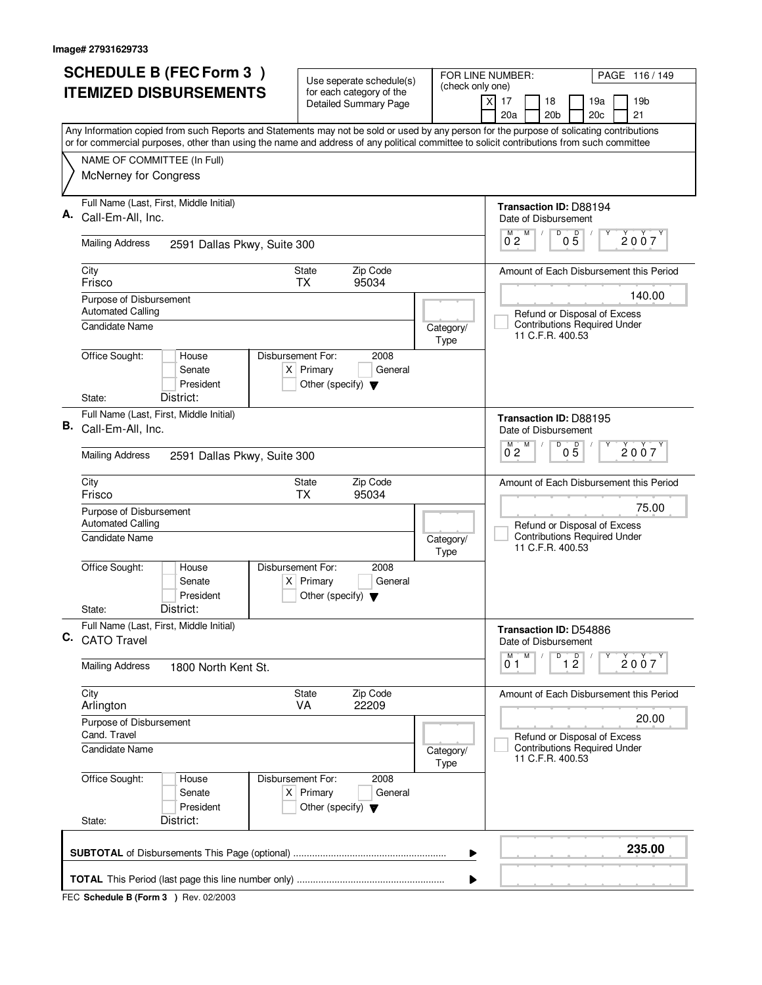|    | <b>SCHEDULE B (FEC Form 3)</b>                                                                                                            | Use seperate schedule(s)                                               |                                                              | FOR LINE NUMBER:<br>PAGE 116/149                                               |
|----|-------------------------------------------------------------------------------------------------------------------------------------------|------------------------------------------------------------------------|--------------------------------------------------------------|--------------------------------------------------------------------------------|
|    | <b>ITEMIZED DISBURSEMENTS</b>                                                                                                             | for each category of the<br><b>Detailed Summary Page</b>               | (check only one)                                             | 17<br>18<br>19a<br>19 <sub>b</sub><br>X<br>20a<br>20 <sub>b</sub><br>20c<br>21 |
|    | Any Information copied from such Reports and Statements may not be sold or used by any person for the purpose of solicating contributions |                                                                        |                                                              |                                                                                |
|    | or for commercial purposes, other than using the name and address of any political committee to solicit contributions from such committee |                                                                        |                                                              |                                                                                |
|    | NAME OF COMMITTEE (In Full)<br>McNerney for Congress                                                                                      |                                                                        |                                                              |                                                                                |
|    | Full Name (Last, First, Middle Initial)                                                                                                   |                                                                        |                                                              | Transaction ID: D88194                                                         |
|    | Call-Em-All, Inc.                                                                                                                         |                                                                        |                                                              | Date of Disbursement<br>M<br>D<br>$0\overline{5}$<br>M<br>2007                 |
|    | <b>Mailing Address</b><br>2591 Dallas Pkwy, Suite 300                                                                                     |                                                                        |                                                              | $0^{\degree}2$                                                                 |
|    | City<br>Frisco                                                                                                                            | Zip Code<br>State<br><b>TX</b><br>95034                                |                                                              | Amount of Each Disbursement this Period                                        |
|    | Purpose of Disbursement<br><b>Automated Calling</b>                                                                                       |                                                                        |                                                              | 140.00<br>Refund or Disposal of Excess                                         |
|    | Candidate Name                                                                                                                            |                                                                        | Category/<br>Type                                            | <b>Contributions Required Under</b><br>11 C.F.R. 400.53                        |
|    | Office Sought:<br>Disbursement For:<br>House<br>Senate<br>President                                                                       | 2008<br>$X$ Primary<br>General<br>Other (specify) $\blacktriangledown$ |                                                              |                                                                                |
|    | District:<br>State:                                                                                                                       |                                                                        |                                                              |                                                                                |
| В. | Full Name (Last, First, Middle Initial)<br>Call-Em-All, Inc.                                                                              |                                                                        |                                                              | <b>Transaction ID: D88195</b><br>Date of Disbursement                          |
|    | <b>Mailing Address</b><br>2591 Dallas Pkwy, Suite 300                                                                                     |                                                                        | D<br>м<br>M<br>D<br>2007<br>0 <sub>5</sub><br>0 <sub>2</sub> |                                                                                |
|    | City<br>Frisco                                                                                                                            | Zip Code<br>State<br><b>TX</b><br>95034                                |                                                              | Amount of Each Disbursement this Period                                        |
|    | Purpose of Disbursement<br><b>Automated Calling</b>                                                                                       |                                                                        |                                                              | 75.00<br>Refund or Disposal of Excess                                          |
|    | <b>Candidate Name</b>                                                                                                                     |                                                                        | Category/<br>Type                                            | <b>Contributions Required Under</b><br>11 C.F.R. 400.53                        |
|    | Office Sought:<br>Disbursement For:<br>House<br>Senate<br>President                                                                       | 2008<br>$X$ Primary<br>General<br>Other (specify) $\blacktriangledown$ |                                                              |                                                                                |
|    | District:<br>State:                                                                                                                       |                                                                        |                                                              |                                                                                |
|    | Full Name (Last, First, Middle Initial)<br>C. CATO Travel                                                                                 |                                                                        |                                                              | Transaction ID: D54886<br>Date of Disbursement                                 |
|    | <b>Mailing Address</b><br>1800 North Kent St.                                                                                             |                                                                        |                                                              | D<br>M<br>М<br>$\overline{1}$ $\overline{2}$<br>2007<br>01                     |
|    | City<br>Arlington                                                                                                                         | State<br>Zip Code<br>VA<br>22209                                       |                                                              | Amount of Each Disbursement this Period                                        |
|    | Purpose of Disbursement<br>Cand. Travel                                                                                                   |                                                                        | 20.00<br>Refund or Disposal of Excess                        |                                                                                |
|    | Candidate Name                                                                                                                            |                                                                        | Category/<br>Type                                            | <b>Contributions Required Under</b><br>11 C.F.R. 400.53                        |
|    | Office Sought:<br>Disbursement For:<br>House<br>Senate<br>President                                                                       | 2008<br>$X$ Primary<br>General<br>Other (specify) $\blacktriangledown$ |                                                              |                                                                                |
|    | District:<br>State:                                                                                                                       |                                                                        |                                                              |                                                                                |
|    |                                                                                                                                           |                                                                        | ▶                                                            | 235.00                                                                         |
|    |                                                                                                                                           |                                                                        | ▶                                                            |                                                                                |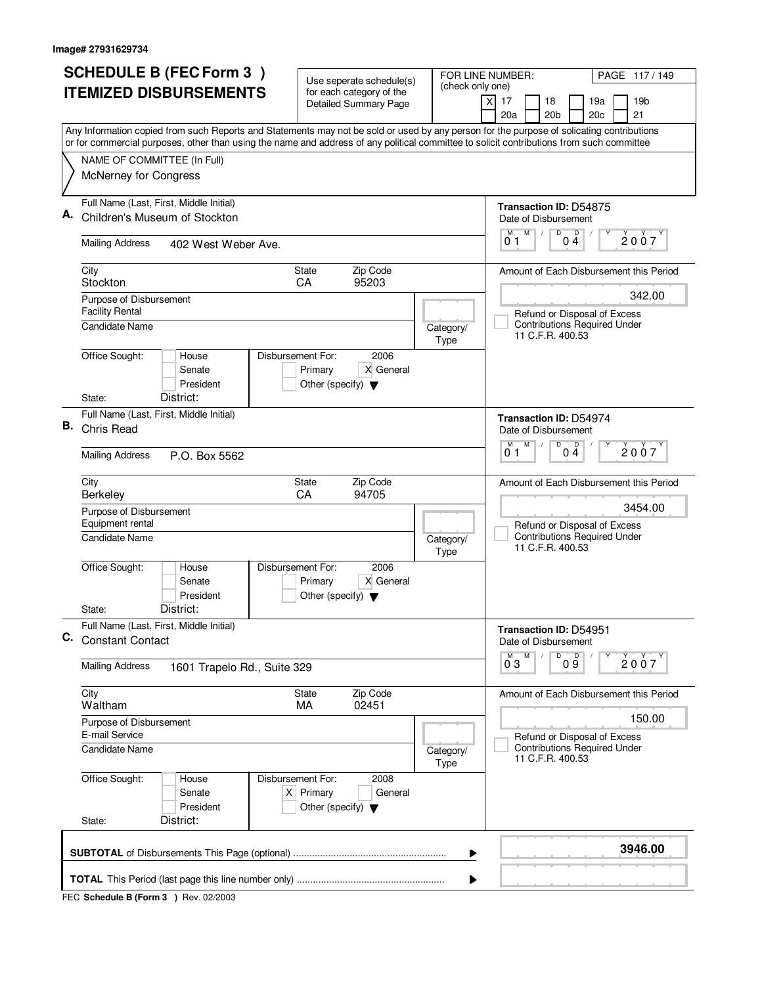| <b>ITEMIZED DISBURSEMENTS</b><br>Any Information copied from such Reports and Statements may not be sold or used by any person for the purpose of solicating contributions<br>or for commercial purposes, other than using the name and address of any political committee to solicit contributions from such committee<br>NAME OF COMMITTEE (In Full)<br>McNerney for Congress | for each category of the<br>Detailed Summary Page                                           | (check only one)  | X<br>17<br>18<br>19a<br>19b<br>20a<br>20 <sub>b</sub><br>20c<br>21                      |  |
|---------------------------------------------------------------------------------------------------------------------------------------------------------------------------------------------------------------------------------------------------------------------------------------------------------------------------------------------------------------------------------|---------------------------------------------------------------------------------------------|-------------------|-----------------------------------------------------------------------------------------|--|
|                                                                                                                                                                                                                                                                                                                                                                                 |                                                                                             |                   |                                                                                         |  |
|                                                                                                                                                                                                                                                                                                                                                                                 |                                                                                             |                   |                                                                                         |  |
|                                                                                                                                                                                                                                                                                                                                                                                 |                                                                                             |                   |                                                                                         |  |
|                                                                                                                                                                                                                                                                                                                                                                                 |                                                                                             |                   |                                                                                         |  |
|                                                                                                                                                                                                                                                                                                                                                                                 |                                                                                             |                   |                                                                                         |  |
| Full Name (Last, First, Middle Initial)                                                                                                                                                                                                                                                                                                                                         |                                                                                             |                   | Transaction ID: D54875                                                                  |  |
| Children's Museum of Stockton                                                                                                                                                                                                                                                                                                                                                   |                                                                                             |                   | Date of Disbursement<br>D<br>M<br>p<br>М<br>2007<br>01<br>04                            |  |
| <b>Mailing Address</b><br>402 West Weber Ave.                                                                                                                                                                                                                                                                                                                                   |                                                                                             |                   |                                                                                         |  |
| City<br>Stockton                                                                                                                                                                                                                                                                                                                                                                | Zip Code<br>State<br>CA<br>95203                                                            |                   | Amount of Each Disbursement this Period                                                 |  |
| Purpose of Disbursement<br><b>Facility Rental</b>                                                                                                                                                                                                                                                                                                                               |                                                                                             |                   | 342.00<br>Refund or Disposal of Excess                                                  |  |
| <b>Candidate Name</b>                                                                                                                                                                                                                                                                                                                                                           |                                                                                             | Category/<br>Type | <b>Contributions Required Under</b><br>11 C.F.R. 400.53                                 |  |
| Office Sought:<br>House<br>Senate<br>President                                                                                                                                                                                                                                                                                                                                  | Disbursement For:<br>2006<br>Primary<br>X General<br>Other (specify) $\blacktriangledown$   |                   |                                                                                         |  |
| District:<br>State:                                                                                                                                                                                                                                                                                                                                                             |                                                                                             |                   |                                                                                         |  |
| Full Name (Last, First, Middle Initial)<br>В.<br>Chris Read                                                                                                                                                                                                                                                                                                                     |                                                                                             |                   | <b>Transaction ID: D54974</b><br>Date of Disbursement<br>$\overline{D}$                 |  |
| <b>Mailing Address</b><br>P.O. Box 5562                                                                                                                                                                                                                                                                                                                                         |                                                                                             |                   |                                                                                         |  |
| City<br><b>Berkeley</b>                                                                                                                                                                                                                                                                                                                                                         | Zip Code<br>State<br>CA<br>94705                                                            |                   | Amount of Each Disbursement this Period                                                 |  |
| Purpose of Disbursement<br>Equipment rental                                                                                                                                                                                                                                                                                                                                     |                                                                                             |                   | 3454.00<br>Refund or Disposal of Excess                                                 |  |
| <b>Candidate Name</b>                                                                                                                                                                                                                                                                                                                                                           |                                                                                             | Category/<br>Type | <b>Contributions Required Under</b><br>11 C.F.R. 400.53                                 |  |
| Office Sought:<br>House<br>Senate<br>President                                                                                                                                                                                                                                                                                                                                  | Disbursement For:<br>2006<br>X General<br>Primary<br>Other (specify) $\blacktriangledown$   |                   |                                                                                         |  |
| District:<br>State:                                                                                                                                                                                                                                                                                                                                                             |                                                                                             |                   |                                                                                         |  |
| Full Name (Last, First, Middle Initial)<br>C.<br><b>Constant Contact</b>                                                                                                                                                                                                                                                                                                        |                                                                                             |                   | Transaction ID: D54951<br>Date of Disbursement                                          |  |
| <b>Mailing Address</b><br>1601 Trapelo Rd., Suite 329                                                                                                                                                                                                                                                                                                                           |                                                                                             |                   | $^{D}$ 0 $\overline{9}$<br>M<br>2007<br>$0^{\degree}3$                                  |  |
| City<br>Waltham                                                                                                                                                                                                                                                                                                                                                                 | State<br>Zip Code<br>MA<br>02451                                                            |                   | Amount of Each Disbursement this Period                                                 |  |
| Purpose of Disbursement<br>E-mail Service                                                                                                                                                                                                                                                                                                                                       |                                                                                             |                   |                                                                                         |  |
| <b>Candidate Name</b>                                                                                                                                                                                                                                                                                                                                                           |                                                                                             | Category/<br>Type | Refund or Disposal of Excess<br><b>Contributions Required Under</b><br>11 C.F.R. 400.53 |  |
| Office Sought:<br>House<br>Senate<br>President<br>District:<br>State:                                                                                                                                                                                                                                                                                                           | Disbursement For:<br>2008<br>$X$ Primary<br>General<br>Other (specify) $\blacktriangledown$ |                   |                                                                                         |  |
|                                                                                                                                                                                                                                                                                                                                                                                 |                                                                                             |                   |                                                                                         |  |
|                                                                                                                                                                                                                                                                                                                                                                                 |                                                                                             | ▶                 | 3946.00                                                                                 |  |
|                                                                                                                                                                                                                                                                                                                                                                                 |                                                                                             | ▶                 |                                                                                         |  |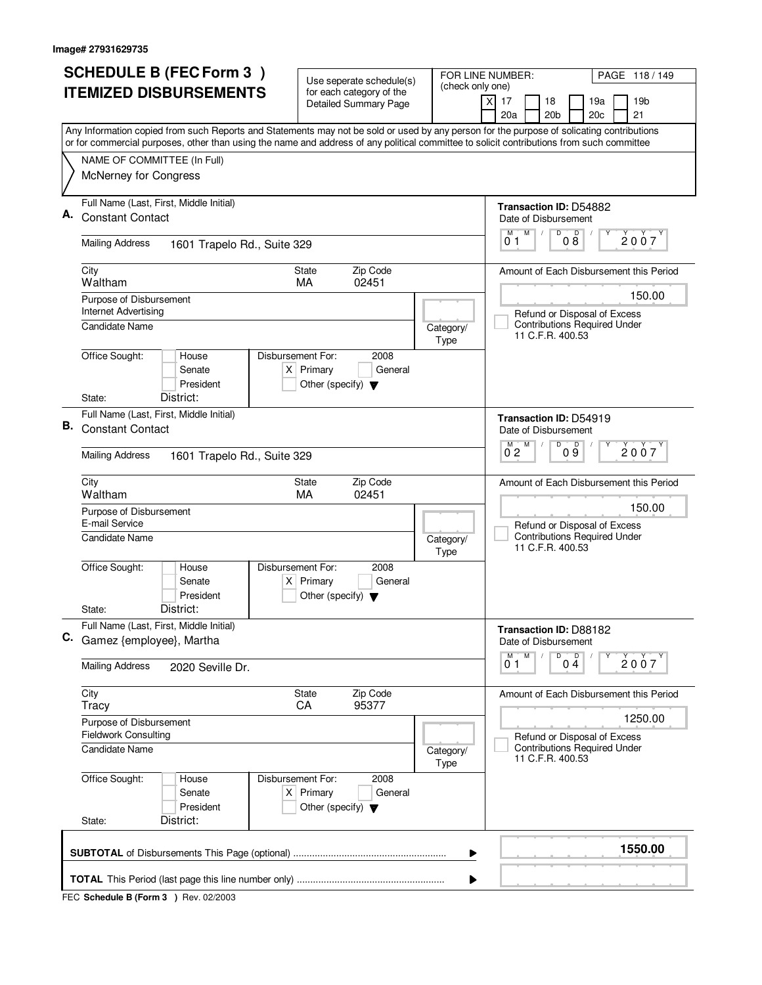|    | <b>SCHEDULE B (FEC Form 3)</b>                                                                                                                                                                                                                                                         | Use seperate schedule(s)                                               |                                         | FOR LINE NUMBER:<br>PAGE 118/149                        |
|----|----------------------------------------------------------------------------------------------------------------------------------------------------------------------------------------------------------------------------------------------------------------------------------------|------------------------------------------------------------------------|-----------------------------------------|---------------------------------------------------------|
|    | <b>ITEMIZED DISBURSEMENTS</b>                                                                                                                                                                                                                                                          | for each category of the<br><b>Detailed Summary Page</b>               | (check only one)                        | 17<br>18<br>19a<br>19 <sub>b</sub><br>X                 |
|    |                                                                                                                                                                                                                                                                                        |                                                                        |                                         | 20a<br>20 <sub>b</sub><br>20c<br>21                     |
|    | Any Information copied from such Reports and Statements may not be sold or used by any person for the purpose of solicating contributions<br>or for commercial purposes, other than using the name and address of any political committee to solicit contributions from such committee |                                                                        |                                         |                                                         |
|    | NAME OF COMMITTEE (In Full)                                                                                                                                                                                                                                                            |                                                                        |                                         |                                                         |
|    | McNerney for Congress                                                                                                                                                                                                                                                                  |                                                                        |                                         |                                                         |
| Α. | Full Name (Last, First, Middle Initial)                                                                                                                                                                                                                                                |                                                                        |                                         | Transaction ID: D54882                                  |
|    | <b>Constant Contact</b>                                                                                                                                                                                                                                                                |                                                                        |                                         | Date of Disbursement<br>M<br>M                          |
|    | <b>Mailing Address</b><br>1601 Trapelo Rd., Suite 329                                                                                                                                                                                                                                  |                                                                        |                                         | 000<br>2007<br>01                                       |
|    | City<br>Waltham                                                                                                                                                                                                                                                                        | Zip Code<br><b>State</b><br>MA<br>02451                                |                                         | Amount of Each Disbursement this Period                 |
|    | Purpose of Disbursement<br><b>Internet Advertising</b>                                                                                                                                                                                                                                 |                                                                        |                                         | 150.00<br>Refund or Disposal of Excess                  |
|    | Candidate Name                                                                                                                                                                                                                                                                         |                                                                        | Category/<br>Type                       | <b>Contributions Required Under</b><br>11 C.F.R. 400.53 |
|    | Office Sought:<br>Disbursement For:<br>House<br>Senate<br>President                                                                                                                                                                                                                    | 2008<br>$X$ Primary<br>General<br>Other (specify) $\blacktriangledown$ |                                         |                                                         |
|    | District:<br>State:                                                                                                                                                                                                                                                                    |                                                                        |                                         |                                                         |
| В. | Full Name (Last, First, Middle Initial)<br><b>Constant Contact</b>                                                                                                                                                                                                                     |                                                                        |                                         | Transaction ID: D54919<br>Date of Disbursement          |
|    | <b>Mailing Address</b><br>1601 Trapelo Rd., Suite 329                                                                                                                                                                                                                                  |                                                                        |                                         | D<br>M<br>D<br>2007<br>0 <sub>2</sub><br>09             |
|    | City<br>Waltham                                                                                                                                                                                                                                                                        | Zip Code<br>State<br>02451<br>MA                                       |                                         | Amount of Each Disbursement this Period                 |
|    | Purpose of Disbursement<br>E-mail Service                                                                                                                                                                                                                                              |                                                                        |                                         | 150.00<br>Refund or Disposal of Excess                  |
|    | Candidate Name                                                                                                                                                                                                                                                                         |                                                                        | Category/<br>Type                       | <b>Contributions Required Under</b><br>11 C.F.R. 400.53 |
|    | Office Sought:<br>Disbursement For:<br>House<br>Senate<br>President                                                                                                                                                                                                                    | 2008<br>$X$ Primary<br>General<br>Other (specify) $\blacktriangledown$ |                                         |                                                         |
|    | District:<br>State:                                                                                                                                                                                                                                                                    |                                                                        |                                         |                                                         |
|    | Full Name (Last, First, Middle Initial)<br>C. Gamez {employee}, Martha                                                                                                                                                                                                                 |                                                                        |                                         | Transaction ID: D88182<br>Date of Disbursement          |
|    | <b>Mailing Address</b><br>2020 Seville Dr.                                                                                                                                                                                                                                             |                                                                        |                                         | D<br>M<br>$0\stackrel{D}{4}$<br>M<br>2007<br>01         |
|    | City<br>Tracy                                                                                                                                                                                                                                                                          | State<br>Zip Code<br>CA<br>95377                                       |                                         | Amount of Each Disbursement this Period                 |
|    | Purpose of Disbursement<br><b>Fieldwork Consulting</b>                                                                                                                                                                                                                                 |                                                                        | 1250.00<br>Refund or Disposal of Excess |                                                         |
|    | <b>Candidate Name</b>                                                                                                                                                                                                                                                                  |                                                                        | Category/<br>Type                       | <b>Contributions Required Under</b><br>11 C.F.R. 400.53 |
|    | Office Sought:<br>Disbursement For:<br>House<br>Senate<br>President                                                                                                                                                                                                                    | 2008<br>$X$ Primary<br>General<br>Other (specify) $\blacktriangledown$ |                                         |                                                         |
|    | District:<br>State:                                                                                                                                                                                                                                                                    |                                                                        |                                         |                                                         |
|    |                                                                                                                                                                                                                                                                                        |                                                                        | ▶                                       | 1550.00                                                 |
|    |                                                                                                                                                                                                                                                                                        |                                                                        | ▶                                       |                                                         |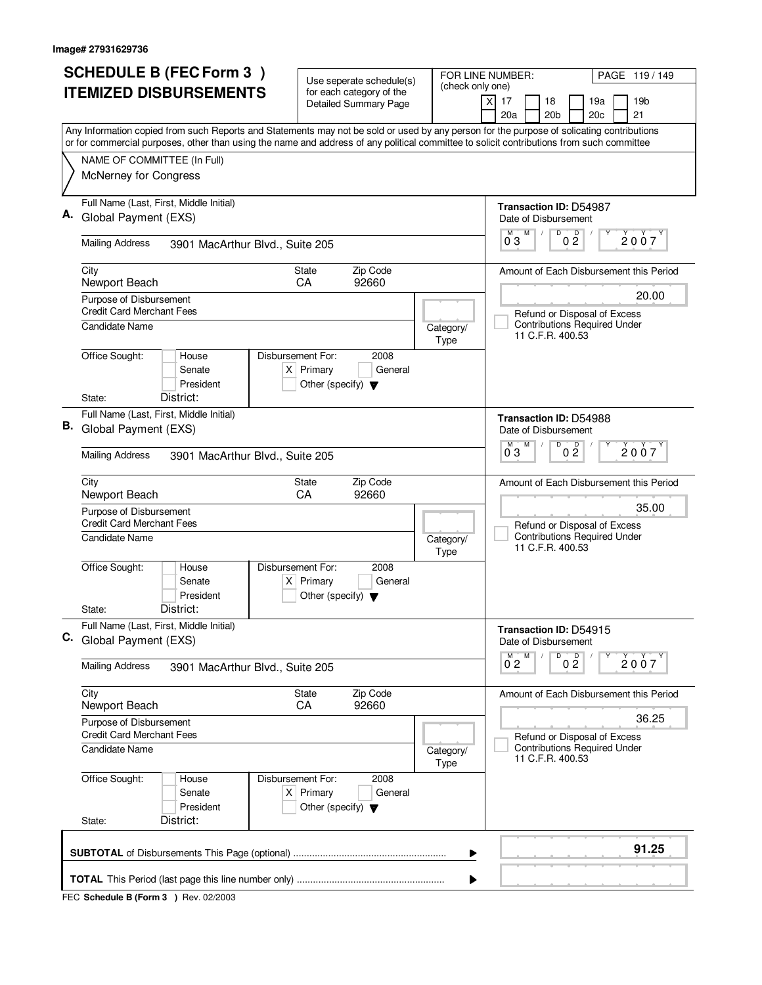|    | <b>SCHEDULE B (FEC Form 3)</b>                                                                                                            |                                                     | Use seperate schedule(s)     | FOR LINE NUMBER:  | PAGE 119/149                                                        |
|----|-------------------------------------------------------------------------------------------------------------------------------------------|-----------------------------------------------------|------------------------------|-------------------|---------------------------------------------------------------------|
|    | <b>ITEMIZED DISBURSEMENTS</b>                                                                                                             |                                                     | for each category of the     | (check only one)  | xl<br>17<br>18<br>19a<br>19 <sub>b</sub>                            |
|    |                                                                                                                                           |                                                     | <b>Detailed Summary Page</b> |                   | 20 <sub>b</sub><br>20c<br>21<br>20a                                 |
|    | Any Information copied from such Reports and Statements may not be sold or used by any person for the purpose of solicating contributions |                                                     |                              |                   |                                                                     |
|    | or for commercial purposes, other than using the name and address of any political committee to solicit contributions from such committee |                                                     |                              |                   |                                                                     |
|    | NAME OF COMMITTEE (In Full)                                                                                                               |                                                     |                              |                   |                                                                     |
|    | McNerney for Congress                                                                                                                     |                                                     |                              |                   |                                                                     |
|    | Full Name (Last, First, Middle Initial)                                                                                                   |                                                     |                              |                   | Transaction ID: D54987                                              |
|    | Global Payment (EXS)                                                                                                                      |                                                     |                              |                   | Date of Disbursement<br>D<br>M<br>M                                 |
|    | <b>Mailing Address</b><br>3901 MacArthur Blvd., Suite 205                                                                                 |                                                     |                              |                   | 0 <sup>0</sup><br>2007<br>03                                        |
|    | City<br>Newport Beach                                                                                                                     | State<br>CA                                         | Zip Code<br>92660            |                   | Amount of Each Disbursement this Period                             |
|    | Purpose of Disbursement                                                                                                                   |                                                     |                              |                   | 20.00                                                               |
|    | <b>Credit Card Merchant Fees</b>                                                                                                          |                                                     |                              |                   | Refund or Disposal of Excess<br><b>Contributions Required Under</b> |
|    | Candidate Name                                                                                                                            |                                                     |                              | Category/<br>Type | 11 C.F.R. 400.53                                                    |
|    | Office Sought:<br>House                                                                                                                   | Disbursement For:                                   | 2008                         |                   |                                                                     |
|    | Senate                                                                                                                                    | $X$ Primary                                         | General                      |                   |                                                                     |
|    | President<br>District:<br>State:                                                                                                          | Other (specify) $\blacktriangledown$                |                              |                   |                                                                     |
|    | Full Name (Last, First, Middle Initial)                                                                                                   |                                                     |                              |                   | <b>Transaction ID: D54988</b>                                       |
|    | <b>B.</b> Global Payment (EXS)                                                                                                            |                                                     |                              |                   | Date of Disbursement                                                |
|    | <b>Mailing Address</b><br>3901 MacArthur Blvd., Suite 205                                                                                 |                                                     |                              |                   | D<br>М<br>0 <sup>0</sup><br>2007<br>03                              |
|    | City                                                                                                                                      | <b>State</b><br>CA                                  | Zip Code<br>92660            |                   | Amount of Each Disbursement this Period                             |
|    | Newport Beach<br>Purpose of Disbursement                                                                                                  |                                                     |                              |                   | 35.00                                                               |
|    | <b>Credit Card Merchant Fees</b>                                                                                                          |                                                     |                              |                   | Refund or Disposal of Excess                                        |
|    | <b>Candidate Name</b>                                                                                                                     |                                                     |                              | Category/<br>Type | <b>Contributions Required Under</b><br>11 C.F.R. 400.53             |
|    | Office Sought:<br>House                                                                                                                   | Disbursement For:                                   | 2008                         |                   |                                                                     |
|    | Senate<br>President                                                                                                                       | $X$ Primary<br>Other (specify) $\blacktriangledown$ | General                      |                   |                                                                     |
|    | District:<br>State:                                                                                                                       |                                                     |                              |                   |                                                                     |
|    | Full Name (Last, First, Middle Initial)                                                                                                   |                                                     |                              |                   | Transaction ID: D54915                                              |
| C. | Global Payment (EXS)                                                                                                                      |                                                     |                              |                   | Date of Disbursement                                                |
|    | <b>Mailing Address</b><br>3901 MacArthur Blvd., Suite 205                                                                                 |                                                     |                              |                   | D<br>$0^M$ 2<br>M<br>0 <sup>0</sup><br>2007                         |
|    | City                                                                                                                                      | <b>State</b>                                        | Zip Code                     |                   | Amount of Each Disbursement this Period                             |
|    | Newport Beach                                                                                                                             | CA                                                  | 92660                        |                   | 36.25                                                               |
|    | Purpose of Disbursement<br><b>Credit Card Merchant Fees</b>                                                                               |                                                     |                              |                   | Refund or Disposal of Excess                                        |
|    | Candidate Name                                                                                                                            |                                                     |                              | Category/<br>Type | <b>Contributions Required Under</b><br>11 C.F.R. 400.53             |
|    | Office Sought:<br>House                                                                                                                   | Disbursement For:                                   | 2008                         |                   |                                                                     |
|    | Senate<br>President                                                                                                                       | $X$ Primary                                         | General                      |                   |                                                                     |
|    | District:<br>State:                                                                                                                       | Other (specify) $\blacktriangledown$                |                              |                   |                                                                     |
|    |                                                                                                                                           |                                                     |                              |                   | 91.25                                                               |
|    |                                                                                                                                           |                                                     |                              | ▶                 |                                                                     |
|    |                                                                                                                                           |                                                     |                              | ▶                 |                                                                     |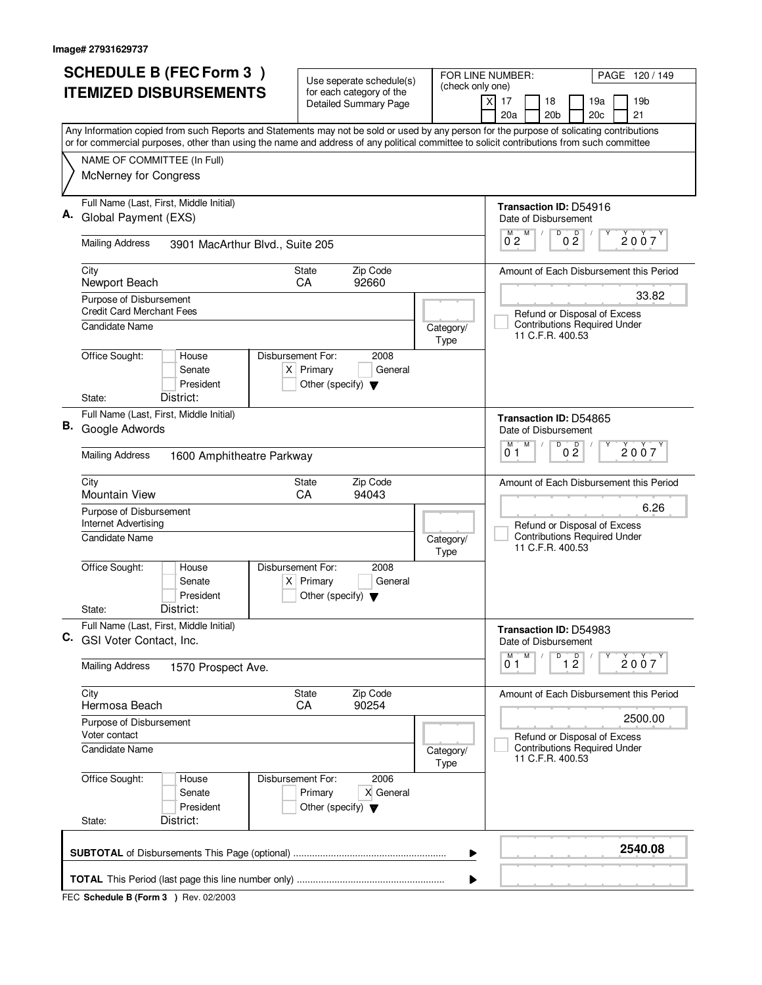| <b>SCHEDULE B (FEC Form 3)</b>                                                                                                            | Use seperate schedule(s)                                                                    | FOR LINE NUMBER:<br>PAGE 120/149                                                                                                          |  |  |
|-------------------------------------------------------------------------------------------------------------------------------------------|---------------------------------------------------------------------------------------------|-------------------------------------------------------------------------------------------------------------------------------------------|--|--|
| <b>ITEMIZED DISBURSEMENTS</b>                                                                                                             | for each category of the<br>Detailed Summary Page                                           | (check only one)<br>X<br>17<br>18<br>19a<br>19 <sub>b</sub>                                                                               |  |  |
|                                                                                                                                           |                                                                                             | 20a<br>20 <sub>b</sub><br>20c<br>21                                                                                                       |  |  |
| or for commercial purposes, other than using the name and address of any political committee to solicit contributions from such committee |                                                                                             | Any Information copied from such Reports and Statements may not be sold or used by any person for the purpose of solicating contributions |  |  |
| NAME OF COMMITTEE (In Full)                                                                                                               |                                                                                             |                                                                                                                                           |  |  |
| McNerney for Congress                                                                                                                     |                                                                                             |                                                                                                                                           |  |  |
| Full Name (Last, First, Middle Initial)                                                                                                   |                                                                                             | <b>Transaction ID: D54916</b>                                                                                                             |  |  |
| Global Payment (EXS)                                                                                                                      |                                                                                             | Date of Disbursement<br>D<br>М                                                                                                            |  |  |
| <b>Mailing Address</b><br>3901 MacArthur Blvd., Suite 205                                                                                 |                                                                                             | 0 <sup>0</sup><br>$0^{M}$ <sub>2</sub><br>2007                                                                                            |  |  |
| City<br>Newport Beach                                                                                                                     | Zip Code<br>State<br>CA<br>92660                                                            | Amount of Each Disbursement this Period                                                                                                   |  |  |
| Purpose of Disbursement                                                                                                                   |                                                                                             | 33.82                                                                                                                                     |  |  |
| <b>Credit Card Merchant Fees</b>                                                                                                          |                                                                                             | Refund or Disposal of Excess                                                                                                              |  |  |
| Candidate Name                                                                                                                            |                                                                                             | <b>Contributions Required Under</b><br>Category/<br>11 C.F.R. 400.53<br>Type                                                              |  |  |
| Office Sought:<br>House<br>Senate<br>President<br>District:                                                                               | Disbursement For:<br>2008<br>$X$ Primary<br>General<br>Other (specify) $\blacktriangledown$ |                                                                                                                                           |  |  |
| State:<br>Full Name (Last, First, Middle Initial)                                                                                         |                                                                                             |                                                                                                                                           |  |  |
| В.<br>Google Adwords                                                                                                                      |                                                                                             | Transaction ID: D54865<br>Date of Disbursement<br>$\overline{D}$<br>M<br>D<br>м<br>2007<br>0 Ž                                            |  |  |
| <b>Mailing Address</b>                                                                                                                    | 1600 Amphitheatre Parkway                                                                   |                                                                                                                                           |  |  |
| City<br><b>Mountain View</b>                                                                                                              | Zip Code<br>State<br>CA<br>94043                                                            | Amount of Each Disbursement this Period                                                                                                   |  |  |
| Purpose of Disbursement<br><b>Internet Advertising</b>                                                                                    |                                                                                             | 6.26<br>Refund or Disposal of Excess                                                                                                      |  |  |
| <b>Candidate Name</b>                                                                                                                     |                                                                                             | <b>Contributions Required Under</b><br>Category/<br>11 C.F.R. 400.53<br>Type                                                              |  |  |
| Office Sought:<br>House<br>Senate<br>President                                                                                            | Disbursement For:<br>2008<br>$X$ Primary<br>General<br>Other (specify) $\blacktriangledown$ |                                                                                                                                           |  |  |
| District:<br>State:                                                                                                                       |                                                                                             |                                                                                                                                           |  |  |
| Full Name (Last, First, Middle Initial)<br>C.<br>GSI Voter Contact, Inc.                                                                  |                                                                                             | Transaction ID: D54983<br>Date of Disbursement                                                                                            |  |  |
| <b>Mailing Address</b><br>1570 Prospect Ave.                                                                                              |                                                                                             | $\overline{12}$<br>M<br>M<br>2007<br>0 1                                                                                                  |  |  |
| City<br>Hermosa Beach                                                                                                                     | State<br>Zip Code<br>CA<br>90254                                                            | Amount of Each Disbursement this Period                                                                                                   |  |  |
| Purpose of Disbursement<br>Voter contact                                                                                                  |                                                                                             | 2500.00<br>Refund or Disposal of Excess                                                                                                   |  |  |
| <b>Candidate Name</b>                                                                                                                     |                                                                                             | <b>Contributions Required Under</b><br>Category/<br>11 C.F.R. 400.53<br>Type                                                              |  |  |
| Office Sought:<br>House<br>Senate<br>President<br>District:                                                                               | Disbursement For:<br>2006<br>X General<br>Primary<br>Other (specify) $\blacktriangledown$   |                                                                                                                                           |  |  |
| State:                                                                                                                                    |                                                                                             |                                                                                                                                           |  |  |
|                                                                                                                                           |                                                                                             | 2540.08<br>▶                                                                                                                              |  |  |
|                                                                                                                                           |                                                                                             | ▶                                                                                                                                         |  |  |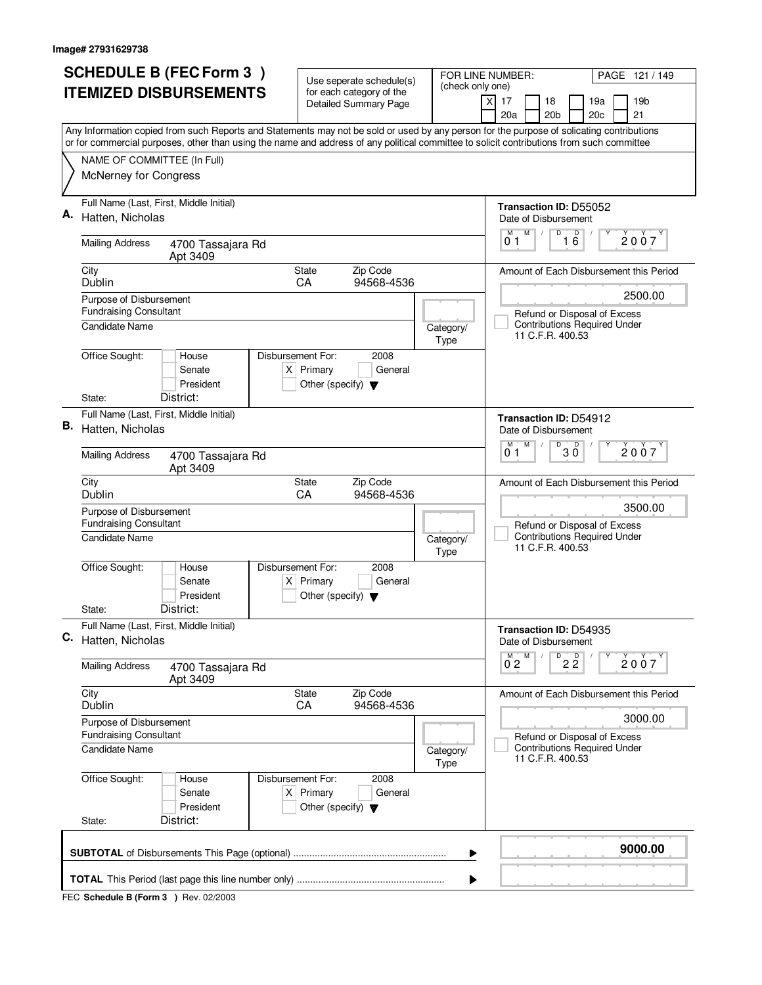|    | <b>SCHEDULE B (FEC Form 3)</b>                                                                                                                                                                                                                                                         | Use seperate schedule(s)                                                                    |                   | FOR LINE NUMBER:<br>PAGE 121 / 149                                              |  |  |  |
|----|----------------------------------------------------------------------------------------------------------------------------------------------------------------------------------------------------------------------------------------------------------------------------------------|---------------------------------------------------------------------------------------------|-------------------|---------------------------------------------------------------------------------|--|--|--|
|    | <b>ITEMIZED DISBURSEMENTS</b>                                                                                                                                                                                                                                                          | for each category of the<br><b>Detailed Summary Page</b>                                    | (check only one)  | $\times$<br>17<br>18<br>19a<br>19b                                              |  |  |  |
|    |                                                                                                                                                                                                                                                                                        |                                                                                             |                   | 20a<br>20 <sub>b</sub><br>20c<br>21                                             |  |  |  |
|    | Any Information copied from such Reports and Statements may not be sold or used by any person for the purpose of solicating contributions<br>or for commercial purposes, other than using the name and address of any political committee to solicit contributions from such committee |                                                                                             |                   |                                                                                 |  |  |  |
|    | NAME OF COMMITTEE (In Full)                                                                                                                                                                                                                                                            |                                                                                             |                   |                                                                                 |  |  |  |
|    | McNerney for Congress                                                                                                                                                                                                                                                                  |                                                                                             |                   |                                                                                 |  |  |  |
| А. | Full Name (Last, First, Middle Initial)<br>Hatten, Nicholas                                                                                                                                                                                                                            |                                                                                             |                   | Transaction ID: D55052<br>Date of Disbursement                                  |  |  |  |
|    | <b>Mailing Address</b><br>4700 Tassajara Rd<br>Apt 3409                                                                                                                                                                                                                                |                                                                                             |                   | D<br>M<br>16<br>М<br>$\dot{2}$ 0 $\dot{0}$ 7<br>01                              |  |  |  |
|    | City<br>Dublin                                                                                                                                                                                                                                                                         | Zip Code<br><b>State</b><br>94568-4536<br>CA                                                |                   | Amount of Each Disbursement this Period                                         |  |  |  |
|    | Purpose of Disbursement<br><b>Fundraising Consultant</b>                                                                                                                                                                                                                               |                                                                                             |                   | 2500.00<br>Refund or Disposal of Excess                                         |  |  |  |
|    | Candidate Name                                                                                                                                                                                                                                                                         |                                                                                             | Category/<br>Type | <b>Contributions Required Under</b><br>11 C.F.R. 400.53                         |  |  |  |
|    | Office Sought:<br>House<br>Senate<br>President<br>District:<br>State:                                                                                                                                                                                                                  | Disbursement For:<br>2008<br>$X$ Primary<br>General<br>Other (specify) $\blacktriangledown$ |                   |                                                                                 |  |  |  |
|    | Full Name (Last, First, Middle Initial)                                                                                                                                                                                                                                                |                                                                                             |                   |                                                                                 |  |  |  |
| В. | Hatten, Nicholas                                                                                                                                                                                                                                                                       |                                                                                             |                   | Transaction ID: D54912<br>Date of Disbursement<br>$\overline{D}$<br>M<br>D<br>M |  |  |  |
|    | <b>Mailing Address</b><br>4700 Tassajara Rd<br>Apt 3409                                                                                                                                                                                                                                |                                                                                             |                   | 2007<br>30<br>01                                                                |  |  |  |
|    | City<br>Dublin                                                                                                                                                                                                                                                                         | Zip Code<br><b>State</b><br>CA<br>94568-4536                                                |                   | Amount of Each Disbursement this Period                                         |  |  |  |
|    | Purpose of Disbursement<br><b>Fundraising Consultant</b>                                                                                                                                                                                                                               |                                                                                             |                   | 3500.00<br>Refund or Disposal of Excess                                         |  |  |  |
|    | Candidate Name                                                                                                                                                                                                                                                                         |                                                                                             | Category/<br>Type | <b>Contributions Required Under</b><br>11 C.F.R. 400.53                         |  |  |  |
|    | Office Sought:<br>Disbursement For:<br>House<br>Senate<br>President                                                                                                                                                                                                                    | 2008<br>$X$ Primary<br>General<br>Other (specify) $\blacktriangledown$                      |                   |                                                                                 |  |  |  |
|    | District:<br>State:<br>Full Name (Last, First, Middle Initial)                                                                                                                                                                                                                         |                                                                                             |                   |                                                                                 |  |  |  |
| С. | Hatten, Nicholas                                                                                                                                                                                                                                                                       |                                                                                             |                   | Transaction ID: D54935<br>Date of Disbursement<br>M                             |  |  |  |
|    | <b>Mailing Address</b><br>4700 Tassajara Rd<br>Apt 3409                                                                                                                                                                                                                                |                                                                                             |                   | $\overline{2\,2}$<br>$0^{\text{M}}$ 2<br>2007                                   |  |  |  |
|    | City<br>Dublin                                                                                                                                                                                                                                                                         | State<br>Zip Code<br>CA<br>94568-4536                                                       |                   | Amount of Each Disbursement this Period                                         |  |  |  |
|    | Purpose of Disbursement<br><b>Fundraising Consultant</b>                                                                                                                                                                                                                               |                                                                                             |                   | 3000.00<br>Refund or Disposal of Excess                                         |  |  |  |
|    | Candidate Name                                                                                                                                                                                                                                                                         |                                                                                             | Category/<br>Type | <b>Contributions Required Under</b><br>11 C.F.R. 400.53                         |  |  |  |
|    | Office Sought:<br>House<br>Senate<br>President<br>District:<br>State:                                                                                                                                                                                                                  | Disbursement For:<br>2008<br>$X$ Primary<br>General<br>Other (specify) $\blacktriangledown$ |                   |                                                                                 |  |  |  |
|    |                                                                                                                                                                                                                                                                                        |                                                                                             |                   |                                                                                 |  |  |  |
|    | 9000.00<br>▶                                                                                                                                                                                                                                                                           |                                                                                             |                   |                                                                                 |  |  |  |
|    | ▶                                                                                                                                                                                                                                                                                      |                                                                                             |                   |                                                                                 |  |  |  |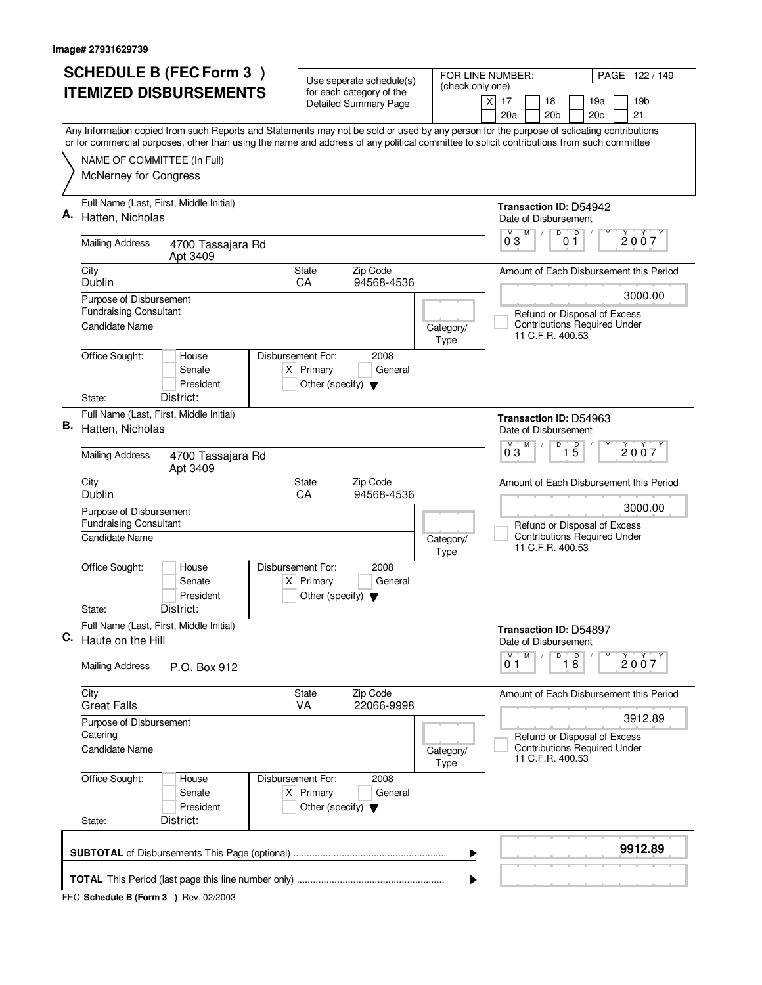| (check only one)<br><b>ITEMIZED DISBURSEMENTS</b><br>for each category of the<br>17<br>18<br>19a<br>X<br><b>Detailed Summary Page</b><br>20a<br>20 <sub>b</sub><br>20c<br>Any Information copied from such Reports and Statements may not be sold or used by any person for the purpose of solicating contributions<br>or for commercial purposes, other than using the name and address of any political committee to solicit contributions from such committee<br>NAME OF COMMITTEE (In Full)<br>McNerney for Congress<br>Full Name (Last, First, Middle Initial)<br>Transaction ID: D54942<br>Hatten, Nicholas<br>Date of Disbursement<br>D<br>M<br>D<br>м<br>$0^{\degree}3$<br>01<br><b>Mailing Address</b><br>4700 Tassajara Rd<br>Apt 3409<br>City<br>Zip Code<br><b>State</b><br>Amount of Each Disbursement this Period<br>Dublin<br>94568-4536<br>CA<br>Purpose of Disbursement<br><b>Fundraising Consultant</b><br>Refund or Disposal of Excess<br><b>Contributions Required Under</b><br>Candidate Name<br>Category/<br>11 C.F.R. 400.53<br>Type<br>Office Sought:<br>Disbursement For:<br>House<br>2008<br>$X$ Primary<br>Senate<br>General<br>President<br>Other (specify) $\blacktriangledown$<br>District:<br>State:<br>Full Name (Last, First, Middle Initial)<br><b>Transaction ID: D54963</b><br>Hatten, Nicholas<br>Date of Disbursement<br>$\overline{D}$<br>M<br>D<br>$1\overline{5}$<br>0 <sub>3</sub><br><b>Mailing Address</b><br>4700 Tassajara Rd<br>Apt 3409<br>City<br>Zip Code<br><b>State</b><br>Amount of Each Disbursement this Period<br>Dublin<br>CA<br>94568-4536<br>Purpose of Disbursement<br><b>Fundraising Consultant</b><br>Refund or Disposal of Excess<br><b>Contributions Required Under</b><br>Candidate Name<br>Category/<br>11 C.F.R. 400.53<br>Type<br>Office Sought:<br>Disbursement For:<br>House<br>2008<br>$X$ Primary<br>Senate<br>General<br>President<br>Other (specify) $\blacktriangledown$<br>District:<br>State:<br>Full Name (Last, First, Middle Initial)<br>Transaction ID: D54897<br>Haute on the Hill<br>Date of Disbursement<br>D<br>M<br>$\overline{18}$<br>М<br>01<br><b>Mailing Address</b><br>P.O. Box 912<br>City<br>State<br>Zip Code<br>Amount of Each Disbursement this Period<br><b>Great Falls</b><br><b>VA</b><br>22066-9998<br>Purpose of Disbursement<br>Catering<br>Refund or Disposal of Excess<br><b>Contributions Required Under</b><br><b>Candidate Name</b><br>Category/<br>11 C.F.R. 400.53<br>Type<br>Office Sought:<br>Disbursement For:<br>2008<br>House<br>$X$ Primary<br>Senate<br>General | PAGE 122/149    |
|-------------------------------------------------------------------------------------------------------------------------------------------------------------------------------------------------------------------------------------------------------------------------------------------------------------------------------------------------------------------------------------------------------------------------------------------------------------------------------------------------------------------------------------------------------------------------------------------------------------------------------------------------------------------------------------------------------------------------------------------------------------------------------------------------------------------------------------------------------------------------------------------------------------------------------------------------------------------------------------------------------------------------------------------------------------------------------------------------------------------------------------------------------------------------------------------------------------------------------------------------------------------------------------------------------------------------------------------------------------------------------------------------------------------------------------------------------------------------------------------------------------------------------------------------------------------------------------------------------------------------------------------------------------------------------------------------------------------------------------------------------------------------------------------------------------------------------------------------------------------------------------------------------------------------------------------------------------------------------------------------------------------------------------------------------------------------------------------------------------------------------------------------------------------------------------------------------------------------------------------------------------------------------------------------------------------------------------------------------------------------------------------------------------------------------------------------------------------------------------------------------------------------------------------------------------------------------------|-----------------|
|                                                                                                                                                                                                                                                                                                                                                                                                                                                                                                                                                                                                                                                                                                                                                                                                                                                                                                                                                                                                                                                                                                                                                                                                                                                                                                                                                                                                                                                                                                                                                                                                                                                                                                                                                                                                                                                                                                                                                                                                                                                                                                                                                                                                                                                                                                                                                                                                                                                                                                                                                                                     | 19 <sub>b</sub> |
| С.                                                                                                                                                                                                                                                                                                                                                                                                                                                                                                                                                                                                                                                                                                                                                                                                                                                                                                                                                                                                                                                                                                                                                                                                                                                                                                                                                                                                                                                                                                                                                                                                                                                                                                                                                                                                                                                                                                                                                                                                                                                                                                                                                                                                                                                                                                                                                                                                                                                                                                                                                                                  | 21              |
| Α.<br>В.                                                                                                                                                                                                                                                                                                                                                                                                                                                                                                                                                                                                                                                                                                                                                                                                                                                                                                                                                                                                                                                                                                                                                                                                                                                                                                                                                                                                                                                                                                                                                                                                                                                                                                                                                                                                                                                                                                                                                                                                                                                                                                                                                                                                                                                                                                                                                                                                                                                                                                                                                                            |                 |
|                                                                                                                                                                                                                                                                                                                                                                                                                                                                                                                                                                                                                                                                                                                                                                                                                                                                                                                                                                                                                                                                                                                                                                                                                                                                                                                                                                                                                                                                                                                                                                                                                                                                                                                                                                                                                                                                                                                                                                                                                                                                                                                                                                                                                                                                                                                                                                                                                                                                                                                                                                                     |                 |
|                                                                                                                                                                                                                                                                                                                                                                                                                                                                                                                                                                                                                                                                                                                                                                                                                                                                                                                                                                                                                                                                                                                                                                                                                                                                                                                                                                                                                                                                                                                                                                                                                                                                                                                                                                                                                                                                                                                                                                                                                                                                                                                                                                                                                                                                                                                                                                                                                                                                                                                                                                                     |                 |
|                                                                                                                                                                                                                                                                                                                                                                                                                                                                                                                                                                                                                                                                                                                                                                                                                                                                                                                                                                                                                                                                                                                                                                                                                                                                                                                                                                                                                                                                                                                                                                                                                                                                                                                                                                                                                                                                                                                                                                                                                                                                                                                                                                                                                                                                                                                                                                                                                                                                                                                                                                                     |                 |
|                                                                                                                                                                                                                                                                                                                                                                                                                                                                                                                                                                                                                                                                                                                                                                                                                                                                                                                                                                                                                                                                                                                                                                                                                                                                                                                                                                                                                                                                                                                                                                                                                                                                                                                                                                                                                                                                                                                                                                                                                                                                                                                                                                                                                                                                                                                                                                                                                                                                                                                                                                                     | 2007            |
|                                                                                                                                                                                                                                                                                                                                                                                                                                                                                                                                                                                                                                                                                                                                                                                                                                                                                                                                                                                                                                                                                                                                                                                                                                                                                                                                                                                                                                                                                                                                                                                                                                                                                                                                                                                                                                                                                                                                                                                                                                                                                                                                                                                                                                                                                                                                                                                                                                                                                                                                                                                     |                 |
|                                                                                                                                                                                                                                                                                                                                                                                                                                                                                                                                                                                                                                                                                                                                                                                                                                                                                                                                                                                                                                                                                                                                                                                                                                                                                                                                                                                                                                                                                                                                                                                                                                                                                                                                                                                                                                                                                                                                                                                                                                                                                                                                                                                                                                                                                                                                                                                                                                                                                                                                                                                     | 3000.00         |
|                                                                                                                                                                                                                                                                                                                                                                                                                                                                                                                                                                                                                                                                                                                                                                                                                                                                                                                                                                                                                                                                                                                                                                                                                                                                                                                                                                                                                                                                                                                                                                                                                                                                                                                                                                                                                                                                                                                                                                                                                                                                                                                                                                                                                                                                                                                                                                                                                                                                                                                                                                                     |                 |
|                                                                                                                                                                                                                                                                                                                                                                                                                                                                                                                                                                                                                                                                                                                                                                                                                                                                                                                                                                                                                                                                                                                                                                                                                                                                                                                                                                                                                                                                                                                                                                                                                                                                                                                                                                                                                                                                                                                                                                                                                                                                                                                                                                                                                                                                                                                                                                                                                                                                                                                                                                                     |                 |
|                                                                                                                                                                                                                                                                                                                                                                                                                                                                                                                                                                                                                                                                                                                                                                                                                                                                                                                                                                                                                                                                                                                                                                                                                                                                                                                                                                                                                                                                                                                                                                                                                                                                                                                                                                                                                                                                                                                                                                                                                                                                                                                                                                                                                                                                                                                                                                                                                                                                                                                                                                                     |                 |
|                                                                                                                                                                                                                                                                                                                                                                                                                                                                                                                                                                                                                                                                                                                                                                                                                                                                                                                                                                                                                                                                                                                                                                                                                                                                                                                                                                                                                                                                                                                                                                                                                                                                                                                                                                                                                                                                                                                                                                                                                                                                                                                                                                                                                                                                                                                                                                                                                                                                                                                                                                                     |                 |
|                                                                                                                                                                                                                                                                                                                                                                                                                                                                                                                                                                                                                                                                                                                                                                                                                                                                                                                                                                                                                                                                                                                                                                                                                                                                                                                                                                                                                                                                                                                                                                                                                                                                                                                                                                                                                                                                                                                                                                                                                                                                                                                                                                                                                                                                                                                                                                                                                                                                                                                                                                                     | 2007            |
|                                                                                                                                                                                                                                                                                                                                                                                                                                                                                                                                                                                                                                                                                                                                                                                                                                                                                                                                                                                                                                                                                                                                                                                                                                                                                                                                                                                                                                                                                                                                                                                                                                                                                                                                                                                                                                                                                                                                                                                                                                                                                                                                                                                                                                                                                                                                                                                                                                                                                                                                                                                     | 3000.00         |
|                                                                                                                                                                                                                                                                                                                                                                                                                                                                                                                                                                                                                                                                                                                                                                                                                                                                                                                                                                                                                                                                                                                                                                                                                                                                                                                                                                                                                                                                                                                                                                                                                                                                                                                                                                                                                                                                                                                                                                                                                                                                                                                                                                                                                                                                                                                                                                                                                                                                                                                                                                                     |                 |
|                                                                                                                                                                                                                                                                                                                                                                                                                                                                                                                                                                                                                                                                                                                                                                                                                                                                                                                                                                                                                                                                                                                                                                                                                                                                                                                                                                                                                                                                                                                                                                                                                                                                                                                                                                                                                                                                                                                                                                                                                                                                                                                                                                                                                                                                                                                                                                                                                                                                                                                                                                                     |                 |
|                                                                                                                                                                                                                                                                                                                                                                                                                                                                                                                                                                                                                                                                                                                                                                                                                                                                                                                                                                                                                                                                                                                                                                                                                                                                                                                                                                                                                                                                                                                                                                                                                                                                                                                                                                                                                                                                                                                                                                                                                                                                                                                                                                                                                                                                                                                                                                                                                                                                                                                                                                                     |                 |
|                                                                                                                                                                                                                                                                                                                                                                                                                                                                                                                                                                                                                                                                                                                                                                                                                                                                                                                                                                                                                                                                                                                                                                                                                                                                                                                                                                                                                                                                                                                                                                                                                                                                                                                                                                                                                                                                                                                                                                                                                                                                                                                                                                                                                                                                                                                                                                                                                                                                                                                                                                                     |                 |
|                                                                                                                                                                                                                                                                                                                                                                                                                                                                                                                                                                                                                                                                                                                                                                                                                                                                                                                                                                                                                                                                                                                                                                                                                                                                                                                                                                                                                                                                                                                                                                                                                                                                                                                                                                                                                                                                                                                                                                                                                                                                                                                                                                                                                                                                                                                                                                                                                                                                                                                                                                                     |                 |
|                                                                                                                                                                                                                                                                                                                                                                                                                                                                                                                                                                                                                                                                                                                                                                                                                                                                                                                                                                                                                                                                                                                                                                                                                                                                                                                                                                                                                                                                                                                                                                                                                                                                                                                                                                                                                                                                                                                                                                                                                                                                                                                                                                                                                                                                                                                                                                                                                                                                                                                                                                                     | 2007            |
|                                                                                                                                                                                                                                                                                                                                                                                                                                                                                                                                                                                                                                                                                                                                                                                                                                                                                                                                                                                                                                                                                                                                                                                                                                                                                                                                                                                                                                                                                                                                                                                                                                                                                                                                                                                                                                                                                                                                                                                                                                                                                                                                                                                                                                                                                                                                                                                                                                                                                                                                                                                     |                 |
|                                                                                                                                                                                                                                                                                                                                                                                                                                                                                                                                                                                                                                                                                                                                                                                                                                                                                                                                                                                                                                                                                                                                                                                                                                                                                                                                                                                                                                                                                                                                                                                                                                                                                                                                                                                                                                                                                                                                                                                                                                                                                                                                                                                                                                                                                                                                                                                                                                                                                                                                                                                     | 3912.89         |
|                                                                                                                                                                                                                                                                                                                                                                                                                                                                                                                                                                                                                                                                                                                                                                                                                                                                                                                                                                                                                                                                                                                                                                                                                                                                                                                                                                                                                                                                                                                                                                                                                                                                                                                                                                                                                                                                                                                                                                                                                                                                                                                                                                                                                                                                                                                                                                                                                                                                                                                                                                                     |                 |
| President<br>Other (specify) $\blacktriangledown$<br>District:<br>State:                                                                                                                                                                                                                                                                                                                                                                                                                                                                                                                                                                                                                                                                                                                                                                                                                                                                                                                                                                                                                                                                                                                                                                                                                                                                                                                                                                                                                                                                                                                                                                                                                                                                                                                                                                                                                                                                                                                                                                                                                                                                                                                                                                                                                                                                                                                                                                                                                                                                                                            |                 |
|                                                                                                                                                                                                                                                                                                                                                                                                                                                                                                                                                                                                                                                                                                                                                                                                                                                                                                                                                                                                                                                                                                                                                                                                                                                                                                                                                                                                                                                                                                                                                                                                                                                                                                                                                                                                                                                                                                                                                                                                                                                                                                                                                                                                                                                                                                                                                                                                                                                                                                                                                                                     |                 |
| ▶                                                                                                                                                                                                                                                                                                                                                                                                                                                                                                                                                                                                                                                                                                                                                                                                                                                                                                                                                                                                                                                                                                                                                                                                                                                                                                                                                                                                                                                                                                                                                                                                                                                                                                                                                                                                                                                                                                                                                                                                                                                                                                                                                                                                                                                                                                                                                                                                                                                                                                                                                                                   | 9912.89         |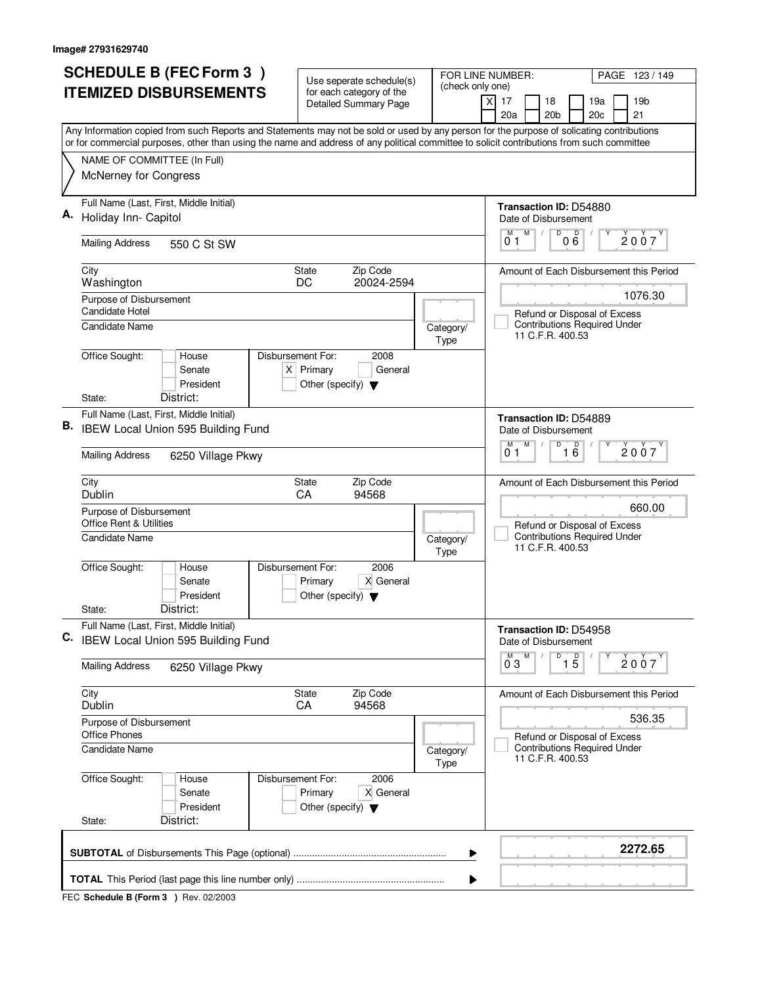|    | <b>SCHEDULE B (FEC Form 3)</b>                                                                                                                                                                                                                                                         | Use seperate schedule(s)                                                                    |                          | FOR LINE NUMBER:<br>PAGE 123 / 149                                                    |
|----|----------------------------------------------------------------------------------------------------------------------------------------------------------------------------------------------------------------------------------------------------------------------------------------|---------------------------------------------------------------------------------------------|--------------------------|---------------------------------------------------------------------------------------|
|    | <b>ITEMIZED DISBURSEMENTS</b>                                                                                                                                                                                                                                                          | for each category of the<br><b>Detailed Summary Page</b>                                    | (check only one)         | 19 <sub>b</sub><br>$\times$<br>17<br>18<br>19a<br>20a<br>20 <sub>b</sub><br>21<br>20c |
|    | Any Information copied from such Reports and Statements may not be sold or used by any person for the purpose of solicating contributions<br>or for commercial purposes, other than using the name and address of any political committee to solicit contributions from such committee |                                                                                             |                          |                                                                                       |
|    | NAME OF COMMITTEE (In Full)                                                                                                                                                                                                                                                            |                                                                                             |                          |                                                                                       |
|    | McNerney for Congress                                                                                                                                                                                                                                                                  |                                                                                             |                          |                                                                                       |
| Α. | Full Name (Last, First, Middle Initial)                                                                                                                                                                                                                                                |                                                                                             |                          | Transaction ID: D54880                                                                |
|    | Holiday Inn- Capitol                                                                                                                                                                                                                                                                   |                                                                                             |                          | Date of Disbursement<br>M<br>D<br>M                                                   |
|    | <b>Mailing Address</b><br>550 C St SW                                                                                                                                                                                                                                                  |                                                                                             |                          | $0\overset{D}{6}$<br>2007<br>0 <sub>1</sub>                                           |
|    | City<br>Washington                                                                                                                                                                                                                                                                     | Zip Code<br><b>State</b><br>20024-2594<br>DC                                                |                          | Amount of Each Disbursement this Period                                               |
|    | Purpose of Disbursement                                                                                                                                                                                                                                                                |                                                                                             |                          | 1076.30                                                                               |
|    | Candidate Hotel<br>Candidate Name                                                                                                                                                                                                                                                      |                                                                                             |                          | Refund or Disposal of Excess<br><b>Contributions Required Under</b>                   |
|    |                                                                                                                                                                                                                                                                                        |                                                                                             | Category/<br><b>Type</b> | 11 C.F.R. 400.53                                                                      |
|    | Office Sought:<br>House<br>Senate<br>President                                                                                                                                                                                                                                         | Disbursement For:<br>2008<br>$X$ Primary<br>General<br>Other (specify) $\blacktriangledown$ |                          |                                                                                       |
|    | District:<br>State:                                                                                                                                                                                                                                                                    |                                                                                             |                          |                                                                                       |
| В. | Full Name (Last, First, Middle Initial)<br>IBEW Local Union 595 Building Fund                                                                                                                                                                                                          |                                                                                             |                          | <b>Transaction ID: D54889</b><br>Date of Disbursement                                 |
|    | <b>Mailing Address</b><br>6250 Village Pkwy                                                                                                                                                                                                                                            |                                                                                             |                          | $\overline{D}$<br>M<br>$\overline{16}$<br>M<br>2007<br>01                             |
|    | City<br>Dublin                                                                                                                                                                                                                                                                         | Zip Code<br><b>State</b><br>94568<br>CA                                                     |                          | Amount of Each Disbursement this Period                                               |
|    | Purpose of Disbursement<br><b>Office Rent &amp; Utilities</b>                                                                                                                                                                                                                          |                                                                                             |                          | 660.00<br>Refund or Disposal of Excess                                                |
|    | <b>Candidate Name</b>                                                                                                                                                                                                                                                                  |                                                                                             | Category/<br><b>Type</b> | <b>Contributions Required Under</b><br>11 C.F.R. 400.53                               |
|    | Office Sought:<br>House<br>Senate<br>President                                                                                                                                                                                                                                         | Disbursement For:<br>2006<br>X General<br>Primary<br>Other (specify) $\blacktriangledown$   |                          |                                                                                       |
|    | District:<br>State:                                                                                                                                                                                                                                                                    |                                                                                             |                          |                                                                                       |
| C. | Full Name (Last, First, Middle Initial)<br>IBEW Local Union 595 Building Fund                                                                                                                                                                                                          |                                                                                             |                          | Transaction ID: D54958<br>Date of Disbursement                                        |
|    | <b>Mailing Address</b><br>6250 Village Pkwy                                                                                                                                                                                                                                            |                                                                                             |                          | D<br>M<br>$\overline{1\,5}$<br>$0^{\circ}3$<br>2007                                   |
|    | City<br>Dublin                                                                                                                                                                                                                                                                         | State<br>Zip Code<br>CA<br>94568                                                            |                          | Amount of Each Disbursement this Period                                               |
|    | Purpose of Disbursement<br><b>Office Phones</b>                                                                                                                                                                                                                                        |                                                                                             |                          | 536.35<br>Refund or Disposal of Excess                                                |
|    | Candidate Name                                                                                                                                                                                                                                                                         |                                                                                             | Category/<br><b>Type</b> | <b>Contributions Required Under</b><br>11 C.F.R. 400.53                               |
|    | Office Sought:<br>House<br>Senate<br>President<br>District:<br>State:                                                                                                                                                                                                                  | Disbursement For:<br>2006<br>X General<br>Primary<br>Other (specify) $\blacktriangledown$   |                          |                                                                                       |
|    |                                                                                                                                                                                                                                                                                        |                                                                                             |                          | 2272.65                                                                               |
|    |                                                                                                                                                                                                                                                                                        |                                                                                             | ▶                        |                                                                                       |
|    |                                                                                                                                                                                                                                                                                        |                                                                                             |                          |                                                                                       |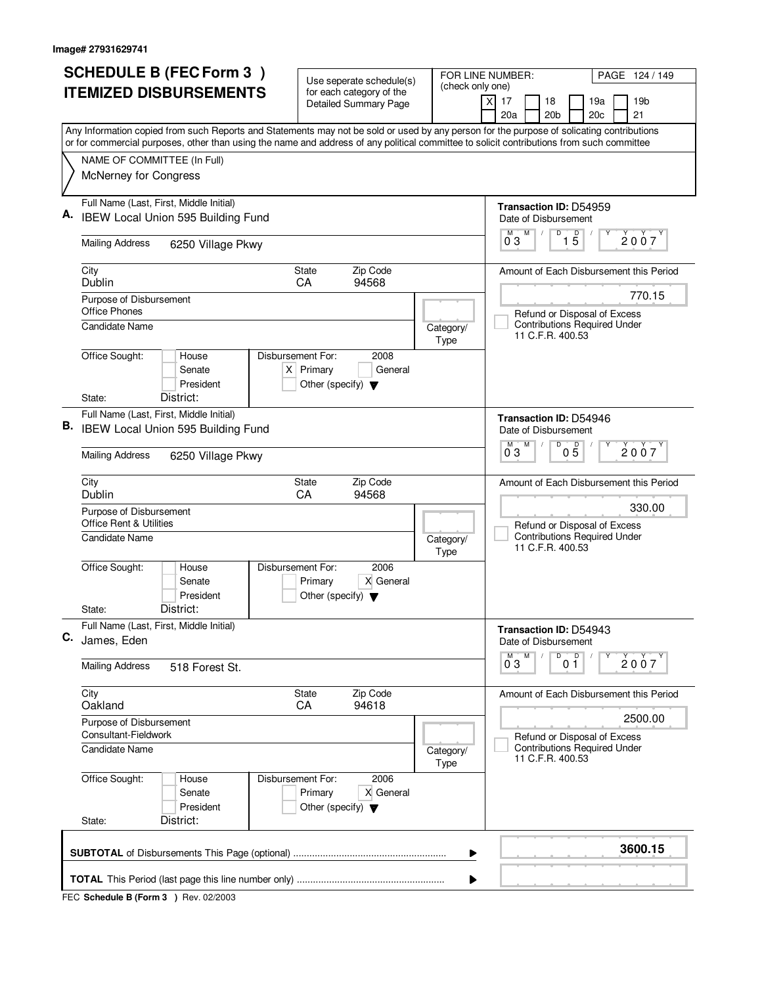|    | <b>SCHEDULE B (FEC Form 3)</b>                                                                                                                                                                                                                                                         | Use seperate schedule(s)                                                                    |                   | FOR LINE NUMBER:<br>PAGE 124 / 149                      |  |  |  |
|----|----------------------------------------------------------------------------------------------------------------------------------------------------------------------------------------------------------------------------------------------------------------------------------------|---------------------------------------------------------------------------------------------|-------------------|---------------------------------------------------------|--|--|--|
|    | <b>ITEMIZED DISBURSEMENTS</b>                                                                                                                                                                                                                                                          | for each category of the<br><b>Detailed Summary Page</b>                                    | (check only one)  | $\times$<br>17<br>18<br>19a<br>19 <sub>b</sub>          |  |  |  |
|    |                                                                                                                                                                                                                                                                                        |                                                                                             |                   | 20 <sub>b</sub><br>20c<br>21<br>20a                     |  |  |  |
|    | Any Information copied from such Reports and Statements may not be sold or used by any person for the purpose of solicating contributions<br>or for commercial purposes, other than using the name and address of any political committee to solicit contributions from such committee |                                                                                             |                   |                                                         |  |  |  |
|    | NAME OF COMMITTEE (In Full)                                                                                                                                                                                                                                                            |                                                                                             |                   |                                                         |  |  |  |
|    | McNerney for Congress                                                                                                                                                                                                                                                                  |                                                                                             |                   |                                                         |  |  |  |
|    | Full Name (Last, First, Middle Initial)                                                                                                                                                                                                                                                |                                                                                             |                   | <b>Transaction ID: D54959</b>                           |  |  |  |
| Α. | IBEW Local Union 595 Building Fund                                                                                                                                                                                                                                                     |                                                                                             |                   | Date of Disbursement<br>D<br>M                          |  |  |  |
|    | <b>Mailing Address</b><br>6250 Village Pkwy                                                                                                                                                                                                                                            |                                                                                             |                   | $1\overline{5}$<br>2007<br>03                           |  |  |  |
|    | City<br>Dublin                                                                                                                                                                                                                                                                         | Zip Code<br><b>State</b><br>94568<br>CA                                                     |                   | Amount of Each Disbursement this Period                 |  |  |  |
|    | Purpose of Disbursement<br>Office Phones                                                                                                                                                                                                                                               |                                                                                             |                   | 770.15<br>Refund or Disposal of Excess                  |  |  |  |
|    | Candidate Name                                                                                                                                                                                                                                                                         |                                                                                             | Category/<br>Type | <b>Contributions Required Under</b><br>11 C.F.R. 400.53 |  |  |  |
|    | Office Sought:<br>House<br>Senate<br>President                                                                                                                                                                                                                                         | Disbursement For:<br>2008<br>$X$ Primary<br>General<br>Other (specify) $\blacktriangledown$ |                   |                                                         |  |  |  |
|    | District:<br>State:<br>Full Name (Last, First, Middle Initial)                                                                                                                                                                                                                         |                                                                                             |                   |                                                         |  |  |  |
| В. | IBEW Local Union 595 Building Fund                                                                                                                                                                                                                                                     |                                                                                             |                   | <b>Transaction ID: D54946</b><br>Date of Disbursement   |  |  |  |
|    | <b>Mailing Address</b><br>6250 Village Pkwy                                                                                                                                                                                                                                            |                                                                                             |                   | D<br>M<br>М<br>$0\overline{5}$<br>2007<br>03            |  |  |  |
|    | City<br>Dublin                                                                                                                                                                                                                                                                         | Zip Code<br><b>State</b><br>CA<br>94568                                                     |                   | Amount of Each Disbursement this Period                 |  |  |  |
|    | Purpose of Disbursement<br><b>Office Rent &amp; Utilities</b>                                                                                                                                                                                                                          |                                                                                             |                   | 330.00<br>Refund or Disposal of Excess                  |  |  |  |
|    | <b>Candidate Name</b>                                                                                                                                                                                                                                                                  |                                                                                             | Category/<br>Type | <b>Contributions Required Under</b><br>11 C.F.R. 400.53 |  |  |  |
|    | Office Sought:<br>House<br>Senate<br>President                                                                                                                                                                                                                                         | Disbursement For:<br>2006<br>X General<br>Primary<br>Other (specify) $\blacktriangledown$   |                   |                                                         |  |  |  |
|    | District:<br>State:                                                                                                                                                                                                                                                                    |                                                                                             |                   |                                                         |  |  |  |
| C. | Full Name (Last, First, Middle Initial)<br>James, Eden                                                                                                                                                                                                                                 |                                                                                             |                   | Transaction ID: D54943<br>Date of Disbursement          |  |  |  |
|    | <b>Mailing Address</b><br>518 Forest St.                                                                                                                                                                                                                                               |                                                                                             |                   | D<br>M<br>0 <sup>0</sup><br>$0^{\overline{0}}3$<br>2007 |  |  |  |
|    | City<br>Oakland                                                                                                                                                                                                                                                                        | Zip Code<br>State<br>94618<br>CA                                                            |                   | Amount of Each Disbursement this Period                 |  |  |  |
|    | Purpose of Disbursement<br>Consultant-Fieldwork                                                                                                                                                                                                                                        |                                                                                             |                   | 2500.00<br>Refund or Disposal of Excess                 |  |  |  |
|    | Candidate Name                                                                                                                                                                                                                                                                         |                                                                                             | Category/<br>Type | <b>Contributions Required Under</b><br>11 C.F.R. 400.53 |  |  |  |
|    | Office Sought:<br>House<br>Senate<br>President                                                                                                                                                                                                                                         | Disbursement For:<br>2006<br>X General<br>Primary<br>Other (specify) $\blacktriangledown$   |                   |                                                         |  |  |  |
|    | District:<br>State:                                                                                                                                                                                                                                                                    |                                                                                             |                   |                                                         |  |  |  |
|    |                                                                                                                                                                                                                                                                                        |                                                                                             | ▶                 | 3600.15                                                 |  |  |  |
|    | ▶                                                                                                                                                                                                                                                                                      |                                                                                             |                   |                                                         |  |  |  |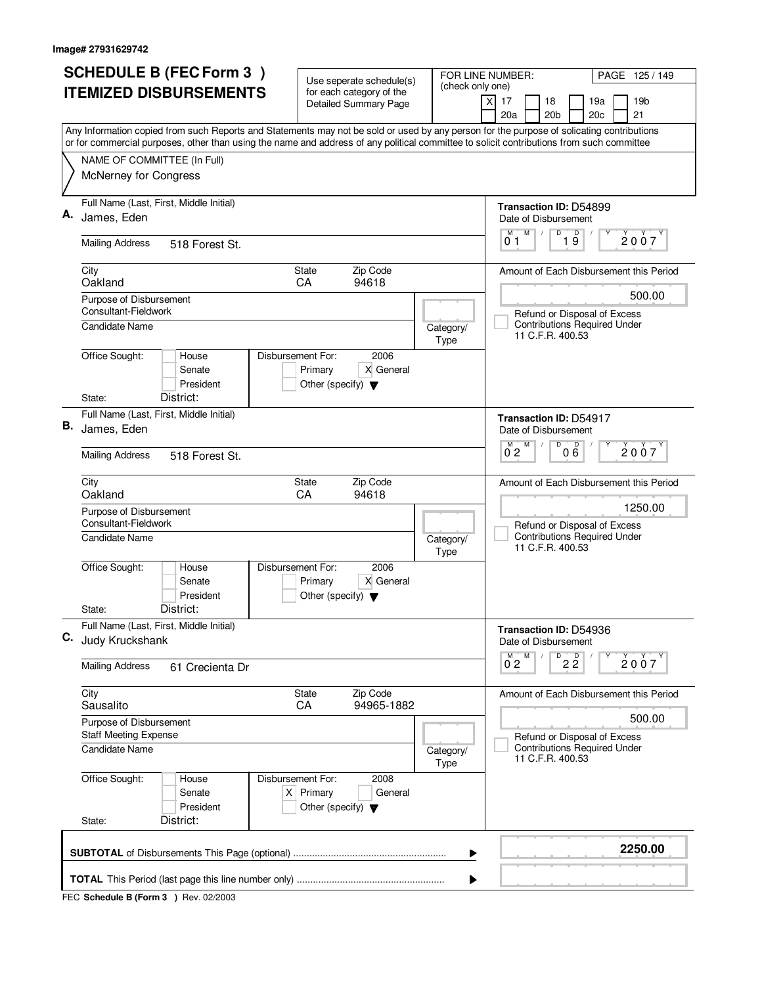|    | <b>SCHEDULE B (FEC Form 3)</b>                                                                                                                                                                                                                                                         | Use seperate schedule(s)                                                                    |                   | FOR LINE NUMBER:<br>PAGE 125/149                                               |  |  |  |
|----|----------------------------------------------------------------------------------------------------------------------------------------------------------------------------------------------------------------------------------------------------------------------------------------|---------------------------------------------------------------------------------------------|-------------------|--------------------------------------------------------------------------------|--|--|--|
|    | <b>ITEMIZED DISBURSEMENTS</b>                                                                                                                                                                                                                                                          | for each category of the<br><b>Detailed Summary Page</b>                                    | (check only one)  | 17<br>18<br>19a<br>19 <sub>b</sub><br>X<br>20a<br>20 <sub>b</sub><br>20c<br>21 |  |  |  |
|    | Any Information copied from such Reports and Statements may not be sold or used by any person for the purpose of solicating contributions<br>or for commercial purposes, other than using the name and address of any political committee to solicit contributions from such committee |                                                                                             |                   |                                                                                |  |  |  |
|    | NAME OF COMMITTEE (In Full)                                                                                                                                                                                                                                                            |                                                                                             |                   |                                                                                |  |  |  |
|    | McNerney for Congress                                                                                                                                                                                                                                                                  |                                                                                             |                   |                                                                                |  |  |  |
|    | Full Name (Last, First, Middle Initial)<br>James, Eden                                                                                                                                                                                                                                 |                                                                                             |                   | Transaction ID: D54899<br>Date of Disbursement                                 |  |  |  |
|    | <b>Mailing Address</b><br>518 Forest St.                                                                                                                                                                                                                                               |                                                                                             |                   | M<br>D<br>19<br>M<br>2007<br>01                                                |  |  |  |
|    | City<br>Oakland                                                                                                                                                                                                                                                                        | <b>State</b><br>Zip Code<br>CA<br>94618                                                     |                   | Amount of Each Disbursement this Period                                        |  |  |  |
|    | Purpose of Disbursement<br>Consultant-Fieldwork<br>Candidate Name                                                                                                                                                                                                                      |                                                                                             |                   | 500.00<br>Refund or Disposal of Excess<br><b>Contributions Required Under</b>  |  |  |  |
|    | Office Sought:<br>House                                                                                                                                                                                                                                                                | Disbursement For:<br>2006                                                                   | Category/<br>Type | 11 C.F.R. 400.53                                                               |  |  |  |
|    | Senate<br>President                                                                                                                                                                                                                                                                    | Primary<br>X General<br>Other (specify) $\blacktriangledown$                                |                   |                                                                                |  |  |  |
|    | District:<br>State:                                                                                                                                                                                                                                                                    |                                                                                             |                   |                                                                                |  |  |  |
| В. | Full Name (Last, First, Middle Initial)<br>James, Eden                                                                                                                                                                                                                                 |                                                                                             |                   | Transaction ID: D54917<br>Date of Disbursement<br>$\overline{D}$<br>D<br>M     |  |  |  |
|    | <b>Mailing Address</b><br>518 Forest St.                                                                                                                                                                                                                                               |                                                                                             |                   | 2007<br>$0^{\degree}2$<br>06                                                   |  |  |  |
|    | City<br>Oakland                                                                                                                                                                                                                                                                        | Zip Code<br><b>State</b><br>CA<br>94618                                                     |                   | Amount of Each Disbursement this Period<br>1250.00                             |  |  |  |
|    | Purpose of Disbursement<br>Consultant-Fieldwork<br>Candidate Name                                                                                                                                                                                                                      |                                                                                             |                   | Refund or Disposal of Excess<br><b>Contributions Required Under</b>            |  |  |  |
|    |                                                                                                                                                                                                                                                                                        |                                                                                             | Category/<br>Type | 11 C.F.R. 400.53                                                               |  |  |  |
|    | Office Sought:<br>House<br>Senate<br>President                                                                                                                                                                                                                                         | Disbursement For:<br>2006<br>X General<br>Primary<br>Other (specify) $\blacktriangledown$   |                   |                                                                                |  |  |  |
|    | District:<br>State:                                                                                                                                                                                                                                                                    |                                                                                             |                   |                                                                                |  |  |  |
| C. | Full Name (Last, First, Middle Initial)<br>Judy Kruckshank                                                                                                                                                                                                                             |                                                                                             |                   | Transaction ID: D54936<br>Date of Disbursement                                 |  |  |  |
|    | <b>Mailing Address</b><br>61 Crecienta Dr                                                                                                                                                                                                                                              |                                                                                             |                   | $D$ <sub>2</sub> $\overline{2}$<br>M<br>2007<br>$0^{\degree}2$                 |  |  |  |
|    | City<br>Sausalito                                                                                                                                                                                                                                                                      | Zip Code<br>State<br>CA<br>94965-1882                                                       |                   | Amount of Each Disbursement this Period<br>500.00                              |  |  |  |
|    | Purpose of Disbursement<br><b>Staff Meeting Expense</b>                                                                                                                                                                                                                                |                                                                                             |                   | Refund or Disposal of Excess                                                   |  |  |  |
|    | <b>Candidate Name</b>                                                                                                                                                                                                                                                                  |                                                                                             | Category/<br>Type | <b>Contributions Required Under</b><br>11 C.F.R. 400.53                        |  |  |  |
|    | Office Sought:<br>House<br>Senate<br>President<br>District:<br>State:                                                                                                                                                                                                                  | 2008<br>Disbursement For:<br>$X$ Primary<br>General<br>Other (specify) $\blacktriangledown$ |                   |                                                                                |  |  |  |
|    |                                                                                                                                                                                                                                                                                        |                                                                                             |                   |                                                                                |  |  |  |
|    |                                                                                                                                                                                                                                                                                        |                                                                                             | ▶                 | 2250.00                                                                        |  |  |  |
|    |                                                                                                                                                                                                                                                                                        |                                                                                             |                   |                                                                                |  |  |  |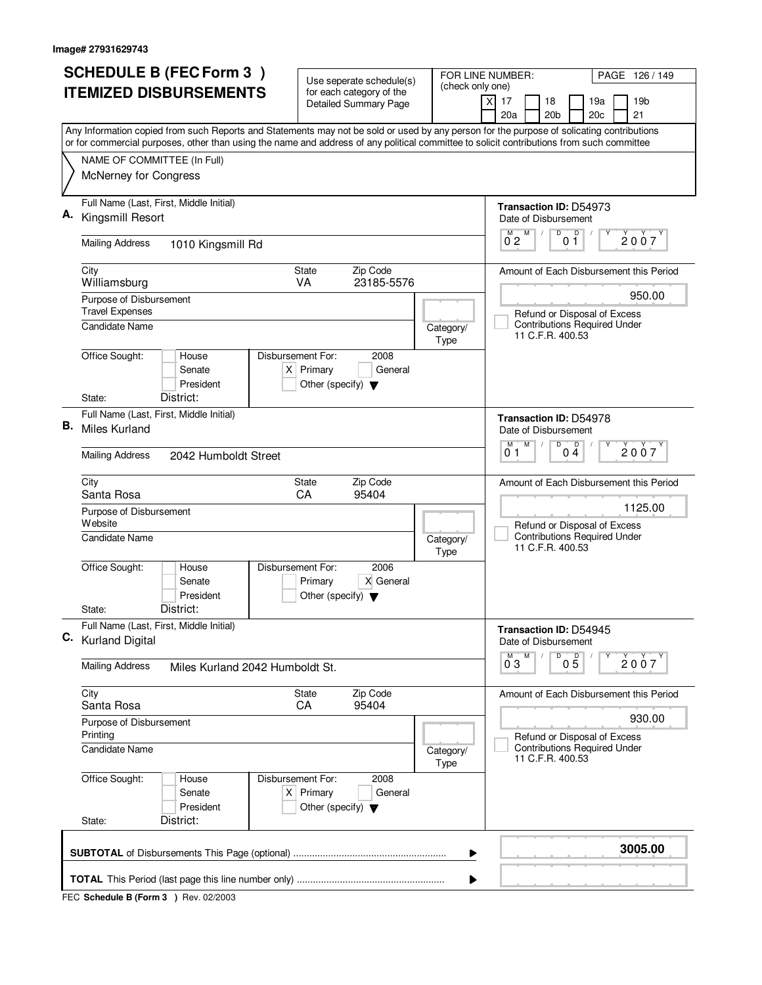| <b>SCHEDULE B (FEC Form 3)</b> |                                                                                                                                           | Use seperate schedule(s)                                               |                   | FOR LINE NUMBER:<br>PAGE 126/149                                               |  |  |
|--------------------------------|-------------------------------------------------------------------------------------------------------------------------------------------|------------------------------------------------------------------------|-------------------|--------------------------------------------------------------------------------|--|--|
|                                | <b>ITEMIZED DISBURSEMENTS</b>                                                                                                             | for each category of the<br><b>Detailed Summary Page</b>               | (check only one)  | 17<br>18<br>19a<br>19 <sub>b</sub><br>X<br>20a<br>20 <sub>b</sub><br>20c<br>21 |  |  |
|                                | Any Information copied from such Reports and Statements may not be sold or used by any person for the purpose of solicating contributions |                                                                        |                   |                                                                                |  |  |
|                                | or for commercial purposes, other than using the name and address of any political committee to solicit contributions from such committee |                                                                        |                   |                                                                                |  |  |
|                                | NAME OF COMMITTEE (In Full)<br>McNerney for Congress                                                                                      |                                                                        |                   |                                                                                |  |  |
|                                | Full Name (Last, First, Middle Initial)                                                                                                   |                                                                        |                   | Transaction ID: D54973                                                         |  |  |
|                                | Kingsmill Resort                                                                                                                          |                                                                        |                   | Date of Disbursement<br>M<br>D<br>$\overline{p}$<br>M                          |  |  |
|                                | <b>Mailing Address</b><br>1010 Kingsmill Rd                                                                                               |                                                                        |                   | 2007<br>$0^{\degree}2$<br>01                                                   |  |  |
|                                | City<br>Williamsburg                                                                                                                      | Zip Code<br>State<br>23185-5576<br>VA                                  |                   | Amount of Each Disbursement this Period                                        |  |  |
|                                | Purpose of Disbursement<br><b>Travel Expenses</b>                                                                                         |                                                                        |                   | 950.00<br>Refund or Disposal of Excess                                         |  |  |
|                                | <b>Candidate Name</b>                                                                                                                     |                                                                        | Category/<br>Type | <b>Contributions Required Under</b><br>11 C.F.R. 400.53                        |  |  |
|                                | Office Sought:<br>Disbursement For:<br>House<br>Senate<br>President<br>District:                                                          | 2008<br>$X$ Primary<br>General<br>Other (specify) $\blacktriangledown$ |                   |                                                                                |  |  |
|                                | State:<br>Full Name (Last, First, Middle Initial)                                                                                         |                                                                        |                   |                                                                                |  |  |
| В.                             | <b>Miles Kurland</b>                                                                                                                      |                                                                        |                   | <b>Transaction ID: D54978</b><br>Date of Disbursement                          |  |  |
|                                | <b>Mailing Address</b><br>2042 Humboldt Street                                                                                            |                                                                        |                   | $\overline{D}$<br>M<br>D<br>M<br>2007<br>04<br>01                              |  |  |
|                                | City<br>Santa Rosa                                                                                                                        | Zip Code<br><b>State</b><br>CA<br>95404                                |                   | Amount of Each Disbursement this Period                                        |  |  |
|                                | Purpose of Disbursement<br>Website                                                                                                        |                                                                        |                   | 1125.00<br>Refund or Disposal of Excess                                        |  |  |
|                                | <b>Candidate Name</b>                                                                                                                     |                                                                        | Category/<br>Type | <b>Contributions Required Under</b><br>11 C.F.R. 400.53                        |  |  |
|                                | Office Sought:<br>Disbursement For:<br>House<br>Senate<br>President                                                                       | 2006<br>X General<br>Primary<br>Other (specify) $\blacktriangledown$   |                   |                                                                                |  |  |
|                                | District:<br>State:                                                                                                                       |                                                                        |                   |                                                                                |  |  |
|                                | Full Name (Last, First, Middle Initial)<br>C. Kurland Digital                                                                             |                                                                        |                   | Transaction ID: D54945<br>Date of Disbursement                                 |  |  |
|                                | <b>Mailing Address</b><br>Miles Kurland 2042 Humboldt St.                                                                                 |                                                                        |                   | D<br>M<br>05<br>2007<br>$0^{\degree}3$                                         |  |  |
|                                | City<br>Santa Rosa                                                                                                                        | Zip Code<br>State<br>CA<br>95404                                       |                   | Amount of Each Disbursement this Period                                        |  |  |
|                                | Purpose of Disbursement<br>Printing                                                                                                       |                                                                        |                   | 930.00<br>Refund or Disposal of Excess                                         |  |  |
|                                | <b>Candidate Name</b>                                                                                                                     |                                                                        | Category/<br>Type | <b>Contributions Required Under</b><br>11 C.F.R. 400.53                        |  |  |
|                                | Office Sought:<br>Disbursement For:<br>House<br>Senate<br>President                                                                       | 2008<br>$X$ Primary<br>General<br>Other (specify) $\blacktriangledown$ |                   |                                                                                |  |  |
|                                | District:<br>State:                                                                                                                       |                                                                        |                   |                                                                                |  |  |
|                                | 3005.00<br>▶                                                                                                                              |                                                                        |                   |                                                                                |  |  |
|                                |                                                                                                                                           |                                                                        | ▶                 |                                                                                |  |  |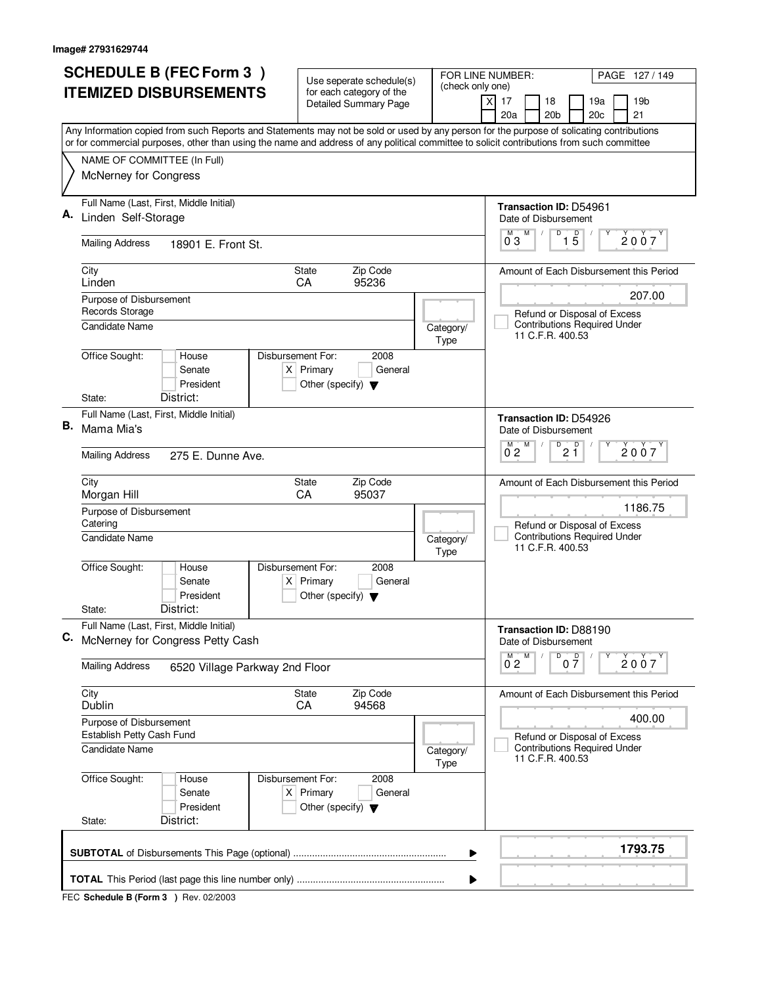| <b>SCHEDULE B (FEC Form 3)</b> |                                                                                                                                                                                                                                                                                        | Use seperate schedule(s)                                                                    |                   | FOR LINE NUMBER:<br>PAGE 127/149                                               |  |  |
|--------------------------------|----------------------------------------------------------------------------------------------------------------------------------------------------------------------------------------------------------------------------------------------------------------------------------------|---------------------------------------------------------------------------------------------|-------------------|--------------------------------------------------------------------------------|--|--|
|                                | <b>ITEMIZED DISBURSEMENTS</b>                                                                                                                                                                                                                                                          | for each category of the<br><b>Detailed Summary Page</b>                                    | (check only one)  | 17<br>18<br>19a<br>19 <sub>b</sub><br>X<br>20a<br>20 <sub>b</sub><br>20c<br>21 |  |  |
|                                | Any Information copied from such Reports and Statements may not be sold or used by any person for the purpose of solicating contributions<br>or for commercial purposes, other than using the name and address of any political committee to solicit contributions from such committee |                                                                                             |                   |                                                                                |  |  |
|                                | NAME OF COMMITTEE (In Full)                                                                                                                                                                                                                                                            |                                                                                             |                   |                                                                                |  |  |
|                                | McNerney for Congress                                                                                                                                                                                                                                                                  |                                                                                             |                   |                                                                                |  |  |
|                                | Full Name (Last, First, Middle Initial)<br>Linden Self-Storage                                                                                                                                                                                                                         |                                                                                             |                   | Transaction ID: D54961<br>Date of Disbursement                                 |  |  |
|                                | <b>Mailing Address</b><br>18901 E. Front St.                                                                                                                                                                                                                                           |                                                                                             |                   | M<br>D<br>$1\overline{5}$<br>M<br>2007<br>$0^{\degree}3$                       |  |  |
|                                | City<br>Linden                                                                                                                                                                                                                                                                         | <b>State</b><br>Zip Code<br>CA<br>95236                                                     |                   | Amount of Each Disbursement this Period                                        |  |  |
|                                | Purpose of Disbursement<br>Records Storage                                                                                                                                                                                                                                             |                                                                                             |                   | 207.00<br>Refund or Disposal of Excess                                         |  |  |
|                                | <b>Candidate Name</b>                                                                                                                                                                                                                                                                  |                                                                                             | Category/<br>Type | <b>Contributions Required Under</b><br>11 C.F.R. 400.53                        |  |  |
|                                | Office Sought:<br>House<br>Senate<br>President                                                                                                                                                                                                                                         | Disbursement For:<br>2008<br>$X$ Primary<br>General<br>Other (specify) $\blacktriangledown$ |                   |                                                                                |  |  |
|                                | District:<br>State:<br>Full Name (Last, First, Middle Initial)                                                                                                                                                                                                                         |                                                                                             |                   |                                                                                |  |  |
| В.                             | Mama Mia's                                                                                                                                                                                                                                                                             |                                                                                             |                   | Transaction ID: D54926<br>Date of Disbursement<br>D<br>D<br>M                  |  |  |
|                                | <b>Mailing Address</b><br>275 E. Dunne Ave.                                                                                                                                                                                                                                            |                                                                                             |                   | 2007<br>2 Ĭ<br>0 <sub>2</sub>                                                  |  |  |
|                                | City<br>Morgan Hill                                                                                                                                                                                                                                                                    | Zip Code<br><b>State</b><br>CA<br>95037                                                     |                   | Amount of Each Disbursement this Period                                        |  |  |
|                                | Purpose of Disbursement<br>Catering                                                                                                                                                                                                                                                    |                                                                                             |                   | 1186.75<br>Refund or Disposal of Excess<br><b>Contributions Required Under</b> |  |  |
|                                | Candidate Name<br>House                                                                                                                                                                                                                                                                |                                                                                             | Category/<br>Type | 11 C.F.R. 400.53                                                               |  |  |
|                                | Office Sought:<br>Senate<br>President                                                                                                                                                                                                                                                  | Disbursement For:<br>2008<br>$X$ Primary<br>General<br>Other (specify) $\blacktriangledown$ |                   |                                                                                |  |  |
|                                | District:<br>State:                                                                                                                                                                                                                                                                    |                                                                                             |                   |                                                                                |  |  |
| C.                             | Full Name (Last, First, Middle Initial)<br>McNerney for Congress Petty Cash                                                                                                                                                                                                            |                                                                                             |                   | Transaction ID: D88190<br>Date of Disbursement                                 |  |  |
|                                | <b>Mailing Address</b><br>6520 Village Parkway 2nd Floor                                                                                                                                                                                                                               |                                                                                             |                   | D<br>M<br>0 <sup>0</sup><br>2007<br>$0^{\degree}2$                             |  |  |
|                                | City<br>Dublin                                                                                                                                                                                                                                                                         | Zip Code<br>State<br>CA<br>94568                                                            |                   | Amount of Each Disbursement this Period                                        |  |  |
|                                | Purpose of Disbursement<br>Establish Petty Cash Fund                                                                                                                                                                                                                                   |                                                                                             |                   | 400.00<br>Refund or Disposal of Excess                                         |  |  |
|                                | <b>Candidate Name</b>                                                                                                                                                                                                                                                                  |                                                                                             | Category/<br>Type | <b>Contributions Required Under</b><br>11 C.F.R. 400.53                        |  |  |
|                                | Office Sought:<br>House<br>Senate<br>President                                                                                                                                                                                                                                         | 2008<br>Disbursement For:<br>$X$ Primary<br>General<br>Other (specify) $\blacktriangledown$ |                   |                                                                                |  |  |
|                                | District:<br>State:                                                                                                                                                                                                                                                                    |                                                                                             |                   |                                                                                |  |  |
|                                | 1793.75<br>▶                                                                                                                                                                                                                                                                           |                                                                                             |                   |                                                                                |  |  |
|                                |                                                                                                                                                                                                                                                                                        |                                                                                             |                   |                                                                                |  |  |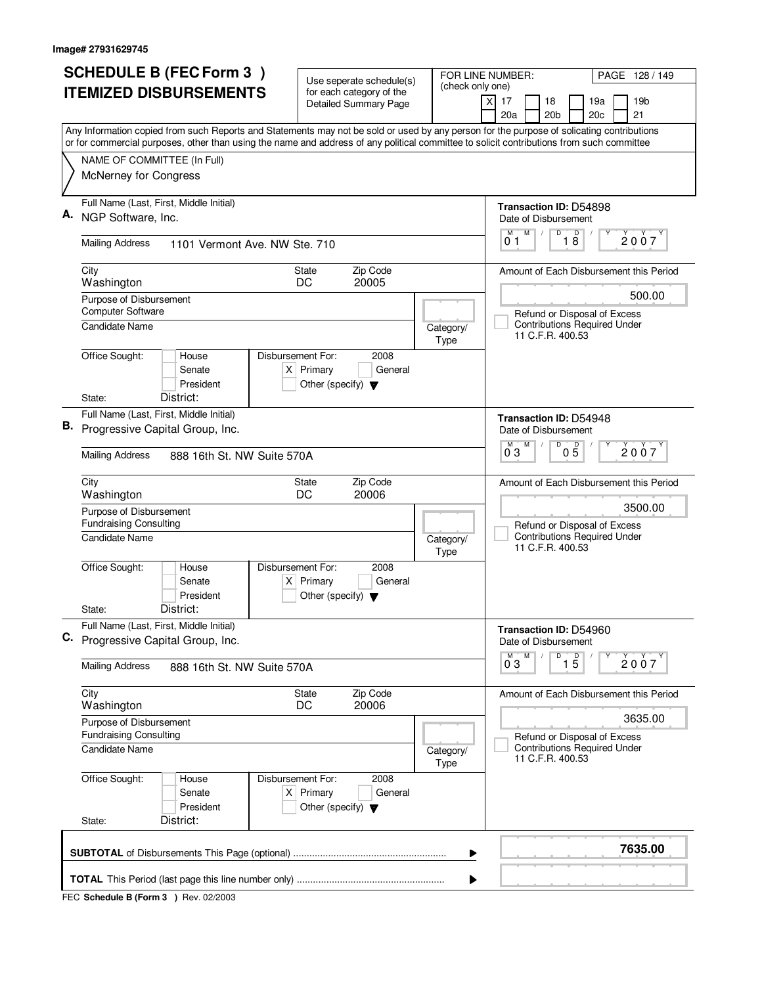| <b>SCHEDULE B (FEC Form 3)</b> |                                                                                                                                                                          | Use seperate schedule(s)                                               |                   | FOR LINE NUMBER:<br>PAGE 128 / 149                                                      |  |  |  |
|--------------------------------|--------------------------------------------------------------------------------------------------------------------------------------------------------------------------|------------------------------------------------------------------------|-------------------|-----------------------------------------------------------------------------------------|--|--|--|
|                                | <b>ITEMIZED DISBURSEMENTS</b>                                                                                                                                            | for each category of the<br><b>Detailed Summary Page</b>               | (check only one)  | 17<br>18<br>19a<br>19 <sub>b</sub><br>X<br>20a<br>20 <sub>b</sub><br>20c<br>21          |  |  |  |
|                                | Any Information copied from such Reports and Statements may not be sold or used by any person for the purpose of solicating contributions                                |                                                                        |                   |                                                                                         |  |  |  |
|                                | or for commercial purposes, other than using the name and address of any political committee to solicit contributions from such committee<br>NAME OF COMMITTEE (In Full) |                                                                        |                   |                                                                                         |  |  |  |
|                                | McNerney for Congress                                                                                                                                                    |                                                                        |                   |                                                                                         |  |  |  |
|                                | Full Name (Last, First, Middle Initial)                                                                                                                                  |                                                                        |                   | Transaction ID: D54898                                                                  |  |  |  |
|                                | NGP Software, Inc.                                                                                                                                                       |                                                                        |                   | Date of Disbursement                                                                    |  |  |  |
|                                | <b>Mailing Address</b><br>1101 Vermont Ave. NW Ste. 710                                                                                                                  |                                                                        |                   | M<br>D<br>$\overline{18}$<br>M<br>2007<br>01                                            |  |  |  |
|                                | City<br>Washington                                                                                                                                                       | Zip Code<br><b>State</b><br>20005<br>DC                                |                   | Amount of Each Disbursement this Period                                                 |  |  |  |
|                                | Purpose of Disbursement                                                                                                                                                  |                                                                        |                   | 500.00                                                                                  |  |  |  |
|                                | <b>Computer Software</b><br><b>Candidate Name</b>                                                                                                                        |                                                                        | Category/         | Refund or Disposal of Excess<br><b>Contributions Required Under</b>                     |  |  |  |
|                                |                                                                                                                                                                          |                                                                        | Type              | 11 C.F.R. 400.53                                                                        |  |  |  |
|                                | Office Sought:<br>Disbursement For:<br>House<br>Senate<br>President                                                                                                      | 2008<br>$X$ Primary<br>General<br>Other (specify) $\blacktriangledown$ |                   |                                                                                         |  |  |  |
|                                | District:<br>State:<br>Full Name (Last, First, Middle Initial)                                                                                                           |                                                                        |                   |                                                                                         |  |  |  |
| В.                             | Progressive Capital Group, Inc.                                                                                                                                          |                                                                        |                   | <b>Transaction ID: D54948</b><br>Date of Disbursement                                   |  |  |  |
|                                | <b>Mailing Address</b><br>888 16th St. NW Suite 570A                                                                                                                     |                                                                        |                   | $\overline{D}$<br>D<br>M<br>2007<br>03<br>$0\bar{5}$                                    |  |  |  |
|                                | City<br>Washington                                                                                                                                                       | Zip Code<br>State<br>20006<br>DC                                       |                   | Amount of Each Disbursement this Period                                                 |  |  |  |
|                                | Purpose of Disbursement<br><b>Fundraising Consulting</b>                                                                                                                 |                                                                        |                   | 3500.00<br>Refund or Disposal of Excess                                                 |  |  |  |
|                                | Candidate Name                                                                                                                                                           |                                                                        | Category/<br>Type | <b>Contributions Required Under</b><br>11 C.F.R. 400.53                                 |  |  |  |
|                                | Office Sought:<br>Disbursement For:<br>House<br>Senate<br>President                                                                                                      | 2008<br>$X$ Primary<br>General<br>Other (specify) $\blacktriangledown$ |                   |                                                                                         |  |  |  |
|                                | District:<br>State:                                                                                                                                                      |                                                                        |                   |                                                                                         |  |  |  |
| C.                             | Full Name (Last, First, Middle Initial)<br>Progressive Capital Group, Inc.                                                                                               |                                                                        |                   | Transaction ID: D54960<br>Date of Disbursement                                          |  |  |  |
|                                | <b>Mailing Address</b><br>888 16th St. NW Suite 570A                                                                                                                     |                                                                        |                   | D<br>M<br>$\overline{15}$<br>2007<br>0 <sub>3</sub>                                     |  |  |  |
|                                | City<br>Washington                                                                                                                                                       | Zip Code<br>State<br>DC<br>20006                                       |                   | Amount of Each Disbursement this Period                                                 |  |  |  |
|                                | Purpose of Disbursement                                                                                                                                                  |                                                                        |                   | 3635.00                                                                                 |  |  |  |
|                                | <b>Fundraising Consulting</b><br><b>Candidate Name</b>                                                                                                                   |                                                                        | Category/<br>Type | Refund or Disposal of Excess<br><b>Contributions Required Under</b><br>11 C.F.R. 400.53 |  |  |  |
|                                | Office Sought:<br>House<br>Disbursement For:<br>Senate<br>President                                                                                                      | 2008<br>$X$ Primary<br>General<br>Other (specify) $\blacktriangledown$ |                   |                                                                                         |  |  |  |
|                                | District:<br>State:                                                                                                                                                      |                                                                        |                   |                                                                                         |  |  |  |
|                                | 7635.00<br>▶                                                                                                                                                             |                                                                        |                   |                                                                                         |  |  |  |
|                                | ▶                                                                                                                                                                        |                                                                        |                   |                                                                                         |  |  |  |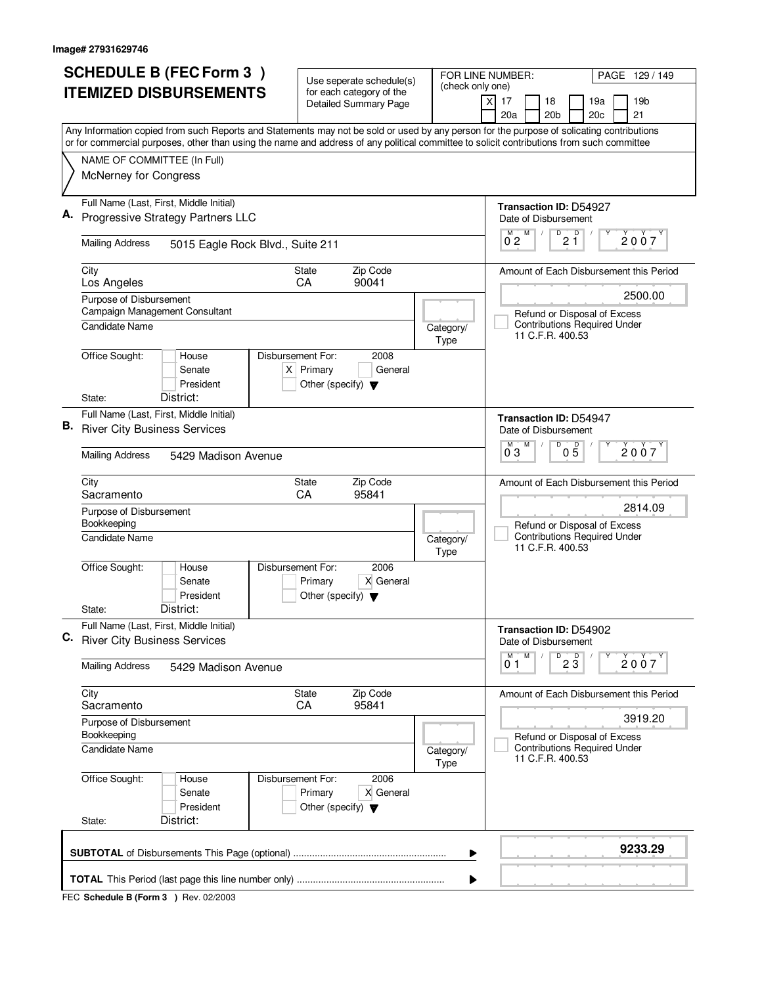| (check only one)<br><b>ITEMIZED DISBURSEMENTS</b><br>for each category of the<br>X<br>17<br>18<br>19a<br>19 <sub>b</sub><br><b>Detailed Summary Page</b><br>20 <sub>b</sub><br>20c<br>21<br>20a<br>Any Information copied from such Reports and Statements may not be sold or used by any person for the purpose of solicating contributions<br>or for commercial purposes, other than using the name and address of any political committee to solicit contributions from such committee<br>NAME OF COMMITTEE (In Full)<br>McNerney for Congress<br>Full Name (Last, First, Middle Initial)<br>Transaction ID: D54927<br>Progressive Strategy Partners LLC<br>Date of Disbursement<br>D<br>Ď<br>M<br>м<br>2007<br>$2\,$ 1<br>02<br><b>Mailing Address</b><br>5015 Eagle Rock Blvd., Suite 211<br>Zip Code<br>City<br>State<br>Amount of Each Disbursement this Period<br>Los Angeles<br>CA<br>90041<br>2500.00<br>Purpose of Disbursement<br>Campaign Management Consultant<br>Refund or Disposal of Excess<br><b>Contributions Required Under</b><br>Candidate Name<br>Category/<br>11 C.F.R. 400.53<br>Type<br>Office Sought:<br>Disbursement For:<br>2008<br>House<br>$X$ Primary<br>Senate<br>General<br>President<br>Other (specify) $\blacktriangledown$<br>District:<br>State:<br>Full Name (Last, First, Middle Initial)<br><b>Transaction ID: D54947</b><br><b>River City Business Services</b><br>Date of Disbursement<br>M<br>D<br>M<br>05<br>2007<br>03<br><b>Mailing Address</b><br>5429 Madison Avenue<br>Zip Code<br>City<br>Amount of Each Disbursement this Period<br>State<br>Sacramento<br>CA<br>95841<br>2814.09<br>Purpose of Disbursement<br>Bookkeeping<br>Refund or Disposal of Excess<br><b>Contributions Required Under</b><br>Candidate Name<br>Category/<br>11 C.F.R. 400.53<br>Type<br>Office Sought:<br>Disbursement For:<br>2006<br>House<br>X General<br>Senate<br>Primary<br>President<br>Other (specify) $\blacktriangledown$<br>District:<br>State:<br>Full Name (Last, First, Middle Initial)<br>Transaction ID: D54902<br><b>River City Business Services</b><br>Date of Disbursement<br>M<br>$\overline{23}$<br>M<br>2007<br>01<br><b>Mailing Address</b><br>5429 Madison Avenue<br>Zip Code<br>City<br>State<br>Amount of Each Disbursement this Period<br>95841<br><b>CA</b><br>Sacramento<br>3919.20<br>Purpose of Disbursement<br>Bookkeeping<br>Refund or Disposal of Excess<br><b>Contributions Required Under</b><br>Candidate Name<br>Category/<br>11 C.F.R. 400.53<br>Type<br>Office Sought:<br>Disbursement For:<br>2006<br>House<br>Senate<br>Primary<br>X General<br>President<br>Other (specify) $\blacktriangledown$<br>District:<br>State:<br>9233.29<br>▶ |    | <b>SCHEDULE B (FEC Form 3)</b> | Use seperate schedule(s) |  | FOR LINE NUMBER:<br>PAGE 129 / 149 |  |  |
|------------------------------------------------------------------------------------------------------------------------------------------------------------------------------------------------------------------------------------------------------------------------------------------------------------------------------------------------------------------------------------------------------------------------------------------------------------------------------------------------------------------------------------------------------------------------------------------------------------------------------------------------------------------------------------------------------------------------------------------------------------------------------------------------------------------------------------------------------------------------------------------------------------------------------------------------------------------------------------------------------------------------------------------------------------------------------------------------------------------------------------------------------------------------------------------------------------------------------------------------------------------------------------------------------------------------------------------------------------------------------------------------------------------------------------------------------------------------------------------------------------------------------------------------------------------------------------------------------------------------------------------------------------------------------------------------------------------------------------------------------------------------------------------------------------------------------------------------------------------------------------------------------------------------------------------------------------------------------------------------------------------------------------------------------------------------------------------------------------------------------------------------------------------------------------------------------------------------------------------------------------------------------------------------------------------------------------------------------------------------------------------------------------------------------------------------------------------------------------------------------------------------------------------------------------------------------------------------------------------------------------------------------------------------------------------------------------------|----|--------------------------------|--------------------------|--|------------------------------------|--|--|
|                                                                                                                                                                                                                                                                                                                                                                                                                                                                                                                                                                                                                                                                                                                                                                                                                                                                                                                                                                                                                                                                                                                                                                                                                                                                                                                                                                                                                                                                                                                                                                                                                                                                                                                                                                                                                                                                                                                                                                                                                                                                                                                                                                                                                                                                                                                                                                                                                                                                                                                                                                                                                                                                                                                  |    |                                |                          |  |                                    |  |  |
|                                                                                                                                                                                                                                                                                                                                                                                                                                                                                                                                                                                                                                                                                                                                                                                                                                                                                                                                                                                                                                                                                                                                                                                                                                                                                                                                                                                                                                                                                                                                                                                                                                                                                                                                                                                                                                                                                                                                                                                                                                                                                                                                                                                                                                                                                                                                                                                                                                                                                                                                                                                                                                                                                                                  |    |                                |                          |  |                                    |  |  |
|                                                                                                                                                                                                                                                                                                                                                                                                                                                                                                                                                                                                                                                                                                                                                                                                                                                                                                                                                                                                                                                                                                                                                                                                                                                                                                                                                                                                                                                                                                                                                                                                                                                                                                                                                                                                                                                                                                                                                                                                                                                                                                                                                                                                                                                                                                                                                                                                                                                                                                                                                                                                                                                                                                                  |    |                                |                          |  |                                    |  |  |
|                                                                                                                                                                                                                                                                                                                                                                                                                                                                                                                                                                                                                                                                                                                                                                                                                                                                                                                                                                                                                                                                                                                                                                                                                                                                                                                                                                                                                                                                                                                                                                                                                                                                                                                                                                                                                                                                                                                                                                                                                                                                                                                                                                                                                                                                                                                                                                                                                                                                                                                                                                                                                                                                                                                  |    |                                |                          |  |                                    |  |  |
|                                                                                                                                                                                                                                                                                                                                                                                                                                                                                                                                                                                                                                                                                                                                                                                                                                                                                                                                                                                                                                                                                                                                                                                                                                                                                                                                                                                                                                                                                                                                                                                                                                                                                                                                                                                                                                                                                                                                                                                                                                                                                                                                                                                                                                                                                                                                                                                                                                                                                                                                                                                                                                                                                                                  |    |                                |                          |  |                                    |  |  |
|                                                                                                                                                                                                                                                                                                                                                                                                                                                                                                                                                                                                                                                                                                                                                                                                                                                                                                                                                                                                                                                                                                                                                                                                                                                                                                                                                                                                                                                                                                                                                                                                                                                                                                                                                                                                                                                                                                                                                                                                                                                                                                                                                                                                                                                                                                                                                                                                                                                                                                                                                                                                                                                                                                                  |    |                                |                          |  |                                    |  |  |
|                                                                                                                                                                                                                                                                                                                                                                                                                                                                                                                                                                                                                                                                                                                                                                                                                                                                                                                                                                                                                                                                                                                                                                                                                                                                                                                                                                                                                                                                                                                                                                                                                                                                                                                                                                                                                                                                                                                                                                                                                                                                                                                                                                                                                                                                                                                                                                                                                                                                                                                                                                                                                                                                                                                  |    |                                |                          |  |                                    |  |  |
|                                                                                                                                                                                                                                                                                                                                                                                                                                                                                                                                                                                                                                                                                                                                                                                                                                                                                                                                                                                                                                                                                                                                                                                                                                                                                                                                                                                                                                                                                                                                                                                                                                                                                                                                                                                                                                                                                                                                                                                                                                                                                                                                                                                                                                                                                                                                                                                                                                                                                                                                                                                                                                                                                                                  |    |                                |                          |  |                                    |  |  |
|                                                                                                                                                                                                                                                                                                                                                                                                                                                                                                                                                                                                                                                                                                                                                                                                                                                                                                                                                                                                                                                                                                                                                                                                                                                                                                                                                                                                                                                                                                                                                                                                                                                                                                                                                                                                                                                                                                                                                                                                                                                                                                                                                                                                                                                                                                                                                                                                                                                                                                                                                                                                                                                                                                                  |    |                                |                          |  |                                    |  |  |
|                                                                                                                                                                                                                                                                                                                                                                                                                                                                                                                                                                                                                                                                                                                                                                                                                                                                                                                                                                                                                                                                                                                                                                                                                                                                                                                                                                                                                                                                                                                                                                                                                                                                                                                                                                                                                                                                                                                                                                                                                                                                                                                                                                                                                                                                                                                                                                                                                                                                                                                                                                                                                                                                                                                  |    |                                |                          |  |                                    |  |  |
|                                                                                                                                                                                                                                                                                                                                                                                                                                                                                                                                                                                                                                                                                                                                                                                                                                                                                                                                                                                                                                                                                                                                                                                                                                                                                                                                                                                                                                                                                                                                                                                                                                                                                                                                                                                                                                                                                                                                                                                                                                                                                                                                                                                                                                                                                                                                                                                                                                                                                                                                                                                                                                                                                                                  |    |                                |                          |  |                                    |  |  |
|                                                                                                                                                                                                                                                                                                                                                                                                                                                                                                                                                                                                                                                                                                                                                                                                                                                                                                                                                                                                                                                                                                                                                                                                                                                                                                                                                                                                                                                                                                                                                                                                                                                                                                                                                                                                                                                                                                                                                                                                                                                                                                                                                                                                                                                                                                                                                                                                                                                                                                                                                                                                                                                                                                                  |    |                                |                          |  |                                    |  |  |
|                                                                                                                                                                                                                                                                                                                                                                                                                                                                                                                                                                                                                                                                                                                                                                                                                                                                                                                                                                                                                                                                                                                                                                                                                                                                                                                                                                                                                                                                                                                                                                                                                                                                                                                                                                                                                                                                                                                                                                                                                                                                                                                                                                                                                                                                                                                                                                                                                                                                                                                                                                                                                                                                                                                  | В. |                                |                          |  |                                    |  |  |
|                                                                                                                                                                                                                                                                                                                                                                                                                                                                                                                                                                                                                                                                                                                                                                                                                                                                                                                                                                                                                                                                                                                                                                                                                                                                                                                                                                                                                                                                                                                                                                                                                                                                                                                                                                                                                                                                                                                                                                                                                                                                                                                                                                                                                                                                                                                                                                                                                                                                                                                                                                                                                                                                                                                  |    |                                |                          |  |                                    |  |  |
|                                                                                                                                                                                                                                                                                                                                                                                                                                                                                                                                                                                                                                                                                                                                                                                                                                                                                                                                                                                                                                                                                                                                                                                                                                                                                                                                                                                                                                                                                                                                                                                                                                                                                                                                                                                                                                                                                                                                                                                                                                                                                                                                                                                                                                                                                                                                                                                                                                                                                                                                                                                                                                                                                                                  |    |                                |                          |  |                                    |  |  |
|                                                                                                                                                                                                                                                                                                                                                                                                                                                                                                                                                                                                                                                                                                                                                                                                                                                                                                                                                                                                                                                                                                                                                                                                                                                                                                                                                                                                                                                                                                                                                                                                                                                                                                                                                                                                                                                                                                                                                                                                                                                                                                                                                                                                                                                                                                                                                                                                                                                                                                                                                                                                                                                                                                                  |    |                                |                          |  |                                    |  |  |
|                                                                                                                                                                                                                                                                                                                                                                                                                                                                                                                                                                                                                                                                                                                                                                                                                                                                                                                                                                                                                                                                                                                                                                                                                                                                                                                                                                                                                                                                                                                                                                                                                                                                                                                                                                                                                                                                                                                                                                                                                                                                                                                                                                                                                                                                                                                                                                                                                                                                                                                                                                                                                                                                                                                  |    |                                |                          |  |                                    |  |  |
|                                                                                                                                                                                                                                                                                                                                                                                                                                                                                                                                                                                                                                                                                                                                                                                                                                                                                                                                                                                                                                                                                                                                                                                                                                                                                                                                                                                                                                                                                                                                                                                                                                                                                                                                                                                                                                                                                                                                                                                                                                                                                                                                                                                                                                                                                                                                                                                                                                                                                                                                                                                                                                                                                                                  |    |                                |                          |  |                                    |  |  |
|                                                                                                                                                                                                                                                                                                                                                                                                                                                                                                                                                                                                                                                                                                                                                                                                                                                                                                                                                                                                                                                                                                                                                                                                                                                                                                                                                                                                                                                                                                                                                                                                                                                                                                                                                                                                                                                                                                                                                                                                                                                                                                                                                                                                                                                                                                                                                                                                                                                                                                                                                                                                                                                                                                                  |    |                                |                          |  |                                    |  |  |
|                                                                                                                                                                                                                                                                                                                                                                                                                                                                                                                                                                                                                                                                                                                                                                                                                                                                                                                                                                                                                                                                                                                                                                                                                                                                                                                                                                                                                                                                                                                                                                                                                                                                                                                                                                                                                                                                                                                                                                                                                                                                                                                                                                                                                                                                                                                                                                                                                                                                                                                                                                                                                                                                                                                  | C. |                                |                          |  |                                    |  |  |
|                                                                                                                                                                                                                                                                                                                                                                                                                                                                                                                                                                                                                                                                                                                                                                                                                                                                                                                                                                                                                                                                                                                                                                                                                                                                                                                                                                                                                                                                                                                                                                                                                                                                                                                                                                                                                                                                                                                                                                                                                                                                                                                                                                                                                                                                                                                                                                                                                                                                                                                                                                                                                                                                                                                  |    |                                |                          |  |                                    |  |  |
|                                                                                                                                                                                                                                                                                                                                                                                                                                                                                                                                                                                                                                                                                                                                                                                                                                                                                                                                                                                                                                                                                                                                                                                                                                                                                                                                                                                                                                                                                                                                                                                                                                                                                                                                                                                                                                                                                                                                                                                                                                                                                                                                                                                                                                                                                                                                                                                                                                                                                                                                                                                                                                                                                                                  |    |                                |                          |  |                                    |  |  |
|                                                                                                                                                                                                                                                                                                                                                                                                                                                                                                                                                                                                                                                                                                                                                                                                                                                                                                                                                                                                                                                                                                                                                                                                                                                                                                                                                                                                                                                                                                                                                                                                                                                                                                                                                                                                                                                                                                                                                                                                                                                                                                                                                                                                                                                                                                                                                                                                                                                                                                                                                                                                                                                                                                                  |    |                                |                          |  |                                    |  |  |
|                                                                                                                                                                                                                                                                                                                                                                                                                                                                                                                                                                                                                                                                                                                                                                                                                                                                                                                                                                                                                                                                                                                                                                                                                                                                                                                                                                                                                                                                                                                                                                                                                                                                                                                                                                                                                                                                                                                                                                                                                                                                                                                                                                                                                                                                                                                                                                                                                                                                                                                                                                                                                                                                                                                  |    |                                |                          |  |                                    |  |  |
|                                                                                                                                                                                                                                                                                                                                                                                                                                                                                                                                                                                                                                                                                                                                                                                                                                                                                                                                                                                                                                                                                                                                                                                                                                                                                                                                                                                                                                                                                                                                                                                                                                                                                                                                                                                                                                                                                                                                                                                                                                                                                                                                                                                                                                                                                                                                                                                                                                                                                                                                                                                                                                                                                                                  |    |                                |                          |  |                                    |  |  |
|                                                                                                                                                                                                                                                                                                                                                                                                                                                                                                                                                                                                                                                                                                                                                                                                                                                                                                                                                                                                                                                                                                                                                                                                                                                                                                                                                                                                                                                                                                                                                                                                                                                                                                                                                                                                                                                                                                                                                                                                                                                                                                                                                                                                                                                                                                                                                                                                                                                                                                                                                                                                                                                                                                                  |    |                                |                          |  |                                    |  |  |
|                                                                                                                                                                                                                                                                                                                                                                                                                                                                                                                                                                                                                                                                                                                                                                                                                                                                                                                                                                                                                                                                                                                                                                                                                                                                                                                                                                                                                                                                                                                                                                                                                                                                                                                                                                                                                                                                                                                                                                                                                                                                                                                                                                                                                                                                                                                                                                                                                                                                                                                                                                                                                                                                                                                  |    |                                |                          |  |                                    |  |  |
| 1.7.000000                                                                                                                                                                                                                                                                                                                                                                                                                                                                                                                                                                                                                                                                                                                                                                                                                                                                                                                                                                                                                                                                                                                                                                                                                                                                                                                                                                                                                                                                                                                                                                                                                                                                                                                                                                                                                                                                                                                                                                                                                                                                                                                                                                                                                                                                                                                                                                                                                                                                                                                                                                                                                                                                                                       |    |                                |                          |  |                                    |  |  |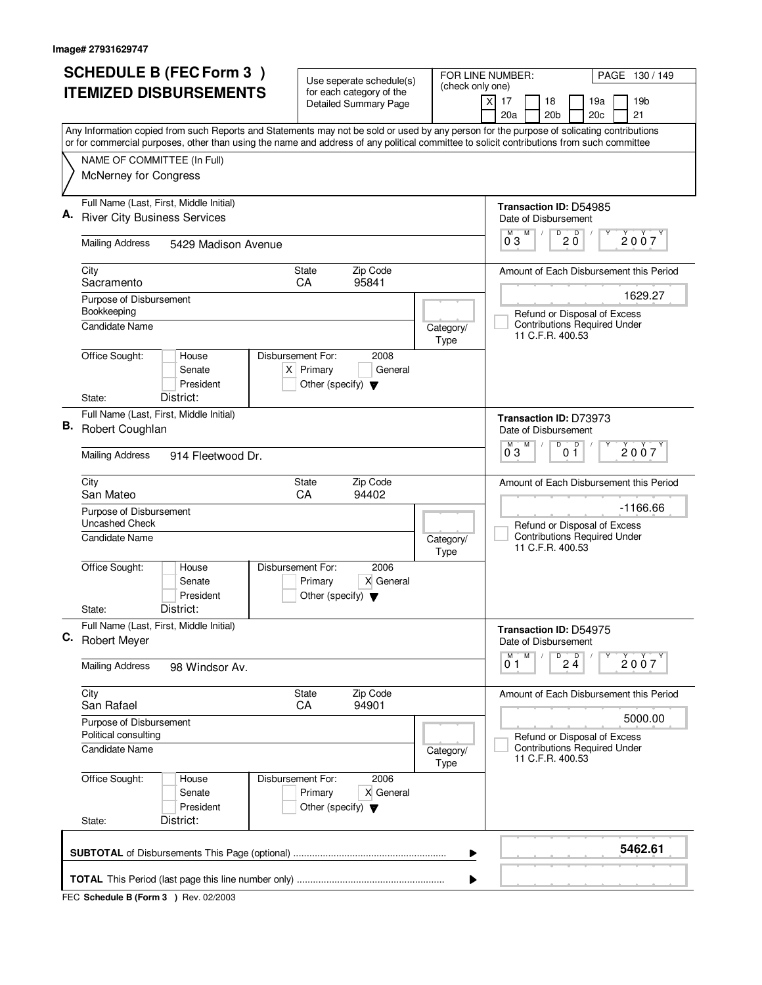| <b>SCHEDULE B (FEC Form 3)</b>                                                                                                                                                                                                                                                         | Use seperate schedule(s)                                               | FOR LINE NUMBER:      | PAGE 130/149                                                                       |
|----------------------------------------------------------------------------------------------------------------------------------------------------------------------------------------------------------------------------------------------------------------------------------------|------------------------------------------------------------------------|-----------------------|------------------------------------------------------------------------------------|
| <b>ITEMIZED DISBURSEMENTS</b>                                                                                                                                                                                                                                                          | for each category of the<br><b>Detailed Summary Page</b>               | (check only one)<br>X | 17<br>18<br>19a<br>19 <sub>b</sub>                                                 |
|                                                                                                                                                                                                                                                                                        |                                                                        |                       | 20a<br>20 <sub>b</sub><br>21<br>20c                                                |
| Any Information copied from such Reports and Statements may not be sold or used by any person for the purpose of solicating contributions<br>or for commercial purposes, other than using the name and address of any political committee to solicit contributions from such committee |                                                                        |                       |                                                                                    |
| NAME OF COMMITTEE (In Full)                                                                                                                                                                                                                                                            |                                                                        |                       |                                                                                    |
| McNerney for Congress                                                                                                                                                                                                                                                                  |                                                                        |                       |                                                                                    |
|                                                                                                                                                                                                                                                                                        |                                                                        |                       |                                                                                    |
| Full Name (Last, First, Middle Initial)<br><b>River City Business Services</b>                                                                                                                                                                                                         |                                                                        |                       | Transaction ID: D54985<br>Date of Disbursement                                     |
| <b>Mailing Address</b><br>5429 Madison Avenue                                                                                                                                                                                                                                          |                                                                        |                       | D<br>$20^{\circ}$<br>M<br>м<br>2007<br>03                                          |
|                                                                                                                                                                                                                                                                                        |                                                                        |                       |                                                                                    |
| City<br>Sacramento                                                                                                                                                                                                                                                                     | Zip Code<br><b>State</b><br>95841<br>CA                                |                       | Amount of Each Disbursement this Period                                            |
| Purpose of Disbursement<br>Bookkeeping                                                                                                                                                                                                                                                 |                                                                        |                       | 1629.27<br>Refund or Disposal of Excess                                            |
| Candidate Name                                                                                                                                                                                                                                                                         |                                                                        | Category/<br>Type     | <b>Contributions Required Under</b><br>11 C.F.R. 400.53                            |
| Office Sought:<br>Disbursement For:<br>House<br>Senate<br>President                                                                                                                                                                                                                    | 2008<br>$X$ Primary<br>General<br>Other (specify) $\blacktriangledown$ |                       |                                                                                    |
| District:<br>State:                                                                                                                                                                                                                                                                    |                                                                        |                       |                                                                                    |
| Full Name (Last, First, Middle Initial)<br>В.<br>Robert Coughlan                                                                                                                                                                                                                       |                                                                        |                       | Transaction ID: D73973<br>Date of Disbursement<br>$\overline{D}$<br>M<br>D<br>2007 |
| <b>Mailing Address</b><br>914 Fleetwood Dr.                                                                                                                                                                                                                                            |                                                                        |                       |                                                                                    |
| City<br>San Mateo                                                                                                                                                                                                                                                                      | Zip Code<br><b>State</b><br>CA<br>94402                                |                       | Amount of Each Disbursement this Period                                            |
| Purpose of Disbursement<br><b>Uncashed Check</b>                                                                                                                                                                                                                                       |                                                                        |                       | $-1166.66$<br>Refund or Disposal of Excess                                         |
| <b>Candidate Name</b>                                                                                                                                                                                                                                                                  |                                                                        | Category/<br>Type     | <b>Contributions Required Under</b><br>11 C.F.R. 400.53                            |
| Office Sought:<br>Disbursement For:<br>House<br>Senate<br>President                                                                                                                                                                                                                    | 2006<br>X General<br>Primary<br>Other (specify) $\blacktriangledown$   |                       |                                                                                    |
| District:<br>State:                                                                                                                                                                                                                                                                    |                                                                        |                       |                                                                                    |
| Full Name (Last, First, Middle Initial)<br>С.<br><b>Robert Meyer</b>                                                                                                                                                                                                                   |                                                                        |                       | Transaction ID: D54975<br>Date of Disbursement                                     |
| <b>Mailing Address</b><br>98 Windsor Av.                                                                                                                                                                                                                                               |                                                                        |                       | $D$ <sub>2</sub> $\frac{D}{4}$<br>M<br>М<br>2007<br>01                             |
| City<br>San Rafael                                                                                                                                                                                                                                                                     | State<br>Zip Code<br>CA<br>94901                                       |                       | Amount of Each Disbursement this Period                                            |
| Purpose of Disbursement<br>Political consulting                                                                                                                                                                                                                                        |                                                                        |                       | 5000.00<br>Refund or Disposal of Excess                                            |
| <b>Candidate Name</b>                                                                                                                                                                                                                                                                  |                                                                        | Category/<br>Type     | <b>Contributions Required Under</b><br>11 C.F.R. 400.53                            |
| Office Sought:<br>Disbursement For:<br>House<br>Senate<br>President                                                                                                                                                                                                                    | 2006<br>X General<br>Primary<br>Other (specify) $\blacktriangledown$   |                       |                                                                                    |
| District:<br>State:                                                                                                                                                                                                                                                                    |                                                                        |                       |                                                                                    |
|                                                                                                                                                                                                                                                                                        |                                                                        | ▶                     | 5462.61                                                                            |
|                                                                                                                                                                                                                                                                                        |                                                                        | ▶                     |                                                                                    |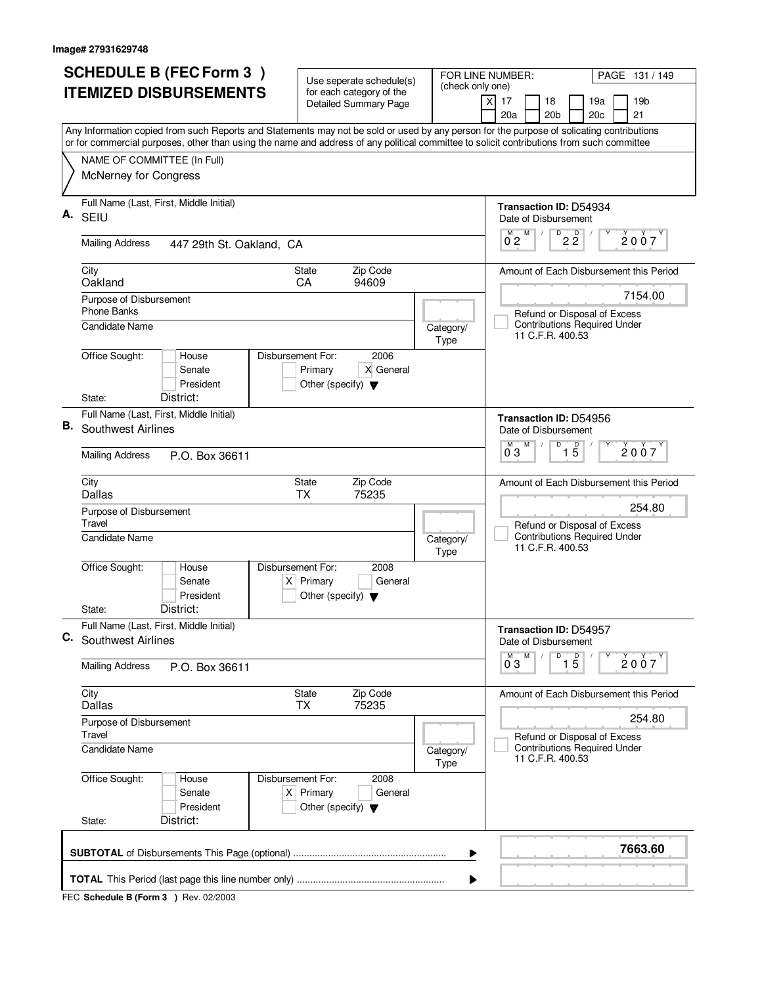|    | <b>SCHEDULE B (FEC Form 3)</b>                                                                                                            | Use seperate schedule(s)                                               |                   | FOR LINE NUMBER:<br>PAGE 131 / 149                                             |  |  |  |
|----|-------------------------------------------------------------------------------------------------------------------------------------------|------------------------------------------------------------------------|-------------------|--------------------------------------------------------------------------------|--|--|--|
|    | <b>ITEMIZED DISBURSEMENTS</b>                                                                                                             | for each category of the<br><b>Detailed Summary Page</b>               | (check only one)  | 17<br>18<br>19a<br>19 <sub>b</sub><br>X<br>20a<br>20 <sub>b</sub><br>20c<br>21 |  |  |  |
|    | Any Information copied from such Reports and Statements may not be sold or used by any person for the purpose of solicating contributions |                                                                        |                   |                                                                                |  |  |  |
|    | or for commercial purposes, other than using the name and address of any political committee to solicit contributions from such committee |                                                                        |                   |                                                                                |  |  |  |
|    | NAME OF COMMITTEE (In Full)<br>McNerney for Congress                                                                                      |                                                                        |                   |                                                                                |  |  |  |
| Α. | Full Name (Last, First, Middle Initial)<br><b>SEIU</b>                                                                                    |                                                                        |                   | Transaction ID: D54934<br>Date of Disbursement                                 |  |  |  |
|    | <b>Mailing Address</b><br>447 29th St. Oakland. CA                                                                                        |                                                                        |                   | $\overline{2\,2}$<br>M<br>м<br>2007<br>$0^{\degree}2$                          |  |  |  |
|    | City<br>Oakland                                                                                                                           | Zip Code<br><b>State</b><br>CA<br>94609                                |                   | Amount of Each Disbursement this Period                                        |  |  |  |
|    | Purpose of Disbursement<br><b>Phone Banks</b>                                                                                             |                                                                        |                   | 7154.00<br>Refund or Disposal of Excess                                        |  |  |  |
|    | <b>Candidate Name</b>                                                                                                                     |                                                                        | Category/<br>Type | <b>Contributions Required Under</b><br>11 C.F.R. 400.53                        |  |  |  |
|    | Office Sought:<br>Disbursement For:<br>House<br>Senate<br>President                                                                       | 2006<br>Primary<br>X General<br>Other (specify) $\blacktriangledown$   |                   |                                                                                |  |  |  |
|    | District:<br>State:<br>Full Name (Last, First, Middle Initial)                                                                            |                                                                        |                   |                                                                                |  |  |  |
| В. | Southwest Airlines                                                                                                                        |                                                                        |                   | Transaction ID: D54956<br>Date of Disbursement<br>M<br>M<br>D                  |  |  |  |
|    | <b>Mailing Address</b><br>P.O. Box 36611                                                                                                  |                                                                        |                   | $\overline{15}$<br>2007<br>03                                                  |  |  |  |
|    | City<br>Dallas                                                                                                                            | Zip Code<br><b>State</b><br><b>TX</b><br>75235                         |                   | Amount of Each Disbursement this Period                                        |  |  |  |
|    | Purpose of Disbursement<br>Travel<br>Candidate Name                                                                                       |                                                                        |                   | 254.80<br>Refund or Disposal of Excess<br><b>Contributions Required Under</b>  |  |  |  |
|    |                                                                                                                                           |                                                                        | Category/<br>Type | 11 C.F.R. 400.53                                                               |  |  |  |
|    | Office Sought:<br>Disbursement For:<br>House<br>Senate<br>President                                                                       | 2008<br>$X$ Primary<br>General<br>Other (specify) $\blacktriangledown$ |                   |                                                                                |  |  |  |
|    | District:<br>State:                                                                                                                       |                                                                        |                   |                                                                                |  |  |  |
| C. | Full Name (Last, First, Middle Initial)<br><b>Southwest Airlines</b>                                                                      |                                                                        |                   | Transaction ID: D54957<br>Date of Disbursement                                 |  |  |  |
|    | <b>Mailing Address</b><br>P.O. Box 36611                                                                                                  |                                                                        |                   | D<br>M<br>$\overline{15}$<br>2007<br>03                                        |  |  |  |
|    | City<br>Dallas                                                                                                                            | State<br>Zip Code<br><b>TX</b><br>75235                                |                   | Amount of Each Disbursement this Period                                        |  |  |  |
|    | Purpose of Disbursement<br>Travel                                                                                                         |                                                                        |                   | 254.80<br>Refund or Disposal of Excess                                         |  |  |  |
|    | <b>Candidate Name</b>                                                                                                                     |                                                                        | Category/<br>Type | <b>Contributions Required Under</b><br>11 C.F.R. 400.53                        |  |  |  |
|    | Office Sought:<br>House<br>Disbursement For:<br>Senate<br>President                                                                       | 2008<br>$X$ Primary<br>General<br>Other (specify) $\blacktriangledown$ |                   |                                                                                |  |  |  |
|    | District:<br>State:                                                                                                                       |                                                                        |                   |                                                                                |  |  |  |
|    |                                                                                                                                           |                                                                        | ▶                 | 7663.60                                                                        |  |  |  |
|    | ▶                                                                                                                                         |                                                                        |                   |                                                                                |  |  |  |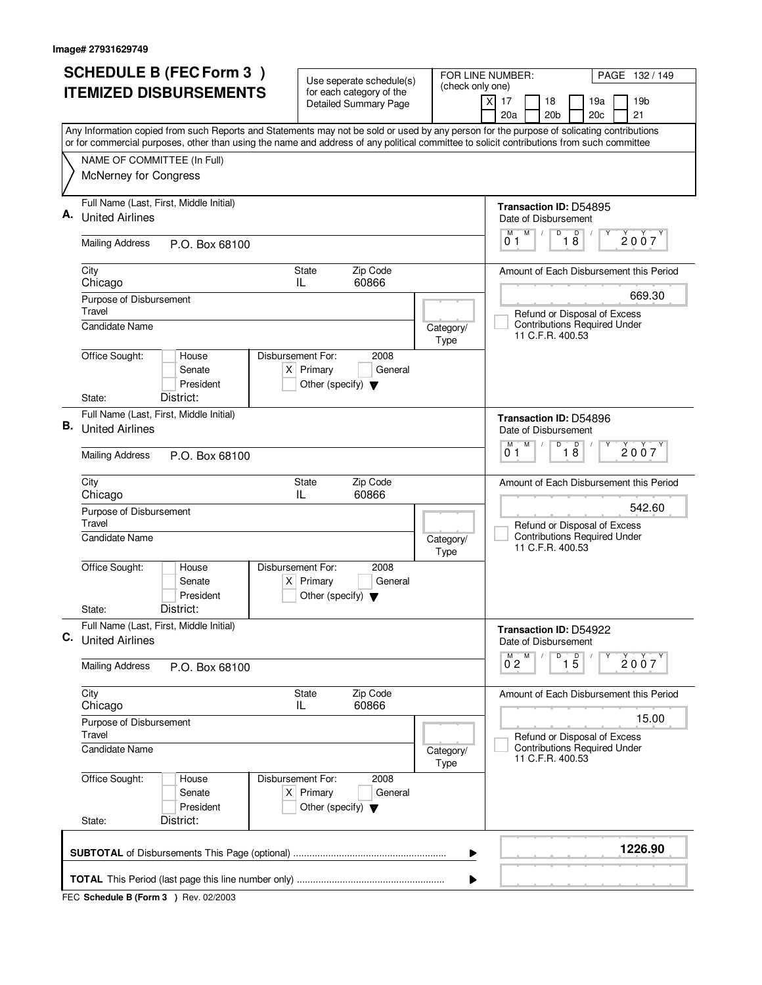| <b>SCHEDULE B (FEC Form 3)</b>                                                                                                                                                                                                                                                         | Use seperate schedule(s)                                               | FOR LINE NUMBER:  | PAGE 132 / 149                                                                                    |  |  |
|----------------------------------------------------------------------------------------------------------------------------------------------------------------------------------------------------------------------------------------------------------------------------------------|------------------------------------------------------------------------|-------------------|---------------------------------------------------------------------------------------------------|--|--|
| <b>ITEMIZED DISBURSEMENTS</b>                                                                                                                                                                                                                                                          | for each category of the<br><b>Detailed Summary Page</b>               | (check only one)  | 17<br>18<br>19a<br>19 <sub>b</sub><br>X<br>20a<br>20 <sub>b</sub><br>20c<br>21                    |  |  |
| Any Information copied from such Reports and Statements may not be sold or used by any person for the purpose of solicating contributions<br>or for commercial purposes, other than using the name and address of any political committee to solicit contributions from such committee |                                                                        |                   |                                                                                                   |  |  |
| NAME OF COMMITTEE (In Full)<br>McNerney for Congress                                                                                                                                                                                                                                   |                                                                        |                   |                                                                                                   |  |  |
| Full Name (Last, First, Middle Initial)<br>А.<br><b>United Airlines</b>                                                                                                                                                                                                                |                                                                        |                   | Transaction ID: D54895<br>Date of Disbursement<br>M<br>D<br>М                                     |  |  |
| <b>Mailing Address</b><br>P.O. Box 68100                                                                                                                                                                                                                                               |                                                                        |                   | $\overline{18}$<br>2007<br>01                                                                     |  |  |
| City<br>Chicago                                                                                                                                                                                                                                                                        | Zip Code<br><b>State</b><br>IL<br>60866                                |                   | Amount of Each Disbursement this Period                                                           |  |  |
| Purpose of Disbursement<br>Travel<br><b>Candidate Name</b>                                                                                                                                                                                                                             |                                                                        | Category/         | 669.30<br>Refund or Disposal of Excess<br><b>Contributions Required Under</b><br>11 C.F.R. 400.53 |  |  |
| Office Sought:<br>Disbursement For:<br>House<br>Senate<br>President<br>District:<br>State:                                                                                                                                                                                             | 2008<br>$X$ Primary<br>General<br>Other (specify) $\blacktriangledown$ | Type              |                                                                                                   |  |  |
| Full Name (Last, First, Middle Initial)<br>В.<br><b>United Airlines</b>                                                                                                                                                                                                                |                                                                        |                   | <b>Transaction ID: D54896</b><br>Date of Disbursement<br>M<br>D<br>M<br>D                         |  |  |
| <b>Mailing Address</b><br>P.O. Box 68100                                                                                                                                                                                                                                               |                                                                        |                   | 2007<br>18<br>01                                                                                  |  |  |
| City<br>Chicago                                                                                                                                                                                                                                                                        | Zip Code<br><b>State</b><br>60866<br>IL                                |                   | Amount of Each Disbursement this Period                                                           |  |  |
| Purpose of Disbursement<br>Travel<br><b>Candidate Name</b>                                                                                                                                                                                                                             |                                                                        | Category/<br>Type | 542.60<br>Refund or Disposal of Excess<br><b>Contributions Required Under</b><br>11 C.F.R. 400.53 |  |  |
| Office Sought:<br>Disbursement For:<br>House<br>Senate<br>President<br>District:<br>State:                                                                                                                                                                                             | 2008<br>$X$ Primary<br>General<br>Other (specify) $\blacktriangledown$ |                   |                                                                                                   |  |  |
| Full Name (Last, First, Middle Initial)<br>C.<br><b>United Airlines</b>                                                                                                                                                                                                                |                                                                        |                   | Transaction ID: D54922<br>Date of Disbursement                                                    |  |  |
| <b>Mailing Address</b><br>P.O. Box 68100                                                                                                                                                                                                                                               |                                                                        |                   | D<br>M<br>$\overline{1\,5}$<br>2007<br>$0^{\degree}2$                                             |  |  |
| City<br>Chicago                                                                                                                                                                                                                                                                        | Zip Code<br>State<br>60866<br>IL                                       |                   | Amount of Each Disbursement this Period                                                           |  |  |
| Purpose of Disbursement<br>Travel                                                                                                                                                                                                                                                      |                                                                        |                   | 15.00<br>Refund or Disposal of Excess                                                             |  |  |
| <b>Candidate Name</b>                                                                                                                                                                                                                                                                  |                                                                        | Category/<br>Type | <b>Contributions Required Under</b><br>11 C.F.R. 400.53                                           |  |  |
| Office Sought:<br>Disbursement For:<br>House<br>Senate<br>President<br>District:<br>State:                                                                                                                                                                                             | 2008<br>$X$ Primary<br>General<br>Other (specify) $\blacktriangledown$ |                   |                                                                                                   |  |  |
|                                                                                                                                                                                                                                                                                        |                                                                        | ▶                 | 1226.90                                                                                           |  |  |
| ▶                                                                                                                                                                                                                                                                                      |                                                                        |                   |                                                                                                   |  |  |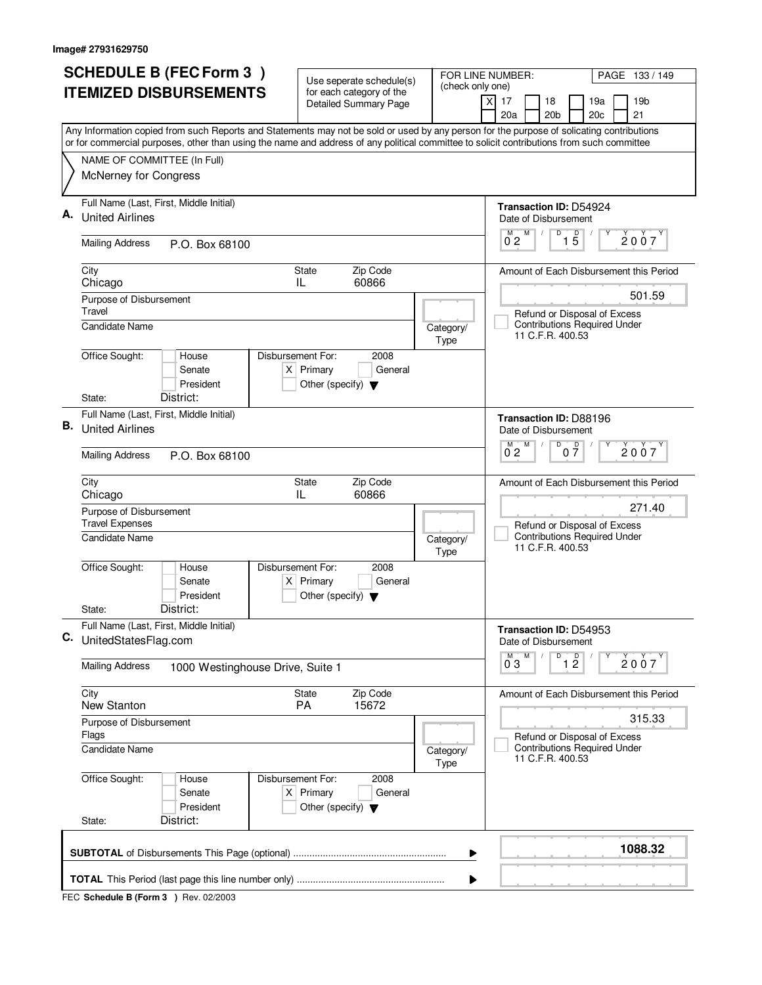| <b>SCHEDULE B (FEC Form 3)</b> |                                                                                                                                                                                                                                                                                        | Use seperate schedule(s)                                               | FOR LINE NUMBER:<br>PAGE 133 / 149<br>(check only one) |                                                                        |  |
|--------------------------------|----------------------------------------------------------------------------------------------------------------------------------------------------------------------------------------------------------------------------------------------------------------------------------------|------------------------------------------------------------------------|--------------------------------------------------------|------------------------------------------------------------------------|--|
|                                | <b>ITEMIZED DISBURSEMENTS</b>                                                                                                                                                                                                                                                          | for each category of the<br><b>Detailed Summary Page</b>               |                                                        | X<br>17<br>18<br>19a<br>19 <sub>b</sub>                                |  |
|                                |                                                                                                                                                                                                                                                                                        |                                                                        |                                                        | 20a<br>20 <sub>b</sub><br>20c<br>21                                    |  |
|                                | Any Information copied from such Reports and Statements may not be sold or used by any person for the purpose of solicating contributions<br>or for commercial purposes, other than using the name and address of any political committee to solicit contributions from such committee |                                                                        |                                                        |                                                                        |  |
|                                | NAME OF COMMITTEE (In Full)                                                                                                                                                                                                                                                            |                                                                        |                                                        |                                                                        |  |
|                                | McNerney for Congress                                                                                                                                                                                                                                                                  |                                                                        |                                                        |                                                                        |  |
| А.                             | Full Name (Last, First, Middle Initial)<br><b>United Airlines</b>                                                                                                                                                                                                                      |                                                                        |                                                        | Transaction ID: D54924<br>Date of Disbursement                         |  |
|                                | <b>Mailing Address</b><br>P.O. Box 68100                                                                                                                                                                                                                                               |                                                                        |                                                        | D<br>$\overline{1\phantom{1}5}$<br>M<br>$0^{M}$ 2<br>2007              |  |
|                                | City<br>Chicago                                                                                                                                                                                                                                                                        | <b>State</b><br>Zip Code<br>60866<br>IL                                |                                                        | Amount of Each Disbursement this Period                                |  |
|                                | Purpose of Disbursement<br>Travel                                                                                                                                                                                                                                                      |                                                                        |                                                        | 501.59<br>Refund or Disposal of Excess                                 |  |
|                                | <b>Candidate Name</b>                                                                                                                                                                                                                                                                  |                                                                        | Category/<br>Type                                      | <b>Contributions Required Under</b><br>11 C.F.R. 400.53                |  |
|                                | Office Sought:<br>Disbursement For:<br>House<br>Senate<br>President                                                                                                                                                                                                                    | 2008<br>$X$ Primary<br>General<br>Other (specify) $\blacktriangledown$ |                                                        |                                                                        |  |
|                                | District:<br>State:                                                                                                                                                                                                                                                                    |                                                                        |                                                        |                                                                        |  |
| В.                             | Full Name (Last, First, Middle Initial)<br><b>United Airlines</b>                                                                                                                                                                                                                      |                                                                        |                                                        | Transaction ID: D88196<br>Date of Disbursement                         |  |
|                                | <b>Mailing Address</b><br>P.O. Box 68100                                                                                                                                                                                                                                               | D<br>M<br>0 <sup>0</sup><br>M<br>2007<br>$0^{\degree}2$                |                                                        |                                                                        |  |
|                                | City<br>Chicago                                                                                                                                                                                                                                                                        | Zip Code<br><b>State</b><br>60866<br>IL                                |                                                        | Amount of Each Disbursement this Period                                |  |
|                                | Purpose of Disbursement<br><b>Travel Expenses</b>                                                                                                                                                                                                                                      |                                                                        | 271.40<br>Refund or Disposal of Excess                 |                                                                        |  |
|                                | <b>Candidate Name</b>                                                                                                                                                                                                                                                                  |                                                                        | Category/<br>Type                                      | <b>Contributions Required Under</b><br>11 C.F.R. 400.53                |  |
|                                | Office Sought:<br>Disbursement For:<br>House<br>Senate<br>President                                                                                                                                                                                                                    | 2008<br>$X$ Primary<br>General<br>Other (specify) $\blacktriangledown$ |                                                        |                                                                        |  |
|                                | District:<br>State:                                                                                                                                                                                                                                                                    |                                                                        |                                                        |                                                                        |  |
| C.                             | Full Name (Last, First, Middle Initial)<br>UnitedStatesFlag.com                                                                                                                                                                                                                        |                                                                        |                                                        | Transaction ID: D54953<br>Date of Disbursement                         |  |
|                                | <b>Mailing Address</b><br>1000 Westinghouse Drive, Suite 1                                                                                                                                                                                                                             |                                                                        |                                                        | M<br>D<br>M<br>$\overline{1}$ $\overline{2}$<br>2007<br>$0^{\degree}3$ |  |
|                                | City<br>New Stanton                                                                                                                                                                                                                                                                    | Zip Code<br>State<br><b>PA</b><br>15672                                |                                                        | Amount of Each Disbursement this Period                                |  |
|                                | Purpose of Disbursement<br>Flags                                                                                                                                                                                                                                                       |                                                                        |                                                        | 315.33<br>Refund or Disposal of Excess                                 |  |
|                                | <b>Candidate Name</b>                                                                                                                                                                                                                                                                  |                                                                        | Category/<br>Type                                      | <b>Contributions Required Under</b><br>11 C.F.R. 400.53                |  |
|                                | Office Sought:<br>Disbursement For:<br>House<br>Senate<br>President                                                                                                                                                                                                                    | 2008<br>$X$ Primary<br>General<br>Other (specify) $\blacktriangledown$ |                                                        |                                                                        |  |
|                                | District:<br>State:                                                                                                                                                                                                                                                                    |                                                                        |                                                        |                                                                        |  |
|                                |                                                                                                                                                                                                                                                                                        |                                                                        | ▶                                                      | 1088.32                                                                |  |
|                                |                                                                                                                                                                                                                                                                                        |                                                                        | ▶                                                      |                                                                        |  |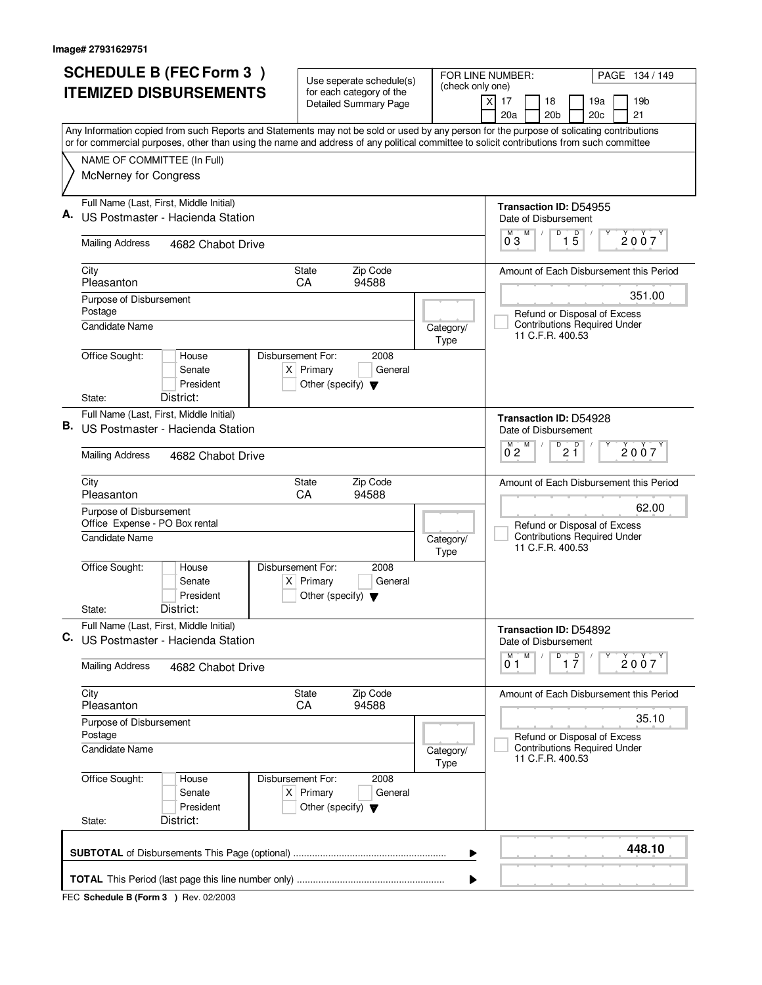| <b>SCHEDULE B (FEC Form 3)</b> |                                                                                                                                                                                                                                                                                        | Use seperate schedule(s)<br>for each category of the<br>Detailed Summary Page               | FOR LINE NUMBER:                                                                        | PAGE 134 / 149                                             |
|--------------------------------|----------------------------------------------------------------------------------------------------------------------------------------------------------------------------------------------------------------------------------------------------------------------------------------|---------------------------------------------------------------------------------------------|-----------------------------------------------------------------------------------------|------------------------------------------------------------|
| <b>ITEMIZED DISBURSEMENTS</b>  |                                                                                                                                                                                                                                                                                        |                                                                                             | (check only one)                                                                        | $\boldsymbol{\mathsf{X}}$<br>17<br>18<br>19b<br>19a        |
|                                |                                                                                                                                                                                                                                                                                        |                                                                                             |                                                                                         | 20a<br>21<br>20 <sub>b</sub><br>20c                        |
|                                | Any Information copied from such Reports and Statements may not be sold or used by any person for the purpose of solicating contributions<br>or for commercial purposes, other than using the name and address of any political committee to solicit contributions from such committee |                                                                                             |                                                                                         |                                                            |
|                                | NAME OF COMMITTEE (In Full)                                                                                                                                                                                                                                                            |                                                                                             |                                                                                         |                                                            |
|                                | McNerney for Congress                                                                                                                                                                                                                                                                  |                                                                                             |                                                                                         |                                                            |
|                                | Full Name (Last, First, Middle Initial)                                                                                                                                                                                                                                                |                                                                                             |                                                                                         | Transaction ID: D54955                                     |
|                                | US Postmaster - Hacienda Station                                                                                                                                                                                                                                                       |                                                                                             |                                                                                         | Date of Disbursement<br>D<br>M                             |
|                                | <b>Mailing Address</b><br>4682 Chabot Drive                                                                                                                                                                                                                                            |                                                                                             |                                                                                         | $\overline{1\,5}$<br>$\overline{0}^M$ 3<br>2007            |
|                                | City<br>Pleasanton                                                                                                                                                                                                                                                                     | Zip Code<br>State<br>CA<br>94588                                                            |                                                                                         | Amount of Each Disbursement this Period                    |
|                                | Purpose of Disbursement                                                                                                                                                                                                                                                                |                                                                                             |                                                                                         | 351.00                                                     |
|                                | Postage                                                                                                                                                                                                                                                                                |                                                                                             |                                                                                         | Refund or Disposal of Excess                               |
|                                | <b>Candidate Name</b>                                                                                                                                                                                                                                                                  |                                                                                             | Category/<br>Type                                                                       | <b>Contributions Required Under</b><br>11 C.F.R. 400.53    |
|                                | Office Sought:<br>House                                                                                                                                                                                                                                                                | Disbursement For:<br>2008                                                                   |                                                                                         |                                                            |
|                                | Senate<br>President                                                                                                                                                                                                                                                                    | $X$ Primary<br>General<br>Other (specify) $\blacktriangledown$                              |                                                                                         |                                                            |
|                                | District:<br>State:                                                                                                                                                                                                                                                                    |                                                                                             |                                                                                         |                                                            |
|                                | Full Name (Last, First, Middle Initial)                                                                                                                                                                                                                                                |                                                                                             |                                                                                         | Transaction ID: D54928                                     |
| В.                             | US Postmaster - Hacienda Station                                                                                                                                                                                                                                                       | Date of Disbursement                                                                        |                                                                                         |                                                            |
|                                | <b>Mailing Address</b><br>4682 Chabot Drive                                                                                                                                                                                                                                            | D<br>D<br>M<br>2007<br>0 <sub>2</sub><br>21                                                 |                                                                                         |                                                            |
|                                | City<br>Pleasanton                                                                                                                                                                                                                                                                     | Zip Code<br><b>State</b><br><b>CA</b><br>94588                                              |                                                                                         | Amount of Each Disbursement this Period                    |
|                                | Purpose of Disbursement<br>Office Expense - PO Box rental                                                                                                                                                                                                                              |                                                                                             | 62.00                                                                                   |                                                            |
|                                | <b>Candidate Name</b>                                                                                                                                                                                                                                                                  | Category/<br>Type                                                                           | Refund or Disposal of Excess<br><b>Contributions Required Under</b><br>11 C.F.R. 400.53 |                                                            |
|                                | Office Sought:<br>House<br>Senate<br>President                                                                                                                                                                                                                                         | Disbursement For:<br>2008<br>$X$ Primary<br>General<br>Other (specify) $\blacktriangledown$ |                                                                                         |                                                            |
|                                | District:<br>State:                                                                                                                                                                                                                                                                    |                                                                                             |                                                                                         |                                                            |
|                                | Full Name (Last, First, Middle Initial)<br>C. US Postmaster - Hacienda Station                                                                                                                                                                                                         |                                                                                             |                                                                                         | Transaction ID: D54892<br>Date of Disbursement             |
|                                | <b>Mailing Address</b><br>4682 Chabot Drive                                                                                                                                                                                                                                            |                                                                                             |                                                                                         | D<br>M<br>М<br>$\overline{1}$ $\overline{7}$<br>2007<br>01 |
|                                | City<br>Pleasanton                                                                                                                                                                                                                                                                     | Zip Code<br>State<br>CA<br>94588                                                            |                                                                                         | Amount of Each Disbursement this Period                    |
|                                | Purpose of Disbursement<br>Postage                                                                                                                                                                                                                                                     |                                                                                             | 35.10<br>Refund or Disposal of Excess                                                   |                                                            |
|                                | Candidate Name                                                                                                                                                                                                                                                                         |                                                                                             | Category/<br>Type                                                                       | <b>Contributions Required Under</b><br>11 C.F.R. 400.53    |
|                                | Office Sought:<br>House<br>Senate<br>President                                                                                                                                                                                                                                         | Disbursement For:<br>2008<br>$X$ Primary<br>General<br>Other (specify) $\blacktriangledown$ |                                                                                         |                                                            |
|                                | District:<br>State:                                                                                                                                                                                                                                                                    |                                                                                             |                                                                                         |                                                            |
|                                |                                                                                                                                                                                                                                                                                        |                                                                                             | ▶                                                                                       | 448.10                                                     |
|                                |                                                                                                                                                                                                                                                                                        |                                                                                             | ▶                                                                                       |                                                            |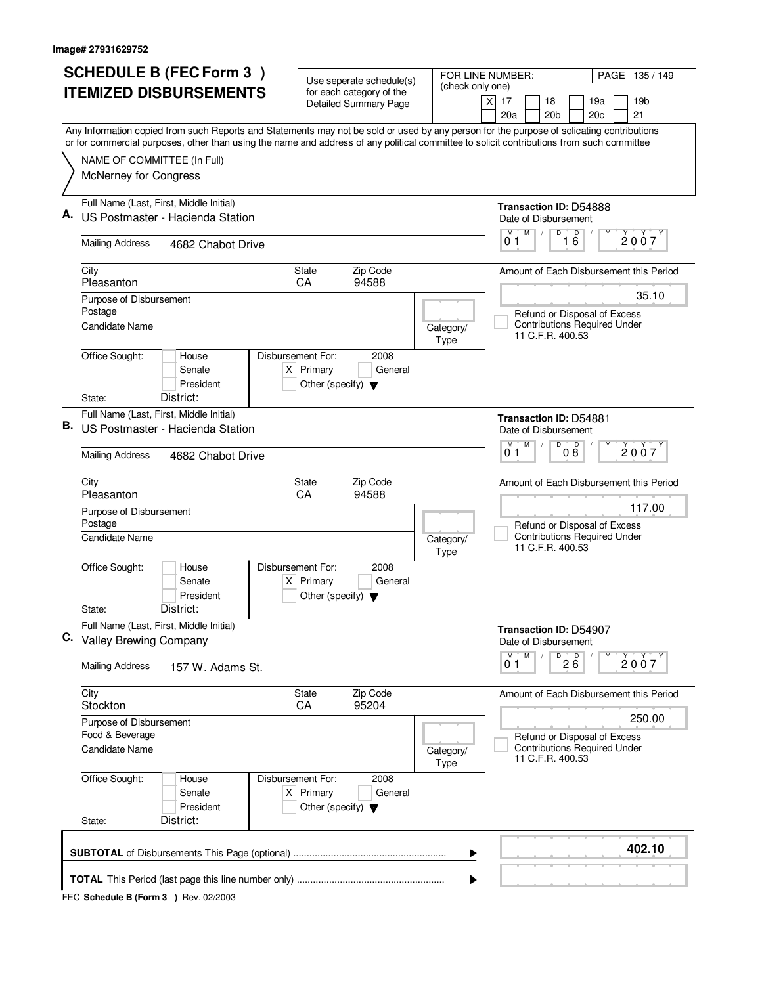| <b>SCHEDULE B (FEC Form 3)</b> |                                                                                                                                           | Use seperate schedule(s)                                       |                              | FOR LINE NUMBER:<br>PAGE 135/149                        |  |  |  |
|--------------------------------|-------------------------------------------------------------------------------------------------------------------------------------------|----------------------------------------------------------------|------------------------------|---------------------------------------------------------|--|--|--|
| <b>ITEMIZED DISBURSEMENTS</b>  |                                                                                                                                           | for each category of the                                       | (check only one)             | 17<br>18<br>19a<br>19 <sub>b</sub><br>X                 |  |  |  |
|                                |                                                                                                                                           | <b>Detailed Summary Page</b>                                   |                              | 20a<br>20 <sub>b</sub><br>20c<br>21                     |  |  |  |
|                                | Any Information copied from such Reports and Statements may not be sold or used by any person for the purpose of solicating contributions |                                                                |                              |                                                         |  |  |  |
|                                | or for commercial purposes, other than using the name and address of any political committee to solicit contributions from such committee |                                                                |                              |                                                         |  |  |  |
|                                | NAME OF COMMITTEE (In Full)                                                                                                               |                                                                |                              |                                                         |  |  |  |
|                                | McNerney for Congress                                                                                                                     |                                                                |                              |                                                         |  |  |  |
|                                | Full Name (Last, First, Middle Initial)                                                                                                   |                                                                |                              | Transaction ID: D54888                                  |  |  |  |
|                                | US Postmaster - Hacienda Station                                                                                                          |                                                                |                              | Date of Disbursement                                    |  |  |  |
|                                | <b>Mailing Address</b><br>4682 Chabot Drive                                                                                               |                                                                |                              | M<br>D<br>M<br>$\overline{16}$<br>2007<br>01            |  |  |  |
|                                | City                                                                                                                                      | Zip Code<br>State                                              |                              | Amount of Each Disbursement this Period                 |  |  |  |
|                                | Pleasanton                                                                                                                                | CA<br>94588                                                    |                              | 35.10                                                   |  |  |  |
|                                | Purpose of Disbursement<br>Postage                                                                                                        |                                                                |                              | Refund or Disposal of Excess                            |  |  |  |
|                                | Candidate Name                                                                                                                            |                                                                | Category/                    | <b>Contributions Required Under</b>                     |  |  |  |
|                                |                                                                                                                                           |                                                                | Type                         | 11 C.F.R. 400.53                                        |  |  |  |
|                                | Office Sought:<br>Disbursement For:<br>House<br>Senate                                                                                    | 2008<br>$X$ Primary<br>General                                 |                              |                                                         |  |  |  |
|                                | President                                                                                                                                 | Other (specify) $\blacktriangledown$                           |                              |                                                         |  |  |  |
|                                | District:<br>State:                                                                                                                       |                                                                |                              |                                                         |  |  |  |
|                                | Full Name (Last, First, Middle Initial)                                                                                                   |                                                                |                              | <b>Transaction ID: D54881</b>                           |  |  |  |
| В.                             | US Postmaster - Hacienda Station                                                                                                          | Date of Disbursement                                           |                              |                                                         |  |  |  |
|                                | <b>Mailing Address</b><br>4682 Chabot Drive                                                                                               | D<br>M<br>D<br>M<br>2007<br>08<br>01                           |                              |                                                         |  |  |  |
|                                | City                                                                                                                                      | Zip Code<br>State<br>CA<br>94588                               |                              | Amount of Each Disbursement this Period                 |  |  |  |
|                                | Pleasanton                                                                                                                                |                                                                | 117.00                       |                                                         |  |  |  |
|                                | Purpose of Disbursement<br>Postage                                                                                                        |                                                                | Refund or Disposal of Excess |                                                         |  |  |  |
|                                | <b>Candidate Name</b>                                                                                                                     |                                                                | Category/<br>Type            | <b>Contributions Required Under</b><br>11 C.F.R. 400.53 |  |  |  |
|                                | Office Sought:<br>Disbursement For:<br>House                                                                                              | 2008                                                           |                              |                                                         |  |  |  |
|                                | Senate<br>President                                                                                                                       | $X$ Primary<br>General<br>Other (specify) $\blacktriangledown$ |                              |                                                         |  |  |  |
|                                | District:<br>State:                                                                                                                       |                                                                |                              |                                                         |  |  |  |
|                                | Full Name (Last, First, Middle Initial)                                                                                                   |                                                                |                              | Transaction ID: D54907                                  |  |  |  |
|                                | C. Valley Brewing Company                                                                                                                 |                                                                |                              | Date of Disbursement                                    |  |  |  |
|                                | <b>Mailing Address</b><br>157 W. Adams St.                                                                                                |                                                                |                              | D<br>M<br>М<br>$2\overline{6}$<br>2007<br>01            |  |  |  |
|                                | City                                                                                                                                      | Zip Code<br>State                                              |                              | Amount of Each Disbursement this Period                 |  |  |  |
|                                | Stockton                                                                                                                                  | CA<br>95204                                                    |                              | 250.00                                                  |  |  |  |
|                                | Purpose of Disbursement<br>Food & Beverage                                                                                                |                                                                | Refund or Disposal of Excess |                                                         |  |  |  |
|                                | <b>Candidate Name</b>                                                                                                                     |                                                                | Category/<br>Type            | <b>Contributions Required Under</b><br>11 C.F.R. 400.53 |  |  |  |
|                                | Office Sought:<br>House<br>Senate                                                                                                         | 2008<br>Disbursement For:<br>$X$ Primary<br>General            |                              |                                                         |  |  |  |
|                                | President<br>District:<br>State:                                                                                                          | Other (specify) $\blacktriangledown$                           |                              |                                                         |  |  |  |
|                                |                                                                                                                                           |                                                                |                              |                                                         |  |  |  |
|                                |                                                                                                                                           |                                                                | ▶                            | 402.10                                                  |  |  |  |
|                                | ▶                                                                                                                                         |                                                                |                              |                                                         |  |  |  |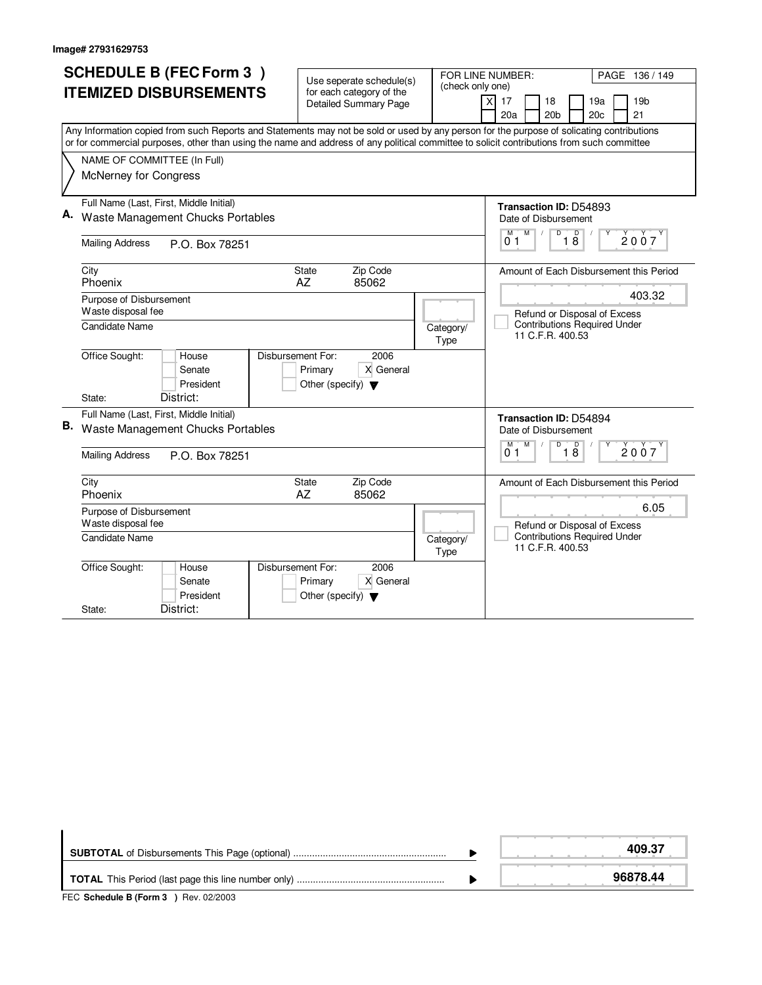|                               | <b>SCHEDULE B (FEC Form 3)</b>                                               |                                         |                                                      |                                      | FOR LINE NUMBER:<br>PAGE 136 / 149                                  |                                                                                                                                                                                                                                                                                        |
|-------------------------------|------------------------------------------------------------------------------|-----------------------------------------|------------------------------------------------------|--------------------------------------|---------------------------------------------------------------------|----------------------------------------------------------------------------------------------------------------------------------------------------------------------------------------------------------------------------------------------------------------------------------------|
| <b>ITEMIZED DISBURSEMENTS</b> |                                                                              |                                         | Use seperate schedule(s)<br>for each category of the |                                      | (check only one)                                                    |                                                                                                                                                                                                                                                                                        |
|                               |                                                                              |                                         |                                                      | <b>Detailed Summary Page</b>         |                                                                     | 19 <sub>b</sub><br>X<br>17<br>18<br>19a                                                                                                                                                                                                                                                |
|                               |                                                                              |                                         |                                                      |                                      |                                                                     | 20 <sub>b</sub><br>20 <sub>c</sub><br>21<br>20a                                                                                                                                                                                                                                        |
|                               |                                                                              |                                         |                                                      |                                      |                                                                     | Any Information copied from such Reports and Statements may not be sold or used by any person for the purpose of solicating contributions<br>or for commercial purposes, other than using the name and address of any political committee to solicit contributions from such committee |
|                               | NAME OF COMMITTEE (In Full)                                                  |                                         |                                                      |                                      |                                                                     |                                                                                                                                                                                                                                                                                        |
|                               | McNerney for Congress                                                        |                                         |                                                      |                                      |                                                                     |                                                                                                                                                                                                                                                                                        |
|                               |                                                                              |                                         |                                                      |                                      |                                                                     |                                                                                                                                                                                                                                                                                        |
|                               |                                                                              | Full Name (Last, First, Middle Initial) |                                                      |                                      |                                                                     | <b>Transaction ID: D54893</b>                                                                                                                                                                                                                                                          |
|                               |                                                                              | Waste Management Chucks Portables       |                                                      |                                      |                                                                     | Date of Disbursement                                                                                                                                                                                                                                                                   |
|                               |                                                                              |                                         |                                                      |                                      |                                                                     | $\overline{D}$<br>M<br>$\overline{18}$<br>M<br>2007<br>0 <sub>1</sub>                                                                                                                                                                                                                  |
|                               | <b>Mailing Address</b>                                                       | P.O. Box 78251                          |                                                      |                                      |                                                                     |                                                                                                                                                                                                                                                                                        |
|                               | City                                                                         |                                         | <b>State</b>                                         | Zip Code                             |                                                                     | Amount of Each Disbursement this Period                                                                                                                                                                                                                                                |
|                               | Phoenix                                                                      |                                         | AZ                                                   | 85062                                |                                                                     |                                                                                                                                                                                                                                                                                        |
|                               | Purpose of Disbursement                                                      |                                         |                                                      |                                      |                                                                     | 403.32                                                                                                                                                                                                                                                                                 |
|                               | Waste disposal fee                                                           |                                         |                                                      |                                      |                                                                     | Refund or Disposal of Excess                                                                                                                                                                                                                                                           |
|                               | <b>Candidate Name</b>                                                        |                                         |                                                      |                                      | Category/<br>Type                                                   | <b>Contributions Required Under</b><br>11 C.F.R. 400.53                                                                                                                                                                                                                                |
|                               | Office Sought:                                                               | House                                   | Disbursement For:                                    | 2006                                 |                                                                     |                                                                                                                                                                                                                                                                                        |
|                               |                                                                              | Senate                                  | Primary                                              | X General                            |                                                                     |                                                                                                                                                                                                                                                                                        |
|                               | State:                                                                       | President<br>District:                  |                                                      | Other (specify) $\blacktriangledown$ |                                                                     |                                                                                                                                                                                                                                                                                        |
|                               |                                                                              |                                         |                                                      |                                      |                                                                     |                                                                                                                                                                                                                                                                                        |
| В.                            | Full Name (Last, First, Middle Initial)<br>Waste Management Chucks Portables |                                         |                                                      |                                      |                                                                     | Transaction ID: D54894<br>Date of Disbursement                                                                                                                                                                                                                                         |
|                               |                                                                              |                                         |                                                      |                                      |                                                                     | $\overline{D}$<br>$\overline{D}$<br>M<br>м                                                                                                                                                                                                                                             |
|                               | <b>Mailing Address</b><br>P.O. Box 78251                                     |                                         |                                                      |                                      |                                                                     | 2007<br>18<br>01                                                                                                                                                                                                                                                                       |
|                               | City                                                                         |                                         | <b>State</b>                                         | Zip Code                             |                                                                     | Amount of Each Disbursement this Period                                                                                                                                                                                                                                                |
|                               | Phoenix                                                                      |                                         | AZ                                                   | 85062                                |                                                                     |                                                                                                                                                                                                                                                                                        |
|                               | Purpose of Disbursement                                                      |                                         |                                                      |                                      |                                                                     | 6.05                                                                                                                                                                                                                                                                                   |
|                               | Waste disposal fee                                                           |                                         |                                                      | Category/                            | Refund or Disposal of Excess<br><b>Contributions Required Under</b> |                                                                                                                                                                                                                                                                                        |
|                               | <b>Candidate Name</b>                                                        |                                         |                                                      |                                      |                                                                     | 11 C.F.R. 400.53                                                                                                                                                                                                                                                                       |
|                               | Office Sought:                                                               | House                                   | Disbursement For:                                    | 2006                                 |                                                                     |                                                                                                                                                                                                                                                                                        |
|                               |                                                                              | Senate                                  | Primary                                              | X General                            |                                                                     |                                                                                                                                                                                                                                                                                        |
|                               |                                                                              | President<br>District:                  |                                                      | Other (specify) $\blacktriangledown$ |                                                                     |                                                                                                                                                                                                                                                                                        |
|                               | State:                                                                       |                                         |                                                      |                                      |                                                                     |                                                                                                                                                                                                                                                                                        |

|                                                                         | 409.37   |
|-------------------------------------------------------------------------|----------|
| $FFA$ , $A + I + J + R$ , $F + \ldots$ , $A + R + \ldots$ , $A + R + R$ | 96878.44 |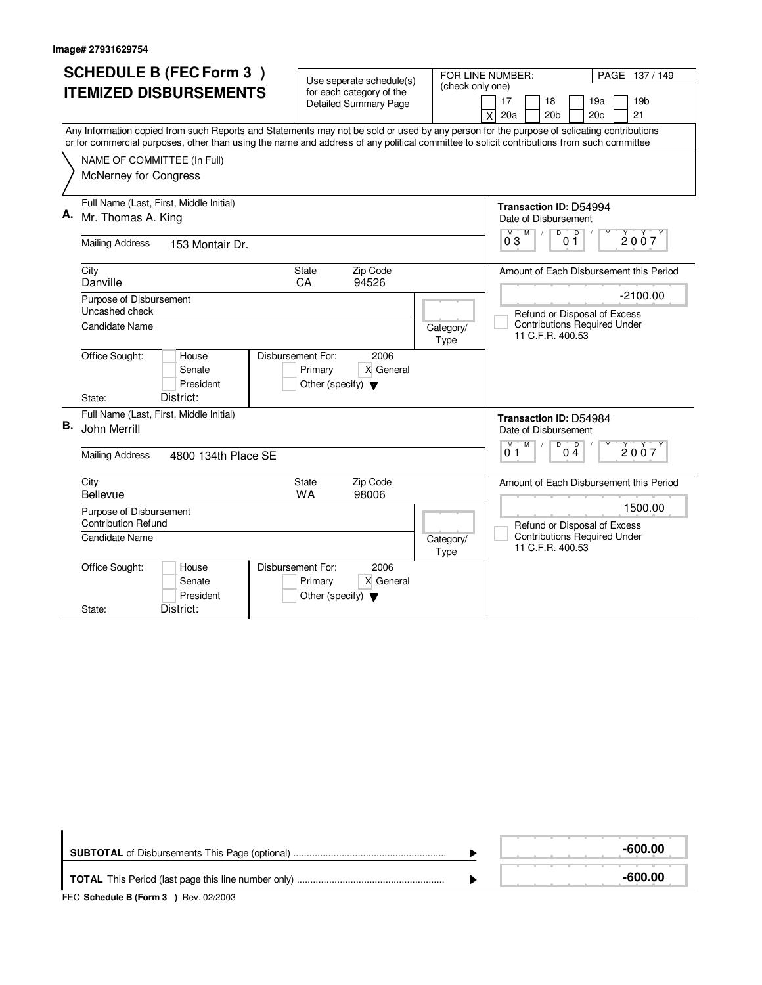|    |                               | <b>SCHEDULE B (FEC Form 3)</b>          |                                      |                                                                            |                   | FOR LINE NUMBER:<br>PAGE 137/149                                                                                                          |
|----|-------------------------------|-----------------------------------------|--------------------------------------|----------------------------------------------------------------------------|-------------------|-------------------------------------------------------------------------------------------------------------------------------------------|
|    | <b>ITEMIZED DISBURSEMENTS</b> |                                         |                                      | Use seperate schedule(s)                                                   |                   | (check only one)                                                                                                                          |
|    |                               |                                         |                                      | for each category of the<br><b>Detailed Summary Page</b>                   |                   | 19 <sub>b</sub><br>17<br>18<br>19a                                                                                                        |
|    |                               |                                         |                                      |                                                                            |                   | 20 <sub>b</sub><br>20c<br>21<br>20a<br>X                                                                                                  |
|    |                               |                                         |                                      |                                                                            |                   | Any Information copied from such Reports and Statements may not be sold or used by any person for the purpose of solicating contributions |
|    |                               |                                         |                                      |                                                                            |                   | or for commercial purposes, other than using the name and address of any political committee to solicit contributions from such committee |
|    | NAME OF COMMITTEE (In Full)   |                                         |                                      |                                                                            |                   |                                                                                                                                           |
|    | McNerney for Congress         |                                         |                                      |                                                                            |                   |                                                                                                                                           |
|    |                               |                                         |                                      |                                                                            |                   |                                                                                                                                           |
| А. |                               | Full Name (Last, First, Middle Initial) |                                      |                                                                            |                   | Transaction ID: D54994                                                                                                                    |
|    | Mr. Thomas A. King            |                                         |                                      |                                                                            |                   | Date of Disbursement                                                                                                                      |
|    | <b>Mailing Address</b>        | 153 Montair Dr.                         |                                      |                                                                            |                   | D<br>0 <sup>0</sup><br>M<br>2007<br>$0^{\circ}3$                                                                                          |
|    |                               |                                         |                                      |                                                                            |                   |                                                                                                                                           |
|    | City                          |                                         | <b>State</b>                         | Zip Code                                                                   |                   | Amount of Each Disbursement this Period                                                                                                   |
|    | Danville                      |                                         | CA                                   | 94526                                                                      |                   |                                                                                                                                           |
|    | Purpose of Disbursement       |                                         |                                      |                                                                            |                   | $-2100.00$                                                                                                                                |
|    | Uncashed check                |                                         |                                      |                                                                            |                   | Refund or Disposal of Excess                                                                                                              |
|    | Candidate Name                |                                         |                                      |                                                                            | Category/<br>Type | <b>Contributions Required Under</b><br>11 C.F.R. 400.53                                                                                   |
|    | Office Sought:                | House                                   | Disbursement For:                    | 2006                                                                       |                   |                                                                                                                                           |
|    |                               | Senate                                  | Primary                              | X General                                                                  |                   |                                                                                                                                           |
|    |                               | President<br>District:                  | Other (specify) $\blacktriangledown$ |                                                                            |                   |                                                                                                                                           |
|    | State:                        |                                         |                                      |                                                                            |                   |                                                                                                                                           |
| В. |                               | Full Name (Last, First, Middle Initial) |                                      | <b>Transaction ID: D54984</b>                                              |                   |                                                                                                                                           |
|    | John Merrill                  |                                         |                                      | Date of Disbursement                                                       |                   |                                                                                                                                           |
|    | <b>Mailing Address</b>        | 4800 134th Place SE                     |                                      | $\overline{D}$<br>$\overline{D}$<br>M<br>M<br>2007<br>0 <sub>4</sub><br>01 |                   |                                                                                                                                           |
|    | City                          |                                         | State                                | Zip Code                                                                   |                   | Amount of Each Disbursement this Period                                                                                                   |
|    | Bellevue                      |                                         | <b>WA</b>                            | 98006                                                                      |                   |                                                                                                                                           |
|    | Purpose of Disbursement       |                                         |                                      |                                                                            |                   | 1500.00                                                                                                                                   |
|    | <b>Contribution Refund</b>    |                                         |                                      |                                                                            |                   | Refund or Disposal of Excess<br><b>Contributions Required Under</b>                                                                       |
|    | Candidate Name                |                                         |                                      | Category/<br>Type                                                          |                   | 11 C.F.R. 400.53                                                                                                                          |
|    | Office Sought:                | House                                   | Disbursement For:                    | 2006                                                                       |                   |                                                                                                                                           |
|    |                               | Senate                                  | Primary                              | X General                                                                  |                   |                                                                                                                                           |
|    |                               | President                               | Other (specify) $\blacktriangledown$ |                                                                            |                   |                                                                                                                                           |
|    | State:                        | District:                               |                                      |                                                                            |                   |                                                                                                                                           |

|                | -600.00 |
|----------------|---------|
|                | -600.00 |
| $\blacksquare$ |         |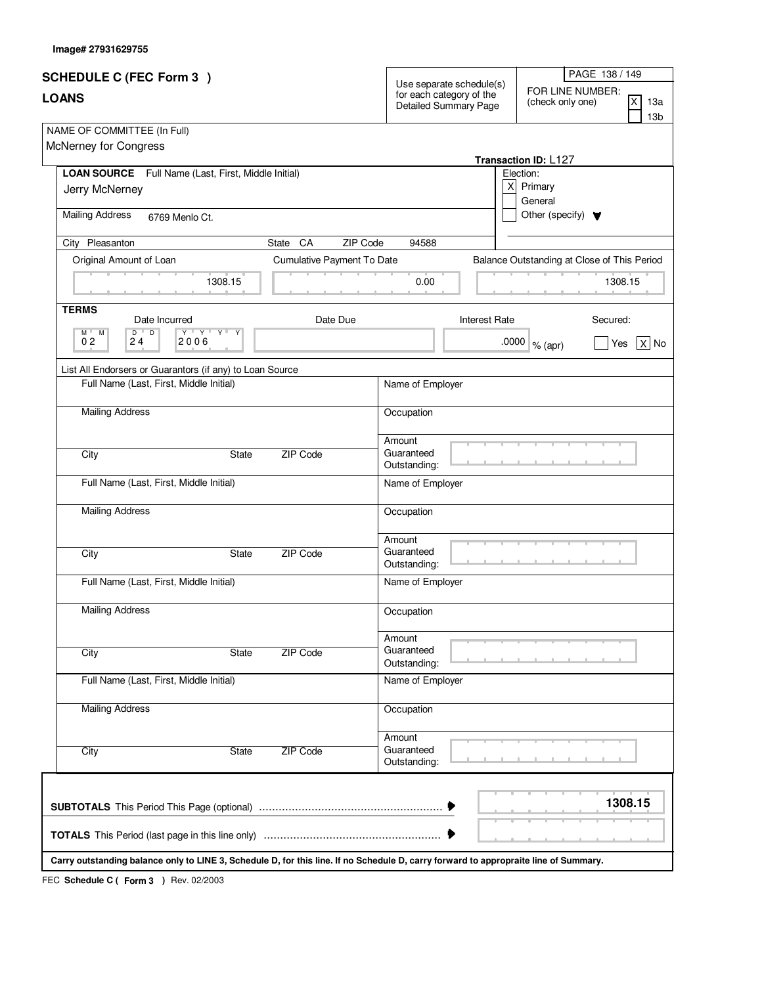| Image# 27931629755 |  |
|--------------------|--|
|                    |  |

| <b>SCHEDULE C (FEC Form 3)</b>                                                                                                                    |                            | Use separate schedule(s)                          | PAGE 138 / 149                                                       |
|---------------------------------------------------------------------------------------------------------------------------------------------------|----------------------------|---------------------------------------------------|----------------------------------------------------------------------|
| <b>LOANS</b>                                                                                                                                      |                            | for each category of the<br>Detailed Summary Page | FOR LINE NUMBER:<br>ΙX<br>(check only one)<br>13a<br>13 <sub>b</sub> |
| NAME OF COMMITTEE (In Full)<br>McNerney for Congress                                                                                              |                            |                                                   | Transaction ID: L127                                                 |
| LOAN SOURCE Full Name (Last, First, Middle Initial)                                                                                               |                            |                                                   | Election:                                                            |
| Jerry McNerney                                                                                                                                    |                            |                                                   | x<br>Primary<br>General                                              |
| <b>Mailing Address</b><br>6769 Menlo Ct.                                                                                                          |                            |                                                   | Other (specify) $\blacktriangledown$                                 |
| City Pleasanton                                                                                                                                   | ZIP Code<br>CA<br>State    | 94588                                             |                                                                      |
| Original Amount of Loan                                                                                                                           | Cumulative Payment To Date |                                                   | Balance Outstanding at Close of This Period                          |
| 1308.15                                                                                                                                           |                            | 0.00                                              | 1308.15                                                              |
| <b>TERMS</b><br>Date Incurred                                                                                                                     | Date Due                   | <b>Interest Rate</b>                              | Secured:                                                             |
| $\mathsf{Y} \perp \mathsf{A} \perp \mathsf{A} \perp$<br>$M$ <sup><math>\parallel</math></sup><br>D<br>D<br>Y<br>M<br>0 <sub>2</sub><br>2006<br>24 |                            |                                                   | .0000<br>Yes<br>$ X $ No<br>% (apr)                                  |
| List All Endorsers or Guarantors (if any) to Loan Source                                                                                          |                            |                                                   |                                                                      |
| Full Name (Last, First, Middle Initial)                                                                                                           |                            | Name of Employer                                  |                                                                      |
| <b>Mailing Address</b>                                                                                                                            |                            | Occupation                                        |                                                                      |
| City<br>State                                                                                                                                     | ZIP Code                   | Amount<br>Guaranteed<br>Outstanding:              |                                                                      |
| Full Name (Last, First, Middle Initial)                                                                                                           |                            | Name of Employer                                  |                                                                      |
| <b>Mailing Address</b>                                                                                                                            |                            | Occupation                                        |                                                                      |
| City<br>State                                                                                                                                     | ZIP Code                   | Amount<br>Guaranteed<br>Outstanding:              |                                                                      |
| Full Name (Last, First, Middle Initial)                                                                                                           |                            | Name of Employer                                  |                                                                      |
| <b>Mailing Address</b>                                                                                                                            |                            | Occupation                                        |                                                                      |
| City<br>State                                                                                                                                     | <b>ZIP Code</b>            | Amount<br>Guaranteed<br>Outstanding:              |                                                                      |
| Full Name (Last, First, Middle Initial)                                                                                                           |                            | Name of Employer                                  |                                                                      |
| <b>Mailing Address</b>                                                                                                                            |                            | Occupation                                        |                                                                      |
| City<br>State                                                                                                                                     | <b>ZIP Code</b>            | Amount<br>Guaranteed<br>Outstanding:              |                                                                      |
|                                                                                                                                                   |                            |                                                   | 1308.15                                                              |
|                                                                                                                                                   |                            |                                                   |                                                                      |
| Carry outstanding balance only to LINE 3, Schedule D, for this line. If no Schedule D, carry forward to appropraite line of Summary.              |                            |                                                   |                                                                      |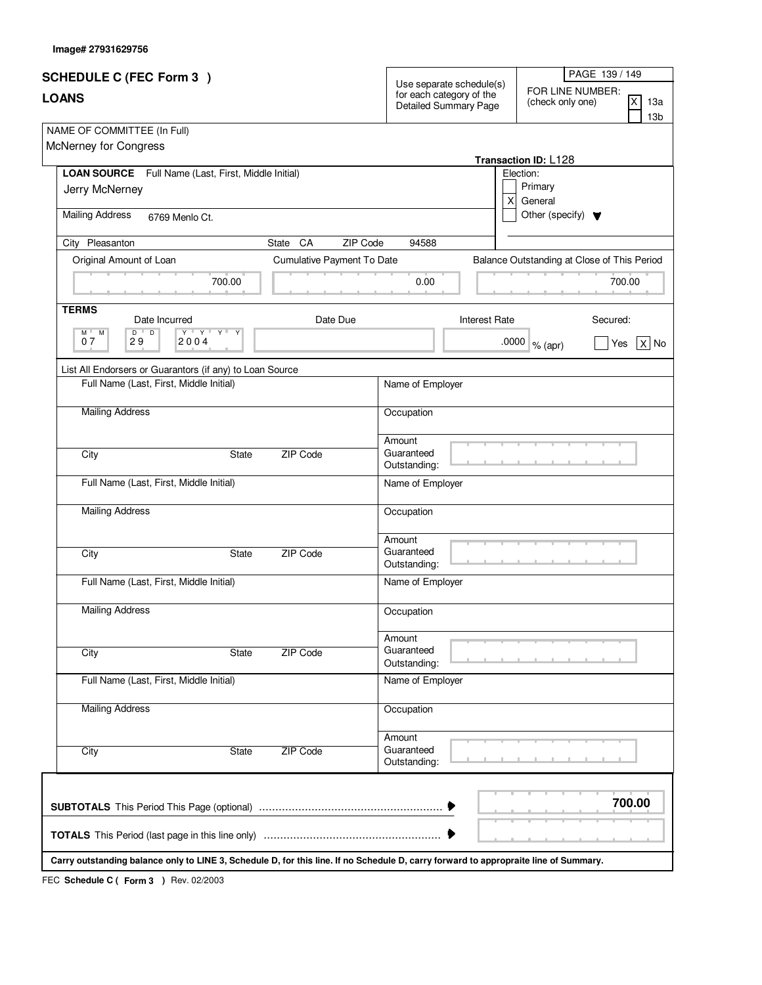| Image# 27931629756 |  |
|--------------------|--|
|                    |  |

| <b>SCHEDULE C (FEC Form 3)</b>                                                                                                       |                                                                    |                            |                                                                                                                             |                      |                                      | PAGE 139 / 149                              |
|--------------------------------------------------------------------------------------------------------------------------------------|--------------------------------------------------------------------|----------------------------|-----------------------------------------------------------------------------------------------------------------------------|----------------------|--------------------------------------|---------------------------------------------|
| <b>LOANS</b>                                                                                                                         |                                                                    |                            | Use separate schedule(s)<br>FOR LINE NUMBER:<br>for each category of the<br> x<br>(check only one)<br>Detailed Summary Page |                      |                                      | 13a<br>13 <sub>b</sub>                      |
| NAME OF COMMITTEE (In Full)<br>McNerney for Congress                                                                                 |                                                                    |                            |                                                                                                                             |                      | Transaction ID: L128                 |                                             |
| LOAN SOURCE Full Name (Last, First, Middle Initial)                                                                                  |                                                                    |                            |                                                                                                                             |                      | Election:                            |                                             |
| Jerry McNerney                                                                                                                       |                                                                    |                            |                                                                                                                             | x                    | Primary<br>General                   |                                             |
| <b>Mailing Address</b><br>6769 Menlo Ct.                                                                                             |                                                                    |                            |                                                                                                                             |                      | Other (specify) $\blacktriangledown$ |                                             |
| City Pleasanton                                                                                                                      |                                                                    | CA<br>ZIP Code<br>State    | 94588                                                                                                                       |                      |                                      |                                             |
| Original Amount of Loan                                                                                                              |                                                                    | Cumulative Payment To Date |                                                                                                                             |                      |                                      | Balance Outstanding at Close of This Period |
|                                                                                                                                      | 700.00                                                             |                            | 0.00                                                                                                                        |                      |                                      | 700.00                                      |
| <b>TERMS</b><br>Date Incurred                                                                                                        |                                                                    | Date Due                   |                                                                                                                             | <b>Interest Rate</b> |                                      | Secured:                                    |
| $\overline{D}$<br>$M^{\top}$<br>D<br>M<br>07<br>2004<br>29                                                                           | $\mathsf{Y} \dashv \mathsf{Y} \dashv \mathsf{Y} \dashv \mathsf{Y}$ |                            |                                                                                                                             | .0000                | $%$ (apr)                            | $X$ No<br>Yes                               |
| List All Endorsers or Guarantors (if any) to Loan Source                                                                             |                                                                    |                            |                                                                                                                             |                      |                                      |                                             |
| Full Name (Last, First, Middle Initial)                                                                                              |                                                                    |                            | Name of Employer                                                                                                            |                      |                                      |                                             |
| <b>Mailing Address</b>                                                                                                               |                                                                    |                            | Occupation                                                                                                                  |                      |                                      |                                             |
| City                                                                                                                                 | State                                                              | ZIP Code                   | Amount<br>Guaranteed<br>Outstanding:                                                                                        |                      |                                      |                                             |
| Full Name (Last, First, Middle Initial)                                                                                              |                                                                    |                            | Name of Employer                                                                                                            |                      |                                      |                                             |
| <b>Mailing Address</b>                                                                                                               |                                                                    |                            | Occupation                                                                                                                  |                      |                                      |                                             |
| City                                                                                                                                 | State                                                              | ZIP Code                   | Amount<br>Guaranteed<br>Outstanding:                                                                                        |                      |                                      |                                             |
| Full Name (Last, First, Middle Initial)                                                                                              |                                                                    |                            | Name of Employer                                                                                                            |                      |                                      |                                             |
| <b>Mailing Address</b>                                                                                                               |                                                                    |                            | Occupation                                                                                                                  |                      |                                      |                                             |
| City                                                                                                                                 | State                                                              | ZIP Code                   | Amount<br>Guaranteed<br>Outstanding:                                                                                        |                      |                                      |                                             |
| Full Name (Last, First, Middle Initial)                                                                                              |                                                                    |                            | Name of Employer                                                                                                            |                      |                                      |                                             |
| <b>Mailing Address</b>                                                                                                               |                                                                    |                            | Occupation                                                                                                                  |                      |                                      |                                             |
| City                                                                                                                                 | State                                                              | ZIP Code                   | Amount<br>Guaranteed<br>Outstanding:                                                                                        |                      |                                      |                                             |
|                                                                                                                                      |                                                                    |                            |                                                                                                                             |                      |                                      | 700.00                                      |
|                                                                                                                                      |                                                                    |                            |                                                                                                                             |                      |                                      |                                             |
| Carry outstanding balance only to LINE 3, Schedule D, for this line. If no Schedule D, carry forward to appropraite line of Summary. |                                                                    |                            |                                                                                                                             |                      |                                      |                                             |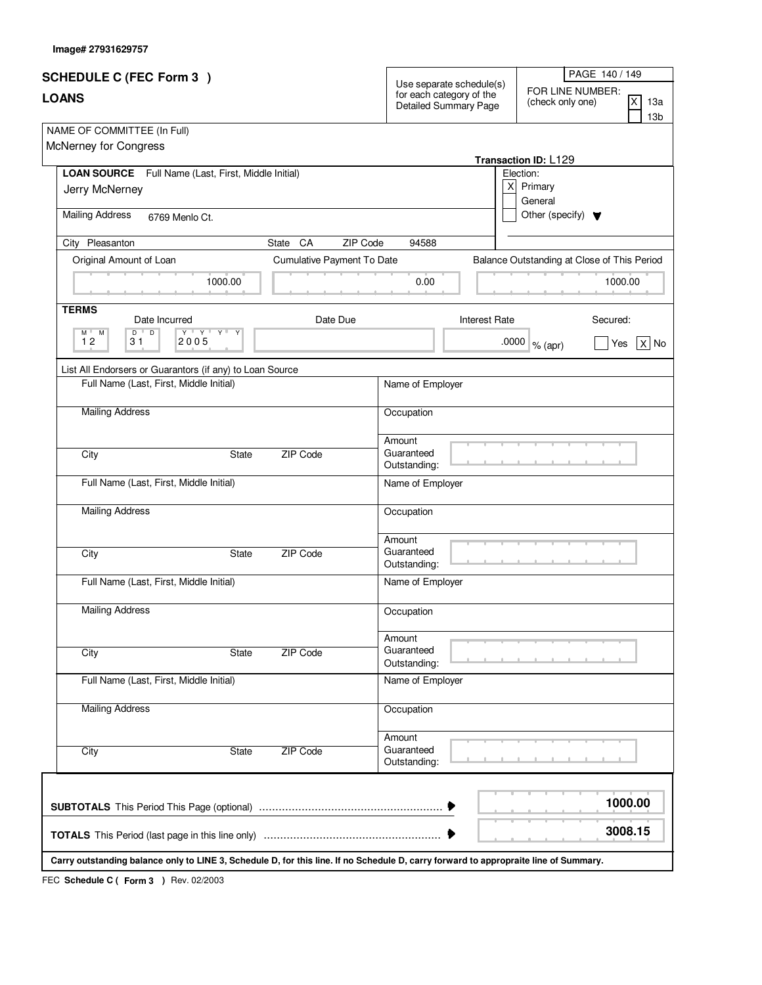| Image# 27931629757 |  |
|--------------------|--|
|                    |  |

| <b>SCHEDULE C (FEC Form 3)</b>                                                                                                       |                            | Use separate schedule(s)                          | PAGE 140 / 149                                                       |
|--------------------------------------------------------------------------------------------------------------------------------------|----------------------------|---------------------------------------------------|----------------------------------------------------------------------|
| <b>LOANS</b>                                                                                                                         |                            | for each category of the<br>Detailed Summary Page | FOR LINE NUMBER:<br>ΙX<br>(check only one)<br>13a<br>13 <sub>b</sub> |
| NAME OF COMMITTEE (In Full)<br>McNerney for Congress                                                                                 |                            |                                                   | Transaction ID: L129                                                 |
| LOAN SOURCE Full Name (Last, First, Middle Initial)                                                                                  |                            |                                                   | Election:                                                            |
| Jerry McNerney                                                                                                                       |                            |                                                   | x<br>Primary<br>General                                              |
| <b>Mailing Address</b><br>6769 Menlo Ct.                                                                                             |                            |                                                   | Other (specify) $\blacktriangledown$                                 |
| City Pleasanton                                                                                                                      | ZIP Code<br>CA<br>State    | 94588                                             |                                                                      |
| Original Amount of Loan                                                                                                              | Cumulative Payment To Date |                                                   | Balance Outstanding at Close of This Period                          |
| 1000.00                                                                                                                              |                            | 0.00                                              | 1000.00                                                              |
| <b>TERMS</b><br>Date Incurred                                                                                                        | Date Due                   | <b>Interest Rate</b>                              | Secured:                                                             |
| $\overline{D}$<br>Y V Y V V V<br>$M$ <sup><math>\Box</math></sup><br>D<br>Y<br>M<br>12<br>2005<br>31                                 |                            |                                                   | .0000<br>Yes<br>$X $ No<br>% (apr)                                   |
| List All Endorsers or Guarantors (if any) to Loan Source                                                                             |                            |                                                   |                                                                      |
| Full Name (Last, First, Middle Initial)                                                                                              |                            | Name of Employer                                  |                                                                      |
| <b>Mailing Address</b>                                                                                                               |                            | Occupation                                        |                                                                      |
| City<br>State                                                                                                                        | ZIP Code                   | Amount<br>Guaranteed<br>Outstanding:              |                                                                      |
| Full Name (Last, First, Middle Initial)                                                                                              |                            | Name of Employer                                  |                                                                      |
| <b>Mailing Address</b>                                                                                                               |                            | Occupation                                        |                                                                      |
| City<br>State                                                                                                                        | ZIP Code                   | Amount<br>Guaranteed<br>Outstanding:              |                                                                      |
| Full Name (Last, First, Middle Initial)                                                                                              |                            | Name of Employer                                  |                                                                      |
| <b>Mailing Address</b>                                                                                                               |                            | Occupation                                        |                                                                      |
| City<br>State                                                                                                                        | <b>ZIP Code</b>            | Amount<br>Guaranteed<br>Outstanding:              |                                                                      |
| Full Name (Last, First, Middle Initial)                                                                                              |                            | Name of Employer                                  |                                                                      |
| <b>Mailing Address</b>                                                                                                               |                            | Occupation                                        |                                                                      |
| City<br>State                                                                                                                        | <b>ZIP Code</b>            | Amount<br>Guaranteed<br>Outstanding:              |                                                                      |
|                                                                                                                                      |                            |                                                   | 1000.00                                                              |
|                                                                                                                                      |                            |                                                   | 3008.15                                                              |
| Carry outstanding balance only to LINE 3, Schedule D, for this line. If no Schedule D, carry forward to appropraite line of Summary. |                            |                                                   |                                                                      |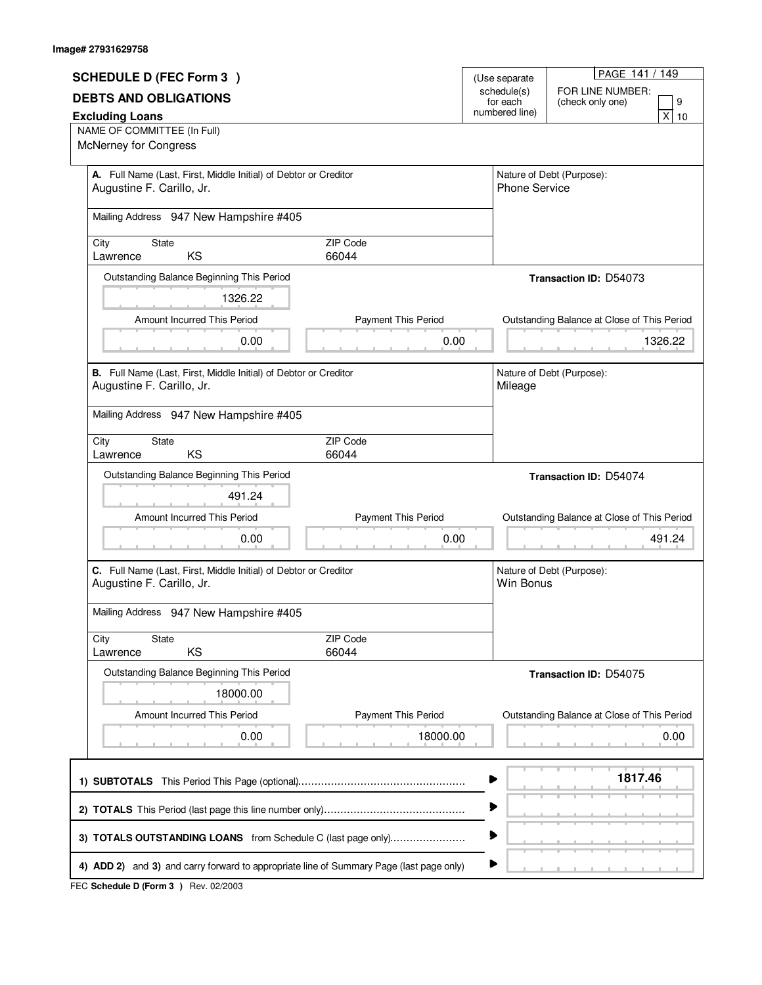| <b>SCHEDULE D (FEC Form 3)</b>                                                                |                     | (Use separate              | PAGE 141 / 149                              |
|-----------------------------------------------------------------------------------------------|---------------------|----------------------------|---------------------------------------------|
|                                                                                               |                     | schedule(s)                | FOR LINE NUMBER:                            |
| <b>DEBTS AND OBLIGATIONS</b>                                                                  |                     | for each<br>numbered line) | 9<br>(check only one)<br>X                  |
| <b>Excluding Loans</b><br>NAME OF COMMITTEE (In Full)                                         |                     |                            | 10                                          |
| McNerney for Congress                                                                         |                     |                            |                                             |
| A. Full Name (Last, First, Middle Initial) of Debtor or Creditor<br>Augustine F. Carillo, Jr. |                     | <b>Phone Service</b>       | Nature of Debt (Purpose):                   |
| Mailing Address 947 New Hampshire #405                                                        |                     |                            |                                             |
| <b>State</b><br>City<br>KS<br>Lawrence                                                        | ZIP Code<br>66044   |                            |                                             |
| Outstanding Balance Beginning This Period                                                     |                     |                            | <b>Transaction ID: D54073</b>               |
| 1326.22                                                                                       |                     |                            |                                             |
| Amount Incurred This Period                                                                   | Payment This Period |                            | Outstanding Balance at Close of This Period |
| 0.00                                                                                          | 0.00                |                            | 1326.22                                     |
| B. Full Name (Last, First, Middle Initial) of Debtor or Creditor<br>Augustine F. Carillo, Jr. |                     | Mileage                    | Nature of Debt (Purpose):                   |
| Mailing Address 947 New Hampshire #405                                                        |                     |                            |                                             |
| City<br><b>State</b><br>KS<br>Lawrence                                                        | ZIP Code<br>66044   |                            |                                             |
| Outstanding Balance Beginning This Period                                                     |                     |                            | Transaction ID: D54074                      |
| 491.24                                                                                        |                     |                            |                                             |
| Amount Incurred This Period                                                                   | Payment This Period |                            | Outstanding Balance at Close of This Period |
| 0.00                                                                                          | 0.00                |                            | 491.24                                      |
| C. Full Name (Last, First, Middle Initial) of Debtor or Creditor<br>Augustine F. Carillo, Jr. |                     | Win Bonus                  | Nature of Debt (Purpose):                   |
| Mailing Address 947 New Hampshire #405                                                        |                     |                            |                                             |
| City<br><b>State</b><br>KS<br>Lawrence                                                        | ZIP Code<br>66044   |                            |                                             |
| Outstanding Balance Beginning This Period                                                     |                     |                            | Transaction ID: D54075                      |
| 18000.00                                                                                      |                     |                            |                                             |
| Amount Incurred This Period                                                                   | Payment This Period |                            | Outstanding Balance at Close of This Period |
| 0.00                                                                                          | 18000.00            |                            | 0.00                                        |
|                                                                                               |                     |                            | 1817.46                                     |
|                                                                                               |                     | ▶                          |                                             |
| 3) TOTALS OUTSTANDING LOANS from Schedule C (last page only)                                  |                     | Þ                          |                                             |
| 4) ADD 2) and 3) and carry forward to appropriate line of Summary Page (last page only)       |                     | ▶                          |                                             |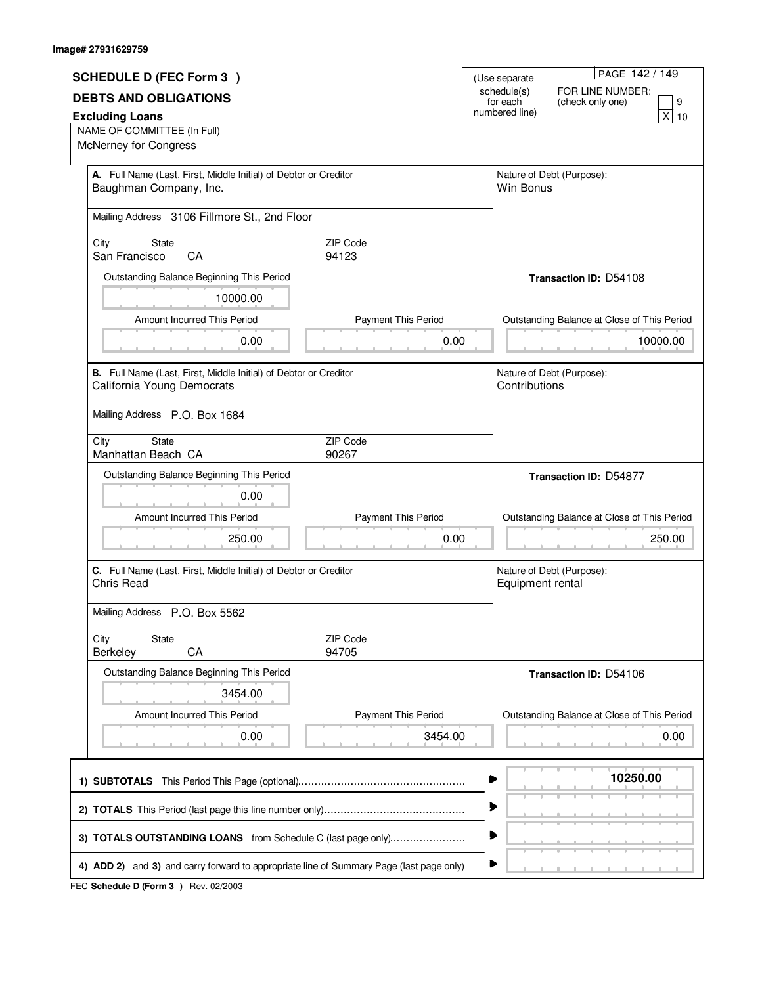## **Image# 27931629759**

|                                                                                                |                            | (Use separate           | PAGE 142 / 149                              |
|------------------------------------------------------------------------------------------------|----------------------------|-------------------------|---------------------------------------------|
| <b>SCHEDULE D (FEC Form 3)</b>                                                                 |                            |                         | FOR LINE NUMBER:                            |
| <b>DEBTS AND OBLIGATIONS</b>                                                                   |                            | schedule(s)<br>for each | 9<br>(check only one)                       |
| <b>Excluding Loans</b>                                                                         |                            | numbered line)          | X<br>10                                     |
| NAME OF COMMITTEE (In Full)<br>McNerney for Congress                                           |                            |                         |                                             |
| A. Full Name (Last, First, Middle Initial) of Debtor or Creditor<br>Baughman Company, Inc.     |                            | Win Bonus               | Nature of Debt (Purpose):                   |
|                                                                                                |                            |                         |                                             |
| Mailing Address 3106 Fillmore St., 2nd Floor                                                   |                            |                         |                                             |
| <b>State</b><br>City<br>San Francisco<br>CA                                                    | ZIP Code<br>94123          |                         |                                             |
| Outstanding Balance Beginning This Period                                                      |                            |                         | <b>Transaction ID: D54108</b>               |
| 10000.00                                                                                       |                            |                         |                                             |
| Amount Incurred This Period                                                                    | <b>Payment This Period</b> |                         | Outstanding Balance at Close of This Period |
| 0.00                                                                                           | 0.00                       |                         | 10000.00                                    |
| B. Full Name (Last, First, Middle Initial) of Debtor or Creditor<br>California Young Democrats |                            | Contributions           | Nature of Debt (Purpose):                   |
| Mailing Address P.O. Box 1684                                                                  |                            |                         |                                             |
| <b>State</b><br>City<br>Manhattan Beach CA                                                     | ZIP Code<br>90267          |                         |                                             |
| Outstanding Balance Beginning This Period                                                      |                            |                         | <b>Transaction ID: D54877</b>               |
| 0.00                                                                                           |                            |                         |                                             |
| Amount Incurred This Period                                                                    | Payment This Period        |                         | Outstanding Balance at Close of This Period |
| 250.00                                                                                         | 0.00                       |                         | 250.00                                      |
| C. Full Name (Last, First, Middle Initial) of Debtor or Creditor<br>Chris Read                 |                            | Equipment rental        | Nature of Debt (Purpose):                   |
| Mailing Address P.O. Box 5562                                                                  |                            |                         |                                             |
| City<br><b>State</b><br>CA<br>Berkeley                                                         | ZIP Code<br>94705          |                         |                                             |
| Outstanding Balance Beginning This Period                                                      |                            |                         | Transaction ID: D54106                      |
| 3454.00                                                                                        |                            |                         |                                             |
|                                                                                                |                            |                         |                                             |
| Amount Incurred This Period                                                                    | Payment This Period        |                         | Outstanding Balance at Close of This Period |
| 0.00                                                                                           | 3454.00                    |                         | 0.00                                        |
|                                                                                                |                            |                         | 10250.00                                    |
|                                                                                                |                            |                         |                                             |
| 3) TOTALS OUTSTANDING LOANS from Schedule C (last page only)                                   |                            |                         |                                             |
| 4) ADD 2) and 3) and carry forward to appropriate line of Summary Page (last page only)        |                            |                         |                                             |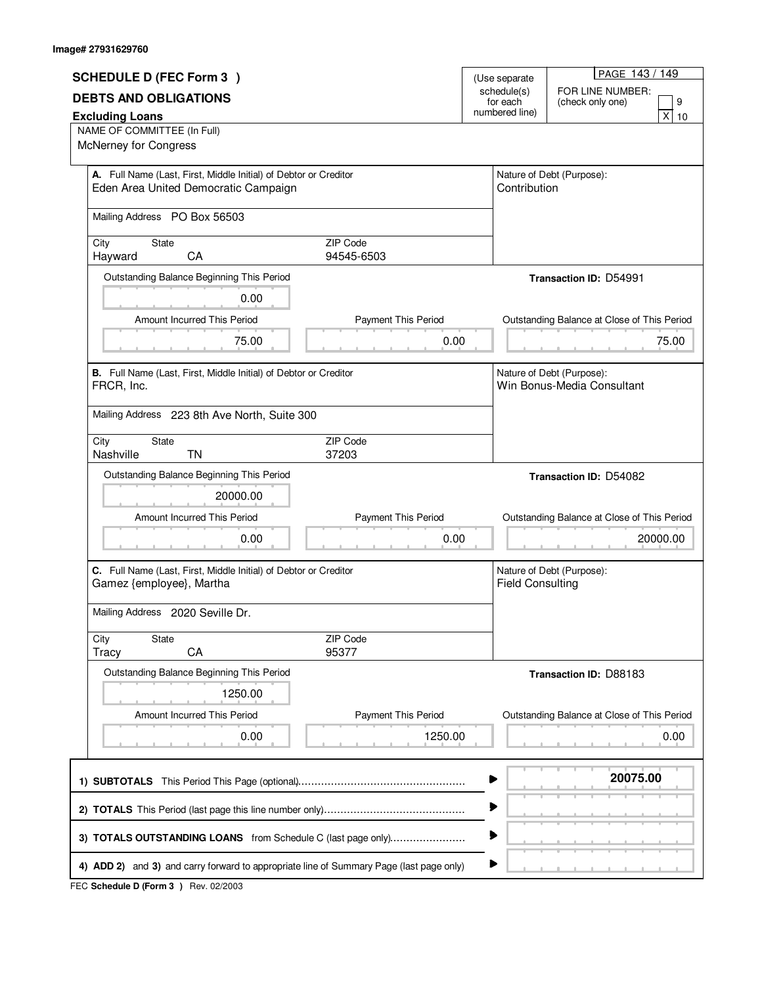| <b>SCHEDULE D (FEC Form 3)</b>                                                                           |                               | (Use separate              | PAGE 143 / 149                                          |
|----------------------------------------------------------------------------------------------------------|-------------------------------|----------------------------|---------------------------------------------------------|
| <b>DEBTS AND OBLIGATIONS</b>                                                                             |                               | schedule(s)                | FOR LINE NUMBER:                                        |
| <b>Excluding Loans</b>                                                                                   |                               | for each<br>numbered line) | 9<br>(check only one)<br>$\overline{\mathsf{x}}$<br>10  |
| NAME OF COMMITTEE (In Full)                                                                              |                               |                            |                                                         |
| <b>McNerney for Congress</b>                                                                             |                               |                            |                                                         |
| A. Full Name (Last, First, Middle Initial) of Debtor or Creditor<br>Eden Area United Democratic Campaign |                               | Contribution               | Nature of Debt (Purpose):                               |
| Mailing Address PO Box 56503                                                                             |                               |                            |                                                         |
| City<br><b>State</b><br>Hayward<br>CA                                                                    | <b>ZIP Code</b><br>94545-6503 |                            |                                                         |
| Outstanding Balance Beginning This Period                                                                |                               |                            | <b>Transaction ID: D54991</b>                           |
| 0.00                                                                                                     |                               |                            |                                                         |
| Amount Incurred This Period                                                                              | Payment This Period           |                            | Outstanding Balance at Close of This Period             |
| 75.00                                                                                                    | 0.00                          |                            | 75.00                                                   |
|                                                                                                          |                               |                            |                                                         |
| B. Full Name (Last, First, Middle Initial) of Debtor or Creditor<br>FRCR, Inc.                           |                               |                            | Nature of Debt (Purpose):<br>Win Bonus-Media Consultant |
| Mailing Address 223 8th Ave North, Suite 300                                                             |                               |                            |                                                         |
| City<br><b>State</b><br><b>TN</b><br>Nashville                                                           | ZIP Code<br>37203             |                            |                                                         |
| Outstanding Balance Beginning This Period                                                                |                               |                            | Transaction ID: D54082                                  |
|                                                                                                          |                               |                            |                                                         |
| 20000.00                                                                                                 |                               |                            |                                                         |
| Amount Incurred This Period                                                                              | Payment This Period           |                            | Outstanding Balance at Close of This Period             |
| 0.00                                                                                                     | 0.00                          |                            | 20000.00                                                |
| C. Full Name (Last, First, Middle Initial) of Debtor or Creditor<br>Gamez {employee}, Martha             |                               | <b>Field Consulting</b>    | Nature of Debt (Purpose):                               |
| Mailing Address 2020 Seville Dr.                                                                         |                               |                            |                                                         |
| City<br><b>State</b><br>CA<br><b>Tracy</b>                                                               | ZIP Code<br>95377             |                            |                                                         |
| Outstanding Balance Beginning This Period                                                                |                               |                            | <b>Transaction ID: D88183</b>                           |
| 1250.00                                                                                                  |                               |                            |                                                         |
| Amount Incurred This Period                                                                              | Payment This Period           |                            |                                                         |
| 0.00                                                                                                     | 1250.00                       |                            | Outstanding Balance at Close of This Period<br>0.00     |
|                                                                                                          |                               |                            | 20075.00                                                |
|                                                                                                          |                               | ▶                          |                                                         |
| 3) TOTALS OUTSTANDING LOANS from Schedule C (last page only)                                             |                               | ▶                          |                                                         |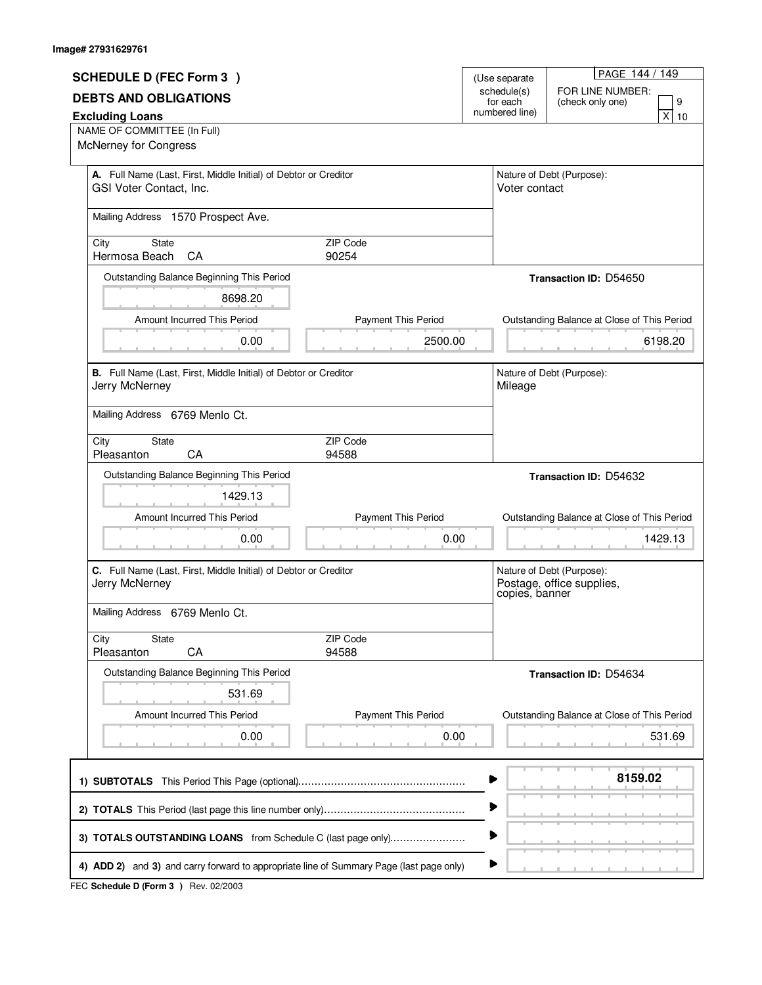| <b>SCHEDULE D (FEC Form 3)</b>                                                          |                            | (Use separate | PAGE 144 / 149                                                           |
|-----------------------------------------------------------------------------------------|----------------------------|---------------|--------------------------------------------------------------------------|
| <b>DEBTS AND OBLIGATIONS</b>                                                            |                            |               | FOR LINE NUMBER:                                                         |
| <b>Excluding Loans</b>                                                                  | numbered line)             |               | 9<br>(check only one)<br>$\overline{X}$<br>10                            |
| NAME OF COMMITTEE (In Full)                                                             |                            |               |                                                                          |
| McNerney for Congress                                                                   |                            |               |                                                                          |
| A. Full Name (Last, First, Middle Initial) of Debtor or Creditor                        |                            |               | Nature of Debt (Purpose):                                                |
| GSI Voter Contact, Inc.                                                                 |                            | Voter contact |                                                                          |
| Mailing Address 1570 Prospect Ave.                                                      |                            |               |                                                                          |
| State<br>City<br>Hermosa Beach<br>CA                                                    | ZIP Code<br>90254          |               |                                                                          |
| Outstanding Balance Beginning This Period                                               |                            |               | Transaction ID: D54650                                                   |
| 8698.20                                                                                 |                            |               |                                                                          |
| Amount Incurred This Period                                                             | <b>Payment This Period</b> |               | Outstanding Balance at Close of This Period                              |
| 0.00                                                                                    | 2500.00                    |               | 6198.20                                                                  |
|                                                                                         |                            |               |                                                                          |
| B. Full Name (Last, First, Middle Initial) of Debtor or Creditor<br>Jerry McNerney      |                            | Mileage       | Nature of Debt (Purpose):                                                |
| Mailing Address 6769 Menlo Ct.                                                          |                            |               |                                                                          |
|                                                                                         |                            |               |                                                                          |
| City<br>State<br>Pleasanton<br>CA                                                       | ZIP Code<br>94588          |               |                                                                          |
| Outstanding Balance Beginning This Period                                               |                            |               | <b>Transaction ID: D54632</b>                                            |
| 1429.13                                                                                 |                            |               |                                                                          |
| Amount Incurred This Period                                                             | Payment This Period        |               | Outstanding Balance at Close of This Period                              |
| 0.00                                                                                    | 0.00                       |               | 1429.13                                                                  |
|                                                                                         |                            |               |                                                                          |
| C. Full Name (Last, First, Middle Initial) of Debtor or Creditor<br>Jerry McNerney      |                            |               | Nature of Debt (Purpose):<br>Postage, office supplies,<br>copies, banner |
| Mailing Address 6769 Menlo Ct.                                                          |                            |               |                                                                          |
| State<br>City                                                                           | ZIP Code                   |               |                                                                          |
| CA<br>Pleasanton                                                                        | 94588                      |               |                                                                          |
| Outstanding Balance Beginning This Period                                               |                            |               | Transaction ID: D54634                                                   |
| 531.69                                                                                  |                            |               |                                                                          |
| Amount Incurred This Period                                                             | Payment This Period        |               | Outstanding Balance at Close of This Period                              |
| 0.00                                                                                    | 0.00                       |               | 531.69                                                                   |
|                                                                                         |                            |               |                                                                          |
|                                                                                         |                            |               | 8159.02                                                                  |
|                                                                                         |                            |               |                                                                          |
|                                                                                         |                            | ▶             |                                                                          |
| 3) TOTALS OUTSTANDING LOANS from Schedule C (last page only)                            |                            | ▶             |                                                                          |
| 4) ADD 2) and 3) and carry forward to appropriate line of Summary Page (last page only) |                            | ▶             |                                                                          |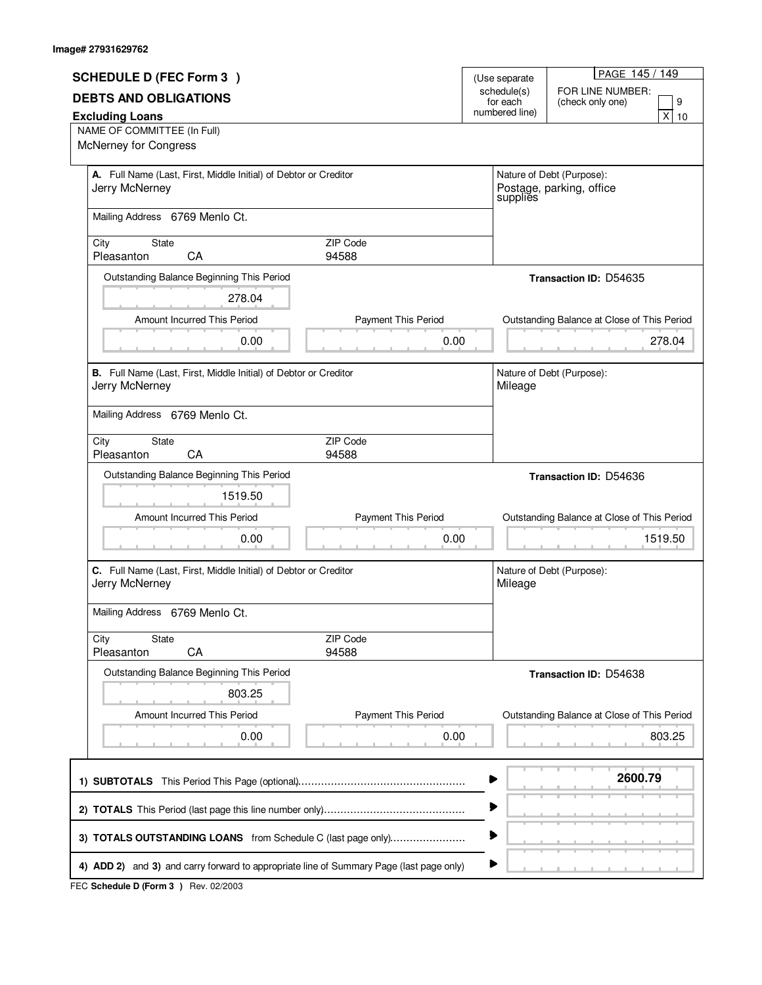| <b>SCHEDULE D (FEC Form 3)</b>                                                     |                            |                              | PAGE 145 / 149                              |
|------------------------------------------------------------------------------------|----------------------------|------------------------------|---------------------------------------------|
|                                                                                    |                            | (Use separate<br>schedule(s) | FOR LINE NUMBER:                            |
| <b>DEBTS AND OBLIGATIONS</b>                                                       |                            | for each<br>numbered line)   | 9<br>(check only one)                       |
| <b>Excluding Loans</b><br>NAME OF COMMITTEE (In Full)                              |                            |                              | $\mathsf{X}$<br>10                          |
| <b>McNerney for Congress</b>                                                       |                            |                              |                                             |
| A. Full Name (Last, First, Middle Initial) of Debtor or Creditor                   |                            |                              | Nature of Debt (Purpose):                   |
| Jerry McNerney                                                                     |                            |                              | Postage, parking, office<br>supplies        |
| Mailing Address 6769 Menlo Ct.                                                     |                            |                              |                                             |
| State<br>City<br>Pleasanton<br>CA                                                  | ZIP Code<br>94588          |                              |                                             |
| Outstanding Balance Beginning This Period                                          |                            |                              | <b>Transaction ID: D54635</b>               |
| 278.04                                                                             |                            |                              |                                             |
| Amount Incurred This Period                                                        | <b>Payment This Period</b> |                              | Outstanding Balance at Close of This Period |
| 0.00                                                                               | 0.00                       |                              | 278.04                                      |
|                                                                                    |                            |                              |                                             |
| B. Full Name (Last, First, Middle Initial) of Debtor or Creditor<br>Jerry McNerney |                            | Mileage                      | Nature of Debt (Purpose):                   |
| Mailing Address 6769 Menlo Ct.                                                     |                            |                              |                                             |
|                                                                                    |                            |                              |                                             |
| City<br>State<br>Pleasanton<br>CA                                                  | ZIP Code<br>94588          |                              |                                             |
| Outstanding Balance Beginning This Period                                          |                            |                              | <b>Transaction ID: D54636</b>               |
|                                                                                    |                            |                              |                                             |
| 1519.50                                                                            |                            |                              |                                             |
| Amount Incurred This Period                                                        | Payment This Period        |                              | Outstanding Balance at Close of This Period |
| 0.00                                                                               | 0.00                       |                              | 1519.50                                     |
| C. Full Name (Last, First, Middle Initial) of Debtor or Creditor<br>Jerry McNerney |                            | Mileage                      | Nature of Debt (Purpose):                   |
|                                                                                    |                            |                              |                                             |
| Mailing Address 6769 Menlo Ct.                                                     |                            |                              |                                             |
| City<br><b>State</b><br>CA<br>Pleasanton                                           | ZIP Code<br>94588          |                              |                                             |
| Outstanding Balance Beginning This Period                                          |                            |                              | Transaction ID: D54638                      |
| 803.25                                                                             |                            |                              |                                             |
| Amount Incurred This Period                                                        | Payment This Period        |                              | Outstanding Balance at Close of This Period |
| 0.00                                                                               | 0.00                       |                              | 803.25                                      |
|                                                                                    |                            |                              |                                             |
|                                                                                    |                            |                              | 2600.79                                     |
|                                                                                    |                            |                              |                                             |
| 3) TOTALS OUTSTANDING LOANS from Schedule C (last page only)                       |                            |                              |                                             |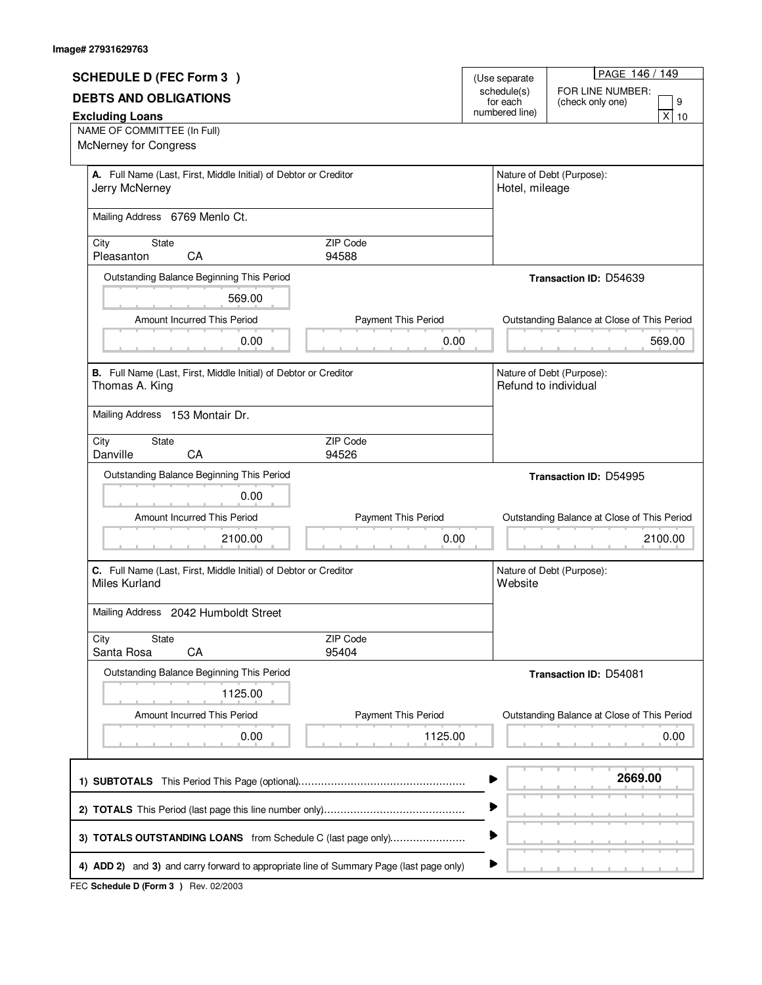| PAGE 146 / 149<br><b>SCHEDULE D (FEC Form 3)</b><br>(Use separate<br>schedule(s)<br>FOR LINE NUMBER:<br><b>DEBTS AND OBLIGATIONS</b><br>for each<br>(check only one)<br>numbered line)<br><b>Excluding Loans</b><br>NAME OF COMMITTEE (In Full)<br>McNerney for Congress<br>Nature of Debt (Purpose):<br>A. Full Name (Last, First, Middle Initial) of Debtor or Creditor<br>Hotel, mileage<br>Jerry McNerney<br>Mailing Address 6769 Menlo Ct.<br>State<br>ZIP Code<br>City<br>Pleasanton<br>CA<br>94588<br>Outstanding Balance Beginning This Period<br><b>Transaction ID: D54639</b><br>569.00<br>Amount Incurred This Period<br>Payment This Period<br>Outstanding Balance at Close of This Period<br>0.00<br>0.00<br>B. Full Name (Last, First, Middle Initial) of Debtor or Creditor<br>Nature of Debt (Purpose):<br>Refund to individual<br>Thomas A. King<br>Mailing Address 153 Montair Dr.<br>ZIP Code<br>City<br>State<br>Danville<br>CA<br>94526<br>Outstanding Balance Beginning This Period | 9<br>$\overline{x}$<br>10<br>569.00 |
|-----------------------------------------------------------------------------------------------------------------------------------------------------------------------------------------------------------------------------------------------------------------------------------------------------------------------------------------------------------------------------------------------------------------------------------------------------------------------------------------------------------------------------------------------------------------------------------------------------------------------------------------------------------------------------------------------------------------------------------------------------------------------------------------------------------------------------------------------------------------------------------------------------------------------------------------------------------------------------------------------------------|-------------------------------------|
|                                                                                                                                                                                                                                                                                                                                                                                                                                                                                                                                                                                                                                                                                                                                                                                                                                                                                                                                                                                                           |                                     |
|                                                                                                                                                                                                                                                                                                                                                                                                                                                                                                                                                                                                                                                                                                                                                                                                                                                                                                                                                                                                           |                                     |
|                                                                                                                                                                                                                                                                                                                                                                                                                                                                                                                                                                                                                                                                                                                                                                                                                                                                                                                                                                                                           |                                     |
|                                                                                                                                                                                                                                                                                                                                                                                                                                                                                                                                                                                                                                                                                                                                                                                                                                                                                                                                                                                                           |                                     |
|                                                                                                                                                                                                                                                                                                                                                                                                                                                                                                                                                                                                                                                                                                                                                                                                                                                                                                                                                                                                           |                                     |
|                                                                                                                                                                                                                                                                                                                                                                                                                                                                                                                                                                                                                                                                                                                                                                                                                                                                                                                                                                                                           |                                     |
|                                                                                                                                                                                                                                                                                                                                                                                                                                                                                                                                                                                                                                                                                                                                                                                                                                                                                                                                                                                                           |                                     |
|                                                                                                                                                                                                                                                                                                                                                                                                                                                                                                                                                                                                                                                                                                                                                                                                                                                                                                                                                                                                           |                                     |
|                                                                                                                                                                                                                                                                                                                                                                                                                                                                                                                                                                                                                                                                                                                                                                                                                                                                                                                                                                                                           |                                     |
|                                                                                                                                                                                                                                                                                                                                                                                                                                                                                                                                                                                                                                                                                                                                                                                                                                                                                                                                                                                                           |                                     |
|                                                                                                                                                                                                                                                                                                                                                                                                                                                                                                                                                                                                                                                                                                                                                                                                                                                                                                                                                                                                           |                                     |
|                                                                                                                                                                                                                                                                                                                                                                                                                                                                                                                                                                                                                                                                                                                                                                                                                                                                                                                                                                                                           |                                     |
|                                                                                                                                                                                                                                                                                                                                                                                                                                                                                                                                                                                                                                                                                                                                                                                                                                                                                                                                                                                                           |                                     |
|                                                                                                                                                                                                                                                                                                                                                                                                                                                                                                                                                                                                                                                                                                                                                                                                                                                                                                                                                                                                           |                                     |
|                                                                                                                                                                                                                                                                                                                                                                                                                                                                                                                                                                                                                                                                                                                                                                                                                                                                                                                                                                                                           |                                     |
|                                                                                                                                                                                                                                                                                                                                                                                                                                                                                                                                                                                                                                                                                                                                                                                                                                                                                                                                                                                                           |                                     |
|                                                                                                                                                                                                                                                                                                                                                                                                                                                                                                                                                                                                                                                                                                                                                                                                                                                                                                                                                                                                           |                                     |
|                                                                                                                                                                                                                                                                                                                                                                                                                                                                                                                                                                                                                                                                                                                                                                                                                                                                                                                                                                                                           |                                     |
|                                                                                                                                                                                                                                                                                                                                                                                                                                                                                                                                                                                                                                                                                                                                                                                                                                                                                                                                                                                                           |                                     |
|                                                                                                                                                                                                                                                                                                                                                                                                                                                                                                                                                                                                                                                                                                                                                                                                                                                                                                                                                                                                           |                                     |
|                                                                                                                                                                                                                                                                                                                                                                                                                                                                                                                                                                                                                                                                                                                                                                                                                                                                                                                                                                                                           |                                     |
|                                                                                                                                                                                                                                                                                                                                                                                                                                                                                                                                                                                                                                                                                                                                                                                                                                                                                                                                                                                                           |                                     |
| Transaction ID: D54995                                                                                                                                                                                                                                                                                                                                                                                                                                                                                                                                                                                                                                                                                                                                                                                                                                                                                                                                                                                    |                                     |
| 0.00                                                                                                                                                                                                                                                                                                                                                                                                                                                                                                                                                                                                                                                                                                                                                                                                                                                                                                                                                                                                      |                                     |
| Amount Incurred This Period<br>Payment This Period<br>Outstanding Balance at Close of This Period                                                                                                                                                                                                                                                                                                                                                                                                                                                                                                                                                                                                                                                                                                                                                                                                                                                                                                         |                                     |
|                                                                                                                                                                                                                                                                                                                                                                                                                                                                                                                                                                                                                                                                                                                                                                                                                                                                                                                                                                                                           |                                     |
| 0.00<br>2100.00                                                                                                                                                                                                                                                                                                                                                                                                                                                                                                                                                                                                                                                                                                                                                                                                                                                                                                                                                                                           | 2100.00                             |
| C. Full Name (Last, First, Middle Initial) of Debtor or Creditor<br>Nature of Debt (Purpose):                                                                                                                                                                                                                                                                                                                                                                                                                                                                                                                                                                                                                                                                                                                                                                                                                                                                                                             |                                     |
| Miles Kurland<br>Website                                                                                                                                                                                                                                                                                                                                                                                                                                                                                                                                                                                                                                                                                                                                                                                                                                                                                                                                                                                  |                                     |
|                                                                                                                                                                                                                                                                                                                                                                                                                                                                                                                                                                                                                                                                                                                                                                                                                                                                                                                                                                                                           |                                     |
| Mailing Address 2042 Humboldt Street                                                                                                                                                                                                                                                                                                                                                                                                                                                                                                                                                                                                                                                                                                                                                                                                                                                                                                                                                                      |                                     |
| ZIP Code<br>City<br><b>State</b>                                                                                                                                                                                                                                                                                                                                                                                                                                                                                                                                                                                                                                                                                                                                                                                                                                                                                                                                                                          |                                     |
| CA<br>Santa Rosa<br>95404                                                                                                                                                                                                                                                                                                                                                                                                                                                                                                                                                                                                                                                                                                                                                                                                                                                                                                                                                                                 |                                     |
| Outstanding Balance Beginning This Period<br>Transaction ID: D54081                                                                                                                                                                                                                                                                                                                                                                                                                                                                                                                                                                                                                                                                                                                                                                                                                                                                                                                                       |                                     |
| 1125.00                                                                                                                                                                                                                                                                                                                                                                                                                                                                                                                                                                                                                                                                                                                                                                                                                                                                                                                                                                                                   |                                     |
|                                                                                                                                                                                                                                                                                                                                                                                                                                                                                                                                                                                                                                                                                                                                                                                                                                                                                                                                                                                                           |                                     |
| Amount Incurred This Period<br>Payment This Period<br>Outstanding Balance at Close of This Period                                                                                                                                                                                                                                                                                                                                                                                                                                                                                                                                                                                                                                                                                                                                                                                                                                                                                                         |                                     |
| 1125.00<br>0.00                                                                                                                                                                                                                                                                                                                                                                                                                                                                                                                                                                                                                                                                                                                                                                                                                                                                                                                                                                                           | 0.00                                |
|                                                                                                                                                                                                                                                                                                                                                                                                                                                                                                                                                                                                                                                                                                                                                                                                                                                                                                                                                                                                           |                                     |
| 2669.00                                                                                                                                                                                                                                                                                                                                                                                                                                                                                                                                                                                                                                                                                                                                                                                                                                                                                                                                                                                                   |                                     |
|                                                                                                                                                                                                                                                                                                                                                                                                                                                                                                                                                                                                                                                                                                                                                                                                                                                                                                                                                                                                           |                                     |
|                                                                                                                                                                                                                                                                                                                                                                                                                                                                                                                                                                                                                                                                                                                                                                                                                                                                                                                                                                                                           |                                     |
| 3) TOTALS OUTSTANDING LOANS from Schedule C (last page only)                                                                                                                                                                                                                                                                                                                                                                                                                                                                                                                                                                                                                                                                                                                                                                                                                                                                                                                                              |                                     |
|                                                                                                                                                                                                                                                                                                                                                                                                                                                                                                                                                                                                                                                                                                                                                                                                                                                                                                                                                                                                           |                                     |
| 4) ADD 2) and 3) and carry forward to appropriate line of Summary Page (last page only)                                                                                                                                                                                                                                                                                                                                                                                                                                                                                                                                                                                                                                                                                                                                                                                                                                                                                                                   |                                     |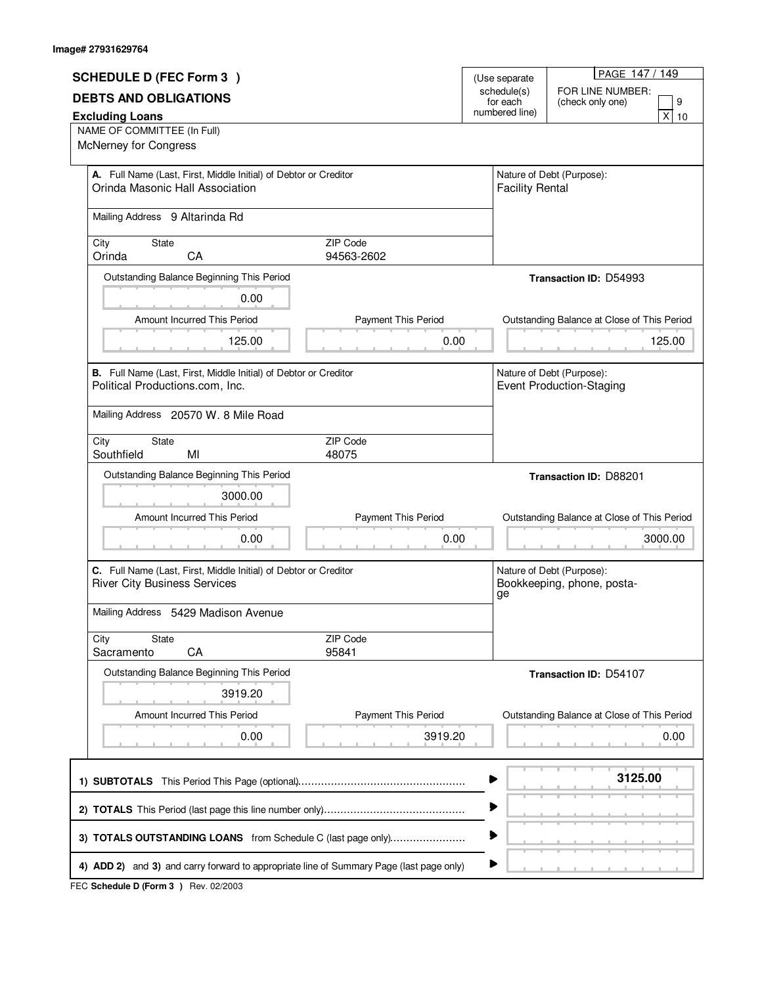|                                                                                                     |                        |                                        | PAGE 147 / 149                                               |  |
|-----------------------------------------------------------------------------------------------------|------------------------|----------------------------------------|--------------------------------------------------------------|--|
| <b>SCHEDULE D (FEC Form 3)</b>                                                                      |                        | (Use separate<br>schedule(s)           | FOR LINE NUMBER:                                             |  |
| <b>DEBTS AND OBLIGATIONS</b>                                                                        |                        | for each                               | 9<br>(check only one)                                        |  |
| <b>Excluding Loans</b>                                                                              |                        | numbered line)<br>$\overline{x}$<br>10 |                                                              |  |
| NAME OF COMMITTEE (In Full)                                                                         |                        |                                        |                                                              |  |
| McNerney for Congress                                                                               |                        |                                        |                                                              |  |
| A. Full Name (Last, First, Middle Initial) of Debtor or Creditor                                    |                        |                                        | Nature of Debt (Purpose):                                    |  |
| Orinda Masonic Hall Association                                                                     |                        | <b>Facility Rental</b>                 |                                                              |  |
| Mailing Address 9 Altarinda Rd                                                                      |                        |                                        |                                                              |  |
|                                                                                                     |                        |                                        |                                                              |  |
| State<br>City<br>Orinda<br>CA                                                                       | ZIP Code<br>94563-2602 |                                        |                                                              |  |
|                                                                                                     |                        |                                        |                                                              |  |
| Outstanding Balance Beginning This Period                                                           |                        |                                        | <b>Transaction ID: D54993</b>                                |  |
| 0.00                                                                                                |                        |                                        |                                                              |  |
| Amount Incurred This Period                                                                         | Payment This Period    |                                        | Outstanding Balance at Close of This Period                  |  |
| 125.00                                                                                              | 0.00                   |                                        | 125.00                                                       |  |
|                                                                                                     |                        |                                        |                                                              |  |
| B. Full Name (Last, First, Middle Initial) of Debtor or Creditor<br>Political Productions.com, Inc. |                        |                                        | Nature of Debt (Purpose):<br><b>Event Production-Staging</b> |  |
|                                                                                                     |                        |                                        |                                                              |  |
| Mailing Address 20570 W. 8 Mile Road                                                                |                        |                                        |                                                              |  |
| City<br>State                                                                                       | ZIP Code               |                                        |                                                              |  |
| Southfield<br>MI                                                                                    | 48075                  |                                        |                                                              |  |
| Outstanding Balance Beginning This Period                                                           |                        |                                        | Transaction ID: D88201                                       |  |
| 3000.00                                                                                             |                        |                                        |                                                              |  |
| Amount Incurred This Period                                                                         | Payment This Period    |                                        | Outstanding Balance at Close of This Period                  |  |
|                                                                                                     |                        |                                        |                                                              |  |
| 0.00                                                                                                | 0.00                   |                                        | 3000.00                                                      |  |
| C. Full Name (Last, First, Middle Initial) of Debtor or Creditor                                    |                        |                                        | Nature of Debt (Purpose):                                    |  |
| <b>River City Business Services</b>                                                                 |                        |                                        | Bookkeeping, phone, posta-                                   |  |
| Mailing Address 5429 Madison Avenue                                                                 |                        | ge                                     |                                                              |  |
|                                                                                                     |                        |                                        |                                                              |  |
| City<br><b>State</b>                                                                                | ZIP Code               |                                        |                                                              |  |
| CA<br>Sacramento                                                                                    | 95841                  |                                        |                                                              |  |
| Outstanding Balance Beginning This Period                                                           |                        |                                        | <b>Transaction ID: D54107</b>                                |  |
| 3919.20                                                                                             |                        |                                        |                                                              |  |
| Amount Incurred This Period                                                                         | Payment This Period    |                                        | Outstanding Balance at Close of This Period                  |  |
| 0.00                                                                                                | 3919.20                |                                        | 0.00                                                         |  |
|                                                                                                     |                        |                                        |                                                              |  |
|                                                                                                     |                        |                                        | 3125.00                                                      |  |
|                                                                                                     |                        |                                        |                                                              |  |
|                                                                                                     |                        |                                        |                                                              |  |
|                                                                                                     |                        |                                        |                                                              |  |
| 3) TOTALS OUTSTANDING LOANS from Schedule C (last page only)                                        |                        |                                        |                                                              |  |
| 4) ADD 2) and 3) and carry forward to appropriate line of Summary Page (last page only)             |                        |                                        |                                                              |  |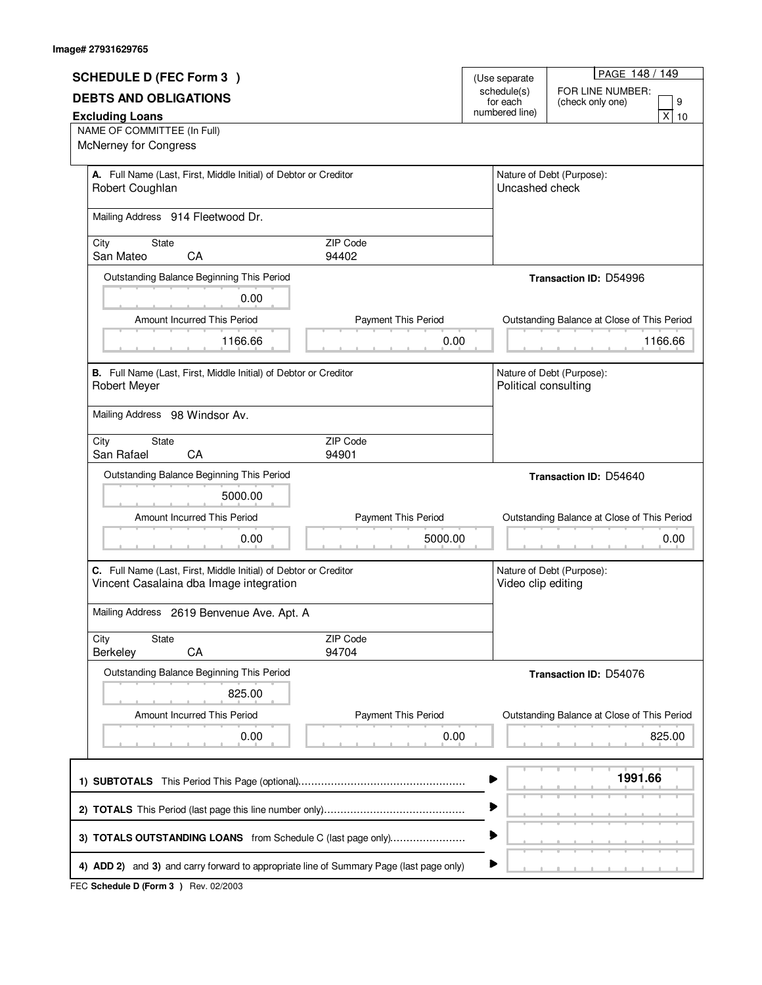| <b>SCHEDULE D (FEC Form 3)</b>                                                                                                                          |                             | (Use separate              | PAGE 148 / 149                                        |
|---------------------------------------------------------------------------------------------------------------------------------------------------------|-----------------------------|----------------------------|-------------------------------------------------------|
| <b>DEBTS AND OBLIGATIONS</b>                                                                                                                            |                             | schedule(s)                | FOR LINE NUMBER:                                      |
| <b>Excluding Loans</b>                                                                                                                                  |                             | for each<br>numbered line) | 9<br>(check only one)<br>$\pmb{\mathsf{X}}$<br>10     |
| NAME OF COMMITTEE (In Full)                                                                                                                             |                             |                            |                                                       |
| McNerney for Congress                                                                                                                                   |                             |                            |                                                       |
| A. Full Name (Last, First, Middle Initial) of Debtor or Creditor<br>Robert Coughlan                                                                     |                             | Uncashed check             | Nature of Debt (Purpose):                             |
| Mailing Address 914 Fleetwood Dr.                                                                                                                       |                             |                            |                                                       |
| State<br>City<br>San Mateo<br>CA                                                                                                                        | ZIP Code<br>94402           |                            |                                                       |
| Outstanding Balance Beginning This Period                                                                                                               |                             |                            | <b>Transaction ID: D54996</b>                         |
| 0.00                                                                                                                                                    |                             |                            |                                                       |
| Amount Incurred This Period                                                                                                                             | <b>Payment This Period</b>  |                            | Outstanding Balance at Close of This Period           |
| 1166.66                                                                                                                                                 | 0.00                        |                            | 1166.66                                               |
|                                                                                                                                                         |                             |                            |                                                       |
| B. Full Name (Last, First, Middle Initial) of Debtor or Creditor<br><b>Robert Meyer</b>                                                                 |                             | Political consulting       | Nature of Debt (Purpose):                             |
| Mailing Address 98 Windsor Av.                                                                                                                          |                             |                            |                                                       |
| City<br><b>State</b><br>San Rafael<br>CA                                                                                                                | ZIP Code<br>94901           |                            |                                                       |
| Outstanding Balance Beginning This Period                                                                                                               |                             |                            | <b>Transaction ID: D54640</b>                         |
| 5000.00                                                                                                                                                 |                             |                            |                                                       |
| Amount Incurred This Period                                                                                                                             | Payment This Period         |                            | Outstanding Balance at Close of This Period           |
| 0.00                                                                                                                                                    | 5000.00                     |                            | 0.00                                                  |
| C. Full Name (Last, First, Middle Initial) of Debtor or Creditor                                                                                        |                             |                            | Nature of Debt (Purpose):                             |
| Vincent Casalaina dba Image integration                                                                                                                 |                             | Video clip editing         |                                                       |
| Mailing Address 2619 Benvenue Ave. Apt. A                                                                                                               |                             |                            |                                                       |
| State<br>City<br>CA<br>Berkeley                                                                                                                         | ZIP Code<br>94704           |                            |                                                       |
| Outstanding Balance Beginning This Period                                                                                                               |                             |                            | <b>Transaction ID: D54076</b>                         |
| 825.00                                                                                                                                                  |                             |                            |                                                       |
| Amount Incurred This Period                                                                                                                             |                             |                            |                                                       |
|                                                                                                                                                         |                             |                            |                                                       |
| 0.00                                                                                                                                                    | Payment This Period<br>0.00 |                            | Outstanding Balance at Close of This Period<br>825.00 |
|                                                                                                                                                         |                             |                            |                                                       |
|                                                                                                                                                         |                             |                            | 1991.66                                               |
|                                                                                                                                                         |                             | ▶                          |                                                       |
| 3) TOTALS OUTSTANDING LOANS from Schedule C (last page only)<br>4) ADD 2) and 3) and carry forward to appropriate line of Summary Page (last page only) |                             |                            |                                                       |